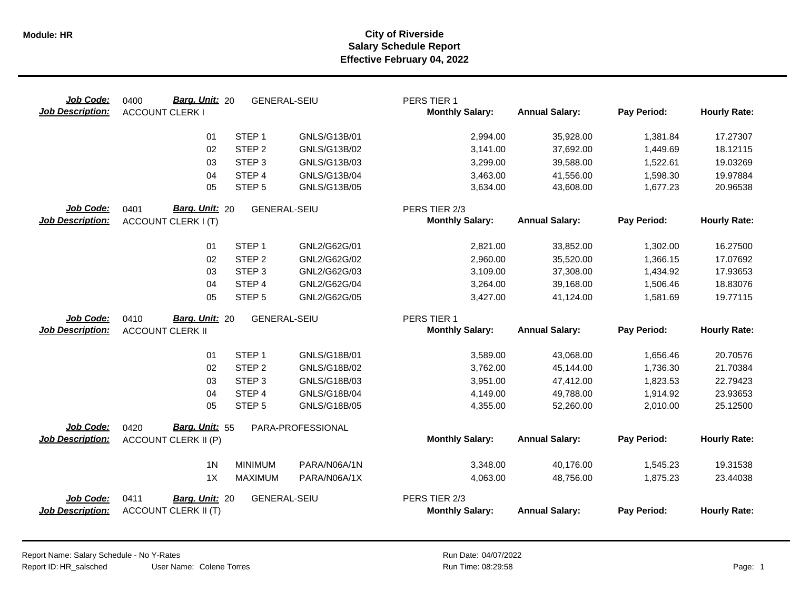| Job Code:<br><b>Job Description:</b> | Barg. Unit: 20<br>0400<br><b>ACCOUNT CLERK I</b>      | <b>GENERAL-SEIU</b> | PERS TIER 1<br><b>Monthly Salary:</b>   | <b>Annual Salary:</b> | Pay Period: | <b>Hourly Rate:</b> |
|--------------------------------------|-------------------------------------------------------|---------------------|-----------------------------------------|-----------------------|-------------|---------------------|
|                                      | STEP <sub>1</sub><br>01                               | GNLS/G13B/01        | 2,994.00                                | 35,928.00             | 1,381.84    | 17.27307            |
|                                      | 02<br>STEP <sub>2</sub>                               | GNLS/G13B/02        | 3,141.00                                | 37,692.00             | 1,449.69    | 18.12115            |
|                                      | STEP <sub>3</sub><br>03                               | GNLS/G13B/03        | 3,299.00                                | 39,588.00             | 1,522.61    | 19.03269            |
|                                      | STEP 4<br>04                                          | GNLS/G13B/04        | 3,463.00                                | 41,556.00             | 1,598.30    | 19.97884            |
|                                      | 05<br>STEP <sub>5</sub>                               | GNLS/G13B/05        | 3,634.00                                | 43,608.00             | 1,677.23    | 20.96538            |
| Job Code:                            | Barg. Unit: 20<br>0401                                | <b>GENERAL-SEIU</b> | PERS TIER 2/3                           |                       |             |                     |
| <b>Job Description:</b>              | <b>ACCOUNT CLERK I (T)</b>                            |                     | <b>Monthly Salary:</b>                  | <b>Annual Salary:</b> | Pay Period: | <b>Hourly Rate:</b> |
|                                      | STEP <sub>1</sub><br>01                               | GNL2/G62G/01        | 2,821.00                                | 33,852.00             | 1,302.00    | 16.27500            |
|                                      | STEP <sub>2</sub><br>02                               | GNL2/G62G/02        | 2,960.00                                | 35,520.00             | 1,366.15    | 17.07692            |
|                                      | 03<br>STEP <sub>3</sub>                               | GNL2/G62G/03        | 3,109.00                                | 37,308.00             | 1,434.92    | 17.93653            |
|                                      | STEP 4<br>04                                          | GNL2/G62G/04        | 3,264.00                                | 39,168.00             | 1,506.46    | 18.83076            |
|                                      | 05<br>STEP <sub>5</sub>                               | GNL2/G62G/05        | 3,427.00                                | 41,124.00             | 1,581.69    | 19.77115            |
| Job Code:                            | Barg. Unit: 20<br>0410                                | <b>GENERAL-SEIU</b> | PERS TIER 1                             |                       |             |                     |
| <b>Job Description:</b>              | <b>ACCOUNT CLERK II</b>                               |                     | <b>Monthly Salary:</b>                  | <b>Annual Salary:</b> | Pay Period: | <b>Hourly Rate:</b> |
|                                      | STEP <sub>1</sub><br>01                               | GNLS/G18B/01        | 3,589.00                                | 43,068.00             | 1,656.46    | 20.70576            |
|                                      | STEP <sub>2</sub><br>02                               | GNLS/G18B/02        | 3,762.00                                | 45,144.00             | 1,736.30    | 21.70384            |
|                                      | STEP <sub>3</sub><br>03                               | GNLS/G18B/03        | 3,951.00                                | 47,412.00             | 1,823.53    | 22.79423            |
|                                      | STEP 4<br>04                                          | GNLS/G18B/04        | 4,149.00                                | 49,788.00             | 1,914.92    | 23.93653            |
|                                      | STEP <sub>5</sub><br>05                               | GNLS/G18B/05        | 4,355.00                                | 52,260.00             | 2,010.00    | 25.12500            |
| Job Code:                            | Barg. Unit: 55<br>0420                                | PARA-PROFESSIONAL   |                                         |                       |             |                     |
| <b>Job Description:</b>              | <b>ACCOUNT CLERK II (P)</b>                           |                     | <b>Monthly Salary:</b>                  | <b>Annual Salary:</b> | Pay Period: | <b>Hourly Rate:</b> |
|                                      | 1 <sub>N</sub><br><b>MINIMUM</b>                      | PARA/N06A/1N        | 3,348.00                                | 40,176.00             | 1,545.23    | 19.31538            |
|                                      | 1X<br><b>MAXIMUM</b>                                  | PARA/N06A/1X        | 4,063.00                                | 48,756.00             | 1,875.23    | 23.44038            |
|                                      |                                                       |                     |                                         |                       |             |                     |
| Job Code:<br><b>Job Description:</b> | 0411<br>Barg. Unit: 20<br><b>ACCOUNT CLERK II (T)</b> | <b>GENERAL-SEIU</b> | PERS TIER 2/3<br><b>Monthly Salary:</b> | <b>Annual Salary:</b> | Pay Period: | <b>Hourly Rate:</b> |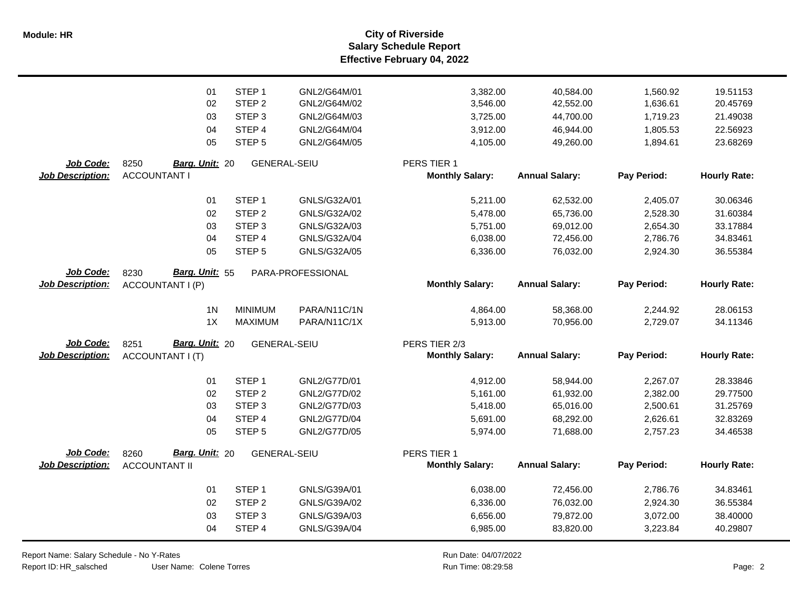**Salary Schedule Report Effective February 04, 2022 Module: HR City of Riverside**

|                         | 01<br>02                | STEP <sub>1</sub><br>STEP <sub>2</sub> | GNL2/G64M/01<br>GNL2/G64M/02 | 3,382.00<br>3,546.00   | 40,584.00<br>42,552.00 | 1,560.92<br>1,636.61 | 19.51153<br>20.45769 |
|-------------------------|-------------------------|----------------------------------------|------------------------------|------------------------|------------------------|----------------------|----------------------|
|                         | 03                      | STEP <sub>3</sub>                      | GNL2/G64M/03                 | 3,725.00               | 44,700.00              | 1,719.23             | 21.49038             |
|                         | 04                      | STEP <sub>4</sub>                      | GNL2/G64M/04                 | 3,912.00               | 46,944.00              | 1,805.53             | 22.56923             |
|                         | 05                      | STEP <sub>5</sub>                      | GNL2/G64M/05                 | 4,105.00               | 49,260.00              | 1,894.61             | 23.68269             |
|                         |                         |                                        |                              |                        |                        |                      |                      |
| Job Code:               | 8250<br>Barg. Unit: 20  | <b>GENERAL-SEIU</b>                    |                              | PERS TIER 1            |                        |                      |                      |
| Job Description:        | <b>ACCOUNTANT I</b>     |                                        |                              | <b>Monthly Salary:</b> | <b>Annual Salary:</b>  | Pay Period:          | <b>Hourly Rate:</b>  |
|                         | 01                      | STEP <sub>1</sub>                      | GNLS/G32A/01                 | 5,211.00               | 62,532.00              | 2,405.07             | 30.06346             |
|                         | 02                      | STEP <sub>2</sub>                      | GNLS/G32A/02                 | 5,478.00               | 65,736.00              | 2,528.30             | 31.60384             |
|                         | 03                      | STEP <sub>3</sub>                      | GNLS/G32A/03                 | 5,751.00               | 69,012.00              | 2,654.30             | 33.17884             |
|                         | 04                      | STEP 4                                 | GNLS/G32A/04                 | 6,038.00               | 72,456.00              | 2,786.76             | 34.83461             |
|                         | 05                      | STEP <sub>5</sub>                      | GNLS/G32A/05                 | 6,336.00               | 76,032.00              | 2,924.30             | 36.55384             |
|                         |                         |                                        |                              |                        |                        |                      |                      |
| <b>Job Code:</b>        | Barg. Unit: 55<br>8230  |                                        | PARA-PROFESSIONAL            |                        |                        |                      |                      |
| <b>Job Description:</b> | ACCOUNTANT I (P)        |                                        |                              | <b>Monthly Salary:</b> | <b>Annual Salary:</b>  | Pay Period:          | <b>Hourly Rate:</b>  |
|                         | 1 <sub>N</sub>          | <b>MINIMUM</b>                         | PARA/N11C/1N                 | 4,864.00               | 58,368.00              | 2,244.92             | 28.06153             |
|                         | 1X                      | <b>MAXIMUM</b>                         | PARA/N11C/1X                 | 5,913.00               | 70,956.00              | 2,729.07             | 34.11346             |
|                         |                         |                                        |                              |                        |                        |                      |                      |
| Job Code:               | Barg. Unit: 20<br>8251  | <b>GENERAL-SEIU</b>                    |                              | PERS TIER 2/3          |                        |                      |                      |
| <b>Job Description:</b> | <b>ACCOUNTANT I (T)</b> |                                        |                              | <b>Monthly Salary:</b> | <b>Annual Salary:</b>  | Pay Period:          | <b>Hourly Rate:</b>  |
|                         | 01                      | STEP <sub>1</sub>                      | GNL2/G77D/01                 | 4,912.00               | 58,944.00              | 2,267.07             | 28.33846             |
|                         | 02                      | STEP <sub>2</sub>                      | GNL2/G77D/02                 | 5,161.00               | 61,932.00              | 2,382.00             | 29.77500             |
|                         | 03                      | STEP <sub>3</sub>                      | GNL2/G77D/03                 | 5,418.00               | 65,016.00              | 2,500.61             | 31.25769             |
|                         | 04                      | STEP 4                                 | GNL2/G77D/04                 | 5,691.00               | 68,292.00              | 2,626.61             | 32.83269             |
|                         | 05                      | STEP <sub>5</sub>                      | GNL2/G77D/05                 | 5,974.00               | 71,688.00              | 2,757.23             | 34.46538             |
| Job Code:               | Barg. Unit: 20<br>8260  | <b>GENERAL-SEIU</b>                    |                              | PERS TIER 1            |                        |                      |                      |
| <b>Job Description:</b> | <b>ACCOUNTANT II</b>    |                                        |                              | <b>Monthly Salary:</b> | <b>Annual Salary:</b>  | Pay Period:          | <b>Hourly Rate:</b>  |
|                         |                         |                                        |                              |                        |                        |                      |                      |
|                         | 01                      | STEP <sub>1</sub>                      | GNLS/G39A/01                 | 6,038.00               | 72,456.00              | 2,786.76             | 34.83461             |
|                         | 02                      | STEP <sub>2</sub>                      | GNLS/G39A/02                 | 6,336.00               | 76,032.00              | 2,924.30             | 36.55384             |
|                         | 03                      | STEP <sub>3</sub>                      | GNLS/G39A/03                 | 6,656.00               | 79,872.00              | 3,072.00             | 38.40000             |
|                         | 04                      | STEP 4                                 | GNLS/G39A/04                 | 6,985.00               | 83,820.00              | 3,223.84             | 40.29807             |
|                         |                         |                                        |                              |                        |                        |                      |                      |

Report Name: Salary Schedule - No Y-Rates Report ID: HR\_salsched

User Name: Colene Torres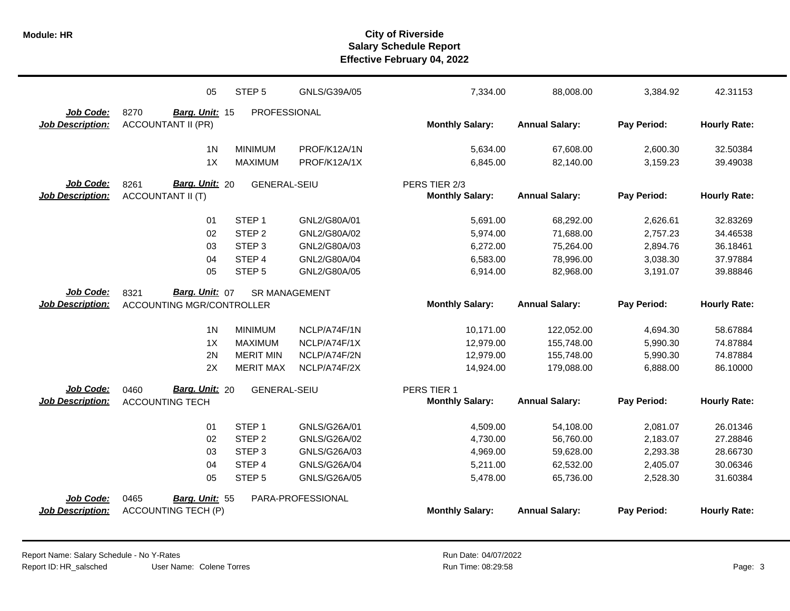|                         | 05                               | STEP <sub>5</sub>    | GNLS/G39A/05      | 7,334.00               | 88,008.00             | 3,384.92    | 42.31153            |
|-------------------------|----------------------------------|----------------------|-------------------|------------------------|-----------------------|-------------|---------------------|
| Job Code:               | 8270<br>Barg. Unit: 15           | PROFESSIONAL         |                   |                        |                       |             |                     |
| <b>Job Description:</b> | <b>ACCOUNTANT II (PR)</b>        |                      |                   | <b>Monthly Salary:</b> | <b>Annual Salary:</b> | Pay Period: | <b>Hourly Rate:</b> |
|                         | 1 <sub>N</sub>                   | <b>MINIMUM</b>       | PROF/K12A/1N      | 5,634.00               | 67,608.00             | 2,600.30    | 32.50384            |
|                         | 1X                               | <b>MAXIMUM</b>       | PROF/K12A/1X      | 6,845.00               | 82,140.00             | 3,159.23    | 39.49038            |
| Job Code:               | Barg. Unit: 20<br>8261           | <b>GENERAL-SEIU</b>  |                   | PERS TIER 2/3          |                       |             |                     |
| <b>Job Description:</b> | <b>ACCOUNTANT II (T)</b>         |                      |                   | <b>Monthly Salary:</b> | <b>Annual Salary:</b> | Pay Period: | <b>Hourly Rate:</b> |
|                         |                                  |                      |                   |                        |                       |             |                     |
|                         | 01                               | STEP <sub>1</sub>    | GNL2/G80A/01      | 5,691.00               | 68,292.00             | 2,626.61    | 32.83269            |
|                         | 02                               | STEP <sub>2</sub>    | GNL2/G80A/02      | 5,974.00               | 71,688.00             | 2,757.23    | 34.46538            |
|                         | 03                               | STEP <sub>3</sub>    | GNL2/G80A/03      | 6,272.00               | 75,264.00             | 2,894.76    | 36.18461            |
|                         | 04                               | STEP <sub>4</sub>    | GNL2/G80A/04      | 6,583.00               | 78,996.00             | 3,038.30    | 37.97884            |
|                         | 05                               | STEP <sub>5</sub>    | GNL2/G80A/05      | 6,914.00               | 82,968.00             | 3,191.07    | 39.88846            |
| Job Code:               | 8321<br>Barg. Unit: 07           | <b>SR MANAGEMENT</b> |                   |                        |                       |             |                     |
| <b>Job Description:</b> | <b>ACCOUNTING MGR/CONTROLLER</b> |                      |                   | <b>Monthly Salary:</b> | <b>Annual Salary:</b> | Pay Period: | <b>Hourly Rate:</b> |
|                         | 1 <sub>N</sub>                   | <b>MINIMUM</b>       | NCLP/A74F/1N      | 10,171.00              | 122,052.00            | 4,694.30    | 58.67884            |
|                         | 1X                               | <b>MAXIMUM</b>       | NCLP/A74F/1X      | 12,979.00              | 155,748.00            | 5,990.30    | 74.87884            |
|                         | 2N                               | <b>MERIT MIN</b>     | NCLP/A74F/2N      | 12,979.00              | 155,748.00            | 5,990.30    | 74.87884            |
|                         | 2X                               | <b>MERIT MAX</b>     | NCLP/A74F/2X      | 14,924.00              | 179,088.00            | 6,888.00    | 86.10000            |
| <b>Job Code:</b>        | Barg. Unit: 20<br>0460           | <b>GENERAL-SEIU</b>  |                   | PERS TIER 1            |                       |             |                     |
| <b>Job Description:</b> | <b>ACCOUNTING TECH</b>           |                      |                   | <b>Monthly Salary:</b> | <b>Annual Salary:</b> | Pay Period: | <b>Hourly Rate:</b> |
|                         | 01                               | STEP <sub>1</sub>    | GNLS/G26A/01      | 4,509.00               | 54,108.00             | 2,081.07    | 26.01346            |
|                         | 02                               | STEP <sub>2</sub>    | GNLS/G26A/02      | 4,730.00               | 56,760.00             | 2,183.07    | 27.28846            |
|                         | 03                               | STEP <sub>3</sub>    | GNLS/G26A/03      | 4,969.00               | 59,628.00             | 2,293.38    | 28.66730            |
|                         | 04                               | STEP 4               | GNLS/G26A/04      | 5,211.00               | 62,532.00             | 2,405.07    | 30.06346            |
|                         | 05                               | STEP <sub>5</sub>    | GNLS/G26A/05      | 5,478.00               | 65,736.00             | 2,528.30    | 31.60384            |
| Job Code:               | 0465<br>Barg. Unit: 55           |                      | PARA-PROFESSIONAL |                        |                       |             |                     |
| <b>Job Description:</b> | <b>ACCOUNTING TECH (P)</b>       |                      |                   | <b>Monthly Salary:</b> | <b>Annual Salary:</b> | Pay Period: | <b>Hourly Rate:</b> |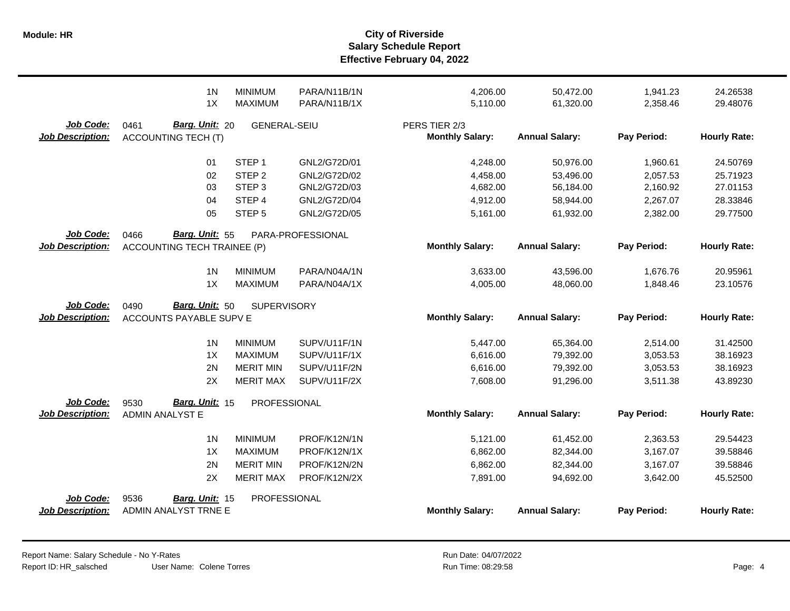|                                      | 1 <sub>N</sub><br>1X                                 | <b>MINIMUM</b><br><b>MAXIMUM</b> | PARA/N11B/1N<br>PARA/N11B/1X | 4,206.00<br>5,110.00                    | 50,472.00<br>61,320.00 | 1,941.23<br>2,358.46 | 24.26538<br>29.48076 |
|--------------------------------------|------------------------------------------------------|----------------------------------|------------------------------|-----------------------------------------|------------------------|----------------------|----------------------|
| Job Code:<br><b>Job Description:</b> | 0461<br>Barg. Unit: 20<br><b>ACCOUNTING TECH (T)</b> | <b>GENERAL-SEIU</b>              |                              | PERS TIER 2/3<br><b>Monthly Salary:</b> | <b>Annual Salary:</b>  | Pay Period:          | <b>Hourly Rate:</b>  |
|                                      | 01                                                   | STEP <sub>1</sub>                | GNL2/G72D/01                 | 4,248.00                                | 50,976.00              | 1,960.61             | 24.50769             |
|                                      | 02                                                   | STEP <sub>2</sub>                | GNL2/G72D/02                 | 4,458.00                                | 53,496.00              | 2,057.53             | 25.71923             |
|                                      | 03                                                   | STEP <sub>3</sub>                | GNL2/G72D/03                 | 4,682.00                                | 56,184.00              | 2,160.92             | 27.01153             |
|                                      | 04                                                   | STEP 4                           | GNL2/G72D/04                 | 4,912.00                                | 58,944.00              | 2,267.07             | 28.33846             |
|                                      | 05                                                   | STEP <sub>5</sub>                | GNL2/G72D/05                 | 5,161.00                                | 61,932.00              | 2,382.00             | 29.77500             |
| <b>Job Code:</b>                     | Barg. Unit: 55<br>0466                               |                                  | PARA-PROFESSIONAL            |                                         |                        |                      |                      |
| <b>Job Description:</b>              | <b>ACCOUNTING TECH TRAINEE (P)</b>                   |                                  |                              | <b>Monthly Salary:</b>                  | <b>Annual Salary:</b>  | Pay Period:          | <b>Hourly Rate:</b>  |
|                                      | 1 <sub>N</sub>                                       | <b>MINIMUM</b>                   | PARA/N04A/1N                 | 3,633.00                                | 43,596.00              | 1,676.76             | 20.95961             |
|                                      | 1X                                                   | <b>MAXIMUM</b>                   | PARA/N04A/1X                 | 4,005.00                                | 48,060.00              | 1,848.46             | 23.10576             |
| Job Code:                            | Barg. Unit: 50<br>0490                               | <b>SUPERVISORY</b>               |                              |                                         |                        |                      |                      |
| <b>Job Description:</b>              | ACCOUNTS PAYABLE SUPV E                              |                                  |                              | <b>Monthly Salary:</b>                  | <b>Annual Salary:</b>  | Pay Period:          | <b>Hourly Rate:</b>  |
|                                      | 1 <sub>N</sub>                                       | <b>MINIMUM</b>                   | SUPV/U11F/1N                 | 5,447.00                                | 65,364.00              | 2,514.00             | 31.42500             |
|                                      | 1X                                                   | <b>MAXIMUM</b>                   | SUPV/U11F/1X                 | 6,616.00                                | 79,392.00              | 3,053.53             | 38.16923             |
|                                      | 2N                                                   | <b>MERIT MIN</b>                 | SUPV/U11F/2N                 | 6,616.00                                | 79,392.00              | 3,053.53             | 38.16923             |
|                                      | 2X                                                   | <b>MERIT MAX</b>                 | SUPV/U11F/2X                 | 7,608.00                                | 91,296.00              | 3,511.38             | 43.89230             |
| Job Code:                            | Barg. Unit: 15<br>9530                               | PROFESSIONAL                     |                              |                                         |                        |                      |                      |
| <b>Job Description:</b>              | <b>ADMIN ANALYST E</b>                               |                                  |                              | <b>Monthly Salary:</b>                  | <b>Annual Salary:</b>  | Pay Period:          | <b>Hourly Rate:</b>  |
|                                      | 1 <sub>N</sub>                                       | <b>MINIMUM</b>                   | PROF/K12N/1N                 | 5,121.00                                | 61,452.00              | 2,363.53             | 29.54423             |
|                                      | 1X                                                   | <b>MAXIMUM</b>                   | PROF/K12N/1X                 | 6,862.00                                | 82,344.00              | 3,167.07             | 39.58846             |
|                                      | 2N                                                   | <b>MERIT MIN</b>                 | PROF/K12N/2N                 | 6,862.00                                | 82,344.00              | 3,167.07             | 39.58846             |
|                                      | 2X                                                   | <b>MERIT MAX</b>                 | PROF/K12N/2X                 | 7,891.00                                | 94,692.00              | 3,642.00             | 45.52500             |
| Job Code:                            | 9536<br>Barg. Unit: 15                               | PROFESSIONAL                     |                              |                                         |                        |                      |                      |
| <b>Job Description:</b>              | ADMIN ANALYST TRNE E                                 |                                  |                              | <b>Monthly Salary:</b>                  | <b>Annual Salary:</b>  | Pay Period:          | <b>Hourly Rate:</b>  |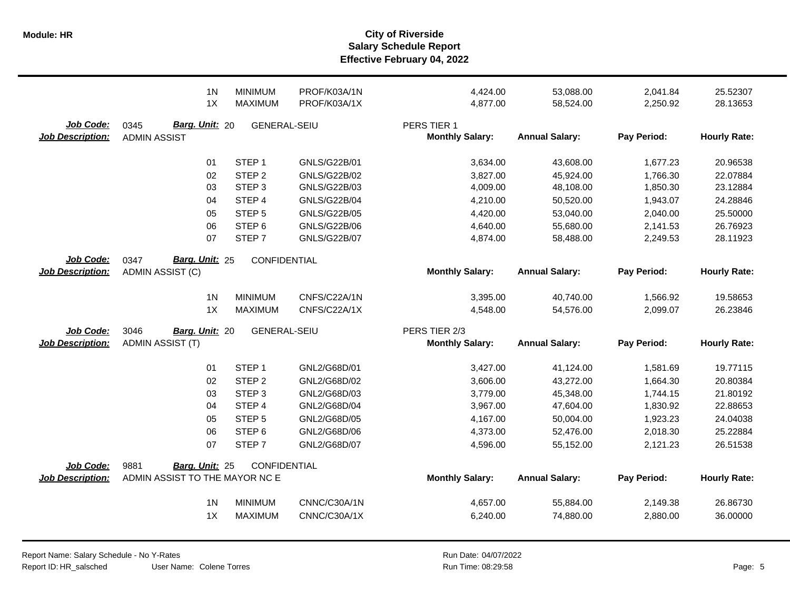|                                      | 1 <sub>N</sub><br>1X                                     | <b>MINIMUM</b><br><b>MAXIMUM</b> | PROF/K03A/1N<br>PROF/K03A/1X | 4,424.00<br>4,877.00                  | 53,088.00<br>58,524.00 | 2,041.84<br>2,250.92 | 25.52307<br>28.13653 |
|--------------------------------------|----------------------------------------------------------|----------------------------------|------------------------------|---------------------------------------|------------------------|----------------------|----------------------|
| Job Code:<br><b>Job Description:</b> | Barg. Unit: 20<br>0345<br><b>ADMIN ASSIST</b>            | <b>GENERAL-SEIU</b>              |                              | PERS TIER 1<br><b>Monthly Salary:</b> | <b>Annual Salary:</b>  | Pay Period:          | <b>Hourly Rate:</b>  |
|                                      | 01                                                       | STEP <sub>1</sub>                | GNLS/G22B/01                 | 3,634.00                              | 43,608.00              | 1,677.23             | 20.96538             |
|                                      | 02                                                       | STEP <sub>2</sub>                | GNLS/G22B/02                 | 3,827.00                              | 45,924.00              | 1,766.30             | 22.07884             |
|                                      | 03                                                       | STEP <sub>3</sub>                | GNLS/G22B/03                 | 4,009.00                              | 48,108.00              | 1,850.30             | 23.12884             |
|                                      | 04                                                       | STEP <sub>4</sub>                | <b>GNLS/G22B/04</b>          | 4,210.00                              | 50,520.00              | 1,943.07             | 24.28846             |
|                                      | 05                                                       | STEP <sub>5</sub>                | <b>GNLS/G22B/05</b>          | 4,420.00                              | 53,040.00              | 2,040.00             | 25.50000             |
|                                      | 06                                                       | STEP <sub>6</sub>                | GNLS/G22B/06                 | 4,640.00                              | 55,680.00              | 2,141.53             | 26.76923             |
|                                      | 07                                                       | STEP <sub>7</sub>                | <b>GNLS/G22B/07</b>          | 4,874.00                              | 58,488.00              | 2,249.53             | 28.11923             |
| Job Code:                            | Barg. Unit: 25<br>0347                                   | CONFIDENTIAL                     |                              |                                       |                        |                      |                      |
| <b>Job Description:</b>              | ADMIN ASSIST (C)                                         |                                  |                              | <b>Monthly Salary:</b>                | <b>Annual Salary:</b>  | Pay Period:          | <b>Hourly Rate:</b>  |
|                                      | 1 <sub>N</sub>                                           | <b>MINIMUM</b>                   | CNFS/C22A/1N                 | 3,395.00                              | 40,740.00              | 1,566.92             | 19.58653             |
|                                      | 1X                                                       | <b>MAXIMUM</b>                   | CNFS/C22A/1X                 | 4,548.00                              | 54,576.00              | 2,099.07             | 26.23846             |
|                                      |                                                          |                                  |                              |                                       |                        |                      |                      |
|                                      |                                                          |                                  |                              |                                       |                        |                      |                      |
| Job Code:                            | 3046<br>Barg. Unit: 20                                   | <b>GENERAL-SEIU</b>              |                              | PERS TIER 2/3                         |                        |                      |                      |
| <b>Job Description:</b>              | <b>ADMIN ASSIST (T)</b>                                  |                                  |                              | <b>Monthly Salary:</b>                | <b>Annual Salary:</b>  | Pay Period:          | <b>Hourly Rate:</b>  |
|                                      | 01                                                       | STEP <sub>1</sub>                | GNL2/G68D/01                 | 3,427.00                              | 41,124.00              | 1,581.69             | 19.77115             |
|                                      | 02                                                       | STEP <sub>2</sub>                | GNL2/G68D/02                 | 3,606.00                              | 43,272.00              | 1,664.30             | 20.80384             |
|                                      | 03                                                       | STEP <sub>3</sub>                | GNL2/G68D/03                 | 3,779.00                              | 45,348.00              | 1,744.15             | 21.80192             |
|                                      | 04                                                       | STEP 4                           | GNL2/G68D/04                 | 3,967.00                              | 47,604.00              | 1,830.92             | 22.88653             |
|                                      | 05                                                       | STEP <sub>5</sub>                | GNL2/G68D/05                 | 4,167.00                              | 50,004.00              | 1,923.23             | 24.04038             |
|                                      | 06                                                       | STEP <sub>6</sub>                | GNL2/G68D/06                 | 4,373.00                              | 52,476.00              | 2,018.30             | 25.22884             |
|                                      | 07                                                       | STEP <sub>7</sub>                | GNL2/G68D/07                 | 4,596.00                              | 55,152.00              | 2,121.23             | 26.51538             |
|                                      |                                                          |                                  |                              |                                       |                        |                      |                      |
| Job Code:<br><b>Job Description:</b> | 9881<br>Barg. Unit: 25<br>ADMIN ASSIST TO THE MAYOR NC E | <b>CONFIDENTIAL</b>              |                              | <b>Monthly Salary:</b>                | <b>Annual Salary:</b>  | Pay Period:          | <b>Hourly Rate:</b>  |
|                                      | 1 <sub>N</sub>                                           | <b>MINIMUM</b>                   | CNNC/C30A/1N                 | 4,657.00                              | 55,884.00              | 2,149.38             | 26.86730             |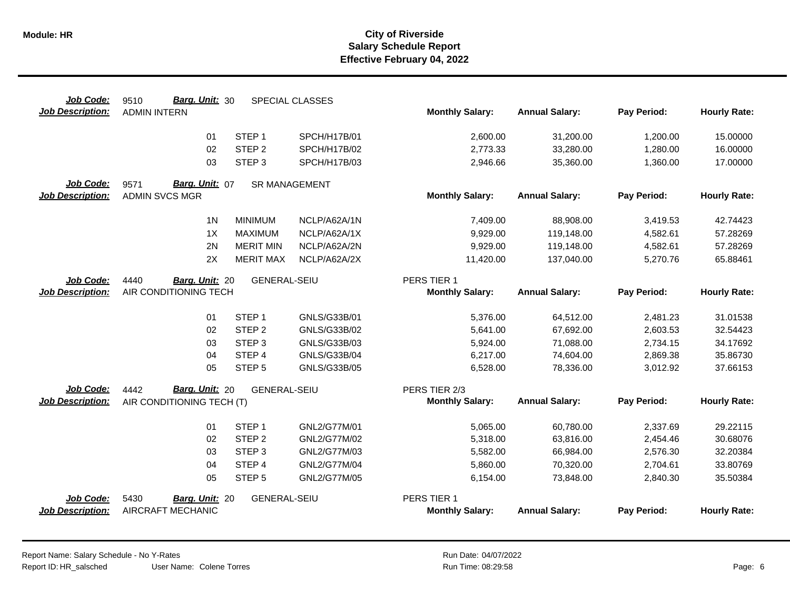| Job Code:               | Barg. Unit: 30<br>9510    |                     | SPECIAL CLASSES      |                        |                       |             |                     |
|-------------------------|---------------------------|---------------------|----------------------|------------------------|-----------------------|-------------|---------------------|
| <b>Job Description:</b> | <b>ADMIN INTERN</b>       |                     |                      | <b>Monthly Salary:</b> | <b>Annual Salary:</b> | Pay Period: | <b>Hourly Rate:</b> |
|                         | 01                        | STEP <sub>1</sub>   | SPCH/H17B/01         | 2,600.00               | 31,200.00             | 1,200.00    | 15.00000            |
|                         | 02                        | STEP <sub>2</sub>   | SPCH/H17B/02         | 2,773.33               | 33,280.00             | 1,280.00    | 16.00000            |
|                         | 03                        | STEP <sub>3</sub>   | SPCH/H17B/03         | 2,946.66               | 35,360.00             | 1,360.00    | 17.00000            |
| Job Code:               | Barg. Unit: 07<br>9571    |                     | <b>SR MANAGEMENT</b> |                        |                       |             |                     |
| <b>Job Description:</b> | <b>ADMIN SVCS MGR</b>     |                     |                      | <b>Monthly Salary:</b> | <b>Annual Salary:</b> | Pay Period: | <b>Hourly Rate:</b> |
|                         | 1 <sub>N</sub>            | <b>MINIMUM</b>      | NCLP/A62A/1N         | 7,409.00               | 88,908.00             | 3,419.53    | 42.74423            |
|                         | 1X                        | <b>MAXIMUM</b>      | NCLP/A62A/1X         | 9,929.00               | 119,148.00            | 4,582.61    | 57.28269            |
|                         | 2N                        | <b>MERIT MIN</b>    | NCLP/A62A/2N         | 9,929.00               | 119,148.00            | 4,582.61    | 57.28269            |
|                         | 2X                        | <b>MERIT MAX</b>    | NCLP/A62A/2X         | 11,420.00              | 137,040.00            | 5,270.76    | 65.88461            |
| Job Code:               | 4440<br>Barg. Unit: 20    | <b>GENERAL-SEIU</b> |                      | PERS TIER 1            |                       |             |                     |
| <b>Job Description:</b> | AIR CONDITIONING TECH     |                     |                      | <b>Monthly Salary:</b> | <b>Annual Salary:</b> | Pay Period: | <b>Hourly Rate:</b> |
|                         | 01                        | STEP <sub>1</sub>   | GNLS/G33B/01         | 5,376.00               | 64,512.00             | 2,481.23    | 31.01538            |
|                         | 02                        | STEP <sub>2</sub>   | GNLS/G33B/02         | 5,641.00               | 67,692.00             | 2,603.53    | 32.54423            |
|                         | 03                        | STEP <sub>3</sub>   | GNLS/G33B/03         | 5,924.00               | 71,088.00             | 2,734.15    | 34.17692            |
|                         | 04                        | STEP 4              | GNLS/G33B/04         | 6,217.00               | 74,604.00             | 2,869.38    | 35.86730            |
|                         | 05                        | STEP <sub>5</sub>   | GNLS/G33B/05         | 6,528.00               | 78,336.00             | 3,012.92    | 37.66153            |
| <b>Job Code:</b>        | Barg. Unit: 20<br>4442    | <b>GENERAL-SEIU</b> |                      | PERS TIER 2/3          |                       |             |                     |
| <b>Job Description:</b> | AIR CONDITIONING TECH (T) |                     |                      | <b>Monthly Salary:</b> | <b>Annual Salary:</b> | Pay Period: | <b>Hourly Rate:</b> |
|                         | 01                        | STEP <sub>1</sub>   | GNL2/G77M/01         | 5,065.00               | 60,780.00             | 2,337.69    | 29.22115            |
|                         | 02                        | STEP <sub>2</sub>   | GNL2/G77M/02         | 5,318.00               | 63,816.00             | 2,454.46    | 30.68076            |
|                         | 03                        | STEP <sub>3</sub>   | GNL2/G77M/03         | 5,582.00               | 66,984.00             | 2,576.30    | 32.20384            |
|                         | 04                        | STEP 4              | GNL2/G77M/04         | 5,860.00               | 70,320.00             | 2,704.61    | 33.80769            |
|                         | 05                        | STEP <sub>5</sub>   | GNL2/G77M/05         | 6,154.00               | 73,848.00             | 2,840.30    | 35.50384            |
| Job Code:               | 5430<br>Barg. Unit: 20    | <b>GENERAL-SEIU</b> |                      | PERS TIER 1            |                       |             |                     |
| <b>Job Description:</b> | AIRCRAFT MECHANIC         |                     |                      | <b>Monthly Salary:</b> | <b>Annual Salary:</b> | Pay Period: | <b>Hourly Rate:</b> |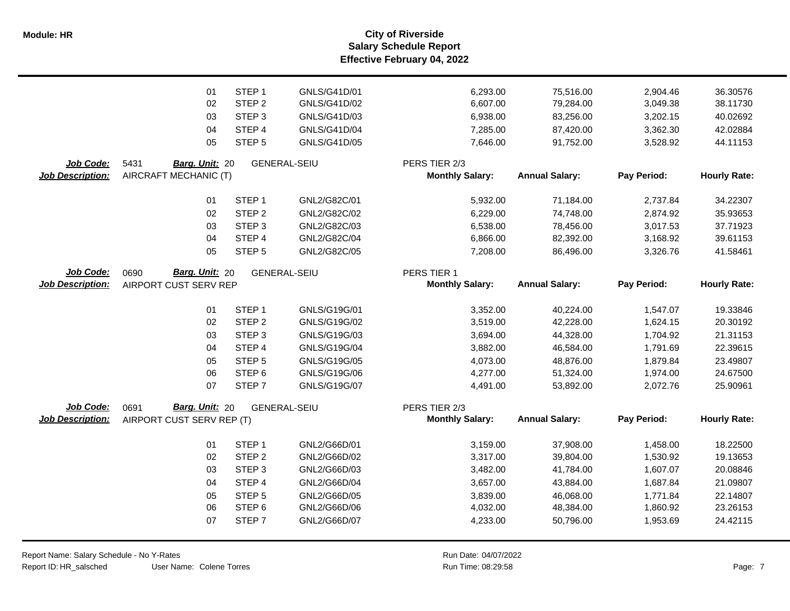**Salary Schedule Report Effective February 04, 2022 Module: HR City of Riverside**

|                         | 01                        | STEP <sub>1</sub> | GNLS/G41D/01        | 6,293.00               | 75,516.00             | 2,904.46    | 36.30576            |
|-------------------------|---------------------------|-------------------|---------------------|------------------------|-----------------------|-------------|---------------------|
|                         | 02                        | STEP <sub>2</sub> | GNLS/G41D/02        | 6,607.00               | 79,284.00             | 3,049.38    | 38.11730            |
|                         | 03                        | STEP <sub>3</sub> | GNLS/G41D/03        | 6,938.00               | 83,256.00             | 3,202.15    | 40.02692            |
|                         | 04                        | STEP 4            | GNLS/G41D/04        | 7,285.00               | 87,420.00             | 3,362.30    | 42.02884            |
|                         | 05                        | STEP <sub>5</sub> | GNLS/G41D/05        | 7,646.00               | 91,752.00             | 3,528.92    | 44.11153            |
| Job Code:               | 5431<br>Barg. Unit: 20    |                   | <b>GENERAL-SEIU</b> | PERS TIER 2/3          |                       |             |                     |
| <b>Job Description:</b> | AIRCRAFT MECHANIC (T)     |                   |                     | <b>Monthly Salary:</b> | <b>Annual Salary:</b> | Pay Period: | <b>Hourly Rate:</b> |
|                         | 01                        | STEP <sub>1</sub> | GNL2/G82C/01        |                        |                       |             |                     |
|                         |                           |                   |                     | 5,932.00               | 71,184.00             | 2,737.84    | 34.22307            |
|                         | 02                        | STEP <sub>2</sub> | GNL2/G82C/02        | 6,229.00               | 74,748.00             | 2,874.92    | 35.93653            |
|                         | 03                        | STEP <sub>3</sub> | GNL2/G82C/03        | 6,538.00               | 78,456.00             | 3,017.53    | 37.71923            |
|                         | 04                        | STEP 4            | GNL2/G82C/04        | 6,866.00               | 82,392.00             | 3,168.92    | 39.61153            |
|                         | 05                        | STEP <sub>5</sub> | GNL2/G82C/05        | 7,208.00               | 86,496.00             | 3,326.76    | 41.58461            |
| Job Code:               | Barg. Unit: 20<br>0690    |                   | <b>GENERAL-SEIU</b> | PERS TIER 1            |                       |             |                     |
| <b>Job Description:</b> | AIRPORT CUST SERV REP     |                   |                     | <b>Monthly Salary:</b> | <b>Annual Salary:</b> | Pay Period: | <b>Hourly Rate:</b> |
|                         |                           |                   |                     |                        |                       |             |                     |
|                         | 01                        | STEP <sub>1</sub> | GNLS/G19G/01        | 3,352.00               | 40,224.00             | 1,547.07    | 19.33846            |
|                         | 02                        | STEP <sub>2</sub> | GNLS/G19G/02        | 3,519.00               | 42,228.00             | 1,624.15    | 20.30192            |
|                         | 03                        | STEP <sub>3</sub> | GNLS/G19G/03        | 3,694.00               | 44,328.00             | 1,704.92    | 21.31153            |
|                         | 04                        | STEP 4            | GNLS/G19G/04        | 3,882.00               | 46,584.00             | 1,791.69    | 22.39615            |
|                         | 05                        | STEP <sub>5</sub> | GNLS/G19G/05        | 4,073.00               | 48,876.00             | 1,879.84    | 23.49807            |
|                         | 06                        | STEP <sub>6</sub> | GNLS/G19G/06        | 4,277.00               | 51,324.00             | 1,974.00    | 24.67500            |
|                         | 07                        | STEP <sub>7</sub> | GNLS/G19G/07        | 4,491.00               | 53,892.00             | 2,072.76    | 25.90961            |
| Job Code:               | Barg. Unit: 20<br>0691    |                   | <b>GENERAL-SEIU</b> | PERS TIER 2/3          |                       |             |                     |
| <b>Job Description:</b> | AIRPORT CUST SERV REP (T) |                   |                     | <b>Monthly Salary:</b> | <b>Annual Salary:</b> | Pay Period: | <b>Hourly Rate:</b> |
|                         | 01                        | STEP <sub>1</sub> | GNL2/G66D/01        | 3,159.00               | 37,908.00             | 1,458.00    | 18.22500            |
|                         | 02                        | STEP <sub>2</sub> | GNL2/G66D/02        | 3,317.00               | 39,804.00             | 1,530.92    | 19.13653            |
|                         | 03                        | STEP <sub>3</sub> | GNL2/G66D/03        | 3,482.00               | 41,784.00             | 1,607.07    | 20.08846            |
|                         | 04                        | STEP 4            | GNL2/G66D/04        | 3,657.00               | 43,884.00             | 1,687.84    | 21.09807            |
|                         | 05                        | STEP <sub>5</sub> | GNL2/G66D/05        | 3,839.00               | 46,068.00             | 1,771.84    | 22.14807            |
|                         | 06                        | STEP <sub>6</sub> | GNL2/G66D/06        | 4,032.00               | 48,384.00             | 1,860.92    | 23.26153            |
|                         | 07                        | STEP <sub>7</sub> | GNL2/G66D/07        | 4,233.00               | 50,796.00             | 1,953.69    | 24.42115            |
|                         |                           |                   |                     |                        |                       |             |                     |
|                         |                           |                   |                     |                        |                       |             |                     |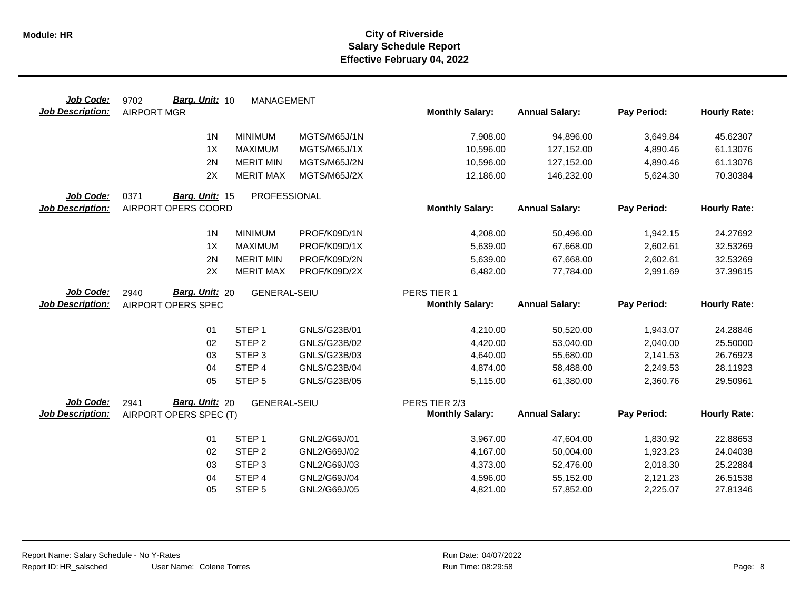| Job Code:               | Barg. Unit: 10<br>9702 | <b>MANAGEMENT</b>   |                              |                        |                        |                      |                      |
|-------------------------|------------------------|---------------------|------------------------------|------------------------|------------------------|----------------------|----------------------|
| <b>Job Description:</b> | <b>AIRPORT MGR</b>     |                     |                              | <b>Monthly Salary:</b> | <b>Annual Salary:</b>  | Pay Period:          | <b>Hourly Rate:</b>  |
|                         | 1 <sup>N</sup>         | <b>MINIMUM</b>      | MGTS/M65J/1N                 | 7,908.00               | 94,896.00              | 3,649.84             | 45.62307             |
|                         | 1X                     | <b>MAXIMUM</b>      | MGTS/M65J/1X                 | 10,596.00              | 127,152.00             | 4,890.46             | 61.13076             |
|                         | 2N                     | <b>MERIT MIN</b>    | MGTS/M65J/2N                 | 10,596.00              | 127,152.00             | 4,890.46             | 61.13076             |
|                         | 2X                     | <b>MERIT MAX</b>    | MGTS/M65J/2X                 | 12,186.00              | 146,232.00             | 5,624.30             | 70.30384             |
| Job Code:               | 0371<br>Barg. Unit: 15 | PROFESSIONAL        |                              |                        |                        |                      |                      |
| <b>Job Description:</b> | AIRPORT OPERS COORD    |                     |                              | <b>Monthly Salary:</b> | <b>Annual Salary:</b>  | Pay Period:          | <b>Hourly Rate:</b>  |
|                         | 1 <sub>N</sub>         | <b>MINIMUM</b>      | PROF/K09D/1N                 | 4,208.00               | 50,496.00              | 1,942.15             | 24.27692             |
|                         | 1X                     | <b>MAXIMUM</b>      | PROF/K09D/1X                 | 5,639.00               | 67,668.00              | 2,602.61             | 32.53269             |
|                         | 2N                     | <b>MERIT MIN</b>    | PROF/K09D/2N                 | 5,639.00               | 67,668.00              | 2,602.61             | 32.53269             |
|                         | 2X                     | <b>MERIT MAX</b>    | PROF/K09D/2X                 | 6,482.00               | 77,784.00              | 2,991.69             | 37.39615             |
| Job Code:               | Barg. Unit: 20<br>2940 | <b>GENERAL-SEIU</b> |                              | PERS TIER 1            |                        |                      |                      |
| <b>Job Description:</b> | AIRPORT OPERS SPEC     |                     |                              | <b>Monthly Salary:</b> | <b>Annual Salary:</b>  | Pay Period:          | <b>Hourly Rate:</b>  |
|                         |                        |                     |                              |                        |                        |                      |                      |
|                         | 01                     | STEP <sub>1</sub>   | GNLS/G23B/01                 | 4,210.00               | 50,520.00              | 1,943.07             | 24.28846             |
|                         | 02                     | STEP <sub>2</sub>   | GNLS/G23B/02                 | 4,420.00               | 53,040.00              | 2,040.00             | 25.50000             |
|                         | 03                     | STEP <sub>3</sub>   | GNLS/G23B/03                 | 4,640.00               | 55,680.00              | 2,141.53             | 26.76923             |
|                         | 04                     | STEP <sub>4</sub>   | GNLS/G23B/04                 | 4,874.00               | 58,488.00              | 2,249.53             | 28.11923             |
|                         | 05                     | STEP <sub>5</sub>   | GNLS/G23B/05                 | 5,115.00               | 61,380.00              | 2,360.76             | 29.50961             |
| Job Code:               | Barg. Unit: 20<br>2941 | <b>GENERAL-SEIU</b> |                              | PERS TIER 2/3          |                        |                      |                      |
| <b>Job Description:</b> | AIRPORT OPERS SPEC (T) |                     |                              | <b>Monthly Salary:</b> | <b>Annual Salary:</b>  | Pay Period:          | <b>Hourly Rate:</b>  |
|                         | 01                     | STEP <sub>1</sub>   |                              |                        |                        |                      |                      |
|                         | 02                     | STEP <sub>2</sub>   | GNL2/G69J/01<br>GNL2/G69J/02 | 3,967.00<br>4,167.00   | 47,604.00<br>50,004.00 | 1,830.92<br>1,923.23 | 22.88653<br>24.04038 |
|                         | 03                     | STEP <sub>3</sub>   | GNL2/G69J/03                 | 4,373.00               | 52,476.00              | 2,018.30             | 25.22884             |
|                         | 04                     | STEP 4              | GNL2/G69J/04                 | 4,596.00               | 55,152.00              | 2,121.23             | 26.51538             |
|                         | 05                     | STEP <sub>5</sub>   | GNL2/G69J/05                 | 4,821.00               | 57,852.00              | 2,225.07             | 27.81346             |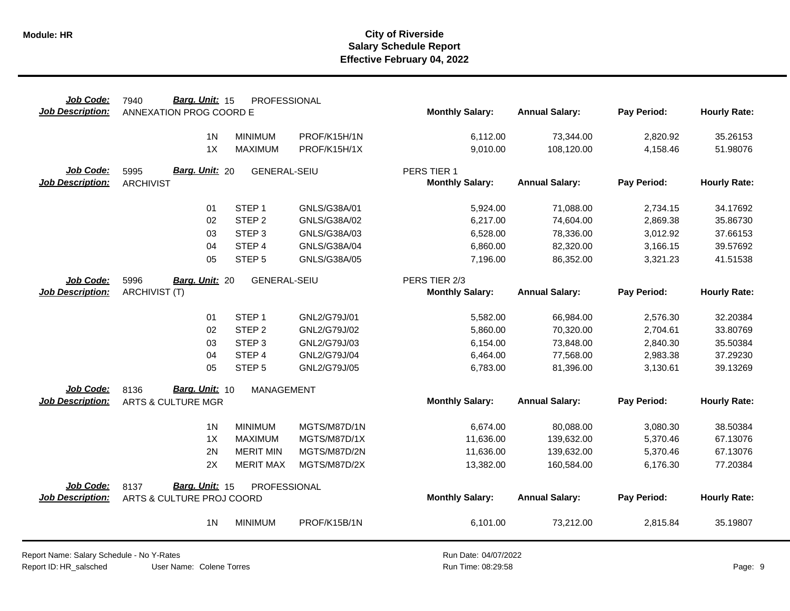| Job Code:               | Barg. Unit: 15<br>7940        | PROFESSIONAL        |              |                        |                       |             |                     |
|-------------------------|-------------------------------|---------------------|--------------|------------------------|-----------------------|-------------|---------------------|
| <b>Job Description:</b> | ANNEXATION PROG COORD E       |                     |              | <b>Monthly Salary:</b> | <b>Annual Salary:</b> | Pay Period: | <b>Hourly Rate:</b> |
|                         | 1 <sub>N</sub>                | <b>MINIMUM</b>      | PROF/K15H/1N | 6,112.00               | 73,344.00             | 2,820.92    | 35.26153            |
|                         | 1X                            | <b>MAXIMUM</b>      | PROF/K15H/1X | 9,010.00               | 108,120.00            | 4,158.46    | 51.98076            |
| <b>Job Code:</b>        | Barg. Unit: 20<br>5995        | <b>GENERAL-SEIU</b> |              | PERS TIER 1            |                       |             |                     |
| <b>Job Description:</b> | <b>ARCHIVIST</b>              |                     |              | <b>Monthly Salary:</b> | <b>Annual Salary:</b> | Pay Period: | <b>Hourly Rate:</b> |
|                         | 01                            | STEP <sub>1</sub>   | GNLS/G38A/01 | 5,924.00               | 71,088.00             | 2,734.15    | 34.17692            |
|                         | 02                            | STEP <sub>2</sub>   | GNLS/G38A/02 | 6,217.00               | 74,604.00             | 2,869.38    | 35.86730            |
|                         | 03                            | STEP <sub>3</sub>   | GNLS/G38A/03 | 6,528.00               | 78,336.00             | 3,012.92    | 37.66153            |
|                         | 04                            | STEP 4              | GNLS/G38A/04 | 6,860.00               | 82,320.00             | 3,166.15    | 39.57692            |
|                         | 05                            | STEP <sub>5</sub>   | GNLS/G38A/05 | 7,196.00               | 86,352.00             | 3,321.23    | 41.51538            |
| Job Code:               | 5996<br>Barg. Unit: 20        | <b>GENERAL-SEIU</b> |              | PERS TIER 2/3          |                       |             |                     |
| <b>Job Description:</b> | <b>ARCHIVIST (T)</b>          |                     |              | <b>Monthly Salary:</b> | <b>Annual Salary:</b> | Pay Period: | <b>Hourly Rate:</b> |
|                         | 01                            | STEP <sub>1</sub>   | GNL2/G79J/01 | 5,582.00               | 66,984.00             | 2,576.30    | 32.20384            |
|                         | 02                            | STEP <sub>2</sub>   | GNL2/G79J/02 | 5,860.00               | 70,320.00             | 2,704.61    | 33.80769            |
|                         | 03                            | STEP <sub>3</sub>   | GNL2/G79J/03 | 6,154.00               | 73,848.00             | 2,840.30    | 35.50384            |
|                         | 04                            | STEP 4              | GNL2/G79J/04 | 6,464.00               | 77,568.00             | 2,983.38    | 37.29230            |
|                         | 05                            | STEP <sub>5</sub>   | GNL2/G79J/05 | 6,783.00               | 81,396.00             | 3,130.61    | 39.13269            |
| <b>Job Code:</b>        | Barg. Unit: 10<br>8136        | <b>MANAGEMENT</b>   |              |                        |                       |             |                     |
| <b>Job Description:</b> | <b>ARTS &amp; CULTURE MGR</b> |                     |              | <b>Monthly Salary:</b> | <b>Annual Salary:</b> | Pay Period: | <b>Hourly Rate:</b> |
|                         | 1 <sub>N</sub>                | <b>MINIMUM</b>      | MGTS/M87D/1N | 6,674.00               | 80,088.00             | 3,080.30    | 38.50384            |
|                         | 1X                            | <b>MAXIMUM</b>      | MGTS/M87D/1X | 11,636.00              | 139,632.00            | 5,370.46    | 67.13076            |
|                         | 2N                            | <b>MERIT MIN</b>    | MGTS/M87D/2N | 11,636.00              | 139,632.00            | 5,370.46    | 67.13076            |
|                         | 2X                            | <b>MERIT MAX</b>    | MGTS/M87D/2X | 13,382.00              | 160,584.00            | 6,176.30    | 77.20384            |
| Job Code:               | Barg. Unit: 15<br>8137        | PROFESSIONAL        |              |                        |                       |             |                     |
| Job Description:        | ARTS & CULTURE PROJ COORD     |                     |              | <b>Monthly Salary:</b> | <b>Annual Salary:</b> | Pay Period: | <b>Hourly Rate:</b> |
|                         | 1 <sub>N</sub>                | <b>MINIMUM</b>      | PROF/K15B/1N | 6,101.00               | 73,212.00             | 2,815.84    | 35.19807            |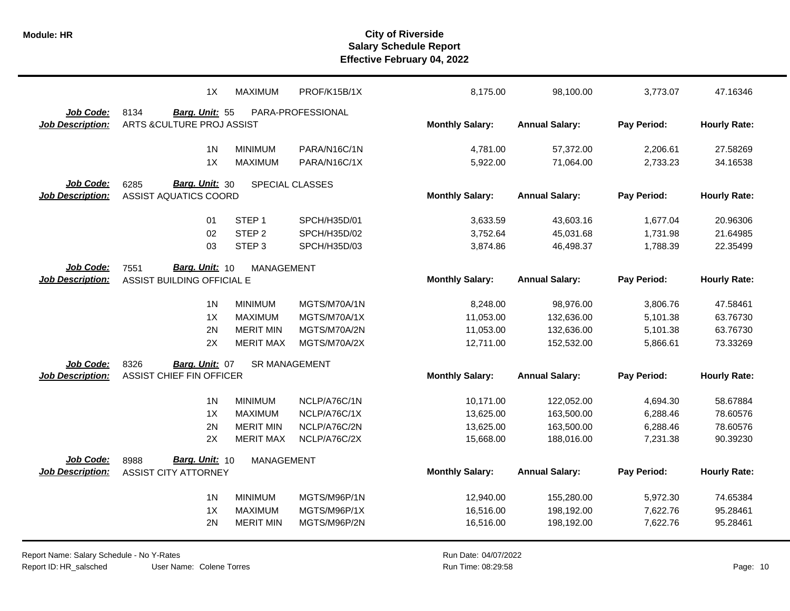|                         | 1X                              | <b>MAXIMUM</b>       | PROF/K15B/1X                 | 8,175.00               | 98,100.00              | 3,773.07             | 47.16346             |
|-------------------------|---------------------------------|----------------------|------------------------------|------------------------|------------------------|----------------------|----------------------|
| Job Code:               | 8134<br>Barg. Unit: 55          |                      | PARA-PROFESSIONAL            |                        |                        |                      |                      |
| <b>Job Description:</b> | ARTS & CULTURE PROJ ASSIST      |                      |                              | <b>Monthly Salary:</b> | <b>Annual Salary:</b>  | Pay Period:          | <b>Hourly Rate:</b>  |
|                         | 1 <sub>N</sub>                  | <b>MINIMUM</b>       |                              |                        |                        |                      |                      |
|                         | 1X                              | <b>MAXIMUM</b>       | PARA/N16C/1N<br>PARA/N16C/1X | 4,781.00<br>5,922.00   | 57,372.00<br>71,064.00 | 2,206.61<br>2,733.23 | 27.58269<br>34.16538 |
|                         |                                 |                      |                              |                        |                        |                      |                      |
| Job Code:               | Barg. Unit: 30<br>6285          |                      | <b>SPECIAL CLASSES</b>       |                        |                        |                      |                      |
| <b>Job Description:</b> | <b>ASSIST AQUATICS COORD</b>    |                      |                              | <b>Monthly Salary:</b> | <b>Annual Salary:</b>  | Pay Period:          | <b>Hourly Rate:</b>  |
|                         |                                 |                      |                              |                        |                        |                      |                      |
|                         | 01                              | STEP <sub>1</sub>    | SPCH/H35D/01                 | 3,633.59               | 43,603.16              | 1,677.04             | 20.96306             |
|                         | 02                              | STEP <sub>2</sub>    | SPCH/H35D/02                 | 3,752.64               | 45,031.68              | 1,731.98             | 21.64985             |
|                         | 03                              | STEP <sub>3</sub>    | SPCH/H35D/03                 | 3,874.86               | 46,498.37              | 1,788.39             | 22.35499             |
| Job Code:               | Barg. Unit: 10<br>7551          | <b>MANAGEMENT</b>    |                              |                        |                        |                      |                      |
| <b>Job Description:</b> | ASSIST BUILDING OFFICIAL E      |                      |                              | <b>Monthly Salary:</b> | <b>Annual Salary:</b>  | Pay Period:          | <b>Hourly Rate:</b>  |
|                         |                                 |                      |                              |                        |                        |                      |                      |
|                         | 1 <sub>N</sub>                  | <b>MINIMUM</b>       | MGTS/M70A/1N                 | 8,248.00               | 98,976.00              | 3,806.76             | 47.58461             |
|                         | 1X                              | <b>MAXIMUM</b>       | MGTS/M70A/1X                 | 11,053.00              | 132,636.00             | 5,101.38             | 63.76730             |
|                         | 2N                              | <b>MERIT MIN</b>     | MGTS/M70A/2N                 | 11,053.00              | 132,636.00             | 5,101.38             | 63.76730             |
|                         | 2X                              | <b>MERIT MAX</b>     | MGTS/M70A/2X                 | 12,711.00              | 152,532.00             | 5,866.61             | 73.33269             |
| Job Code:               | 8326<br>Barg. Unit: 07          | <b>SR MANAGEMENT</b> |                              |                        |                        |                      |                      |
| <b>Job Description:</b> | <b>ASSIST CHIEF FIN OFFICER</b> |                      |                              | <b>Monthly Salary:</b> | <b>Annual Salary:</b>  | Pay Period:          | <b>Hourly Rate:</b>  |
|                         |                                 |                      |                              |                        |                        |                      |                      |
|                         | 1 <sub>N</sub>                  | <b>MINIMUM</b>       | NCLP/A76C/1N                 | 10,171.00              | 122,052.00             | 4,694.30             | 58.67884             |
|                         | 1X                              | <b>MAXIMUM</b>       | NCLP/A76C/1X                 | 13,625.00              | 163,500.00             | 6,288.46             | 78.60576             |
|                         | 2N                              | <b>MERIT MIN</b>     | NCLP/A76C/2N                 | 13,625.00              | 163,500.00             | 6,288.46             | 78.60576             |
|                         | 2X                              | <b>MERIT MAX</b>     | NCLP/A76C/2X                 | 15,668.00              | 188,016.00             | 7,231.38             | 90.39230             |
| Job Code:               | 8988<br>Barg. Unit: 10          | MANAGEMENT           |                              |                        |                        |                      |                      |
| <b>Job Description:</b> | <b>ASSIST CITY ATTORNEY</b>     |                      |                              | <b>Monthly Salary:</b> | <b>Annual Salary:</b>  | Pay Period:          | <b>Hourly Rate:</b>  |
|                         |                                 |                      |                              |                        |                        |                      |                      |
|                         | 1 <sub>N</sub>                  | <b>MINIMUM</b>       | MGTS/M96P/1N                 | 12,940.00              | 155,280.00             | 5,972.30             | 74.65384             |
|                         | 1X                              | <b>MAXIMUM</b>       | MGTS/M96P/1X                 | 16,516.00              | 198,192.00             | 7,622.76             | 95.28461             |
|                         | 2N                              | <b>MERIT MIN</b>     | MGTS/M96P/2N                 | 16,516.00              | 198,192.00             | 7,622.76             | 95.28461             |
|                         |                                 |                      |                              |                        |                        |                      |                      |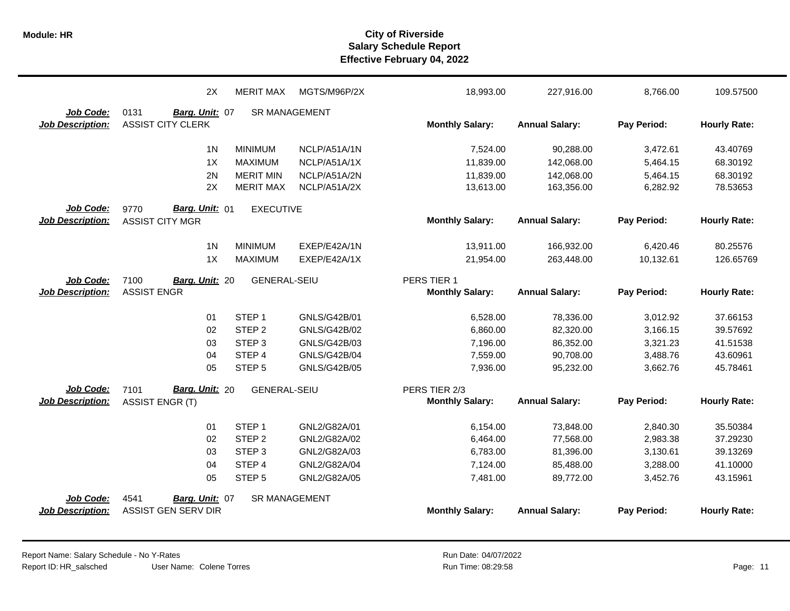|                         | 2X                       | <b>MERIT MAX</b>     | MGTS/M96P/2X        | 18,993.00              | 227,916.00            | 8,766.00    | 109.57500           |
|-------------------------|--------------------------|----------------------|---------------------|------------------------|-----------------------|-------------|---------------------|
| Job Code:               | 0131<br>Barg. Unit: 07   | <b>SR MANAGEMENT</b> |                     |                        |                       |             |                     |
| <b>Job Description:</b> | <b>ASSIST CITY CLERK</b> |                      |                     | <b>Monthly Salary:</b> | <b>Annual Salary:</b> | Pay Period: | <b>Hourly Rate:</b> |
|                         | 1 <sub>N</sub>           | <b>MINIMUM</b>       | NCLP/A51A/1N        | 7,524.00               | 90,288.00             | 3,472.61    | 43.40769            |
|                         | 1X                       | <b>MAXIMUM</b>       | NCLP/A51A/1X        | 11,839.00              | 142,068.00            | 5,464.15    | 68.30192            |
|                         | 2N                       | <b>MERIT MIN</b>     | NCLP/A51A/2N        | 11,839.00              | 142,068.00            | 5,464.15    | 68.30192            |
|                         | 2X                       | <b>MERIT MAX</b>     | NCLP/A51A/2X        | 13,613.00              | 163,356.00            | 6,282.92    | 78.53653            |
| Job Code:               | 9770<br>Barg. Unit: 01   | <b>EXECUTIVE</b>     |                     |                        |                       |             |                     |
| <b>Job Description:</b> | <b>ASSIST CITY MGR</b>   |                      |                     | <b>Monthly Salary:</b> | <b>Annual Salary:</b> | Pay Period: | <b>Hourly Rate:</b> |
|                         | 1 <sub>N</sub>           | <b>MINIMUM</b>       | EXEP/E42A/1N        | 13,911.00              | 166,932.00            | 6,420.46    | 80.25576            |
|                         | 1X                       | <b>MAXIMUM</b>       | EXEP/E42A/1X        | 21,954.00              | 263,448.00            | 10,132.61   | 126.65769           |
| Job Code:               | 7100<br>Barg. Unit: 20   | <b>GENERAL-SEIU</b>  |                     | PERS TIER 1            |                       |             |                     |
| <b>Job Description:</b> | <b>ASSIST ENGR</b>       |                      |                     | <b>Monthly Salary:</b> | <b>Annual Salary:</b> | Pay Period: | <b>Hourly Rate:</b> |
|                         | 01                       | STEP <sub>1</sub>    | GNLS/G42B/01        | 6,528.00               | 78,336.00             | 3,012.92    | 37.66153            |
|                         | 02                       | STEP <sub>2</sub>    | GNLS/G42B/02        | 6,860.00               | 82,320.00             | 3,166.15    | 39.57692            |
|                         | 03                       | STEP <sub>3</sub>    | GNLS/G42B/03        | 7,196.00               | 86,352.00             | 3,321.23    | 41.51538            |
|                         | 04                       | STEP 4               | GNLS/G42B/04        | 7,559.00               | 90,708.00             | 3,488.76    | 43.60961            |
|                         | 05                       | STEP <sub>5</sub>    | <b>GNLS/G42B/05</b> | 7,936.00               | 95,232.00             | 3,662.76    | 45.78461            |
| Job Code:               | Barg. Unit: 20<br>7101   | <b>GENERAL-SEIU</b>  |                     | PERS TIER 2/3          |                       |             |                     |
| <b>Job Description:</b> | <b>ASSIST ENGR (T)</b>   |                      |                     | <b>Monthly Salary:</b> | <b>Annual Salary:</b> | Pay Period: | <b>Hourly Rate:</b> |
|                         | 01                       | STEP <sub>1</sub>    | GNL2/G82A/01        | 6,154.00               | 73,848.00             | 2,840.30    | 35.50384            |
|                         | 02                       | STEP <sub>2</sub>    | GNL2/G82A/02        | 6,464.00               | 77,568.00             | 2,983.38    | 37.29230            |
|                         | 03                       | STEP <sub>3</sub>    | GNL2/G82A/03        | 6,783.00               | 81,396.00             | 3,130.61    | 39.13269            |
|                         | 04                       | STEP 4               | GNL2/G82A/04        | 7,124.00               | 85,488.00             | 3,288.00    | 41.10000            |
|                         | 05                       | STEP <sub>5</sub>    | GNL2/G82A/05        | 7,481.00               | 89,772.00             | 3,452.76    | 43.15961            |
| Job Code:               | 4541<br>Barg. Unit: 07   | <b>SR MANAGEMENT</b> |                     |                        |                       |             |                     |
| <b>Job Description:</b> | ASSIST GEN SERV DIR      |                      |                     | <b>Monthly Salary:</b> | <b>Annual Salary:</b> | Pay Period: | <b>Hourly Rate:</b> |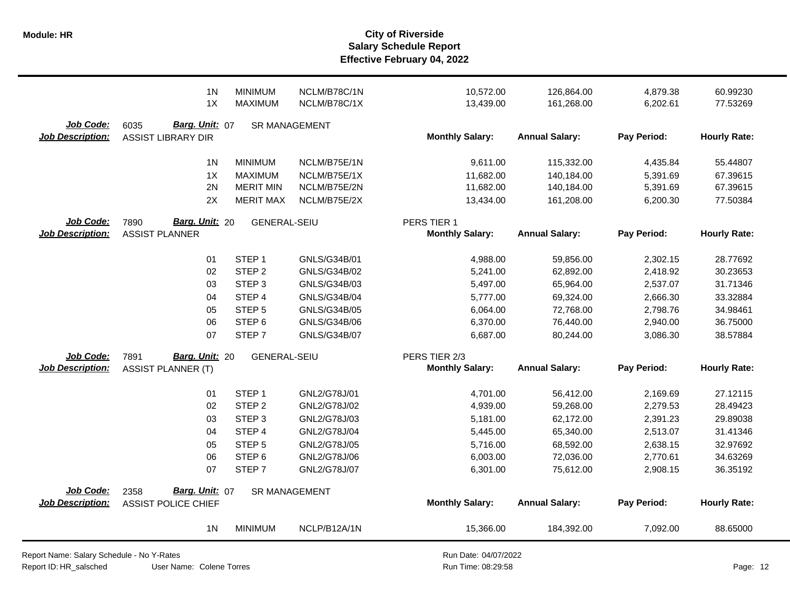|                                      | 1 <sub>N</sub><br>1X                                 | <b>MINIMUM</b><br><b>MAXIMUM</b> | NCLM/B78C/1N<br>NCLM/B78C/1X | 10,572.00<br>13,439.00 | 126,864.00<br>161,268.00 | 4,879.38<br>6,202.61 | 60.99230<br>77.53269 |
|--------------------------------------|------------------------------------------------------|----------------------------------|------------------------------|------------------------|--------------------------|----------------------|----------------------|
| Job Code:<br><b>Job Description:</b> | 6035<br>Barg. Unit: 07<br><b>ASSIST LIBRARY DIR</b>  | <b>SR MANAGEMENT</b>             |                              | <b>Monthly Salary:</b> | <b>Annual Salary:</b>    | Pay Period:          | <b>Hourly Rate:</b>  |
|                                      | 1 <sub>N</sub>                                       | <b>MINIMUM</b>                   | NCLM/B75E/1N                 | 9,611.00               | 115,332.00               | 4,435.84             | 55.44807             |
|                                      | 1X                                                   | <b>MAXIMUM</b>                   | NCLM/B75E/1X                 | 11,682.00              | 140,184.00               | 5,391.69             | 67.39615             |
|                                      | 2N                                                   | <b>MERIT MIN</b>                 | NCLM/B75E/2N                 | 11,682.00              | 140,184.00               | 5,391.69             | 67.39615             |
|                                      | 2X                                                   | <b>MERIT MAX</b>                 | NCLM/B75E/2X                 | 13,434.00              | 161,208.00               | 6,200.30             | 77.50384             |
| Job Code:                            | Barg. Unit: 20<br>7890                               | <b>GENERAL-SEIU</b>              |                              | PERS TIER 1            |                          |                      |                      |
| <b>Job Description:</b>              | <b>ASSIST PLANNER</b>                                |                                  |                              | <b>Monthly Salary:</b> | <b>Annual Salary:</b>    | Pay Period:          | <b>Hourly Rate:</b>  |
|                                      | 01                                                   | STEP <sub>1</sub>                | GNLS/G34B/01                 | 4,988.00               | 59,856.00                | 2,302.15             | 28.77692             |
|                                      | 02                                                   | STEP <sub>2</sub>                | GNLS/G34B/02                 | 5,241.00               | 62,892.00                | 2,418.92             | 30.23653             |
|                                      | 03                                                   | STEP <sub>3</sub>                | GNLS/G34B/03                 | 5,497.00               | 65,964.00                | 2,537.07             | 31.71346             |
|                                      | 04                                                   | STEP 4                           | GNLS/G34B/04                 | 5,777.00               | 69,324.00                | 2,666.30             | 33.32884             |
|                                      | 05                                                   | STEP <sub>5</sub>                | GNLS/G34B/05                 | 6,064.00               | 72,768.00                | 2,798.76             | 34.98461             |
|                                      | 06                                                   | STEP <sub>6</sub>                | GNLS/G34B/06                 | 6,370.00               | 76,440.00                | 2,940.00             | 36.75000             |
|                                      | 07                                                   | STEP <sub>7</sub>                | GNLS/G34B/07                 | 6,687.00               | 80,244.00                | 3,086.30             | 38.57884             |
| Job Code:                            | Barg. Unit: 20<br>7891                               | <b>GENERAL-SEIU</b>              |                              | PERS TIER 2/3          |                          |                      |                      |
| <b>Job Description:</b>              | <b>ASSIST PLANNER (T)</b>                            |                                  |                              | <b>Monthly Salary:</b> | <b>Annual Salary:</b>    | Pay Period:          | <b>Hourly Rate:</b>  |
|                                      | 01                                                   | STEP <sub>1</sub>                | GNL2/G78J/01                 | 4,701.00               | 56,412.00                | 2,169.69             | 27.12115             |
|                                      | 02                                                   | STEP <sub>2</sub>                | GNL2/G78J/02                 | 4,939.00               | 59,268.00                | 2,279.53             | 28.49423             |
|                                      | 03                                                   | STEP <sub>3</sub>                | GNL2/G78J/03                 | 5,181.00               | 62,172.00                | 2,391.23             | 29.89038             |
|                                      | 04                                                   | STEP <sub>4</sub>                | GNL2/G78J/04                 | 5,445.00               | 65,340.00                | 2,513.07             | 31.41346             |
|                                      | 05                                                   | STEP <sub>5</sub>                | GNL2/G78J/05                 | 5,716.00               | 68,592.00                | 2,638.15             | 32.97692             |
|                                      | 06                                                   | STEP <sub>6</sub>                | GNL2/G78J/06                 | 6,003.00               | 72,036.00                | 2,770.61             | 34.63269             |
|                                      | 07                                                   | STEP <sub>7</sub>                | GNL2/G78J/07                 | 6,301.00               | 75,612.00                | 2,908.15             | 36.35192             |
| Job Code:<br><b>Job Description:</b> | Barg. Unit: 07<br>2358<br><b>ASSIST POLICE CHIEF</b> | <b>SR MANAGEMENT</b>             |                              | <b>Monthly Salary:</b> | <b>Annual Salary:</b>    | Pay Period:          | <b>Hourly Rate:</b>  |
|                                      | 1 <sup>N</sup>                                       | <b>MINIMUM</b>                   | NCLP/B12A/1N                 | 15,366.00              | 184,392.00               | 7,092.00             | 88.65000             |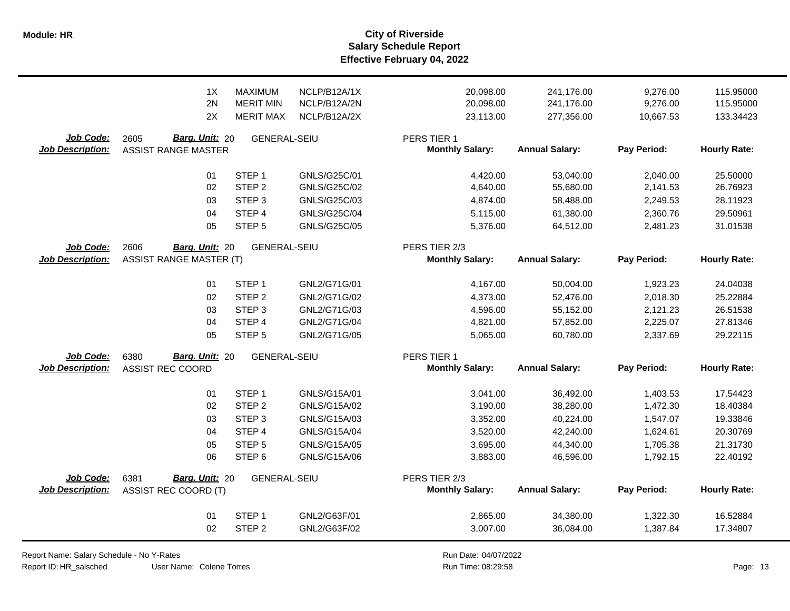|                                      | 1X                                                             | <b>MAXIMUM</b>                           | NCLP/B12A/1X        | 20,098.00                                           | 241,176.00                         | 9,276.00                | 115.95000                       |
|--------------------------------------|----------------------------------------------------------------|------------------------------------------|---------------------|-----------------------------------------------------|------------------------------------|-------------------------|---------------------------------|
|                                      | 2N                                                             | <b>MERIT MIN</b>                         | NCLP/B12A/2N        | 20,098.00                                           | 241,176.00                         | 9,276.00                | 115.95000                       |
|                                      | 2X                                                             | <b>MERIT MAX</b>                         | NCLP/B12A/2X        | 23,113.00                                           | 277,356.00                         | 10,667.53               | 133.34423                       |
| Job Code:<br><b>Job Description:</b> | Barg. Unit: 20<br>2605<br><b>ASSIST RANGE MASTER</b>           | <b>GENERAL-SEIU</b>                      |                     | PERS TIER 1<br><b>Monthly Salary:</b>               | <b>Annual Salary:</b>              | Pay Period:             | <b>Hourly Rate:</b>             |
|                                      | 01                                                             | STEP <sub>1</sub>                        | GNLS/G25C/01        | 4,420.00                                            | 53,040.00                          | 2,040.00                | 25.50000                        |
|                                      | 02                                                             | STEP <sub>2</sub>                        | GNLS/G25C/02        | 4,640.00                                            | 55,680.00                          | 2,141.53                | 26.76923                        |
|                                      | 03                                                             | STEP <sub>3</sub>                        | GNLS/G25C/03        | 4,874.00                                            | 58,488.00                          | 2,249.53                | 28.11923                        |
|                                      | 04                                                             | STEP 4                                   | <b>GNLS/G25C/04</b> | 5,115.00                                            | 61,380.00                          | 2,360.76                | 29.50961                        |
| Job Code:<br><b>Job Description:</b> | 05<br>2606<br>Barg. Unit: 20<br><b>ASSIST RANGE MASTER (T)</b> | STEP <sub>5</sub><br><b>GENERAL-SEIU</b> | GNLS/G25C/05        | 5,376.00<br>PERS TIER 2/3<br><b>Monthly Salary:</b> | 64,512.00<br><b>Annual Salary:</b> | 2,481.23<br>Pay Period: | 31.01538<br><b>Hourly Rate:</b> |
|                                      | 01                                                             | STEP <sub>1</sub>                        | GNL2/G71G/01        | 4,167.00                                            | 50,004.00                          | 1,923.23                | 24.04038                        |
|                                      | 02                                                             | STEP <sub>2</sub>                        | GNL2/G71G/02        | 4,373.00                                            | 52,476.00                          | 2,018.30                | 25.22884                        |
|                                      | 03                                                             | STEP <sub>3</sub>                        | GNL2/G71G/03        | 4,596.00                                            | 55,152.00                          | 2,121.23                | 26.51538                        |
|                                      | 04                                                             | STEP 4                                   | GNL2/G71G/04        | 4,821.00                                            | 57,852.00                          | 2,225.07                | 27.81346                        |
|                                      | 05                                                             | STEP <sub>5</sub>                        | GNL2/G71G/05        | 5,065.00                                            | 60,780.00                          | 2,337.69                | 29.22115                        |
| Job Code:<br><b>Job Description:</b> | Barg. Unit: 20<br>6380<br><b>ASSIST REC COORD</b>              | <b>GENERAL-SEIU</b>                      |                     | PERS TIER 1<br><b>Monthly Salary:</b>               | <b>Annual Salary:</b>              | Pay Period:             | <b>Hourly Rate:</b>             |
|                                      | 01                                                             | STEP <sub>1</sub>                        | GNLS/G15A/01        | 3,041.00                                            | 36,492.00                          | 1,403.53                | 17.54423                        |
|                                      | 02                                                             | STEP <sub>2</sub>                        | GNLS/G15A/02        | 3,190.00                                            | 38,280.00                          | 1,472.30                | 18.40384                        |
|                                      | 03                                                             | STEP <sub>3</sub>                        | GNLS/G15A/03        | 3,352.00                                            | 40,224.00                          | 1,547.07                | 19.33846                        |
|                                      | 04                                                             | STEP 4                                   | GNLS/G15A/04        | 3,520.00                                            | 42,240.00                          | 1,624.61                | 20.30769                        |
|                                      | 05                                                             | STEP <sub>5</sub>                        | GNLS/G15A/05        | 3,695.00                                            | 44,340.00                          | 1,705.38                | 21.31730                        |
|                                      | 06                                                             | STEP <sub>6</sub>                        | GNLS/G15A/06        | 3,883.00                                            | 46,596.00                          | 1,792.15                | 22.40192                        |
| Job Code:<br><b>Job Description:</b> | Barg. Unit: 20<br>6381<br><b>ASSIST REC COORD (T)</b>          | <b>GENERAL-SEIU</b>                      |                     | PERS TIER 2/3<br><b>Monthly Salary:</b>             | <b>Annual Salary:</b>              | Pay Period:             | <b>Hourly Rate:</b>             |
|                                      | 01                                                             | STEP <sub>1</sub>                        | GNL2/G63F/01        | 2,865.00                                            | 34,380.00                          | 1,322.30                | 16.52884                        |
|                                      | 02                                                             | STEP <sub>2</sub>                        | GNL2/G63F/02        | 3,007.00                                            | 36,084.00                          | 1,387.84                | 17.34807                        |

Report Name: Salary Schedule - No Y-Rates

Report ID: HR\_salsched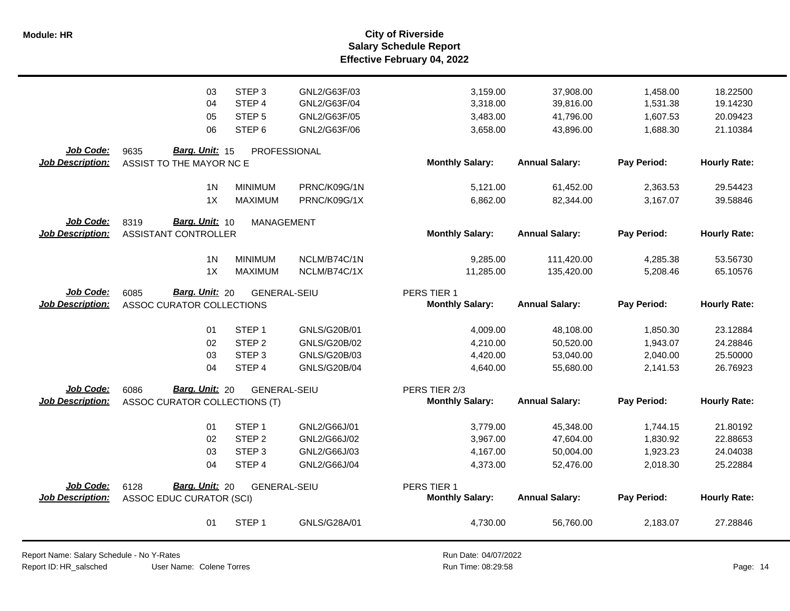|                                      | 03<br>04<br>05                                             | STEP <sub>3</sub><br>STEP <sub>4</sub><br>STEP <sub>5</sub> | GNL2/G63F/03<br>GNL2/G63F/04<br>GNL2/G63F/05 | 3,159.00<br>3,318.00<br>3,483.00      | 37,908.00<br>39,816.00<br>41,796.00 | 1,458.00<br>1,531.38<br>1,607.53 | 18.22500<br>19.14230<br>20.09423 |
|--------------------------------------|------------------------------------------------------------|-------------------------------------------------------------|----------------------------------------------|---------------------------------------|-------------------------------------|----------------------------------|----------------------------------|
|                                      | 06                                                         | STEP <sub>6</sub>                                           | GNL2/G63F/06                                 | 3,658.00                              | 43,896.00                           | 1,688.30                         | 21.10384                         |
| Job Code:                            | Barg. Unit: 15<br>9635                                     | PROFESSIONAL                                                |                                              |                                       |                                     |                                  |                                  |
| <b>Job Description:</b>              | ASSIST TO THE MAYOR NC E                                   |                                                             |                                              | <b>Monthly Salary:</b>                | <b>Annual Salary:</b>               | Pay Period:                      | <b>Hourly Rate:</b>              |
|                                      | 1 <sub>N</sub>                                             | <b>MINIMUM</b>                                              | PRNC/K09G/1N                                 | 5,121.00                              | 61,452.00                           |                                  | 29.54423                         |
|                                      | 1X                                                         | <b>MAXIMUM</b>                                              | PRNC/K09G/1X                                 | 6,862.00                              | 82,344.00                           | 2,363.53<br>3,167.07             | 39.58846                         |
|                                      |                                                            |                                                             |                                              |                                       |                                     |                                  |                                  |
| <b>Job Code:</b>                     | Barg. Unit: 10<br>8319                                     | <b>MANAGEMENT</b>                                           |                                              |                                       |                                     |                                  |                                  |
| <b>Job Description:</b>              | <b>ASSISTANT CONTROLLER</b>                                |                                                             |                                              | <b>Monthly Salary:</b>                | <b>Annual Salary:</b>               | Pay Period:                      | <b>Hourly Rate:</b>              |
|                                      | 1 <sub>N</sub>                                             | <b>MINIMUM</b>                                              | NCLM/B74C/1N                                 | 9,285.00                              | 111,420.00                          | 4,285.38                         | 53.56730                         |
|                                      | 1X                                                         | <b>MAXIMUM</b>                                              | NCLM/B74C/1X                                 | 11,285.00                             | 135,420.00                          | 5,208.46                         | 65.10576                         |
|                                      |                                                            |                                                             |                                              |                                       |                                     |                                  |                                  |
| Job Code:<br><b>Job Description:</b> | Barg. Unit: 20<br>6085<br><b>ASSOC CURATOR COLLECTIONS</b> | <b>GENERAL-SEIU</b>                                         |                                              | PERS TIER 1<br><b>Monthly Salary:</b> | <b>Annual Salary:</b>               | Pay Period:                      | <b>Hourly Rate:</b>              |
|                                      |                                                            |                                                             |                                              |                                       |                                     |                                  |                                  |
|                                      | 01                                                         | STEP <sub>1</sub>                                           | GNLS/G20B/01                                 | 4,009.00                              | 48,108.00                           | 1,850.30                         | 23.12884                         |
|                                      | 02                                                         | STEP <sub>2</sub>                                           | GNLS/G20B/02                                 | 4,210.00                              | 50,520.00                           | 1,943.07                         | 24.28846                         |
|                                      | 03                                                         | STEP <sub>3</sub>                                           | GNLS/G20B/03                                 | 4,420.00                              | 53,040.00                           | 2,040.00                         | 25.50000                         |
|                                      | 04                                                         | STEP 4                                                      | <b>GNLS/G20B/04</b>                          | 4,640.00                              | 55,680.00                           | 2,141.53                         | 26.76923                         |
| Job Code:                            | Barg. Unit: 20<br>6086                                     | <b>GENERAL-SEIU</b>                                         |                                              | PERS TIER 2/3                         |                                     |                                  |                                  |
| <b>Job Description:</b>              | ASSOC CURATOR COLLECTIONS (T)                              |                                                             |                                              | <b>Monthly Salary:</b>                | <b>Annual Salary:</b>               | Pay Period:                      | <b>Hourly Rate:</b>              |
|                                      |                                                            |                                                             |                                              |                                       |                                     |                                  |                                  |
|                                      | 01                                                         | STEP <sub>1</sub>                                           | GNL2/G66J/01                                 | 3,779.00                              | 45,348.00                           | 1,744.15                         | 21.80192                         |
|                                      | 02                                                         | STEP <sub>2</sub>                                           | GNL2/G66J/02                                 | 3,967.00                              | 47,604.00                           | 1,830.92                         | 22.88653                         |
|                                      | 03                                                         | STEP <sub>3</sub>                                           | GNL2/G66J/03                                 | 4,167.00                              | 50,004.00                           | 1,923.23                         | 24.04038                         |
|                                      | 04                                                         | STEP 4                                                      | GNL2/G66J/04                                 | 4,373.00                              | 52,476.00                           | 2,018.30                         | 25.22884                         |
| Job Code:                            | Barg. Unit: 20<br>6128                                     | <b>GENERAL-SEIU</b>                                         |                                              | PERS TIER 1                           |                                     |                                  |                                  |
| <b>Job Description:</b>              | <b>ASSOC EDUC CURATOR (SCI)</b>                            |                                                             |                                              | <b>Monthly Salary:</b>                | <b>Annual Salary:</b>               | Pay Period:                      | <b>Hourly Rate:</b>              |
|                                      |                                                            |                                                             |                                              |                                       |                                     |                                  |                                  |
|                                      | 01                                                         | STEP <sub>1</sub>                                           | GNLS/G28A/01                                 | 4,730.00                              | 56,760.00                           | 2,183.07                         | 27.28846                         |
|                                      |                                                            |                                                             |                                              |                                       |                                     |                                  |                                  |

Report Name: Salary Schedule - No Y-Rates Report ID: HR\_salsched

User Name: Colene Torres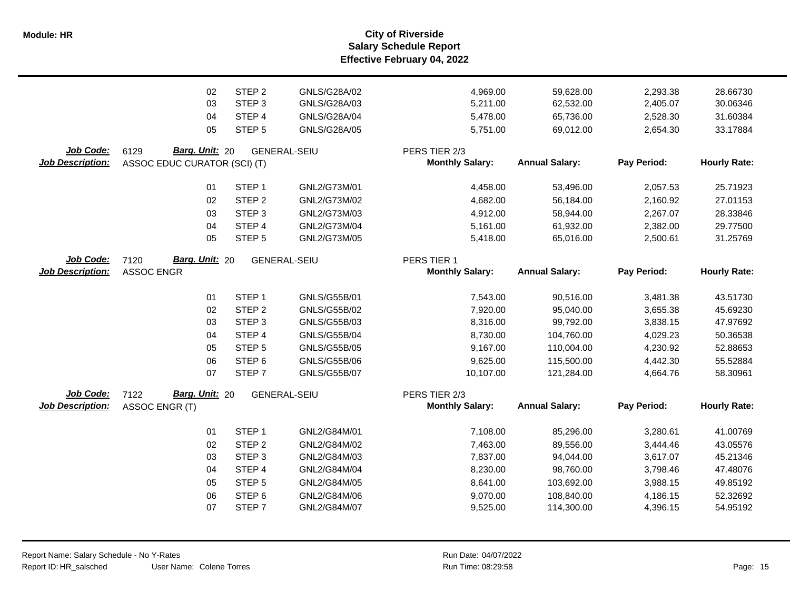**Salary Schedule Report Effective February 04, 2022 Module: HR City of Riverside**

|                         | 02                           | STEP <sub>2</sub> | GNLS/G28A/02        | 4,969.00               | 59,628.00             | 2,293.38    | 28.66730            |
|-------------------------|------------------------------|-------------------|---------------------|------------------------|-----------------------|-------------|---------------------|
|                         | 03                           | STEP <sub>3</sub> | GNLS/G28A/03        | 5,211.00               | 62,532.00             | 2,405.07    | 30.06346            |
|                         | 04                           | STEP 4            | GNLS/G28A/04        | 5,478.00               | 65,736.00             | 2,528.30    | 31.60384            |
|                         | 05                           | STEP <sub>5</sub> | GNLS/G28A/05        | 5,751.00               | 69,012.00             | 2,654.30    | 33.17884            |
| Job Code:               | Barg. Unit: 20<br>6129       |                   | <b>GENERAL-SEIU</b> | PERS TIER 2/3          |                       |             |                     |
| <b>Job Description:</b> | ASSOC EDUC CURATOR (SCI) (T) |                   |                     | <b>Monthly Salary:</b> | <b>Annual Salary:</b> | Pay Period: | <b>Hourly Rate:</b> |
|                         |                              |                   |                     |                        |                       |             |                     |
|                         | 01                           | STEP <sub>1</sub> | GNL2/G73M/01        | 4,458.00               | 53,496.00             | 2,057.53    | 25.71923            |
|                         | 02                           | STEP <sub>2</sub> | GNL2/G73M/02        | 4,682.00               | 56,184.00             | 2,160.92    | 27.01153            |
|                         | 03                           | STEP <sub>3</sub> | GNL2/G73M/03        | 4,912.00               | 58,944.00             | 2,267.07    | 28.33846            |
|                         | 04                           | STEP <sub>4</sub> | GNL2/G73M/04        | 5,161.00               | 61,932.00             | 2,382.00    | 29.77500            |
|                         | 05                           | STEP <sub>5</sub> | GNL2/G73M/05        | 5,418.00               | 65,016.00             | 2,500.61    | 31.25769            |
| Job Code:               | Barg. Unit: 20<br>7120       |                   | GENERAL-SEIU        | PERS TIER 1            |                       |             |                     |
| <b>Job Description:</b> | <b>ASSOC ENGR</b>            |                   |                     | <b>Monthly Salary:</b> | <b>Annual Salary:</b> | Pay Period: | <b>Hourly Rate:</b> |
|                         |                              |                   |                     |                        |                       |             |                     |
|                         | 01                           | STEP <sub>1</sub> | GNLS/G55B/01        | 7,543.00               | 90,516.00             | 3,481.38    | 43.51730            |
|                         | 02                           | STEP <sub>2</sub> | GNLS/G55B/02        | 7,920.00               | 95,040.00             | 3,655.38    | 45.69230            |
|                         | 03                           | STEP 3            | GNLS/G55B/03        | 8,316.00               | 99,792.00             | 3,838.15    | 47.97692            |
|                         | 04                           | STEP 4            | GNLS/G55B/04        | 8,730.00               | 104,760.00            | 4,029.23    | 50.36538            |
|                         | 05                           | STEP <sub>5</sub> | GNLS/G55B/05        | 9,167.00               | 110,004.00            | 4,230.92    | 52.88653            |
|                         | 06                           | STEP <sub>6</sub> | GNLS/G55B/06        | 9,625.00               | 115,500.00            | 4,442.30    | 55.52884            |
|                         | 07                           | STEP <sub>7</sub> | <b>GNLS/G55B/07</b> | 10,107.00              | 121,284.00            | 4,664.76    | 58.30961            |
| Job Code:               | Barg. Unit: 20<br>7122       |                   | <b>GENERAL-SEIU</b> | PERS TIER 2/3          |                       |             |                     |
| <b>Job Description:</b> | ASSOC ENGR (T)               |                   |                     | <b>Monthly Salary:</b> | <b>Annual Salary:</b> | Pay Period: | <b>Hourly Rate:</b> |
|                         | 01                           | STEP <sub>1</sub> | GNL2/G84M/01        | 7,108.00               | 85,296.00             | 3,280.61    | 41.00769            |
|                         | 02                           | STEP <sub>2</sub> | GNL2/G84M/02        | 7,463.00               | 89,556.00             | 3,444.46    | 43.05576            |
|                         | 03                           | STEP <sub>3</sub> | GNL2/G84M/03        | 7,837.00               | 94,044.00             | 3,617.07    | 45.21346            |
|                         | 04                           | STEP 4            | GNL2/G84M/04        | 8,230.00               | 98,760.00             | 3,798.46    | 47.48076            |
|                         | 05                           | STEP <sub>5</sub> | GNL2/G84M/05        | 8,641.00               | 103,692.00            | 3,988.15    | 49.85192            |
|                         | 06                           | STEP <sub>6</sub> | GNL2/G84M/06        | 9,070.00               | 108,840.00            | 4,186.15    | 52.32692            |
|                         | 07                           | STEP <sub>7</sub> | GNL2/G84M/07        | 9,525.00               | 114,300.00            | 4,396.15    | 54.95192            |
|                         |                              |                   |                     |                        |                       |             |                     |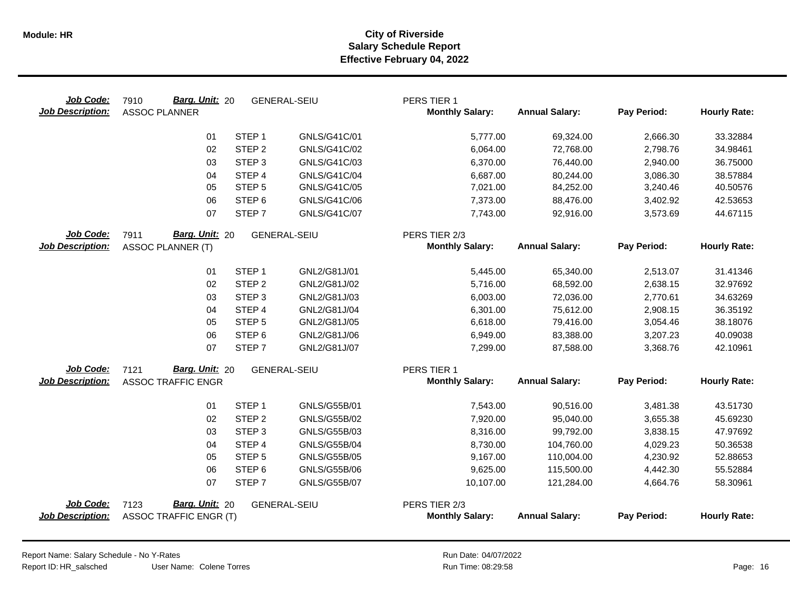| Job Code:<br><b>Job Description:</b> | Barg. Unit: 20<br>7910<br><b>ASSOC PLANNER</b>          | <b>GENERAL-SEIU</b> | PERS TIER 1<br><b>Monthly Salary:</b>   | <b>Annual Salary:</b> | Pay Period: | <b>Hourly Rate:</b> |
|--------------------------------------|---------------------------------------------------------|---------------------|-----------------------------------------|-----------------------|-------------|---------------------|
|                                      | STEP <sub>1</sub><br>01                                 | GNLS/G41C/01        | 5,777.00                                | 69,324.00             | 2,666.30    | 33.32884            |
|                                      | STEP <sub>2</sub><br>02                                 | GNLS/G41C/02        | 6,064.00                                | 72,768.00             | 2,798.76    | 34.98461            |
|                                      | STEP <sub>3</sub><br>03                                 | GNLS/G41C/03        | 6,370.00                                | 76,440.00             | 2,940.00    | 36.75000            |
|                                      | 04<br>STEP <sub>4</sub>                                 | GNLS/G41C/04        | 6,687.00                                | 80,244.00             | 3,086.30    | 38.57884            |
|                                      | 05<br>STEP <sub>5</sub>                                 | GNLS/G41C/05        | 7,021.00                                | 84,252.00             | 3,240.46    | 40.50576            |
|                                      | STEP <sub>6</sub><br>06                                 | GNLS/G41C/06        | 7,373.00                                | 88,476.00             | 3,402.92    | 42.53653            |
|                                      | STEP <sub>7</sub><br>07                                 | GNLS/G41C/07        | 7,743.00                                | 92,916.00             | 3,573.69    | 44.67115            |
| Job Code:                            | Barg. Unit: 20<br>7911                                  | <b>GENERAL-SEIU</b> | PERS TIER 2/3                           |                       |             |                     |
| <b>Job Description:</b>              | <b>ASSOC PLANNER (T)</b>                                |                     | <b>Monthly Salary:</b>                  | <b>Annual Salary:</b> | Pay Period: | <b>Hourly Rate:</b> |
|                                      | STEP <sub>1</sub><br>01                                 | GNL2/G81J/01        | 5,445.00                                | 65,340.00             | 2,513.07    | 31.41346            |
|                                      | 02<br>STEP <sub>2</sub>                                 | GNL2/G81J/02        | 5,716.00                                | 68,592.00             | 2,638.15    | 32.97692            |
|                                      | 03<br>STEP <sub>3</sub>                                 | GNL2/G81J/03        | 6,003.00                                | 72,036.00             | 2,770.61    | 34.63269            |
|                                      | STEP <sub>4</sub><br>04                                 | GNL2/G81J/04        | 6,301.00                                | 75,612.00             | 2,908.15    | 36.35192            |
|                                      | STEP <sub>5</sub><br>05                                 | GNL2/G81J/05        | 6,618.00                                | 79,416.00             | 3,054.46    | 38.18076            |
|                                      | 06<br>STEP <sub>6</sub>                                 | GNL2/G81J/06        | 6,949.00                                | 83,388.00             | 3,207.23    | 40.09038            |
|                                      | 07<br>STEP <sub>7</sub>                                 | GNL2/G81J/07        | 7,299.00                                | 87,588.00             | 3,368.76    | 42.10961            |
| Job Code:                            | Barg. Unit: 20<br>7121                                  | <b>GENERAL-SEIU</b> | PERS TIER 1                             |                       |             |                     |
| <b>Job Description:</b>              | <b>ASSOC TRAFFIC ENGR</b>                               |                     | <b>Monthly Salary:</b>                  | <b>Annual Salary:</b> | Pay Period: | <b>Hourly Rate:</b> |
|                                      | STEP <sub>1</sub><br>01                                 | GNLS/G55B/01        | 7,543.00                                | 90,516.00             | 3,481.38    | 43.51730            |
|                                      | STEP <sub>2</sub><br>02                                 | GNLS/G55B/02        | 7,920.00                                | 95,040.00             | 3,655.38    | 45.69230            |
|                                      | STEP <sub>3</sub><br>03                                 | GNLS/G55B/03        | 8,316.00                                | 99,792.00             | 3,838.15    | 47.97692            |
|                                      | STEP <sub>4</sub><br>04                                 | <b>GNLS/G55B/04</b> | 8,730.00                                | 104,760.00            | 4,029.23    | 50.36538            |
|                                      | 05<br>STEP <sub>5</sub>                                 | GNLS/G55B/05        | 9,167.00                                | 110,004.00            | 4,230.92    | 52.88653            |
|                                      | STEP <sub>6</sub><br>06                                 | GNLS/G55B/06        | 9,625.00                                | 115,500.00            | 4,442.30    | 55.52884            |
|                                      | 07<br>STEP <sub>7</sub>                                 | <b>GNLS/G55B/07</b> | 10,107.00                               | 121,284.00            | 4,664.76    | 58.30961            |
| Job Code:<br><b>Job Description:</b> | Barg. Unit: 20<br>7123<br><b>ASSOC TRAFFIC ENGR (T)</b> | <b>GENERAL-SEIU</b> | PERS TIER 2/3<br><b>Monthly Salary:</b> | <b>Annual Salary:</b> | Pay Period: | <b>Hourly Rate:</b> |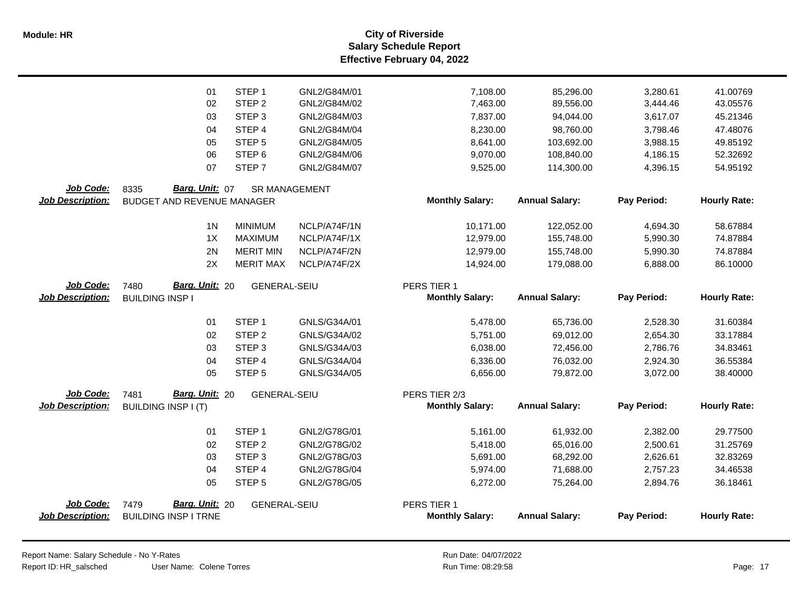|                         | 01                                | STEP <sub>1</sub>   | GNL2/G84M/01                 | 7,108.00               | 85,296.00              | 3,280.61             | 41.00769             |
|-------------------------|-----------------------------------|---------------------|------------------------------|------------------------|------------------------|----------------------|----------------------|
|                         | 02                                | STEP <sub>2</sub>   | GNL2/G84M/02                 | 7,463.00               | 89,556.00              | 3,444.46             | 43.05576             |
|                         | 03                                | STEP <sub>3</sub>   | GNL2/G84M/03                 | 7,837.00               | 94,044.00              | 3,617.07             | 45.21346             |
|                         | 04                                | STEP 4              | GNL2/G84M/04                 | 8,230.00               | 98,760.00              | 3,798.46             | 47.48076             |
|                         | 05                                | STEP <sub>5</sub>   | GNL2/G84M/05                 | 8,641.00               | 103,692.00             | 3,988.15             | 49.85192             |
|                         | 06                                | STEP <sub>6</sub>   | GNL2/G84M/06                 | 9,070.00               | 108,840.00             | 4,186.15             | 52.32692             |
|                         | 07                                | STEP <sub>7</sub>   | GNL2/G84M/07                 | 9,525.00               | 114,300.00             | 4,396.15             | 54.95192             |
| Job Code:               | Barg. Unit: 07<br>8335            |                     | <b>SR MANAGEMENT</b>         |                        |                        |                      |                      |
| <b>Job Description:</b> | <b>BUDGET AND REVENUE MANAGER</b> |                     |                              | <b>Monthly Salary:</b> | <b>Annual Salary:</b>  | Pay Period:          | <b>Hourly Rate:</b>  |
|                         | 1 <sub>N</sub>                    | <b>MINIMUM</b>      | NCLP/A74F/1N                 | 10,171.00              | 122,052.00             | 4,694.30             | 58.67884             |
|                         | 1X                                | <b>MAXIMUM</b>      | NCLP/A74F/1X                 | 12,979.00              | 155,748.00             | 5,990.30             | 74.87884             |
|                         | 2N                                | <b>MERIT MIN</b>    | NCLP/A74F/2N                 | 12,979.00              | 155,748.00             | 5,990.30             | 74.87884             |
|                         | 2X                                | <b>MERIT MAX</b>    | NCLP/A74F/2X                 | 14,924.00              | 179,088.00             | 6,888.00             | 86.10000             |
| Job Code:               | Barg. Unit: 20<br>7480            | <b>GENERAL-SEIU</b> |                              | PERS TIER 1            |                        |                      |                      |
| <b>Job Description:</b> | <b>BUILDING INSP I</b>            |                     |                              | <b>Monthly Salary:</b> | <b>Annual Salary:</b>  | Pay Period:          | <b>Hourly Rate:</b>  |
|                         | 01                                | STEP <sub>1</sub>   | GNLS/G34A/01                 | 5,478.00               | 65,736.00              | 2,528.30             | 31.60384             |
|                         | 02                                | STEP <sub>2</sub>   | GNLS/G34A/02                 | 5,751.00               | 69,012.00              | 2,654.30             | 33.17884             |
|                         | 03                                | STEP <sub>3</sub>   | GNLS/G34A/03                 | 6,038.00               | 72,456.00              | 2,786.76             | 34.83461             |
|                         |                                   | STEP <sub>4</sub>   |                              |                        |                        |                      |                      |
|                         | 04<br>05                          | STEP <sub>5</sub>   | GNLS/G34A/04<br>GNLS/G34A/05 | 6,336.00<br>6,656.00   | 76,032.00<br>79,872.00 | 2,924.30<br>3,072.00 | 36.55384<br>38.40000 |
|                         |                                   |                     |                              |                        |                        |                      |                      |
| Job Code:               | Barg. Unit: 20<br>7481            | <b>GENERAL-SEIU</b> |                              | PERS TIER 2/3          |                        |                      |                      |
| <b>Job Description:</b> | <b>BUILDING INSP I (T)</b>        |                     |                              | <b>Monthly Salary:</b> | <b>Annual Salary:</b>  | Pay Period:          | <b>Hourly Rate:</b>  |
|                         | 01                                | STEP <sub>1</sub>   | GNL2/G78G/01                 | 5,161.00               | 61,932.00              | 2,382.00             | 29.77500             |
|                         | 02                                | STEP <sub>2</sub>   | GNL2/G78G/02                 | 5,418.00               | 65,016.00              | 2,500.61             | 31.25769             |
|                         | 03                                | STEP <sub>3</sub>   | GNL2/G78G/03                 | 5,691.00               | 68,292.00              | 2,626.61             | 32.83269             |
|                         | 04                                | STEP <sub>4</sub>   | GNL2/G78G/04                 | 5,974.00               | 71,688.00              | 2,757.23             | 34.46538             |
|                         | 05                                | STEP <sub>5</sub>   | GNL2/G78G/05                 | 6,272.00               | 75,264.00              | 2,894.76             | 36.18461             |
| Job Code:               | Barg. Unit: 20<br>7479            | <b>GENERAL-SEIU</b> |                              | PERS TIER 1            |                        |                      |                      |
| <b>Job Description:</b> | <b>BUILDING INSP I TRNE</b>       |                     |                              | <b>Monthly Salary:</b> | <b>Annual Salary:</b>  | Pay Period:          | <b>Hourly Rate:</b>  |
|                         |                                   |                     |                              |                        |                        |                      |                      |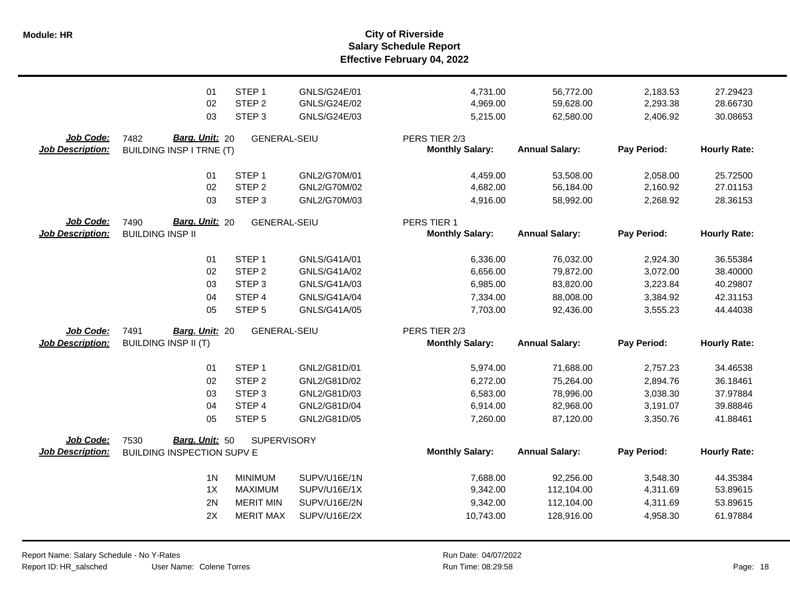**Salary Schedule Report Effective February 04, 2022 Module: HR City of Riverside**

|                                             | 01                                                          | STEP <sub>1</sub>   | GNLS/G24E/01 | 4,731.00                                | 56,772.00             | 2,183.53    | 27.29423            |
|---------------------------------------------|-------------------------------------------------------------|---------------------|--------------|-----------------------------------------|-----------------------|-------------|---------------------|
|                                             | 02                                                          | STEP <sub>2</sub>   | GNLS/G24E/02 | 4,969.00                                | 59,628.00             | 2,293.38    | 28.66730            |
|                                             | 03                                                          | STEP <sub>3</sub>   | GNLS/G24E/03 | 5,215.00                                | 62,580.00             | 2,406.92    | 30.08653            |
| <b>Job Code:</b><br><b>Job Description:</b> | Barg. Unit: 20<br>7482<br><b>BUILDING INSP I TRNE (T)</b>   | <b>GENERAL-SEIU</b> |              | PERS TIER 2/3<br><b>Monthly Salary:</b> | <b>Annual Salary:</b> | Pay Period: | <b>Hourly Rate:</b> |
|                                             | 01                                                          | STEP <sub>1</sub>   | GNL2/G70M/01 | 4,459.00                                | 53,508.00             | 2,058.00    | 25.72500            |
|                                             | 02                                                          | STEP <sub>2</sub>   | GNL2/G70M/02 | 4,682.00                                | 56,184.00             | 2,160.92    | 27.01153            |
|                                             | 03                                                          | STEP <sub>3</sub>   | GNL2/G70M/03 | 4,916.00                                | 58,992.00             | 2,268.92    | 28.36153            |
| <b>Job Code:</b><br><b>Job Description:</b> | Barg. Unit: 20<br>7490<br><b>BUILDING INSP II</b>           | <b>GENERAL-SEIU</b> |              | PERS TIER 1<br><b>Monthly Salary:</b>   | <b>Annual Salary:</b> | Pay Period: | <b>Hourly Rate:</b> |
|                                             | 01                                                          | STEP <sub>1</sub>   | GNLS/G41A/01 | 6,336.00                                | 76,032.00             | 2,924.30    | 36.55384            |
|                                             | 02                                                          | STEP <sub>2</sub>   | GNLS/G41A/02 | 6,656.00                                | 79,872.00             | 3,072.00    | 38.40000            |
|                                             | 03                                                          | STEP <sub>3</sub>   | GNLS/G41A/03 | 6,985.00                                | 83,820.00             | 3,223.84    | 40.29807            |
|                                             | 04                                                          | STEP 4              | GNLS/G41A/04 | 7,334.00                                | 88,008.00             | 3,384.92    | 42.31153            |
|                                             | 05                                                          | STEP <sub>5</sub>   | GNLS/G41A/05 | 7,703.00                                | 92,436.00             | 3,555.23    | 44.44038            |
| Job Code:<br><b>Job Description:</b>        | 7491<br>Barg. Unit: 20<br><b>BUILDING INSP II (T)</b>       | <b>GENERAL-SEIU</b> |              | PERS TIER 2/3<br><b>Monthly Salary:</b> | <b>Annual Salary:</b> | Pay Period: | <b>Hourly Rate:</b> |
|                                             | 01                                                          | STEP <sub>1</sub>   | GNL2/G81D/01 | 5,974.00                                | 71,688.00             | 2,757.23    | 34.46538            |
|                                             | 02                                                          | STEP <sub>2</sub>   | GNL2/G81D/02 | 6,272.00                                | 75,264.00             | 2,894.76    | 36.18461            |
|                                             | 03                                                          | STEP <sub>3</sub>   | GNL2/G81D/03 | 6,583.00                                | 78,996.00             | 3,038.30    | 37.97884            |
|                                             | 04                                                          | STEP 4              | GNL2/G81D/04 | 6,914.00                                | 82,968.00             | 3,191.07    | 39.88846            |
|                                             | 05                                                          | STEP <sub>5</sub>   | GNL2/G81D/05 | 7,260.00                                | 87,120.00             | 3,350.76    | 41.88461            |
| Job Code:<br><b>Job Description:</b>        | Barg. Unit: 50<br>7530<br><b>BUILDING INSPECTION SUPV E</b> | <b>SUPERVISORY</b>  |              | <b>Monthly Salary:</b>                  | <b>Annual Salary:</b> | Pay Period: | <b>Hourly Rate:</b> |
|                                             | 1 <sub>N</sub>                                              | <b>MINIMUM</b>      | SUPV/U16E/1N | 7,688.00                                | 92,256.00             | 3,548.30    | 44.35384            |
|                                             | 1X                                                          | <b>MAXIMUM</b>      | SUPV/U16E/1X | 9,342.00                                | 112,104.00            | 4,311.69    | 53.89615            |
|                                             | 2N                                                          | <b>MERIT MIN</b>    | SUPV/U16E/2N | 9,342.00                                | 112,104.00            | 4,311.69    | 53.89615            |
|                                             | 2X                                                          | <b>MERIT MAX</b>    | SUPV/U16E/2X | 10,743.00                               | 128,916.00            | 4,958.30    | 61.97884            |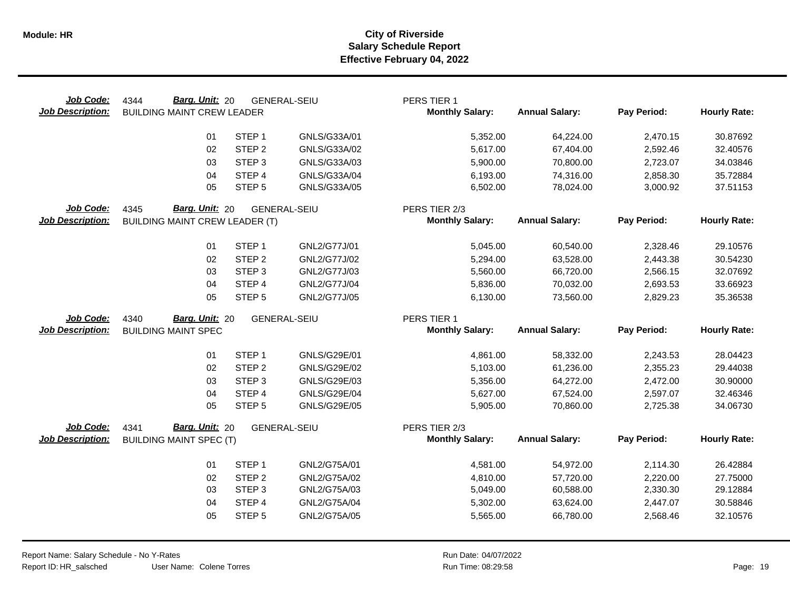| Job Code:<br><b>Job Description:</b> | Barg. Unit: 20<br>4344<br><b>BUILDING MAINT CREW LEADER</b> |                   | <b>GENERAL-SEIU</b>          | PERS TIER 1<br><b>Monthly Salary:</b>   | <b>Annual Salary:</b>  | Pay Period:          | <b>Hourly Rate:</b>  |
|--------------------------------------|-------------------------------------------------------------|-------------------|------------------------------|-----------------------------------------|------------------------|----------------------|----------------------|
|                                      | 01                                                          | STEP <sub>1</sub> | GNLS/G33A/01                 | 5,352.00                                | 64,224.00              | 2,470.15             | 30.87692             |
|                                      | 02                                                          | STEP <sub>2</sub> | GNLS/G33A/02                 | 5,617.00                                | 67,404.00              | 2,592.46             | 32.40576             |
|                                      | 03                                                          | STEP <sub>3</sub> | GNLS/G33A/03                 | 5,900.00                                | 70,800.00              | 2,723.07             | 34.03846             |
|                                      | 04                                                          | STEP 4            | GNLS/G33A/04                 | 6,193.00                                | 74,316.00              | 2,858.30             | 35.72884             |
|                                      | 05                                                          | STEP <sub>5</sub> | GNLS/G33A/05                 | 6,502.00                                | 78,024.00              | 3,000.92             | 37.51153             |
| Job Code:                            | 4345<br>Barg. Unit: 20                                      |                   | <b>GENERAL-SEIU</b>          | PERS TIER 2/3                           |                        |                      |                      |
| <b>Job Description:</b>              | <b>BUILDING MAINT CREW LEADER (T)</b>                       |                   |                              | <b>Monthly Salary:</b>                  | <b>Annual Salary:</b>  | Pay Period:          | <b>Hourly Rate:</b>  |
|                                      | 01                                                          | STEP <sub>1</sub> | GNL2/G77J/01                 | 5,045.00                                | 60,540.00              | 2,328.46             | 29.10576             |
|                                      | 02                                                          | STEP <sub>2</sub> | GNL2/G77J/02                 | 5,294.00                                | 63,528.00              | 2,443.38             | 30.54230             |
|                                      | 03                                                          | STEP <sub>3</sub> | GNL2/G77J/03                 | 5,560.00                                | 66,720.00              | 2,566.15             | 32.07692             |
|                                      | 04                                                          | STEP 4            | GNL2/G77J/04                 | 5,836.00                                | 70,032.00              | 2,693.53             | 33.66923             |
|                                      | 05                                                          | STEP <sub>5</sub> | GNL2/G77J/05                 | 6,130.00                                | 73,560.00              | 2,829.23             | 35.36538             |
| Job Code:                            | Barg. Unit: 20<br>4340                                      |                   | <b>GENERAL-SEIU</b>          | PERS TIER 1                             |                        |                      |                      |
| <b>Job Description:</b>              | <b>BUILDING MAINT SPEC</b>                                  |                   |                              | <b>Monthly Salary:</b>                  | <b>Annual Salary:</b>  | Pay Period:          | <b>Hourly Rate:</b>  |
|                                      |                                                             | STEP <sub>1</sub> |                              |                                         |                        |                      |                      |
|                                      | 01<br>02                                                    | STEP <sub>2</sub> | GNLS/G29E/01<br>GNLS/G29E/02 | 4,861.00<br>5,103.00                    | 58,332.00<br>61,236.00 | 2,243.53<br>2,355.23 | 28.04423<br>29.44038 |
|                                      | 03                                                          | STEP <sub>3</sub> | GNLS/G29E/03                 | 5,356.00                                | 64,272.00              | 2,472.00             | 30.90000             |
|                                      | 04                                                          | STEP 4            | <b>GNLS/G29E/04</b>          | 5,627.00                                | 67,524.00              | 2,597.07             | 32.46346             |
|                                      | 05                                                          | STEP <sub>5</sub> | GNLS/G29E/05                 | 5,905.00                                | 70,860.00              | 2,725.38             | 34.06730             |
|                                      |                                                             |                   |                              |                                         |                        |                      |                      |
| Job Code:<br><b>Job Description:</b> | Barg. Unit: 20<br>4341<br><b>BUILDING MAINT SPEC (T)</b>    |                   | <b>GENERAL-SEIU</b>          | PERS TIER 2/3<br><b>Monthly Salary:</b> | <b>Annual Salary:</b>  | Pay Period:          | <b>Hourly Rate:</b>  |
|                                      |                                                             |                   |                              |                                         |                        |                      |                      |
|                                      | 01                                                          | STEP <sub>1</sub> | GNL2/G75A/01                 | 4,581.00                                | 54,972.00              | 2,114.30             | 26.42884             |
|                                      | 02                                                          | STEP <sub>2</sub> | GNL2/G75A/02                 | 4,810.00                                | 57,720.00              | 2,220.00             | 27.75000             |
|                                      | 03                                                          | STEP <sub>3</sub> | GNL2/G75A/03                 | 5,049.00                                | 60,588.00              | 2,330.30             | 29.12884             |
|                                      | 04                                                          | STEP 4            | GNL2/G75A/04                 | 5,302.00                                | 63,624.00              | 2,447.07             | 30.58846             |
|                                      | 05                                                          | STEP <sub>5</sub> | GNL2/G75A/05                 | 5,565.00                                | 66,780.00              | 2,568.46             | 32.10576             |
|                                      |                                                             |                   |                              |                                         |                        |                      |                      |
|                                      |                                                             |                   |                              |                                         |                        |                      |                      |

 $\overline{\phantom{0}}$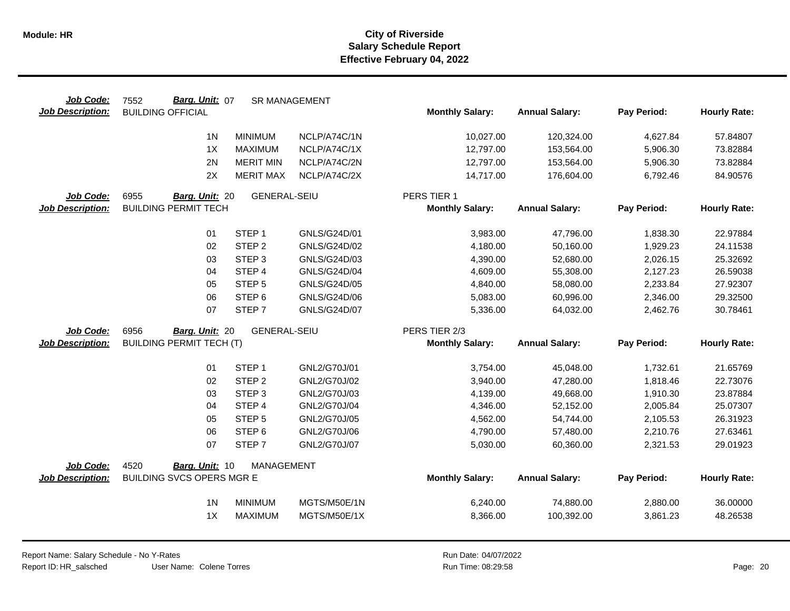| Job Code:               | Barg. Unit: 07<br>7552           |                                  | <b>SR MANAGEMENT</b>         |                        |                         |                      |                      |
|-------------------------|----------------------------------|----------------------------------|------------------------------|------------------------|-------------------------|----------------------|----------------------|
| <b>Job Description:</b> | <b>BUILDING OFFICIAL</b>         |                                  |                              | <b>Monthly Salary:</b> | <b>Annual Salary:</b>   | Pay Period:          | <b>Hourly Rate:</b>  |
|                         | 1 <sub>N</sub>                   | <b>MINIMUM</b>                   | NCLP/A74C/1N                 | 10,027.00              | 120,324.00              | 4,627.84             | 57.84807             |
|                         | 1X                               | <b>MAXIMUM</b>                   | NCLP/A74C/1X                 | 12,797.00              | 153,564.00              | 5,906.30             | 73.82884             |
|                         | 2N                               | <b>MERIT MIN</b>                 | NCLP/A74C/2N                 | 12,797.00              | 153,564.00              | 5,906.30             | 73.82884             |
|                         | 2X                               | <b>MERIT MAX</b>                 | NCLP/A74C/2X                 | 14,717.00              | 176,604.00              | 6,792.46             | 84.90576             |
|                         |                                  |                                  |                              |                        |                         |                      |                      |
| Job Code:               | 6955<br>Barg. Unit: 20           | <b>GENERAL-SEIU</b>              |                              | PERS TIER 1            |                         |                      |                      |
| <b>Job Description:</b> | <b>BUILDING PERMIT TECH</b>      |                                  |                              | <b>Monthly Salary:</b> | <b>Annual Salary:</b>   | Pay Period:          | <b>Hourly Rate:</b>  |
|                         | 01                               | STEP <sub>1</sub>                | GNLS/G24D/01                 | 3,983.00               | 47,796.00               | 1,838.30             | 22.97884             |
|                         | 02                               | STEP <sub>2</sub>                | GNLS/G24D/02                 | 4,180.00               | 50,160.00               | 1,929.23             | 24.11538             |
|                         | 03                               | STEP <sub>3</sub>                | GNLS/G24D/03                 | 4,390.00               | 52,680.00               | 2,026.15             | 25.32692             |
|                         | 04                               | STEP 4                           | GNLS/G24D/04                 | 4,609.00               | 55,308.00               | 2,127.23             | 26.59038             |
|                         | 05                               | STEP <sub>5</sub>                | GNLS/G24D/05                 | 4,840.00               | 58,080.00               | 2,233.84             | 27.92307             |
|                         | 06                               | STEP <sub>6</sub>                | GNLS/G24D/06                 | 5,083.00               | 60,996.00               | 2,346.00             | 29.32500             |
|                         | 07                               | STEP <sub>7</sub>                | <b>GNLS/G24D/07</b>          | 5,336.00               | 64,032.00               | 2,462.76             | 30.78461             |
| Job Code:               | 6956<br>Barg. Unit: 20           | <b>GENERAL-SEIU</b>              |                              | PERS TIER 2/3          |                         |                      |                      |
| <b>Job Description:</b> | <b>BUILDING PERMIT TECH (T)</b>  |                                  |                              | <b>Monthly Salary:</b> | <b>Annual Salary:</b>   | Pay Period:          | <b>Hourly Rate:</b>  |
|                         | 01                               | STEP <sub>1</sub>                | GNL2/G70J/01                 | 3,754.00               | 45,048.00               | 1,732.61             | 21.65769             |
|                         | 02                               | STEP <sub>2</sub>                | GNL2/G70J/02                 | 3,940.00               | 47,280.00               | 1,818.46             | 22.73076             |
|                         | 03                               | STEP <sub>3</sub>                | GNL2/G70J/03                 | 4,139.00               | 49,668.00               | 1,910.30             | 23.87884             |
|                         | 04                               | STEP 4                           | GNL2/G70J/04                 | 4,346.00               | 52,152.00               | 2,005.84             | 25.07307             |
|                         | 05                               | STEP <sub>5</sub>                | GNL2/G70J/05                 | 4,562.00               | 54,744.00               | 2,105.53             | 26.31923             |
|                         | 06                               | STEP <sub>6</sub>                | GNL2/G70J/06                 | 4,790.00               | 57,480.00               | 2,210.76             | 27.63461             |
|                         | 07                               | STEP <sub>7</sub>                | GNL2/G70J/07                 | 5,030.00               | 60,360.00               | 2,321.53             | 29.01923             |
| Job Code:               | 4520<br>Barg. Unit: 10           | MANAGEMENT                       |                              |                        |                         |                      |                      |
| <b>Job Description:</b> | <b>BUILDING SVCS OPERS MGR E</b> |                                  |                              | <b>Monthly Salary:</b> | <b>Annual Salary:</b>   | Pay Period:          | <b>Hourly Rate:</b>  |
|                         |                                  |                                  |                              |                        |                         |                      |                      |
|                         |                                  |                                  |                              |                        |                         |                      |                      |
|                         | 1 <sup>N</sup><br>1X             | <b>MINIMUM</b><br><b>MAXIMUM</b> | MGTS/M50E/1N<br>MGTS/M50E/1X | 6,240.00<br>8,366.00   | 74,880.00<br>100,392.00 | 2,880.00<br>3,861.23 | 36.00000<br>48.26538 |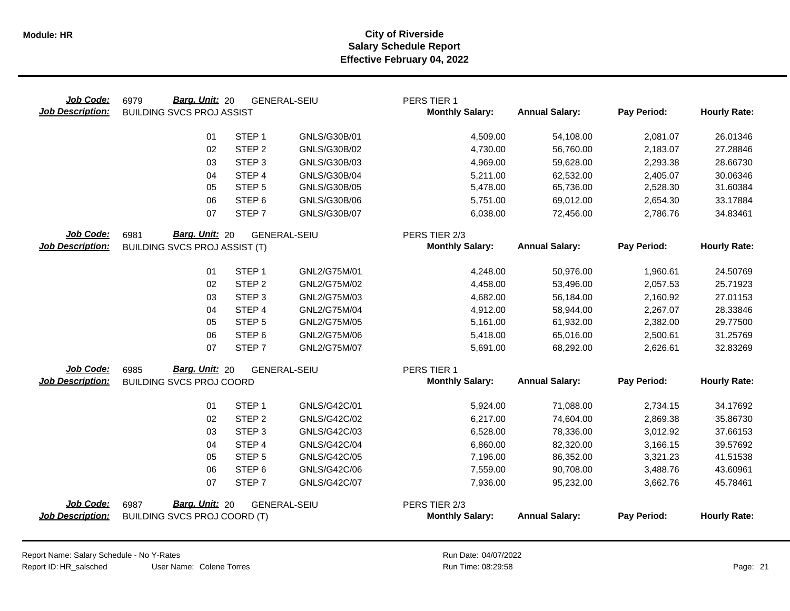| Job Code:<br><b>Job Description:</b> | Barg. Unit: 20<br>6979<br><b>BUILDING SVCS PROJ ASSIST</b> |                   | <b>GENERAL-SEIU</b> | PERS TIER 1<br><b>Monthly Salary:</b> | <b>Annual Salary:</b> | Pay Period: | <b>Hourly Rate:</b> |
|--------------------------------------|------------------------------------------------------------|-------------------|---------------------|---------------------------------------|-----------------------|-------------|---------------------|
|                                      | 01                                                         | STEP <sub>1</sub> | GNLS/G30B/01        | 4,509.00                              | 54,108.00             | 2,081.07    | 26.01346            |
|                                      | 02                                                         | STEP <sub>2</sub> | GNLS/G30B/02        | 4,730.00                              | 56,760.00             | 2,183.07    | 27.28846            |
|                                      | 03                                                         | STEP <sub>3</sub> | GNLS/G30B/03        | 4,969.00                              | 59,628.00             | 2,293.38    | 28.66730            |
|                                      | 04                                                         | STEP <sub>4</sub> | GNLS/G30B/04        | 5,211.00                              | 62,532.00             | 2,405.07    | 30.06346            |
|                                      | 05                                                         | STEP <sub>5</sub> | GNLS/G30B/05        | 5,478.00                              | 65,736.00             | 2,528.30    | 31.60384            |
|                                      | 06                                                         | STEP <sub>6</sub> | GNLS/G30B/06        | 5,751.00                              | 69,012.00             | 2,654.30    | 33.17884            |
|                                      | 07                                                         | STEP <sub>7</sub> | GNLS/G30B/07        | 6,038.00                              | 72,456.00             | 2,786.76    | 34.83461            |
| Job Code:                            | Barg. Unit: 20<br>6981                                     |                   | <b>GENERAL-SEIU</b> | PERS TIER 2/3                         |                       |             |                     |
| <b>Job Description:</b>              | <b>BUILDING SVCS PROJ ASSIST (T)</b>                       |                   |                     | <b>Monthly Salary:</b>                | <b>Annual Salary:</b> | Pay Period: | <b>Hourly Rate:</b> |
|                                      | 01                                                         | STEP <sub>1</sub> | GNL2/G75M/01        | 4,248.00                              | 50,976.00             | 1,960.61    | 24.50769            |
|                                      | 02                                                         | STEP <sub>2</sub> | GNL2/G75M/02        | 4,458.00                              | 53,496.00             | 2,057.53    | 25.71923            |
|                                      | 03                                                         | STEP <sub>3</sub> | GNL2/G75M/03        | 4,682.00                              | 56,184.00             | 2,160.92    | 27.01153            |
|                                      | 04                                                         | STEP 4            | GNL2/G75M/04        | 4,912.00                              | 58,944.00             | 2,267.07    | 28.33846            |
|                                      | 05                                                         | STEP <sub>5</sub> | GNL2/G75M/05        | 5,161.00                              | 61,932.00             | 2,382.00    | 29.77500            |
|                                      | 06                                                         | STEP <sub>6</sub> | GNL2/G75M/06        | 5,418.00                              | 65,016.00             | 2,500.61    | 31.25769            |
|                                      | 07                                                         | STEP <sub>7</sub> | GNL2/G75M/07        | 5,691.00                              | 68,292.00             | 2,626.61    | 32.83269            |
| Job Code:                            | Barg. Unit: 20<br>6985                                     |                   | <b>GENERAL-SEIU</b> | PERS TIER 1                           |                       |             |                     |
| <b>Job Description:</b>              | <b>BUILDING SVCS PROJ COORD</b>                            |                   |                     | <b>Monthly Salary:</b>                | <b>Annual Salary:</b> | Pay Period: | <b>Hourly Rate:</b> |
|                                      | 01                                                         | STEP <sub>1</sub> | GNLS/G42C/01        | 5,924.00                              | 71,088.00             | 2,734.15    | 34.17692            |
|                                      | 02                                                         | STEP <sub>2</sub> | GNLS/G42C/02        | 6,217.00                              | 74,604.00             | 2,869.38    | 35.86730            |
|                                      | 03                                                         | STEP <sub>3</sub> | GNLS/G42C/03        | 6,528.00                              | 78,336.00             | 3,012.92    | 37.66153            |
|                                      | 04                                                         | STEP 4            | GNLS/G42C/04        | 6,860.00                              | 82,320.00             | 3,166.15    | 39.57692            |
|                                      | 05                                                         | STEP <sub>5</sub> | GNLS/G42C/05        | 7,196.00                              | 86,352.00             | 3,321.23    | 41.51538            |
|                                      | 06                                                         | STEP <sub>6</sub> | GNLS/G42C/06        | 7,559.00                              | 90,708.00             | 3,488.76    | 43.60961            |
|                                      | 07                                                         | STEP <sub>7</sub> | GNLS/G42C/07        | 7,936.00                              | 95,232.00             | 3,662.76    | 45.78461            |
| Job Code:                            | Barg. Unit: 20<br>6987                                     |                   | <b>GENERAL-SEIU</b> | PERS TIER 2/3                         |                       |             |                     |
| <b>Job Description:</b>              | <b>BUILDING SVCS PROJ COORD (T)</b>                        |                   |                     | <b>Monthly Salary:</b>                | <b>Annual Salary:</b> | Pay Period: | <b>Hourly Rate:</b> |
|                                      |                                                            |                   |                     |                                       |                       |             |                     |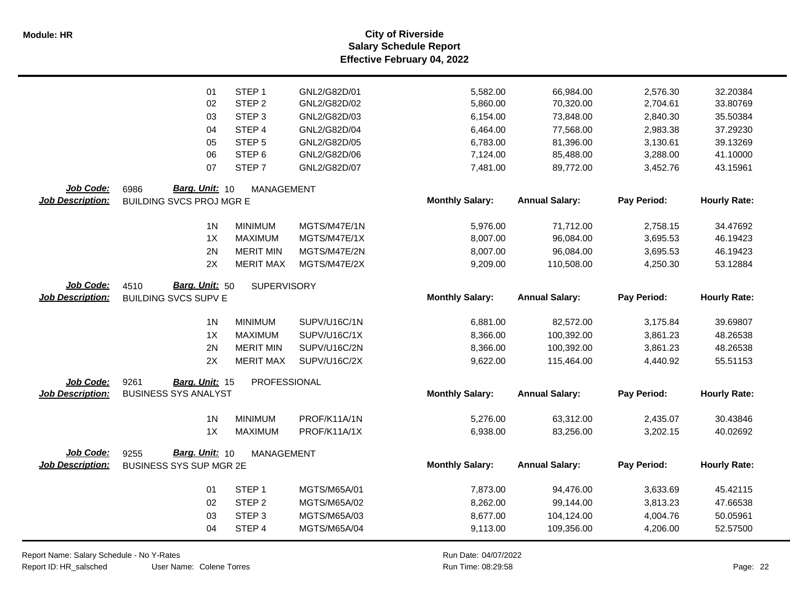|                         | 01                              | STEP <sub>1</sub>  | GNL2/G82D/01 | 5,582.00               | 66,984.00             | 2,576.30    | 32.20384            |
|-------------------------|---------------------------------|--------------------|--------------|------------------------|-----------------------|-------------|---------------------|
|                         | 02                              | STEP <sub>2</sub>  | GNL2/G82D/02 | 5,860.00               | 70,320.00             | 2,704.61    | 33.80769            |
|                         | 03                              | STEP <sub>3</sub>  | GNL2/G82D/03 | 6,154.00               | 73,848.00             | 2,840.30    | 35.50384            |
|                         | 04                              | STEP <sub>4</sub>  | GNL2/G82D/04 | 6,464.00               | 77,568.00             | 2,983.38    | 37.29230            |
|                         | 05                              | STEP <sub>5</sub>  | GNL2/G82D/05 | 6,783.00               | 81,396.00             | 3,130.61    | 39.13269            |
|                         | 06                              | STEP <sub>6</sub>  | GNL2/G82D/06 | 7,124.00               | 85,488.00             | 3,288.00    | 41.10000            |
|                         | 07                              | STEP <sub>7</sub>  | GNL2/G82D/07 | 7,481.00               | 89,772.00             | 3,452.76    | 43.15961            |
| Job Code:               | Barg. Unit: 10<br>6986          | <b>MANAGEMENT</b>  |              |                        |                       |             |                     |
| <b>Job Description:</b> | <b>BUILDING SVCS PROJ MGR E</b> |                    |              | <b>Monthly Salary:</b> | <b>Annual Salary:</b> | Pay Period: | <b>Hourly Rate:</b> |
|                         |                                 |                    |              |                        |                       |             |                     |
|                         | 1 <sub>N</sub>                  | <b>MINIMUM</b>     | MGTS/M47E/1N | 5,976.00               | 71,712.00             | 2,758.15    | 34.47692            |
|                         | 1X                              | <b>MAXIMUM</b>     | MGTS/M47E/1X | 8,007.00               | 96,084.00             | 3,695.53    | 46.19423            |
|                         | 2N                              | <b>MERIT MIN</b>   | MGTS/M47E/2N | 8,007.00               | 96,084.00             | 3,695.53    | 46.19423            |
|                         | 2X                              | <b>MERIT MAX</b>   | MGTS/M47E/2X | 9,209.00               | 110,508.00            | 4,250.30    | 53.12884            |
| Job Code:               | Barg. Unit: 50<br>4510          |                    |              |                        |                       |             |                     |
| <b>Job Description:</b> | <b>BUILDING SVCS SUPV E</b>     | <b>SUPERVISORY</b> |              | <b>Monthly Salary:</b> | <b>Annual Salary:</b> | Pay Period: | <b>Hourly Rate:</b> |
|                         |                                 |                    |              |                        |                       |             |                     |
|                         | 1 <sub>N</sub>                  | <b>MINIMUM</b>     | SUPV/U16C/1N | 6,881.00               | 82,572.00             | 3,175.84    | 39.69807            |
|                         | 1X                              | <b>MAXIMUM</b>     | SUPV/U16C/1X | 8,366.00               | 100,392.00            | 3,861.23    | 48.26538            |
|                         | 2N                              | <b>MERIT MIN</b>   | SUPV/U16C/2N | 8,366.00               | 100,392.00            | 3,861.23    | 48.26538            |
|                         | 2X                              | <b>MERIT MAX</b>   | SUPV/U16C/2X | 9,622.00               | 115,464.00            | 4,440.92    | 55.51153            |
| Job Code:               | 9261<br>Barg. Unit: 15          | PROFESSIONAL       |              |                        |                       |             |                     |
| <b>Job Description:</b> | <b>BUSINESS SYS ANALYST</b>     |                    |              | <b>Monthly Salary:</b> | <b>Annual Salary:</b> | Pay Period: | <b>Hourly Rate:</b> |
|                         |                                 |                    |              |                        |                       |             |                     |
|                         | 1 <sub>N</sub>                  | <b>MINIMUM</b>     | PROF/K11A/1N | 5,276.00               | 63,312.00             | 2,435.07    | 30.43846            |
|                         | 1X                              | <b>MAXIMUM</b>     | PROF/K11A/1X | 6,938.00               | 83,256.00             | 3,202.15    | 40.02692            |
|                         |                                 |                    |              |                        |                       |             |                     |
| Job Code:               | Barg. Unit: 10<br>9255          | <b>MANAGEMENT</b>  |              |                        |                       |             |                     |
| <b>Job Description:</b> | <b>BUSINESS SYS SUP MGR 2E</b>  |                    |              | <b>Monthly Salary:</b> | <b>Annual Salary:</b> | Pay Period: | <b>Hourly Rate:</b> |
|                         | 01                              | STEP <sub>1</sub>  | MGTS/M65A/01 | 7,873.00               | 94,476.00             | 3,633.69    | 45.42115            |
|                         | 02                              | STEP <sub>2</sub>  | MGTS/M65A/02 | 8,262.00               | 99,144.00             | 3,813.23    | 47.66538            |
|                         | 03                              | STEP <sub>3</sub>  | MGTS/M65A/03 | 8,677.00               | 104,124.00            | 4,004.76    | 50.05961            |
|                         | 04                              | STEP 4             | MGTS/M65A/04 | 9,113.00               | 109,356.00            | 4,206.00    | 52.57500            |
|                         |                                 |                    |              |                        |                       |             |                     |

Report Name: Salary Schedule - No Y-Rates

Report ID: HR\_salsched

 $\overline{\phantom{0}}$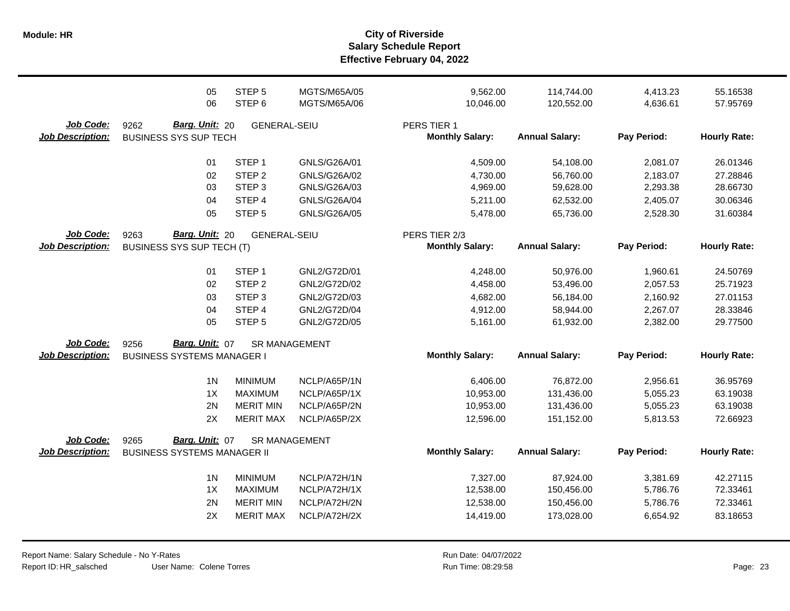**Salary Schedule Report Effective February 04, 2022 Module: HR City of Riverside**

|                         | 05<br>06                           | STEP <sub>5</sub><br>STEP <sub>6</sub> | MGTS/M65A/05<br>MGTS/M65A/06 | 9,562.00<br>10,046.00  | 114,744.00<br>120,552.00 | 4,413.23<br>4,636.61 | 55.16538<br>57.95769 |
|-------------------------|------------------------------------|----------------------------------------|------------------------------|------------------------|--------------------------|----------------------|----------------------|
| Job Code:               | Barg. Unit: 20<br>9262             | <b>GENERAL-SEIU</b>                    |                              | PERS TIER 1            |                          |                      |                      |
| <b>Job Description:</b> | <b>BUSINESS SYS SUP TECH</b>       |                                        |                              | <b>Monthly Salary:</b> | <b>Annual Salary:</b>    | Pay Period:          | <b>Hourly Rate:</b>  |
|                         | 01                                 | STEP <sub>1</sub>                      | GNLS/G26A/01                 | 4,509.00               | 54,108.00                | 2,081.07             | 26.01346             |
|                         | 02                                 | STEP <sub>2</sub>                      | GNLS/G26A/02                 | 4,730.00               | 56,760.00                | 2,183.07             | 27.28846             |
|                         | 03                                 | STEP <sub>3</sub>                      | GNLS/G26A/03                 | 4,969.00               | 59,628.00                | 2,293.38             | 28.66730             |
|                         | 04                                 | STEP 4                                 | GNLS/G26A/04                 | 5,211.00               | 62,532.00                | 2,405.07             | 30.06346             |
|                         | 05                                 | STEP <sub>5</sub>                      | GNLS/G26A/05                 | 5,478.00               | 65,736.00                | 2,528.30             | 31.60384             |
| Job Code:               | Barg. Unit: 20<br>9263             | <b>GENERAL-SEIU</b>                    |                              | PERS TIER 2/3          |                          |                      |                      |
| <b>Job Description:</b> | <b>BUSINESS SYS SUP TECH (T)</b>   |                                        |                              | <b>Monthly Salary:</b> | <b>Annual Salary:</b>    | Pay Period:          | <b>Hourly Rate:</b>  |
|                         | 01                                 | STEP <sub>1</sub>                      | GNL2/G72D/01                 | 4,248.00               | 50,976.00                | 1,960.61             | 24.50769             |
|                         | 02                                 | STEP <sub>2</sub>                      | GNL2/G72D/02                 | 4,458.00               | 53,496.00                | 2,057.53             | 25.71923             |
|                         | 03                                 | STEP <sub>3</sub>                      | GNL2/G72D/03                 | 4,682.00               | 56,184.00                | 2,160.92             | 27.01153             |
|                         | 04                                 | STEP 4                                 | GNL2/G72D/04                 | 4,912.00               | 58,944.00                | 2,267.07             | 28.33846             |
|                         | 05                                 | STEP <sub>5</sub>                      | GNL2/G72D/05                 | 5,161.00               | 61,932.00                | 2,382.00             | 29.77500             |
| Job Code:               | Barg. Unit: 07<br>9256             | SR MANAGEMENT                          |                              |                        |                          |                      |                      |
| <b>Job Description:</b> | <b>BUSINESS SYSTEMS MANAGER I</b>  |                                        |                              | <b>Monthly Salary:</b> | <b>Annual Salary:</b>    | Pay Period:          | <b>Hourly Rate:</b>  |
|                         | 1 <sub>N</sub>                     | <b>MINIMUM</b>                         | NCLP/A65P/1N                 | 6,406.00               | 76,872.00                | 2,956.61             | 36.95769             |
|                         | 1X                                 | <b>MAXIMUM</b>                         | NCLP/A65P/1X                 | 10,953.00              | 131,436.00               | 5,055.23             | 63.19038             |
|                         | 2N                                 | <b>MERIT MIN</b>                       | NCLP/A65P/2N                 | 10,953.00              | 131,436.00               | 5,055.23             | 63.19038             |
|                         | 2X                                 | <b>MERIT MAX</b>                       | NCLP/A65P/2X                 | 12,596.00              | 151,152.00               | 5,813.53             | 72.66923             |
| <b>Job Code:</b>        | Barg. Unit: 07<br>9265             |                                        | SR MANAGEMENT                |                        |                          |                      |                      |
| <b>Job Description:</b> | <b>BUSINESS SYSTEMS MANAGER II</b> |                                        |                              | <b>Monthly Salary:</b> | <b>Annual Salary:</b>    | Pay Period:          | <b>Hourly Rate:</b>  |
|                         | 1 <sub>N</sub>                     | <b>MINIMUM</b>                         | NCLP/A72H/1N                 | 7,327.00               | 87,924.00                | 3,381.69             | 42.27115             |
|                         | 1X                                 | <b>MAXIMUM</b>                         | NCLP/A72H/1X                 | 12,538.00              | 150,456.00               | 5,786.76             | 72.33461             |
|                         | 2N                                 | <b>MERIT MIN</b>                       | NCLP/A72H/2N                 | 12,538.00              | 150,456.00               | 5,786.76             | 72.33461             |
|                         | 2X                                 | <b>MERIT MAX</b>                       | NCLP/A72H/2X                 | 14,419.00              | 173,028.00               | 6,654.92             | 83.18653             |
|                         |                                    |                                        |                              |                        |                          |                      |                      |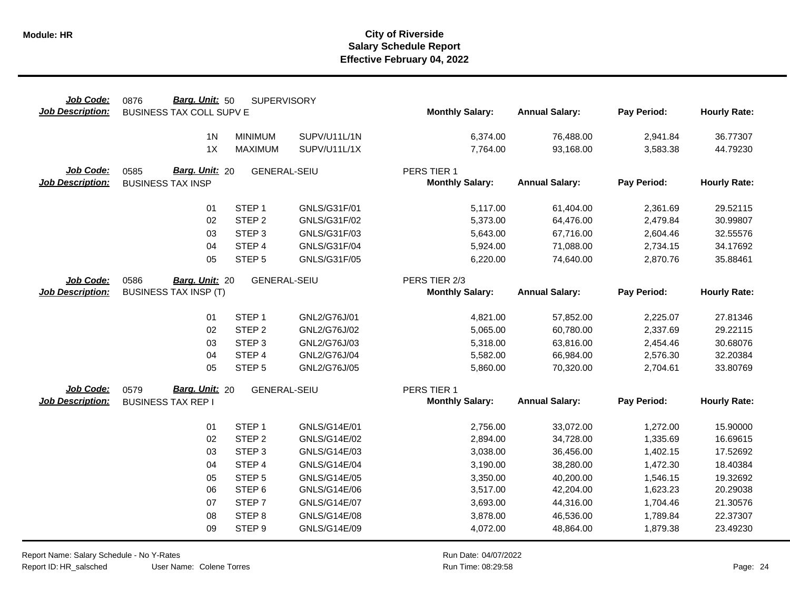| Job Code:                            | Barg. Unit: 50<br>0876                             | <b>SUPERVISORY</b>  |                     |                                       |                       |             |                     |
|--------------------------------------|----------------------------------------------------|---------------------|---------------------|---------------------------------------|-----------------------|-------------|---------------------|
| <b>Job Description:</b>              | BUSINESS TAX COLL SUPV E                           |                     |                     | <b>Monthly Salary:</b>                | <b>Annual Salary:</b> | Pay Period: | <b>Hourly Rate:</b> |
|                                      | 1 <sub>N</sub>                                     | <b>MINIMUM</b>      | SUPV/U11L/1N        | 6,374.00                              | 76,488.00             | 2,941.84    | 36.77307            |
|                                      | 1X                                                 | <b>MAXIMUM</b>      | SUPV/U11L/1X        | 7,764.00                              | 93,168.00             | 3,583.38    | 44.79230            |
|                                      |                                                    |                     |                     |                                       |                       |             |                     |
| Job Code:<br><b>Job Description:</b> | Barg. Unit: 20<br>0585<br><b>BUSINESS TAX INSP</b> | <b>GENERAL-SEIU</b> |                     | PERS TIER 1<br><b>Monthly Salary:</b> | <b>Annual Salary:</b> | Pay Period: | <b>Hourly Rate:</b> |
|                                      |                                                    |                     |                     |                                       |                       |             |                     |
|                                      | 01                                                 | STEP <sub>1</sub>   | GNLS/G31F/01        | 5,117.00                              | 61,404.00             | 2,361.69    | 29.52115            |
|                                      | 02                                                 | STEP <sub>2</sub>   | GNLS/G31F/02        | 5,373.00                              | 64,476.00             | 2,479.84    | 30.99807            |
|                                      | 03                                                 | STEP <sub>3</sub>   | GNLS/G31F/03        | 5,643.00                              | 67,716.00             | 2,604.46    | 32.55576            |
|                                      | 04                                                 | STEP 4              | GNLS/G31F/04        | 5,924.00                              | 71,088.00             | 2,734.15    | 34.17692            |
|                                      | 05                                                 | STEP <sub>5</sub>   | GNLS/G31F/05        | 6,220.00                              | 74,640.00             | 2,870.76    | 35.88461            |
| Job Code:                            | 0586<br>Barg. Unit: 20                             | <b>GENERAL-SEIU</b> |                     | PERS TIER 2/3                         |                       |             |                     |
| <b>Job Description:</b>              | <b>BUSINESS TAX INSP (T)</b>                       |                     |                     | <b>Monthly Salary:</b>                | <b>Annual Salary:</b> | Pay Period: | <b>Hourly Rate:</b> |
|                                      |                                                    |                     |                     |                                       |                       |             |                     |
|                                      | 01                                                 | STEP <sub>1</sub>   | GNL2/G76J/01        | 4,821.00                              | 57,852.00             | 2,225.07    | 27.81346            |
|                                      | 02                                                 | STEP <sub>2</sub>   | GNL2/G76J/02        | 5,065.00                              | 60,780.00             | 2,337.69    | 29.22115            |
|                                      | 03                                                 | STEP <sub>3</sub>   | GNL2/G76J/03        | 5,318.00                              | 63,816.00             | 2,454.46    | 30.68076            |
|                                      | 04                                                 | STEP 4              | GNL2/G76J/04        | 5,582.00                              | 66,984.00             | 2,576.30    | 32.20384            |
|                                      | 05                                                 | STEP <sub>5</sub>   | GNL2/G76J/05        | 5,860.00                              | 70,320.00             | 2,704.61    | 33.80769            |
| Job Code:                            | Barg. Unit: 20<br>0579                             | <b>GENERAL-SEIU</b> |                     | PERS TIER 1                           |                       |             |                     |
| <b>Job Description:</b>              | <b>BUSINESS TAX REP I</b>                          |                     |                     | <b>Monthly Salary:</b>                | <b>Annual Salary:</b> | Pay Period: | <b>Hourly Rate:</b> |
|                                      | 01                                                 | STEP <sub>1</sub>   | GNLS/G14E/01        | 2,756.00                              | 33,072.00             | 1,272.00    | 15.90000            |
|                                      | 02                                                 | STEP <sub>2</sub>   | GNLS/G14E/02        | 2,894.00                              | 34,728.00             | 1,335.69    | 16.69615            |
|                                      | 03                                                 | STEP <sub>3</sub>   | GNLS/G14E/03        | 3,038.00                              | 36,456.00             | 1,402.15    | 17.52692            |
|                                      | 04                                                 | STEP 4              | <b>GNLS/G14E/04</b> | 3,190.00                              | 38,280.00             | 1,472.30    | 18.40384            |
|                                      | 05                                                 | STEP <sub>5</sub>   | GNLS/G14E/05        | 3,350.00                              | 40,200.00             | 1,546.15    | 19.32692            |
|                                      | 06                                                 | STEP <sub>6</sub>   | GNLS/G14E/06        | 3,517.00                              | 42,204.00             | 1,623.23    | 20.29038            |
|                                      | 07                                                 | STEP <sub>7</sub>   | <b>GNLS/G14E/07</b> | 3,693.00                              | 44,316.00             | 1,704.46    | 21.30576            |
|                                      | 08                                                 | STEP <sub>8</sub>   | <b>GNLS/G14E/08</b> | 3,878.00                              | 46,536.00             | 1,789.84    | 22.37307            |
|                                      | 09                                                 | STEP <sub>9</sub>   | GNLS/G14E/09        | 4,072.00                              | 48,864.00             | 1,879.38    | 23.49230            |

Report Name: Salary Schedule - No Y-Rates Report ID: HR\_salsched

 $\overline{\phantom{0}}$ 

User Name: Colene Torres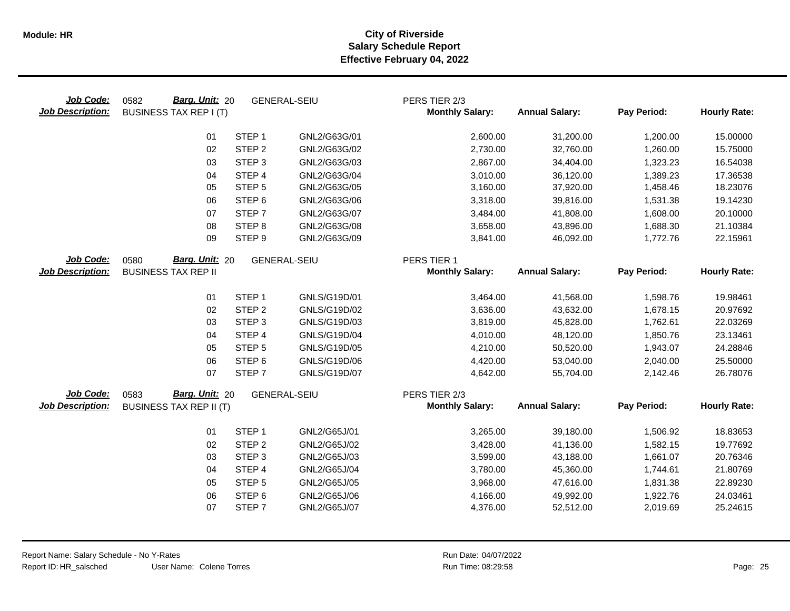| Job Code:<br><b>Job Description:</b> | Barg. Unit: 20<br>0582<br><b>BUSINESS TAX REP I (T)</b> |                   | <b>GENERAL-SEIU</b> | PERS TIER 2/3<br><b>Monthly Salary:</b> | <b>Annual Salary:</b> | Pay Period: | <b>Hourly Rate:</b> |
|--------------------------------------|---------------------------------------------------------|-------------------|---------------------|-----------------------------------------|-----------------------|-------------|---------------------|
|                                      | 01                                                      | STEP <sub>1</sub> | GNL2/G63G/01        | 2,600.00                                | 31,200.00             | 1,200.00    | 15.00000            |
|                                      | 02                                                      | STEP <sub>2</sub> | GNL2/G63G/02        | 2,730.00                                | 32,760.00             | 1,260.00    | 15.75000            |
|                                      | 03                                                      | STEP <sub>3</sub> | GNL2/G63G/03        | 2,867.00                                | 34,404.00             | 1,323.23    | 16.54038            |
|                                      | 04                                                      | STEP 4            | GNL2/G63G/04        | 3,010.00                                | 36,120.00             | 1,389.23    | 17.36538            |
|                                      | 05                                                      | STEP <sub>5</sub> | GNL2/G63G/05        | 3,160.00                                | 37,920.00             | 1,458.46    | 18.23076            |
|                                      | 06                                                      | STEP <sub>6</sub> | GNL2/G63G/06        | 3,318.00                                | 39,816.00             | 1,531.38    | 19.14230            |
|                                      | 07                                                      | STEP <sub>7</sub> | GNL2/G63G/07        | 3,484.00                                | 41,808.00             | 1,608.00    | 20.10000            |
|                                      | 08                                                      | STEP <sub>8</sub> | GNL2/G63G/08        | 3,658.00                                | 43,896.00             | 1,688.30    | 21.10384            |
|                                      | 09                                                      | STEP <sub>9</sub> | GNL2/G63G/09        | 3,841.00                                | 46,092.00             | 1,772.76    | 22.15961            |
| Job Code:                            | 0580<br>Barg. Unit: 20                                  |                   | <b>GENERAL-SEIU</b> | PERS TIER 1                             |                       |             |                     |
| <b>Job Description:</b>              | <b>BUSINESS TAX REP II</b>                              |                   |                     | <b>Monthly Salary:</b>                  | <b>Annual Salary:</b> | Pay Period: | <b>Hourly Rate:</b> |
|                                      | 01                                                      | STEP <sub>1</sub> | GNLS/G19D/01        | 3,464.00                                | 41,568.00             | 1,598.76    | 19.98461            |
|                                      | 02                                                      | STEP <sub>2</sub> | GNLS/G19D/02        | 3,636.00                                | 43,632.00             | 1,678.15    | 20.97692            |
|                                      | 03                                                      | STEP <sub>3</sub> | GNLS/G19D/03        | 3,819.00                                | 45,828.00             | 1,762.61    | 22.03269            |
|                                      | 04                                                      | STEP 4            | GNLS/G19D/04        | 4,010.00                                | 48,120.00             | 1,850.76    | 23.13461            |
|                                      | 05                                                      | STEP <sub>5</sub> | GNLS/G19D/05        | 4,210.00                                | 50,520.00             | 1,943.07    | 24.28846            |
|                                      | 06                                                      | STEP <sub>6</sub> | GNLS/G19D/06        | 4,420.00                                | 53,040.00             | 2,040.00    | 25.50000            |
|                                      | 07                                                      | STEP <sub>7</sub> | GNLS/G19D/07        | 4,642.00                                | 55,704.00             | 2,142.46    | 26.78076            |
| Job Code:                            | Barg. Unit: 20<br>0583                                  |                   | <b>GENERAL-SEIU</b> | PERS TIER 2/3                           |                       |             |                     |
| <b>Job Description:</b>              | <b>BUSINESS TAX REP II (T)</b>                          |                   |                     | <b>Monthly Salary:</b>                  | <b>Annual Salary:</b> | Pay Period: | <b>Hourly Rate:</b> |
|                                      | 01                                                      | STEP <sub>1</sub> | GNL2/G65J/01        | 3,265.00                                | 39,180.00             | 1,506.92    | 18.83653            |
|                                      | 02                                                      | STEP <sub>2</sub> | GNL2/G65J/02        | 3,428.00                                | 41,136.00             | 1,582.15    | 19.77692            |
|                                      | 03                                                      | STEP <sub>3</sub> | GNL2/G65J/03        | 3,599.00                                | 43,188.00             | 1,661.07    | 20.76346            |
|                                      | 04                                                      | STEP 4            | GNL2/G65J/04        | 3,780.00                                | 45,360.00             | 1,744.61    | 21.80769            |
|                                      | 05                                                      | STEP <sub>5</sub> | GNL2/G65J/05        | 3,968.00                                | 47,616.00             | 1,831.38    | 22.89230            |
|                                      | 06                                                      | STEP <sub>6</sub> | GNL2/G65J/06        | 4,166.00                                | 49,992.00             | 1,922.76    | 24.03461            |
|                                      | 07                                                      | STEP <sub>7</sub> | GNL2/G65J/07        | 4,376.00                                | 52,512.00             | 2,019.69    | 25.24615            |
|                                      |                                                         |                   |                     |                                         |                       |             |                     |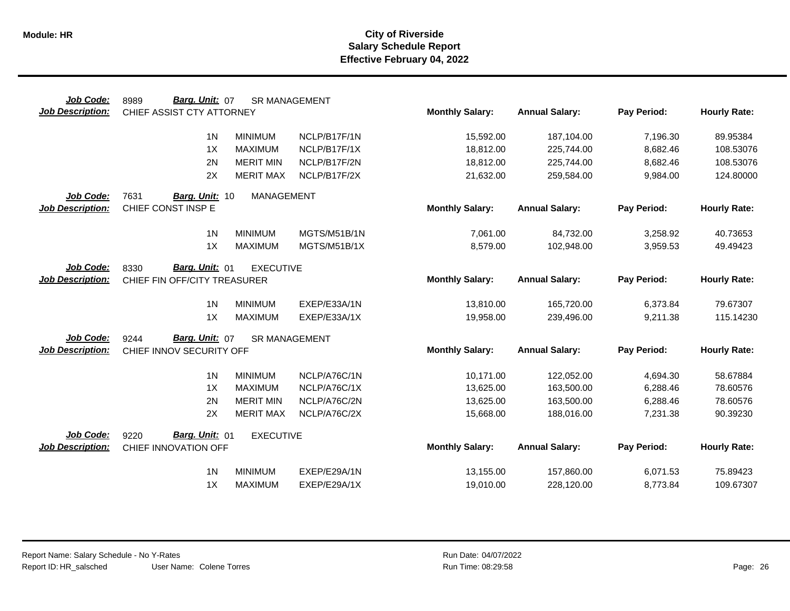| Job Code:               | Barg. Unit: 07<br>8989       |                   | <b>SR MANAGEMENT</b> |                        |                       |             |                     |
|-------------------------|------------------------------|-------------------|----------------------|------------------------|-----------------------|-------------|---------------------|
| <b>Job Description:</b> | CHIEF ASSIST CTY ATTORNEY    |                   |                      | <b>Monthly Salary:</b> | <b>Annual Salary:</b> | Pay Period: | <b>Hourly Rate:</b> |
|                         | 1 <sub>N</sub>               | <b>MINIMUM</b>    | NCLP/B17F/1N         | 15,592.00              | 187,104.00            | 7,196.30    | 89.95384            |
|                         | 1X                           | <b>MAXIMUM</b>    | NCLP/B17F/1X         | 18,812.00              | 225,744.00            | 8,682.46    | 108.53076           |
|                         | 2N                           | <b>MERIT MIN</b>  | NCLP/B17F/2N         | 18,812.00              | 225,744.00            | 8,682.46    | 108.53076           |
|                         | 2X                           | <b>MERIT MAX</b>  | NCLP/B17F/2X         | 21,632.00              | 259,584.00            | 9,984.00    | 124.80000           |
| Job Code:               | 7631<br>Barg. Unit: 10       | <b>MANAGEMENT</b> |                      |                        |                       |             |                     |
| <b>Job Description:</b> | CHIEF CONST INSP E           |                   |                      | <b>Monthly Salary:</b> | <b>Annual Salary:</b> | Pay Period: | <b>Hourly Rate:</b> |
|                         | 1 <sub>N</sub>               | <b>MINIMUM</b>    | MGTS/M51B/1N         | 7,061.00               | 84,732.00             | 3,258.92    | 40.73653            |
|                         | 1X                           | <b>MAXIMUM</b>    | MGTS/M51B/1X         | 8,579.00               | 102,948.00            | 3,959.53    | 49.49423            |
| Job Code:               | Barg. Unit: 01<br>8330       | <b>EXECUTIVE</b>  |                      |                        |                       |             |                     |
| <b>Job Description:</b> | CHIEF FIN OFF/CITY TREASURER |                   |                      | <b>Monthly Salary:</b> | <b>Annual Salary:</b> | Pay Period: | <b>Hourly Rate:</b> |
|                         | 1 <sub>N</sub>               | <b>MINIMUM</b>    | EXEP/E33A/1N         | 13,810.00              | 165,720.00            | 6,373.84    | 79.67307            |
|                         | 1X                           | <b>MAXIMUM</b>    | EXEP/E33A/1X         | 19,958.00              | 239,496.00            | 9,211.38    | 115.14230           |
| Job Code:               | Barg. Unit: 07<br>9244       |                   | <b>SR MANAGEMENT</b> |                        |                       |             |                     |
| <b>Job Description:</b> | CHIEF INNOV SECURITY OFF     |                   |                      | <b>Monthly Salary:</b> | <b>Annual Salary:</b> | Pay Period: | <b>Hourly Rate:</b> |
|                         | 1 <sub>N</sub>               | <b>MINIMUM</b>    | NCLP/A76C/1N         | 10,171.00              | 122,052.00            | 4,694.30    | 58.67884            |
|                         | 1X                           | <b>MAXIMUM</b>    | NCLP/A76C/1X         | 13,625.00              | 163,500.00            | 6,288.46    | 78.60576            |
|                         | 2N                           | <b>MERIT MIN</b>  | NCLP/A76C/2N         | 13,625.00              | 163,500.00            | 6,288.46    | 78.60576            |
|                         | 2X                           | <b>MERIT MAX</b>  | NCLP/A76C/2X         | 15,668.00              | 188,016.00            | 7,231.38    | 90.39230            |
| Job Code:               | Barg. Unit: 01<br>9220       | <b>EXECUTIVE</b>  |                      |                        |                       |             |                     |
| <b>Job Description:</b> | CHIEF INNOVATION OFF         |                   |                      | <b>Monthly Salary:</b> | <b>Annual Salary:</b> | Pay Period: | <b>Hourly Rate:</b> |
|                         | 1 <sub>N</sub>               | <b>MINIMUM</b>    | EXEP/E29A/1N         | 13,155.00              | 157,860.00            | 6,071.53    | 75.89423            |
|                         | 1X                           | <b>MAXIMUM</b>    | EXEP/E29A/1X         | 19,010.00              | 228,120.00            | 8,773.84    | 109.67307           |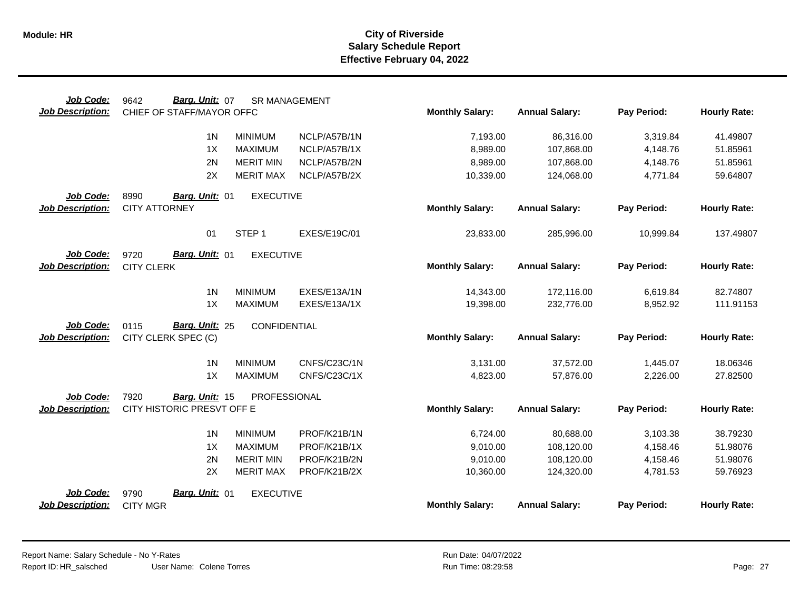| Job Code:                            | Barg. Unit: 07<br>9642                      | <b>SR MANAGEMENT</b> |                     |                        |                       |             |                     |
|--------------------------------------|---------------------------------------------|----------------------|---------------------|------------------------|-----------------------|-------------|---------------------|
| <b>Job Description:</b>              | CHIEF OF STAFF/MAYOR OFFC                   |                      |                     | <b>Monthly Salary:</b> | <b>Annual Salary:</b> | Pay Period: | <b>Hourly Rate:</b> |
|                                      | 1 <sub>N</sub>                              | <b>MINIMUM</b>       | NCLP/A57B/1N        | 7,193.00               | 86,316.00             | 3,319.84    | 41.49807            |
|                                      | 1X                                          | <b>MAXIMUM</b>       | NCLP/A57B/1X        | 8,989.00               | 107,868.00            | 4,148.76    | 51.85961            |
|                                      | 2N                                          | <b>MERIT MIN</b>     | NCLP/A57B/2N        | 8,989.00               | 107,868.00            | 4,148.76    | 51.85961            |
|                                      | 2X                                          | <b>MERIT MAX</b>     | NCLP/A57B/2X        | 10,339.00              | 124,068.00            | 4,771.84    | 59.64807            |
| Job Code:                            | 8990<br>Barg. Unit: 01                      | <b>EXECUTIVE</b>     |                     |                        |                       |             |                     |
| <b>Job Description:</b>              | <b>CITY ATTORNEY</b>                        |                      |                     | <b>Monthly Salary:</b> | <b>Annual Salary:</b> | Pay Period: | <b>Hourly Rate:</b> |
|                                      | 01                                          | STEP <sub>1</sub>    | <b>EXES/E19C/01</b> | 23,833.00              | 285,996.00            | 10,999.84   | 137.49807           |
| Job Code:<br><b>Job Description:</b> | Barg. Unit: 01<br>9720<br><b>CITY CLERK</b> | <b>EXECUTIVE</b>     |                     | <b>Monthly Salary:</b> | <b>Annual Salary:</b> | Pay Period: | <b>Hourly Rate:</b> |
|                                      | 1 <sub>N</sub>                              | <b>MINIMUM</b>       | EXES/E13A/1N        | 14,343.00              | 172,116.00            | 6,619.84    | 82.74807            |
|                                      | 1X                                          | <b>MAXIMUM</b>       | EXES/E13A/1X        | 19,398.00              | 232,776.00            | 8,952.92    | 111.91153           |
| Job Code:                            | Barg. Unit: 25<br>0115                      | CONFIDENTIAL         |                     |                        |                       |             |                     |
| <b>Job Description:</b>              | CITY CLERK SPEC (C)                         |                      |                     | <b>Monthly Salary:</b> | <b>Annual Salary:</b> | Pay Period: | <b>Hourly Rate:</b> |
|                                      | 1 <sub>N</sub>                              | <b>MINIMUM</b>       | CNFS/C23C/1N        | 3,131.00               | 37,572.00             | 1,445.07    | 18.06346            |
|                                      | 1X                                          | <b>MAXIMUM</b>       | CNFS/C23C/1X        | 4,823.00               | 57,876.00             | 2,226.00    | 27.82500            |
| Job Code:                            | 7920<br>Barg. Unit: 15                      | PROFESSIONAL         |                     |                        |                       |             |                     |
| <b>Job Description:</b>              | CITY HISTORIC PRESVT OFF E                  |                      |                     | <b>Monthly Salary:</b> | <b>Annual Salary:</b> | Pay Period: | <b>Hourly Rate:</b> |
|                                      | 1 <sup>N</sup>                              | <b>MINIMUM</b>       | PROF/K21B/1N        | 6,724.00               | 80,688.00             | 3,103.38    | 38.79230            |
|                                      | 1X                                          | <b>MAXIMUM</b>       | PROF/K21B/1X        | 9,010.00               | 108,120.00            | 4,158.46    | 51.98076            |
|                                      | 2N                                          | <b>MERIT MIN</b>     | PROF/K21B/2N        | 9,010.00               | 108,120.00            | 4,158.46    | 51.98076            |
|                                      | 2X                                          | <b>MERIT MAX</b>     | PROF/K21B/2X        | 10,360.00              | 124,320.00            | 4,781.53    | 59.76923            |
| Job Code:                            | Barg. Unit: 01<br>9790                      | <b>EXECUTIVE</b>     |                     |                        |                       |             |                     |
| <b>Job Description:</b>              | <b>CITY MGR</b>                             |                      |                     | <b>Monthly Salary:</b> | <b>Annual Salary:</b> | Pay Period: | <b>Hourly Rate:</b> |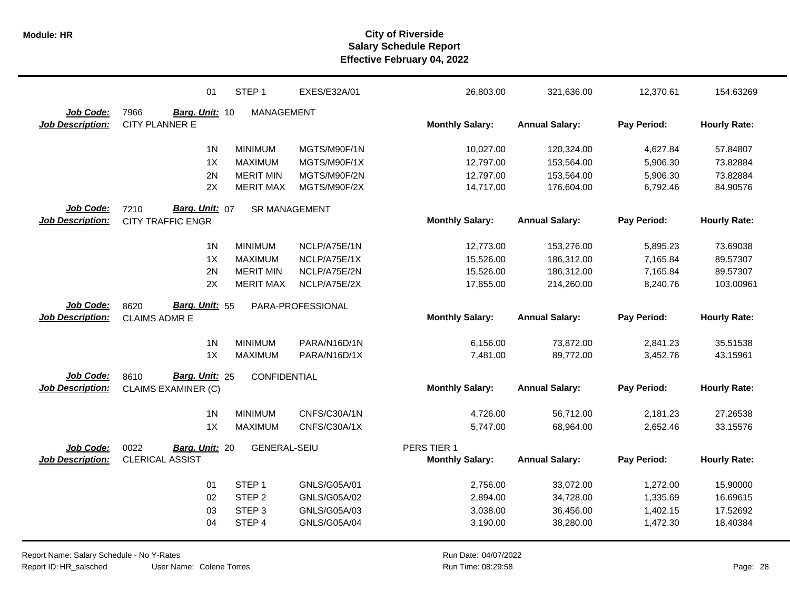|                         | 01                         | STEP <sub>1</sub>    | EXES/E32A/01      | 26,803.00              | 321,636.00            | 12,370.61   | 154.63269           |
|-------------------------|----------------------------|----------------------|-------------------|------------------------|-----------------------|-------------|---------------------|
| Job Code:               | 7966<br>Barg. Unit: 10     | MANAGEMENT           |                   |                        |                       |             |                     |
| <b>Job Description:</b> | <b>CITY PLANNER E</b>      |                      |                   | <b>Monthly Salary:</b> | <b>Annual Salary:</b> | Pay Period: | <b>Hourly Rate:</b> |
|                         | 1 <sub>N</sub>             | <b>MINIMUM</b>       | MGTS/M90F/1N      | 10,027.00              | 120,324.00            | 4,627.84    | 57.84807            |
|                         | 1X                         | <b>MAXIMUM</b>       | MGTS/M90F/1X      | 12,797.00              | 153,564.00            | 5,906.30    | 73.82884            |
|                         | 2N                         | <b>MERIT MIN</b>     | MGTS/M90F/2N      | 12,797.00              | 153,564.00            | 5,906.30    | 73.82884            |
|                         | 2X                         | <b>MERIT MAX</b>     | MGTS/M90F/2X      | 14,717.00              | 176,604.00            | 6,792.46    | 84.90576            |
| Job Code:               | 7210<br>Barg. Unit: 07     | <b>SR MANAGEMENT</b> |                   |                        |                       |             |                     |
| <b>Job Description:</b> | <b>CITY TRAFFIC ENGR</b>   |                      |                   | <b>Monthly Salary:</b> | <b>Annual Salary:</b> | Pay Period: | <b>Hourly Rate:</b> |
|                         | 1 <sub>N</sub>             | <b>MINIMUM</b>       | NCLP/A75E/1N      | 12,773.00              | 153,276.00            | 5,895.23    | 73.69038            |
|                         | 1X                         | <b>MAXIMUM</b>       | NCLP/A75E/1X      | 15,526.00              | 186,312.00            | 7,165.84    | 89.57307            |
|                         | 2N                         | <b>MERIT MIN</b>     | NCLP/A75E/2N      | 15,526.00              | 186,312.00            | 7,165.84    | 89.57307            |
|                         | 2X                         | <b>MERIT MAX</b>     | NCLP/A75E/2X      | 17,855.00              | 214,260.00            | 8,240.76    | 103.00961           |
| Job Code:               | Barg. Unit: 55<br>8620     |                      | PARA-PROFESSIONAL |                        |                       |             |                     |
|                         |                            |                      |                   |                        |                       |             |                     |
| <b>Job Description:</b> | <b>CLAIMS ADMR E</b>       |                      |                   | <b>Monthly Salary:</b> | <b>Annual Salary:</b> | Pay Period: | <b>Hourly Rate:</b> |
|                         | 1 <sub>N</sub>             | <b>MINIMUM</b>       | PARA/N16D/1N      | 6,156.00               | 73,872.00             | 2,841.23    | 35.51538            |
|                         | 1X                         | <b>MAXIMUM</b>       | PARA/N16D/1X      | 7,481.00               | 89,772.00             | 3,452.76    | 43.15961            |
| Job Code:               | Barg. Unit: 25<br>8610     | CONFIDENTIAL         |                   |                        |                       |             |                     |
| <b>Job Description:</b> | <b>CLAIMS EXAMINER (C)</b> |                      |                   | <b>Monthly Salary:</b> | <b>Annual Salary:</b> | Pay Period: | <b>Hourly Rate:</b> |
|                         | 1 <sub>N</sub>             | <b>MINIMUM</b>       | CNFS/C30A/1N      | 4,726.00               | 56,712.00             | 2,181.23    | 27.26538            |
|                         | 1X                         | <b>MAXIMUM</b>       | CNFS/C30A/1X      | 5,747.00               | 68,964.00             | 2,652.46    | 33.15576            |
| Job Code:               | 0022<br>Barg. Unit: 20     | <b>GENERAL-SEIU</b>  |                   | PERS TIER 1            |                       |             |                     |
| <b>Job Description:</b> | <b>CLERICAL ASSIST</b>     |                      |                   | <b>Monthly Salary:</b> | <b>Annual Salary:</b> | Pay Period: | <b>Hourly Rate:</b> |
|                         | 01                         | STEP <sub>1</sub>    | GNLS/G05A/01      | 2,756.00               | 33,072.00             | 1,272.00    | 15.90000            |
|                         | 02                         | STEP <sub>2</sub>    | GNLS/G05A/02      | 2,894.00               | 34,728.00             | 1,335.69    | 16.69615            |
|                         | 03                         | STEP <sub>3</sub>    | GNLS/G05A/03      | 3,038.00               | 36,456.00             | 1,402.15    | 17.52692            |
|                         | 04                         | STEP 4               | GNLS/G05A/04      | 3,190.00               | 38,280.00             | 1,472.30    | 18.40384            |

User Name: Colene Torres Report Name: Salary Schedule - No Y-Rates Report ID: HR\_salsched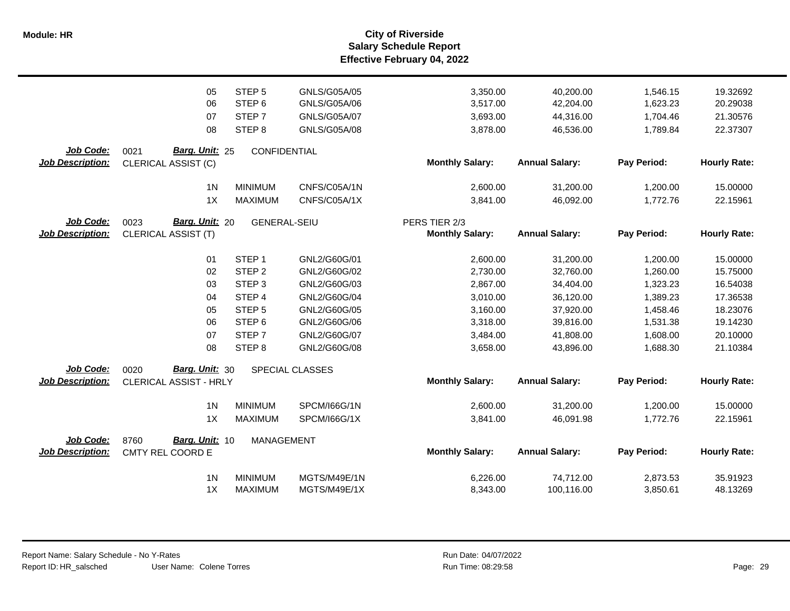|                         | 05                         | STEP <sub>5</sub>   | GNLS/G05A/05        | 3,350.00               | 40,200.00             | 1,546.15    | 19.32692            |
|-------------------------|----------------------------|---------------------|---------------------|------------------------|-----------------------|-------------|---------------------|
|                         | 06                         | STEP <sub>6</sub>   | GNLS/G05A/06        | 3,517.00               | 42,204.00             | 1,623.23    | 20.29038            |
|                         | 07                         | STEP <sub>7</sub>   | GNLS/G05A/07        | 3,693.00               | 44,316.00             | 1,704.46    | 21.30576            |
|                         | 08                         | STEP <sub>8</sub>   | GNLS/G05A/08        | 3,878.00               | 46,536.00             | 1,789.84    | 22.37307            |
|                         |                            |                     |                     |                        |                       |             |                     |
| Job Code:               | Barg. Unit: 25<br>0021     | CONFIDENTIAL        |                     |                        |                       |             |                     |
| <b>Job Description:</b> | CLERICAL ASSIST (C)        |                     |                     | <b>Monthly Salary:</b> | <b>Annual Salary:</b> | Pay Period: | <b>Hourly Rate:</b> |
|                         | 1 <sub>N</sub>             | <b>MINIMUM</b>      | CNFS/C05A/1N        | 2,600.00               | 31,200.00             | 1,200.00    | 15.00000            |
|                         | 1X                         | <b>MAXIMUM</b>      | CNFS/C05A/1X        | 3,841.00               | 46,092.00             | 1,772.76    | 22.15961            |
|                         |                            |                     |                     |                        |                       |             |                     |
| Job Code:               | Barg. Unit: 20<br>0023     | <b>GENERAL-SEIU</b> |                     | PERS TIER 2/3          |                       |             |                     |
| Job Description:        | <b>CLERICAL ASSIST (T)</b> |                     |                     | <b>Monthly Salary:</b> | <b>Annual Salary:</b> | Pay Period: | <b>Hourly Rate:</b> |
|                         |                            |                     |                     |                        |                       |             |                     |
|                         | 01                         | STEP <sub>1</sub>   | GNL2/G60G/01        | 2,600.00               | 31,200.00             | 1,200.00    | 15.00000            |
|                         | 02                         | STEP <sub>2</sub>   | GNL2/G60G/02        | 2,730.00               | 32,760.00             | 1,260.00    | 15.75000            |
|                         | 03                         | STEP <sub>3</sub>   | GNL2/G60G/03        | 2,867.00               | 34,404.00             | 1,323.23    | 16.54038            |
|                         | 04                         | STEP <sub>4</sub>   | GNL2/G60G/04        | 3,010.00               | 36,120.00             | 1,389.23    | 17.36538            |
|                         | 05                         | STEP <sub>5</sub>   | GNL2/G60G/05        | 3,160.00               | 37,920.00             | 1,458.46    | 18.23076            |
|                         | 06                         | STEP <sub>6</sub>   | GNL2/G60G/06        | 3,318.00               | 39,816.00             | 1,531.38    | 19.14230            |
|                         | 07                         | STEP <sub>7</sub>   | GNL2/G60G/07        | 3,484.00               | 41,808.00             | 1,608.00    | 20.10000            |
|                         | 08                         | STEP <sub>8</sub>   | GNL2/G60G/08        | 3,658.00               | 43,896.00             | 1,688.30    | 21.10384            |
|                         |                            |                     |                     |                        |                       |             |                     |
| Job Code:               | Barg. Unit: 30<br>0020     |                     | SPECIAL CLASSES     |                        |                       |             |                     |
| <b>Job Description:</b> | CLERICAL ASSIST - HRLY     |                     |                     | <b>Monthly Salary:</b> | <b>Annual Salary:</b> | Pay Period: | <b>Hourly Rate:</b> |
|                         | 1 <sub>N</sub>             | <b>MINIMUM</b>      | <b>SPCM/I66G/1N</b> | 2,600.00               | 31,200.00             | 1,200.00    | 15.00000            |
|                         | 1X                         | <b>MAXIMUM</b>      | SPCM/I66G/1X        | 3,841.00               | 46,091.98             | 1,772.76    | 22.15961            |
|                         |                            |                     |                     |                        |                       |             |                     |
| <b>Job Code:</b>        | Barg. Unit: 10<br>8760     | <b>MANAGEMENT</b>   |                     |                        |                       |             |                     |
| <b>Job Description:</b> | CMTY REL COORD E           |                     |                     | <b>Monthly Salary:</b> | <b>Annual Salary:</b> | Pay Period: | <b>Hourly Rate:</b> |
|                         |                            |                     |                     |                        |                       |             |                     |
|                         | 1 <sub>N</sub>             | <b>MINIMUM</b>      | MGTS/M49E/1N        | 6,226.00               | 74,712.00             | 2,873.53    | 35.91923            |
|                         | 1X                         | <b>MAXIMUM</b>      | MGTS/M49E/1X        | 8,343.00               | 100,116.00            | 3,850.61    | 48.13269            |
|                         |                            |                     |                     |                        |                       |             |                     |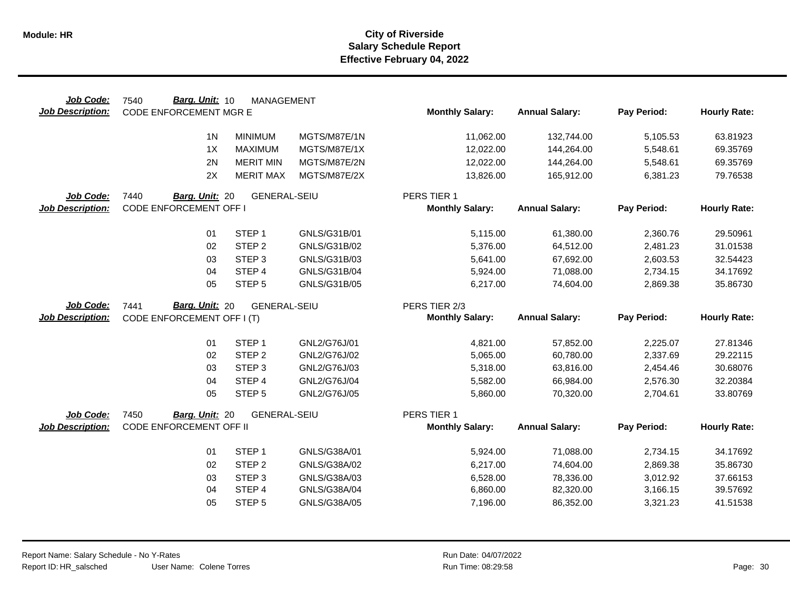| Job Code:               | Barg. Unit: 10<br>7540        | <b>MANAGEMENT</b>           |                              |                        |                        |                      |                      |
|-------------------------|-------------------------------|-----------------------------|------------------------------|------------------------|------------------------|----------------------|----------------------|
| <b>Job Description:</b> | <b>CODE ENFORCEMENT MGR E</b> |                             |                              | <b>Monthly Salary:</b> | <b>Annual Salary:</b>  | Pay Period:          | <b>Hourly Rate:</b>  |
|                         | 1 <sup>N</sup>                | <b>MINIMUM</b>              | MGTS/M87E/1N                 | 11,062.00              | 132,744.00             | 5,105.53             | 63.81923             |
|                         | 1X                            | <b>MAXIMUM</b>              | MGTS/M87E/1X                 | 12,022.00              | 144,264.00             | 5,548.61             | 69.35769             |
|                         |                               |                             |                              |                        |                        |                      |                      |
|                         | 2N                            | <b>MERIT MIN</b>            | MGTS/M87E/2N                 | 12,022.00              | 144,264.00             | 5,548.61             | 69.35769             |
|                         | 2X                            | <b>MERIT MAX</b>            | MGTS/M87E/2X                 | 13,826.00              | 165,912.00             | 6,381.23             | 79.76538             |
| Job Code:               | 7440<br>Barg. Unit: 20        | <b>GENERAL-SEIU</b>         |                              | PERS TIER 1            |                        |                      |                      |
| <b>Job Description:</b> | <b>CODE ENFORCEMENT OFF I</b> |                             |                              | <b>Monthly Salary:</b> | <b>Annual Salary:</b>  | Pay Period:          | <b>Hourly Rate:</b>  |
|                         | 01                            | STEP <sub>1</sub>           | GNLS/G31B/01                 | 5,115.00               | 61,380.00              | 2,360.76             | 29.50961             |
|                         | 02                            | STEP <sub>2</sub>           | GNLS/G31B/02                 | 5,376.00               | 64,512.00              | 2,481.23             | 31.01538             |
|                         | 03                            | STEP <sub>3</sub>           | GNLS/G31B/03                 | 5,641.00               | 67,692.00              | 2,603.53             | 32.54423             |
|                         | 04                            | STEP 4                      | GNLS/G31B/04                 | 5,924.00               | 71,088.00              | 2,734.15             | 34.17692             |
|                         | 05                            | STEP <sub>5</sub>           | GNLS/G31B/05                 | 6,217.00               | 74,604.00              | 2,869.38             | 35.86730             |
|                         |                               |                             |                              |                        |                        |                      |                      |
| Job Code:               | Barg. Unit: 20<br>7441        | <b>GENERAL-SEIU</b>         |                              | PERS TIER 2/3          |                        |                      |                      |
| <b>Job Description:</b> | CODE ENFORCEMENT OFF I (T)    |                             |                              | <b>Monthly Salary:</b> | <b>Annual Salary:</b>  | Pay Period:          | <b>Hourly Rate:</b>  |
|                         |                               |                             |                              |                        |                        |                      |                      |
|                         | 01                            | STEP <sub>1</sub>           | GNL2/G76J/01                 | 4,821.00               | 57,852.00              | 2,225.07             | 27.81346             |
|                         | 02                            | STEP <sub>2</sub>           | GNL2/G76J/02                 | 5,065.00               | 60,780.00              | 2,337.69             | 29.22115             |
|                         | 03                            | STEP <sub>3</sub>           | GNL2/G76J/03                 | 5,318.00               | 63,816.00              | 2,454.46             | 30.68076             |
|                         | 04                            | STEP 4                      | GNL2/G76J/04                 | 5,582.00               | 66,984.00              | 2,576.30             | 32.20384             |
|                         | 05                            | STEP <sub>5</sub>           | GNL2/G76J/05                 | 5,860.00               | 70,320.00              | 2,704.61             | 33.80769             |
| Job Code:               | 7450<br>Barg. Unit: 20        | <b>GENERAL-SEIU</b>         |                              | PERS TIER 1            |                        |                      |                      |
| <b>Job Description:</b> | CODE ENFORCEMENT OFF II       |                             |                              | <b>Monthly Salary:</b> | <b>Annual Salary:</b>  | Pay Period:          | <b>Hourly Rate:</b>  |
|                         | 01                            | STEP <sub>1</sub>           | GNLS/G38A/01                 |                        | 71,088.00              | 2,734.15             | 34.17692             |
|                         |                               |                             |                              | 5,924.00               |                        |                      |                      |
|                         | 02<br>03                      | STEP <sub>2</sub>           | GNLS/G38A/02                 | 6,217.00               | 74,604.00              | 2,869.38             | 35.86730             |
|                         |                               | STEP <sub>3</sub>           | GNLS/G38A/03                 | 6,528.00               | 78,336.00              | 3,012.92             | 37.66153             |
|                         |                               |                             |                              |                        |                        |                      |                      |
|                         | 04<br>05                      | STEP 4<br>STEP <sub>5</sub> | GNLS/G38A/04<br>GNLS/G38A/05 | 6,860.00<br>7,196.00   | 82,320.00<br>86,352.00 | 3,166.15<br>3,321.23 | 39.57692<br>41.51538 |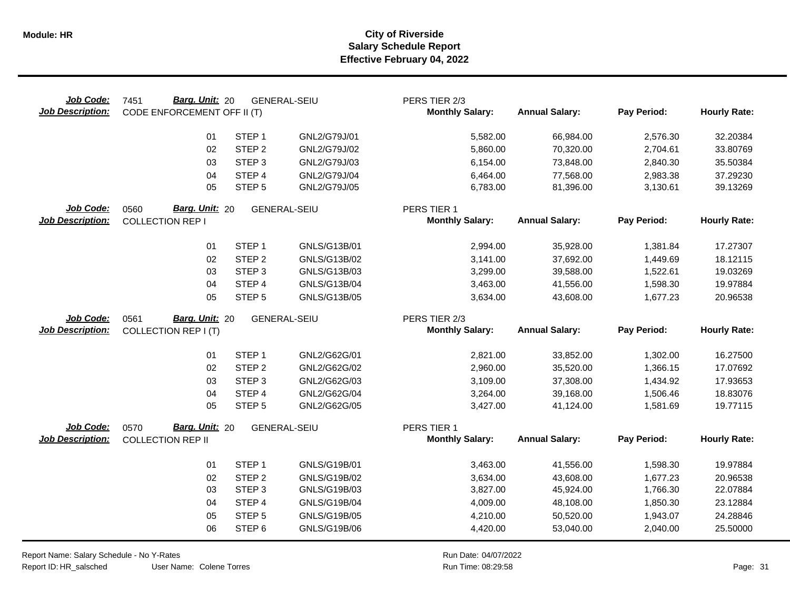| Job Code:<br><b>Job Description:</b> | Barg. Unit: 20<br>7451<br>CODE ENFORCEMENT OFF II (T) |                                        | <b>GENERAL-SEIU</b>          | PERS TIER 2/3<br><b>Monthly Salary:</b> | <b>Annual Salary:</b>  | Pay Period:          | <b>Hourly Rate:</b>  |
|--------------------------------------|-------------------------------------------------------|----------------------------------------|------------------------------|-----------------------------------------|------------------------|----------------------|----------------------|
|                                      | 01                                                    | STEP <sub>1</sub>                      | GNL2/G79J/01                 | 5,582.00                                | 66,984.00              | 2,576.30             | 32.20384             |
|                                      | 02                                                    | STEP <sub>2</sub>                      | GNL2/G79J/02                 | 5,860.00                                | 70,320.00              | 2,704.61             | 33.80769             |
|                                      | 03                                                    | STEP <sub>3</sub>                      | GNL2/G79J/03                 | 6,154.00                                | 73,848.00              | 2,840.30             | 35.50384             |
|                                      | 04                                                    | STEP 4                                 | GNL2/G79J/04                 | 6,464.00                                | 77,568.00              | 2,983.38             | 37.29230             |
|                                      | 05                                                    | STEP <sub>5</sub>                      | GNL2/G79J/05                 | 6,783.00                                | 81,396.00              | 3,130.61             | 39.13269             |
| Job Code:<br><b>Job Description:</b> | Barg. Unit: 20<br>0560<br><b>COLLECTION REP I</b>     |                                        | <b>GENERAL-SEIU</b>          | PERS TIER 1<br><b>Monthly Salary:</b>   | <b>Annual Salary:</b>  | Pay Period:          | <b>Hourly Rate:</b>  |
|                                      |                                                       |                                        |                              |                                         |                        |                      |                      |
|                                      | 01                                                    | STEP <sub>1</sub>                      | GNLS/G13B/01                 | 2,994.00                                | 35,928.00              | 1,381.84             | 17.27307             |
|                                      | 02                                                    | STEP <sub>2</sub>                      | GNLS/G13B/02                 | 3,141.00                                | 37,692.00              | 1,449.69             | 18.12115             |
|                                      | 03<br>04                                              | STEP <sub>3</sub><br>STEP 4            | GNLS/G13B/03<br>GNLS/G13B/04 | 3,299.00<br>3,463.00                    | 39,588.00              | 1,522.61             | 19.03269<br>19.97884 |
|                                      | 05                                                    | STEP <sub>5</sub>                      | GNLS/G13B/05                 | 3,634.00                                | 41,556.00<br>43,608.00 | 1,598.30<br>1,677.23 | 20.96538             |
|                                      |                                                       |                                        |                              |                                         |                        |                      |                      |
| Job Code:                            | Barg. Unit: 20<br>0561                                |                                        | <b>GENERAL-SEIU</b>          | PERS TIER 2/3                           |                        |                      |                      |
| <b>Job Description:</b>              | <b>COLLECTION REP I (T)</b>                           |                                        |                              | <b>Monthly Salary:</b>                  | <b>Annual Salary:</b>  | Pay Period:          | <b>Hourly Rate:</b>  |
|                                      | 01                                                    | STEP <sub>1</sub>                      | GNL2/G62G/01                 | 2,821.00                                | 33,852.00              | 1,302.00             | 16.27500             |
|                                      | 02                                                    | STEP <sub>2</sub>                      | GNL2/G62G/02                 | 2,960.00                                | 35,520.00              | 1,366.15             | 17.07692             |
|                                      | 03                                                    | STEP <sub>3</sub>                      | GNL2/G62G/03                 | 3,109.00                                | 37,308.00              | 1,434.92             | 17.93653             |
|                                      | 04                                                    | STEP 4                                 | GNL2/G62G/04                 | 3,264.00                                | 39,168.00              | 1,506.46             | 18.83076             |
|                                      | 05                                                    | STEP <sub>5</sub>                      | GNL2/G62G/05                 | 3,427.00                                | 41,124.00              | 1,581.69             | 19.77115             |
| Job Code:                            | Barg. Unit: 20<br>0570                                |                                        | <b>GENERAL-SEIU</b>          | PERS TIER 1                             |                        |                      |                      |
| <b>Job Description:</b>              | <b>COLLECTION REP II</b>                              |                                        |                              | <b>Monthly Salary:</b>                  | <b>Annual Salary:</b>  | Pay Period:          | <b>Hourly Rate:</b>  |
|                                      |                                                       |                                        |                              |                                         |                        |                      |                      |
|                                      | 01                                                    | STEP <sub>1</sub>                      | GNLS/G19B/01                 | 3,463.00                                | 41,556.00              | 1,598.30             | 19.97884             |
|                                      | 02<br>03                                              | STEP <sub>2</sub><br>STEP <sub>3</sub> | GNLS/G19B/02<br>GNLS/G19B/03 | 3,634.00<br>3,827.00                    | 43,608.00<br>45,924.00 | 1,677.23<br>1,766.30 | 20.96538<br>22.07884 |
|                                      | 04                                                    | STEP 4                                 | GNLS/G19B/04                 | 4,009.00                                | 48,108.00              | 1,850.30             | 23.12884             |
|                                      | 05                                                    | STEP <sub>5</sub>                      | GNLS/G19B/05                 | 4,210.00                                | 50,520.00              | 1,943.07             | 24.28846             |
|                                      | 06                                                    | STEP <sub>6</sub>                      | GNLS/G19B/06                 | 4,420.00                                | 53,040.00              | 2,040.00             | 25.50000             |
|                                      |                                                       |                                        |                              |                                         |                        |                      |                      |

Report Name: Salary Schedule - No Y-Rates

Report ID: HR\_salsched

User Name: Colene Torres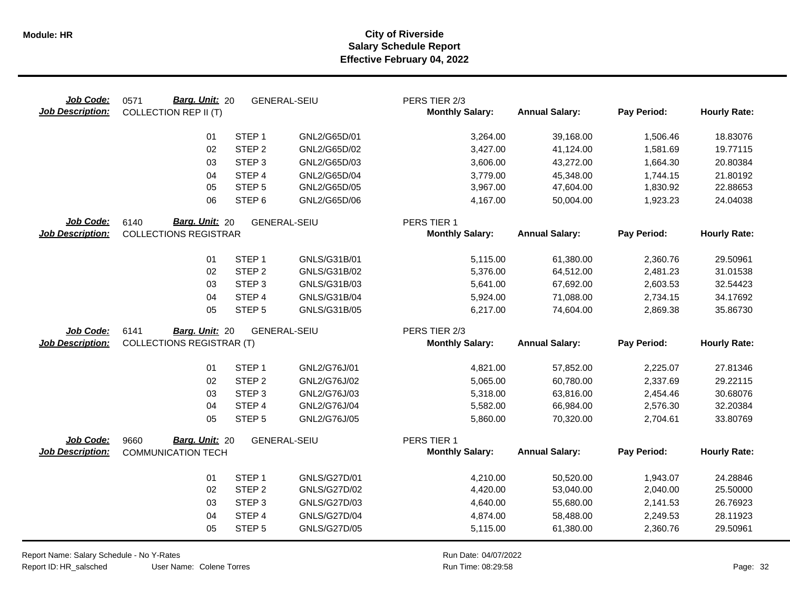| Job Code:<br><b>Job Description:</b> | Barg. Unit: 20<br>0571<br><b>COLLECTION REP II (T)</b> |                                        | <b>GENERAL-SEIU</b>                 | PERS TIER 2/3<br><b>Monthly Salary:</b> | <b>Annual Salary:</b>  | Pay Period:          | <b>Hourly Rate:</b>  |
|--------------------------------------|--------------------------------------------------------|----------------------------------------|-------------------------------------|-----------------------------------------|------------------------|----------------------|----------------------|
|                                      | 01                                                     | STEP <sub>1</sub>                      | GNL2/G65D/01                        | 3,264.00                                | 39,168.00              | 1,506.46             | 18.83076             |
|                                      | 02                                                     | STEP <sub>2</sub>                      | GNL2/G65D/02                        | 3,427.00                                | 41,124.00              | 1,581.69             | 19.77115             |
|                                      | 03                                                     | STEP <sub>3</sub>                      | GNL2/G65D/03                        | 3,606.00                                | 43,272.00              | 1,664.30             | 20.80384             |
|                                      | 04                                                     | STEP 4                                 | GNL2/G65D/04                        | 3,779.00                                | 45,348.00              | 1,744.15             | 21.80192             |
|                                      | 05                                                     | STEP <sub>5</sub>                      | GNL2/G65D/05                        | 3,967.00                                | 47,604.00              | 1,830.92             | 22.88653             |
|                                      | 06                                                     | STEP <sub>6</sub>                      | GNL2/G65D/06                        | 4,167.00                                | 50,004.00              | 1,923.23             | 24.04038             |
| Job Code:<br><b>Job Description:</b> | Barg. Unit: 20<br>6140<br><b>COLLECTIONS REGISTRAR</b> |                                        | <b>GENERAL-SEIU</b>                 | PERS TIER 1<br><b>Monthly Salary:</b>   | <b>Annual Salary:</b>  | Pay Period:          | <b>Hourly Rate:</b>  |
|                                      | 01                                                     | STEP <sub>1</sub>                      | GNLS/G31B/01                        | 5,115.00                                | 61,380.00              | 2,360.76             | 29.50961             |
|                                      | 02                                                     | STEP <sub>2</sub>                      | GNLS/G31B/02                        | 5,376.00                                | 64,512.00              | 2,481.23             | 31.01538             |
|                                      | 03                                                     | STEP <sub>3</sub>                      | GNLS/G31B/03                        | 5,641.00                                | 67,692.00              | 2,603.53             | 32.54423             |
|                                      | 04                                                     | STEP 4                                 | GNLS/G31B/04                        | 5,924.00                                | 71,088.00              | 2,734.15             | 34.17692             |
|                                      | 05                                                     | STEP <sub>5</sub>                      | GNLS/G31B/05                        | 6,217.00                                | 74,604.00              | 2,869.38             | 35.86730             |
| Job Code:                            | 6141<br>Barg. Unit: 20                                 |                                        | <b>GENERAL-SEIU</b>                 | PERS TIER 2/3                           |                        |                      |                      |
| <b>Job Description:</b>              | <b>COLLECTIONS REGISTRAR (T)</b>                       |                                        |                                     | <b>Monthly Salary:</b>                  | <b>Annual Salary:</b>  | Pay Period:          | <b>Hourly Rate:</b>  |
|                                      | 01                                                     | STEP <sub>1</sub>                      | GNL2/G76J/01                        | 4,821.00                                | 57,852.00              | 2,225.07             | 27.81346             |
|                                      | 02                                                     | STEP <sub>2</sub>                      | GNL2/G76J/02                        | 5,065.00                                | 60,780.00              | 2,337.69             | 29.22115             |
|                                      | 03                                                     | STEP <sub>3</sub>                      | GNL2/G76J/03                        | 5,318.00                                | 63,816.00              | 2,454.46             | 30.68076             |
|                                      | 04                                                     | STEP 4                                 | GNL2/G76J/04                        | 5,582.00                                | 66,984.00              | 2,576.30             | 32.20384             |
|                                      | 05                                                     | STEP <sub>5</sub>                      | GNL2/G76J/05                        | 5,860.00                                | 70,320.00              | 2,704.61             | 33.80769             |
| Job Code:                            | Barg. Unit: 20<br>9660                                 |                                        | <b>GENERAL-SEIU</b>                 | PERS TIER 1                             |                        |                      |                      |
| <b>Job Description:</b>              | <b>COMMUNICATION TECH</b>                              |                                        |                                     | <b>Monthly Salary:</b>                  | <b>Annual Salary:</b>  | Pay Period:          | <b>Hourly Rate:</b>  |
|                                      | 01<br>02                                               | STEP <sub>1</sub><br>STEP <sub>2</sub> | GNLS/G27D/01<br><b>GNLS/G27D/02</b> | 4,210.00<br>4,420.00                    | 50,520.00<br>53,040.00 | 1,943.07<br>2,040.00 | 24.28846<br>25.50000 |
|                                      | 03                                                     | STEP <sub>3</sub>                      | GNLS/G27D/03                        | 4,640.00                                | 55,680.00              | 2,141.53             | 26.76923             |
|                                      | 04                                                     | STEP 4                                 | <b>GNLS/G27D/04</b>                 | 4,874.00                                | 58,488.00              | 2,249.53             | 28.11923             |
|                                      | 05                                                     | STEP <sub>5</sub>                      | <b>GNLS/G27D/05</b>                 | 5,115.00                                | 61,380.00              | 2,360.76             | 29.50961             |

Report Name: Salary Schedule - No Y-Rates

Report ID: HR\_salsched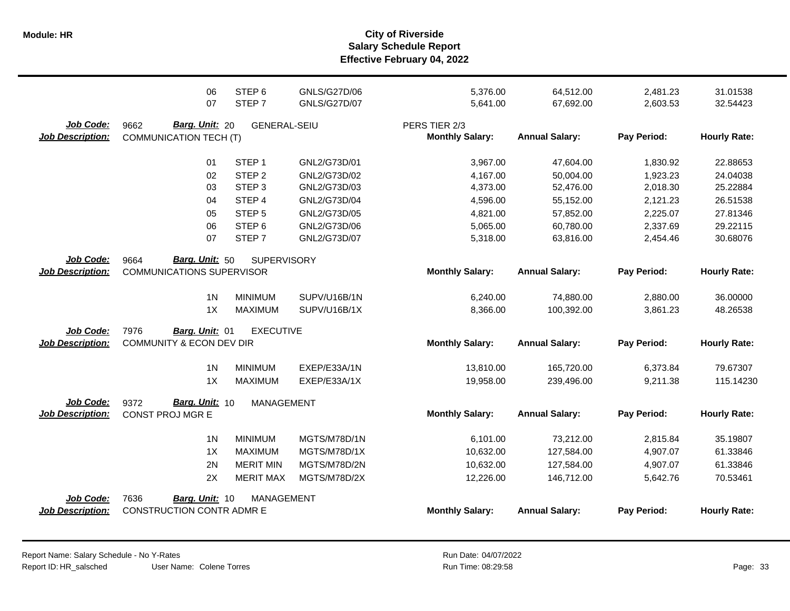**Salary Schedule Report Effective February 04, 2022 Module: HR City of Riverside**

|                         | 06<br>07                         | STEP <sub>6</sub><br>STEP <sub>7</sub> | <b>GNLS/G27D/06</b><br><b>GNLS/G27D/07</b> | 5,376.00               | 64,512.00             | 2,481.23    | 31.01538            |
|-------------------------|----------------------------------|----------------------------------------|--------------------------------------------|------------------------|-----------------------|-------------|---------------------|
|                         |                                  |                                        |                                            | 5,641.00               | 67,692.00             | 2,603.53    | 32.54423            |
| Job Code:               | Barg. Unit: 20<br>9662           | <b>GENERAL-SEIU</b>                    |                                            | PERS TIER 2/3          |                       |             |                     |
| <b>Job Description:</b> | <b>COMMUNICATION TECH (T)</b>    |                                        |                                            | <b>Monthly Salary:</b> | <b>Annual Salary:</b> | Pay Period: | <b>Hourly Rate:</b> |
|                         | 01                               | STEP <sub>1</sub>                      | GNL2/G73D/01                               | 3,967.00               | 47,604.00             | 1,830.92    | 22.88653            |
|                         | 02                               | STEP <sub>2</sub>                      | GNL2/G73D/02                               | 4,167.00               | 50,004.00             | 1,923.23    | 24.04038            |
|                         | 03                               | STEP <sub>3</sub>                      | GNL2/G73D/03                               | 4,373.00               | 52,476.00             | 2,018.30    | 25.22884            |
|                         | 04                               | STEP 4                                 | GNL2/G73D/04                               | 4,596.00               | 55,152.00             | 2,121.23    | 26.51538            |
|                         | 05                               | STEP <sub>5</sub>                      | GNL2/G73D/05                               | 4,821.00               | 57,852.00             | 2,225.07    | 27.81346            |
|                         | 06                               | STEP <sub>6</sub>                      | GNL2/G73D/06                               | 5,065.00               | 60,780.00             | 2,337.69    | 29.22115            |
|                         | 07                               | STEP <sub>7</sub>                      | GNL2/G73D/07                               | 5,318.00               | 63,816.00             | 2,454.46    | 30.68076            |
| Job Code:               | Barg. Unit: 50<br>9664           | <b>SUPERVISORY</b>                     |                                            |                        |                       |             |                     |
| <b>Job Description:</b> | <b>COMMUNICATIONS SUPERVISOR</b> |                                        |                                            | <b>Monthly Salary:</b> | <b>Annual Salary:</b> | Pay Period: | <b>Hourly Rate:</b> |
|                         | 1 <sub>N</sub>                   | <b>MINIMUM</b>                         | SUPV/U16B/1N                               | 6,240.00               | 74,880.00             | 2,880.00    | 36.00000            |
|                         | 1X                               | <b>MAXIMUM</b>                         | SUPV/U16B/1X                               | 8,366.00               | 100,392.00            | 3,861.23    | 48.26538            |
| Job Code:               | 7976<br>Barg. Unit: 01           | <b>EXECUTIVE</b>                       |                                            |                        |                       |             |                     |
| <b>Job Description:</b> | COMMUNITY & ECON DEV DIR         |                                        |                                            | <b>Monthly Salary:</b> | <b>Annual Salary:</b> | Pay Period: | <b>Hourly Rate:</b> |
|                         | 1 <sub>N</sub>                   | <b>MINIMUM</b>                         | EXEP/E33A/1N                               | 13,810.00              | 165,720.00            | 6,373.84    | 79.67307            |
|                         | 1X                               | <b>MAXIMUM</b>                         | EXEP/E33A/1X                               | 19,958.00              | 239,496.00            | 9,211.38    | 115.14230           |
| Job Code:               | Barg. Unit: 10<br>9372           | <b>MANAGEMENT</b>                      |                                            |                        |                       |             |                     |
| <b>Job Description:</b> | CONST PROJ MGR E                 |                                        |                                            | <b>Monthly Salary:</b> | <b>Annual Salary:</b> | Pay Period: | <b>Hourly Rate:</b> |
|                         | 1 <sub>N</sub>                   | <b>MINIMUM</b>                         | MGTS/M78D/1N                               | 6,101.00               | 73,212.00             | 2,815.84    | 35.19807            |
|                         | 1X                               | <b>MAXIMUM</b>                         | MGTS/M78D/1X                               | 10,632.00              | 127,584.00            | 4,907.07    | 61.33846            |
|                         | 2N                               | <b>MERIT MIN</b>                       | MGTS/M78D/2N                               | 10,632.00              | 127,584.00            | 4,907.07    | 61.33846            |
|                         | 2X                               | <b>MERIT MAX</b>                       | MGTS/M78D/2X                               | 12,226.00              | 146,712.00            | 5,642.76    | 70.53461            |
| Job Code:               | 7636<br>Barg. Unit: 10           | <b>MANAGEMENT</b>                      |                                            |                        |                       |             |                     |
| <b>Job Description:</b> | CONSTRUCTION CONTR ADMR E        |                                        |                                            | <b>Monthly Salary:</b> | <b>Annual Salary:</b> | Pay Period: | <b>Hourly Rate:</b> |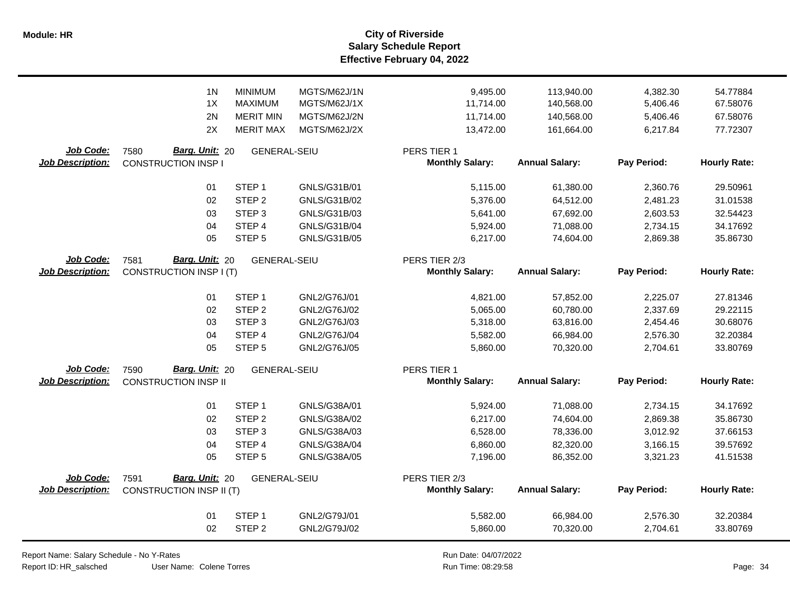**Salary Schedule Report Effective February 04, 2022 Module: HR City of Riverside**

|                         | 1 <sub>N</sub>                  | <b>MINIMUM</b>      | MGTS/M62J/1N | 9,495.00               | 113,940.00            | 4,382.30    | 54.77884            |
|-------------------------|---------------------------------|---------------------|--------------|------------------------|-----------------------|-------------|---------------------|
|                         | 1X                              | <b>MAXIMUM</b>      | MGTS/M62J/1X | 11,714.00              | 140,568.00            | 5,406.46    | 67.58076            |
|                         | 2N                              | <b>MERIT MIN</b>    | MGTS/M62J/2N | 11,714.00              | 140,568.00            | 5,406.46    | 67.58076            |
|                         | 2X                              | <b>MERIT MAX</b>    | MGTS/M62J/2X | 13,472.00              | 161,664.00            | 6,217.84    | 77.72307            |
| Job Code:               | 7580<br>Barg. Unit: 20          | <b>GENERAL-SEIU</b> |              | PERS TIER 1            |                       |             |                     |
| <b>Job Description:</b> | <b>CONSTRUCTION INSP I</b>      |                     |              | <b>Monthly Salary:</b> | <b>Annual Salary:</b> | Pay Period: | <b>Hourly Rate:</b> |
|                         | 01                              | STEP <sub>1</sub>   | GNLS/G31B/01 | 5,115.00               | 61,380.00             | 2,360.76    | 29.50961            |
|                         | 02                              | STEP <sub>2</sub>   | GNLS/G31B/02 | 5,376.00               | 64,512.00             | 2,481.23    | 31.01538            |
|                         | 03                              | STEP <sub>3</sub>   | GNLS/G31B/03 | 5,641.00               | 67,692.00             | 2,603.53    | 32.54423            |
|                         | 04                              | STEP <sub>4</sub>   | GNLS/G31B/04 | 5,924.00               | 71,088.00             | 2,734.15    | 34.17692            |
|                         | 05                              | STEP <sub>5</sub>   | GNLS/G31B/05 | 6,217.00               | 74,604.00             | 2,869.38    | 35.86730            |
| Job Code:               | 7581<br>Barg. Unit: 20          | <b>GENERAL-SEIU</b> |              | PERS TIER 2/3          |                       |             |                     |
| <b>Job Description:</b> | CONSTRUCTION INSP I (T)         |                     |              | <b>Monthly Salary:</b> | <b>Annual Salary:</b> | Pay Period: | <b>Hourly Rate:</b> |
|                         | 01                              | STEP <sub>1</sub>   | GNL2/G76J/01 | 4,821.00               | 57,852.00             | 2,225.07    | 27.81346            |
|                         | 02                              | STEP <sub>2</sub>   | GNL2/G76J/02 | 5,065.00               | 60,780.00             | 2,337.69    | 29.22115            |
|                         | 03                              | STEP <sub>3</sub>   | GNL2/G76J/03 | 5,318.00               | 63,816.00             | 2,454.46    | 30.68076            |
|                         | 04                              | STEP 4              | GNL2/G76J/04 | 5,582.00               | 66,984.00             | 2,576.30    | 32.20384            |
|                         | 05                              | STEP <sub>5</sub>   | GNL2/G76J/05 | 5,860.00               | 70,320.00             | 2,704.61    | 33.80769            |
| Job Code:               | Barg. Unit: 20<br>7590          | <b>GENERAL-SEIU</b> |              | PERS TIER 1            |                       |             |                     |
| <b>Job Description:</b> | <b>CONSTRUCTION INSP II</b>     |                     |              | <b>Monthly Salary:</b> | <b>Annual Salary:</b> | Pay Period: | <b>Hourly Rate:</b> |
|                         | 01                              | STEP <sub>1</sub>   | GNLS/G38A/01 | 5,924.00               | 71,088.00             | 2,734.15    | 34.17692            |
|                         | 02                              | STEP <sub>2</sub>   | GNLS/G38A/02 | 6,217.00               | 74,604.00             | 2,869.38    | 35.86730            |
|                         | 03                              | STEP <sub>3</sub>   | GNLS/G38A/03 | 6,528.00               | 78,336.00             | 3,012.92    | 37.66153            |
|                         | 04                              | STEP 4              | GNLS/G38A/04 | 6,860.00               | 82,320.00             | 3,166.15    | 39.57692            |
|                         | 05                              | STEP <sub>5</sub>   | GNLS/G38A/05 | 7,196.00               | 86,352.00             | 3,321.23    | 41.51538            |
| Job Code:               | Barg. Unit: 20<br>7591          | <b>GENERAL-SEIU</b> |              | PERS TIER 2/3          |                       |             |                     |
| <b>Job Description:</b> | <b>CONSTRUCTION INSP II (T)</b> |                     |              | <b>Monthly Salary:</b> | <b>Annual Salary:</b> | Pay Period: | <b>Hourly Rate:</b> |
|                         | 01                              | STEP <sub>1</sub>   | GNL2/G79J/01 | 5,582.00               | 66,984.00             | 2,576.30    | 32.20384            |
|                         | 02                              | STEP <sub>2</sub>   | GNL2/G79J/02 | 5,860.00               | 70,320.00             | 2,704.61    | 33.80769            |

Report Name: Salary Schedule - No Y-Rates

Report ID: HR\_salsched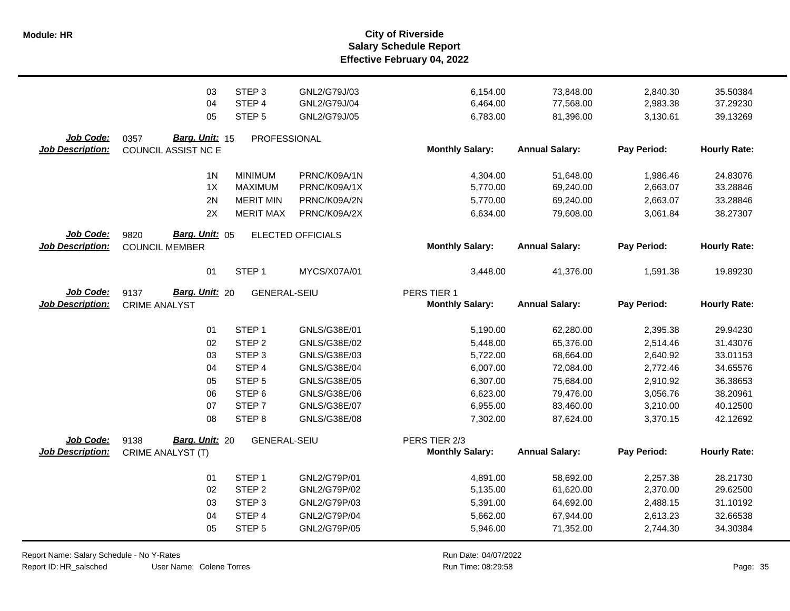|                                      | 03<br>04<br>05                                  | STEP <sub>3</sub><br>STEP 4<br>STEP <sub>5</sub>                         | GNL2/G79J/03<br>GNL2/G79J/04<br>GNL2/G79J/05                 | 6,154.00<br>6,464.00<br>6,783.00             | 73,848.00<br>77,568.00<br>81,396.00              | 2,840.30<br>2,983.38<br>3,130.61             | 35.50384<br>37.29230<br>39.13269             |
|--------------------------------------|-------------------------------------------------|--------------------------------------------------------------------------|--------------------------------------------------------------|----------------------------------------------|--------------------------------------------------|----------------------------------------------|----------------------------------------------|
| Job Code:<br><b>Job Description:</b> | Barg. Unit: 15<br>0357<br>COUNCIL ASSIST NC E   | PROFESSIONAL                                                             |                                                              | <b>Monthly Salary:</b>                       | <b>Annual Salary:</b>                            | Pay Period:                                  | <b>Hourly Rate:</b>                          |
|                                      | 1 <sub>N</sub><br>1X<br>2N<br>2X                | <b>MINIMUM</b><br><b>MAXIMUM</b><br><b>MERIT MIN</b><br><b>MERIT MAX</b> | PRNC/K09A/1N<br>PRNC/K09A/1X<br>PRNC/K09A/2N<br>PRNC/K09A/2X | 4,304.00<br>5,770.00<br>5,770.00<br>6,634.00 | 51,648.00<br>69,240.00<br>69,240.00<br>79,608.00 | 1,986.46<br>2,663.07<br>2,663.07<br>3,061.84 | 24.83076<br>33.28846<br>33.28846<br>38.27307 |
| Job Code:<br><b>Job Description:</b> | Barg. Unit: 05<br>9820<br><b>COUNCIL MEMBER</b> |                                                                          | ELECTED OFFICIALS                                            | <b>Monthly Salary:</b>                       | <b>Annual Salary:</b>                            | Pay Period:                                  | <b>Hourly Rate:</b>                          |
|                                      | 01                                              | STEP <sub>1</sub>                                                        | MYCS/X07A/01                                                 | 3,448.00                                     | 41,376.00                                        | 1,591.38                                     | 19.89230                                     |
| Job Code:<br><b>Job Description:</b> | Barg. Unit: 20<br>9137<br><b>CRIME ANALYST</b>  | <b>GENERAL-SEIU</b>                                                      |                                                              | PERS TIER 1<br><b>Monthly Salary:</b>        | <b>Annual Salary:</b>                            | Pay Period:                                  | <b>Hourly Rate:</b>                          |
|                                      | 01                                              | STEP <sub>1</sub>                                                        | GNLS/G38E/01                                                 | 5,190.00                                     | 62,280.00                                        | 2,395.38                                     | 29.94230                                     |
|                                      | 02                                              | STEP <sub>2</sub>                                                        | GNLS/G38E/02                                                 | 5,448.00                                     | 65,376.00                                        | 2,514.46                                     | 31.43076                                     |
|                                      | 03                                              | STEP <sub>3</sub>                                                        | GNLS/G38E/03                                                 | 5,722.00                                     | 68,664.00                                        | 2,640.92                                     | 33.01153                                     |
|                                      | 04                                              | STEP 4                                                                   | GNLS/G38E/04                                                 | 6,007.00                                     | 72,084.00                                        | 2,772.46                                     | 34.65576                                     |
|                                      | 05                                              | STEP <sub>5</sub>                                                        | GNLS/G38E/05                                                 | 6,307.00                                     | 75,684.00                                        | 2,910.92                                     | 36.38653                                     |
|                                      | 06                                              | STEP <sub>6</sub>                                                        | GNLS/G38E/06                                                 | 6,623.00                                     | 79,476.00                                        | 3,056.76                                     | 38.20961                                     |
|                                      | 07                                              | STEP <sub>7</sub>                                                        | GNLS/G38E/07                                                 | 6,955.00                                     | 83,460.00                                        | 3,210.00                                     | 40.12500                                     |
|                                      | 08                                              | STEP <sub>8</sub>                                                        | GNLS/G38E/08                                                 | 7,302.00                                     | 87,624.00                                        | 3,370.15                                     | 42.12692                                     |
| <b>Job Code:</b>                     | Barg. Unit: 20<br>9138                          | <b>GENERAL-SEIU</b>                                                      |                                                              | PERS TIER 2/3                                |                                                  |                                              |                                              |
| <b>Job Description:</b>              | CRIME ANALYST (T)                               |                                                                          |                                                              | <b>Monthly Salary:</b>                       | <b>Annual Salary:</b>                            | Pay Period:                                  | <b>Hourly Rate:</b>                          |
|                                      |                                                 |                                                                          |                                                              |                                              |                                                  |                                              |                                              |
|                                      | 01                                              | STEP <sub>1</sub>                                                        | GNL2/G79P/01                                                 | 4,891.00                                     | 58,692.00                                        | 2,257.38                                     | 28.21730                                     |
|                                      | 02                                              | STEP <sub>2</sub>                                                        | GNL2/G79P/02                                                 | 5,135.00                                     | 61,620.00                                        | 2,370.00                                     | 29.62500                                     |
|                                      | 03                                              | STEP <sub>3</sub>                                                        | GNL2/G79P/03                                                 | 5,391.00                                     | 64,692.00                                        | 2,488.15                                     | 31.10192                                     |
|                                      | 04                                              | STEP 4                                                                   | GNL2/G79P/04                                                 | 5,662.00                                     | 67,944.00                                        | 2,613.23                                     | 32.66538                                     |
|                                      | 05                                              | STEP <sub>5</sub>                                                        | GNL2/G79P/05                                                 | 5,946.00                                     | 71,352.00                                        | 2,744.30                                     | 34.30384                                     |

Report Name: Salary Schedule - No Y-Rates

Report ID: HR\_salsched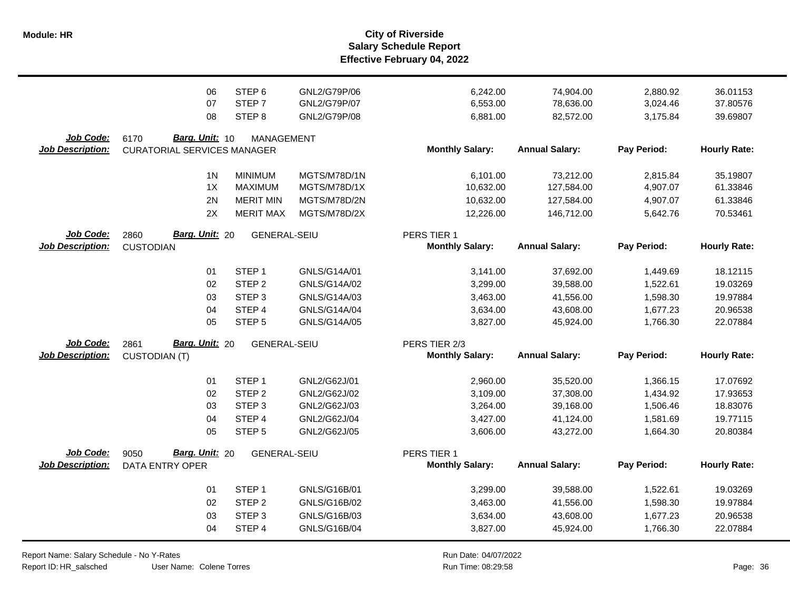|                                             | 06                                                           | STEP <sub>6</sub>   | GNL2/G79P/06 | 6,242.00                                | 74,904.00             | 2,880.92    | 36.01153            |
|---------------------------------------------|--------------------------------------------------------------|---------------------|--------------|-----------------------------------------|-----------------------|-------------|---------------------|
|                                             | 07                                                           | STEP <sub>7</sub>   | GNL2/G79P/07 | 6,553.00                                | 78,636.00             | 3,024.46    | 37.80576            |
|                                             | 08                                                           | STEP <sub>8</sub>   | GNL2/G79P/08 | 6,881.00                                | 82,572.00             | 3,175.84    | 39.69807            |
| <b>Job Code:</b><br><b>Job Description:</b> | Barg. Unit: 10<br>6170<br><b>CURATORIAL SERVICES MANAGER</b> | <b>MANAGEMENT</b>   |              | <b>Monthly Salary:</b>                  | <b>Annual Salary:</b> | Pay Period: | <b>Hourly Rate:</b> |
|                                             | 1 <sub>N</sub>                                               | <b>MINIMUM</b>      | MGTS/M78D/1N | 6,101.00                                | 73,212.00             | 2,815.84    | 35.19807            |
|                                             | 1X                                                           | <b>MAXIMUM</b>      | MGTS/M78D/1X | 10,632.00                               | 127,584.00            | 4,907.07    | 61.33846            |
|                                             | 2N                                                           | <b>MERIT MIN</b>    | MGTS/M78D/2N | 10,632.00                               | 127,584.00            | 4,907.07    | 61.33846            |
|                                             | 2X                                                           | <b>MERIT MAX</b>    | MGTS/M78D/2X | 12,226.00                               | 146,712.00            | 5,642.76    | 70.53461            |
| Job Code:<br><b>Job Description:</b>        | <b>Barg. Unit: 20</b><br>2860<br><b>CUSTODIAN</b>            | <b>GENERAL-SEIU</b> |              | PERS TIER 1<br><b>Monthly Salary:</b>   | <b>Annual Salary:</b> | Pay Period: | <b>Hourly Rate:</b> |
|                                             | 01                                                           | STEP <sub>1</sub>   | GNLS/G14A/01 | 3,141.00                                | 37,692.00             | 1,449.69    | 18.12115            |
|                                             | 02                                                           | STEP <sub>2</sub>   | GNLS/G14A/02 | 3,299.00                                | 39,588.00             | 1,522.61    | 19.03269            |
|                                             | 03                                                           | STEP <sub>3</sub>   | GNLS/G14A/03 | 3,463.00                                | 41,556.00             | 1,598.30    | 19.97884            |
|                                             | 04                                                           | STEP <sub>4</sub>   | GNLS/G14A/04 | 3,634.00                                | 43,608.00             | 1,677.23    | 20.96538            |
|                                             | 05                                                           | STEP <sub>5</sub>   | GNLS/G14A/05 | 3,827.00                                | 45,924.00             | 1,766.30    | 22.07884            |
| Job Code:<br><b>Job Description:</b>        | Barg. Unit: 20<br>2861<br><b>CUSTODIAN (T)</b>               | <b>GENERAL-SEIU</b> |              | PERS TIER 2/3<br><b>Monthly Salary:</b> | <b>Annual Salary:</b> | Pay Period: | <b>Hourly Rate:</b> |
|                                             | 01                                                           | STEP <sub>1</sub>   | GNL2/G62J/01 | 2,960.00                                | 35,520.00             | 1,366.15    | 17.07692            |
|                                             | 02                                                           | STEP <sub>2</sub>   | GNL2/G62J/02 | 3,109.00                                | 37,308.00             | 1,434.92    | 17.93653            |
|                                             | 03                                                           | STEP <sub>3</sub>   | GNL2/G62J/03 | 3,264.00                                | 39,168.00             | 1,506.46    | 18.83076            |
|                                             | 04                                                           | STEP 4              | GNL2/G62J/04 | 3,427.00                                | 41,124.00             | 1,581.69    | 19.77115            |
|                                             | 05                                                           | STEP <sub>5</sub>   | GNL2/G62J/05 | 3,606.00                                | 43,272.00             | 1,664.30    | 20.80384            |
| Job Code:<br>Job Description:               | Barg. Unit: 20<br>9050<br><b>DATA ENTRY OPER</b>             | <b>GENERAL-SEIU</b> |              | PERS TIER 1<br><b>Monthly Salary:</b>   | <b>Annual Salary:</b> | Pay Period: | <b>Hourly Rate:</b> |
|                                             | 01                                                           | STEP <sub>1</sub>   | GNLS/G16B/01 | 3,299.00                                | 39,588.00             | 1,522.61    | 19.03269            |
|                                             | 02                                                           | STEP <sub>2</sub>   | GNLS/G16B/02 | 3,463.00                                | 41,556.00             | 1,598.30    | 19.97884            |
|                                             | 03                                                           | STEP <sub>3</sub>   | GNLS/G16B/03 | 3,634.00                                | 43,608.00             | 1,677.23    | 20.96538            |
|                                             | 04                                                           | STEP 4              | GNLS/G16B/04 | 3,827.00                                | 45,924.00             | 1,766.30    | 22.07884            |

Report Name: Salary Schedule - No Y-Rates Report ID: HR\_salsched

User Name: Colene Torres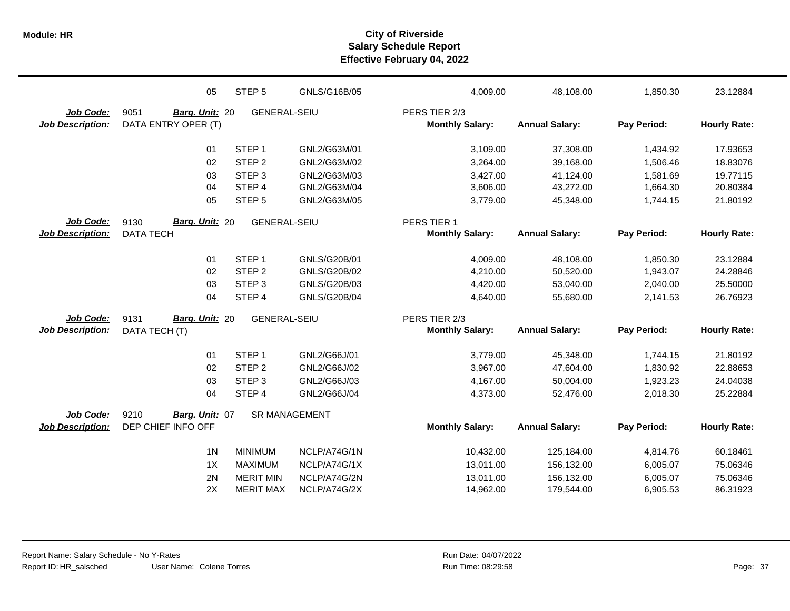|                         | 05                     | STEP <sub>5</sub>    | GNLS/G16B/05 | 4,009.00               | 48,108.00             | 1,850.30    | 23.12884            |
|-------------------------|------------------------|----------------------|--------------|------------------------|-----------------------|-------------|---------------------|
| Job Code:               | 9051<br>Barg. Unit: 20 | <b>GENERAL-SEIU</b>  |              | PERS TIER 2/3          |                       |             |                     |
| <b>Job Description:</b> | DATA ENTRY OPER (T)    |                      |              | <b>Monthly Salary:</b> | <b>Annual Salary:</b> | Pay Period: | <b>Hourly Rate:</b> |
|                         | 01                     | STEP <sub>1</sub>    | GNL2/G63M/01 | 3,109.00               | 37,308.00             | 1,434.92    | 17.93653            |
|                         | 02                     | STEP <sub>2</sub>    | GNL2/G63M/02 | 3,264.00               | 39,168.00             | 1.506.46    | 18.83076            |
|                         | 03                     | STEP <sub>3</sub>    | GNL2/G63M/03 | 3,427.00               | 41,124.00             | 1,581.69    | 19.77115            |
|                         | 04                     | STEP <sub>4</sub>    | GNL2/G63M/04 | 3,606.00               | 43,272.00             | 1,664.30    | 20.80384            |
|                         | 05                     | STEP <sub>5</sub>    | GNL2/G63M/05 | 3,779.00               | 45,348.00             | 1,744.15    | 21.80192            |
| Job Code:               | Barg. Unit: 20<br>9130 | <b>GENERAL-SEIU</b>  |              | PERS TIER 1            |                       |             |                     |
| <b>Job Description:</b> | <b>DATA TECH</b>       |                      |              | <b>Monthly Salary:</b> | <b>Annual Salary:</b> | Pay Period: | <b>Hourly Rate:</b> |
|                         | 01                     | STEP <sub>1</sub>    | GNLS/G20B/01 | 4,009.00               | 48,108.00             | 1,850.30    | 23.12884            |
|                         | 02                     | STEP <sub>2</sub>    | GNLS/G20B/02 | 4,210.00               | 50,520.00             | 1,943.07    | 24.28846            |
|                         | 03                     | STEP <sub>3</sub>    | GNLS/G20B/03 | 4,420.00               | 53,040.00             | 2,040.00    | 25.50000            |
|                         | 04                     | STEP 4               | GNLS/G20B/04 | 4,640.00               | 55,680.00             | 2,141.53    | 26.76923            |
| Job Code:               | Barg. Unit: 20<br>9131 | <b>GENERAL-SEIU</b>  |              | PERS TIER 2/3          |                       |             |                     |
| <b>Job Description:</b> | DATA TECH (T)          |                      |              | <b>Monthly Salary:</b> | <b>Annual Salary:</b> | Pay Period: | <b>Hourly Rate:</b> |
|                         | 01                     | STEP <sub>1</sub>    | GNL2/G66J/01 | 3,779.00               | 45,348.00             | 1,744.15    | 21.80192            |
|                         | 02                     | STEP <sub>2</sub>    | GNL2/G66J/02 | 3,967.00               | 47,604.00             | 1,830.92    | 22.88653            |
|                         | 03                     | STEP <sub>3</sub>    | GNL2/G66J/03 | 4,167.00               | 50,004.00             | 1,923.23    | 24.04038            |
|                         | 04                     | STEP 4               | GNL2/G66J/04 | 4,373.00               | 52,476.00             | 2,018.30    | 25.22884            |
| Job Code:               | 9210<br>Barg. Unit: 07 | <b>SR MANAGEMENT</b> |              |                        |                       |             |                     |
| <b>Job Description:</b> | DEP CHIEF INFO OFF     |                      |              | <b>Monthly Salary:</b> | <b>Annual Salary:</b> | Pay Period: | <b>Hourly Rate:</b> |
|                         | 1 <sub>N</sub>         | <b>MINIMUM</b>       | NCLP/A74G/1N | 10,432.00              | 125,184.00            | 4,814.76    | 60.18461            |
|                         | 1X                     | <b>MAXIMUM</b>       | NCLP/A74G/1X | 13,011.00              | 156,132.00            | 6,005.07    | 75.06346            |
|                         | 2N                     | <b>MERIT MIN</b>     | NCLP/A74G/2N | 13,011.00              | 156,132.00            | 6,005.07    | 75.06346            |
|                         | 2X                     | <b>MERIT MAX</b>     | NCLP/A74G/2X | 14,962.00              | 179,544.00            | 6,905.53    | 86.31923            |
|                         |                        |                      |              |                        |                       |             |                     |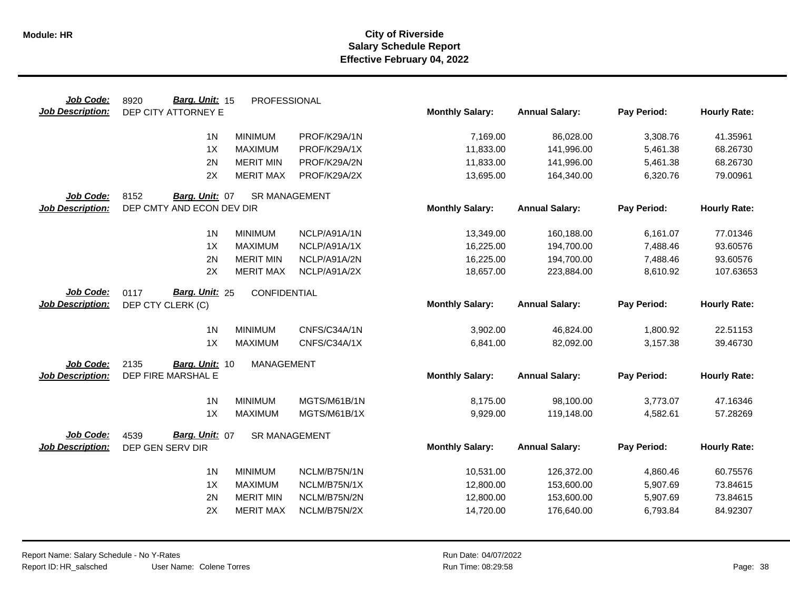| Job Code:               | Barg. Unit: 15<br>8920    | PROFESSIONAL         |              |                        |                       |             |                     |
|-------------------------|---------------------------|----------------------|--------------|------------------------|-----------------------|-------------|---------------------|
| <b>Job Description:</b> | DEP CITY ATTORNEY E       |                      |              | <b>Monthly Salary:</b> | <b>Annual Salary:</b> | Pay Period: | <b>Hourly Rate:</b> |
|                         | 1 <sub>N</sub>            | <b>MINIMUM</b>       | PROF/K29A/1N | 7,169.00               | 86,028.00             | 3,308.76    | 41.35961            |
|                         | 1X                        | <b>MAXIMUM</b>       | PROF/K29A/1X | 11,833.00              | 141,996.00            | 5,461.38    | 68.26730            |
|                         | 2N                        |                      |              |                        |                       |             |                     |
|                         |                           | <b>MERIT MIN</b>     | PROF/K29A/2N | 11,833.00              | 141,996.00            | 5,461.38    | 68.26730            |
|                         | 2X                        | <b>MERIT MAX</b>     | PROF/K29A/2X | 13,695.00              | 164,340.00            | 6,320.76    | 79.00961            |
| Job Code:               | 8152<br>Barg. Unit: 07    | <b>SR MANAGEMENT</b> |              |                        |                       |             |                     |
| <b>Job Description:</b> | DEP CMTY AND ECON DEV DIR |                      |              | <b>Monthly Salary:</b> | <b>Annual Salary:</b> | Pay Period: | <b>Hourly Rate:</b> |
|                         | 1 <sup>N</sup>            | <b>MINIMUM</b>       | NCLP/A91A/1N | 13,349.00              | 160,188.00            | 6,161.07    | 77.01346            |
|                         | 1X                        | <b>MAXIMUM</b>       | NCLP/A91A/1X | 16,225.00              | 194,700.00            | 7,488.46    | 93.60576            |
|                         | 2N                        | <b>MERIT MIN</b>     | NCLP/A91A/2N | 16,225.00              | 194,700.00            | 7,488.46    | 93.60576            |
|                         | 2X                        | <b>MERIT MAX</b>     | NCLP/A91A/2X | 18,657.00              | 223,884.00            | 8,610.92    | 107.63653           |
|                         |                           |                      |              |                        |                       |             |                     |
| Job Code:               | 0117<br>Barg. Unit: 25    | CONFIDENTIAL         |              |                        |                       |             |                     |
| <b>Job Description:</b> | DEP CTY CLERK (C)         |                      |              | <b>Monthly Salary:</b> | <b>Annual Salary:</b> | Pay Period: | <b>Hourly Rate:</b> |
|                         | 1 <sub>N</sub>            | <b>MINIMUM</b>       | CNFS/C34A/1N | 3,902.00               | 46,824.00             | 1,800.92    | 22.51153            |
|                         | 1X                        | <b>MAXIMUM</b>       | CNFS/C34A/1X | 6,841.00               | 82,092.00             | 3,157.38    | 39.46730            |
| Job Code:               | 2135<br>Barg. Unit: 10    | <b>MANAGEMENT</b>    |              |                        |                       |             |                     |
| <b>Job Description:</b> | DEP FIRE MARSHAL E        |                      |              | <b>Monthly Salary:</b> | <b>Annual Salary:</b> | Pay Period: | <b>Hourly Rate:</b> |
|                         | 1 <sub>N</sub>            | <b>MINIMUM</b>       | MGTS/M61B/1N | 8,175.00               | 98,100.00             | 3,773.07    | 47.16346            |
|                         | 1X                        | <b>MAXIMUM</b>       | MGTS/M61B/1X | 9,929.00               | 119,148.00            | 4,582.61    | 57.28269            |
| Job Code:               | Barg. Unit: 07<br>4539    | <b>SR MANAGEMENT</b> |              |                        |                       |             |                     |
| <b>Job Description:</b> | DEP GEN SERV DIR          |                      |              | <b>Monthly Salary:</b> | <b>Annual Salary:</b> | Pay Period: | <b>Hourly Rate:</b> |
|                         |                           |                      |              |                        |                       |             |                     |
|                         | 1 <sub>N</sub>            | <b>MINIMUM</b>       | NCLM/B75N/1N | 10,531.00              | 126,372.00            | 4,860.46    | 60.75576            |
|                         | 1X                        | <b>MAXIMUM</b>       | NCLM/B75N/1X | 12,800.00              | 153,600.00            | 5,907.69    | 73.84615            |
|                         | 2N                        | <b>MERIT MIN</b>     | NCLM/B75N/2N | 12,800.00              | 153,600.00            | 5,907.69    | 73.84615            |
|                         | 2X                        | <b>MERIT MAX</b>     | NCLM/B75N/2X | 14,720.00              | 176,640.00            | 6,793.84    | 84.92307            |
|                         |                           |                      |              |                        |                       |             |                     |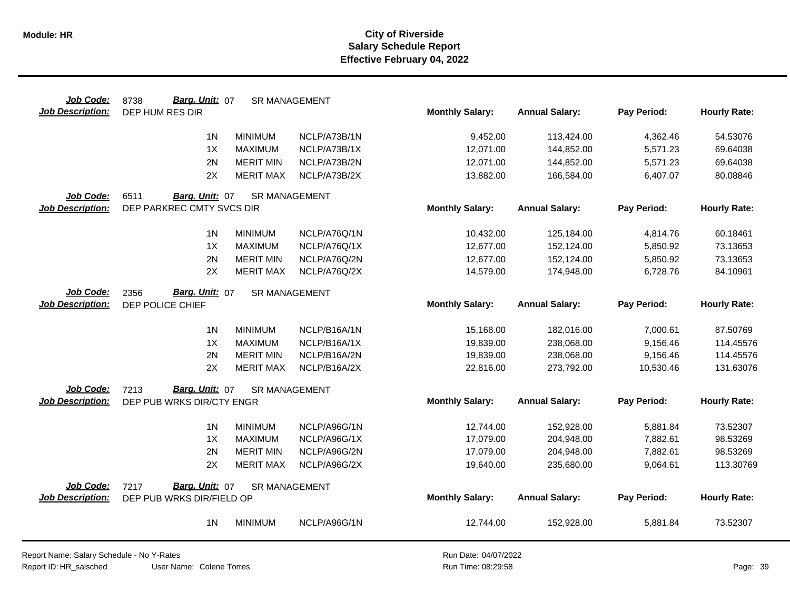| Job Code:               | Barg. Unit: 07<br>8738    | <b>SR MANAGEMENT</b> |              |                        |                       |             |                     |
|-------------------------|---------------------------|----------------------|--------------|------------------------|-----------------------|-------------|---------------------|
| <b>Job Description:</b> | DEP HUM RES DIR           |                      |              | <b>Monthly Salary:</b> | <b>Annual Salary:</b> | Pay Period: | <b>Hourly Rate:</b> |
|                         | 1 <sub>N</sub>            | <b>MINIMUM</b>       | NCLP/A73B/1N | 9,452.00               | 113,424.00            | 4,362.46    | 54.53076            |
|                         | 1X                        | <b>MAXIMUM</b>       | NCLP/A73B/1X | 12,071.00              | 144,852.00            | 5,571.23    | 69.64038            |
|                         | 2N                        | <b>MERIT MIN</b>     | NCLP/A73B/2N | 12,071.00              | 144,852.00            | 5,571.23    | 69.64038            |
|                         | 2X                        | <b>MERIT MAX</b>     | NCLP/A73B/2X | 13,882.00              | 166,584.00            | 6,407.07    | 80.08846            |
| Job Code:               | 6511<br>Barg. Unit: 07    | <b>SR MANAGEMENT</b> |              |                        |                       |             |                     |
| <b>Job Description:</b> | DEP PARKREC CMTY SVCS DIR |                      |              | <b>Monthly Salary:</b> | <b>Annual Salary:</b> | Pay Period: | <b>Hourly Rate:</b> |
|                         | 1 <sub>N</sub>            | <b>MINIMUM</b>       | NCLP/A76Q/1N | 10,432.00              | 125,184.00            | 4,814.76    | 60.18461            |
|                         | 1X                        | <b>MAXIMUM</b>       | NCLP/A76Q/1X | 12,677.00              | 152,124.00            | 5,850.92    | 73.13653            |
|                         | 2N                        | <b>MERIT MIN</b>     | NCLP/A76Q/2N | 12,677.00              | 152,124.00            | 5,850.92    | 73.13653            |
|                         | 2X                        | <b>MERIT MAX</b>     | NCLP/A76Q/2X | 14,579.00              | 174,948.00            | 6,728.76    | 84.10961            |
| Job Code:               | Barg. Unit: 07<br>2356    | <b>SR MANAGEMENT</b> |              |                        |                       |             |                     |
| <b>Job Description:</b> | DEP POLICE CHIEF          |                      |              | <b>Monthly Salary:</b> | <b>Annual Salary:</b> | Pay Period: | <b>Hourly Rate:</b> |
|                         | 1 <sub>N</sub>            | <b>MINIMUM</b>       | NCLP/B16A/1N | 15,168.00              | 182,016.00            | 7,000.61    | 87.50769            |
|                         | 1X                        | <b>MAXIMUM</b>       | NCLP/B16A/1X | 19,839.00              | 238,068.00            | 9,156.46    | 114.45576           |
|                         | 2N                        | <b>MERIT MIN</b>     | NCLP/B16A/2N | 19,839.00              | 238,068.00            | 9,156.46    | 114.45576           |
|                         | 2X                        | <b>MERIT MAX</b>     | NCLP/B16A/2X | 22,816.00              | 273,792.00            | 10,530.46   | 131.63076           |
| <b>Job Code:</b>        | Barg. Unit: 07<br>7213    | <b>SR MANAGEMENT</b> |              |                        |                       |             |                     |
| <b>Job Description:</b> | DEP PUB WRKS DIR/CTY ENGR |                      |              | <b>Monthly Salary:</b> | <b>Annual Salary:</b> | Pay Period: | <b>Hourly Rate:</b> |
|                         | 1 <sup>N</sup>            | <b>MINIMUM</b>       | NCLP/A96G/1N | 12,744.00              | 152,928.00            | 5,881.84    | 73.52307            |
|                         | 1X                        | <b>MAXIMUM</b>       | NCLP/A96G/1X | 17,079.00              | 204,948.00            | 7,882.61    | 98.53269            |
|                         | 2N                        | <b>MERIT MIN</b>     | NCLP/A96G/2N | 17,079.00              | 204,948.00            | 7,882.61    | 98.53269            |
|                         | 2X                        | <b>MERIT MAX</b>     | NCLP/A96G/2X | 19,640.00              | 235,680.00            | 9,064.61    | 113.30769           |
| Job Code:               | Barg. Unit: 07<br>7217    | <b>SR MANAGEMENT</b> |              |                        |                       |             |                     |
| <b>Job Description:</b> | DEP PUB WRKS DIR/FIELD OP |                      |              | <b>Monthly Salary:</b> | <b>Annual Salary:</b> | Pay Period: | <b>Hourly Rate:</b> |
|                         | 1 <sup>N</sup>            | <b>MINIMUM</b>       | NCLP/A96G/1N | 12,744.00              | 152,928.00            | 5,881.84    | 73.52307            |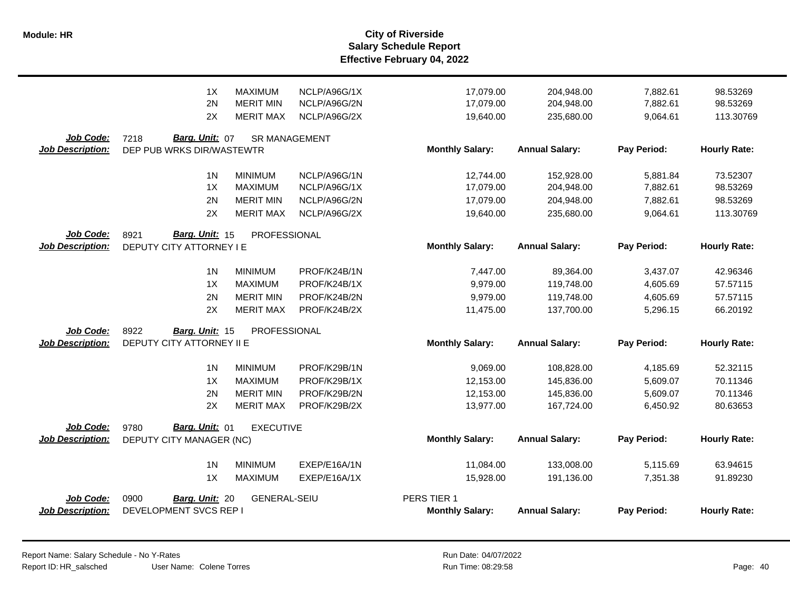|                                      | 1X<br><b>MAXIMUM</b><br>2N<br><b>MERIT MIN</b>      | NCLP/A96G/1X<br>NCLP/A96G/2N | 17,079.00<br>17,079.00 | 204,948.00<br>204,948.00 | 7,882.61<br>7,882.61 | 98.53269<br>98.53269 |
|--------------------------------------|-----------------------------------------------------|------------------------------|------------------------|--------------------------|----------------------|----------------------|
|                                      | 2X<br><b>MERIT MAX</b>                              | NCLP/A96G/2X                 | 19,640.00              | 235,680.00               | 9,064.61             | 113.30769            |
| Job Code:<br><b>Job Description:</b> | Barg. Unit: 07<br>7218<br>DEP PUB WRKS DIR/WASTEWTR | <b>SR MANAGEMENT</b>         | <b>Monthly Salary:</b> | <b>Annual Salary:</b>    | Pay Period:          | <b>Hourly Rate:</b>  |
|                                      |                                                     |                              |                        |                          |                      |                      |
|                                      | 1 <sup>N</sup><br><b>MINIMUM</b>                    | NCLP/A96G/1N                 | 12,744.00              | 152,928.00               | 5,881.84             | 73.52307             |
|                                      | 1X<br><b>MAXIMUM</b>                                | NCLP/A96G/1X                 | 17,079.00              | 204,948.00               | 7,882.61             | 98.53269             |
|                                      | 2N<br><b>MERIT MIN</b>                              | NCLP/A96G/2N                 | 17,079.00              | 204,948.00               | 7,882.61             | 98.53269             |
|                                      | 2X<br><b>MERIT MAX</b>                              | NCLP/A96G/2X                 | 19,640.00              | 235,680.00               | 9,064.61             | 113.30769            |
| Job Code:                            | Barg. Unit: 15<br>8921<br>PROFESSIONAL              |                              |                        |                          |                      |                      |
| <b>Job Description:</b>              | DEPUTY CITY ATTORNEY I E                            |                              | <b>Monthly Salary:</b> | <b>Annual Salary:</b>    | Pay Period:          | <b>Hourly Rate:</b>  |
|                                      | 1 <sub>N</sub><br><b>MINIMUM</b>                    | PROF/K24B/1N                 | 7,447.00               | 89,364.00                | 3,437.07             | 42.96346             |
|                                      | 1X<br><b>MAXIMUM</b>                                | PROF/K24B/1X                 | 9,979.00               | 119,748.00               | 4,605.69             | 57.57115             |
|                                      | <b>MERIT MIN</b><br>2N                              | PROF/K24B/2N                 | 9,979.00               | 119,748.00               | 4,605.69             | 57.57115             |
|                                      | 2X<br><b>MERIT MAX</b>                              | PROF/K24B/2X                 | 11,475.00              | 137,700.00               | 5,296.15             | 66.20192             |
| Job Code:                            | 8922<br>PROFESSIONAL<br>Barg. Unit: 15              |                              |                        |                          |                      |                      |
| <b>Job Description:</b>              | DEPUTY CITY ATTORNEY II E                           |                              | <b>Monthly Salary:</b> | <b>Annual Salary:</b>    | Pay Period:          | <b>Hourly Rate:</b>  |
|                                      | 1 <sub>N</sub><br><b>MINIMUM</b>                    | PROF/K29B/1N                 | 9,069.00               | 108,828.00               | 4,185.69             | 52.32115             |
|                                      | 1X<br><b>MAXIMUM</b>                                | PROF/K29B/1X                 | 12,153.00              | 145,836.00               | 5,609.07             | 70.11346             |
|                                      | 2N<br><b>MERIT MIN</b>                              | PROF/K29B/2N                 | 12,153.00              | 145,836.00               | 5,609.07             | 70.11346             |
|                                      | 2X<br><b>MERIT MAX</b>                              | PROF/K29B/2X                 | 13,977.00              | 167,724.00               | 6,450.92             | 80.63653             |
| Job Code:                            | 9780<br>Barg. Unit: 01<br><b>EXECUTIVE</b>          |                              |                        |                          |                      |                      |
| <b>Job Description:</b>              | DEPUTY CITY MANAGER (NC)                            |                              | <b>Monthly Salary:</b> | <b>Annual Salary:</b>    | Pay Period:          | <b>Hourly Rate:</b>  |
|                                      | 1 <sub>N</sub><br><b>MINIMUM</b>                    | EXEP/E16A/1N                 | 11,084.00              | 133,008.00               | 5,115.69             | 63.94615             |
|                                      | 1X<br><b>MAXIMUM</b>                                | EXEP/E16A/1X                 | 15,928.00              | 191,136.00               | 7,351.38             | 91.89230             |
| Job Code:                            | 0900<br><b>GENERAL-SEIU</b><br>Barg. Unit: 20       |                              | PERS TIER 1            |                          |                      |                      |
| Job Description:                     | DEVELOPMENT SVCS REP I                              |                              | <b>Monthly Salary:</b> | <b>Annual Salary:</b>    | Pay Period:          | <b>Hourly Rate:</b>  |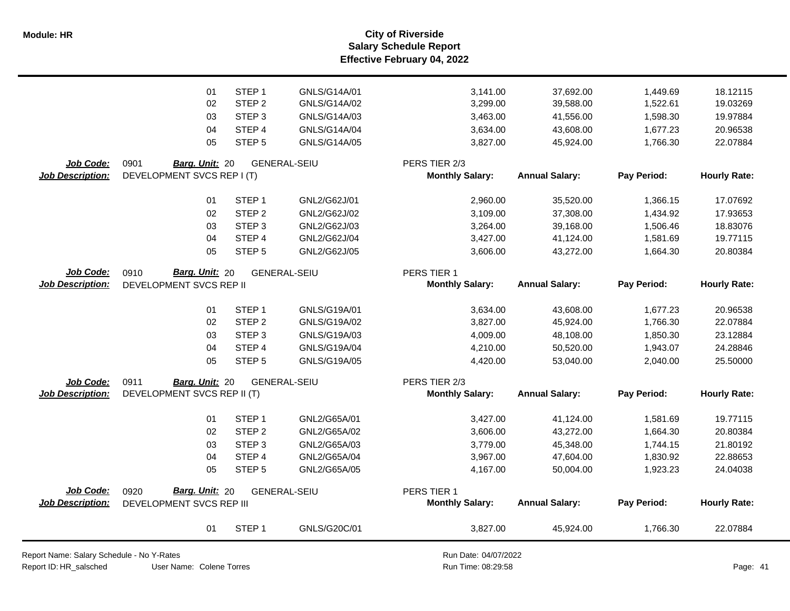**Salary Schedule Report Effective February 04, 2022 Module: HR City of Riverside**

|                                      | 01                                                 | STEP <sub>1</sub>                      | GNLS/G20C/01                 | 3,827.00                              | 45,924.00              | 1,766.30             | 22.07884             |
|--------------------------------------|----------------------------------------------------|----------------------------------------|------------------------------|---------------------------------------|------------------------|----------------------|----------------------|
| Job Code:<br><b>Job Description:</b> | Barg. Unit: 20<br>0920<br>DEVELOPMENT SVCS REP III |                                        | <b>GENERAL-SEIU</b>          | PERS TIER 1<br><b>Monthly Salary:</b> | <b>Annual Salary:</b>  | Pay Period:          | <b>Hourly Rate:</b>  |
|                                      | 05                                                 | STEP <sub>5</sub>                      | GNL2/G65A/05                 | 4,167.00                              | 50,004.00              | 1,923.23             | 24.04038             |
|                                      | 04                                                 | STEP 4                                 | GNL2/G65A/04                 | 3,967.00                              | 47,604.00              | 1,830.92             | 22.88653             |
|                                      | 03                                                 | STEP <sub>3</sub>                      | GNL2/G65A/03                 | 3,779.00                              | 45,348.00              | 1,744.15             | 21.80192             |
|                                      | 02                                                 | STEP <sub>2</sub>                      | GNL2/G65A/02                 | 3,606.00                              | 43,272.00              | 1,664.30             | 20.80384             |
|                                      | 01                                                 | STEP <sub>1</sub>                      | GNL2/G65A/01                 | 3,427.00                              | 41,124.00              | 1,581.69             | 19.77115             |
| <b>Job Description:</b>              | DEVELOPMENT SVCS REP II (T)                        |                                        |                              | <b>Monthly Salary:</b>                | <b>Annual Salary:</b>  | Pay Period:          | <b>Hourly Rate:</b>  |
| Job Code:                            | 0911<br>Barg. Unit: 20                             |                                        | <b>GENERAL-SEIU</b>          | PERS TIER 2/3                         |                        |                      |                      |
|                                      |                                                    |                                        |                              |                                       |                        |                      |                      |
|                                      | 05                                                 | STEP <sub>5</sub>                      | GNLS/G19A/05                 | 4,420.00                              | 53,040.00              | 2,040.00             | 25.50000             |
|                                      | 04                                                 | STEP 4                                 | GNLS/G19A/04                 | 4,210.00                              | 50,520.00              | 1,943.07             | 24.28846             |
|                                      | 03                                                 | STEP <sub>3</sub>                      | GNLS/G19A/03                 | 4,009.00                              | 48,108.00              | 1,850.30             | 23.12884             |
|                                      | 01<br>02                                           | STEP <sub>1</sub><br>STEP <sub>2</sub> | GNLS/G19A/01<br>GNLS/G19A/02 | 3,634.00<br>3,827.00                  | 43,608.00<br>45,924.00 | 1,677.23<br>1,766.30 | 20.96538<br>22.07884 |
|                                      |                                                    |                                        |                              |                                       |                        |                      |                      |
| <b>Job Description:</b>              | DEVELOPMENT SVCS REP II                            |                                        |                              | <b>Monthly Salary:</b>                | <b>Annual Salary:</b>  | Pay Period:          | <b>Hourly Rate:</b>  |
| Job Code:                            | Barg. Unit: 20<br>0910                             |                                        | <b>GENERAL-SEIU</b>          | PERS TIER 1                           |                        |                      |                      |
|                                      | 05                                                 | STEP <sub>5</sub>                      | GNL2/G62J/05                 | 3,606.00                              | 43,272.00              | 1,664.30             | 20.80384             |
|                                      | 04                                                 | STEP 4                                 | GNL2/G62J/04                 | 3,427.00                              | 41,124.00              | 1,581.69             | 19.77115             |
|                                      | 03                                                 | STEP <sub>3</sub>                      | GNL2/G62J/03                 | 3,264.00                              | 39,168.00              | 1,506.46             | 18.83076             |
|                                      | 02                                                 | STEP <sub>2</sub>                      | GNL2/G62J/02                 | 3,109.00                              | 37,308.00              | 1,434.92             | 17.93653             |
|                                      | 01                                                 | STEP <sub>1</sub>                      | GNL2/G62J/01                 | 2,960.00                              | 35,520.00              | 1,366.15             | 17.07692             |
| <b>Job Description:</b>              | DEVELOPMENT SVCS REP I (T)                         |                                        |                              | <b>Monthly Salary:</b>                | <b>Annual Salary:</b>  | Pay Period:          | <b>Hourly Rate:</b>  |
| Job Code:                            | 0901<br>Barg. Unit: 20                             |                                        | <b>GENERAL-SEIU</b>          | PERS TIER 2/3                         |                        |                      |                      |
|                                      | 05                                                 | STEP <sub>5</sub>                      | GNLS/G14A/05                 | 3,827.00                              | 45,924.00              | 1,766.30             | 22.07884             |
|                                      | 04                                                 | STEP <sub>4</sub>                      | GNLS/G14A/04                 | 3,634.00                              | 43,608.00              | 1,677.23             | 20.96538             |
|                                      | 03                                                 | STEP <sub>3</sub>                      | GNLS/G14A/03                 | 3,463.00                              | 41,556.00              | 1,598.30             | 19.97884             |
|                                      | 02                                                 | STEP <sub>2</sub>                      | GNLS/G14A/02                 | 3,299.00                              | 39,588.00              | 1,522.61             | 19.03269             |
|                                      | 01                                                 | STEP <sub>1</sub>                      | GNLS/G14A/01                 | 3,141.00                              | 37,692.00              | 1,449.69             | 18.12115             |
|                                      |                                                    |                                        |                              |                                       |                        |                      |                      |

Report Name: Salary Schedule - No Y-Rates

Report ID: HR\_salsched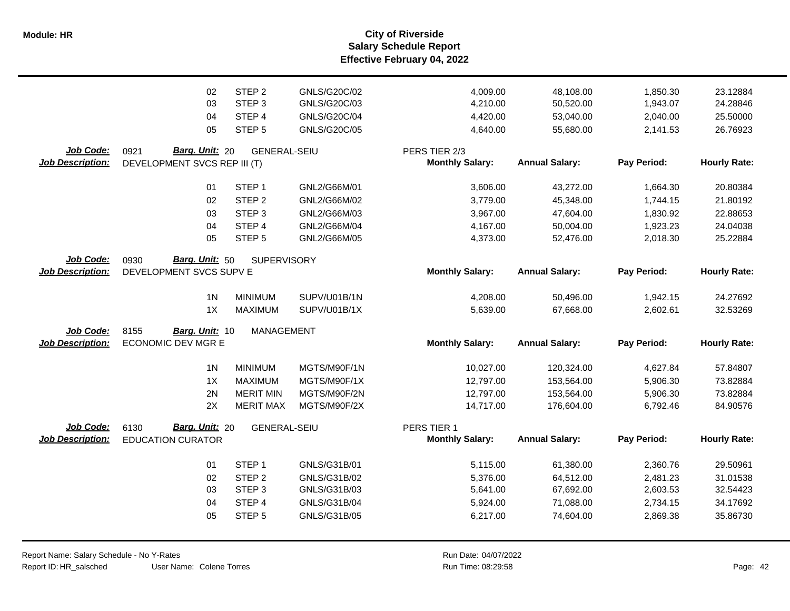**Salary Schedule Report Effective February 04, 2022 Module: HR City of Riverside**

|                         | 02<br>03<br>04<br>05                               | STEP <sub>2</sub><br>STEP <sub>3</sub><br>STEP 4<br>STEP <sub>5</sub> | GNLS/G20C/02<br>GNLS/G20C/03<br>GNLS/G20C/04<br>GNLS/G20C/05 | 4,009.00<br>4,210.00<br>4,420.00<br>4,640.00 | 48,108.00<br>50,520.00<br>53,040.00<br>55,680.00 | 1,850.30<br>1,943.07<br>2,040.00<br>2,141.53 | 23.12884<br>24.28846<br>25.50000<br>26.76923 |
|-------------------------|----------------------------------------------------|-----------------------------------------------------------------------|--------------------------------------------------------------|----------------------------------------------|--------------------------------------------------|----------------------------------------------|----------------------------------------------|
| Job Code:               | Barg. Unit: 20<br>0921                             | <b>GENERAL-SEIU</b>                                                   |                                                              | PERS TIER 2/3                                |                                                  |                                              |                                              |
| <b>Job Description:</b> | DEVELOPMENT SVCS REP III (T)                       |                                                                       |                                                              | <b>Monthly Salary:</b>                       | <b>Annual Salary:</b>                            | Pay Period:                                  | <b>Hourly Rate:</b>                          |
|                         | 01                                                 | STEP <sub>1</sub>                                                     | GNL2/G66M/01                                                 | 3,606.00                                     | 43,272.00                                        | 1,664.30                                     | 20.80384                                     |
|                         | 02                                                 | STEP <sub>2</sub>                                                     | GNL2/G66M/02                                                 | 3,779.00                                     | 45,348.00                                        | 1,744.15                                     | 21.80192                                     |
|                         | 03                                                 | STEP <sub>3</sub>                                                     | GNL2/G66M/03                                                 | 3,967.00                                     | 47,604.00                                        | 1,830.92                                     | 22.88653                                     |
|                         | 04                                                 | STEP 4                                                                | GNL2/G66M/04                                                 | 4,167.00                                     | 50,004.00                                        | 1,923.23                                     | 24.04038                                     |
|                         | 05                                                 | STEP <sub>5</sub>                                                     | GNL2/G66M/05                                                 | 4,373.00                                     | 52,476.00                                        | 2,018.30                                     | 25.22884                                     |
| Job Code:               | Barg. Unit: 50<br>0930                             | <b>SUPERVISORY</b>                                                    |                                                              |                                              |                                                  |                                              |                                              |
| <b>Job Description:</b> | DEVELOPMENT SVCS SUPV E                            |                                                                       |                                                              | <b>Monthly Salary:</b>                       | <b>Annual Salary:</b>                            | Pay Period:                                  | <b>Hourly Rate:</b>                          |
|                         | 1 <sub>N</sub>                                     | <b>MINIMUM</b>                                                        | SUPV/U01B/1N                                                 | 4,208.00                                     | 50,496.00                                        | 1,942.15                                     | 24.27692                                     |
|                         | 1X                                                 | <b>MAXIMUM</b>                                                        | SUPV/U01B/1X                                                 | 5,639.00                                     | 67,668.00                                        | 2,602.61                                     | 32.53269                                     |
| Job Code:               | 8155<br>Barg. Unit: 10                             | <b>MANAGEMENT</b>                                                     |                                                              |                                              |                                                  |                                              |                                              |
| <b>Job Description:</b> | <b>ECONOMIC DEV MGR E</b>                          |                                                                       |                                                              | <b>Monthly Salary:</b>                       | <b>Annual Salary:</b>                            | Pay Period:                                  | <b>Hourly Rate:</b>                          |
|                         |                                                    |                                                                       |                                                              |                                              |                                                  |                                              |                                              |
|                         | 1 <sub>N</sub>                                     | <b>MINIMUM</b>                                                        | MGTS/M90F/1N                                                 | 10,027.00                                    | 120,324.00                                       | 4,627.84                                     | 57.84807                                     |
|                         | 1X                                                 | <b>MAXIMUM</b>                                                        | MGTS/M90F/1X                                                 | 12,797.00                                    | 153,564.00                                       | 5,906.30                                     | 73.82884                                     |
|                         | 2N                                                 | <b>MERIT MIN</b>                                                      | MGTS/M90F/2N                                                 | 12,797.00                                    | 153,564.00                                       | 5,906.30                                     | 73.82884                                     |
|                         | 2X                                                 | <b>MERIT MAX</b>                                                      | MGTS/M90F/2X                                                 | 14,717.00                                    | 176,604.00                                       | 6,792.46                                     | 84.90576                                     |
| Job Code:               |                                                    |                                                                       |                                                              |                                              |                                                  |                                              |                                              |
| <b>Job Description:</b> | Barg. Unit: 20<br>6130<br><b>EDUCATION CURATOR</b> | <b>GENERAL-SEIU</b>                                                   |                                                              | PERS TIER 1<br><b>Monthly Salary:</b>        | <b>Annual Salary:</b>                            | Pay Period:                                  | <b>Hourly Rate:</b>                          |
|                         |                                                    |                                                                       |                                                              |                                              |                                                  |                                              |                                              |
|                         | 01                                                 | STEP <sub>1</sub>                                                     | GNLS/G31B/01                                                 | 5,115.00                                     | 61,380.00                                        | 2,360.76                                     | 29.50961                                     |
|                         | 02                                                 | STEP <sub>2</sub>                                                     | GNLS/G31B/02                                                 | 5,376.00                                     | 64,512.00                                        | 2,481.23                                     | 31.01538                                     |
|                         | 03                                                 | STEP <sub>3</sub>                                                     | GNLS/G31B/03                                                 | 5,641.00                                     | 67,692.00                                        | 2,603.53                                     | 32.54423                                     |
|                         | 04                                                 | STEP 4                                                                | GNLS/G31B/04                                                 | 5,924.00                                     | 71,088.00                                        | 2,734.15                                     | 34.17692                                     |
|                         | 05                                                 | STEP <sub>5</sub>                                                     | GNLS/G31B/05                                                 | 6,217.00                                     | 74,604.00                                        | 2,869.38                                     | 35.86730                                     |
|                         |                                                    |                                                                       |                                                              |                                              |                                                  |                                              |                                              |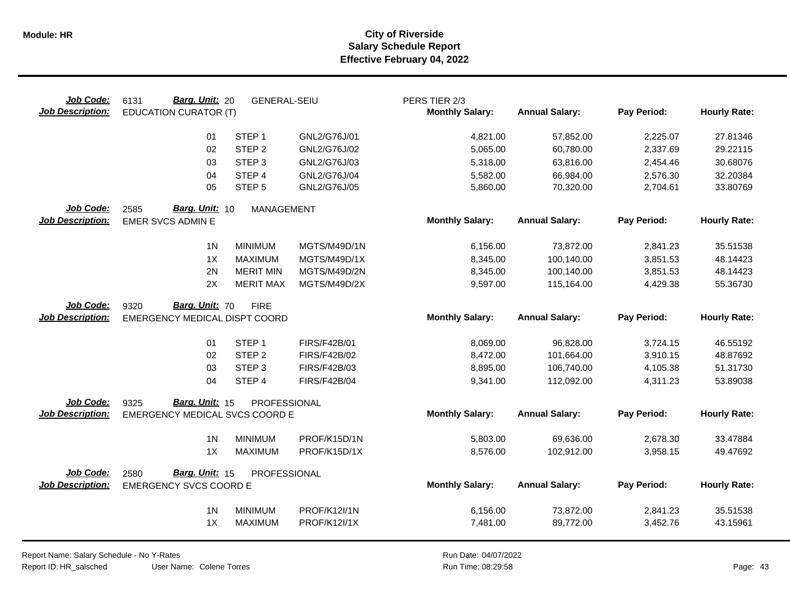| Job Code:<br><b>Job Description:</b>        | Barg. Unit: 20<br>6131<br><b>EDUCATION CURATOR (T)</b>  | <b>GENERAL-SEIU</b> |                     | PERS TIER 2/3<br><b>Monthly Salary:</b> | <b>Annual Salary:</b> | Pay Period: | <b>Hourly Rate:</b> |
|---------------------------------------------|---------------------------------------------------------|---------------------|---------------------|-----------------------------------------|-----------------------|-------------|---------------------|
|                                             | 01                                                      | STEP <sub>1</sub>   | GNL2/G76J/01        | 4,821.00                                | 57,852.00             | 2,225.07    | 27.81346            |
|                                             | 02                                                      | STEP <sub>2</sub>   | GNL2/G76J/02        | 5,065.00                                | 60,780.00             | 2,337.69    | 29.22115            |
|                                             | 03                                                      | STEP <sub>3</sub>   | GNL2/G76J/03        | 5,318.00                                | 63,816.00             | 2,454.46    | 30.68076            |
|                                             | 04                                                      | STEP 4              | GNL2/G76J/04        | 5,582.00                                | 66,984.00             | 2,576.30    | 32.20384            |
|                                             | 05                                                      | STEP <sub>5</sub>   | GNL2/G76J/05        | 5,860.00                                | 70,320.00             | 2,704.61    | 33.80769            |
| Job Code:<br><b>Job Description:</b>        | Barg. Unit: 10<br>2585<br><b>EMER SVCS ADMIN E</b>      | <b>MANAGEMENT</b>   |                     | <b>Monthly Salary:</b>                  | <b>Annual Salary:</b> | Pay Period: | <b>Hourly Rate:</b> |
|                                             | 1 <sub>N</sub>                                          | <b>MINIMUM</b>      | MGTS/M49D/1N        | 6,156.00                                | 73,872.00             | 2,841.23    | 35.51538            |
|                                             | 1X                                                      | <b>MAXIMUM</b>      | MGTS/M49D/1X        | 8,345.00                                | 100,140.00            | 3,851.53    | 48.14423            |
|                                             | 2N                                                      | <b>MERIT MIN</b>    | MGTS/M49D/2N        | 8,345.00                                | 100,140.00            | 3,851.53    | 48.14423            |
|                                             | 2X                                                      | <b>MERIT MAX</b>    | MGTS/M49D/2X        | 9,597.00                                | 115,164.00            | 4,429.38    | 55.36730            |
| Job Code:<br><b>Job Description:</b>        | Barg. Unit: 70<br>9320<br>EMERGENCY MEDICAL DISPT COORD | <b>FIRE</b>         |                     | <b>Monthly Salary:</b>                  | <b>Annual Salary:</b> | Pay Period: | <b>Hourly Rate:</b> |
|                                             | 01                                                      | STEP <sub>1</sub>   | <b>FIRS/F42B/01</b> | 8,069.00                                | 96,828.00             | 3,724.15    | 46.55192            |
|                                             | 02                                                      | STEP <sub>2</sub>   | <b>FIRS/F42B/02</b> | 8,472.00                                | 101,664.00            | 3,910.15    | 48.87692            |
|                                             | 03                                                      | STEP <sub>3</sub>   | FIRS/F42B/03        | 8,895.00                                | 106,740.00            | 4,105.38    | 51.31730            |
|                                             | 04                                                      | STEP 4              | <b>FIRS/F42B/04</b> | 9,341.00                                | 112,092.00            | 4,311.23    | 53.89038            |
| Job Code:                                   | Barg. Unit: 15<br>9325                                  | PROFESSIONAL        |                     |                                         |                       |             |                     |
| <b>Job Description:</b>                     | EMERGENCY MEDICAL SVCS COORD E                          |                     |                     | <b>Monthly Salary:</b>                  | <b>Annual Salary:</b> | Pay Period: | <b>Hourly Rate:</b> |
|                                             | 1 <sub>N</sub>                                          | <b>MINIMUM</b>      | PROF/K15D/1N        | 5,803.00                                | 69,636.00             | 2,678.30    | 33.47884            |
|                                             | 1X                                                      | <b>MAXIMUM</b>      | PROF/K15D/1X        | 8,576.00                                | 102,912.00            | 3,958.15    | 49.47692            |
| <b>Job Code:</b><br><b>Job Description:</b> | Barg. Unit: 15<br>2580<br><b>EMERGENCY SVCS COORD E</b> | PROFESSIONAL        |                     | <b>Monthly Salary:</b>                  | <b>Annual Salary:</b> | Pay Period: | <b>Hourly Rate:</b> |
|                                             |                                                         |                     |                     |                                         |                       |             |                     |
|                                             | 1 <sub>N</sub>                                          | <b>MINIMUM</b>      | PROF/K12I/1N        | 6,156.00                                | 73,872.00             | 2,841.23    | 35.51538            |
|                                             | 1X                                                      | <b>MAXIMUM</b>      | <b>PROF/K12I/1X</b> | 7,481.00                                | 89,772.00             | 3,452.76    | 43.15961            |

User Name: Colene Torres Report Name: Salary Schedule - No Y-Rates Report ID: HR\_salsched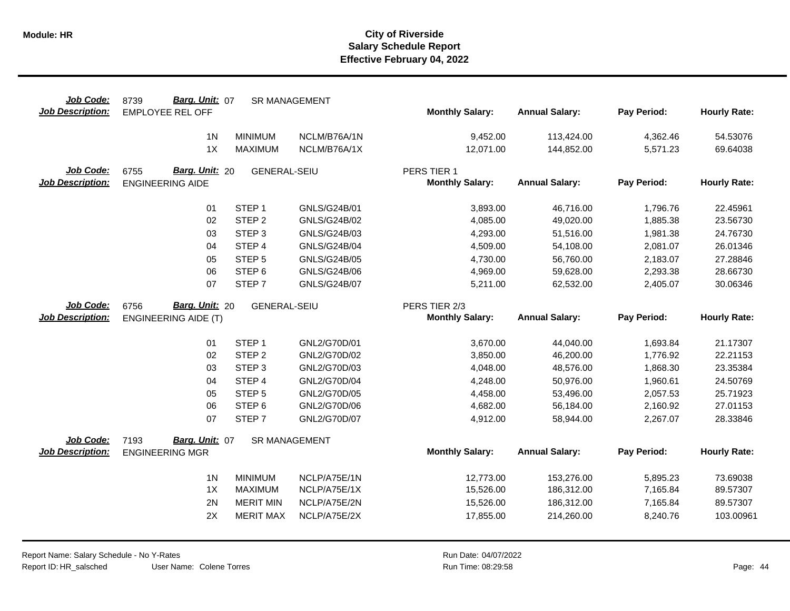| Job Code:<br><b>Job Description:</b> | Barg. Unit: 07<br>8739<br><b>EMPLOYEE REL OFF</b> |                                  | <b>SR MANAGEMENT</b>         | <b>Monthly Salary:</b>                | <b>Annual Salary:</b>    | Pay Period:          | <b>Hourly Rate:</b>  |
|--------------------------------------|---------------------------------------------------|----------------------------------|------------------------------|---------------------------------------|--------------------------|----------------------|----------------------|
|                                      | 1 <sub>N</sub>                                    | <b>MINIMUM</b>                   | NCLM/B76A/1N                 | 9,452.00                              | 113,424.00               | 4,362.46             | 54.53076             |
|                                      | 1X                                                | <b>MAXIMUM</b>                   | NCLM/B76A/1X                 | 12,071.00                             | 144,852.00               | 5,571.23             | 69.64038             |
| Job Code:<br><b>Job Description:</b> | Barg. Unit: 20<br>6755<br><b>ENGINEERING AIDE</b> | <b>GENERAL-SEIU</b>              |                              | PERS TIER 1<br><b>Monthly Salary:</b> | <b>Annual Salary:</b>    | Pay Period:          | <b>Hourly Rate:</b>  |
|                                      | 01                                                | STEP <sub>1</sub>                | GNLS/G24B/01                 | 3,893.00                              | 46,716.00                | 1,796.76             | 22.45961             |
|                                      | 02                                                | STEP <sub>2</sub>                | GNLS/G24B/02                 | 4,085.00                              | 49,020.00                | 1,885.38             | 23.56730             |
|                                      | 03                                                | STEP <sub>3</sub>                | GNLS/G24B/03                 | 4,293.00                              | 51,516.00                | 1,981.38             | 24.76730             |
|                                      | 04                                                | STEP 4                           | GNLS/G24B/04                 | 4,509.00                              | 54,108.00                | 2,081.07             | 26.01346             |
|                                      | 05                                                | STEP <sub>5</sub>                | GNLS/G24B/05                 | 4,730.00                              | 56,760.00                | 2,183.07             | 27.28846             |
|                                      | 06                                                | STEP <sub>6</sub>                | GNLS/G24B/06                 | 4,969.00                              | 59,628.00                | 2,293.38             | 28.66730             |
|                                      | 07                                                | STEP <sub>7</sub>                | <b>GNLS/G24B/07</b>          | 5,211.00                              | 62,532.00                | 2,405.07             | 30.06346             |
| Job Code:                            | Barg. Unit: 20<br>6756                            | <b>GENERAL-SEIU</b>              |                              | PERS TIER 2/3                         |                          |                      |                      |
| <b>Job Description:</b>              | <b>ENGINEERING AIDE (T)</b>                       |                                  |                              | <b>Monthly Salary:</b>                | <b>Annual Salary:</b>    | Pay Period:          | <b>Hourly Rate:</b>  |
|                                      | 01                                                | STEP <sub>1</sub>                | GNL2/G70D/01                 | 3,670.00                              | 44,040.00                | 1,693.84             | 21.17307             |
|                                      | 02                                                | STEP <sub>2</sub>                |                              |                                       |                          |                      | 22.21153             |
|                                      |                                                   |                                  | GNL2/G70D/02                 | 3,850.00                              | 46,200.00                | 1,776.92             |                      |
|                                      | 03                                                | STEP <sub>3</sub>                | GNL2/G70D/03                 | 4,048.00                              | 48,576.00                | 1,868.30             | 23.35384             |
|                                      | 04                                                | STEP 4                           | GNL2/G70D/04                 | 4,248.00                              | 50,976.00                | 1,960.61             | 24.50769             |
|                                      | 05                                                | STEP <sub>5</sub>                | GNL2/G70D/05                 | 4,458.00                              | 53,496.00                | 2,057.53             | 25.71923             |
|                                      | 06                                                | STEP <sub>6</sub>                | GNL2/G70D/06                 | 4,682.00                              | 56,184.00                | 2,160.92             | 27.01153             |
|                                      | 07                                                | STEP <sub>7</sub>                | GNL2/G70D/07                 | 4,912.00                              | 58,944.00                | 2,267.07             | 28.33846             |
| Job Code:                            | Barg. Unit: 07<br>7193                            |                                  | SR MANAGEMENT                |                                       |                          |                      |                      |
| <b>Job Description:</b>              | <b>ENGINEERING MGR</b>                            |                                  |                              | <b>Monthly Salary:</b>                | <b>Annual Salary:</b>    | Pay Period:          | <b>Hourly Rate:</b>  |
|                                      |                                                   |                                  |                              |                                       |                          |                      |                      |
|                                      | 1 <sub>N</sub><br>1X                              | <b>MINIMUM</b><br><b>MAXIMUM</b> | NCLP/A75E/1N                 | 12,773.00                             | 153,276.00               | 5,895.23             | 73.69038             |
|                                      | 2N                                                | <b>MERIT MIN</b>                 | NCLP/A75E/1X<br>NCLP/A75E/2N | 15,526.00                             | 186,312.00               | 7,165.84             | 89.57307<br>89.57307 |
|                                      | 2X                                                | <b>MERIT MAX</b>                 | NCLP/A75E/2X                 | 15,526.00<br>17,855.00                | 186,312.00<br>214,260.00 | 7,165.84<br>8,240.76 | 103.00961            |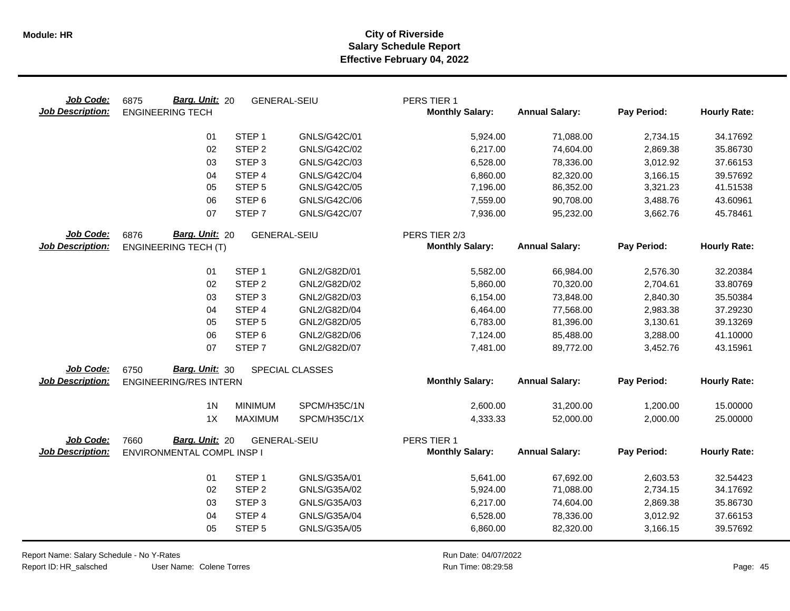| Job Code:<br><b>Job Description:</b> | Barg. Unit: 20<br>6875<br><b>ENGINEERING TECH</b> | <b>GENERAL-SEIU</b> |                 | PERS TIER 1<br><b>Monthly Salary:</b> | <b>Annual Salary:</b> | Pay Period: | <b>Hourly Rate:</b> |
|--------------------------------------|---------------------------------------------------|---------------------|-----------------|---------------------------------------|-----------------------|-------------|---------------------|
|                                      | 01                                                | STEP <sub>1</sub>   | GNLS/G42C/01    | 5,924.00                              | 71,088.00             | 2,734.15    | 34.17692            |
|                                      | 02                                                | STEP <sub>2</sub>   | GNLS/G42C/02    | 6,217.00                              | 74,604.00             | 2,869.38    | 35.86730            |
|                                      | 03                                                | STEP <sub>3</sub>   | GNLS/G42C/03    | 6,528.00                              | 78,336.00             | 3,012.92    | 37.66153            |
|                                      | 04                                                | STEP <sub>4</sub>   | GNLS/G42C/04    | 6,860.00                              | 82,320.00             | 3,166.15    | 39.57692            |
|                                      | 05                                                | STEP <sub>5</sub>   | GNLS/G42C/05    | 7,196.00                              | 86,352.00             | 3,321.23    | 41.51538            |
|                                      | 06                                                | STEP <sub>6</sub>   | GNLS/G42C/06    | 7,559.00                              | 90,708.00             | 3,488.76    | 43.60961            |
|                                      | 07                                                | STEP <sub>7</sub>   | GNLS/G42C/07    | 7,936.00                              | 95,232.00             | 3,662.76    | 45.78461            |
| Job Code:                            | Barg. Unit: 20<br>6876                            | <b>GENERAL-SEIU</b> |                 | PERS TIER 2/3                         |                       |             |                     |
| <b>Job Description:</b>              | <b>ENGINEERING TECH (T)</b>                       |                     |                 | <b>Monthly Salary:</b>                | <b>Annual Salary:</b> | Pay Period: | <b>Hourly Rate:</b> |
|                                      | 01                                                | STEP <sub>1</sub>   | GNL2/G82D/01    | 5,582.00                              | 66,984.00             | 2,576.30    | 32.20384            |
|                                      | 02                                                | STEP <sub>2</sub>   | GNL2/G82D/02    | 5,860.00                              | 70,320.00             | 2,704.61    | 33.80769            |
|                                      | 03                                                | STEP <sub>3</sub>   | GNL2/G82D/03    | 6,154.00                              | 73,848.00             | 2,840.30    | 35.50384            |
|                                      | 04                                                | STEP 4              | GNL2/G82D/04    | 6,464.00                              | 77,568.00             | 2,983.38    | 37.29230            |
|                                      | 05                                                | STEP <sub>5</sub>   | GNL2/G82D/05    | 6,783.00                              | 81,396.00             | 3,130.61    | 39.13269            |
|                                      | 06                                                | STEP <sub>6</sub>   | GNL2/G82D/06    | 7,124.00                              | 85,488.00             | 3,288.00    | 41.10000            |
|                                      | 07                                                | STEP <sub>7</sub>   | GNL2/G82D/07    | 7,481.00                              | 89,772.00             | 3,452.76    | 43.15961            |
| Job Code:                            | Barg. Unit: 30<br>6750                            |                     | SPECIAL CLASSES |                                       |                       |             |                     |
| <b>Job Description:</b>              | <b>ENGINEERING/RES INTERN</b>                     |                     |                 | <b>Monthly Salary:</b>                | <b>Annual Salary:</b> | Pay Period: | <b>Hourly Rate:</b> |
|                                      | 1 <sub>N</sub>                                    | <b>MINIMUM</b>      | SPCM/H35C/1N    | 2,600.00                              | 31,200.00             | 1,200.00    | 15.00000            |
|                                      | 1X                                                | <b>MAXIMUM</b>      | SPCM/H35C/1X    | 4,333.33                              | 52,000.00             | 2,000.00    | 25.00000            |
| Job Code:                            | Barg. Unit: 20<br>7660                            | <b>GENERAL-SEIU</b> |                 | PERS TIER 1                           |                       |             |                     |
| <b>Job Description:</b>              | ENVIRONMENTAL COMPL INSP I                        |                     |                 | <b>Monthly Salary:</b>                | <b>Annual Salary:</b> | Pay Period: | <b>Hourly Rate:</b> |
|                                      | 01                                                | STEP <sub>1</sub>   | GNLS/G35A/01    | 5,641.00                              | 67,692.00             | 2,603.53    | 32.54423            |
|                                      | 02                                                | STEP <sub>2</sub>   | GNLS/G35A/02    | 5,924.00                              | 71,088.00             | 2,734.15    | 34.17692            |
|                                      | 03                                                | STEP <sub>3</sub>   | GNLS/G35A/03    | 6,217.00                              | 74,604.00             | 2,869.38    | 35.86730            |
|                                      | 04                                                | STEP 4              | GNLS/G35A/04    | 6,528.00                              | 78,336.00             | 3,012.92    | 37.66153            |
|                                      | 05                                                | STEP <sub>5</sub>   | GNLS/G35A/05    | 6,860.00                              | 82,320.00             | 3,166.15    | 39.57692            |

Report Name: Salary Schedule - No Y-Rates Report ID: HR\_salsched

User Name: Colene Torres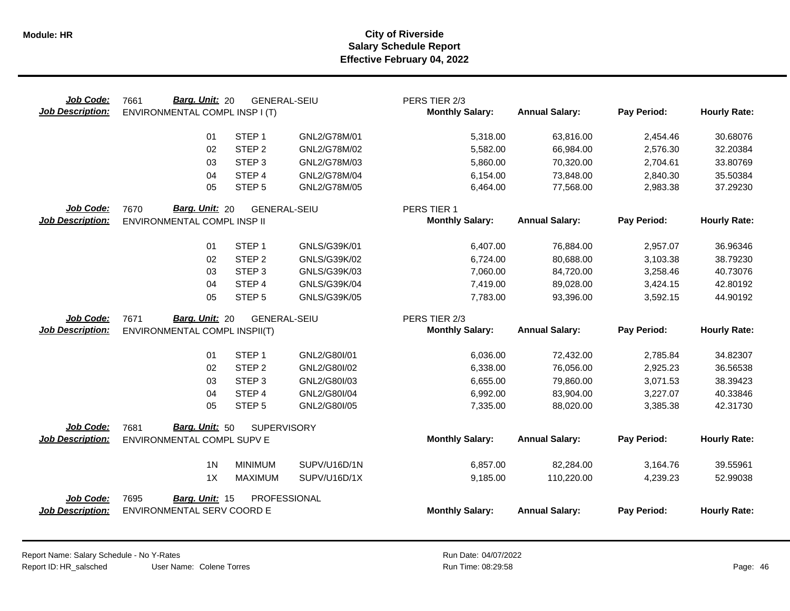| Job Code:<br><b>Job Description:</b> | Barg. Unit: 20<br>7661<br>ENVIRONMENTAL COMPL INSP I (T) | <b>GENERAL-SEIU</b> |              | PERS TIER 2/3<br><b>Monthly Salary:</b> | <b>Annual Salary:</b> | Pay Period: | <b>Hourly Rate:</b> |
|--------------------------------------|----------------------------------------------------------|---------------------|--------------|-----------------------------------------|-----------------------|-------------|---------------------|
|                                      | 01                                                       | STEP <sub>1</sub>   | GNL2/G78M/01 | 5,318.00                                | 63,816.00             | 2,454.46    | 30.68076            |
|                                      | 02                                                       | STEP <sub>2</sub>   | GNL2/G78M/02 | 5,582.00                                | 66,984.00             | 2,576.30    | 32.20384            |
|                                      | 03                                                       | STEP <sub>3</sub>   | GNL2/G78M/03 | 5,860.00                                | 70,320.00             | 2,704.61    | 33.80769            |
|                                      | 04                                                       | STEP 4              | GNL2/G78M/04 | 6,154.00                                | 73,848.00             | 2,840.30    | 35.50384            |
|                                      | 05                                                       | STEP <sub>5</sub>   | GNL2/G78M/05 | 6,464.00                                | 77,568.00             | 2,983.38    | 37.29230            |
| <b>Job Code:</b>                     | Barg. Unit: 20<br>7670                                   | <b>GENERAL-SEIU</b> |              | PERS TIER 1                             |                       |             |                     |
| <b>Job Description:</b>              | ENVIRONMENTAL COMPL INSP II                              |                     |              | <b>Monthly Salary:</b>                  | <b>Annual Salary:</b> | Pay Period: | <b>Hourly Rate:</b> |
|                                      | 01                                                       | STEP <sub>1</sub>   | GNLS/G39K/01 | 6,407.00                                | 76,884.00             | 2,957.07    | 36.96346            |
|                                      | 02                                                       | STEP <sub>2</sub>   | GNLS/G39K/02 | 6,724.00                                | 80,688.00             | 3,103.38    | 38.79230            |
|                                      | 03                                                       | STEP <sub>3</sub>   | GNLS/G39K/03 | 7,060.00                                | 84,720.00             | 3,258.46    | 40.73076            |
|                                      | 04                                                       | STEP <sub>4</sub>   | GNLS/G39K/04 | 7,419.00                                | 89,028.00             | 3,424.15    | 42.80192            |
|                                      | 05                                                       | STEP <sub>5</sub>   | GNLS/G39K/05 | 7,783.00                                | 93,396.00             | 3,592.15    | 44.90192            |
| Job Code:                            | Barg. Unit: 20<br>7671                                   | <b>GENERAL-SEIU</b> |              | PERS TIER 2/3                           |                       |             |                     |
| <b>Job Description:</b>              | ENVIRONMENTAL COMPL INSPII(T)                            |                     |              | <b>Monthly Salary:</b>                  | <b>Annual Salary:</b> | Pay Period: | <b>Hourly Rate:</b> |
|                                      |                                                          |                     |              |                                         |                       |             |                     |
|                                      | 01                                                       | STEP <sub>1</sub>   | GNL2/G80I/01 | 6,036.00                                | 72,432.00             | 2,785.84    | 34.82307            |
|                                      | 02                                                       | STEP <sub>2</sub>   | GNL2/G80I/02 | 6,338.00                                | 76,056.00             | 2,925.23    | 36.56538            |
|                                      | 03                                                       | STEP <sub>3</sub>   | GNL2/G80I/03 | 6,655.00                                | 79,860.00             | 3,071.53    | 38.39423            |
|                                      | 04                                                       | STEP 4              | GNL2/G80I/04 | 6,992.00                                | 83,904.00             | 3,227.07    | 40.33846            |
|                                      | 05                                                       | STEP <sub>5</sub>   | GNL2/G80I/05 | 7,335.00                                | 88,020.00             | 3,385.38    | 42.31730            |
| Job Code:                            | Barg. Unit: 50<br>7681                                   | <b>SUPERVISORY</b>  |              |                                         |                       |             |                     |
| <b>Job Description:</b>              | ENVIRONMENTAL COMPL SUPV E                               |                     |              | <b>Monthly Salary:</b>                  | <b>Annual Salary:</b> | Pay Period: | <b>Hourly Rate:</b> |
|                                      | 1 <sub>N</sub>                                           | <b>MINIMUM</b>      | SUPV/U16D/1N | 6,857.00                                | 82,284.00             | 3,164.76    | 39.55961            |
|                                      | 1X                                                       | MAXIMUM             | SUPV/U16D/1X | 9,185.00                                | 110,220.00            | 4,239.23    | 52.99038            |
| Job Code:<br><b>Job Description:</b> | 7695<br>Barg. Unit: 15<br>ENVIRONMENTAL SERV COORD E     | PROFESSIONAL        |              | <b>Monthly Salary:</b>                  | <b>Annual Salary:</b> | Pay Period: | <b>Hourly Rate:</b> |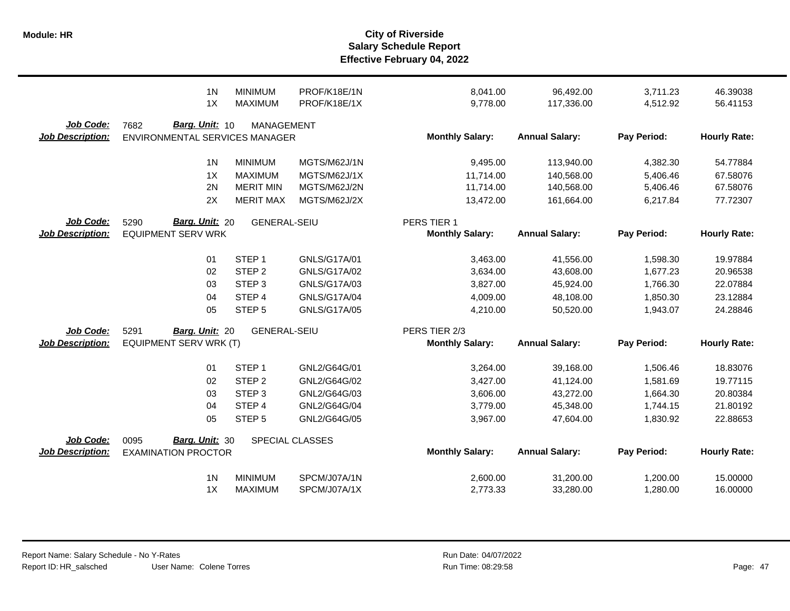|                                      | 1 <sub>N</sub>                                             | <b>MINIMUM</b>      | PROF/K18E/1N        | 8,041.00                                | 96,492.00             | 3,711.23    | 46.39038            |
|--------------------------------------|------------------------------------------------------------|---------------------|---------------------|-----------------------------------------|-----------------------|-------------|---------------------|
|                                      | 1X                                                         | <b>MAXIMUM</b>      | PROF/K18E/1X        | 9,778.00                                | 117,336.00            | 4,512.92    | 56.41153            |
| Job Code:<br><b>Job Description:</b> | Barg. Unit: 10<br>7682<br>ENVIRONMENTAL SERVICES MANAGER   | <b>MANAGEMENT</b>   |                     | <b>Monthly Salary:</b>                  | <b>Annual Salary:</b> | Pay Period: | <b>Hourly Rate:</b> |
|                                      | 1 <sub>N</sub>                                             | <b>MINIMUM</b>      | MGTS/M62J/1N        | 9,495.00                                | 113,940.00            | 4,382.30    | 54.77884            |
|                                      | 1X                                                         | <b>MAXIMUM</b>      | MGTS/M62J/1X        | 11,714.00                               | 140,568.00            | 5,406.46    | 67.58076            |
|                                      | 2N                                                         | <b>MERIT MIN</b>    | MGTS/M62J/2N        | 11,714.00                               | 140,568.00            | 5,406.46    | 67.58076            |
|                                      | 2X                                                         | <b>MERIT MAX</b>    | MGTS/M62J/2X        | 13,472.00                               | 161,664.00            | 6,217.84    | 77.72307            |
| Job Code:<br><b>Job Description:</b> | <b>Barg. Unit: 20</b><br>5290<br><b>EQUIPMENT SERV WRK</b> | <b>GENERAL-SEIU</b> |                     | PERS TIER 1<br><b>Monthly Salary:</b>   | <b>Annual Salary:</b> | Pay Period: | <b>Hourly Rate:</b> |
|                                      | 01                                                         | STEP <sub>1</sub>   | GNLS/G17A/01        | 3,463.00                                | 41,556.00             | 1,598.30    | 19.97884            |
|                                      | 02                                                         | STEP <sub>2</sub>   | <b>GNLS/G17A/02</b> | 3,634.00                                | 43,608.00             | 1,677.23    | 20.96538            |
|                                      | 03                                                         | STEP <sub>3</sub>   | GNLS/G17A/03        | 3,827.00                                | 45,924.00             | 1,766.30    | 22.07884            |
|                                      | 04                                                         | STEP 4              | <b>GNLS/G17A/04</b> | 4,009.00                                | 48,108.00             | 1,850.30    | 23.12884            |
|                                      | 05                                                         | STEP <sub>5</sub>   | <b>GNLS/G17A/05</b> | 4,210.00                                | 50,520.00             | 1,943.07    | 24.28846            |
| Job Code:<br><b>Job Description:</b> | 5291<br>Barg. Unit: 20<br>EQUIPMENT SERV WRK (T)           | <b>GENERAL-SEIU</b> |                     | PERS TIER 2/3<br><b>Monthly Salary:</b> | <b>Annual Salary:</b> | Pay Period: | <b>Hourly Rate:</b> |
|                                      | 01                                                         | STEP <sub>1</sub>   | GNL2/G64G/01        | 3,264.00                                | 39,168.00             | 1,506.46    | 18.83076            |
|                                      | 02                                                         | STEP <sub>2</sub>   | GNL2/G64G/02        | 3,427.00                                | 41,124.00             | 1,581.69    | 19.77115            |
|                                      | 03                                                         | STEP <sub>3</sub>   | GNL2/G64G/03        | 3,606.00                                | 43,272.00             | 1,664.30    | 20.80384            |
|                                      | 04                                                         | STEP 4              | GNL2/G64G/04        | 3,779.00                                | 45,348.00             | 1,744.15    | 21.80192            |
|                                      | 05                                                         | STEP <sub>5</sub>   | GNL2/G64G/05        | 3,967.00                                | 47,604.00             | 1,830.92    | 22.88653            |
| Job Code:<br><b>Job Description:</b> | Barg. Unit: 30<br>0095<br><b>EXAMINATION PROCTOR</b>       |                     | SPECIAL CLASSES     | <b>Monthly Salary:</b>                  | <b>Annual Salary:</b> | Pay Period: | <b>Hourly Rate:</b> |
|                                      | 1 <sub>N</sub>                                             | <b>MINIMUM</b>      | SPCM/J07A/1N        | 2,600.00                                | 31,200.00             | 1,200.00    | 15.00000            |
|                                      | 1X                                                         | <b>MAXIMUM</b>      | SPCM/J07A/1X        | 2,773.33                                | 33,280.00             | 1,280.00    | 16.00000            |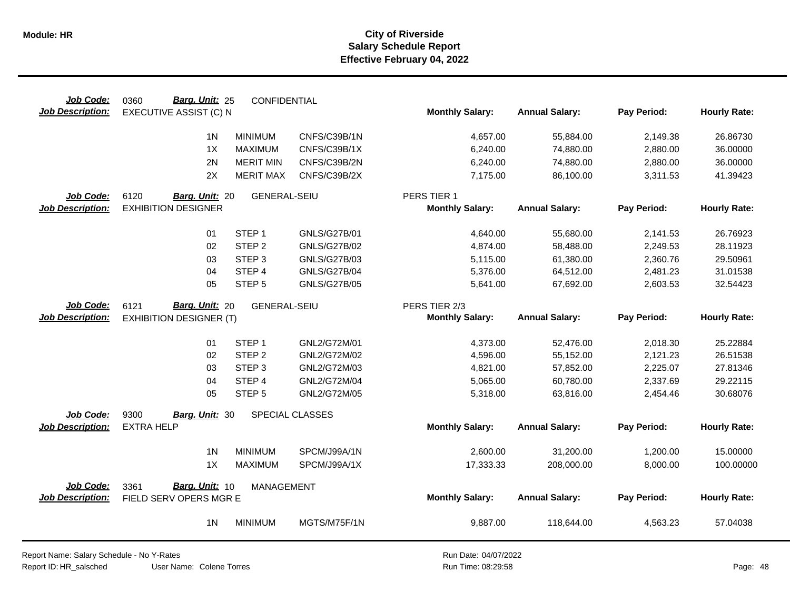| Job Code:                            | Barg. Unit: 25<br>0360                           | CONFIDENTIAL        |                     |                        |                       |             |                     |
|--------------------------------------|--------------------------------------------------|---------------------|---------------------|------------------------|-----------------------|-------------|---------------------|
| <b>Job Description:</b>              | EXECUTIVE ASSIST (C) N                           |                     |                     | <b>Monthly Salary:</b> | <b>Annual Salary:</b> | Pay Period: | <b>Hourly Rate:</b> |
|                                      | 1 <sub>N</sub>                                   | <b>MINIMUM</b>      | CNFS/C39B/1N        | 4,657.00               | 55,884.00             | 2,149.38    | 26.86730            |
|                                      | 1X                                               | <b>MAXIMUM</b>      | CNFS/C39B/1X        | 6,240.00               | 74,880.00             | 2,880.00    | 36.00000            |
|                                      | 2N                                               | <b>MERIT MIN</b>    | CNFS/C39B/2N        | 6,240.00               | 74,880.00             | 2,880.00    | 36.00000            |
|                                      | 2X                                               | <b>MERIT MAX</b>    | CNFS/C39B/2X        | 7,175.00               | 86,100.00             | 3,311.53    | 41.39423            |
| Job Code:                            | 6120<br>Barg. Unit: 20                           | <b>GENERAL-SEIU</b> |                     | PERS TIER 1            |                       |             |                     |
| <b>Job Description:</b>              | <b>EXHIBITION DESIGNER</b>                       |                     |                     | <b>Monthly Salary:</b> | <b>Annual Salary:</b> | Pay Period: | <b>Hourly Rate:</b> |
|                                      | 01                                               | STEP <sub>1</sub>   | <b>GNLS/G27B/01</b> | 4,640.00               | 55,680.00             | 2,141.53    | 26.76923            |
|                                      | 02                                               | STEP <sub>2</sub>   | <b>GNLS/G27B/02</b> | 4,874.00               | 58,488.00             | 2,249.53    | 28.11923            |
|                                      | 03                                               | STEP <sub>3</sub>   | <b>GNLS/G27B/03</b> | 5,115.00               | 61,380.00             | 2,360.76    | 29.50961            |
|                                      | 04                                               | STEP 4              | <b>GNLS/G27B/04</b> | 5,376.00               | 64,512.00             | 2,481.23    | 31.01538            |
|                                      | 05                                               | STEP <sub>5</sub>   | <b>GNLS/G27B/05</b> | 5,641.00               | 67,692.00             | 2,603.53    | 32.54423            |
| Job Code:                            | Barg. Unit: 20<br>6121                           | <b>GENERAL-SEIU</b> |                     | PERS TIER 2/3          |                       |             |                     |
| <b>Job Description:</b>              | <b>EXHIBITION DESIGNER (T)</b>                   |                     |                     | <b>Monthly Salary:</b> | <b>Annual Salary:</b> | Pay Period: | <b>Hourly Rate:</b> |
|                                      | 01                                               | STEP <sub>1</sub>   | GNL2/G72M/01        | 4,373.00               | 52,476.00             | 2,018.30    | 25.22884            |
|                                      | 02                                               | STEP <sub>2</sub>   | GNL2/G72M/02        | 4,596.00               | 55,152.00             | 2,121.23    | 26.51538            |
|                                      | 03                                               | STEP <sub>3</sub>   | GNL2/G72M/03        | 4,821.00               | 57,852.00             | 2,225.07    | 27.81346            |
|                                      | 04                                               | STEP 4              | GNL2/G72M/04        | 5,065.00               | 60,780.00             | 2,337.69    | 29.22115            |
|                                      | 05                                               | STEP <sub>5</sub>   | GNL2/G72M/05        | 5,318.00               | 63,816.00             | 2,454.46    | 30.68076            |
| Job Code:                            | 9300<br>Barg. Unit: 30                           |                     | SPECIAL CLASSES     |                        |                       |             |                     |
| Job Description:                     | <b>EXTRA HELP</b>                                |                     |                     | <b>Monthly Salary:</b> | <b>Annual Salary:</b> | Pay Period: | <b>Hourly Rate:</b> |
|                                      | 1 <sub>N</sub>                                   | <b>MINIMUM</b>      | SPCM/J99A/1N        | 2,600.00               | 31,200.00             | 1,200.00    | 15.00000            |
|                                      | 1X                                               | <b>MAXIMUM</b>      | SPCM/J99A/1X        | 17,333.33              | 208,000.00            | 8,000.00    | 100.00000           |
|                                      |                                                  |                     |                     |                        |                       |             |                     |
| Job Code:<br><b>Job Description:</b> | Barg. Unit: 10<br>3361<br>FIELD SERV OPERS MGR E | <b>MANAGEMENT</b>   |                     | <b>Monthly Salary:</b> | <b>Annual Salary:</b> | Pay Period: | <b>Hourly Rate:</b> |
|                                      | 1 <sub>N</sub>                                   | <b>MINIMUM</b>      | MGTS/M75F/1N        | 9,887.00               | 118,644.00            | 4,563.23    | 57.04038            |
|                                      |                                                  |                     |                     |                        |                       |             |                     |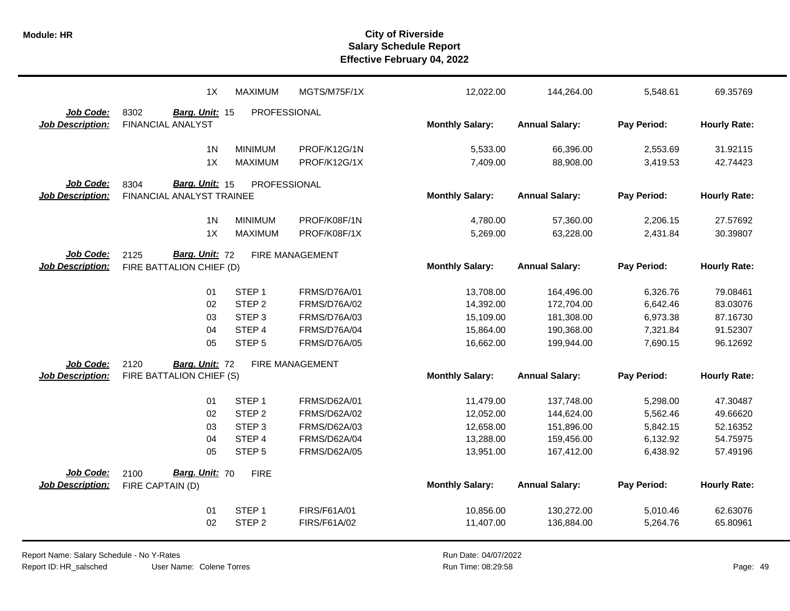|                         | 1X                        | <b>MAXIMUM</b>      | MGTS/M75F/1X        | 12,022.00              | 144,264.00            | 5,548.61    | 69.35769            |
|-------------------------|---------------------------|---------------------|---------------------|------------------------|-----------------------|-------------|---------------------|
| Job Code:               | 8302<br>Barg. Unit: 15    | PROFESSIONAL        |                     |                        |                       |             |                     |
| <b>Job Description:</b> | <b>FINANCIAL ANALYST</b>  |                     |                     | <b>Monthly Salary:</b> | <b>Annual Salary:</b> | Pay Period: | <b>Hourly Rate:</b> |
|                         | 1 <sub>N</sub>            | <b>MINIMUM</b>      | PROF/K12G/1N        | 5,533.00               | 66,396.00             | 2,553.69    | 31.92115            |
|                         | 1X                        | <b>MAXIMUM</b>      | PROF/K12G/1X        | 7,409.00               | 88,908.00             | 3,419.53    | 42.74423            |
| Job Code:               | Barg. Unit: 15<br>8304    | <b>PROFESSIONAL</b> |                     |                        |                       |             |                     |
| <b>Job Description:</b> | FINANCIAL ANALYST TRAINEE |                     |                     | <b>Monthly Salary:</b> | <b>Annual Salary:</b> | Pay Period: | <b>Hourly Rate:</b> |
|                         |                           |                     |                     |                        |                       |             |                     |
|                         | 1 <sub>N</sub>            | <b>MINIMUM</b>      | PROF/K08F/1N        | 4,780.00               | 57,360.00             | 2,206.15    | 27.57692            |
|                         | 1X                        | <b>MAXIMUM</b>      | PROF/K08F/1X        | 5,269.00               | 63,228.00             | 2,431.84    | 30.39807            |
| Job Code:               | Barg. Unit: 72<br>2125    |                     | FIRE MANAGEMENT     |                        |                       |             |                     |
| <b>Job Description:</b> | FIRE BATTALION CHIEF (D)  |                     |                     | <b>Monthly Salary:</b> | <b>Annual Salary:</b> | Pay Period: | <b>Hourly Rate:</b> |
|                         | 01                        | STEP <sub>1</sub>   | <b>FRMS/D76A/01</b> | 13,708.00              | 164,496.00            | 6,326.76    | 79.08461            |
|                         | 02                        | STEP <sub>2</sub>   | FRMS/D76A/02        | 14,392.00              | 172,704.00            | 6,642.46    | 83.03076            |
|                         | 03                        | STEP <sub>3</sub>   | <b>FRMS/D76A/03</b> | 15,109.00              | 181,308.00            | 6,973.38    | 87.16730            |
|                         | 04                        | STEP 4              | FRMS/D76A/04        | 15,864.00              | 190,368.00            | 7,321.84    | 91.52307            |
|                         | 05                        | STEP <sub>5</sub>   | <b>FRMS/D76A/05</b> | 16,662.00              | 199,944.00            | 7,690.15    | 96.12692            |
| Job Code:               | 2120<br>Barg. Unit: 72    |                     | FIRE MANAGEMENT     |                        |                       |             |                     |
| <b>Job Description:</b> | FIRE BATTALION CHIEF (S)  |                     |                     | <b>Monthly Salary:</b> | <b>Annual Salary:</b> | Pay Period: | <b>Hourly Rate:</b> |
|                         |                           |                     |                     |                        |                       |             |                     |
|                         | 01                        | STEP <sub>1</sub>   | <b>FRMS/D62A/01</b> | 11,479.00              | 137,748.00            | 5,298.00    | 47.30487            |
|                         | 02                        | STEP <sub>2</sub>   | FRMS/D62A/02        | 12,052.00              | 144,624.00            | 5,562.46    | 49.66620            |
|                         | 03                        | STEP <sub>3</sub>   | FRMS/D62A/03        | 12,658.00              | 151,896.00            | 5,842.15    | 52.16352            |
|                         | 04                        | STEP 4              | <b>FRMS/D62A/04</b> | 13,288.00              | 159,456.00            | 6,132.92    | 54.75975            |
|                         | 05                        | STEP <sub>5</sub>   | <b>FRMS/D62A/05</b> | 13,951.00              | 167,412.00            | 6,438.92    | 57.49196            |
| Job Code:               | Barg. Unit: 70<br>2100    | <b>FIRE</b>         |                     |                        |                       |             |                     |
| <b>Job Description:</b> | FIRE CAPTAIN (D)          |                     |                     | <b>Monthly Salary:</b> | <b>Annual Salary:</b> | Pay Period: | <b>Hourly Rate:</b> |
|                         | 01                        | STEP <sub>1</sub>   | FIRS/F61A/01        | 10,856.00              | 130,272.00            | 5,010.46    | 62.63076            |
|                         | 02                        | STEP <sub>2</sub>   | FIRS/F61A/02        | 11,407.00              | 136,884.00            | 5,264.76    | 65.80961            |
|                         |                           |                     |                     |                        |                       |             |                     |

Report Name: Salary Schedule - No Y-Rates Report ID: HR\_salsched

User Name: Colene Torres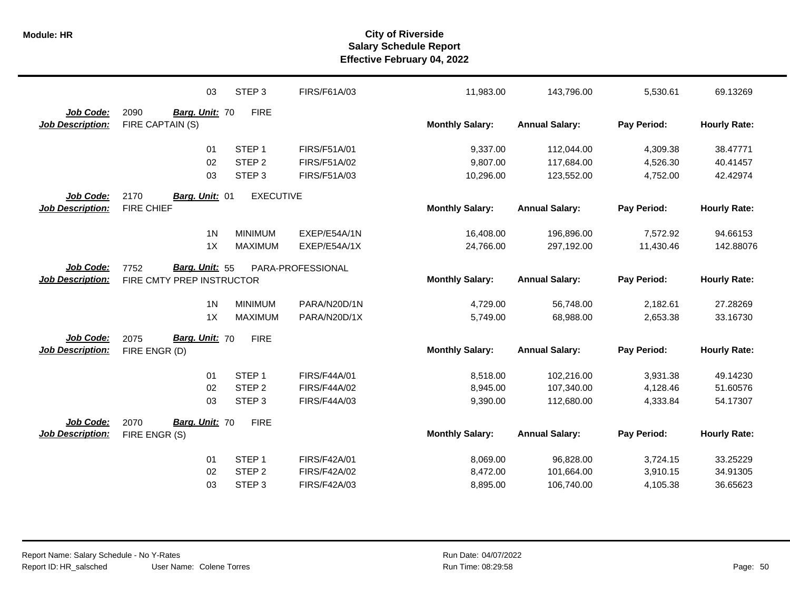|                                      | 03                                                  | STEP <sub>3</sub> | FIRS/F61A/03        | 11,983.00              | 143,796.00            | 5,530.61    | 69.13269            |
|--------------------------------------|-----------------------------------------------------|-------------------|---------------------|------------------------|-----------------------|-------------|---------------------|
| Job Code:<br><b>Job Description:</b> | 2090<br>Barg. Unit: 70<br>FIRE CAPTAIN (S)          | <b>FIRE</b>       |                     | <b>Monthly Salary:</b> | <b>Annual Salary:</b> | Pay Period: | <b>Hourly Rate:</b> |
|                                      | 01                                                  | STEP <sub>1</sub> | FIRS/F51A/01        | 9,337.00               | 112,044.00            | 4,309.38    | 38.47771            |
|                                      | 02                                                  | STEP <sub>2</sub> | FIRS/F51A/02        | 9,807.00               | 117,684.00            | 4,526.30    | 40.41457            |
|                                      | 03                                                  | STEP <sub>3</sub> | FIRS/F51A/03        | 10,296.00              | 123,552.00            | 4,752.00    | 42.42974            |
| Job Code:                            | 2170<br>Barg. Unit: 01                              | <b>EXECUTIVE</b>  |                     |                        |                       |             |                     |
| <b>Job Description:</b>              | <b>FIRE CHIEF</b>                                   |                   |                     | <b>Monthly Salary:</b> | <b>Annual Salary:</b> | Pay Period: | <b>Hourly Rate:</b> |
|                                      | 1 <sub>N</sub>                                      | <b>MINIMUM</b>    | EXEP/E54A/1N        | 16,408.00              | 196,896.00            | 7,572.92    | 94.66153            |
|                                      | 1X                                                  | <b>MAXIMUM</b>    | EXEP/E54A/1X        | 24,766.00              | 297,192.00            | 11,430.46   | 142.88076           |
| Job Code:<br><b>Job Description:</b> | Barg. Unit: 55<br>7752<br>FIRE CMTY PREP INSTRUCTOR |                   | PARA-PROFESSIONAL   | <b>Monthly Salary:</b> | <b>Annual Salary:</b> | Pay Period: | <b>Hourly Rate:</b> |
|                                      | 1 <sub>N</sub>                                      | <b>MINIMUM</b>    | PARA/N20D/1N        | 4,729.00               | 56,748.00             | 2,182.61    | 27.28269            |
|                                      | 1X                                                  | <b>MAXIMUM</b>    | PARA/N20D/1X        | 5,749.00               | 68,988.00             | 2,653.38    | 33.16730            |
| Job Code:<br><b>Job Description:</b> | Barg. Unit: 70<br>2075<br>FIRE ENGR (D)             | <b>FIRE</b>       |                     | <b>Monthly Salary:</b> | <b>Annual Salary:</b> | Pay Period: | <b>Hourly Rate:</b> |
|                                      | 01                                                  | STEP <sub>1</sub> | <b>FIRS/F44A/01</b> | 8,518.00               | 102,216.00            | 3,931.38    | 49.14230            |
|                                      | 02                                                  | STEP <sub>2</sub> | <b>FIRS/F44A/02</b> | 8,945.00               | 107,340.00            | 4,128.46    | 51.60576            |
|                                      | 03                                                  | STEP <sub>3</sub> | FIRS/F44A/03        | 9,390.00               | 112,680.00            | 4,333.84    | 54.17307            |
| Job Code:                            | Barg. Unit: 70<br>2070                              | <b>FIRE</b>       |                     |                        |                       |             |                     |
| <b>Job Description:</b>              | FIRE ENGR (S)                                       |                   |                     | <b>Monthly Salary:</b> | <b>Annual Salary:</b> | Pay Period: | <b>Hourly Rate:</b> |
|                                      | 01                                                  | STEP <sub>1</sub> | <b>FIRS/F42A/01</b> | 8,069.00               | 96,828.00             | 3,724.15    | 33.25229            |
|                                      | 02                                                  | STEP <sub>2</sub> | <b>FIRS/F42A/02</b> | 8,472.00               | 101,664.00            | 3,910.15    | 34.91305            |
|                                      | 03                                                  | STEP <sub>3</sub> | FIRS/F42A/03        | 8,895.00               | 106,740.00            | 4,105.38    | 36.65623            |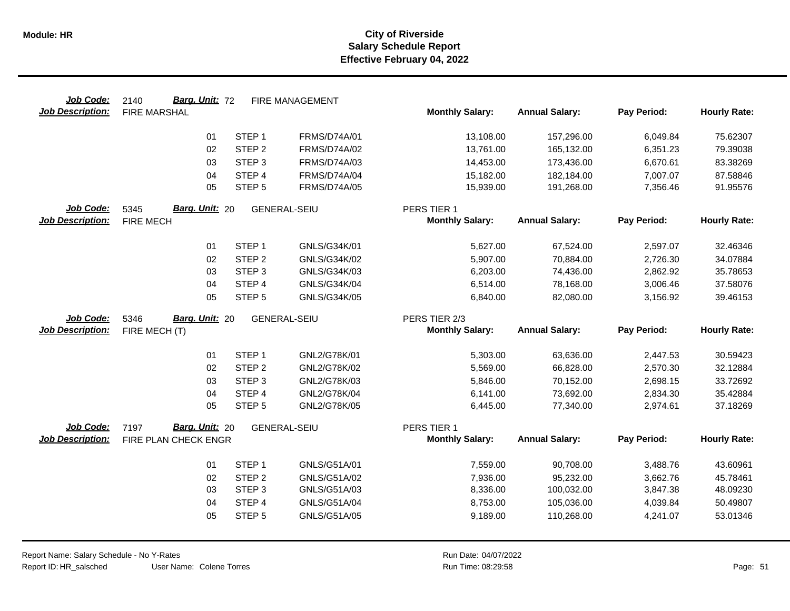| Job Code:               | Barg. Unit: 72<br>2140        |                             | <b>FIRE MANAGEMENT</b>       |                        |                          |                      |                      |
|-------------------------|-------------------------------|-----------------------------|------------------------------|------------------------|--------------------------|----------------------|----------------------|
| <b>Job Description:</b> | <b>FIRE MARSHAL</b>           |                             |                              | <b>Monthly Salary:</b> | <b>Annual Salary:</b>    | Pay Period:          | <b>Hourly Rate:</b>  |
|                         | 01                            | STEP <sub>1</sub>           | <b>FRMS/D74A/01</b>          | 13,108.00              | 157,296.00               | 6,049.84             | 75.62307             |
|                         | 02                            | STEP <sub>2</sub>           | FRMS/D74A/02                 | 13,761.00              | 165,132.00               | 6,351.23             | 79.39038             |
|                         | 03                            | STEP <sub>3</sub>           | FRMS/D74A/03                 | 14,453.00              | 173,436.00               | 6,670.61             | 83.38269             |
|                         | 04                            | STEP <sub>4</sub>           | <b>FRMS/D74A/04</b>          | 15,182.00              | 182,184.00               | 7,007.07             | 87.58846             |
|                         | 05                            | STEP <sub>5</sub>           | <b>FRMS/D74A/05</b>          | 15,939.00              | 191,268.00               | 7,356.46             | 91.95576             |
| Job Code:               | Barg. Unit: 20<br>5345        |                             | <b>GENERAL-SEIU</b>          | PERS TIER 1            |                          |                      |                      |
| <b>Job Description:</b> | <b>FIRE MECH</b>              |                             |                              | <b>Monthly Salary:</b> | <b>Annual Salary:</b>    | Pay Period:          | <b>Hourly Rate:</b>  |
|                         | 01                            | STEP <sub>1</sub>           | GNLS/G34K/01                 | 5,627.00               | 67,524.00                | 2,597.07             | 32.46346             |
|                         | 02                            | STEP <sub>2</sub>           | GNLS/G34K/02                 | 5,907.00               | 70,884.00                | 2,726.30             | 34.07884             |
|                         | 03                            | STEP <sub>3</sub>           | GNLS/G34K/03                 | 6,203.00               | 74,436.00                | 2,862.92             | 35.78653             |
|                         | 04                            | STEP 4                      | GNLS/G34K/04                 | 6,514.00               | 78,168.00                | 3,006.46             | 37.58076             |
|                         | 05                            | STEP <sub>5</sub>           | GNLS/G34K/05                 | 6,840.00               | 82,080.00                | 3,156.92             | 39.46153             |
| Job Code:               | <b>Barg. Unit: 20</b><br>5346 |                             | GENERAL-SEIU                 | PERS TIER 2/3          |                          |                      |                      |
| <b>Job Description:</b> | FIRE MECH (T)                 |                             |                              | <b>Monthly Salary:</b> | <b>Annual Salary:</b>    | Pay Period:          | <b>Hourly Rate:</b>  |
|                         |                               |                             |                              |                        |                          |                      |                      |
|                         | 01                            | STEP <sub>1</sub>           | GNL2/G78K/01                 | 5,303.00               | 63,636.00                | 2,447.53             | 30.59423             |
|                         |                               |                             |                              |                        |                          | 2,570.30             | 32.12884             |
|                         | 02                            | STEP <sub>2</sub>           | GNL2/G78K/02                 | 5,569.00               | 66,828.00                |                      |                      |
|                         | 03                            | STEP <sub>3</sub>           | GNL2/G78K/03                 | 5,846.00               | 70,152.00                | 2,698.15             | 33.72692             |
|                         | 04                            | STEP 4                      | GNL2/G78K/04                 | 6,141.00               | 73,692.00                | 2,834.30             | 35.42884             |
|                         | 05                            | STEP <sub>5</sub>           | GNL2/G78K/05                 | 6,445.00               | 77,340.00                | 2,974.61             | 37.18269             |
| Job Code:               | Barg. Unit: 20<br>7197        |                             | <b>GENERAL-SEIU</b>          | PERS TIER 1            |                          |                      |                      |
| <b>Job Description:</b> | FIRE PLAN CHECK ENGR          |                             |                              | <b>Monthly Salary:</b> | <b>Annual Salary:</b>    | Pay Period:          | <b>Hourly Rate:</b>  |
|                         |                               |                             |                              |                        |                          |                      |                      |
|                         | 01                            | STEP <sub>1</sub>           | GNLS/G51A/01                 | 7,559.00               | 90,708.00                | 3,488.76             | 43.60961             |
|                         | 02                            | STEP <sub>2</sub>           | GNLS/G51A/02                 | 7,936.00               | 95,232.00                | 3,662.76             | 45.78461             |
|                         | 03<br>04                      | STEP <sub>3</sub><br>STEP 4 | GNLS/G51A/03                 | 8,336.00               | 100,032.00               | 3,847.38             | 48.09230             |
|                         | 05                            | STEP <sub>5</sub>           | GNLS/G51A/04<br>GNLS/G51A/05 | 8,753.00<br>9,189.00   | 105,036.00<br>110,268.00 | 4,039.84<br>4,241.07 | 50.49807<br>53.01346 |
|                         |                               |                             |                              |                        |                          |                      |                      |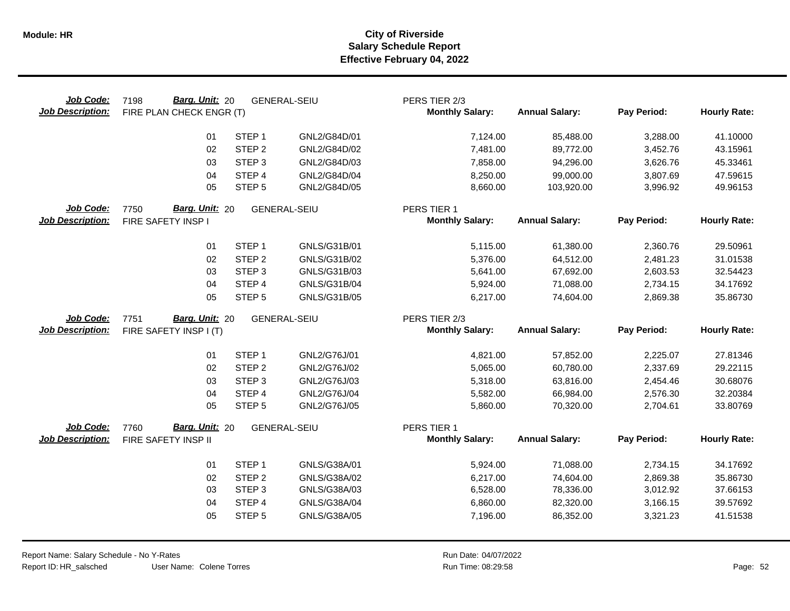| Job Code:<br><b>Job Description:</b> | Barg. Unit: 20<br>7198<br>FIRE PLAN CHECK ENGR (T) |                   | <b>GENERAL-SEIU</b> | PERS TIER 2/3<br><b>Monthly Salary:</b> | <b>Annual Salary:</b> | Pay Period: | <b>Hourly Rate:</b> |
|--------------------------------------|----------------------------------------------------|-------------------|---------------------|-----------------------------------------|-----------------------|-------------|---------------------|
|                                      | 01                                                 | STEP <sub>1</sub> | GNL2/G84D/01        | 7,124.00                                | 85,488.00             | 3,288.00    | 41.10000            |
|                                      | 02                                                 | STEP <sub>2</sub> | GNL2/G84D/02        | 7,481.00                                | 89,772.00             | 3,452.76    | 43.15961            |
|                                      | 03                                                 | STEP <sub>3</sub> | GNL2/G84D/03        | 7,858.00                                | 94,296.00             | 3,626.76    | 45.33461            |
|                                      | 04                                                 | STEP 4            | GNL2/G84D/04        | 8,250.00                                | 99,000.00             | 3,807.69    | 47.59615            |
|                                      | 05                                                 | STEP <sub>5</sub> | GNL2/G84D/05        | 8,660.00                                | 103,920.00            | 3,996.92    | 49.96153            |
| Job Code:                            | Barg. Unit: 20<br>7750                             |                   | <b>GENERAL-SEIU</b> | PERS TIER 1                             |                       |             |                     |
| <b>Job Description:</b>              | FIRE SAFETY INSP I                                 |                   |                     | <b>Monthly Salary:</b>                  | <b>Annual Salary:</b> | Pay Period: | <b>Hourly Rate:</b> |
|                                      | 01                                                 | STEP <sub>1</sub> | GNLS/G31B/01        | 5,115.00                                | 61,380.00             | 2,360.76    | 29.50961            |
|                                      | 02                                                 | STEP <sub>2</sub> | GNLS/G31B/02        | 5,376.00                                | 64,512.00             | 2,481.23    | 31.01538            |
|                                      | 03                                                 | STEP <sub>3</sub> | GNLS/G31B/03        | 5,641.00                                | 67,692.00             | 2,603.53    | 32.54423            |
|                                      | 04                                                 | STEP 4            | GNLS/G31B/04        | 5,924.00                                | 71,088.00             | 2,734.15    | 34.17692            |
|                                      | 05                                                 | STEP <sub>5</sub> | GNLS/G31B/05        | 6,217.00                                | 74,604.00             | 2,869.38    | 35.86730            |
| Job Code:                            | Barg. Unit: 20<br>7751                             |                   | <b>GENERAL-SEIU</b> | PERS TIER 2/3                           |                       |             |                     |
| <b>Job Description:</b>              | FIRE SAFETY INSP I (T)                             |                   |                     | <b>Monthly Salary:</b>                  | <b>Annual Salary:</b> | Pay Period: | <b>Hourly Rate:</b> |
|                                      |                                                    |                   |                     |                                         |                       |             |                     |
|                                      | 01                                                 | STEP <sub>1</sub> | GNL2/G76J/01        | 4,821.00                                | 57,852.00             | 2,225.07    | 27.81346            |
|                                      | 02                                                 | STEP <sub>2</sub> | GNL2/G76J/02        | 5,065.00                                | 60,780.00             | 2,337.69    | 29.22115            |
|                                      | 03                                                 | STEP <sub>3</sub> | GNL2/G76J/03        | 5,318.00                                | 63,816.00             | 2,454.46    | 30.68076            |
|                                      | 04                                                 | STEP 4            | GNL2/G76J/04        | 5,582.00                                | 66,984.00             | 2,576.30    | 32.20384            |
|                                      | 05                                                 | STEP <sub>5</sub> | GNL2/G76J/05        | 5,860.00                                | 70,320.00             | 2,704.61    | 33.80769            |
| Job Code:                            | Barg. Unit: 20<br>7760                             |                   | <b>GENERAL-SEIU</b> | PERS TIER 1                             |                       |             |                     |
| <b>Job Description:</b>              | FIRE SAFETY INSP II                                |                   |                     | <b>Monthly Salary:</b>                  | <b>Annual Salary:</b> | Pay Period: | <b>Hourly Rate:</b> |
|                                      | 01                                                 | STEP <sub>1</sub> | GNLS/G38A/01        | 5,924.00                                | 71,088.00             | 2,734.15    | 34.17692            |
|                                      | 02                                                 | STEP <sub>2</sub> | GNLS/G38A/02        | 6,217.00                                | 74,604.00             | 2,869.38    | 35.86730            |
|                                      | 03                                                 | STEP <sub>3</sub> | GNLS/G38A/03        | 6,528.00                                | 78,336.00             | 3,012.92    | 37.66153            |
|                                      | 04                                                 | STEP 4            | GNLS/G38A/04        | 6,860.00                                | 82,320.00             | 3,166.15    | 39.57692            |
|                                      | 05                                                 | STEP <sub>5</sub> | GNLS/G38A/05        | 7,196.00                                | 86,352.00             | 3,321.23    | 41.51538            |
|                                      |                                                    |                   |                     |                                         |                       |             |                     |

User Name: Colene Torres Report Name: Salary Schedule - No Y-Rates Report ID: HR\_salsched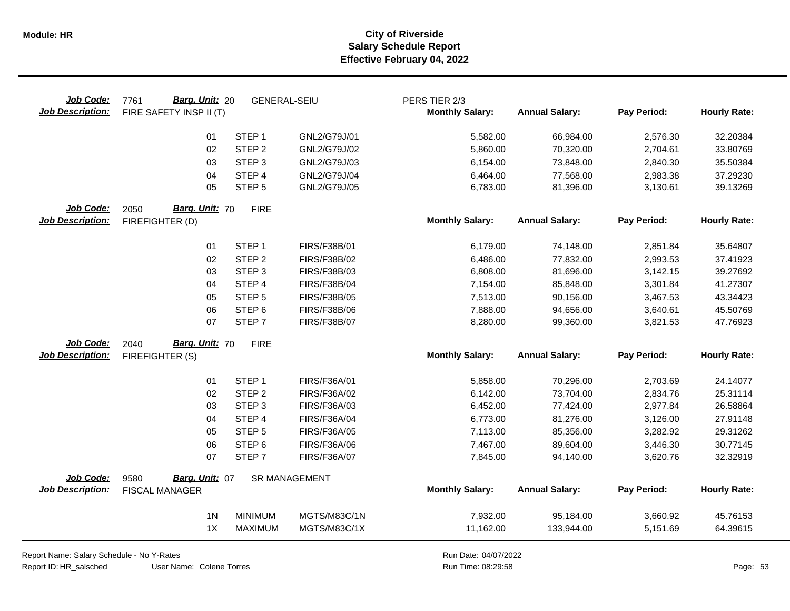| Job Code:<br><b>Job Description:</b> | Barg. Unit: 20<br>7761<br>FIRE SAFETY INSP II (T) | <b>GENERAL-SEIU</b> |                      | PERS TIER 2/3<br><b>Monthly Salary:</b> | <b>Annual Salary:</b> | Pay Period: | <b>Hourly Rate:</b> |
|--------------------------------------|---------------------------------------------------|---------------------|----------------------|-----------------------------------------|-----------------------|-------------|---------------------|
|                                      | 01                                                | STEP <sub>1</sub>   | GNL2/G79J/01         | 5,582.00                                | 66,984.00             | 2,576.30    | 32.20384            |
|                                      | 02                                                | STEP <sub>2</sub>   | GNL2/G79J/02         | 5,860.00                                | 70,320.00             | 2,704.61    | 33.80769            |
|                                      | 03                                                | STEP <sub>3</sub>   | GNL2/G79J/03         | 6,154.00                                | 73,848.00             | 2,840.30    | 35.50384            |
|                                      | 04                                                | STEP <sub>4</sub>   | GNL2/G79J/04         | 6,464.00                                | 77,568.00             | 2,983.38    | 37.29230            |
|                                      | 05                                                | STEP <sub>5</sub>   | GNL2/G79J/05         | 6,783.00                                | 81,396.00             | 3,130.61    | 39.13269            |
| Job Code:<br><b>Job Description:</b> | Barg. Unit: 70<br>2050<br>FIREFIGHTER (D)         | <b>FIRE</b>         |                      | <b>Monthly Salary:</b>                  | <b>Annual Salary:</b> | Pay Period: | <b>Hourly Rate:</b> |
|                                      | 01                                                | STEP <sub>1</sub>   | FIRS/F38B/01         | 6,179.00                                | 74,148.00             | 2,851.84    | 35.64807            |
|                                      | 02                                                | STEP <sub>2</sub>   | FIRS/F38B/02         | 6,486.00                                | 77,832.00             | 2,993.53    | 37.41923            |
|                                      | 03                                                | STEP <sub>3</sub>   | FIRS/F38B/03         | 6,808.00                                | 81,696.00             | 3,142.15    | 39.27692            |
|                                      | 04                                                | STEP 4              | FIRS/F38B/04         | 7,154.00                                | 85,848.00             | 3,301.84    | 41.27307            |
|                                      | 05                                                | STEP <sub>5</sub>   | FIRS/F38B/05         | 7,513.00                                | 90,156.00             | 3,467.53    | 43.34423            |
|                                      | 06                                                | STEP <sub>6</sub>   | FIRS/F38B/06         | 7,888.00                                | 94,656.00             | 3,640.61    | 45.50769            |
|                                      | 07                                                | STEP <sub>7</sub>   | <b>FIRS/F38B/07</b>  | 8,280.00                                | 99,360.00             | 3,821.53    | 47.76923            |
| Job Code:                            | Barg. Unit: 70<br>2040                            | <b>FIRE</b>         |                      |                                         |                       |             |                     |
| <b>Job Description:</b>              | FIREFIGHTER (S)                                   |                     |                      | <b>Monthly Salary:</b>                  | <b>Annual Salary:</b> | Pay Period: | <b>Hourly Rate:</b> |
|                                      | 01                                                | STEP <sub>1</sub>   | FIRS/F36A/01         | 5,858.00                                | 70,296.00             | 2,703.69    | 24.14077            |
|                                      | 02                                                | STEP <sub>2</sub>   | FIRS/F36A/02         | 6,142.00                                | 73,704.00             | 2,834.76    | 25.31114            |
|                                      | 03                                                | STEP <sub>3</sub>   | FIRS/F36A/03         | 6,452.00                                | 77,424.00             | 2,977.84    | 26.58864            |
|                                      | 04                                                | STEP 4              | <b>FIRS/F36A/04</b>  | 6,773.00                                | 81,276.00             | 3,126.00    | 27.91148            |
|                                      | 05                                                | STEP <sub>5</sub>   | FIRS/F36A/05         | 7,113.00                                | 85,356.00             | 3,282.92    | 29.31262            |
|                                      | 06                                                | STEP <sub>6</sub>   | FIRS/F36A/06         | 7,467.00                                | 89,604.00             | 3,446.30    | 30.77145            |
|                                      | 07                                                | STEP <sub>7</sub>   | FIRS/F36A/07         | 7,845.00                                | 94,140.00             | 3,620.76    | 32.32919            |
| Job Code:                            | Barg. Unit: 07<br>9580                            |                     | <b>SR MANAGEMENT</b> |                                         |                       |             |                     |
| <b>Job Description:</b>              | <b>FISCAL MANAGER</b>                             |                     |                      | <b>Monthly Salary:</b>                  | <b>Annual Salary:</b> | Pay Period: | <b>Hourly Rate:</b> |
|                                      | 1 <sub>N</sub>                                    | <b>MINIMUM</b>      | MGTS/M83C/1N         | 7,932.00                                | 95,184.00             | 3,660.92    | 45.76153            |
|                                      | 1X                                                | <b>MAXIMUM</b>      | MGTS/M83C/1X         | 11,162.00                               | 133,944.00            | 5,151.69    | 64.39615            |

Report Name: Salary Schedule - No Y-Rates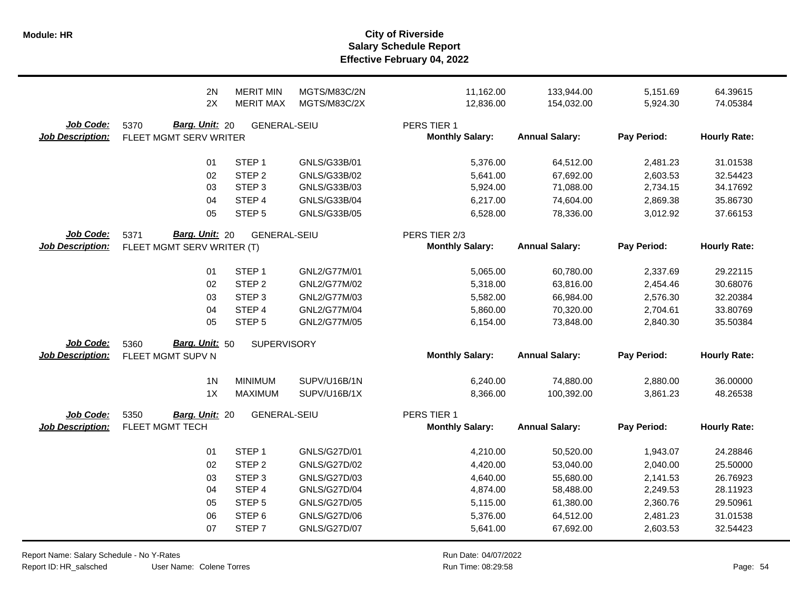|                                      | 2N                                                   | <b>MERIT MIN</b>    | MGTS/M83C/2N        | 11,162.00                               | 133,944.00            | 5,151.69    | 64.39615            |
|--------------------------------------|------------------------------------------------------|---------------------|---------------------|-----------------------------------------|-----------------------|-------------|---------------------|
|                                      | 2X                                                   | <b>MERIT MAX</b>    | <b>MGTS/M83C/2X</b> | 12,836.00                               | 154,032.00            | 5,924.30    | 74.05384            |
| Job Code:<br><b>Job Description:</b> | 5370<br>Barg. Unit: 20<br>FLEET MGMT SERV WRITER     | <b>GENERAL-SEIU</b> |                     | PERS TIER 1<br><b>Monthly Salary:</b>   | <b>Annual Salary:</b> | Pay Period: | <b>Hourly Rate:</b> |
|                                      | 01                                                   | STEP <sub>1</sub>   | GNLS/G33B/01        | 5,376.00                                | 64,512.00             | 2,481.23    | 31.01538            |
|                                      | 02                                                   | STEP <sub>2</sub>   | GNLS/G33B/02        | 5,641.00                                | 67,692.00             | 2,603.53    | 32.54423            |
|                                      | 03                                                   | STEP <sub>3</sub>   | GNLS/G33B/03        | 5,924.00                                | 71,088.00             | 2,734.15    | 34.17692            |
|                                      | 04                                                   | STEP 4              | GNLS/G33B/04        | 6,217.00                                | 74,604.00             | 2,869.38    | 35.86730            |
|                                      | 05                                                   | STEP <sub>5</sub>   | GNLS/G33B/05        | 6,528.00                                | 78,336.00             | 3,012.92    | 37.66153            |
| Job Code:<br><b>Job Description:</b> | Barg. Unit: 20<br>5371<br>FLEET MGMT SERV WRITER (T) | <b>GENERAL-SEIU</b> |                     | PERS TIER 2/3<br><b>Monthly Salary:</b> | <b>Annual Salary:</b> | Pay Period: | <b>Hourly Rate:</b> |
|                                      | 01                                                   | STEP <sub>1</sub>   | GNL2/G77M/01        | 5,065.00                                | 60,780.00             | 2,337.69    | 29.22115            |
|                                      | 02                                                   | STEP <sub>2</sub>   | GNL2/G77M/02        | 5,318.00                                | 63,816.00             | 2,454.46    | 30.68076            |
|                                      | 03                                                   | STEP <sub>3</sub>   | GNL2/G77M/03        | 5,582.00                                | 66,984.00             | 2,576.30    | 32.20384            |
|                                      | 04                                                   | STEP 4              | GNL2/G77M/04        | 5,860.00                                | 70,320.00             | 2,704.61    | 33.80769            |
|                                      | 05                                                   | STEP <sub>5</sub>   | GNL2/G77M/05        | 6,154.00                                | 73,848.00             | 2,840.30    | 35.50384            |
| Job Code:<br><b>Job Description:</b> | Barg. Unit: 50<br>5360<br>FLEET MGMT SUPV N          | <b>SUPERVISORY</b>  |                     | <b>Monthly Salary:</b>                  | <b>Annual Salary:</b> | Pay Period: | <b>Hourly Rate:</b> |
|                                      | 1 <sub>N</sub>                                       | <b>MINIMUM</b>      | SUPV/U16B/1N        | 6,240.00                                | 74,880.00             | 2,880.00    | 36.00000            |
|                                      | 1X                                                   | <b>MAXIMUM</b>      | SUPV/U16B/1X        | 8,366.00                                | 100,392.00            | 3,861.23    | 48.26538            |
| Job Code:<br><b>Job Description:</b> | 5350<br>Barg. Unit: 20<br>FLEET MGMT TECH            | <b>GENERAL-SEIU</b> |                     | PERS TIER 1<br><b>Monthly Salary:</b>   | <b>Annual Salary:</b> | Pay Period: | <b>Hourly Rate:</b> |
|                                      | 01                                                   | STEP <sub>1</sub>   | GNLS/G27D/01        | 4,210.00                                | 50,520.00             | 1,943.07    | 24.28846            |
|                                      | 02                                                   | STEP <sub>2</sub>   | <b>GNLS/G27D/02</b> | 4,420.00                                | 53,040.00             | 2,040.00    | 25.50000            |
|                                      | 03                                                   | STEP <sub>3</sub>   | <b>GNLS/G27D/03</b> | 4,640.00                                | 55,680.00             | 2,141.53    | 26.76923            |
|                                      | 04                                                   | STEP 4              | <b>GNLS/G27D/04</b> | 4,874.00                                | 58,488.00             | 2,249.53    | 28.11923            |
|                                      | 05                                                   | STEP <sub>5</sub>   | <b>GNLS/G27D/05</b> | 5,115.00                                | 61,380.00             | 2,360.76    | 29.50961            |
|                                      | 06                                                   | STEP <sub>6</sub>   | GNLS/G27D/06        | 5,376.00                                | 64,512.00             | 2,481.23    | 31.01538            |
|                                      | 07                                                   | STEP <sub>7</sub>   | <b>GNLS/G27D/07</b> | 5,641.00                                | 67,692.00             | 2,603.53    | 32.54423            |

Report Name: Salary Schedule - No Y-Rates

Report ID: HR\_salsched

User Name: Colene Torres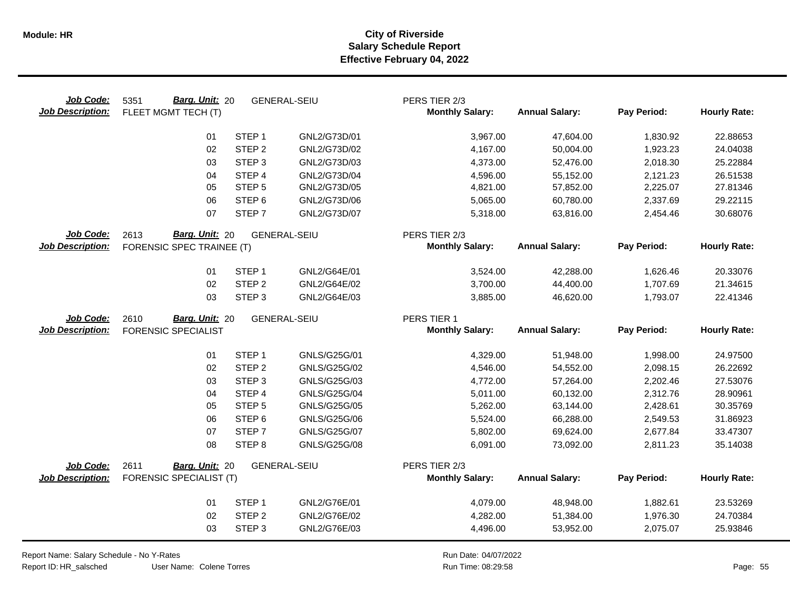| Job Code:<br><b>Job Description:</b> | Barg. Unit: 20<br>5351<br>FLEET MGMT TECH (T) |                   | <b>GENERAL-SEIU</b> | PERS TIER 2/3<br><b>Monthly Salary:</b> | <b>Annual Salary:</b> | Pay Period: | <b>Hourly Rate:</b> |
|--------------------------------------|-----------------------------------------------|-------------------|---------------------|-----------------------------------------|-----------------------|-------------|---------------------|
|                                      | 01                                            | STEP <sub>1</sub> | GNL2/G73D/01        | 3,967.00                                | 47,604.00             | 1,830.92    | 22.88653            |
|                                      | 02                                            | STEP <sub>2</sub> | GNL2/G73D/02        | 4,167.00                                | 50,004.00             | 1,923.23    | 24.04038            |
|                                      | 03                                            | STEP <sub>3</sub> | GNL2/G73D/03        | 4,373.00                                | 52,476.00             | 2,018.30    | 25.22884            |
|                                      | 04                                            | STEP 4            | GNL2/G73D/04        | 4,596.00                                | 55,152.00             | 2,121.23    | 26.51538            |
|                                      | 05                                            | STEP <sub>5</sub> | GNL2/G73D/05        | 4,821.00                                | 57,852.00             | 2,225.07    | 27.81346            |
|                                      | 06                                            | STEP <sub>6</sub> | GNL2/G73D/06        | 5,065.00                                | 60,780.00             | 2,337.69    | 29.22115            |
|                                      | 07                                            | STEP <sub>7</sub> | GNL2/G73D/07        | 5,318.00                                | 63,816.00             | 2,454.46    | 30.68076            |
| Job Code:                            | Barg. Unit: 20<br>2613                        |                   | <b>GENERAL-SEIU</b> | PERS TIER 2/3                           |                       |             |                     |
| <b>Job Description:</b>              | FORENSIC SPEC TRAINEE (T)                     |                   |                     | <b>Monthly Salary:</b>                  | <b>Annual Salary:</b> | Pay Period: | <b>Hourly Rate:</b> |
|                                      | 01                                            | STEP <sub>1</sub> | GNL2/G64E/01        | 3,524.00                                | 42,288.00             | 1,626.46    | 20.33076            |
|                                      | 02                                            | STEP <sub>2</sub> | GNL2/G64E/02        | 3,700.00                                | 44,400.00             | 1,707.69    | 21.34615            |
|                                      | 03                                            | STEP <sub>3</sub> | GNL2/G64E/03        | 3,885.00                                | 46,620.00             | 1,793.07    | 22.41346            |
| Job Code:                            | Barg. Unit: 20<br>2610                        |                   | <b>GENERAL-SEIU</b> | PERS TIER 1                             |                       |             |                     |
| <b>Job Description:</b>              | <b>FORENSIC SPECIALIST</b>                    |                   |                     | <b>Monthly Salary:</b>                  | <b>Annual Salary:</b> | Pay Period: | <b>Hourly Rate:</b> |
|                                      | 01                                            | STEP <sub>1</sub> | GNLS/G25G/01        | 4,329.00                                | 51,948.00             | 1,998.00    | 24.97500            |
|                                      | 02                                            | STEP <sub>2</sub> | GNLS/G25G/02        | 4,546.00                                | 54,552.00             | 2,098.15    | 26.22692            |
|                                      | 03                                            | STEP <sub>3</sub> | GNLS/G25G/03        | 4,772.00                                | 57,264.00             | 2,202.46    | 27.53076            |
|                                      | 04                                            | STEP <sub>4</sub> | GNLS/G25G/04        | 5,011.00                                | 60,132.00             | 2,312.76    | 28.90961            |
|                                      | 05                                            | STEP <sub>5</sub> | GNLS/G25G/05        | 5,262.00                                | 63,144.00             | 2,428.61    | 30.35769            |
|                                      | 06                                            | STEP <sub>6</sub> | GNLS/G25G/06        | 5,524.00                                | 66,288.00             | 2,549.53    | 31.86923            |
|                                      | 07                                            | STEP <sub>7</sub> | <b>GNLS/G25G/07</b> | 5,802.00                                | 69,624.00             | 2,677.84    | 33.47307            |
|                                      | 08                                            | STEP <sub>8</sub> | <b>GNLS/G25G/08</b> | 6,091.00                                | 73,092.00             | 2,811.23    | 35.14038            |
| Job Code:                            | 2611<br>Barg. Unit: 20                        |                   | <b>GENERAL-SEIU</b> | PERS TIER 2/3                           |                       |             |                     |
| <b>Job Description:</b>              | FORENSIC SPECIALIST (T)                       |                   |                     | <b>Monthly Salary:</b>                  | <b>Annual Salary:</b> | Pay Period: | <b>Hourly Rate:</b> |
|                                      | 01                                            | STEP <sub>1</sub> | GNL2/G76E/01        | 4,079.00                                | 48,948.00             | 1,882.61    | 23.53269            |
|                                      | 02                                            | STEP <sub>2</sub> | GNL2/G76E/02        | 4,282.00                                | 51,384.00             | 1,976.30    | 24.70384            |
|                                      | 03                                            | STEP <sub>3</sub> | GNL2/G76E/03        | 4,496.00                                | 53,952.00             | 2,075.07    | 25.93846            |

User Name: Colene Torres Report Name: Salary Schedule - No Y-Rates Report ID: HR\_salsched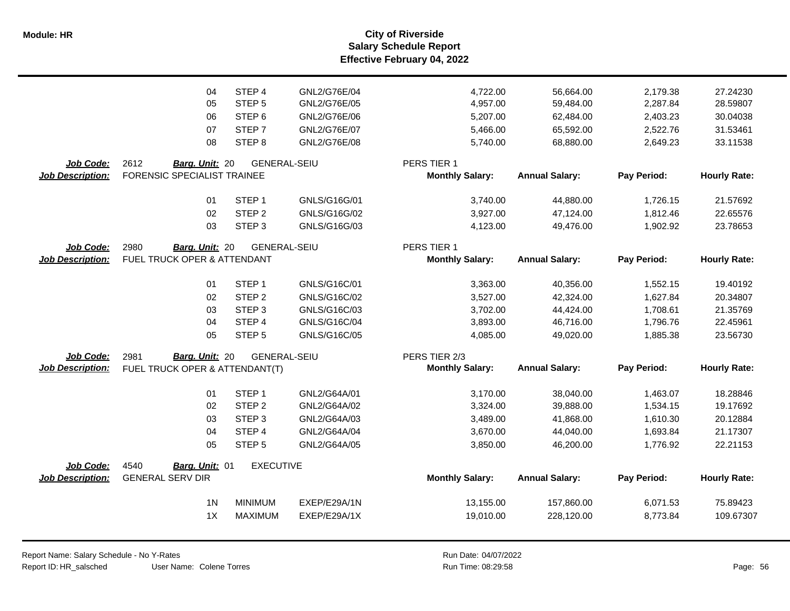**Salary Schedule Report Effective February 04, 2022 Module: HR City of Riverside**

|                         | 04                             | STEP <sub>4</sub> | GNL2/G76E/04        | 4,722.00               | 56,664.00             | 2,179.38    | 27.24230            |
|-------------------------|--------------------------------|-------------------|---------------------|------------------------|-----------------------|-------------|---------------------|
|                         | 05                             | STEP <sub>5</sub> | GNL2/G76E/05        | 4,957.00               | 59,484.00             | 2,287.84    | 28.59807            |
|                         | 06                             | STEP <sub>6</sub> | GNL2/G76E/06        | 5,207.00               | 62,484.00             | 2,403.23    | 30.04038            |
|                         | 07                             | STEP <sub>7</sub> | GNL2/G76E/07        | 5,466.00               | 65,592.00             | 2,522.76    | 31.53461            |
|                         | 08                             | STEP <sub>8</sub> | GNL2/G76E/08        | 5,740.00               | 68,880.00             | 2,649.23    | 33.11538            |
| Job Code:               | 2612<br>Barg. Unit: 20         |                   | <b>GENERAL-SEIU</b> | PERS TIER 1            |                       |             |                     |
| <b>Job Description:</b> | FORENSIC SPECIALIST TRAINEE    |                   |                     | <b>Monthly Salary:</b> | <b>Annual Salary:</b> | Pay Period: | <b>Hourly Rate:</b> |
|                         | 01                             | STEP <sub>1</sub> | GNLS/G16G/01        | 3,740.00               | 44,880.00             | 1,726.15    | 21.57692            |
|                         | 02                             | STEP <sub>2</sub> | GNLS/G16G/02        | 3,927.00               | 47,124.00             | 1,812.46    | 22.65576            |
|                         | 03                             | STEP <sub>3</sub> | GNLS/G16G/03        | 4,123.00               | 49,476.00             | 1,902.92    | 23.78653            |
| Job Code:               | 2980<br>Barg. Unit: 20         |                   | <b>GENERAL-SEIU</b> | PERS TIER 1            |                       |             |                     |
| <b>Job Description:</b> | FUEL TRUCK OPER & ATTENDANT    |                   |                     | <b>Monthly Salary:</b> | <b>Annual Salary:</b> | Pay Period: | <b>Hourly Rate:</b> |
|                         | 01                             | STEP <sub>1</sub> | GNLS/G16C/01        | 3,363.00               | 40,356.00             | 1,552.15    | 19.40192            |
|                         | 02                             | STEP <sub>2</sub> | GNLS/G16C/02        | 3,527.00               | 42,324.00             | 1,627.84    | 20.34807            |
|                         | 03                             | STEP <sub>3</sub> | GNLS/G16C/03        | 3,702.00               | 44,424.00             | 1,708.61    | 21.35769            |
|                         | 04                             | STEP 4            | GNLS/G16C/04        | 3,893.00               | 46,716.00             | 1,796.76    | 22.45961            |
|                         | 05                             | STEP <sub>5</sub> | GNLS/G16C/05        | 4,085.00               | 49,020.00             | 1,885.38    | 23.56730            |
| Job Code:               | Barg. Unit: 20<br>2981         |                   | <b>GENERAL-SEIU</b> | PERS TIER 2/3          |                       |             |                     |
| <b>Job Description:</b> | FUEL TRUCK OPER & ATTENDANT(T) |                   |                     | <b>Monthly Salary:</b> | <b>Annual Salary:</b> | Pay Period: | <b>Hourly Rate:</b> |
|                         | 01                             | STEP <sub>1</sub> | GNL2/G64A/01        | 3,170.00               | 38,040.00             | 1,463.07    | 18.28846            |
|                         | 02                             | STEP <sub>2</sub> | GNL2/G64A/02        | 3,324.00               | 39,888.00             | 1,534.15    | 19.17692            |
|                         | 03                             | STEP <sub>3</sub> | GNL2/G64A/03        | 3,489.00               | 41,868.00             | 1,610.30    | 20.12884            |
|                         | 04                             | STEP 4            | GNL2/G64A/04        | 3,670.00               | 44,040.00             | 1,693.84    | 21.17307            |
|                         | 05                             | STEP <sub>5</sub> | GNL2/G64A/05        | 3,850.00               | 46,200.00             | 1,776.92    | 22.21153            |
| Job Code:               | 4540<br>Barg. Unit: 01         | <b>EXECUTIVE</b>  |                     |                        |                       |             |                     |
| <b>Job Description:</b> | <b>GENERAL SERV DIR</b>        |                   |                     | <b>Monthly Salary:</b> | <b>Annual Salary:</b> | Pay Period: | <b>Hourly Rate:</b> |
|                         | 1 <sup>N</sup>                 | <b>MINIMUM</b>    | EXEP/E29A/1N        | 13,155.00              | 157,860.00            | 6,071.53    | 75.89423            |
|                         | 1X                             | <b>MAXIMUM</b>    | EXEP/E29A/1X        | 19,010.00              | 228,120.00            | 8,773.84    | 109.67307           |
|                         |                                |                   |                     |                        |                       |             |                     |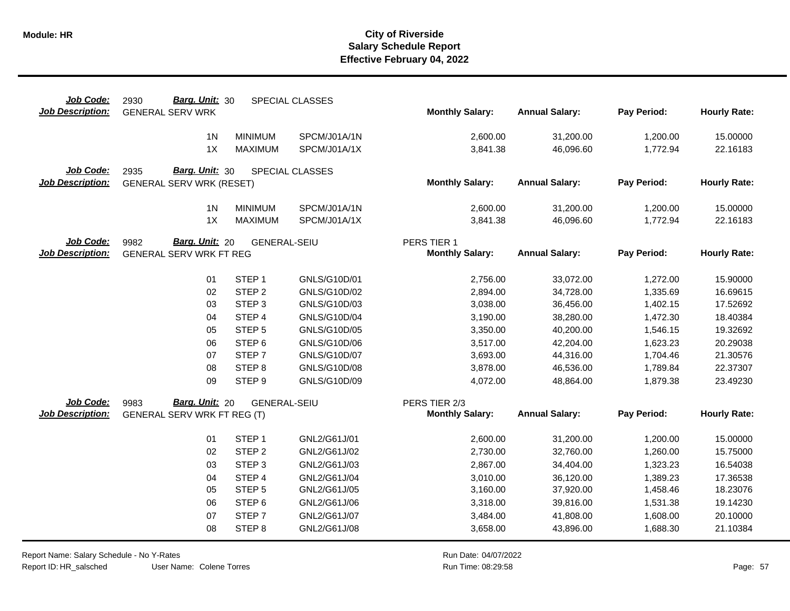| Job Code:<br><b>Job Description:</b> | Barg. Unit: 30<br>2930<br><b>GENERAL SERV WRK</b> |                     | SPECIAL CLASSES | <b>Monthly Salary:</b> | <b>Annual Salary:</b> | Pay Period: | <b>Hourly Rate:</b> |
|--------------------------------------|---------------------------------------------------|---------------------|-----------------|------------------------|-----------------------|-------------|---------------------|
|                                      | 1 <sub>N</sub>                                    | <b>MINIMUM</b>      | SPCM/J01A/1N    | 2,600.00               | 31,200.00             | 1,200.00    | 15.00000            |
|                                      | 1X                                                | <b>MAXIMUM</b>      | SPCM/J01A/1X    | 3,841.38               | 46,096.60             | 1,772.94    | 22.16183            |
|                                      |                                                   |                     |                 |                        |                       |             |                     |
| Job Code:<br><b>Job Description:</b> | Barg. Unit: 30<br>2935                            |                     | SPECIAL CLASSES | <b>Monthly Salary:</b> | <b>Annual Salary:</b> | Pay Period: | <b>Hourly Rate:</b> |
|                                      | <b>GENERAL SERV WRK (RESET)</b>                   |                     |                 |                        |                       |             |                     |
|                                      | 1 <sub>N</sub>                                    | <b>MINIMUM</b>      | SPCM/J01A/1N    | 2,600.00               | 31,200.00             | 1,200.00    | 15.00000            |
|                                      | 1X                                                | <b>MAXIMUM</b>      | SPCM/J01A/1X    | 3,841.38               | 46,096.60             | 1,772.94    | 22.16183            |
| Job Code:                            | Barg. Unit: 20<br>9982                            | <b>GENERAL-SEIU</b> |                 | PERS TIER 1            |                       |             |                     |
| <b>Job Description:</b>              | <b>GENERAL SERV WRK FT REG</b>                    |                     |                 | <b>Monthly Salary:</b> | <b>Annual Salary:</b> | Pay Period: | <b>Hourly Rate:</b> |
|                                      |                                                   |                     |                 |                        |                       |             |                     |
|                                      | 01                                                | STEP <sub>1</sub>   | GNLS/G10D/01    | 2,756.00               | 33,072.00             | 1,272.00    | 15.90000            |
|                                      | 02                                                | STEP <sub>2</sub>   | GNLS/G10D/02    | 2,894.00               | 34,728.00             | 1,335.69    | 16.69615            |
|                                      | 03                                                | STEP <sub>3</sub>   | GNLS/G10D/03    | 3,038.00               | 36,456.00             | 1,402.15    | 17.52692            |
|                                      | 04                                                | STEP 4              | GNLS/G10D/04    | 3,190.00               | 38,280.00             | 1,472.30    | 18.40384            |
|                                      | 05                                                | STEP <sub>5</sub>   | GNLS/G10D/05    | 3,350.00               | 40,200.00             | 1,546.15    | 19.32692            |
|                                      | 06                                                | STEP <sub>6</sub>   | GNLS/G10D/06    | 3,517.00               | 42,204.00             | 1,623.23    | 20.29038            |
|                                      | 07                                                | STEP <sub>7</sub>   | GNLS/G10D/07    | 3,693.00               | 44,316.00             | 1,704.46    | 21.30576            |
|                                      | 08                                                | STEP <sub>8</sub>   | GNLS/G10D/08    | 3,878.00               | 46,536.00             | 1,789.84    | 22.37307            |
|                                      | 09                                                | STEP <sub>9</sub>   | GNLS/G10D/09    | 4,072.00               | 48,864.00             | 1,879.38    | 23.49230            |
| Job Code:                            | Barg. Unit: 20<br>9983                            | <b>GENERAL-SEIU</b> |                 | PERS TIER 2/3          |                       |             |                     |
| <b>Job Description:</b>              | GENERAL SERV WRK FT REG (T)                       |                     |                 | <b>Monthly Salary:</b> | <b>Annual Salary:</b> | Pay Period: | <b>Hourly Rate:</b> |
|                                      | 01                                                | STEP <sub>1</sub>   | GNL2/G61J/01    | 2,600.00               | 31,200.00             | 1,200.00    | 15.00000            |
|                                      | 02                                                | STEP <sub>2</sub>   | GNL2/G61J/02    | 2,730.00               | 32,760.00             | 1,260.00    | 15.75000            |
|                                      | 03                                                | STEP <sub>3</sub>   | GNL2/G61J/03    | 2,867.00               | 34,404.00             | 1,323.23    | 16.54038            |
|                                      | 04                                                | STEP 4              | GNL2/G61J/04    | 3,010.00               | 36,120.00             | 1,389.23    | 17.36538            |
|                                      | 05                                                | STEP <sub>5</sub>   | GNL2/G61J/05    | 3,160.00               | 37,920.00             | 1,458.46    | 18.23076            |
|                                      | 06                                                | STEP <sub>6</sub>   | GNL2/G61J/06    | 3,318.00               | 39,816.00             | 1,531.38    | 19.14230            |
|                                      | 07                                                | STEP <sub>7</sub>   | GNL2/G61J/07    | 3,484.00               | 41,808.00             | 1,608.00    | 20.10000            |
|                                      | 08                                                | STEP <sub>8</sub>   | GNL2/G61J/08    | 3,658.00               | 43,896.00             | 1,688.30    | 21.10384            |
|                                      |                                                   |                     |                 |                        |                       |             |                     |

Report Name: Salary Schedule - No Y-Rates Report ID: HR\_salsched

 $\overline{\phantom{0}}$ 

User Name: Colene Torres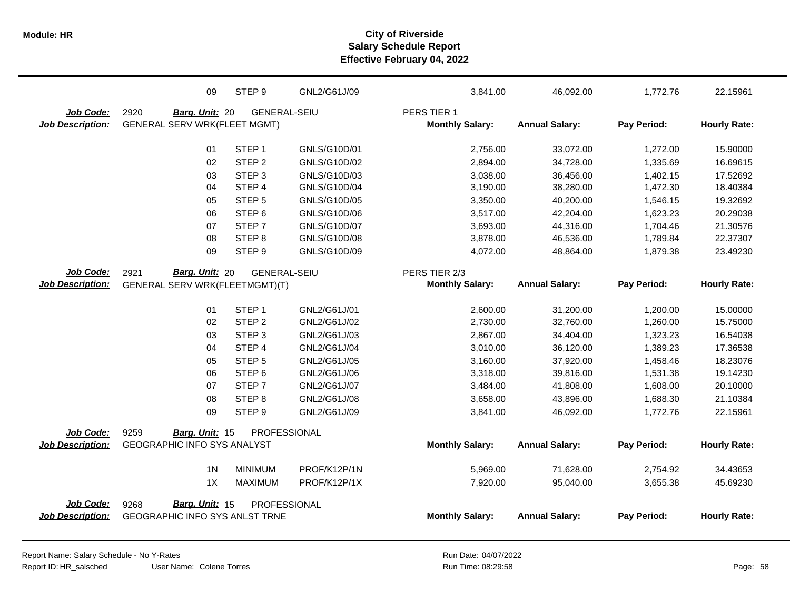|                         | 09                                    | STEP <sub>9</sub>   | GNL2/G61J/09 | 3,841.00               | 46,092.00             | 1,772.76    | 22.15961            |
|-------------------------|---------------------------------------|---------------------|--------------|------------------------|-----------------------|-------------|---------------------|
| Job Code:               | 2920<br>Barg. Unit: 20                | <b>GENERAL-SEIU</b> |              | PERS TIER 1            |                       |             |                     |
| <b>Job Description:</b> | <b>GENERAL SERV WRK(FLEET MGMT)</b>   |                     |              | <b>Monthly Salary:</b> | <b>Annual Salary:</b> | Pay Period: | <b>Hourly Rate:</b> |
|                         |                                       |                     |              |                        |                       |             |                     |
|                         | 01                                    | STEP <sub>1</sub>   | GNLS/G10D/01 | 2,756.00               | 33,072.00             | 1,272.00    | 15.90000            |
|                         | 02                                    | STEP <sub>2</sub>   | GNLS/G10D/02 | 2,894.00               | 34,728.00             | 1,335.69    | 16.69615            |
|                         | 03                                    | STEP <sub>3</sub>   | GNLS/G10D/03 | 3,038.00               | 36,456.00             | 1,402.15    | 17.52692            |
|                         | 04                                    | STEP 4              | GNLS/G10D/04 | 3,190.00               | 38,280.00             | 1,472.30    | 18.40384            |
|                         | 05                                    | STEP <sub>5</sub>   | GNLS/G10D/05 | 3,350.00               | 40,200.00             | 1,546.15    | 19.32692            |
|                         | 06                                    | STEP <sub>6</sub>   | GNLS/G10D/06 | 3,517.00               | 42,204.00             | 1,623.23    | 20.29038            |
|                         | 07                                    | STEP <sub>7</sub>   | GNLS/G10D/07 | 3,693.00               | 44,316.00             | 1,704.46    | 21.30576            |
|                         | 08                                    | STEP <sub>8</sub>   | GNLS/G10D/08 | 3,878.00               | 46,536.00             | 1,789.84    | 22.37307            |
|                         | 09                                    | STEP <sub>9</sub>   | GNLS/G10D/09 | 4,072.00               | 48,864.00             | 1,879.38    | 23.49230            |
| Job Code:               | Barg. Unit: 20<br>2921                | <b>GENERAL-SEIU</b> |              | PERS TIER 2/3          |                       |             |                     |
| <b>Job Description:</b> | GENERAL SERV WRK(FLEETMGMT)(T)        |                     |              | <b>Monthly Salary:</b> | <b>Annual Salary:</b> | Pay Period: | <b>Hourly Rate:</b> |
|                         |                                       |                     |              |                        |                       |             |                     |
|                         | 01                                    | STEP <sub>1</sub>   | GNL2/G61J/01 | 2,600.00               | 31,200.00             | 1,200.00    | 15.00000            |
|                         | 02                                    | STEP <sub>2</sub>   | GNL2/G61J/02 | 2,730.00               | 32,760.00             | 1,260.00    | 15.75000            |
|                         | 03                                    | STEP <sub>3</sub>   | GNL2/G61J/03 | 2,867.00               | 34,404.00             | 1,323.23    | 16.54038            |
|                         | 04                                    | STEP 4              | GNL2/G61J/04 | 3,010.00               | 36,120.00             | 1,389.23    | 17.36538            |
|                         | 05                                    | STEP <sub>5</sub>   | GNL2/G61J/05 | 3,160.00               | 37,920.00             | 1,458.46    | 18.23076            |
|                         | 06                                    | STEP <sub>6</sub>   | GNL2/G61J/06 | 3,318.00               | 39,816.00             | 1,531.38    | 19.14230            |
|                         | 07                                    | STEP <sub>7</sub>   | GNL2/G61J/07 | 3,484.00               | 41,808.00             | 1,608.00    | 20.10000            |
|                         | 08                                    | STEP <sub>8</sub>   | GNL2/G61J/08 | 3,658.00               | 43,896.00             | 1,688.30    | 21.10384            |
|                         | 09                                    | STEP <sub>9</sub>   | GNL2/G61J/09 | 3,841.00               | 46,092.00             | 1,772.76    | 22.15961            |
| Job Code:               | 9259<br>Barg. Unit: 15                | PROFESSIONAL        |              |                        |                       |             |                     |
| <b>Job Description:</b> | <b>GEOGRAPHIC INFO SYS ANALYST</b>    |                     |              | <b>Monthly Salary:</b> | <b>Annual Salary:</b> | Pay Period: | <b>Hourly Rate:</b> |
|                         |                                       |                     |              |                        |                       |             |                     |
|                         | 1 <sub>N</sub>                        | <b>MINIMUM</b>      | PROF/K12P/1N | 5,969.00               | 71,628.00             | 2,754.92    | 34.43653            |
|                         | 1X                                    | <b>MAXIMUM</b>      | PROF/K12P/1X | 7,920.00               | 95,040.00             | 3,655.38    | 45.69230            |
| Job Code:               | Barg. Unit: 15<br>9268                | PROFESSIONAL        |              |                        |                       |             |                     |
| <b>Job Description:</b> | <b>GEOGRAPHIC INFO SYS ANLST TRNE</b> |                     |              | <b>Monthly Salary:</b> | <b>Annual Salary:</b> | Pay Period: | <b>Hourly Rate:</b> |
|                         |                                       |                     |              |                        |                       |             |                     |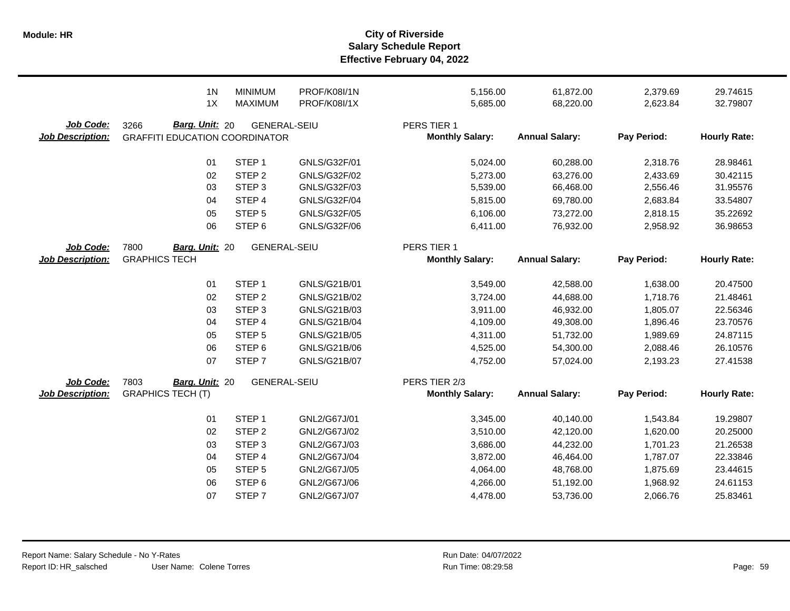|                                      | 1 <sub>N</sub>                                                  | <b>MINIMUM</b>      | <b>PROF/K08I/1N</b> | 5,156.00                                | 61,872.00             | 2,379.69    | 29.74615            |
|--------------------------------------|-----------------------------------------------------------------|---------------------|---------------------|-----------------------------------------|-----------------------|-------------|---------------------|
|                                      | 1X                                                              | <b>MAXIMUM</b>      | PROF/K08I/1X        | 5,685.00                                | 68,220.00             | 2,623.84    | 32.79807            |
| Job Code:<br><b>Job Description:</b> | Barg. Unit: 20<br>3266<br><b>GRAFFITI EDUCATION COORDINATOR</b> | <b>GENERAL-SEIU</b> |                     | PERS TIER 1<br><b>Monthly Salary:</b>   | <b>Annual Salary:</b> | Pay Period: | <b>Hourly Rate:</b> |
|                                      | 01                                                              | STEP <sub>1</sub>   | GNLS/G32F/01        | 5,024.00                                | 60,288.00             | 2,318.76    | 28.98461            |
|                                      | 02                                                              | STEP <sub>2</sub>   | GNLS/G32F/02        | 5,273.00                                | 63,276.00             | 2,433.69    | 30.42115            |
|                                      | 03                                                              | STEP <sub>3</sub>   | GNLS/G32F/03        | 5,539.00                                | 66,468.00             | 2,556.46    | 31.95576            |
|                                      | 04                                                              | STEP 4              | GNLS/G32F/04        | 5,815.00                                | 69,780.00             | 2,683.84    | 33.54807            |
|                                      | 05                                                              | STEP <sub>5</sub>   | GNLS/G32F/05        | 6,106.00                                | 73,272.00             | 2,818.15    | 35.22692            |
|                                      | 06                                                              | STEP <sub>6</sub>   | GNLS/G32F/06        | 6,411.00                                | 76,932.00             | 2,958.92    | 36.98653            |
| Job Code:<br><b>Job Description:</b> | 7800<br>Barg. Unit: 20<br><b>GRAPHICS TECH</b>                  | <b>GENERAL-SEIU</b> |                     | PERS TIER 1<br><b>Monthly Salary:</b>   | <b>Annual Salary:</b> | Pay Period: | <b>Hourly Rate:</b> |
|                                      | 01                                                              | STEP <sub>1</sub>   | GNLS/G21B/01        | 3,549.00                                | 42,588.00             | 1,638.00    | 20.47500            |
|                                      | 02                                                              | STEP <sub>2</sub>   | GNLS/G21B/02        | 3,724.00                                | 44,688.00             | 1,718.76    | 21.48461            |
|                                      | 03                                                              | STEP <sub>3</sub>   | GNLS/G21B/03        | 3,911.00                                | 46,932.00             | 1,805.07    | 22.56346            |
|                                      | 04                                                              | STEP 4              | GNLS/G21B/04        | 4,109.00                                | 49,308.00             | 1,896.46    | 23.70576            |
|                                      | 05                                                              | STEP <sub>5</sub>   | GNLS/G21B/05        | 4,311.00                                | 51,732.00             | 1,989.69    | 24.87115            |
|                                      | 06                                                              | STEP <sub>6</sub>   | GNLS/G21B/06        | 4,525.00                                | 54,300.00             | 2,088.46    | 26.10576            |
|                                      | 07                                                              | STEP <sub>7</sub>   | GNLS/G21B/07        | 4,752.00                                | 57,024.00             | 2,193.23    | 27.41538            |
| Job Code:<br><b>Job Description:</b> | 7803<br>Barg. Unit: 20<br><b>GRAPHICS TECH (T)</b>              | <b>GENERAL-SEIU</b> |                     | PERS TIER 2/3<br><b>Monthly Salary:</b> | <b>Annual Salary:</b> | Pay Period: | <b>Hourly Rate:</b> |
|                                      | 01                                                              | STEP <sub>1</sub>   | GNL2/G67J/01        | 3,345.00                                | 40,140.00             | 1,543.84    | 19.29807            |
|                                      | 02                                                              | STEP <sub>2</sub>   | GNL2/G67J/02        | 3,510.00                                | 42,120.00             | 1,620.00    | 20.25000            |
|                                      | 03                                                              | STEP <sub>3</sub>   | GNL2/G67J/03        | 3,686.00                                | 44,232.00             | 1,701.23    | 21.26538            |
|                                      | 04                                                              | STEP 4              | GNL2/G67J/04        | 3,872.00                                | 46,464.00             | 1,787.07    | 22.33846            |
|                                      | 05                                                              | STEP <sub>5</sub>   | GNL2/G67J/05        | 4,064.00                                | 48,768.00             | 1,875.69    | 23.44615            |
|                                      | 06                                                              | STEP <sub>6</sub>   | GNL2/G67J/06        | 4,266.00                                | 51,192.00             | 1,968.92    | 24.61153            |
|                                      | 07                                                              | STEP <sub>7</sub>   | GNL2/G67J/07        | 4,478.00                                | 53,736.00             | 2,066.76    | 25.83461            |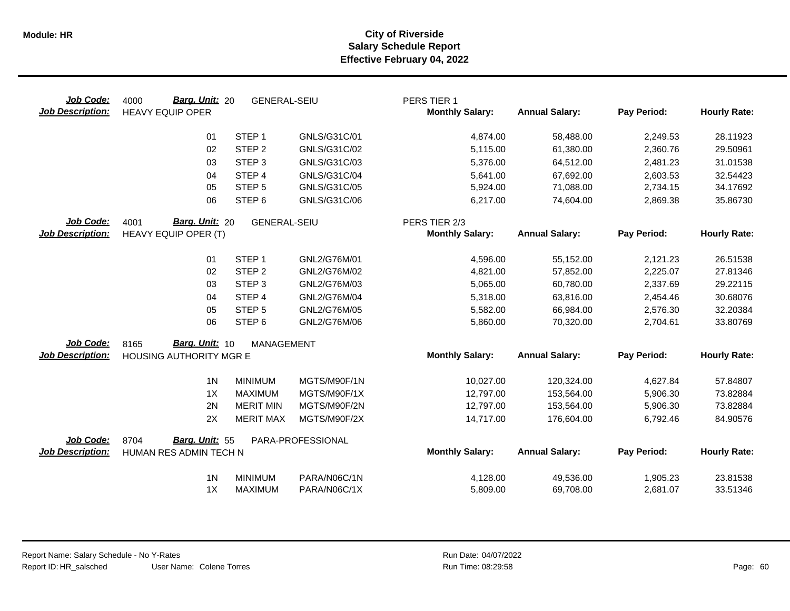| Job Code:<br><b>Job Description:</b> | Barg. Unit: 20<br>4000<br><b>HEAVY EQUIP OPER</b> | <b>GENERAL-SEIU</b> |                   | PERS TIER 1<br><b>Monthly Salary:</b> | <b>Annual Salary:</b> | Pay Period: | <b>Hourly Rate:</b> |
|--------------------------------------|---------------------------------------------------|---------------------|-------------------|---------------------------------------|-----------------------|-------------|---------------------|
|                                      | 01                                                | STEP <sub>1</sub>   | GNLS/G31C/01      | 4,874.00                              | 58,488.00             | 2,249.53    | 28.11923            |
|                                      | 02                                                | STEP <sub>2</sub>   | GNLS/G31C/02      | 5,115.00                              | 61,380.00             | 2,360.76    | 29.50961            |
|                                      | 03                                                | STEP <sub>3</sub>   | GNLS/G31C/03      | 5,376.00                              | 64,512.00             | 2,481.23    | 31.01538            |
|                                      | 04                                                | STEP 4              | GNLS/G31C/04      | 5,641.00                              | 67,692.00             | 2,603.53    | 32.54423            |
|                                      | 05                                                | STEP <sub>5</sub>   | GNLS/G31C/05      | 5,924.00                              | 71,088.00             | 2,734.15    | 34.17692            |
|                                      | 06                                                | STEP <sub>6</sub>   | GNLS/G31C/06      | 6,217.00                              | 74,604.00             | 2,869.38    | 35.86730            |
| Job Code:                            | Barg. Unit: 20<br>4001                            | <b>GENERAL-SEIU</b> |                   | PERS TIER 2/3                         |                       |             |                     |
| <b>Job Description:</b>              | HEAVY EQUIP OPER (T)                              |                     |                   | <b>Monthly Salary:</b>                | <b>Annual Salary:</b> | Pay Period: | <b>Hourly Rate:</b> |
|                                      | 01                                                | STEP <sub>1</sub>   | GNL2/G76M/01      | 4,596.00                              | 55,152.00             | 2,121.23    | 26.51538            |
|                                      | 02                                                | STEP <sub>2</sub>   | GNL2/G76M/02      | 4,821.00                              | 57,852.00             | 2,225.07    | 27.81346            |
|                                      | 03                                                | STEP <sub>3</sub>   | GNL2/G76M/03      | 5,065.00                              | 60,780.00             | 2,337.69    | 29.22115            |
|                                      | 04                                                | STEP <sub>4</sub>   | GNL2/G76M/04      | 5,318.00                              | 63,816.00             | 2,454.46    | 30.68076            |
|                                      | 05                                                | STEP <sub>5</sub>   | GNL2/G76M/05      | 5,582.00                              | 66,984.00             | 2,576.30    | 32.20384            |
|                                      | 06                                                | STEP <sub>6</sub>   | GNL2/G76M/06      | 5,860.00                              | 70,320.00             | 2,704.61    | 33.80769            |
| Job Code:                            | Barg. Unit: 10<br>8165                            | MANAGEMENT          |                   |                                       |                       |             |                     |
| <b>Job Description:</b>              | HOUSING AUTHORITY MGR E                           |                     |                   | <b>Monthly Salary:</b>                | <b>Annual Salary:</b> | Pay Period: | <b>Hourly Rate:</b> |
|                                      | 1 <sub>N</sub>                                    | <b>MINIMUM</b>      | MGTS/M90F/1N      | 10,027.00                             | 120,324.00            | 4,627.84    | 57.84807            |
|                                      | 1X                                                | <b>MAXIMUM</b>      | MGTS/M90F/1X      | 12,797.00                             | 153,564.00            | 5,906.30    | 73.82884            |
|                                      | 2N                                                | <b>MERIT MIN</b>    | MGTS/M90F/2N      | 12,797.00                             | 153,564.00            | 5,906.30    | 73.82884            |
|                                      | 2X                                                | <b>MERIT MAX</b>    | MGTS/M90F/2X      | 14,717.00                             | 176,604.00            | 6,792.46    | 84.90576            |
| Job Code:                            | Barg. Unit: 55<br>8704                            |                     | PARA-PROFESSIONAL |                                       |                       |             |                     |
| <b>Job Description:</b>              | HUMAN RES ADMIN TECH N                            |                     |                   | <b>Monthly Salary:</b>                | <b>Annual Salary:</b> | Pay Period: | <b>Hourly Rate:</b> |
|                                      | 1 <sub>N</sub>                                    | <b>MINIMUM</b>      | PARA/N06C/1N      | 4,128.00                              | 49,536.00             | 1,905.23    | 23.81538            |
|                                      | 1X                                                | <b>MAXIMUM</b>      | PARA/N06C/1X      | 5,809.00                              | 69,708.00             | 2,681.07    | 33.51346            |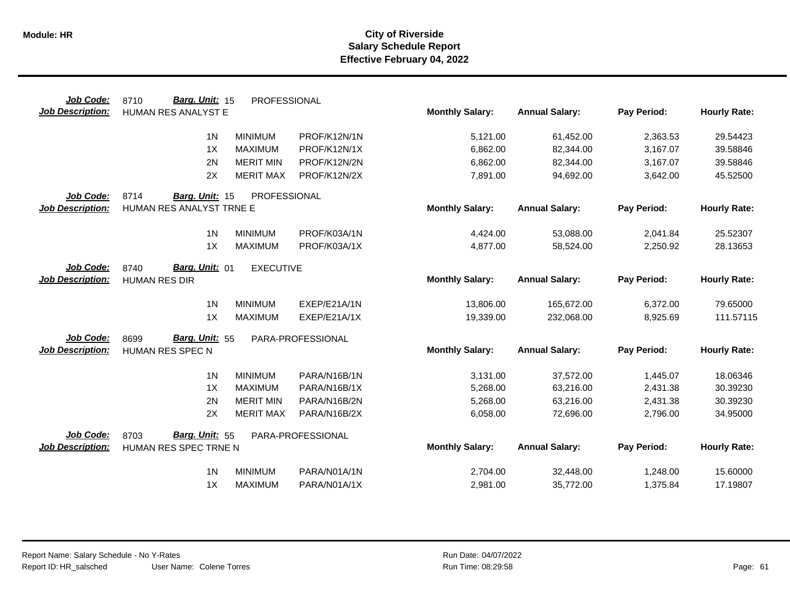| Job Code:               | Barg. Unit: 15<br>8710<br>PROFESSIONAL     |                   |                        |                       |             |                     |
|-------------------------|--------------------------------------------|-------------------|------------------------|-----------------------|-------------|---------------------|
| <b>Job Description:</b> | HUMAN RES ANALYST E                        |                   | <b>Monthly Salary:</b> | <b>Annual Salary:</b> | Pay Period: | <b>Hourly Rate:</b> |
|                         | 1 <sub>N</sub><br><b>MINIMUM</b>           | PROF/K12N/1N      | 5,121.00               | 61,452.00             | 2,363.53    | 29.54423            |
|                         | 1X<br><b>MAXIMUM</b>                       | PROF/K12N/1X      | 6,862.00               | 82,344.00             | 3,167.07    | 39.58846            |
|                         | 2N<br><b>MERIT MIN</b>                     | PROF/K12N/2N      | 6,862.00               | 82,344.00             | 3,167.07    | 39.58846            |
|                         | 2X<br><b>MERIT MAX</b>                     | PROF/K12N/2X      | 7,891.00               | 94,692.00             | 3,642.00    | 45.52500            |
| Job Code:               | 8714<br>PROFESSIONAL<br>Barg. Unit: 15     |                   |                        |                       |             |                     |
| <b>Job Description:</b> | HUMAN RES ANALYST TRNE E                   |                   | <b>Monthly Salary:</b> | <b>Annual Salary:</b> | Pay Period: | <b>Hourly Rate:</b> |
|                         | 1 <sub>N</sub><br><b>MINIMUM</b>           | PROF/K03A/1N      | 4,424.00               | 53,088.00             | 2,041.84    | 25.52307            |
|                         | 1X<br><b>MAXIMUM</b>                       | PROF/K03A/1X      | 4,877.00               | 58,524.00             | 2,250.92    | 28.13653            |
| Job Code:               | Barg. Unit: 01<br>8740<br><b>EXECUTIVE</b> |                   |                        |                       |             |                     |
| <b>Job Description:</b> | <b>HUMAN RES DIR</b>                       |                   | <b>Monthly Salary:</b> | <b>Annual Salary:</b> | Pay Period: | <b>Hourly Rate:</b> |
|                         | 1 <sub>N</sub><br><b>MINIMUM</b>           | EXEP/E21A/1N      | 13,806.00              | 165,672.00            | 6,372.00    | 79.65000            |
|                         | 1X<br><b>MAXIMUM</b>                       | EXEP/E21A/1X      | 19,339.00              | 232,068.00            | 8,925.69    | 111.57115           |
| Job Code:               | Barg. Unit: 55<br>8699                     | PARA-PROFESSIONAL |                        |                       |             |                     |
| Job Description:        | HUMAN RES SPEC N                           |                   | <b>Monthly Salary:</b> | <b>Annual Salary:</b> | Pay Period: | <b>Hourly Rate:</b> |
|                         | 1 <sub>N</sub><br><b>MINIMUM</b>           | PARA/N16B/1N      | 3,131.00               | 37,572.00             | 1,445.07    | 18.06346            |
|                         | 1X<br><b>MAXIMUM</b>                       | PARA/N16B/1X      | 5,268.00               | 63,216.00             | 2,431.38    | 30.39230            |
|                         | 2N<br><b>MERIT MIN</b>                     | PARA/N16B/2N      | 5,268.00               | 63,216.00             | 2,431.38    | 30.39230            |
|                         | 2X<br><b>MERIT MAX</b>                     | PARA/N16B/2X      | 6,058.00               | 72,696.00             | 2,796.00    | 34.95000            |
| Job Code:               | Barg. Unit: 55<br>8703                     | PARA-PROFESSIONAL |                        |                       |             |                     |
| <b>Job Description:</b> | HUMAN RES SPEC TRNE N                      |                   | <b>Monthly Salary:</b> | <b>Annual Salary:</b> | Pay Period: | <b>Hourly Rate:</b> |
|                         | 1 <sub>N</sub><br><b>MINIMUM</b>           | PARA/N01A/1N      | 2,704.00               | 32,448.00             | 1,248.00    | 15.60000            |
|                         | 1X<br><b>MAXIMUM</b>                       | PARA/N01A/1X      | 2,981.00               | 35,772.00             | 1,375.84    | 17.19807            |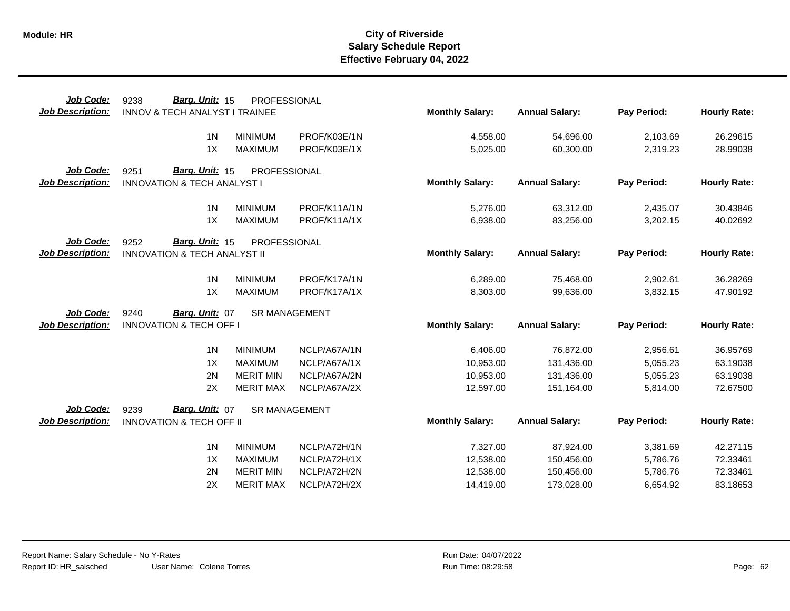| Job Code:               | Barg. Unit: 15<br>9238                  | PROFESSIONAL                     |                              |                        |                       |             |                     |
|-------------------------|-----------------------------------------|----------------------------------|------------------------------|------------------------|-----------------------|-------------|---------------------|
| <b>Job Description:</b> | INNOV & TECH ANALYST I TRAINEE          |                                  |                              | <b>Monthly Salary:</b> | <b>Annual Salary:</b> | Pay Period: | <b>Hourly Rate:</b> |
|                         | 1 <sub>N</sub>                          | <b>MINIMUM</b>                   | PROF/K03E/1N                 | 4,558.00               | 54,696.00             | 2,103.69    | 26.29615            |
|                         | 1X                                      | <b>MAXIMUM</b>                   | PROF/K03E/1X                 | 5,025.00               | 60,300.00             | 2,319.23    | 28.99038            |
| Job Code:               | Barg. Unit: 15<br>9251                  | PROFESSIONAL                     |                              |                        |                       |             |                     |
| <b>Job Description:</b> | <b>INNOVATION &amp; TECH ANALYST I</b>  |                                  |                              | <b>Monthly Salary:</b> | <b>Annual Salary:</b> | Pay Period: | <b>Hourly Rate:</b> |
|                         |                                         |                                  |                              |                        |                       |             |                     |
|                         | 1 <sub>N</sub><br>1X                    | <b>MINIMUM</b><br><b>MAXIMUM</b> | PROF/K11A/1N<br>PROF/K11A/1X | 5,276.00               | 63,312.00             | 2,435.07    | 30.43846            |
|                         |                                         |                                  |                              | 6,938.00               | 83,256.00             | 3,202.15    | 40.02692            |
| Job Code:               | Barg. Unit: 15<br>9252                  | PROFESSIONAL                     |                              |                        |                       |             |                     |
| <b>Job Description:</b> | <b>INNOVATION &amp; TECH ANALYST II</b> |                                  |                              | <b>Monthly Salary:</b> | <b>Annual Salary:</b> | Pay Period: | <b>Hourly Rate:</b> |
|                         | 1 <sub>N</sub>                          | <b>MINIMUM</b>                   | PROF/K17A/1N                 | 6,289.00               | 75,468.00             | 2,902.61    | 36.28269            |
|                         | 1X                                      | <b>MAXIMUM</b>                   | PROF/K17A/1X                 | 8,303.00               | 99,636.00             | 3,832.15    | 47.90192            |
|                         |                                         |                                  |                              |                        |                       |             |                     |
| Job Code:               | 9240<br>Barg. Unit: 07                  | <b>SR MANAGEMENT</b>             |                              |                        |                       |             |                     |
| <b>Job Description:</b> | <b>INNOVATION &amp; TECH OFF I</b>      |                                  |                              | <b>Monthly Salary:</b> | <b>Annual Salary:</b> | Pay Period: | <b>Hourly Rate:</b> |
|                         | 1 <sub>N</sub>                          | <b>MINIMUM</b>                   | NCLP/A67A/1N                 | 6,406.00               | 76,872.00             | 2,956.61    | 36.95769            |
|                         | 1X                                      | <b>MAXIMUM</b>                   | NCLP/A67A/1X                 | 10,953.00              | 131,436.00            | 5,055.23    | 63.19038            |
|                         | 2N                                      | <b>MERIT MIN</b>                 | NCLP/A67A/2N                 | 10,953.00              | 131,436.00            | 5,055.23    | 63.19038            |
|                         | 2X                                      | <b>MERIT MAX</b>                 | NCLP/A67A/2X                 | 12,597.00              | 151,164.00            | 5,814.00    | 72.67500            |
| Job Code:               | 9239<br>Barg. Unit: 07                  | <b>SR MANAGEMENT</b>             |                              |                        |                       |             |                     |
| <b>Job Description:</b> | <b>INNOVATION &amp; TECH OFF II</b>     |                                  |                              | <b>Monthly Salary:</b> | <b>Annual Salary:</b> | Pay Period: | <b>Hourly Rate:</b> |
|                         |                                         |                                  |                              |                        |                       |             |                     |
|                         | 1 <sub>N</sub>                          | <b>MINIMUM</b>                   | NCLP/A72H/1N                 | 7,327.00               | 87,924.00             | 3,381.69    | 42.27115            |
|                         | 1X                                      | <b>MAXIMUM</b>                   | NCLP/A72H/1X                 | 12,538.00              | 150,456.00            | 5,786.76    | 72.33461            |
|                         | 2N                                      | <b>MERIT MIN</b>                 | NCLP/A72H/2N                 | 12,538.00              | 150,456.00            | 5,786.76    | 72.33461            |
|                         | 2X                                      | <b>MERIT MAX</b>                 | NCLP/A72H/2X                 | 14,419.00              | 173,028.00            | 6,654.92    | 83.18653            |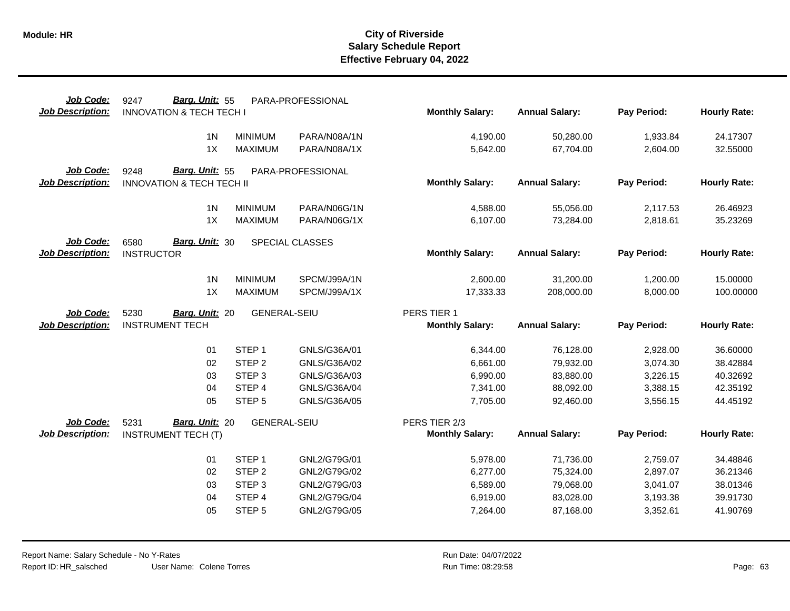| Job Code:<br><b>Job Description:</b> | Barg. Unit: 55<br>9247<br><b>INNOVATION &amp; TECH TECH I</b> |                     | PARA-PROFESSIONAL            | <b>Monthly Salary:</b> | <b>Annual Salary:</b> | Pay Period: | <b>Hourly Rate:</b> |
|--------------------------------------|---------------------------------------------------------------|---------------------|------------------------------|------------------------|-----------------------|-------------|---------------------|
|                                      |                                                               |                     |                              |                        |                       |             |                     |
|                                      | 1 <sub>N</sub>                                                | <b>MINIMUM</b>      | PARA/N08A/1N                 | 4,190.00               | 50,280.00             | 1,933.84    | 24.17307            |
|                                      | 1X                                                            | <b>MAXIMUM</b>      | PARA/N08A/1X                 | 5,642.00               | 67,704.00             | 2,604.00    | 32.55000            |
|                                      |                                                               |                     |                              |                        |                       |             |                     |
| Job Code:                            | Barg. Unit: 55<br>9248                                        |                     | PARA-PROFESSIONAL            |                        |                       |             |                     |
| <b>Job Description:</b>              | <b>INNOVATION &amp; TECH TECH II</b>                          |                     |                              | <b>Monthly Salary:</b> | <b>Annual Salary:</b> | Pay Period: | <b>Hourly Rate:</b> |
|                                      | 1 <sub>N</sub>                                                | <b>MINIMUM</b>      | PARA/N06G/1N                 | 4,588.00               | 55,056.00             | 2,117.53    | 26.46923            |
|                                      | 1X                                                            | <b>MAXIMUM</b>      | PARA/N06G/1X                 | 6,107.00               | 73,284.00             | 2,818.61    | 35.23269            |
|                                      |                                                               |                     |                              |                        |                       |             |                     |
| Job Code:                            | Barg. Unit: 30<br>6580                                        |                     | SPECIAL CLASSES              |                        |                       |             |                     |
| <b>Job Description:</b>              | <b>INSTRUCTOR</b>                                             |                     |                              | <b>Monthly Salary:</b> | <b>Annual Salary:</b> | Pay Period: | <b>Hourly Rate:</b> |
|                                      |                                                               |                     |                              |                        |                       |             |                     |
|                                      | 1 <sub>N</sub><br>1X                                          | <b>MINIMUM</b>      | SPCM/J99A/1N<br>SPCM/J99A/1X | 2,600.00<br>17,333.33  | 31,200.00             | 1,200.00    | 15.00000            |
|                                      |                                                               | <b>MAXIMUM</b>      |                              |                        | 208,000.00            | 8,000.00    | 100.00000           |
| Job Code:                            | 5230<br>Barg. Unit: 20                                        | <b>GENERAL-SEIU</b> |                              | PERS TIER 1            |                       |             |                     |
| <b>Job Description:</b>              | <b>INSTRUMENT TECH</b>                                        |                     |                              | <b>Monthly Salary:</b> | <b>Annual Salary:</b> | Pay Period: | <b>Hourly Rate:</b> |
|                                      |                                                               |                     |                              |                        |                       |             |                     |
|                                      | 01                                                            | STEP <sub>1</sub>   | GNLS/G36A/01                 | 6,344.00               | 76,128.00             | 2,928.00    | 36.60000            |
|                                      | 02                                                            | STEP <sub>2</sub>   | GNLS/G36A/02                 | 6,661.00               | 79,932.00             | 3,074.30    | 38.42884            |
|                                      | 03                                                            | STEP <sub>3</sub>   | GNLS/G36A/03                 | 6,990.00               | 83,880.00             | 3,226.15    | 40.32692            |
|                                      | 04                                                            | STEP 4              | GNLS/G36A/04                 | 7,341.00               | 88,092.00             | 3,388.15    | 42.35192            |
|                                      | 05                                                            | STEP <sub>5</sub>   | GNLS/G36A/05                 | 7,705.00               | 92,460.00             | 3,556.15    | 44.45192            |
| <b>Job Code:</b>                     | Barg. Unit: 20<br>5231                                        | <b>GENERAL-SEIU</b> |                              | PERS TIER 2/3          |                       |             |                     |
| <b>Job Description:</b>              | <b>INSTRUMENT TECH (T)</b>                                    |                     |                              | <b>Monthly Salary:</b> | <b>Annual Salary:</b> | Pay Period: | <b>Hourly Rate:</b> |
|                                      |                                                               |                     |                              |                        |                       |             |                     |
|                                      | 01                                                            | STEP <sub>1</sub>   | GNL2/G79G/01                 | 5,978.00               | 71,736.00             | 2,759.07    | 34.48846            |
|                                      | 02                                                            | STEP <sub>2</sub>   | GNL2/G79G/02                 | 6,277.00               | 75,324.00             | 2,897.07    | 36.21346            |
|                                      | 03                                                            | STEP <sub>3</sub>   | GNL2/G79G/03                 | 6,589.00               | 79,068.00             | 3,041.07    | 38.01346            |
|                                      | 04                                                            | STEP 4              | GNL2/G79G/04                 | 6,919.00               | 83,028.00             | 3,193.38    | 39.91730            |
|                                      | 05                                                            | STEP <sub>5</sub>   | GNL2/G79G/05                 | 7,264.00               | 87,168.00             | 3,352.61    | 41.90769            |
|                                      |                                                               |                     |                              |                        |                       |             |                     |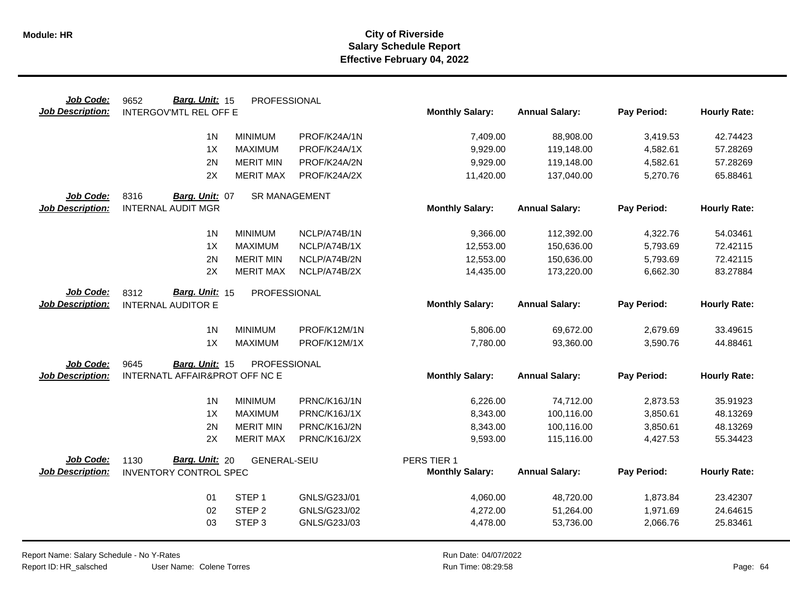| Job Code:               | Barg. Unit: 15<br>9652         | PROFESSIONAL         |              |                        |                       |             |                     |
|-------------------------|--------------------------------|----------------------|--------------|------------------------|-----------------------|-------------|---------------------|
| <b>Job Description:</b> | <b>INTERGOV'MTL REL OFF E</b>  |                      |              | <b>Monthly Salary:</b> | <b>Annual Salary:</b> | Pay Period: | <b>Hourly Rate:</b> |
|                         | 1 <sub>N</sub>                 | <b>MINIMUM</b>       | PROF/K24A/1N | 7,409.00               | 88,908.00             | 3,419.53    | 42.74423            |
|                         | 1X                             | <b>MAXIMUM</b>       | PROF/K24A/1X | 9,929.00               | 119,148.00            | 4,582.61    | 57.28269            |
|                         | 2N                             | <b>MERIT MIN</b>     | PROF/K24A/2N | 9,929.00               | 119,148.00            | 4,582.61    | 57.28269            |
|                         | 2X                             | <b>MERIT MAX</b>     | PROF/K24A/2X | 11,420.00              | 137,040.00            | 5,270.76    | 65.88461            |
| Job Code:               | 8316<br>Barg. Unit: 07         | <b>SR MANAGEMENT</b> |              |                        |                       |             |                     |
| <b>Job Description:</b> | <b>INTERNAL AUDIT MGR</b>      |                      |              | <b>Monthly Salary:</b> | <b>Annual Salary:</b> | Pay Period: | <b>Hourly Rate:</b> |
|                         |                                |                      |              |                        |                       |             |                     |
|                         | 1 <sup>N</sup>                 | <b>MINIMUM</b>       | NCLP/A74B/1N | 9,366.00               | 112,392.00            | 4,322.76    | 54.03461            |
|                         | 1X                             | <b>MAXIMUM</b>       | NCLP/A74B/1X | 12,553.00              | 150,636.00            | 5,793.69    | 72.42115            |
|                         | 2N                             | <b>MERIT MIN</b>     | NCLP/A74B/2N | 12,553.00              | 150,636.00            | 5,793.69    | 72.42115            |
|                         | 2X                             | <b>MERIT MAX</b>     | NCLP/A74B/2X | 14,435.00              | 173,220.00            | 6,662.30    | 83.27884            |
| Job Code:               | Barg. Unit: 15<br>8312         | PROFESSIONAL         |              |                        |                       |             |                     |
| <b>Job Description:</b> | <b>INTERNAL AUDITOR E</b>      |                      |              | <b>Monthly Salary:</b> | <b>Annual Salary:</b> | Pay Period: | <b>Hourly Rate:</b> |
|                         |                                |                      |              |                        |                       |             |                     |
|                         | 1 <sub>N</sub>                 | <b>MINIMUM</b>       | PROF/K12M/1N | 5,806.00               | 69,672.00             | 2,679.69    | 33.49615            |
|                         | 1X                             | <b>MAXIMUM</b>       | PROF/K12M/1X | 7,780.00               | 93,360.00             | 3,590.76    | 44.88461            |
| Job Code:               | 9645<br>Barg. Unit: 15         | PROFESSIONAL         |              |                        |                       |             |                     |
| <b>Job Description:</b> | INTERNATL AFFAIR&PROT OFF NC E |                      |              | <b>Monthly Salary:</b> | <b>Annual Salary:</b> | Pay Period: | <b>Hourly Rate:</b> |
|                         |                                |                      |              |                        |                       |             |                     |
|                         | 1 <sub>N</sub>                 | <b>MINIMUM</b>       | PRNC/K16J/1N | 6,226.00               | 74,712.00             | 2,873.53    | 35.91923            |
|                         | 1X                             | <b>MAXIMUM</b>       | PRNC/K16J/1X | 8,343.00               | 100,116.00            | 3,850.61    | 48.13269            |
|                         | 2N                             | <b>MERIT MIN</b>     | PRNC/K16J/2N | 8,343.00               | 100,116.00            | 3,850.61    | 48.13269            |
|                         | 2X                             | <b>MERIT MAX</b>     | PRNC/K16J/2X | 9,593.00               | 115,116.00            | 4,427.53    | 55.34423            |
| Job Code:               | Barg. Unit: 20<br>1130         | <b>GENERAL-SEIU</b>  |              | PERS TIER 1            |                       |             |                     |
| <b>Job Description:</b> | <b>INVENTORY CONTROL SPEC</b>  |                      |              | <b>Monthly Salary:</b> | <b>Annual Salary:</b> | Pay Period: | <b>Hourly Rate:</b> |
|                         |                                |                      |              |                        |                       |             |                     |
|                         | 01                             | STEP <sub>1</sub>    | GNLS/G23J/01 | 4,060.00               | 48,720.00             | 1,873.84    | 23.42307            |
|                         | 02                             | STEP <sub>2</sub>    | GNLS/G23J/02 | 4,272.00               | 51,264.00             | 1,971.69    | 24.64615            |
|                         | 03                             | STEP <sub>3</sub>    | GNLS/G23J/03 | 4,478.00               | 53,736.00             | 2,066.76    | 25.83461            |
|                         |                                |                      |              |                        |                       |             |                     |

Report Name: Salary Schedule - No Y-Rates Report ID: HR\_salsched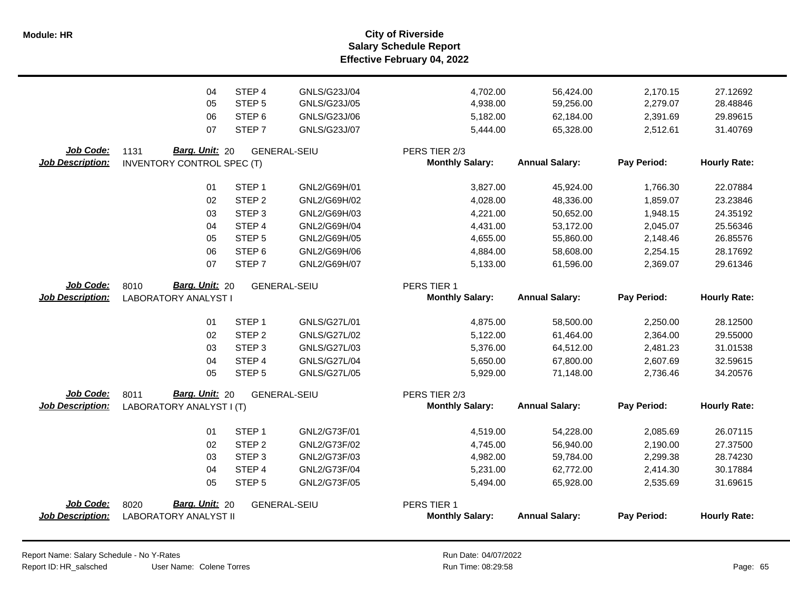**Salary Schedule Report Effective February 04, 2022 Module: HR City of Riverside**

|                         | 04                                | STEP 4            | GNLS/G23J/04        | 4,702.00               | 56,424.00             | 2,170.15    | 27.12692            |
|-------------------------|-----------------------------------|-------------------|---------------------|------------------------|-----------------------|-------------|---------------------|
|                         | 05                                | STEP <sub>5</sub> | GNLS/G23J/05        | 4,938.00               | 59,256.00             | 2,279.07    | 28.48846            |
|                         | 06                                | STEP <sub>6</sub> | GNLS/G23J/06        | 5,182.00               | 62,184.00             | 2,391.69    | 29.89615            |
|                         | 07                                | STEP <sub>7</sub> | GNLS/G23J/07        | 5,444.00               | 65,328.00             | 2,512.61    | 31.40769            |
| Job Code:               | Barg. Unit: 20<br>1131            |                   | <b>GENERAL-SEIU</b> | PERS TIER 2/3          |                       |             |                     |
| <b>Job Description:</b> | <b>INVENTORY CONTROL SPEC (T)</b> |                   |                     | <b>Monthly Salary:</b> | <b>Annual Salary:</b> | Pay Period: | <b>Hourly Rate:</b> |
|                         | 01                                | STEP <sub>1</sub> | GNL2/G69H/01        | 3,827.00               | 45,924.00             | 1,766.30    | 22.07884            |
|                         | 02                                | STEP <sub>2</sub> | GNL2/G69H/02        | 4,028.00               | 48,336.00             | 1,859.07    | 23.23846            |
|                         | 03                                | STEP <sub>3</sub> | GNL2/G69H/03        | 4,221.00               | 50,652.00             | 1,948.15    | 24.35192            |
|                         | 04                                | STEP 4            | GNL2/G69H/04        | 4,431.00               | 53,172.00             | 2,045.07    | 25.56346            |
|                         | 05                                | STEP <sub>5</sub> | GNL2/G69H/05        | 4,655.00               | 55,860.00             | 2,148.46    | 26.85576            |
|                         | 06                                | STEP <sub>6</sub> | GNL2/G69H/06        | 4,884.00               | 58,608.00             | 2,254.15    | 28.17692            |
|                         | 07                                | STEP <sub>7</sub> | GNL2/G69H/07        | 5,133.00               | 61,596.00             | 2,369.07    | 29.61346            |
| Job Code:               | Barg. Unit: 20<br>8010            |                   | <b>GENERAL-SEIU</b> | PERS TIER 1            |                       |             |                     |
| <b>Job Description:</b> | <b>LABORATORY ANALYST I</b>       |                   |                     | <b>Monthly Salary:</b> | <b>Annual Salary:</b> | Pay Period: | <b>Hourly Rate:</b> |
|                         | 01                                | STEP <sub>1</sub> | GNLS/G27L/01        | 4,875.00               | 58,500.00             | 2,250.00    | 28.12500            |
|                         | 02                                | STEP <sub>2</sub> | GNLS/G27L/02        | 5,122.00               | 61,464.00             | 2,364.00    | 29.55000            |
|                         | 03                                | STEP <sub>3</sub> | GNLS/G27L/03        | 5,376.00               | 64,512.00             | 2,481.23    | 31.01538            |
|                         | 04                                | STEP 4            | <b>GNLS/G27L/04</b> | 5,650.00               | 67,800.00             | 2,607.69    | 32.59615            |
|                         | 05                                | STEP <sub>5</sub> | GNLS/G27L/05        | 5,929.00               | 71,148.00             | 2,736.46    | 34.20576            |
| Job Code:               | Barg. Unit: 20<br>8011            |                   | <b>GENERAL-SEIU</b> | PERS TIER 2/3          |                       |             |                     |
| <b>Job Description:</b> | LABORATORY ANALYST I (T)          |                   |                     | <b>Monthly Salary:</b> | <b>Annual Salary:</b> | Pay Period: | <b>Hourly Rate:</b> |
|                         | 01                                | STEP <sub>1</sub> | GNL2/G73F/01        | 4,519.00               | 54,228.00             | 2,085.69    | 26.07115            |
|                         | 02                                | STEP <sub>2</sub> | GNL2/G73F/02        | 4,745.00               | 56,940.00             | 2,190.00    | 27.37500            |
|                         | 03                                | STEP <sub>3</sub> | GNL2/G73F/03        | 4,982.00               | 59,784.00             | 2,299.38    | 28.74230            |
|                         | 04                                | STEP 4            | GNL2/G73F/04        | 5,231.00               | 62,772.00             | 2,414.30    | 30.17884            |
|                         | 05                                | STEP <sub>5</sub> | GNL2/G73F/05        | 5,494.00               | 65,928.00             | 2,535.69    | 31.69615            |
| Job Code:               | Barg. Unit: 20<br>8020            |                   | <b>GENERAL-SEIU</b> | PERS TIER 1            |                       |             |                     |
| <b>Job Description:</b> | <b>LABORATORY ANALYST II</b>      |                   |                     | <b>Monthly Salary:</b> | <b>Annual Salary:</b> | Pay Period: | <b>Hourly Rate:</b> |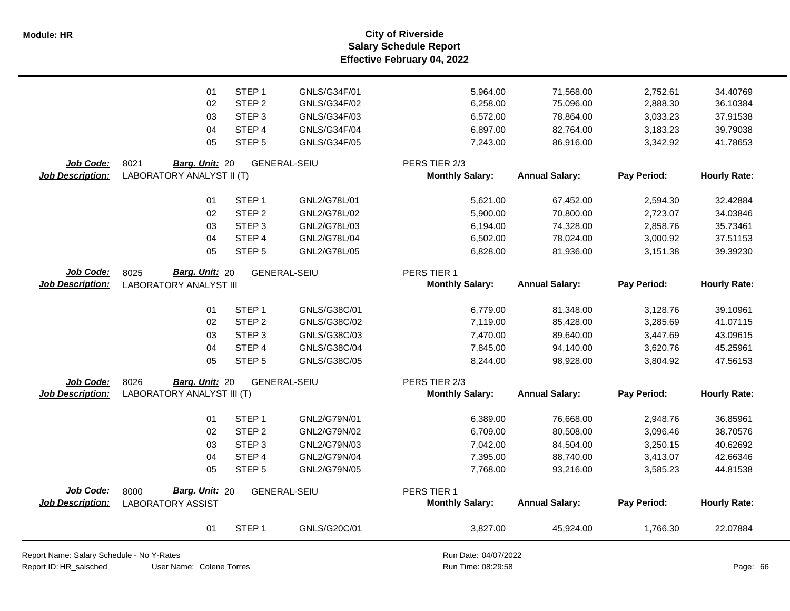**Salary Schedule Report Effective February 04, 2022 Module: HR City of Riverside**

|                         | 01                            | STEP <sub>1</sub> | GNLS/G34F/01        | 5,964.00               | 71,568.00             | 2,752.61    | 34.40769            |
|-------------------------|-------------------------------|-------------------|---------------------|------------------------|-----------------------|-------------|---------------------|
|                         | 02                            | STEP <sub>2</sub> | GNLS/G34F/02        | 6,258.00               | 75,096.00             | 2,888.30    | 36.10384            |
|                         | 03                            | STEP <sub>3</sub> | GNLS/G34F/03        | 6,572.00               | 78,864.00             | 3,033.23    | 37.91538            |
|                         | 04                            | STEP 4            | GNLS/G34F/04        | 6,897.00               | 82,764.00             | 3,183.23    | 39.79038            |
|                         | 05                            | STEP <sub>5</sub> | GNLS/G34F/05        | 7,243.00               | 86,916.00             | 3,342.92    | 41.78653            |
| Job Code:               | 8021<br>Barg. Unit: 20        |                   | <b>GENERAL-SEIU</b> | PERS TIER 2/3          |                       |             |                     |
| Job Description:        | LABORATORY ANALYST II (T)     |                   |                     | <b>Monthly Salary:</b> | <b>Annual Salary:</b> | Pay Period: | <b>Hourly Rate:</b> |
|                         | 01                            | STEP <sub>1</sub> | GNL2/G78L/01        | 5,621.00               | 67,452.00             | 2,594.30    | 32.42884            |
|                         | 02                            | STEP <sub>2</sub> | GNL2/G78L/02        | 5,900.00               | 70,800.00             | 2,723.07    | 34.03846            |
|                         | 03                            | STEP <sub>3</sub> | GNL2/G78L/03        | 6,194.00               | 74,328.00             | 2,858.76    | 35.73461            |
|                         | 04                            | STEP <sub>4</sub> | GNL2/G78L/04        | 6,502.00               | 78,024.00             | 3,000.92    | 37.51153            |
|                         | 05                            | STEP <sub>5</sub> | GNL2/G78L/05        | 6,828.00               | 81,936.00             | 3,151.38    | 39.39230            |
| Job Code:               | Barg. Unit: 20<br>8025        |                   | <b>GENERAL-SEIU</b> | PERS TIER 1            |                       |             |                     |
| <b>Job Description:</b> | <b>LABORATORY ANALYST III</b> |                   |                     | <b>Monthly Salary:</b> | <b>Annual Salary:</b> | Pay Period: | <b>Hourly Rate:</b> |
|                         | 01                            | STEP <sub>1</sub> | GNLS/G38C/01        | 6,779.00               | 81,348.00             | 3,128.76    | 39.10961            |
|                         | 02                            | STEP <sub>2</sub> | GNLS/G38C/02        | 7,119.00               | 85,428.00             | 3,285.69    | 41.07115            |
|                         | 03                            | STEP <sub>3</sub> | GNLS/G38C/03        | 7,470.00               | 89,640.00             | 3,447.69    | 43.09615            |
|                         | 04                            | STEP 4            | GNLS/G38C/04        | 7,845.00               | 94,140.00             | 3,620.76    | 45.25961            |
|                         | 05                            | STEP <sub>5</sub> | GNLS/G38C/05        | 8,244.00               | 98,928.00             | 3,804.92    | 47.56153            |
| Job Code:               | 8026<br>Barg. Unit: 20        |                   | <b>GENERAL-SEIU</b> | PERS TIER 2/3          |                       |             |                     |
| <b>Job Description:</b> | LABORATORY ANALYST III (T)    |                   |                     | <b>Monthly Salary:</b> | <b>Annual Salary:</b> | Pay Period: | <b>Hourly Rate:</b> |
|                         | 01                            | STEP <sub>1</sub> | GNL2/G79N/01        | 6,389.00               | 76,668.00             | 2,948.76    | 36.85961            |
|                         | 02                            | STEP <sub>2</sub> | GNL2/G79N/02        | 6,709.00               | 80,508.00             | 3,096.46    | 38.70576            |
|                         | 03                            | STEP <sub>3</sub> | GNL2/G79N/03        | 7,042.00               | 84,504.00             | 3,250.15    | 40.62692            |
|                         | 04                            | STEP 4            | GNL2/G79N/04        | 7,395.00               | 88,740.00             | 3,413.07    | 42.66346            |
|                         | 05                            | STEP <sub>5</sub> | GNL2/G79N/05        | 7,768.00               | 93,216.00             | 3,585.23    | 44.81538            |
| Job Code:               | Barg. Unit: 20<br>8000        |                   | <b>GENERAL-SEIU</b> | PERS TIER 1            |                       |             |                     |
| <b>Job Description:</b> | <b>LABORATORY ASSIST</b>      |                   |                     | <b>Monthly Salary:</b> | <b>Annual Salary:</b> | Pay Period: | <b>Hourly Rate:</b> |
|                         | 01                            | STEP <sub>1</sub> | GNLS/G20C/01        | 3,827.00               | 45,924.00             | 1,766.30    | 22.07884            |

Report Name: Salary Schedule - No Y-Rates

Report ID: HR\_salsched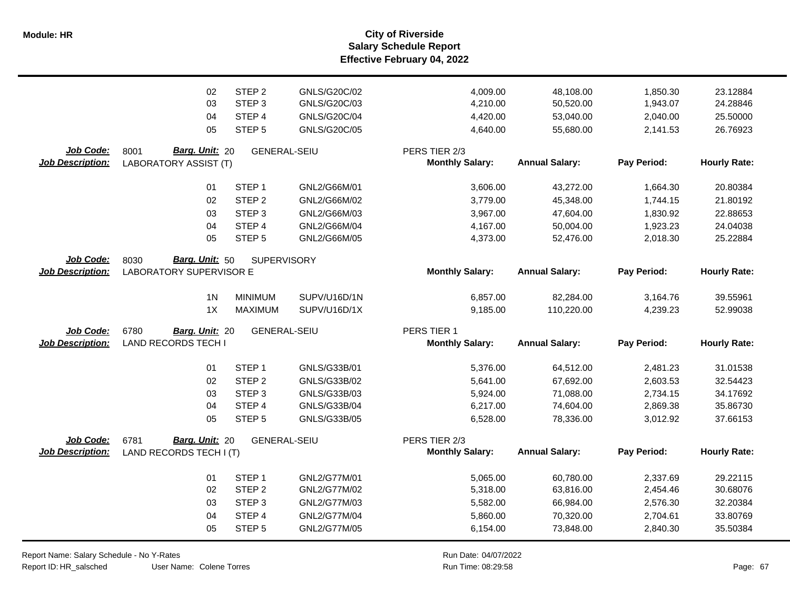**Salary Schedule Report Effective February 04, 2022 Module: HR City of Riverside**

|                         | 02                             | STEP <sub>2</sub>   | GNLS/G20C/02 | 4,009.00               | 48,108.00             | 1,850.30    | 23.12884            |
|-------------------------|--------------------------------|---------------------|--------------|------------------------|-----------------------|-------------|---------------------|
|                         | 03                             | STEP <sub>3</sub>   | GNLS/G20C/03 | 4,210.00               | 50,520.00             | 1,943.07    | 24.28846            |
|                         | 04                             | STEP 4              | GNLS/G20C/04 | 4,420.00               | 53,040.00             | 2,040.00    | 25.50000            |
|                         | 05                             | STEP <sub>5</sub>   | GNLS/G20C/05 | 4,640.00               | 55,680.00             | 2,141.53    | 26.76923            |
| Job Code:               | Barg. Unit: 20<br>8001         | <b>GENERAL-SEIU</b> |              | PERS TIER 2/3          |                       |             |                     |
| <b>Job Description:</b> | <b>LABORATORY ASSIST (T)</b>   |                     |              | <b>Monthly Salary:</b> | <b>Annual Salary:</b> | Pay Period: | <b>Hourly Rate:</b> |
|                         | 01                             | STEP <sub>1</sub>   | GNL2/G66M/01 | 3,606.00               | 43,272.00             | 1,664.30    | 20.80384            |
|                         | 02                             | STEP <sub>2</sub>   | GNL2/G66M/02 | 3,779.00               | 45,348.00             | 1,744.15    | 21.80192            |
|                         | 03                             | STEP <sub>3</sub>   | GNL2/G66M/03 | 3,967.00               | 47,604.00             | 1,830.92    | 22.88653            |
|                         | 04                             | STEP <sub>4</sub>   | GNL2/G66M/04 | 4,167.00               | 50,004.00             | 1,923.23    | 24.04038            |
|                         | 05                             | STEP <sub>5</sub>   | GNL2/G66M/05 | 4,373.00               | 52,476.00             | 2,018.30    | 25.22884            |
| Job Code:               | 8030<br>Barg. Unit: 50         | <b>SUPERVISORY</b>  |              |                        |                       |             |                     |
| <b>Job Description:</b> | <b>LABORATORY SUPERVISOR E</b> |                     |              | <b>Monthly Salary:</b> | <b>Annual Salary:</b> | Pay Period: | <b>Hourly Rate:</b> |
|                         | 1 <sub>N</sub>                 | <b>MINIMUM</b>      | SUPV/U16D/1N | 6,857.00               | 82,284.00             | 3,164.76    | 39.55961            |
|                         | 1X                             | <b>MAXIMUM</b>      | SUPV/U16D/1X | 9,185.00               | 110,220.00            | 4,239.23    | 52.99038            |
|                         |                                |                     |              |                        |                       |             |                     |
| Job Code:               | 6780<br>Barg. Unit: 20         | <b>GENERAL-SEIU</b> |              | PERS TIER 1            |                       |             |                     |
| <b>Job Description:</b> | <b>LAND RECORDS TECH I</b>     |                     |              | <b>Monthly Salary:</b> | <b>Annual Salary:</b> | Pay Period: | <b>Hourly Rate:</b> |
|                         | 01                             | STEP <sub>1</sub>   | GNLS/G33B/01 | 5,376.00               | 64,512.00             | 2,481.23    | 31.01538            |
|                         | 02                             | STEP <sub>2</sub>   | GNLS/G33B/02 | 5,641.00               | 67,692.00             | 2,603.53    | 32.54423            |
|                         | 03                             | STEP <sub>3</sub>   | GNLS/G33B/03 | 5,924.00               | 71,088.00             | 2,734.15    | 34.17692            |
|                         | 04                             | STEP 4              | GNLS/G33B/04 | 6,217.00               | 74,604.00             | 2,869.38    | 35.86730            |
|                         | 05                             | STEP <sub>5</sub>   | GNLS/G33B/05 | 6,528.00               | 78,336.00             | 3,012.92    | 37.66153            |
| Job Code:               | Barg. Unit: 20<br>6781         | <b>GENERAL-SEIU</b> |              | PERS TIER 2/3          |                       |             |                     |
| <b>Job Description:</b> | LAND RECORDS TECH I (T)        |                     |              | <b>Monthly Salary:</b> | <b>Annual Salary:</b> | Pay Period: | <b>Hourly Rate:</b> |
|                         | 01                             | STEP <sub>1</sub>   | GNL2/G77M/01 | 5,065.00               | 60,780.00             | 2,337.69    | 29.22115            |
|                         | 02                             | STEP <sub>2</sub>   | GNL2/G77M/02 | 5,318.00               | 63,816.00             | 2,454.46    | 30.68076            |
|                         | 03                             | STEP <sub>3</sub>   | GNL2/G77M/03 | 5,582.00               | 66,984.00             | 2,576.30    | 32.20384            |
|                         | 04                             | STEP 4              | GNL2/G77M/04 | 5,860.00               | 70,320.00             | 2,704.61    | 33.80769            |
|                         | 05                             | STEP <sub>5</sub>   | GNL2/G77M/05 | 6,154.00               | 73,848.00             | 2,840.30    | 35.50384            |
|                         |                                |                     |              |                        |                       |             |                     |

Report Name: Salary Schedule - No Y-Rates

Report ID: HR\_salsched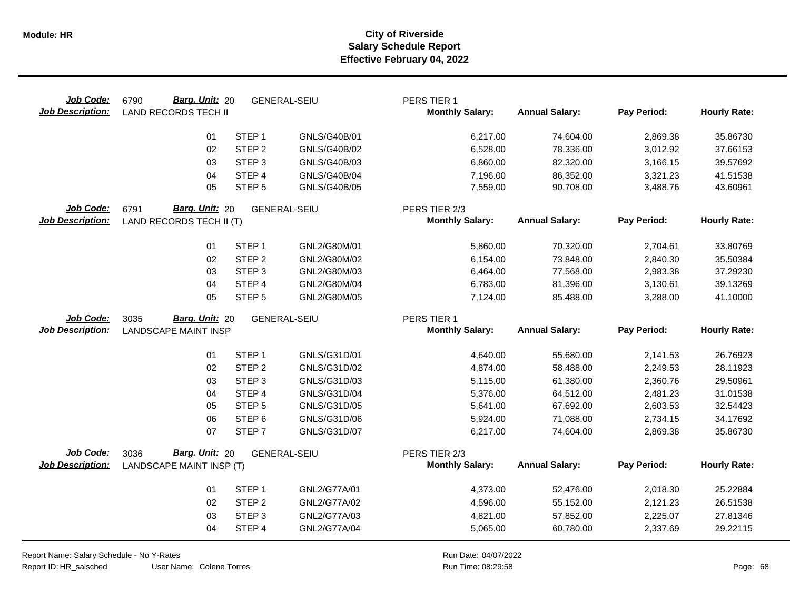| Job Code:<br><b>Job Description:</b> | Barg. Unit: 20<br>6790<br><b>LAND RECORDS TECH II</b> |                   | <b>GENERAL-SEIU</b> | PERS TIER 1<br><b>Monthly Salary:</b>   | <b>Annual Salary:</b> | Pay Period: | <b>Hourly Rate:</b> |
|--------------------------------------|-------------------------------------------------------|-------------------|---------------------|-----------------------------------------|-----------------------|-------------|---------------------|
|                                      | 01                                                    | STEP <sub>1</sub> | GNLS/G40B/01        | 6,217.00                                | 74,604.00             | 2,869.38    | 35.86730            |
|                                      | 02                                                    | STEP <sub>2</sub> | GNLS/G40B/02        | 6,528.00                                | 78,336.00             | 3,012.92    | 37.66153            |
|                                      | 03                                                    | STEP <sub>3</sub> | GNLS/G40B/03        | 6,860.00                                | 82,320.00             | 3,166.15    | 39.57692            |
|                                      | 04                                                    | STEP 4            | <b>GNLS/G40B/04</b> | 7,196.00                                | 86,352.00             | 3,321.23    | 41.51538            |
|                                      | 05                                                    | STEP <sub>5</sub> | <b>GNLS/G40B/05</b> | 7,559.00                                | 90,708.00             | 3,488.76    | 43.60961            |
| Job Code:<br><b>Job Description:</b> | Barg. Unit: 20<br>6791<br>LAND RECORDS TECH II (T)    |                   | <b>GENERAL-SEIU</b> | PERS TIER 2/3<br><b>Monthly Salary:</b> | <b>Annual Salary:</b> | Pay Period: | <b>Hourly Rate:</b> |
|                                      | 01                                                    | STEP <sub>1</sub> | GNL2/G80M/01        | 5,860.00                                | 70,320.00             | 2,704.61    | 33.80769            |
|                                      | 02                                                    | STEP <sub>2</sub> | GNL2/G80M/02        | 6,154.00                                | 73,848.00             | 2,840.30    | 35.50384            |
|                                      | 03                                                    | STEP <sub>3</sub> | GNL2/G80M/03        | 6,464.00                                | 77,568.00             | 2,983.38    | 37.29230            |
|                                      | 04                                                    | STEP 4            | GNL2/G80M/04        | 6,783.00                                | 81,396.00             | 3,130.61    | 39.13269            |
|                                      | 05                                                    | STEP <sub>5</sub> | GNL2/G80M/05        | 7,124.00                                | 85,488.00             | 3,288.00    | 41.10000            |
| Job Code:                            | Barg. Unit: 20<br>3035                                |                   | <b>GENERAL-SEIU</b> | PERS TIER 1                             |                       |             |                     |
| <b>Job Description:</b>              | <b>LANDSCAPE MAINT INSP</b>                           |                   |                     | <b>Monthly Salary:</b>                  | <b>Annual Salary:</b> | Pay Period: | <b>Hourly Rate:</b> |
|                                      | 01                                                    | STEP <sub>1</sub> | GNLS/G31D/01        | 4,640.00                                | 55,680.00             | 2,141.53    | 26.76923            |
|                                      | 02                                                    | STEP <sub>2</sub> | GNLS/G31D/02        | 4,874.00                                | 58,488.00             | 2,249.53    | 28.11923            |
|                                      | 03                                                    | STEP <sub>3</sub> | GNLS/G31D/03        | 5,115.00                                | 61,380.00             | 2,360.76    | 29.50961            |
|                                      | 04                                                    | STEP 4            | GNLS/G31D/04        | 5,376.00                                | 64,512.00             | 2,481.23    | 31.01538            |
|                                      | 05                                                    | STEP <sub>5</sub> | GNLS/G31D/05        | 5,641.00                                | 67,692.00             | 2,603.53    | 32.54423            |
|                                      | 06                                                    | STEP <sub>6</sub> | GNLS/G31D/06        | 5,924.00                                | 71,088.00             | 2,734.15    | 34.17692            |
|                                      | 07                                                    | STEP <sub>7</sub> | GNLS/G31D/07        | 6,217.00                                | 74,604.00             | 2,869.38    | 35.86730            |
| Job Code:<br><b>Job Description:</b> | Barg. Unit: 20<br>3036<br>LANDSCAPE MAINT INSP (T)    |                   | <b>GENERAL-SEIU</b> | PERS TIER 2/3<br><b>Monthly Salary:</b> | <b>Annual Salary:</b> | Pay Period: | <b>Hourly Rate:</b> |
|                                      | 01                                                    | STEP <sub>1</sub> | GNL2/G77A/01        | 4,373.00                                | 52,476.00             | 2,018.30    | 25.22884            |
|                                      | 02                                                    | STEP <sub>2</sub> | GNL2/G77A/02        | 4,596.00                                | 55,152.00             | 2,121.23    | 26.51538            |
|                                      | 03                                                    | STEP <sub>3</sub> | GNL2/G77A/03        | 4,821.00                                | 57,852.00             | 2,225.07    | 27.81346            |
|                                      | 04                                                    | STEP 4            | GNL2/G77A/04        | 5,065.00                                | 60,780.00             | 2,337.69    | 29.22115            |

Report Name: Salary Schedule - No Y-Rates Report ID: HR\_salsched

 $\overline{\phantom{0}}$ 

User Name: Colene Torres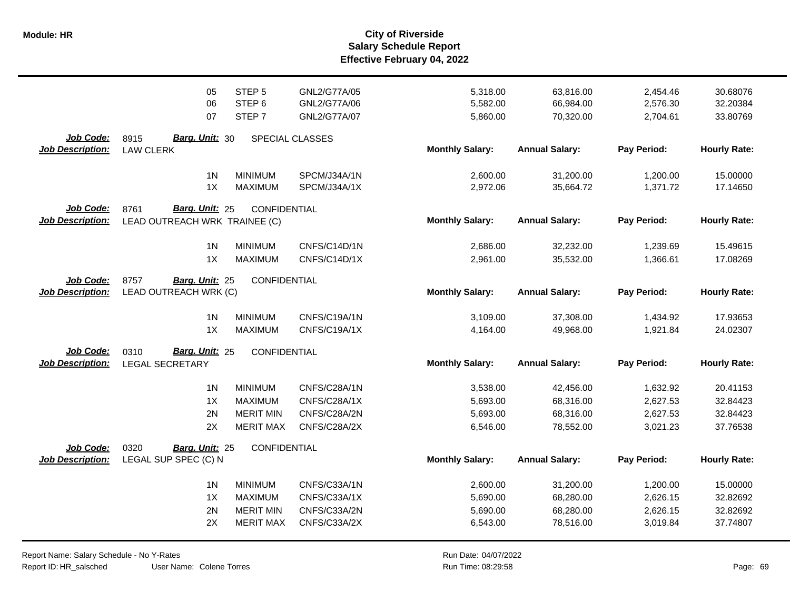|                                      | 05                                              | STEP <sub>5</sub> | GNL2/G77A/05    | 5,318.00               | 63,816.00             | 2,454.46    | 30.68076            |
|--------------------------------------|-------------------------------------------------|-------------------|-----------------|------------------------|-----------------------|-------------|---------------------|
|                                      | 06                                              | STEP <sub>6</sub> | GNL2/G77A/06    | 5,582.00               | 66,984.00             | 2,576.30    | 32.20384            |
|                                      | 07                                              | STEP <sub>7</sub> | GNL2/G77A/07    | 5,860.00               | 70,320.00             | 2,704.61    | 33.80769            |
|                                      |                                                 |                   |                 |                        |                       |             |                     |
| Job Code:                            | <b>Barg. Unit: 30</b><br>8915                   |                   | SPECIAL CLASSES |                        |                       |             |                     |
| <b>Job Description:</b>              | <b>LAW CLERK</b>                                |                   |                 | <b>Monthly Salary:</b> | <b>Annual Salary:</b> | Pay Period: | <b>Hourly Rate:</b> |
|                                      | 1 <sub>N</sub>                                  | <b>MINIMUM</b>    | SPCM/J34A/1N    | 2,600.00               | 31,200.00             | 1,200.00    | 15.00000            |
|                                      | 1X                                              | <b>MAXIMUM</b>    | SPCM/J34A/1X    | 2,972.06               | 35,664.72             | 1,371.72    | 17.14650            |
| Job Code:                            | 8761<br>Barg. Unit: 25                          | CONFIDENTIAL      |                 |                        |                       |             |                     |
| <b>Job Description:</b>              | LEAD OUTREACH WRK TRAINEE (C)                   |                   |                 | <b>Monthly Salary:</b> | <b>Annual Salary:</b> | Pay Period: | <b>Hourly Rate:</b> |
|                                      |                                                 |                   |                 |                        |                       |             |                     |
|                                      | 1 <sub>N</sub>                                  | <b>MINIMUM</b>    | CNFS/C14D/1N    | 2,686.00               | 32,232.00             | 1,239.69    | 15.49615            |
|                                      | 1X                                              | <b>MAXIMUM</b>    | CNFS/C14D/1X    | 2,961.00               | 35,532.00             | 1,366.61    | 17.08269            |
|                                      |                                                 |                   |                 |                        |                       |             |                     |
| Job Code:<br><b>Job Description:</b> | 8757<br>Barg. Unit: 25<br>LEAD OUTREACH WRK (C) | CONFIDENTIAL      |                 | <b>Monthly Salary:</b> | <b>Annual Salary:</b> | Pay Period: | <b>Hourly Rate:</b> |
|                                      |                                                 |                   |                 |                        |                       |             |                     |
|                                      | 1 <sub>N</sub>                                  | <b>MINIMUM</b>    | CNFS/C19A/1N    | 3,109.00               | 37,308.00             | 1,434.92    | 17.93653            |
|                                      | 1X                                              | <b>MAXIMUM</b>    | CNFS/C19A/1X    | 4,164.00               | 49,968.00             | 1,921.84    | 24.02307            |
| Job Code:                            | Barg. Unit: 25<br>0310                          |                   |                 |                        |                       |             |                     |
| <b>Job Description:</b>              | <b>LEGAL SECRETARY</b>                          | CONFIDENTIAL      |                 | <b>Monthly Salary:</b> | <b>Annual Salary:</b> | Pay Period: | <b>Hourly Rate:</b> |
|                                      |                                                 |                   |                 |                        |                       |             |                     |
|                                      | 1 <sub>N</sub>                                  | <b>MINIMUM</b>    | CNFS/C28A/1N    | 3,538.00               | 42,456.00             | 1,632.92    | 20.41153            |
|                                      | 1X                                              | <b>MAXIMUM</b>    | CNFS/C28A/1X    | 5,693.00               | 68,316.00             | 2,627.53    | 32.84423            |
|                                      | 2N                                              | <b>MERIT MIN</b>  | CNFS/C28A/2N    | 5,693.00               | 68,316.00             | 2,627.53    | 32.84423            |
|                                      | 2X                                              | <b>MERIT MAX</b>  | CNFS/C28A/2X    | 6,546.00               | 78,552.00             | 3,021.23    | 37.76538            |
|                                      |                                                 |                   |                 |                        |                       |             |                     |
| Job Code:<br><b>Job Description:</b> | 0320<br>Barg. Unit: 25<br>LEGAL SUP SPEC (C) N  | CONFIDENTIAL      |                 | <b>Monthly Salary:</b> | <b>Annual Salary:</b> | Pay Period: | <b>Hourly Rate:</b> |
|                                      |                                                 |                   |                 |                        |                       |             |                     |
|                                      | 1 <sub>N</sub>                                  | <b>MINIMUM</b>    | CNFS/C33A/1N    | 2,600.00               | 31,200.00             | 1,200.00    | 15.00000            |
|                                      | 1X                                              | <b>MAXIMUM</b>    | CNFS/C33A/1X    | 5,690.00               | 68,280.00             | 2,626.15    | 32.82692            |
|                                      | 2N                                              | <b>MERIT MIN</b>  | CNFS/C33A/2N    | 5,690.00               | 68,280.00             | 2,626.15    | 32.82692            |
|                                      | 2X                                              | <b>MERIT MAX</b>  | CNFS/C33A/2X    | 6,543.00               | 78,516.00             | 3,019.84    | 37.74807            |
|                                      |                                                 |                   |                 |                        |                       |             |                     |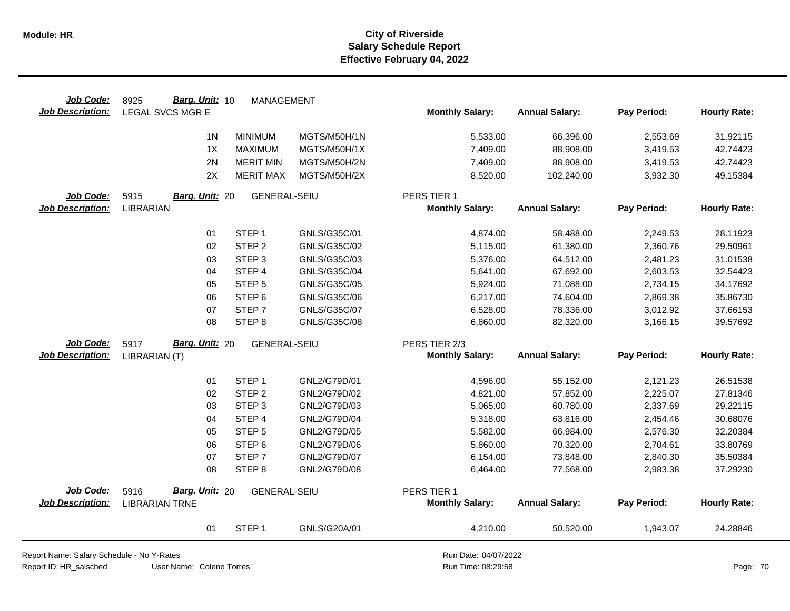| Job Code:               | Barg. Unit: 10<br>8925  | MANAGEMENT          |              |                        |                       |             |                     |
|-------------------------|-------------------------|---------------------|--------------|------------------------|-----------------------|-------------|---------------------|
| <b>Job Description:</b> | <b>LEGAL SVCS MGR E</b> |                     |              | <b>Monthly Salary:</b> | <b>Annual Salary:</b> | Pay Period: | <b>Hourly Rate:</b> |
|                         | 1 <sub>N</sub>          | <b>MINIMUM</b>      | MGTS/M50H/1N | 5,533.00               | 66,396.00             | 2,553.69    | 31.92115            |
|                         | 1X                      | <b>MAXIMUM</b>      | MGTS/M50H/1X | 7,409.00               | 88,908.00             | 3,419.53    | 42.74423            |
|                         | 2N                      | <b>MERIT MIN</b>    | MGTS/M50H/2N | 7,409.00               | 88,908.00             | 3,419.53    | 42.74423            |
|                         | 2X                      | <b>MERIT MAX</b>    | MGTS/M50H/2X | 8,520.00               | 102,240.00            | 3,932.30    | 49.15384            |
| Job Code:               | 5915<br>Barg. Unit: 20  | <b>GENERAL-SEIU</b> |              | PERS TIER 1            |                       |             |                     |
| <b>Job Description:</b> | <b>LIBRARIAN</b>        |                     |              | <b>Monthly Salary:</b> | <b>Annual Salary:</b> | Pay Period: | <b>Hourly Rate:</b> |
|                         | 01                      | STEP <sub>1</sub>   | GNLS/G35C/01 | 4,874.00               | 58,488.00             | 2,249.53    | 28.11923            |
|                         | 02                      | STEP <sub>2</sub>   | GNLS/G35C/02 | 5,115.00               | 61,380.00             | 2,360.76    | 29.50961            |
|                         | 03                      | STEP <sub>3</sub>   | GNLS/G35C/03 | 5,376.00               | 64,512.00             | 2,481.23    | 31.01538            |
|                         | 04                      | STEP 4              | GNLS/G35C/04 | 5,641.00               | 67,692.00             | 2,603.53    | 32.54423            |
|                         | 05                      | STEP <sub>5</sub>   | GNLS/G35C/05 | 5,924.00               | 71,088.00             | 2,734.15    | 34.17692            |
|                         | 06                      | STEP <sub>6</sub>   | GNLS/G35C/06 | 6,217.00               | 74,604.00             | 2,869.38    | 35.86730            |
|                         | 07                      | STEP <sub>7</sub>   | GNLS/G35C/07 | 6,528.00               | 78,336.00             | 3,012.92    | 37.66153            |
|                         | 08                      | STEP <sub>8</sub>   | GNLS/G35C/08 | 6,860.00               | 82,320.00             | 3,166.15    | 39.57692            |
| Job Code:               | Barg. Unit: 20<br>5917  | <b>GENERAL-SEIU</b> |              | PERS TIER 2/3          |                       |             |                     |
| <b>Job Description:</b> | LIBRARIAN (T)           |                     |              | <b>Monthly Salary:</b> | <b>Annual Salary:</b> | Pay Period: | <b>Hourly Rate:</b> |
|                         | 01                      | STEP <sub>1</sub>   | GNL2/G79D/01 | 4,596.00               | 55,152.00             | 2,121.23    | 26.51538            |
|                         | 02                      | STEP <sub>2</sub>   | GNL2/G79D/02 | 4,821.00               | 57,852.00             | 2,225.07    | 27.81346            |
|                         | 03                      | STEP <sub>3</sub>   | GNL2/G79D/03 | 5,065.00               | 60,780.00             | 2,337.69    | 29.22115            |
|                         | 04                      | STEP 4              | GNL2/G79D/04 | 5,318.00               | 63,816.00             | 2,454.46    | 30.68076            |
|                         | 05                      | STEP <sub>5</sub>   | GNL2/G79D/05 | 5,582.00               | 66,984.00             | 2,576.30    | 32.20384            |
|                         | 06                      | STEP <sub>6</sub>   | GNL2/G79D/06 | 5,860.00               | 70,320.00             | 2,704.61    | 33.80769            |
|                         | 07                      | STEP <sub>7</sub>   | GNL2/G79D/07 | 6,154.00               | 73,848.00             | 2,840.30    | 35.50384            |
|                         | 08                      | STEP <sub>8</sub>   | GNL2/G79D/08 | 6,464.00               | 77,568.00             | 2,983.38    | 37.29230            |
| Job Code:               | Barg. Unit: 20<br>5916  | <b>GENERAL-SEIU</b> |              | PERS TIER 1            |                       |             |                     |
| <b>Job Description:</b> | <b>LIBRARIAN TRNE</b>   |                     |              | <b>Monthly Salary:</b> | <b>Annual Salary:</b> | Pay Period: | <b>Hourly Rate:</b> |
|                         | 01                      | STEP <sub>1</sub>   | GNLS/G20A/01 | 4,210.00               | 50,520.00             | 1,943.07    | 24.28846            |

Report Name: Salary Schedule - No Y-Rates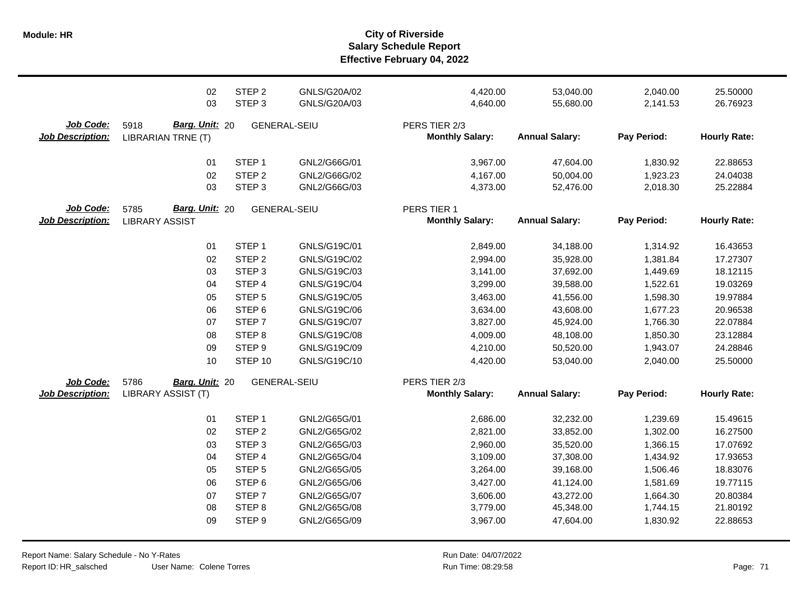**Salary Schedule Report Effective February 04, 2022 Module: HR City of Riverside**

|                                      | 02                                                  | STEP <sub>2</sub> | GNLS/G20A/02        | 4,420.00                                | 53,040.00             | 2,040.00    | 25.50000            |
|--------------------------------------|-----------------------------------------------------|-------------------|---------------------|-----------------------------------------|-----------------------|-------------|---------------------|
|                                      | 03                                                  | STEP <sub>3</sub> | GNLS/G20A/03        | 4,640.00                                | 55,680.00             | 2,141.53    | 26.76923            |
| Job Code:<br><b>Job Description:</b> | Barg. Unit: 20<br>5918<br><b>LIBRARIAN TRNE (T)</b> |                   | <b>GENERAL-SEIU</b> | PERS TIER 2/3<br><b>Monthly Salary:</b> | <b>Annual Salary:</b> | Pay Period: | <b>Hourly Rate:</b> |
|                                      | 01                                                  | STEP <sub>1</sub> | GNL2/G66G/01        | 3,967.00                                | 47,604.00             | 1,830.92    | 22.88653            |
|                                      | 02                                                  | STEP <sub>2</sub> | GNL2/G66G/02        | 4,167.00                                | 50,004.00             | 1,923.23    | 24.04038            |
|                                      | 03                                                  | STEP <sub>3</sub> | GNL2/G66G/03        | 4,373.00                                | 52,476.00             | 2,018.30    | 25.22884            |
| Job Code:<br><b>Job Description:</b> | Barg. Unit: 20<br>5785<br><b>LIBRARY ASSIST</b>     |                   | <b>GENERAL-SEIU</b> | PERS TIER 1<br><b>Monthly Salary:</b>   | <b>Annual Salary:</b> | Pay Period: | <b>Hourly Rate:</b> |
|                                      | 01                                                  | STEP <sub>1</sub> | GNLS/G19C/01        | 2,849.00                                | 34,188.00             | 1,314.92    | 16.43653            |
|                                      | 02                                                  | STEP <sub>2</sub> | GNLS/G19C/02        | 2,994.00                                | 35,928.00             | 1,381.84    | 17.27307            |
|                                      | 03                                                  | STEP <sub>3</sub> | GNLS/G19C/03        | 3,141.00                                | 37,692.00             | 1,449.69    | 18.12115            |
|                                      | 04                                                  | STEP 4            | GNLS/G19C/04        | 3,299.00                                | 39,588.00             | 1,522.61    | 19.03269            |
|                                      | 05                                                  | STEP <sub>5</sub> | GNLS/G19C/05        | 3,463.00                                | 41,556.00             | 1,598.30    | 19.97884            |
|                                      | 06                                                  | STEP <sub>6</sub> | GNLS/G19C/06        | 3,634.00                                | 43,608.00             | 1,677.23    | 20.96538            |
|                                      | 07                                                  | STEP <sub>7</sub> | GNLS/G19C/07        | 3,827.00                                | 45,924.00             | 1,766.30    | 22.07884            |
|                                      | 08                                                  | STEP <sub>8</sub> | GNLS/G19C/08        | 4,009.00                                | 48,108.00             | 1,850.30    | 23.12884            |
|                                      | 09                                                  | STEP <sub>9</sub> | GNLS/G19C/09        | 4,210.00                                | 50,520.00             | 1,943.07    | 24.28846            |
|                                      | 10                                                  | STEP 10           | GNLS/G19C/10        | 4,420.00                                | 53,040.00             | 2,040.00    | 25.50000            |
| Job Code:<br><b>Job Description:</b> | 5786<br>Barg. Unit: 20<br>LIBRARY ASSIST (T)        |                   | <b>GENERAL-SEIU</b> | PERS TIER 2/3<br><b>Monthly Salary:</b> | <b>Annual Salary:</b> | Pay Period: | <b>Hourly Rate:</b> |
|                                      | 01                                                  | STEP <sub>1</sub> | GNL2/G65G/01        | 2,686.00                                | 32,232.00             | 1,239.69    | 15.49615            |
|                                      | 02                                                  | STEP <sub>2</sub> | GNL2/G65G/02        | 2,821.00                                | 33,852.00             | 1,302.00    | 16.27500            |
|                                      | 03                                                  | STEP <sub>3</sub> | GNL2/G65G/03        | 2,960.00                                | 35,520.00             | 1,366.15    | 17.07692            |
|                                      | 04                                                  | STEP 4            | GNL2/G65G/04        | 3,109.00                                | 37,308.00             | 1,434.92    | 17.93653            |
|                                      | 05                                                  | STEP <sub>5</sub> | GNL2/G65G/05        | 3,264.00                                | 39,168.00             | 1,506.46    | 18.83076            |
|                                      | 06                                                  | STEP <sub>6</sub> | GNL2/G65G/06        | 3,427.00                                | 41,124.00             | 1,581.69    | 19.77115            |
|                                      | 07                                                  | STEP <sub>7</sub> | GNL2/G65G/07        | 3,606.00                                | 43,272.00             | 1,664.30    | 20.80384            |
|                                      | 08                                                  | STEP <sub>8</sub> | GNL2/G65G/08        | 3,779.00                                | 45,348.00             | 1,744.15    | 21.80192            |
|                                      | 09                                                  | STEP <sub>9</sub> | GNL2/G65G/09        | 3,967.00                                | 47,604.00             | 1,830.92    | 22.88653            |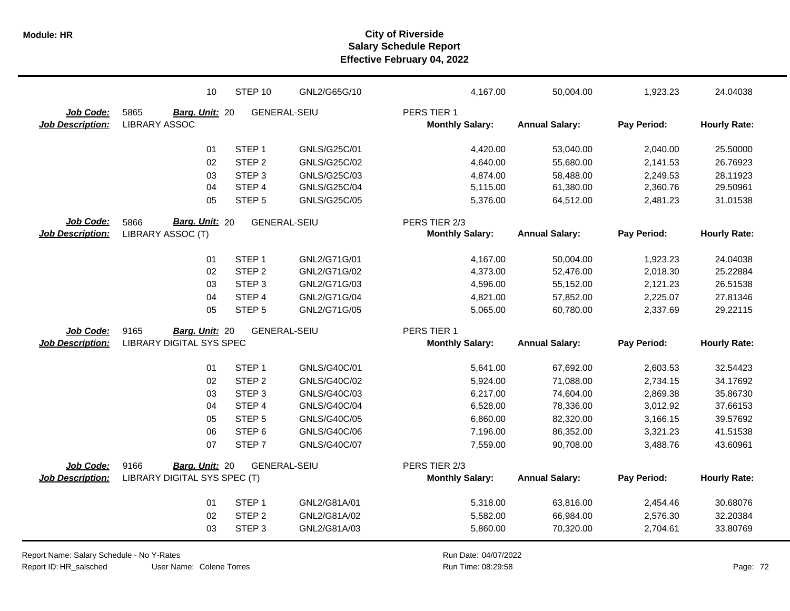|                         | 10                              | STEP 10             | GNL2/G65G/10        | 4,167.00               | 50,004.00             | 1,923.23    | 24.04038            |
|-------------------------|---------------------------------|---------------------|---------------------|------------------------|-----------------------|-------------|---------------------|
| Job Code:               | 5865<br>Barg. Unit: 20          | <b>GENERAL-SEIU</b> |                     | PERS TIER 1            |                       |             |                     |
| Job Description:        | <b>LIBRARY ASSOC</b>            |                     |                     | <b>Monthly Salary:</b> | <b>Annual Salary:</b> | Pay Period: | <b>Hourly Rate:</b> |
|                         | 01                              | STEP <sub>1</sub>   | GNLS/G25C/01        | 4,420.00               | 53,040.00             | 2,040.00    | 25.50000            |
|                         | 02                              | STEP <sub>2</sub>   | GNLS/G25C/02        | 4,640.00               | 55,680.00             | 2,141.53    | 26.76923            |
|                         | 03                              | STEP <sub>3</sub>   | GNLS/G25C/03        | 4,874.00               | 58,488.00             | 2,249.53    | 28.11923            |
|                         | 04                              | STEP 4              | GNLS/G25C/04        | 5,115.00               | 61,380.00             | 2,360.76    | 29.50961            |
|                         | 05                              | STEP <sub>5</sub>   | GNLS/G25C/05        | 5,376.00               | 64,512.00             | 2,481.23    | 31.01538            |
| Job Code:               | Barg. Unit: 20<br>5866          | <b>GENERAL-SEIU</b> |                     | PERS TIER 2/3          |                       |             |                     |
| <b>Job Description:</b> | LIBRARY ASSOC (T)               |                     |                     | <b>Monthly Salary:</b> | <b>Annual Salary:</b> | Pay Period: | <b>Hourly Rate:</b> |
|                         | 01                              | STEP <sub>1</sub>   | GNL2/G71G/01        | 4,167.00               | 50,004.00             | 1,923.23    | 24.04038            |
|                         | 02                              | STEP <sub>2</sub>   | GNL2/G71G/02        | 4,373.00               | 52,476.00             | 2,018.30    | 25.22884            |
|                         | 03                              | STEP <sub>3</sub>   | GNL2/G71G/03        | 4,596.00               | 55,152.00             | 2,121.23    | 26.51538            |
|                         | 04                              | STEP 4              | GNL2/G71G/04        | 4,821.00               | 57,852.00             | 2,225.07    | 27.81346            |
|                         | 05                              | STEP <sub>5</sub>   | GNL2/G71G/05        | 5,065.00               | 60,780.00             | 2,337.69    | 29.22115            |
| Job Code:               | 9165<br>Barg. Unit: 20          | <b>GENERAL-SEIU</b> |                     | PERS TIER 1            |                       |             |                     |
| Job Description:        | <b>LIBRARY DIGITAL SYS SPEC</b> |                     |                     | <b>Monthly Salary:</b> | <b>Annual Salary:</b> | Pay Period: | <b>Hourly Rate:</b> |
|                         | 01                              | STEP <sub>1</sub>   | GNLS/G40C/01        | 5,641.00               | 67,692.00             | 2,603.53    | 32.54423            |
|                         | 02                              | STEP <sub>2</sub>   | GNLS/G40C/02        | 5,924.00               | 71,088.00             | 2,734.15    | 34.17692            |
|                         | 03                              | STEP <sub>3</sub>   | GNLS/G40C/03        | 6,217.00               | 74,604.00             | 2,869.38    | 35.86730            |
|                         | 04                              | STEP 4              | GNLS/G40C/04        | 6,528.00               | 78,336.00             | 3,012.92    | 37.66153            |
|                         | 05                              | STEP <sub>5</sub>   | GNLS/G40C/05        | 6,860.00               | 82,320.00             | 3,166.15    | 39.57692            |
|                         | 06                              | STEP <sub>6</sub>   | GNLS/G40C/06        | 7,196.00               | 86,352.00             | 3,321.23    | 41.51538            |
|                         | 07                              | STEP <sub>7</sub>   | <b>GNLS/G40C/07</b> | 7,559.00               | 90,708.00             | 3,488.76    | 43.60961            |
| Job Code:               | 9166<br>Barg. Unit: 20          | <b>GENERAL-SEIU</b> |                     | PERS TIER 2/3          |                       |             |                     |
| <b>Job Description:</b> | LIBRARY DIGITAL SYS SPEC (T)    |                     |                     | <b>Monthly Salary:</b> | <b>Annual Salary:</b> | Pay Period: | <b>Hourly Rate:</b> |
|                         | 01                              | STEP <sub>1</sub>   | GNL2/G81A/01        | 5,318.00               | 63,816.00             | 2,454.46    | 30.68076            |
|                         | 02                              | STEP <sub>2</sub>   | GNL2/G81A/02        | 5,582.00               | 66,984.00             | 2,576.30    | 32.20384            |
|                         | 03                              | STEP <sub>3</sub>   | GNL2/G81A/03        | 5,860.00               | 70,320.00             | 2,704.61    | 33.80769            |

Report Name: Salary Schedule - No Y-Rates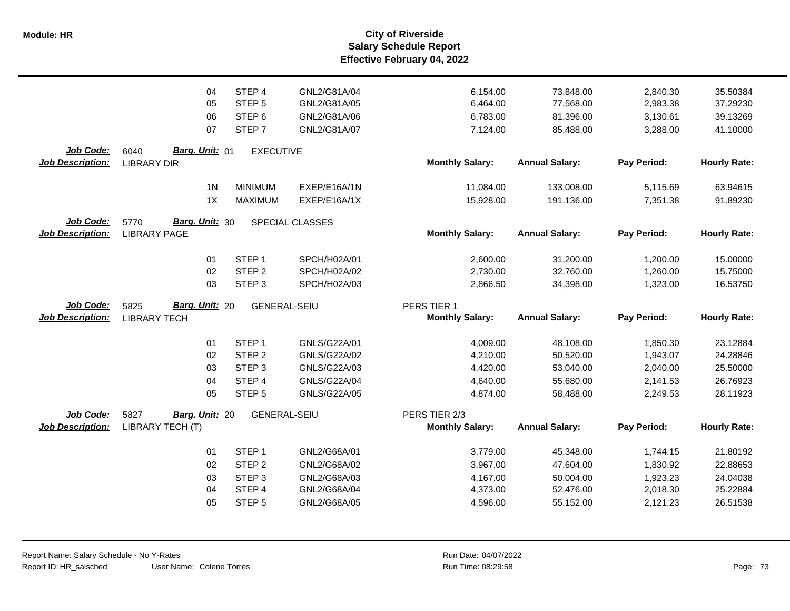|                         | 04                            | STEP 4              | GNL2/G81A/04    | 6,154.00               | 73,848.00             | 2,840.30    | 35.50384            |
|-------------------------|-------------------------------|---------------------|-----------------|------------------------|-----------------------|-------------|---------------------|
|                         | 05                            | STEP <sub>5</sub>   | GNL2/G81A/05    | 6,464.00               | 77,568.00             | 2,983.38    | 37.29230            |
|                         | 06                            | STEP <sub>6</sub>   | GNL2/G81A/06    | 6,783.00               | 81,396.00             | 3,130.61    | 39.13269            |
|                         | 07                            | STEP <sub>7</sub>   | GNL2/G81A/07    | 7,124.00               | 85,488.00             | 3,288.00    | 41.10000            |
|                         |                               |                     |                 |                        |                       |             |                     |
| Job Code:               | Barg. Unit: 01<br>6040        | <b>EXECUTIVE</b>    |                 |                        |                       |             |                     |
| <b>Job Description:</b> | <b>LIBRARY DIR</b>            |                     |                 | <b>Monthly Salary:</b> | <b>Annual Salary:</b> | Pay Period: | <b>Hourly Rate:</b> |
|                         | 1 <sub>N</sub>                | <b>MINIMUM</b>      | EXEP/E16A/1N    | 11,084.00              | 133,008.00            | 5,115.69    | 63.94615            |
|                         | 1X                            | <b>MAXIMUM</b>      | EXEP/E16A/1X    | 15,928.00              | 191,136.00            | 7,351.38    | 91.89230            |
|                         |                               |                     |                 |                        |                       |             |                     |
| Job Code:               | Barg. Unit: 30<br>5770        |                     | SPECIAL CLASSES |                        |                       |             |                     |
| <b>Job Description:</b> | <b>LIBRARY PAGE</b>           |                     |                 | <b>Monthly Salary:</b> | <b>Annual Salary:</b> | Pay Period: | <b>Hourly Rate:</b> |
|                         | 01                            | STEP <sub>1</sub>   | SPCH/H02A/01    | 2,600.00               | 31,200.00             | 1,200.00    | 15.00000            |
|                         | 02                            | STEP <sub>2</sub>   | SPCH/H02A/02    | 2,730.00               | 32,760.00             | 1,260.00    | 15.75000            |
|                         | 03                            | STEP <sub>3</sub>   | SPCH/H02A/03    | 2,866.50               | 34,398.00             | 1,323.00    | 16.53750            |
|                         |                               |                     |                 |                        |                       |             |                     |
| <b>Job Code:</b>        | <b>Barg. Unit: 20</b><br>5825 | <b>GENERAL-SEIU</b> |                 | PERS TIER 1            |                       |             |                     |
| <b>Job Description:</b> | <b>LIBRARY TECH</b>           |                     |                 | <b>Monthly Salary:</b> | <b>Annual Salary:</b> | Pay Period: | <b>Hourly Rate:</b> |
|                         | 01                            | STEP <sub>1</sub>   | GNLS/G22A/01    | 4,009.00               | 48,108.00             | 1,850.30    | 23.12884            |
|                         | 02                            | STEP <sub>2</sub>   | GNLS/G22A/02    | 4,210.00               | 50,520.00             | 1,943.07    | 24.28846            |
|                         | 03                            | STEP <sub>3</sub>   | GNLS/G22A/03    | 4,420.00               | 53,040.00             | 2,040.00    | 25.50000            |
|                         | 04                            | STEP 4              | GNLS/G22A/04    | 4,640.00               | 55,680.00             | 2,141.53    | 26.76923            |
|                         | 05                            | STEP <sub>5</sub>   | GNLS/G22A/05    | 4,874.00               | 58,488.00             | 2,249.53    | 28.11923            |
|                         |                               |                     |                 |                        |                       |             |                     |
| Job Code:               | 5827<br>Barg. Unit: 20        | <b>GENERAL-SEIU</b> |                 | PERS TIER 2/3          |                       |             |                     |
| <b>Job Description:</b> | LIBRARY TECH (T)              |                     |                 | <b>Monthly Salary:</b> | <b>Annual Salary:</b> | Pay Period: | <b>Hourly Rate:</b> |
|                         | 01                            | STEP <sub>1</sub>   | GNL2/G68A/01    | 3,779.00               | 45,348.00             | 1,744.15    | 21.80192            |
|                         | 02                            | STEP <sub>2</sub>   | GNL2/G68A/02    | 3,967.00               | 47,604.00             | 1,830.92    | 22.88653            |
|                         | 03                            | STEP <sub>3</sub>   | GNL2/G68A/03    | 4,167.00               | 50,004.00             | 1,923.23    | 24.04038            |
|                         | 04                            | STEP 4              | GNL2/G68A/04    | 4,373.00               | 52,476.00             | 2,018.30    | 25.22884            |
|                         | 05                            | STEP <sub>5</sub>   | GNL2/G68A/05    | 4,596.00               | 55,152.00             | 2,121.23    | 26.51538            |
|                         |                               |                     |                 |                        |                       |             |                     |
|                         |                               |                     |                 |                        |                       |             |                     |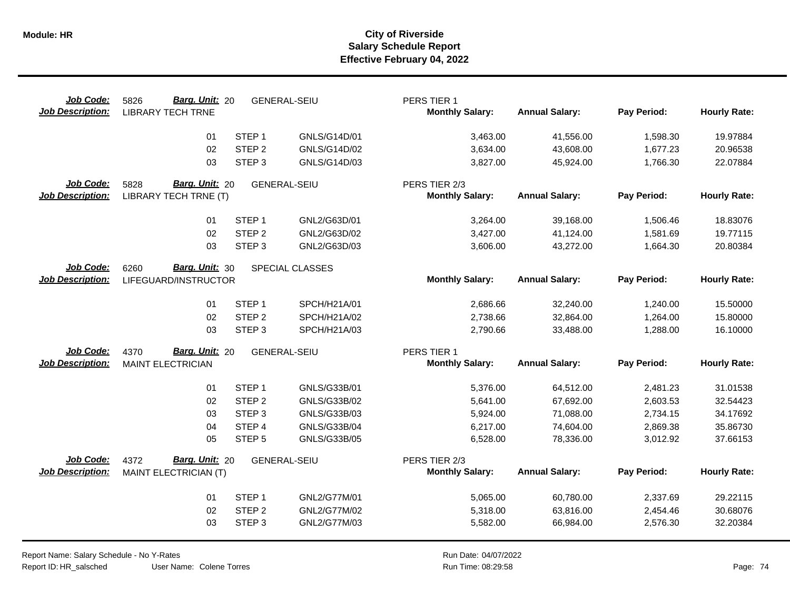| Job Code:<br><b>Job Description:</b> | Barg. Unit: 20<br>5826<br><b>LIBRARY TECH TRNE</b> |                   | <b>GENERAL-SEIU</b> | PERS TIER 1<br><b>Monthly Salary:</b> | <b>Annual Salary:</b> | Pay Period: | <b>Hourly Rate:</b> |
|--------------------------------------|----------------------------------------------------|-------------------|---------------------|---------------------------------------|-----------------------|-------------|---------------------|
|                                      | 01                                                 | STEP <sub>1</sub> | GNLS/G14D/01        | 3,463.00                              | 41,556.00             | 1,598.30    | 19.97884            |
|                                      | 02                                                 | STEP <sub>2</sub> | GNLS/G14D/02        | 3,634.00                              | 43,608.00             | 1,677.23    | 20.96538            |
|                                      | 03                                                 | STEP <sub>3</sub> | GNLS/G14D/03        | 3,827.00                              | 45,924.00             | 1,766.30    | 22.07884            |
| Job Code:                            | Barg. Unit: 20<br>5828                             |                   | <b>GENERAL-SEIU</b> | PERS TIER 2/3                         |                       |             |                     |
| <b>Job Description:</b>              | LIBRARY TECH TRNE (T)                              |                   |                     | <b>Monthly Salary:</b>                | <b>Annual Salary:</b> | Pay Period: | <b>Hourly Rate:</b> |
|                                      | 01                                                 | STEP <sub>1</sub> | GNL2/G63D/01        | 3,264.00                              | 39,168.00             | 1,506.46    | 18.83076            |
|                                      | 02                                                 | STEP <sub>2</sub> | GNL2/G63D/02        | 3,427.00                              | 41,124.00             | 1,581.69    | 19.77115            |
|                                      | 03                                                 | STEP <sub>3</sub> | GNL2/G63D/03        | 3,606.00                              | 43,272.00             | 1,664.30    | 20.80384            |
| Job Code:                            | Barg. Unit: 30<br>6260                             |                   | SPECIAL CLASSES     |                                       |                       |             |                     |
| <b>Job Description:</b>              | LIFEGUARD/INSTRUCTOR                               |                   |                     | <b>Monthly Salary:</b>                | <b>Annual Salary:</b> | Pay Period: | <b>Hourly Rate:</b> |
|                                      | 01                                                 | STEP <sub>1</sub> | SPCH/H21A/01        | 2,686.66                              | 32,240.00             | 1,240.00    | 15.50000            |
|                                      | 02                                                 | STEP <sub>2</sub> | SPCH/H21A/02        | 2,738.66                              | 32,864.00             | 1,264.00    | 15.80000            |
|                                      | 03                                                 | STEP <sub>3</sub> | SPCH/H21A/03        | 2,790.66                              | 33,488.00             | 1,288.00    | 16.10000            |
| Job Code:                            | Barg. Unit: 20<br>4370                             |                   | <b>GENERAL-SEIU</b> | PERS TIER 1                           |                       |             |                     |
| <b>Job Description:</b>              | <b>MAINT ELECTRICIAN</b>                           |                   |                     | <b>Monthly Salary:</b>                | <b>Annual Salary:</b> | Pay Period: | <b>Hourly Rate:</b> |
|                                      | 01                                                 | STEP <sub>1</sub> | GNLS/G33B/01        | 5,376.00                              | 64,512.00             | 2,481.23    | 31.01538            |
|                                      | 02                                                 | STEP <sub>2</sub> | GNLS/G33B/02        | 5,641.00                              | 67,692.00             | 2,603.53    | 32.54423            |
|                                      | 03                                                 | STEP <sub>3</sub> | GNLS/G33B/03        | 5,924.00                              | 71,088.00             | 2,734.15    | 34.17692            |
|                                      | 04                                                 | STEP 4            | GNLS/G33B/04        | 6,217.00                              | 74,604.00             | 2,869.38    | 35.86730            |
|                                      | 05                                                 | STEP <sub>5</sub> | GNLS/G33B/05        | 6,528.00                              | 78,336.00             | 3,012.92    | 37.66153            |
| Job Code:                            | Barg. Unit: 20<br>4372                             |                   | <b>GENERAL-SEIU</b> | PERS TIER 2/3                         |                       |             |                     |
| <b>Job Description:</b>              | MAINT ELECTRICIAN (T)                              |                   |                     | <b>Monthly Salary:</b>                | <b>Annual Salary:</b> | Pay Period: | <b>Hourly Rate:</b> |
|                                      | 01                                                 | STEP <sub>1</sub> | GNL2/G77M/01        | 5,065.00                              | 60,780.00             | 2,337.69    | 29.22115            |
|                                      | 02                                                 | STEP <sub>2</sub> | GNL2/G77M/02        | 5,318.00                              | 63,816.00             | 2,454.46    | 30.68076            |
|                                      | 03                                                 | STEP <sub>3</sub> | GNL2/G77M/03        | 5,582.00                              | 66,984.00             | 2,576.30    | 32.20384            |
|                                      |                                                    |                   |                     |                                       |                       |             |                     |

Report Name: Salary Schedule - No Y-Rates Report ID: HR\_salsched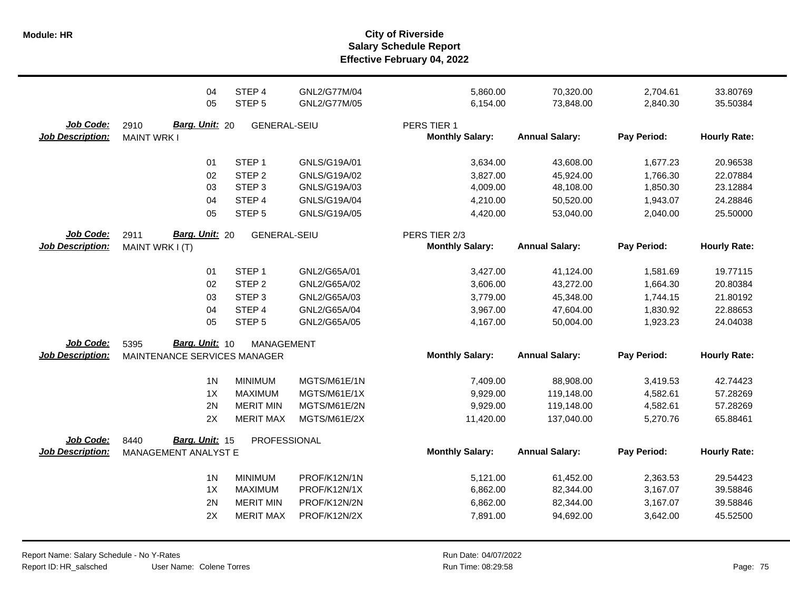|                                      | 04<br>05                                     | STEP 4<br>STEP <sub>5</sub> | GNL2/G77M/04<br>GNL2/G77M/05 | 5,860.00<br>6,154.00                  | 70,320.00<br>73,848.00 | 2,704.61<br>2,840.30 | 33.80769<br>35.50384 |
|--------------------------------------|----------------------------------------------|-----------------------------|------------------------------|---------------------------------------|------------------------|----------------------|----------------------|
|                                      |                                              |                             |                              |                                       |                        |                      |                      |
| Job Code:<br><b>Job Description:</b> | Barg. Unit: 20<br>2910<br><b>MAINT WRK I</b> | <b>GENERAL-SEIU</b>         |                              | PERS TIER 1<br><b>Monthly Salary:</b> | <b>Annual Salary:</b>  | Pay Period:          | <b>Hourly Rate:</b>  |
|                                      |                                              |                             |                              |                                       |                        |                      |                      |
|                                      | 01                                           | STEP <sub>1</sub>           | GNLS/G19A/01                 | 3,634.00                              | 43,608.00              | 1,677.23             | 20.96538             |
|                                      | 02                                           | STEP <sub>2</sub>           | GNLS/G19A/02                 | 3,827.00                              | 45,924.00              | 1,766.30             | 22.07884             |
|                                      | 03                                           | STEP <sub>3</sub>           | GNLS/G19A/03                 | 4,009.00                              | 48,108.00              | 1,850.30             | 23.12884             |
|                                      | 04                                           | STEP 4                      | GNLS/G19A/04                 | 4,210.00                              | 50,520.00              | 1,943.07             | 24.28846             |
|                                      | 05                                           | STEP <sub>5</sub>           | GNLS/G19A/05                 | 4,420.00                              | 53,040.00              | 2,040.00             | 25.50000             |
| Job Code:                            | Barg. Unit: 20<br>2911                       | <b>GENERAL-SEIU</b>         |                              | PERS TIER 2/3                         |                        |                      |                      |
| <b>Job Description:</b>              | MAINT WRK I (T)                              |                             |                              | <b>Monthly Salary:</b>                | <b>Annual Salary:</b>  | Pay Period:          | <b>Hourly Rate:</b>  |
|                                      | 01                                           | STEP <sub>1</sub>           | GNL2/G65A/01                 | 3,427.00                              | 41,124.00              | 1,581.69             | 19.77115             |
|                                      | 02                                           | STEP <sub>2</sub>           | GNL2/G65A/02                 | 3,606.00                              | 43,272.00              | 1,664.30             | 20.80384             |
|                                      | 03                                           | STEP <sub>3</sub>           | GNL2/G65A/03                 | 3,779.00                              | 45,348.00              | 1,744.15             | 21.80192             |
|                                      | 04                                           | STEP <sub>4</sub>           | GNL2/G65A/04                 | 3,967.00                              | 47,604.00              | 1,830.92             | 22.88653             |
|                                      | 05                                           | STEP <sub>5</sub>           | GNL2/G65A/05                 | 4,167.00                              | 50,004.00              | 1,923.23             | 24.04038             |
| Job Code:                            | Barg. Unit: 10<br>5395                       | <b>MANAGEMENT</b>           |                              |                                       |                        |                      |                      |
| <b>Job Description:</b>              | MAINTENANCE SERVICES MANAGER                 |                             |                              | <b>Monthly Salary:</b>                | <b>Annual Salary:</b>  | Pay Period:          | <b>Hourly Rate:</b>  |
|                                      | 1 <sub>N</sub>                               | <b>MINIMUM</b>              | MGTS/M61E/1N                 | 7,409.00                              | 88,908.00              | 3,419.53             | 42.74423             |
|                                      | 1X                                           | MAXIMUM                     | MGTS/M61E/1X                 | 9,929.00                              | 119,148.00             | 4,582.61             | 57.28269             |
|                                      | 2N                                           | <b>MERIT MIN</b>            | MGTS/M61E/2N                 | 9,929.00                              | 119,148.00             | 4,582.61             | 57.28269             |
|                                      | 2X                                           | <b>MERIT MAX</b>            | MGTS/M61E/2X                 | 11,420.00                             | 137,040.00             | 5,270.76             | 65.88461             |
| Job Code:                            | Barg. Unit: 15<br>8440                       | PROFESSIONAL                |                              |                                       |                        |                      |                      |
| <b>Job Description:</b>              | MANAGEMENT ANALYST E                         |                             |                              | <b>Monthly Salary:</b>                | <b>Annual Salary:</b>  | Pay Period:          | <b>Hourly Rate:</b>  |
|                                      | 1 <sub>N</sub>                               | <b>MINIMUM</b>              | PROF/K12N/1N                 | 5,121.00                              | 61,452.00              | 2,363.53             | 29.54423             |
|                                      | 1X                                           | <b>MAXIMUM</b>              | PROF/K12N/1X                 | 6,862.00                              | 82,344.00              | 3,167.07             | 39.58846             |
|                                      | 2N                                           | <b>MERIT MIN</b>            | PROF/K12N/2N                 | 6,862.00                              | 82,344.00              | 3,167.07             | 39.58846             |
|                                      | 2X                                           | <b>MERIT MAX</b>            | PROF/K12N/2X                 | 7,891.00                              | 94,692.00              | 3,642.00             | 45.52500             |
|                                      |                                              |                             |                              |                                       |                        |                      |                      |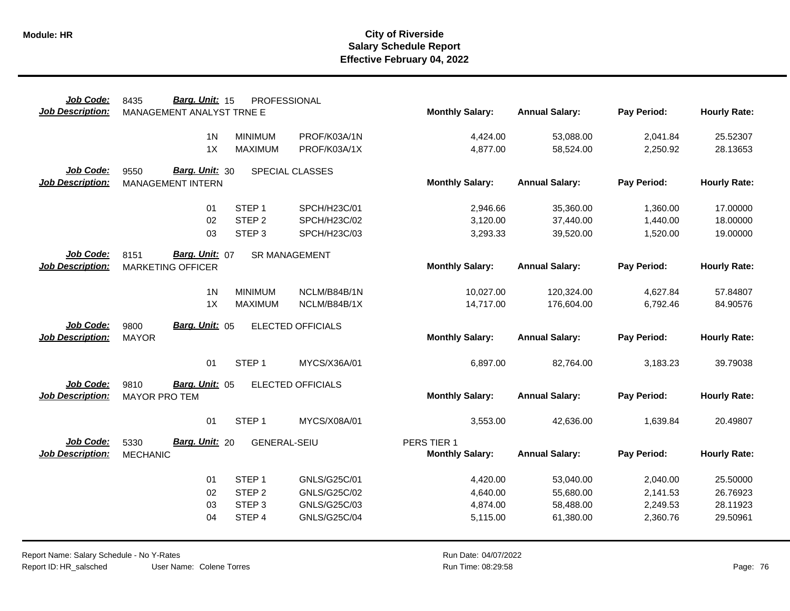| Job Code:                            | Barg. Unit: 15<br>8435                 | PROFESSIONAL        |                          |                        |                       |             |                     |
|--------------------------------------|----------------------------------------|---------------------|--------------------------|------------------------|-----------------------|-------------|---------------------|
| <b>Job Description:</b>              | MANAGEMENT ANALYST TRNE E              |                     |                          | <b>Monthly Salary:</b> | <b>Annual Salary:</b> | Pay Period: | <b>Hourly Rate:</b> |
|                                      |                                        |                     |                          |                        |                       |             |                     |
|                                      | 1 <sub>N</sub>                         | <b>MINIMUM</b>      | PROF/K03A/1N             | 4,424.00               | 53,088.00             | 2,041.84    | 25.52307            |
|                                      | 1X                                     | <b>MAXIMUM</b>      | PROF/K03A/1X             | 4,877.00               | 58,524.00             | 2,250.92    | 28.13653            |
| Job Code:                            | Barg. Unit: 30<br>9550                 |                     | SPECIAL CLASSES          |                        |                       |             |                     |
| <b>Job Description:</b>              | <b>MANAGEMENT INTERN</b>               |                     |                          | <b>Monthly Salary:</b> | <b>Annual Salary:</b> | Pay Period: | <b>Hourly Rate:</b> |
|                                      |                                        |                     |                          |                        |                       |             |                     |
|                                      | 01                                     | STEP <sub>1</sub>   | SPCH/H23C/01             | 2,946.66               | 35,360.00             | 1,360.00    | 17.00000            |
|                                      | 02                                     | STEP <sub>2</sub>   | SPCH/H23C/02             | 3,120.00               | 37,440.00             | 1,440.00    | 18.00000            |
|                                      | 03                                     | STEP <sub>3</sub>   | SPCH/H23C/03             | 3,293.33               | 39,520.00             | 1,520.00    | 19.00000            |
| <b>Job Code:</b>                     | Barg. Unit: 07<br>8151                 |                     | <b>SR MANAGEMENT</b>     |                        |                       |             |                     |
| <b>Job Description:</b>              | <b>MARKETING OFFICER</b>               |                     |                          | <b>Monthly Salary:</b> | <b>Annual Salary:</b> | Pay Period: | <b>Hourly Rate:</b> |
|                                      |                                        |                     |                          |                        |                       |             |                     |
|                                      | 1 <sub>N</sub>                         | <b>MINIMUM</b>      | NCLM/B84B/1N             | 10,027.00              | 120,324.00            | 4,627.84    | 57.84807            |
|                                      | 1X                                     | <b>MAXIMUM</b>      | NCLM/B84B/1X             | 14,717.00              | 176,604.00            | 6,792.46    | 84.90576            |
|                                      |                                        |                     |                          |                        |                       |             |                     |
| Job Code:<br><b>Job Description:</b> | Barg. Unit: 05<br>9800<br><b>MAYOR</b> |                     | <b>ELECTED OFFICIALS</b> | <b>Monthly Salary:</b> | <b>Annual Salary:</b> | Pay Period: | <b>Hourly Rate:</b> |
|                                      |                                        |                     |                          |                        |                       |             |                     |
|                                      | 01                                     | STEP <sub>1</sub>   | MYCS/X36A/01             | 6,897.00               | 82,764.00             | 3,183.23    | 39.79038            |
|                                      |                                        |                     |                          |                        |                       |             |                     |
| Job Code:                            | Barg. Unit: 05<br>9810                 |                     | <b>ELECTED OFFICIALS</b> |                        |                       |             |                     |
| <b>Job Description:</b>              | <b>MAYOR PRO TEM</b>                   |                     |                          | <b>Monthly Salary:</b> | <b>Annual Salary:</b> | Pay Period: | <b>Hourly Rate:</b> |
|                                      |                                        |                     |                          |                        |                       |             |                     |
|                                      |                                        |                     |                          |                        |                       |             |                     |
|                                      | 01                                     | STEP <sub>1</sub>   | MYCS/X08A/01             | 3,553.00               | 42,636.00             | 1,639.84    | 20.49807            |
| Job Code:                            | 5330<br><b>Barg. Unit: 20</b>          | <b>GENERAL-SEIU</b> |                          | PERS TIER 1            |                       |             |                     |
| <b>Job Description:</b>              | <b>MECHANIC</b>                        |                     |                          | <b>Monthly Salary:</b> | <b>Annual Salary:</b> | Pay Period: | <b>Hourly Rate:</b> |
|                                      |                                        |                     |                          |                        |                       |             |                     |
|                                      | 01                                     | STEP <sub>1</sub>   | GNLS/G25C/01             | 4,420.00               | 53,040.00             | 2,040.00    | 25.50000            |
|                                      | 02                                     | STEP <sub>2</sub>   | GNLS/G25C/02             | 4,640.00               | 55,680.00             | 2,141.53    | 26.76923            |
|                                      | 03                                     | STEP <sub>3</sub>   | GNLS/G25C/03             | 4,874.00               | 58,488.00             | 2,249.53    | 28.11923            |
|                                      | 04                                     | STEP 4              | <b>GNLS/G25C/04</b>      | 5,115.00               | 61,380.00             | 2,360.76    | 29.50961            |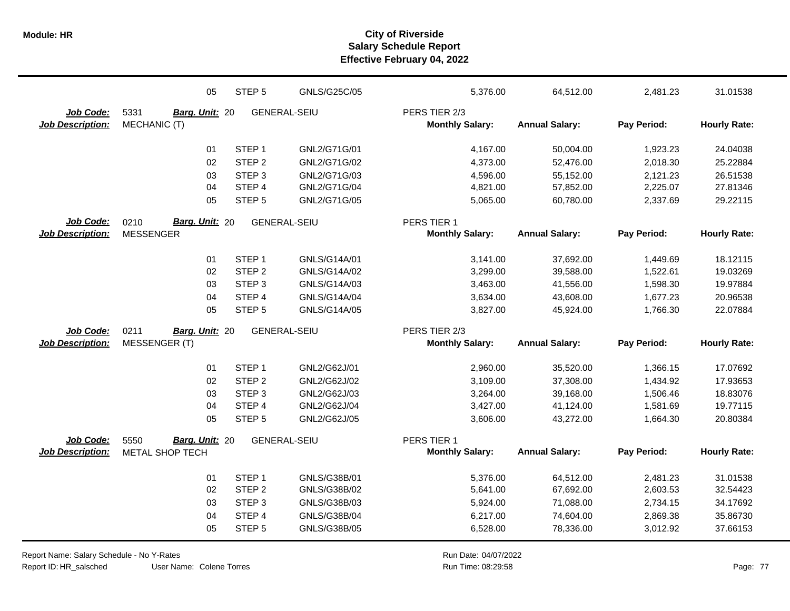|                         | 05                            | STEP <sub>5</sub> | GNLS/G25C/05        | 5,376.00               | 64,512.00             | 2,481.23    | 31.01538            |
|-------------------------|-------------------------------|-------------------|---------------------|------------------------|-----------------------|-------------|---------------------|
| Job Code:               | 5331<br>Barg. Unit: 20        |                   | <b>GENERAL-SEIU</b> | PERS TIER 2/3          |                       |             |                     |
| <b>Job Description:</b> | MECHANIC (T)                  |                   |                     | <b>Monthly Salary:</b> | <b>Annual Salary:</b> | Pay Period: | <b>Hourly Rate:</b> |
|                         | 01                            | STEP <sub>1</sub> | GNL2/G71G/01        | 4,167.00               | 50,004.00             | 1,923.23    | 24.04038            |
|                         | 02                            | STEP <sub>2</sub> | GNL2/G71G/02        | 4,373.00               | 52,476.00             | 2,018.30    | 25.22884            |
|                         | 03                            | STEP <sub>3</sub> | GNL2/G71G/03        | 4,596.00               | 55,152.00             | 2,121.23    | 26.51538            |
|                         | 04                            | STEP <sub>4</sub> | GNL2/G71G/04        | 4,821.00               | 57,852.00             | 2,225.07    | 27.81346            |
|                         | 05                            | STEP <sub>5</sub> | GNL2/G71G/05        | 5,065.00               | 60,780.00             | 2,337.69    | 29.22115            |
| Job Code:               | <b>Barg. Unit: 20</b><br>0210 |                   | <b>GENERAL-SEIU</b> | PERS TIER 1            |                       |             |                     |
| <b>Job Description:</b> | <b>MESSENGER</b>              |                   |                     | <b>Monthly Salary:</b> | <b>Annual Salary:</b> | Pay Period: | <b>Hourly Rate:</b> |
|                         | 01                            | STEP <sub>1</sub> | GNLS/G14A/01        | 3,141.00               | 37,692.00             | 1,449.69    | 18.12115            |
|                         | 02                            | STEP <sub>2</sub> | GNLS/G14A/02        | 3,299.00               | 39,588.00             | 1,522.61    | 19.03269            |
|                         | 03                            | STEP <sub>3</sub> | GNLS/G14A/03        | 3,463.00               | 41,556.00             | 1,598.30    | 19.97884            |
|                         | 04                            | STEP 4            | GNLS/G14A/04        | 3,634.00               | 43,608.00             | 1,677.23    | 20.96538            |
|                         | 05                            | STEP <sub>5</sub> | GNLS/G14A/05        | 3,827.00               | 45,924.00             | 1,766.30    | 22.07884            |
| Job Code:               | 0211<br>Barg. Unit: 20        |                   | <b>GENERAL-SEIU</b> | PERS TIER 2/3          |                       |             |                     |
| <b>Job Description:</b> | MESSENGER (T)                 |                   |                     | <b>Monthly Salary:</b> | <b>Annual Salary:</b> | Pay Period: | <b>Hourly Rate:</b> |
|                         | 01                            | STEP <sub>1</sub> | GNL2/G62J/01        | 2,960.00               | 35,520.00             | 1,366.15    | 17.07692            |
|                         | 02                            | STEP <sub>2</sub> | GNL2/G62J/02        | 3,109.00               | 37,308.00             | 1,434.92    | 17.93653            |
|                         | 03                            | STEP <sub>3</sub> | GNL2/G62J/03        | 3,264.00               | 39,168.00             | 1,506.46    | 18.83076            |
|                         | 04                            | STEP 4            | GNL2/G62J/04        | 3,427.00               | 41,124.00             | 1,581.69    | 19.77115            |
|                         | 05                            | STEP <sub>5</sub> | GNL2/G62J/05        | 3,606.00               | 43,272.00             | 1,664.30    | 20.80384            |
| Job Code:               | Barg. Unit: 20<br>5550        |                   | <b>GENERAL-SEIU</b> | PERS TIER 1            |                       |             |                     |
| Job Description:        | METAL SHOP TECH               |                   |                     | <b>Monthly Salary:</b> | <b>Annual Salary:</b> | Pay Period: | <b>Hourly Rate:</b> |
|                         | 01                            | STEP <sub>1</sub> | GNLS/G38B/01        | 5,376.00               | 64,512.00             | 2,481.23    | 31.01538            |
|                         | 02                            | STEP <sub>2</sub> | GNLS/G38B/02        | 5,641.00               | 67,692.00             | 2,603.53    | 32.54423            |
|                         | 03                            | STEP <sub>3</sub> | GNLS/G38B/03        | 5,924.00               | 71,088.00             | 2,734.15    | 34.17692            |
|                         | 04                            | STEP 4            | GNLS/G38B/04        | 6,217.00               | 74,604.00             | 2,869.38    | 35.86730            |
|                         | 05                            | STEP <sub>5</sub> | GNLS/G38B/05        | 6,528.00               | 78,336.00             | 3,012.92    | 37.66153            |

Report Name: Salary Schedule - No Y-Rates Report ID: HR\_salsched

User Name: Colene Torres

Run Date: 04/07/2022 08:29:58 Colene Torres Run Time: Page: 77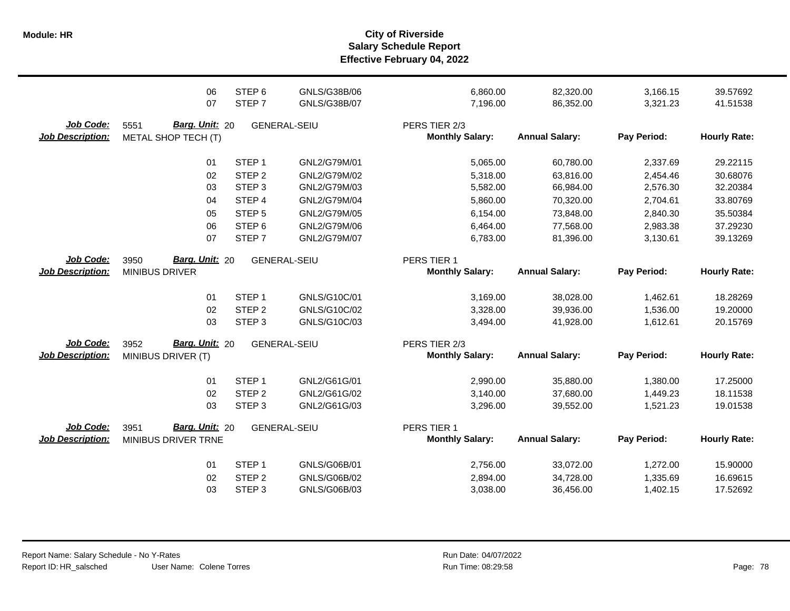**Salary Schedule Report Effective February 04, 2022 Module: HR City of Riverside**

|                         | 06                            | STEP <sub>6</sub> | GNLS/G38B/06        | 6,860.00               | 82,320.00             | 3,166.15    | 39.57692            |
|-------------------------|-------------------------------|-------------------|---------------------|------------------------|-----------------------|-------------|---------------------|
|                         | 07                            | STEP <sub>7</sub> | GNLS/G38B/07        | 7,196.00               | 86,352.00             | 3,321.23    | 41.51538            |
| Job Code:               | Barg. Unit: 20<br>5551        |                   | GENERAL-SEIU        | PERS TIER 2/3          |                       |             |                     |
| <b>Job Description:</b> | METAL SHOP TECH (T)           |                   |                     | <b>Monthly Salary:</b> | <b>Annual Salary:</b> | Pay Period: | <b>Hourly Rate:</b> |
|                         | 01                            | STEP <sub>1</sub> | GNL2/G79M/01        | 5,065.00               | 60,780.00             | 2,337.69    | 29.22115            |
|                         | 02                            | STEP <sub>2</sub> | GNL2/G79M/02        | 5,318.00               | 63,816.00             | 2,454.46    | 30.68076            |
|                         | 03                            | STEP <sub>3</sub> | GNL2/G79M/03        | 5,582.00               | 66,984.00             | 2,576.30    | 32.20384            |
|                         | 04                            | STEP 4            | GNL2/G79M/04        | 5,860.00               | 70,320.00             | 2,704.61    | 33.80769            |
|                         | 05                            | STEP <sub>5</sub> | GNL2/G79M/05        | 6,154.00               | 73,848.00             | 2,840.30    | 35.50384            |
|                         | 06                            | STEP <sub>6</sub> | GNL2/G79M/06        | 6,464.00               | 77,568.00             | 2,983.38    | 37.29230            |
|                         | 07                            | STEP <sub>7</sub> | GNL2/G79M/07        | 6,783.00               | 81,396.00             | 3,130.61    | 39.13269            |
| Job Code:               | Barg. Unit: 20<br>3950        |                   | <b>GENERAL-SEIU</b> | PERS TIER 1            |                       |             |                     |
| <b>Job Description:</b> | <b>MINIBUS DRIVER</b>         |                   |                     | <b>Monthly Salary:</b> | <b>Annual Salary:</b> | Pay Period: | <b>Hourly Rate:</b> |
|                         | 01                            | STEP <sub>1</sub> | GNLS/G10C/01        | 3,169.00               | 38,028.00             | 1,462.61    | 18.28269            |
|                         | 02                            | STEP <sub>2</sub> | GNLS/G10C/02        | 3,328.00               | 39,936.00             | 1,536.00    | 19.20000            |
|                         | 03                            | STEP <sub>3</sub> | GNLS/G10C/03        | 3,494.00               | 41,928.00             | 1,612.61    | 20.15769            |
| Job Code:               | 3952<br><b>Barg. Unit: 20</b> |                   | <b>GENERAL-SEIU</b> | PERS TIER 2/3          |                       |             |                     |
| <b>Job Description:</b> | MINIBUS DRIVER (T)            |                   |                     | <b>Monthly Salary:</b> | <b>Annual Salary:</b> | Pay Period: | <b>Hourly Rate:</b> |
|                         | 01                            | STEP <sub>1</sub> | GNL2/G61G/01        | 2,990.00               | 35,880.00             | 1,380.00    | 17.25000            |
|                         | 02                            | STEP <sub>2</sub> | GNL2/G61G/02        | 3,140.00               | 37,680.00             | 1,449.23    | 18.11538            |
|                         | 03                            | STEP <sub>3</sub> | GNL2/G61G/03        | 3,296.00               | 39,552.00             | 1,521.23    | 19.01538            |
| Job Code:               | Barg. Unit: 20<br>3951        |                   | <b>GENERAL-SEIU</b> | PERS TIER 1            |                       |             |                     |
| <b>Job Description:</b> | MINIBUS DRIVER TRNE           |                   |                     | <b>Monthly Salary:</b> | <b>Annual Salary:</b> | Pay Period: | <b>Hourly Rate:</b> |
|                         | 01                            | STEP <sub>1</sub> | GNLS/G06B/01        | 2,756.00               | 33,072.00             | 1,272.00    | 15.90000            |
|                         | 02                            | STEP <sub>2</sub> | GNLS/G06B/02        | 2,894.00               | 34,728.00             | 1,335.69    | 16.69615            |
|                         | 03                            | STEP <sub>3</sub> | GNLS/G06B/03        | 3,038.00               | 36,456.00             | 1,402.15    | 17.52692            |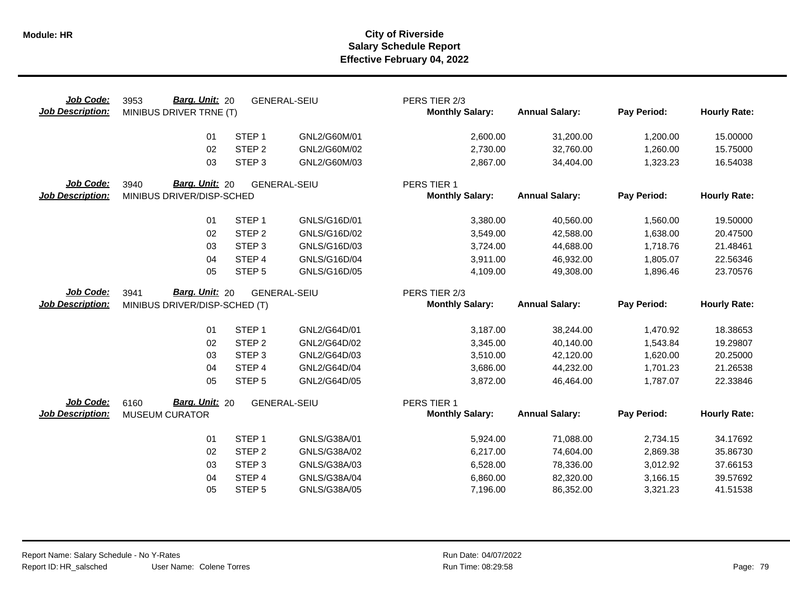| Job Code:<br><b>Job Description:</b> | <b>Barg. Unit: 20</b><br>3953<br>MINIBUS DRIVER TRNE (T) |                             | <b>GENERAL-SEIU</b>          | PERS TIER 2/3<br><b>Monthly Salary:</b> | <b>Annual Salary:</b>  | Pay Period:          | <b>Hourly Rate:</b> |
|--------------------------------------|----------------------------------------------------------|-----------------------------|------------------------------|-----------------------------------------|------------------------|----------------------|---------------------|
|                                      | 01                                                       | STEP <sub>1</sub>           | GNL2/G60M/01                 | 2,600.00                                | 31,200.00              | 1,200.00             | 15.00000            |
|                                      | 02                                                       | STEP <sub>2</sub>           | GNL2/G60M/02                 | 2,730.00                                | 32,760.00              | 1,260.00             | 15.75000            |
|                                      | 03                                                       | STEP <sub>3</sub>           | GNL2/G60M/03                 | 2,867.00                                | 34,404.00              | 1,323.23             | 16.54038            |
| Job Code:                            | Barg. Unit: 20<br>3940                                   |                             | <b>GENERAL-SEIU</b>          | PERS TIER 1                             |                        |                      |                     |
| <b>Job Description:</b>              | MINIBUS DRIVER/DISP-SCHED                                |                             |                              | <b>Monthly Salary:</b>                  | <b>Annual Salary:</b>  | Pay Period:          | <b>Hourly Rate:</b> |
|                                      | 01                                                       | STEP <sub>1</sub>           | GNLS/G16D/01                 | 3,380.00                                | 40,560.00              | 1,560.00             | 19.50000            |
|                                      | 02                                                       | STEP <sub>2</sub>           | GNLS/G16D/02                 | 3,549.00                                | 42,588.00              | 1,638.00             | 20.47500            |
|                                      | 03                                                       | STEP <sub>3</sub>           | GNLS/G16D/03                 | 3,724.00                                | 44,688.00              | 1,718.76             | 21.48461            |
|                                      | 04                                                       | STEP 4                      | GNLS/G16D/04                 | 3,911.00                                | 46,932.00              | 1,805.07             | 22.56346            |
|                                      | 05                                                       | STEP <sub>5</sub>           | GNLS/G16D/05                 | 4,109.00                                | 49,308.00              | 1,896.46             | 23.70576            |
| Job Code:                            | Barg. Unit: 20<br>3941                                   |                             | <b>GENERAL-SEIU</b>          | PERS TIER 2/3                           |                        |                      |                     |
| <b>Job Description:</b>              |                                                          |                             |                              | <b>Monthly Salary:</b>                  | <b>Annual Salary:</b>  | Pay Period:          | <b>Hourly Rate:</b> |
|                                      | MINIBUS DRIVER/DISP-SCHED (T)                            |                             |                              |                                         |                        |                      |                     |
|                                      | 01                                                       | STEP <sub>1</sub>           | GNL2/G64D/01                 | 3,187.00                                | 38,244.00              | 1,470.92             | 18.38653            |
|                                      | 02                                                       | STEP <sub>2</sub>           | GNL2/G64D/02                 | 3,345.00                                | 40,140.00              | 1,543.84             | 19.29807            |
|                                      | 03                                                       | STEP <sub>3</sub>           | GNL2/G64D/03                 | 3,510.00                                | 42,120.00              | 1,620.00             | 20.25000            |
|                                      | 04                                                       | STEP 4                      | GNL2/G64D/04                 | 3,686.00                                | 44,232.00              | 1,701.23             | 21.26538            |
|                                      | 05                                                       | STEP <sub>5</sub>           | GNL2/G64D/05                 | 3,872.00                                | 46,464.00              | 1,787.07             | 22.33846            |
| Job Code:                            | <b>Barg. Unit: 20</b><br>6160                            |                             | <b>GENERAL-SEIU</b>          | PERS TIER 1                             |                        |                      |                     |
| <b>Job Description:</b>              | <b>MUSEUM CURATOR</b>                                    |                             |                              | <b>Monthly Salary:</b>                  | <b>Annual Salary:</b>  | Pay Period:          | <b>Hourly Rate:</b> |
|                                      | 01                                                       | STEP <sub>1</sub>           | GNLS/G38A/01                 | 5,924.00                                | 71,088.00              | 2,734.15             | 34.17692            |
|                                      | 02                                                       | STEP <sub>2</sub>           | GNLS/G38A/02                 | 6,217.00                                | 74,604.00              | 2,869.38             | 35.86730            |
|                                      | 03                                                       | STEP <sub>3</sub>           | GNLS/G38A/03                 | 6,528.00                                | 78,336.00              | 3,012.92             | 37.66153            |
|                                      | 04<br>05                                                 | STEP 4<br>STEP <sub>5</sub> | GNLS/G38A/04<br>GNLS/G38A/05 | 6,860.00<br>7,196.00                    | 82,320.00<br>86,352.00 | 3,166.15<br>3,321.23 | 39.57692            |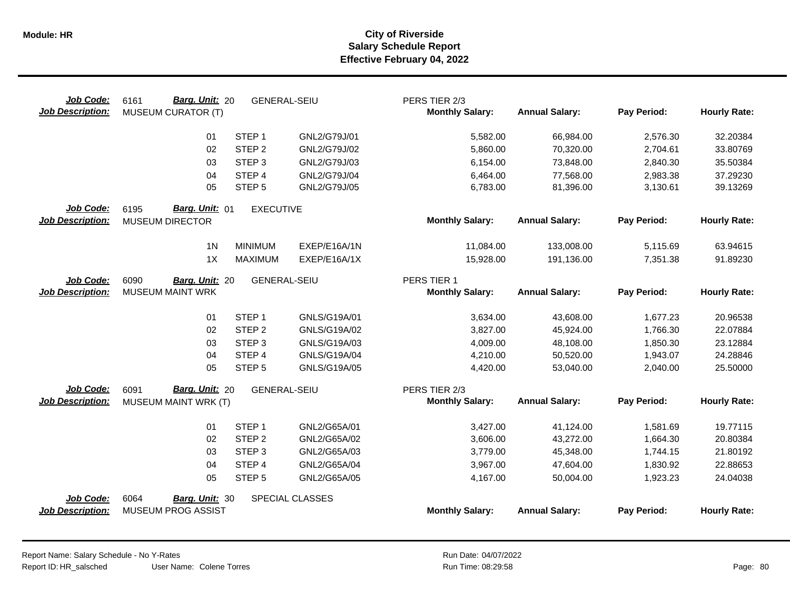| Job Code:<br><b>Job Description:</b> | Barg. Unit: 20<br>6161<br><b>MUSEUM CURATOR (T)</b> | <b>GENERAL-SEIU</b> |                        | PERS TIER 2/3<br><b>Monthly Salary:</b> | <b>Annual Salary:</b> | Pay Period: | <b>Hourly Rate:</b> |
|--------------------------------------|-----------------------------------------------------|---------------------|------------------------|-----------------------------------------|-----------------------|-------------|---------------------|
|                                      | 01                                                  | STEP <sub>1</sub>   | GNL2/G79J/01           | 5,582.00                                | 66,984.00             | 2,576.30    | 32.20384            |
|                                      | 02                                                  | STEP <sub>2</sub>   | GNL2/G79J/02           | 5,860.00                                | 70,320.00             | 2,704.61    | 33.80769            |
|                                      | 03                                                  | STEP <sub>3</sub>   | GNL2/G79J/03           | 6,154.00                                | 73,848.00             | 2,840.30    | 35.50384            |
|                                      | 04                                                  | STEP 4              | GNL2/G79J/04           | 6,464.00                                | 77,568.00             | 2,983.38    | 37.29230            |
|                                      | 05                                                  | STEP <sub>5</sub>   | GNL2/G79J/05           | 6,783.00                                | 81,396.00             | 3,130.61    | 39.13269            |
| Job Code:<br><b>Job Description:</b> | Barg. Unit: 01<br>6195<br><b>MUSEUM DIRECTOR</b>    | <b>EXECUTIVE</b>    |                        | <b>Monthly Salary:</b>                  | <b>Annual Salary:</b> | Pay Period: | <b>Hourly Rate:</b> |
|                                      |                                                     |                     |                        |                                         |                       |             |                     |
|                                      | 1 <sub>N</sub>                                      | <b>MINIMUM</b>      | EXEP/E16A/1N           | 11,084.00                               | 133,008.00            | 5,115.69    | 63.94615            |
|                                      | 1X                                                  | <b>MAXIMUM</b>      | EXEP/E16A/1X           | 15,928.00                               | 191,136.00            | 7,351.38    | 91.89230            |
| Job Code:                            | 6090<br>Barg. Unit: 20                              | <b>GENERAL-SEIU</b> |                        | PERS TIER 1                             |                       |             |                     |
| <b>Job Description:</b>              | <b>MUSEUM MAINT WRK</b>                             |                     |                        | <b>Monthly Salary:</b>                  | <b>Annual Salary:</b> | Pay Period: | <b>Hourly Rate:</b> |
|                                      |                                                     |                     |                        |                                         |                       |             |                     |
|                                      | 01                                                  | STEP <sub>1</sub>   | GNLS/G19A/01           | 3,634.00                                | 43,608.00             | 1,677.23    | 20.96538            |
|                                      | 02                                                  | STEP <sub>2</sub>   | GNLS/G19A/02           | 3,827.00                                | 45,924.00             | 1,766.30    | 22.07884            |
|                                      | 03                                                  | STEP <sub>3</sub>   | GNLS/G19A/03           | 4,009.00                                | 48,108.00             | 1,850.30    | 23.12884            |
|                                      | 04                                                  | STEP 4              | GNLS/G19A/04           | 4,210.00                                | 50,520.00             | 1,943.07    | 24.28846            |
|                                      | 05                                                  | STEP <sub>5</sub>   | GNLS/G19A/05           | 4,420.00                                | 53,040.00             | 2,040.00    | 25.50000            |
| Job Code:                            | Barg. Unit: 20<br>6091                              | <b>GENERAL-SEIU</b> |                        | PERS TIER 2/3                           |                       |             |                     |
| <b>Job Description:</b>              | MUSEUM MAINT WRK (T)                                |                     |                        | <b>Monthly Salary:</b>                  | <b>Annual Salary:</b> | Pay Period: | <b>Hourly Rate:</b> |
|                                      | 01                                                  | STEP <sub>1</sub>   | GNL2/G65A/01           | 3,427.00                                | 41,124.00             | 1,581.69    | 19.77115            |
|                                      | 02                                                  | STEP <sub>2</sub>   | GNL2/G65A/02           | 3,606.00                                | 43,272.00             | 1,664.30    | 20.80384            |
|                                      | 03                                                  | STEP <sub>3</sub>   | GNL2/G65A/03           | 3,779.00                                | 45,348.00             | 1,744.15    | 21.80192            |
|                                      | 04                                                  | STEP 4              | GNL2/G65A/04           | 3,967.00                                | 47,604.00             | 1,830.92    | 22.88653            |
|                                      | 05                                                  | STEP <sub>5</sub>   | GNL2/G65A/05           | 4,167.00                                | 50,004.00             | 1,923.23    | 24.04038            |
| Job Code:                            | 6064<br>Barg. Unit: 30                              |                     | <b>SPECIAL CLASSES</b> |                                         |                       |             |                     |
| <b>Job Description:</b>              | <b>MUSEUM PROG ASSIST</b>                           |                     |                        | <b>Monthly Salary:</b>                  | <b>Annual Salary:</b> | Pay Period: | <b>Hourly Rate:</b> |

Report Name: Salary Schedule - No Y-Rates Report ID: HR\_salsched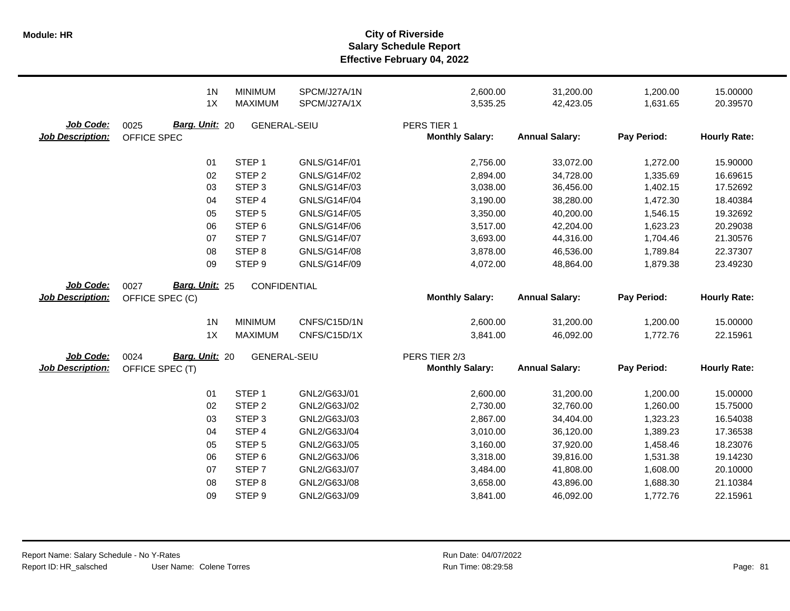|                                      | 1 <sub>N</sub>                                   | <b>MINIMUM</b>      | SPCM/J27A/1N        | 2,600.00                                | 31,200.00             | 1,200.00    | 15.00000            |
|--------------------------------------|--------------------------------------------------|---------------------|---------------------|-----------------------------------------|-----------------------|-------------|---------------------|
|                                      | 1X                                               | MAXIMUM             | SPCM/J27A/1X        | 3,535.25                                | 42,423.05             | 1,631.65    | 20.39570            |
| Job Code:<br><b>Job Description:</b> | Barg. Unit: 20<br>0025<br>OFFICE SPEC            | <b>GENERAL-SEIU</b> |                     | PERS TIER 1<br><b>Monthly Salary:</b>   | <b>Annual Salary:</b> | Pay Period: | <b>Hourly Rate:</b> |
|                                      | 01                                               | STEP <sub>1</sub>   | GNLS/G14F/01        | 2,756.00                                | 33,072.00             | 1,272.00    | 15.90000            |
|                                      | 02                                               | STEP <sub>2</sub>   | GNLS/G14F/02        | 2,894.00                                | 34,728.00             | 1,335.69    | 16.69615            |
|                                      | 03                                               | STEP <sub>3</sub>   | GNLS/G14F/03        | 3,038.00                                | 36,456.00             | 1,402.15    | 17.52692            |
|                                      | 04                                               | STEP 4              | <b>GNLS/G14F/04</b> | 3,190.00                                | 38,280.00             | 1,472.30    | 18.40384            |
|                                      | 05                                               | STEP <sub>5</sub>   | <b>GNLS/G14F/05</b> | 3,350.00                                | 40,200.00             | 1,546.15    | 19.32692            |
|                                      | 06                                               | STEP <sub>6</sub>   | GNLS/G14F/06        | 3,517.00                                | 42,204.00             | 1,623.23    | 20.29038            |
|                                      | 07                                               | STEP <sub>7</sub>   | <b>GNLS/G14F/07</b> | 3,693.00                                | 44,316.00             | 1,704.46    | 21.30576            |
|                                      | 08                                               | STEP <sub>8</sub>   | <b>GNLS/G14F/08</b> | 3,878.00                                | 46,536.00             | 1,789.84    | 22.37307            |
|                                      | 09                                               | STEP <sub>9</sub>   | GNLS/G14F/09        | 4,072.00                                | 48,864.00             | 1,879.38    | 23.49230            |
| Job Code:<br><b>Job Description:</b> | Barg. Unit: 25<br>0027<br>OFFICE SPEC (C)        | CONFIDENTIAL        |                     | <b>Monthly Salary:</b>                  | <b>Annual Salary:</b> | Pay Period: | <b>Hourly Rate:</b> |
|                                      | 1 <sub>N</sub>                                   | <b>MINIMUM</b>      | CNFS/C15D/1N        | 2,600.00                                | 31,200.00             | 1,200.00    | 15.00000            |
|                                      | 1X                                               | <b>MAXIMUM</b>      | CNFS/C15D/1X        | 3,841.00                                | 46,092.00             | 1,772.76    | 22.15961            |
| Job Code:<br><b>Job Description:</b> | <b>Barg. Unit: 20</b><br>0024<br>OFFICE SPEC (T) | <b>GENERAL-SEIU</b> |                     | PERS TIER 2/3<br><b>Monthly Salary:</b> | <b>Annual Salary:</b> | Pay Period: | <b>Hourly Rate:</b> |
|                                      | 01                                               | STEP <sub>1</sub>   | GNL2/G63J/01        | 2,600.00                                | 31,200.00             | 1,200.00    | 15.00000            |
|                                      | 02                                               | STEP <sub>2</sub>   | GNL2/G63J/02        | 2,730.00                                | 32,760.00             | 1,260.00    | 15.75000            |
|                                      | 03                                               | STEP <sub>3</sub>   | GNL2/G63J/03        | 2,867.00                                | 34,404.00             | 1,323.23    | 16.54038            |
|                                      | 04                                               | STEP <sub>4</sub>   | GNL2/G63J/04        | 3,010.00                                | 36,120.00             | 1,389.23    | 17.36538            |
|                                      | 05                                               | STEP <sub>5</sub>   | GNL2/G63J/05        | 3,160.00                                | 37,920.00             | 1,458.46    | 18.23076            |
|                                      | 06                                               | STEP <sub>6</sub>   | GNL2/G63J/06        | 3,318.00                                | 39,816.00             | 1,531.38    | 19.14230            |
|                                      | 07                                               | STEP <sub>7</sub>   | GNL2/G63J/07        | 3,484.00                                | 41,808.00             | 1,608.00    | 20.10000            |
|                                      | 08                                               | STEP <sub>8</sub>   | GNL2/G63J/08        | 3,658.00                                | 43,896.00             | 1,688.30    | 21.10384            |
|                                      | 09                                               | STEP <sub>9</sub>   | GNL2/G63J/09        | 3,841.00                                | 46,092.00             | 1,772.76    | 22.15961            |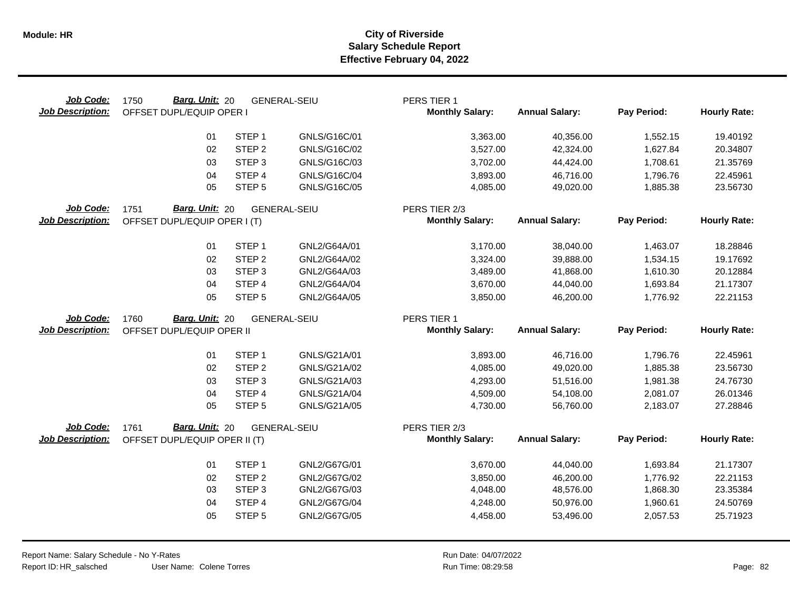| Job Code:<br><b>Job Description:</b> | Barg. Unit: 20<br>1750<br>OFFSET DUPL/EQUIP OPER I      |                   | <b>GENERAL-SEIU</b> | PERS TIER 1<br><b>Monthly Salary:</b> | <b>Annual Salary:</b>  | Pay Period:          | <b>Hourly Rate:</b>  |
|--------------------------------------|---------------------------------------------------------|-------------------|---------------------|---------------------------------------|------------------------|----------------------|----------------------|
|                                      | 01                                                      | STEP <sub>1</sub> | GNLS/G16C/01        | 3,363.00                              | 40,356.00              | 1,552.15             | 19.40192             |
|                                      | 02                                                      | STEP <sub>2</sub> | GNLS/G16C/02        | 3,527.00                              | 42,324.00              | 1,627.84             | 20.34807             |
|                                      | 03                                                      | STEP <sub>3</sub> | GNLS/G16C/03        | 3,702.00                              | 44,424.00              | 1,708.61             | 21.35769             |
|                                      | 04                                                      | STEP 4            | GNLS/G16C/04        | 3,893.00                              | 46,716.00              | 1,796.76             | 22.45961             |
|                                      | 05                                                      | STEP <sub>5</sub> | GNLS/G16C/05        | 4,085.00                              | 49,020.00              | 1,885.38             | 23.56730             |
| Job Code:                            | Barg. Unit: 20<br>1751                                  |                   | <b>GENERAL-SEIU</b> | PERS TIER 2/3                         |                        |                      |                      |
| <b>Job Description:</b>              | OFFSET DUPL/EQUIP OPER I (T)                            |                   |                     | <b>Monthly Salary:</b>                | <b>Annual Salary:</b>  | Pay Period:          | <b>Hourly Rate:</b>  |
|                                      | 01                                                      | STEP <sub>1</sub> | GNL2/G64A/01        | 3,170.00                              | 38,040.00              | 1,463.07             | 18.28846             |
|                                      | 02                                                      | STEP <sub>2</sub> | GNL2/G64A/02        | 3,324.00                              | 39,888.00              | 1,534.15             | 19.17692             |
|                                      | 03                                                      | STEP <sub>3</sub> | GNL2/G64A/03        | 3,489.00                              | 41,868.00              | 1,610.30             | 20.12884             |
|                                      | 04                                                      | STEP <sub>4</sub> | GNL2/G64A/04        | 3,670.00                              | 44,040.00              | 1,693.84             | 21.17307             |
|                                      | 05                                                      | STEP <sub>5</sub> | GNL2/G64A/05        | 3,850.00                              | 46,200.00              | 1,776.92             | 22.21153             |
| Job Code:                            | Barg. Unit: 20<br>1760                                  |                   | <b>GENERAL-SEIU</b> | PERS TIER 1                           |                        |                      |                      |
| <b>Job Description:</b>              | OFFSET DUPL/EQUIP OPER II                               |                   |                     | <b>Monthly Salary:</b>                | <b>Annual Salary:</b>  | Pay Period:          | <b>Hourly Rate:</b>  |
|                                      |                                                         |                   |                     |                                       |                        |                      |                      |
|                                      | 01                                                      | STEP <sub>1</sub> | GNLS/G21A/01        |                                       |                        |                      |                      |
|                                      | 02                                                      | STEP <sub>2</sub> | GNLS/G21A/02        | 3,893.00<br>4,085.00                  | 46,716.00<br>49,020.00 | 1,796.76<br>1,885.38 | 22.45961<br>23.56730 |
|                                      | 03                                                      | STEP <sub>3</sub> | GNLS/G21A/03        | 4,293.00                              | 51,516.00              | 1,981.38             | 24.76730             |
|                                      | 04                                                      | STEP 4            | GNLS/G21A/04        | 4,509.00                              | 54,108.00              | 2,081.07             | 26.01346             |
|                                      | 05                                                      | STEP <sub>5</sub> | GNLS/G21A/05        | 4,730.00                              | 56,760.00              | 2,183.07             | 27.28846             |
| Job Code:                            |                                                         |                   |                     | PERS TIER 2/3                         |                        |                      |                      |
| <b>Job Description:</b>              | 1761<br>Barg. Unit: 20<br>OFFSET DUPL/EQUIP OPER II (T) |                   | <b>GENERAL-SEIU</b> | <b>Monthly Salary:</b>                | <b>Annual Salary:</b>  | Pay Period:          | <b>Hourly Rate:</b>  |
|                                      |                                                         |                   |                     |                                       |                        |                      |                      |
|                                      | 01                                                      | STEP <sub>1</sub> | GNL2/G67G/01        | 3,670.00                              | 44,040.00              | 1,693.84             | 21.17307             |
|                                      | 02                                                      | STEP <sub>2</sub> | GNL2/G67G/02        | 3,850.00                              | 46,200.00              | 1,776.92             | 22.21153             |
|                                      | 03                                                      | STEP <sub>3</sub> | GNL2/G67G/03        | 4,048.00                              | 48,576.00              | 1,868.30             | 23.35384             |
|                                      | 04                                                      | STEP 4            | GNL2/G67G/04        | 4,248.00                              | 50,976.00              | 1,960.61             | 24.50769             |
|                                      | 05                                                      | STEP <sub>5</sub> | GNL2/G67G/05        | 4,458.00                              | 53,496.00              | 2,057.53             | 25.71923             |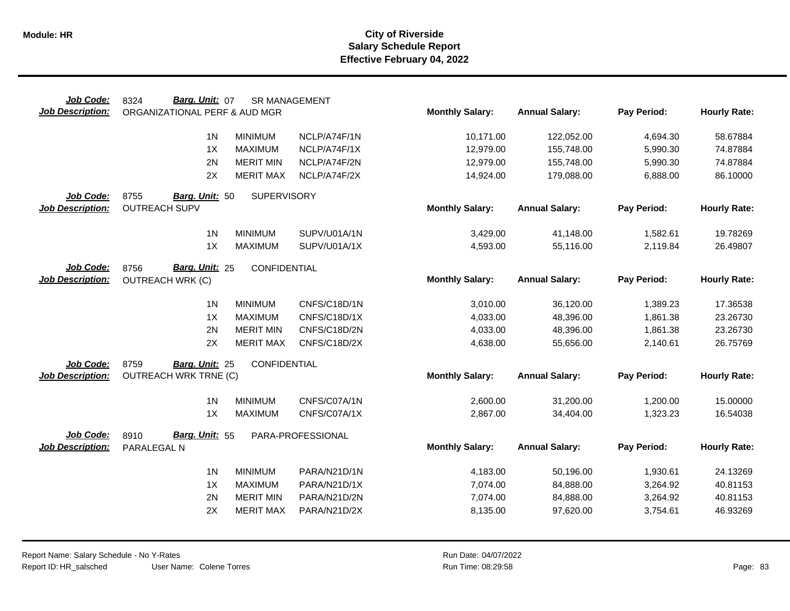| Job Code:                            | Barg. Unit: 07<br>8324                | <b>SR MANAGEMENT</b> |                   |                        |                       |             |                     |
|--------------------------------------|---------------------------------------|----------------------|-------------------|------------------------|-----------------------|-------------|---------------------|
| <b>Job Description:</b>              | ORGANIZATIONAL PERF & AUD MGR         |                      |                   | <b>Monthly Salary:</b> | <b>Annual Salary:</b> | Pay Period: | <b>Hourly Rate:</b> |
|                                      |                                       |                      |                   |                        |                       |             |                     |
|                                      | 1 <sup>N</sup>                        | <b>MINIMUM</b>       | NCLP/A74F/1N      | 10,171.00              | 122,052.00            | 4,694.30    | 58.67884            |
|                                      | 1X                                    | <b>MAXIMUM</b>       | NCLP/A74F/1X      | 12,979.00              | 155,748.00            | 5,990.30    | 74.87884            |
|                                      | 2N                                    | <b>MERIT MIN</b>     | NCLP/A74F/2N      | 12,979.00              | 155,748.00            | 5,990.30    | 74.87884            |
|                                      | 2X                                    | <b>MERIT MAX</b>     | NCLP/A74F/2X      | 14,924.00              | 179,088.00            | 6,888.00    | 86.10000            |
| Job Code:                            | 8755<br>Barg. Unit: 50                | <b>SUPERVISORY</b>   |                   |                        |                       |             |                     |
| <b>Job Description:</b>              | <b>OUTREACH SUPV</b>                  |                      |                   | <b>Monthly Salary:</b> | <b>Annual Salary:</b> | Pay Period: | <b>Hourly Rate:</b> |
|                                      | 1 <sub>N</sub>                        | <b>MINIMUM</b>       | SUPV/U01A/1N      |                        |                       |             |                     |
|                                      | 1X                                    |                      |                   | 3,429.00               | 41,148.00             | 1,582.61    | 19.78269            |
|                                      |                                       | <b>MAXIMUM</b>       | SUPV/U01A/1X      | 4,593.00               | 55,116.00             | 2,119.84    | 26.49807            |
| Job Code:                            | Barg. Unit: 25<br>8756                | CONFIDENTIAL         |                   |                        |                       |             |                     |
| <b>Job Description:</b>              | <b>OUTREACH WRK (C)</b>               |                      |                   | <b>Monthly Salary:</b> | <b>Annual Salary:</b> | Pay Period: | <b>Hourly Rate:</b> |
|                                      |                                       |                      |                   |                        |                       |             |                     |
|                                      | 1 <sub>N</sub>                        | <b>MINIMUM</b>       | CNFS/C18D/1N      | 3,010.00               | 36,120.00             | 1,389.23    | 17.36538            |
|                                      | 1X                                    | <b>MAXIMUM</b>       | CNFS/C18D/1X      | 4,033.00               | 48,396.00             | 1,861.38    | 23.26730            |
|                                      | 2N                                    | <b>MERIT MIN</b>     | CNFS/C18D/2N      | 4,033.00               | 48,396.00             | 1,861.38    | 23.26730            |
|                                      | 2X                                    | <b>MERIT MAX</b>     | CNFS/C18D/2X      | 4,638.00               | 55,656.00             | 2,140.61    | 26.75769            |
| Job Code:                            | 8759<br>Barg. Unit: 25                | CONFIDENTIAL         |                   |                        |                       |             |                     |
| <b>Job Description:</b>              | <b>OUTREACH WRK TRNE (C)</b>          |                      |                   | <b>Monthly Salary:</b> | <b>Annual Salary:</b> | Pay Period: | <b>Hourly Rate:</b> |
|                                      | 1 <sub>N</sub>                        | <b>MINIMUM</b>       | CNFS/C07A/1N      | 2,600.00               | 31,200.00             | 1,200.00    | 15.00000            |
|                                      | 1X                                    | <b>MAXIMUM</b>       | CNFS/C07A/1X      | 2,867.00               | 34,404.00             | 1,323.23    | 16.54038            |
|                                      |                                       |                      |                   |                        |                       |             |                     |
| Job Code:<br><b>Job Description:</b> | Barg. Unit: 55<br>8910<br>PARALEGAL N |                      | PARA-PROFESSIONAL | <b>Monthly Salary:</b> | <b>Annual Salary:</b> | Pay Period: | <b>Hourly Rate:</b> |
|                                      |                                       |                      |                   |                        |                       |             |                     |
|                                      | 1 <sub>N</sub>                        | <b>MINIMUM</b>       | PARA/N21D/1N      | 4,183.00               | 50,196.00             | 1,930.61    | 24.13269            |
|                                      | 1X                                    | <b>MAXIMUM</b>       | PARA/N21D/1X      | 7,074.00               | 84,888.00             | 3,264.92    | 40.81153            |
|                                      | 2N                                    | <b>MERIT MIN</b>     | PARA/N21D/2N      | 7,074.00               | 84,888.00             | 3,264.92    | 40.81153            |
|                                      | 2X                                    | <b>MERIT MAX</b>     | PARA/N21D/2X      | 8,135.00               | 97,620.00             | 3,754.61    | 46.93269            |
|                                      |                                       |                      |                   |                        |                       |             |                     |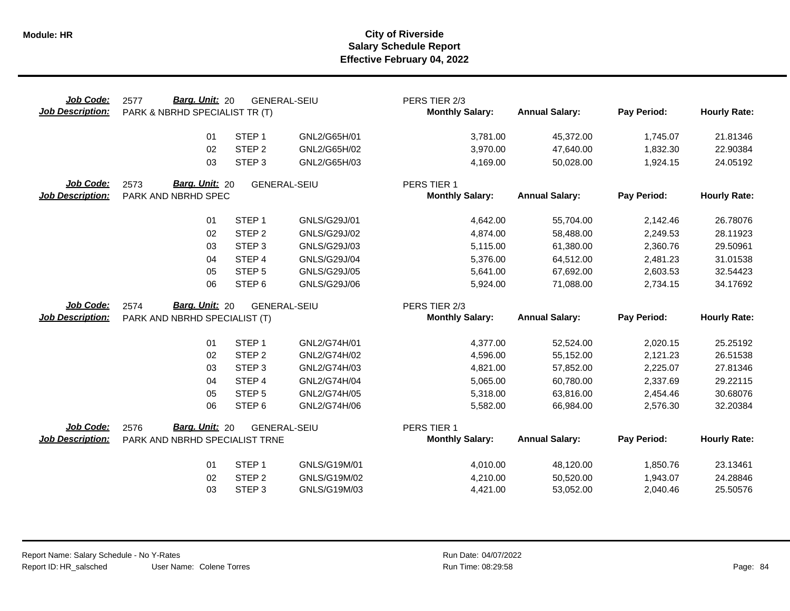| Job Code:<br><b>Job Description:</b> | <b>Barg. Unit: 20</b><br>2577<br>PARK & NBRHD SPECIALIST TR (T) |                   | <b>GENERAL-SEIU</b> | PERS TIER 2/3<br><b>Monthly Salary:</b> | <b>Annual Salary:</b>  | Pay Period:          | <b>Hourly Rate:</b>  |
|--------------------------------------|-----------------------------------------------------------------|-------------------|---------------------|-----------------------------------------|------------------------|----------------------|----------------------|
|                                      | 01                                                              | STEP <sub>1</sub> | GNL2/G65H/01        | 3,781.00                                | 45,372.00              | 1,745.07             | 21.81346             |
|                                      | 02                                                              | STEP <sub>2</sub> | GNL2/G65H/02        | 3,970.00                                | 47,640.00              | 1,832.30             | 22.90384             |
|                                      | 03                                                              | STEP <sub>3</sub> | GNL2/G65H/03        | 4,169.00                                | 50,028.00              | 1,924.15             | 24.05192             |
| Job Code:                            | Barg. Unit: 20<br>2573                                          |                   | <b>GENERAL-SEIU</b> | PERS TIER 1                             |                        |                      |                      |
| <b>Job Description:</b>              | PARK AND NBRHD SPEC                                             |                   |                     | <b>Monthly Salary:</b>                  | <b>Annual Salary:</b>  | Pay Period:          | <b>Hourly Rate:</b>  |
|                                      | 01                                                              | STEP <sub>1</sub> | GNLS/G29J/01        | 4,642.00                                | 55,704.00              | 2,142.46             | 26.78076             |
|                                      | 02                                                              | STEP <sub>2</sub> | GNLS/G29J/02        | 4,874.00                                | 58,488.00              | 2,249.53             | 28.11923             |
|                                      | 03                                                              | STEP <sub>3</sub> | GNLS/G29J/03        | 5,115.00                                | 61,380.00              | 2,360.76             | 29.50961             |
|                                      | 04                                                              | STEP 4            | <b>GNLS/G29J/04</b> | 5,376.00                                | 64,512.00              | 2,481.23             | 31.01538             |
|                                      | 05                                                              | STEP <sub>5</sub> | GNLS/G29J/05        | 5,641.00                                | 67,692.00              | 2,603.53             | 32.54423             |
|                                      | 06                                                              | STEP <sub>6</sub> | GNLS/G29J/06        | 5,924.00                                | 71,088.00              | 2,734.15             | 34.17692             |
|                                      |                                                                 |                   |                     |                                         |                        |                      |                      |
| <b>Job Code:</b>                     | Barg. Unit: 20<br>2574                                          |                   | <b>GENERAL-SEIU</b> | PERS TIER 2/3                           |                        |                      |                      |
| <b>Job Description:</b>              | PARK AND NBRHD SPECIALIST (T)                                   |                   |                     | <b>Monthly Salary:</b>                  | <b>Annual Salary:</b>  | Pay Period:          | <b>Hourly Rate:</b>  |
|                                      | 01                                                              | STEP <sub>1</sub> | GNL2/G74H/01        |                                         |                        |                      |                      |
|                                      | 02                                                              | STEP <sub>2</sub> | GNL2/G74H/02        | 4,377.00<br>4,596.00                    | 52,524.00<br>55,152.00 | 2,020.15<br>2,121.23 | 25.25192<br>26.51538 |
|                                      | 03                                                              | STEP <sub>3</sub> | GNL2/G74H/03        | 4,821.00                                | 57,852.00              | 2,225.07             | 27.81346             |
|                                      | 04                                                              | STEP <sub>4</sub> | GNL2/G74H/04        | 5,065.00                                | 60,780.00              | 2,337.69             | 29.22115             |
|                                      | 05                                                              | STEP <sub>5</sub> | GNL2/G74H/05        | 5,318.00                                | 63,816.00              | 2,454.46             | 30.68076             |
|                                      | 06                                                              | STEP <sub>6</sub> | GNL2/G74H/06        | 5,582.00                                | 66,984.00              | 2,576.30             | 32.20384             |
| Job Code:                            | Barg. Unit: 20<br>2576                                          |                   | <b>GENERAL-SEIU</b> | PERS TIER 1                             |                        |                      |                      |
| <b>Job Description:</b>              | PARK AND NBRHD SPECIALIST TRNE                                  |                   |                     | <b>Monthly Salary:</b>                  | <b>Annual Salary:</b>  | Pay Period:          | <b>Hourly Rate:</b>  |
|                                      | 01                                                              | STEP <sub>1</sub> | GNLS/G19M/01        | 4,010.00                                | 48,120.00              | 1,850.76             | 23.13461             |
|                                      | 02                                                              | STEP <sub>2</sub> | GNLS/G19M/02        | 4,210.00                                | 50,520.00              | 1,943.07             | 24.28846             |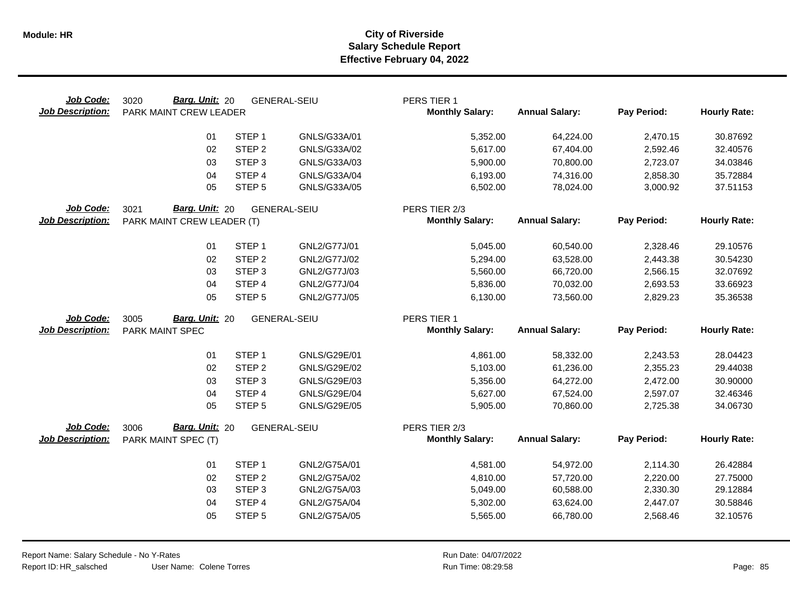| Job Code:<br><b>Job Description:</b> | Barg. Unit: 20<br>3020<br>PARK MAINT CREW LEADER |                                        | <b>GENERAL-SEIU</b>          | PERS TIER 1<br><b>Monthly Salary:</b> | <b>Annual Salary:</b>  | Pay Period:          | <b>Hourly Rate:</b>  |
|--------------------------------------|--------------------------------------------------|----------------------------------------|------------------------------|---------------------------------------|------------------------|----------------------|----------------------|
|                                      | 01                                               | STEP <sub>1</sub>                      | GNLS/G33A/01                 | 5,352.00                              | 64,224.00              | 2,470.15             | 30.87692             |
|                                      | 02                                               | STEP <sub>2</sub>                      | GNLS/G33A/02                 | 5,617.00                              | 67,404.00              | 2,592.46             | 32.40576             |
|                                      | 03                                               | STEP <sub>3</sub>                      | GNLS/G33A/03                 | 5,900.00                              | 70,800.00              | 2,723.07             | 34.03846             |
|                                      | 04                                               | STEP 4                                 | GNLS/G33A/04                 | 6,193.00                              | 74,316.00              | 2,858.30             | 35.72884             |
|                                      | 05                                               | STEP <sub>5</sub>                      | GNLS/G33A/05                 | 6,502.00                              | 78,024.00              | 3,000.92             | 37.51153             |
| Job Code:                            | Barg. Unit: 20<br>3021                           |                                        | <b>GENERAL-SEIU</b>          | PERS TIER 2/3                         |                        |                      |                      |
| <b>Job Description:</b>              | PARK MAINT CREW LEADER (T)                       |                                        |                              | <b>Monthly Salary:</b>                | <b>Annual Salary:</b>  | Pay Period:          | <b>Hourly Rate:</b>  |
|                                      | 01                                               | STEP <sub>1</sub>                      | GNL2/G77J/01                 | 5,045.00                              | 60,540.00              | 2,328.46             | 29.10576             |
|                                      | 02                                               | STEP <sub>2</sub>                      | GNL2/G77J/02                 | 5,294.00                              | 63,528.00              | 2,443.38             | 30.54230             |
|                                      | 03                                               | STEP <sub>3</sub>                      | GNL2/G77J/03                 | 5,560.00                              | 66,720.00              | 2,566.15             | 32.07692             |
|                                      | 04                                               | STEP 4                                 | GNL2/G77J/04                 | 5,836.00                              | 70,032.00              | 2,693.53             | 33.66923             |
|                                      | 05                                               | STEP <sub>5</sub>                      | GNL2/G77J/05                 | 6,130.00                              | 73,560.00              | 2,829.23             | 35.36538             |
| Job Code:                            | Barg. Unit: 20<br>3005                           |                                        | <b>GENERAL-SEIU</b>          | PERS TIER 1                           |                        |                      |                      |
| <b>Job Description:</b>              | PARK MAINT SPEC                                  |                                        |                              | <b>Monthly Salary:</b>                | <b>Annual Salary:</b>  | Pay Period:          | <b>Hourly Rate:</b>  |
|                                      |                                                  |                                        |                              |                                       |                        |                      |                      |
|                                      | 01                                               | STEP <sub>1</sub><br>STEP <sub>2</sub> | GNLS/G29E/01                 | 4,861.00                              | 58,332.00              | 2,243.53             | 28.04423             |
|                                      | 02<br>03                                         | STEP <sub>3</sub>                      | GNLS/G29E/02<br>GNLS/G29E/03 | 5,103.00                              | 61,236.00              | 2,355.23             | 29.44038             |
|                                      | 04                                               | STEP <sub>4</sub>                      | GNLS/G29E/04                 | 5,356.00<br>5,627.00                  | 64,272.00<br>67,524.00 | 2,472.00<br>2,597.07 | 30.90000<br>32.46346 |
|                                      | 05                                               | STEP <sub>5</sub>                      | GNLS/G29E/05                 | 5,905.00                              | 70,860.00              | 2,725.38             | 34.06730             |
|                                      |                                                  |                                        |                              |                                       |                        |                      |                      |
| Job Code:                            | Barg. Unit: 20<br>3006                           |                                        | <b>GENERAL-SEIU</b>          | PERS TIER 2/3                         |                        |                      |                      |
| <b>Job Description:</b>              | PARK MAINT SPEC (T)                              |                                        |                              | <b>Monthly Salary:</b>                | <b>Annual Salary:</b>  | Pay Period:          | <b>Hourly Rate:</b>  |
|                                      | 01                                               | STEP <sub>1</sub>                      | GNL2/G75A/01                 | 4,581.00                              | 54,972.00              | 2,114.30             | 26.42884             |
|                                      | 02                                               | STEP <sub>2</sub>                      | GNL2/G75A/02                 | 4,810.00                              | 57,720.00              | 2,220.00             | 27.75000             |
|                                      | 03                                               | STEP <sub>3</sub>                      | GNL2/G75A/03                 | 5,049.00                              | 60,588.00              | 2,330.30             | 29.12884             |
|                                      | 04                                               | STEP 4                                 | GNL2/G75A/04                 | 5,302.00                              | 63,624.00              | 2,447.07             | 30.58846             |
|                                      | 05                                               | STEP <sub>5</sub>                      | GNL2/G75A/05                 | 5,565.00                              | 66,780.00              | 2,568.46             | 32.10576             |
|                                      |                                                  |                                        |                              |                                       |                        |                      |                      |

 $\overline{\phantom{0}}$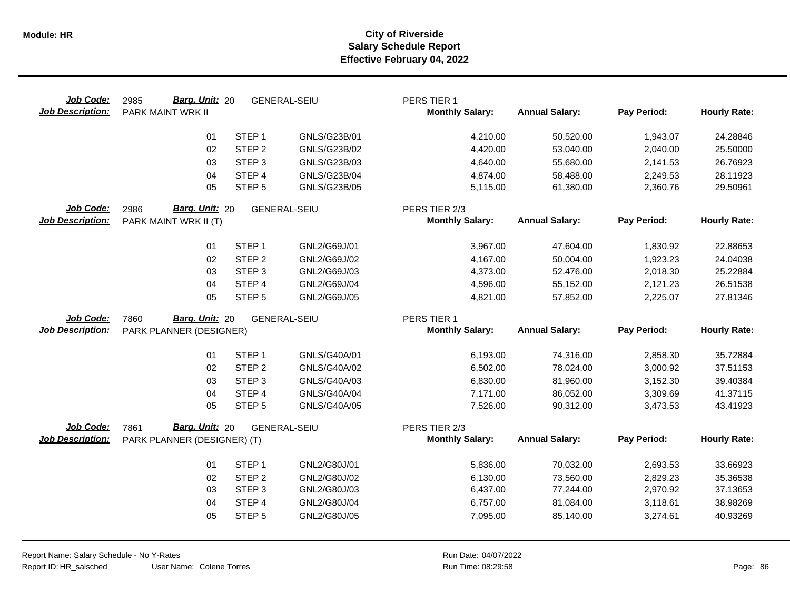| Job Code:<br><b>Job Description:</b> | Barg. Unit: 20<br>2985<br>PARK MAINT WRK II     |                   | <b>GENERAL-SEIU</b> | PERS TIER 1<br><b>Monthly Salary:</b>   | <b>Annual Salary:</b>  | Pay Period:          | <b>Hourly Rate:</b> |
|--------------------------------------|-------------------------------------------------|-------------------|---------------------|-----------------------------------------|------------------------|----------------------|---------------------|
|                                      | 01                                              | STEP <sub>1</sub> | GNLS/G23B/01        | 4,210.00                                | 50,520.00              | 1,943.07             | 24.28846            |
|                                      | 02                                              | STEP <sub>2</sub> | GNLS/G23B/02        | 4,420.00                                | 53,040.00              | 2,040.00             | 25.50000            |
|                                      | 03                                              | STEP <sub>3</sub> | GNLS/G23B/03        | 4,640.00                                | 55,680.00              | 2,141.53             | 26.76923            |
|                                      | 04                                              | STEP 4            | <b>GNLS/G23B/04</b> | 4,874.00                                | 58,488.00              | 2,249.53             | 28.11923            |
|                                      | 05                                              | STEP <sub>5</sub> | GNLS/G23B/05        | 5,115.00                                | 61,380.00              | 2,360.76             | 29.50961            |
| Job Code:<br><b>Job Description:</b> | Barg. Unit: 20<br>2986<br>PARK MAINT WRK II (T) |                   | <b>GENERAL-SEIU</b> | PERS TIER 2/3<br><b>Monthly Salary:</b> | <b>Annual Salary:</b>  | Pay Period:          | <b>Hourly Rate:</b> |
|                                      | 01                                              | STEP <sub>1</sub> | GNL2/G69J/01        | 3,967.00                                | 47,604.00              | 1,830.92             | 22.88653            |
|                                      | 02                                              | STEP <sub>2</sub> | GNL2/G69J/02        | 4,167.00                                | 50,004.00              | 1,923.23             | 24.04038            |
|                                      | 03                                              | STEP <sub>3</sub> | GNL2/G69J/03        | 4,373.00                                | 52,476.00              | 2,018.30             | 25.22884            |
|                                      | 04                                              | STEP 4            | GNL2/G69J/04        | 4,596.00                                | 55,152.00              | 2,121.23             | 26.51538            |
|                                      | 05                                              | STEP <sub>5</sub> | GNL2/G69J/05        | 4,821.00                                | 57,852.00              | 2,225.07             | 27.81346            |
| Job Code:                            | Barg. Unit: 20<br>7860                          |                   | <b>GENERAL-SEIU</b> | PERS TIER 1                             |                        |                      |                     |
| <b>Job Description:</b>              | PARK PLANNER (DESIGNER)                         |                   |                     | <b>Monthly Salary:</b>                  | <b>Annual Salary:</b>  | Pay Period:          | <b>Hourly Rate:</b> |
|                                      | 01                                              | STEP <sub>1</sub> | GNLS/G40A/01        |                                         |                        |                      | 35.72884            |
|                                      | 02                                              | STEP <sub>2</sub> | GNLS/G40A/02        | 6,193.00<br>6,502.00                    | 74,316.00<br>78,024.00 | 2,858.30<br>3,000.92 | 37.51153            |
|                                      | 03                                              | STEP <sub>3</sub> | GNLS/G40A/03        | 6,830.00                                | 81,960.00              | 3,152.30             | 39.40384            |
|                                      | 04                                              | STEP 4            | GNLS/G40A/04        | 7,171.00                                | 86,052.00              | 3,309.69             | 41.37115            |
|                                      | 05                                              | STEP <sub>5</sub> | GNLS/G40A/05        | 7,526.00                                | 90,312.00              | 3,473.53             | 43.41923            |
| Job Code:                            | Barg. Unit: 20<br>7861                          |                   | <b>GENERAL-SEIU</b> | PERS TIER 2/3                           |                        |                      |                     |
| <b>Job Description:</b>              | PARK PLANNER (DESIGNER) (T)                     |                   |                     | <b>Monthly Salary:</b>                  | <b>Annual Salary:</b>  | Pay Period:          | <b>Hourly Rate:</b> |
|                                      | 01                                              | STEP <sub>1</sub> | GNL2/G80J/01        | 5,836.00                                | 70,032.00              | 2,693.53             | 33.66923            |
|                                      | 02                                              | STEP <sub>2</sub> | GNL2/G80J/02        | 6,130.00                                | 73,560.00              | 2,829.23             | 35.36538            |
|                                      | 03                                              | STEP <sub>3</sub> | GNL2/G80J/03        | 6,437.00                                | 77,244.00              | 2,970.92             | 37.13653            |
|                                      | 04                                              | STEP 4            | GNL2/G80J/04        | 6,757.00                                | 81,084.00              | 3,118.61             | 38.98269            |
|                                      | 05                                              | STEP <sub>5</sub> | GNL2/G80J/05        | 7,095.00                                | 85,140.00              | 3,274.61             | 40.93269            |
|                                      |                                                 |                   |                     |                                         |                        |                      |                     |

 $\overline{\phantom{0}}$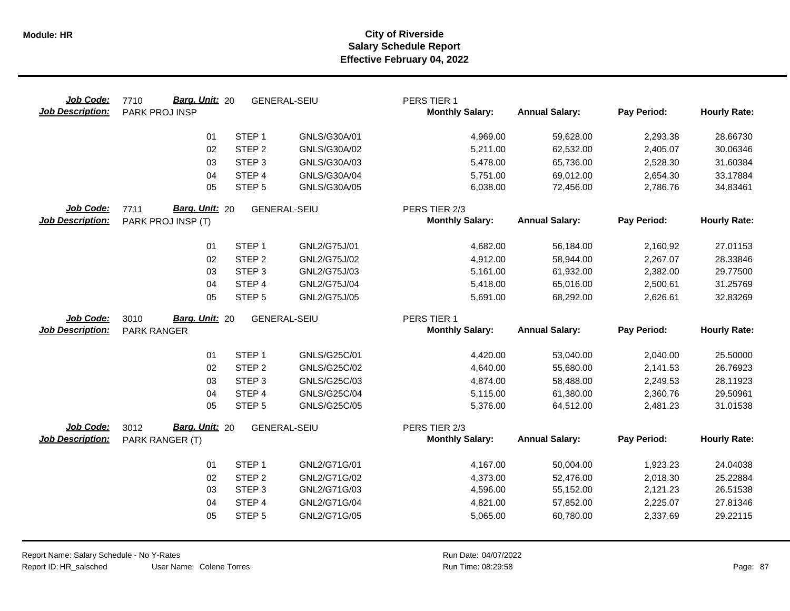| Job Code:<br><b>Job Description:</b> | Barg. Unit: 20<br>7710<br>PARK PROJ INSP     |                                        | <b>GENERAL-SEIU</b>          | PERS TIER 1<br><b>Monthly Salary:</b>   | <b>Annual Salary:</b>  | Pay Period:          | <b>Hourly Rate:</b>  |
|--------------------------------------|----------------------------------------------|----------------------------------------|------------------------------|-----------------------------------------|------------------------|----------------------|----------------------|
|                                      | 01                                           | STEP <sub>1</sub>                      | GNLS/G30A/01                 | 4,969.00                                | 59,628.00              | 2,293.38             | 28.66730             |
|                                      | 02                                           | STEP <sub>2</sub>                      | GNLS/G30A/02                 | 5,211.00                                | 62,532.00              | 2,405.07             | 30.06346             |
|                                      | 03                                           | STEP <sub>3</sub>                      | GNLS/G30A/03                 | 5,478.00                                | 65,736.00              | 2,528.30             | 31.60384             |
|                                      | 04                                           | STEP 4                                 | GNLS/G30A/04                 | 5,751.00                                | 69,012.00              | 2,654.30             | 33.17884             |
|                                      | 05                                           | STEP <sub>5</sub>                      | GNLS/G30A/05                 | 6,038.00                                | 72,456.00              | 2,786.76             | 34.83461             |
| Job Code:<br><b>Job Description:</b> | 7711<br>Barg. Unit: 20<br>PARK PROJ INSP (T) |                                        | <b>GENERAL-SEIU</b>          | PERS TIER 2/3<br><b>Monthly Salary:</b> | <b>Annual Salary:</b>  | Pay Period:          | <b>Hourly Rate:</b>  |
|                                      | 01                                           | STEP <sub>1</sub>                      | GNL2/G75J/01                 | 4,682.00                                | 56,184.00              | 2,160.92             | 27.01153             |
|                                      | 02                                           | STEP <sub>2</sub>                      | GNL2/G75J/02                 | 4,912.00                                | 58,944.00              | 2,267.07             | 28.33846             |
|                                      | 03                                           | STEP <sub>3</sub>                      | GNL2/G75J/03                 | 5,161.00                                | 61,932.00              | 2,382.00             | 29.77500             |
|                                      | 04                                           | STEP 4                                 | GNL2/G75J/04                 | 5,418.00                                | 65,016.00              | 2,500.61             | 31.25769             |
|                                      | 05                                           | STEP <sub>5</sub>                      | GNL2/G75J/05                 | 5,691.00                                | 68,292.00              | 2,626.61             | 32.83269             |
|                                      |                                              |                                        |                              |                                         |                        |                      |                      |
| Job Code:                            | Barg. Unit: 20<br>3010                       |                                        | <b>GENERAL-SEIU</b>          | PERS TIER 1                             |                        |                      |                      |
| <b>Job Description:</b>              | PARK RANGER                                  |                                        |                              | <b>Monthly Salary:</b>                  | <b>Annual Salary:</b>  | Pay Period:          | <b>Hourly Rate:</b>  |
|                                      | 01                                           | STEP <sub>1</sub>                      | GNLS/G25C/01                 | 4,420.00                                | 53,040.00              | 2,040.00             | 25.50000             |
|                                      | 02                                           | STEP <sub>2</sub>                      | GNLS/G25C/02                 | 4,640.00                                | 55,680.00              | 2,141.53             | 26.76923             |
|                                      | 03                                           | STEP <sub>3</sub>                      | GNLS/G25C/03                 | 4,874.00                                | 58,488.00              | 2,249.53             | 28.11923             |
|                                      | 04                                           | STEP 4                                 | <b>GNLS/G25C/04</b>          | 5,115.00                                | 61,380.00              | 2,360.76             | 29.50961             |
|                                      | 05                                           | STEP <sub>5</sub>                      | GNLS/G25C/05                 | 5,376.00                                | 64,512.00              | 2,481.23             | 31.01538             |
| Job Code:                            | Barg. Unit: 20<br>3012                       |                                        | <b>GENERAL-SEIU</b>          | PERS TIER 2/3                           |                        |                      |                      |
| <b>Job Description:</b>              | PARK RANGER (T)                              |                                        |                              | <b>Monthly Salary:</b>                  | <b>Annual Salary:</b>  | Pay Period:          | <b>Hourly Rate:</b>  |
|                                      |                                              |                                        |                              |                                         |                        |                      |                      |
|                                      | 01                                           | STEP <sub>1</sub>                      | GNL2/G71G/01                 | 4,167.00                                | 50,004.00              | 1,923.23             | 24.04038             |
|                                      | 02<br>03                                     | STEP <sub>2</sub><br>STEP <sub>3</sub> | GNL2/G71G/02<br>GNL2/G71G/03 | 4,373.00<br>4,596.00                    | 52,476.00<br>55,152.00 | 2,018.30<br>2,121.23 | 25.22884<br>26.51538 |
|                                      | 04                                           | STEP 4                                 | GNL2/G71G/04                 | 4,821.00                                | 57,852.00              | 2,225.07             | 27.81346             |
|                                      | 05                                           | STEP <sub>5</sub>                      | GNL2/G71G/05                 | 5,065.00                                | 60,780.00              | 2,337.69             | 29.22115             |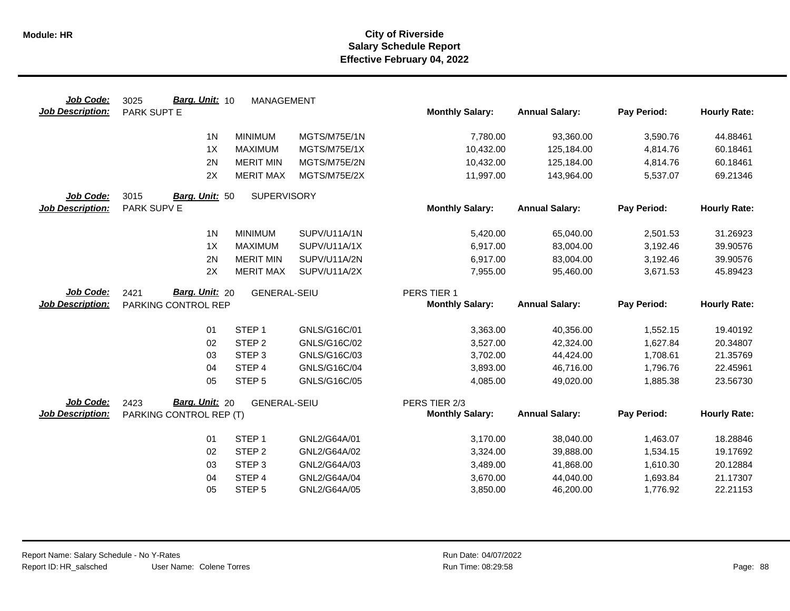| Job Code:               | Barg. Unit: 10<br>3025  | <b>MANAGEMENT</b>   |              |                        |                        |                      |                     |
|-------------------------|-------------------------|---------------------|--------------|------------------------|------------------------|----------------------|---------------------|
| <b>Job Description:</b> | PARK SUPT E             |                     |              | <b>Monthly Salary:</b> | <b>Annual Salary:</b>  | Pay Period:          | <b>Hourly Rate:</b> |
|                         | 1 <sub>N</sub>          | <b>MINIMUM</b>      | MGTS/M75E/1N | 7,780.00               | 93,360.00              | 3,590.76             | 44.88461            |
|                         | 1X                      | <b>MAXIMUM</b>      | MGTS/M75E/1X | 10,432.00              | 125,184.00             | 4,814.76             | 60.18461            |
|                         | 2N                      | <b>MERIT MIN</b>    | MGTS/M75E/2N | 10,432.00              | 125,184.00             | 4,814.76             | 60.18461            |
|                         | 2X                      | <b>MERIT MAX</b>    | MGTS/M75E/2X | 11,997.00              | 143,964.00             | 5,537.07             | 69.21346            |
| Job Code:               | 3015<br>Barg. Unit: 50  | <b>SUPERVISORY</b>  |              |                        |                        |                      |                     |
| <b>Job Description:</b> | PARK SUPV E             |                     |              | <b>Monthly Salary:</b> | <b>Annual Salary:</b>  | Pay Period:          | <b>Hourly Rate:</b> |
|                         | 1 <sub>N</sub>          | <b>MINIMUM</b>      | SUPV/U11A/1N | 5,420.00               | 65,040.00              | 2,501.53             | 31.26923            |
|                         | 1X                      | <b>MAXIMUM</b>      | SUPV/U11A/1X | 6,917.00               | 83,004.00              | 3,192.46             | 39.90576            |
|                         | 2N                      | <b>MERIT MIN</b>    | SUPV/U11A/2N | 6,917.00               | 83,004.00              | 3,192.46             | 39.90576            |
|                         | 2X                      | <b>MERIT MAX</b>    | SUPV/U11A/2X | 7,955.00               | 95,460.00              | 3,671.53             | 45.89423            |
| Job Code:               | Barg. Unit: 20<br>2421  | <b>GENERAL-SEIU</b> |              | PERS TIER 1            |                        |                      |                     |
| <b>Job Description:</b> | PARKING CONTROL REP     |                     |              | <b>Monthly Salary:</b> | <b>Annual Salary:</b>  | Pay Period:          | <b>Hourly Rate:</b> |
|                         | 01                      | STEP <sub>1</sub>   | GNLS/G16C/01 | 3,363.00               | 40,356.00              | 1,552.15             | 19.40192            |
|                         |                         |                     |              |                        |                        |                      |                     |
|                         | 02                      | STEP <sub>2</sub>   | GNLS/G16C/02 | 3,527.00               | 42,324.00              | 1,627.84             | 20.34807            |
|                         | 03                      | STEP <sub>3</sub>   | GNLS/G16C/03 | 3,702.00               | 44,424.00              | 1,708.61             | 21.35769            |
|                         | 04                      | STEP <sub>4</sub>   | GNLS/G16C/04 | 3,893.00               | 46,716.00              | 1,796.76             | 22.45961            |
|                         | 05                      | STEP <sub>5</sub>   | GNLS/G16C/05 | 4,085.00               | 49,020.00              | 1,885.38             | 23.56730            |
| Job Code:               | Barg. Unit: 20<br>2423  | <b>GENERAL-SEIU</b> |              | PERS TIER 2/3          |                        |                      |                     |
| <b>Job Description:</b> | PARKING CONTROL REP (T) |                     |              | <b>Monthly Salary:</b> | <b>Annual Salary:</b>  | Pay Period:          | <b>Hourly Rate:</b> |
|                         | 01                      | STEP <sub>1</sub>   | GNL2/G64A/01 |                        |                        |                      | 18.28846            |
|                         | 02                      | STEP <sub>2</sub>   | GNL2/G64A/02 | 3,170.00<br>3,324.00   | 38,040.00<br>39,888.00 | 1,463.07<br>1,534.15 | 19.17692            |
|                         | 03                      | STEP <sub>3</sub>   | GNL2/G64A/03 | 3,489.00               | 41,868.00              | 1,610.30             | 20.12884            |
|                         | 04                      | STEP 4              | GNL2/G64A/04 | 3,670.00               | 44,040.00              | 1,693.84             | 21.17307            |
|                         | 05                      | STEP <sub>5</sub>   | GNL2/G64A/05 | 3,850.00               | 46,200.00              | 1,776.92             | 22.21153            |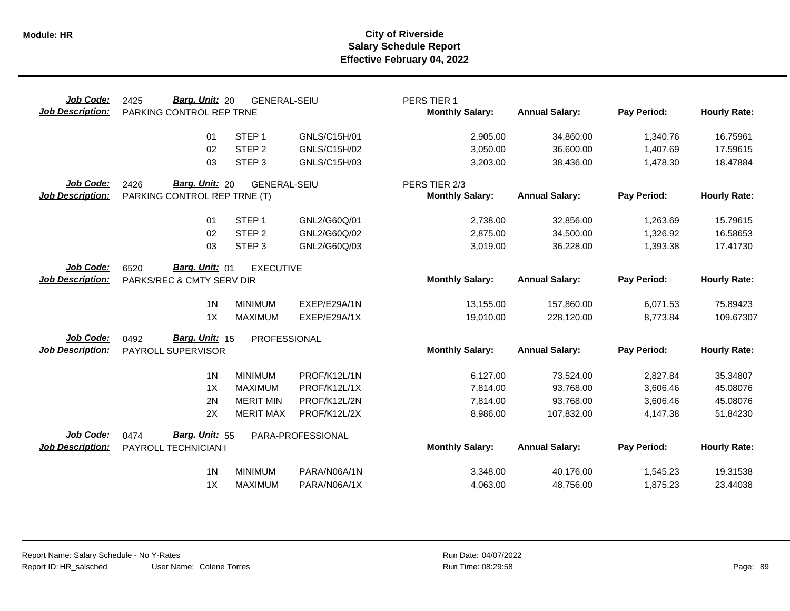| Job Code:<br><b>Job Description:</b> | Barg. Unit: 20<br>2425<br>PARKING CONTROL REP TRNE | <b>GENERAL-SEIU</b> |                   | PERS TIER 1<br><b>Monthly Salary:</b> | <b>Annual Salary:</b> | Pay Period: | <b>Hourly Rate:</b> |
|--------------------------------------|----------------------------------------------------|---------------------|-------------------|---------------------------------------|-----------------------|-------------|---------------------|
|                                      | 01                                                 | STEP <sub>1</sub>   | GNLS/C15H/01      | 2,905.00                              | 34,860.00             | 1,340.76    | 16.75961            |
|                                      | 02                                                 | STEP <sub>2</sub>   | GNLS/C15H/02      | 3,050.00                              | 36,600.00             | 1,407.69    | 17.59615            |
|                                      | 03                                                 | STEP <sub>3</sub>   | GNLS/C15H/03      | 3,203.00                              | 38,436.00             | 1,478.30    | 18.47884            |
| Job Code:                            | Barg. Unit: 20<br>2426                             | <b>GENERAL-SEIU</b> |                   | PERS TIER 2/3                         |                       |             |                     |
| <b>Job Description:</b>              | PARKING CONTROL REP TRNE (T)                       |                     |                   | <b>Monthly Salary:</b>                | <b>Annual Salary:</b> | Pay Period: | <b>Hourly Rate:</b> |
|                                      | 01                                                 | STEP <sub>1</sub>   | GNL2/G60Q/01      | 2,738.00                              | 32,856.00             | 1,263.69    | 15.79615            |
|                                      | 02                                                 | STEP <sub>2</sub>   | GNL2/G60Q/02      | 2,875.00                              | 34,500.00             | 1,326.92    | 16.58653            |
|                                      | 03                                                 | STEP <sub>3</sub>   | GNL2/G60Q/03      | 3,019.00                              | 36,228.00             | 1,393.38    | 17.41730            |
| Job Code:                            | Barg. Unit: 01<br>6520                             | <b>EXECUTIVE</b>    |                   |                                       |                       |             |                     |
| <b>Job Description:</b>              | PARKS/REC & CMTY SERV DIR                          |                     |                   | <b>Monthly Salary:</b>                | <b>Annual Salary:</b> | Pay Period: | <b>Hourly Rate:</b> |
|                                      | 1 <sub>N</sub>                                     | <b>MINIMUM</b>      | EXEP/E29A/1N      | 13,155.00                             | 157,860.00            | 6,071.53    | 75.89423            |
|                                      | 1X                                                 | <b>MAXIMUM</b>      | EXEP/E29A/1X      | 19,010.00                             | 228,120.00            | 8,773.84    | 109.67307           |
| Job Code:                            | Barg. Unit: 15<br>0492                             | PROFESSIONAL        |                   |                                       |                       |             |                     |
| <b>Job Description:</b>              | PAYROLL SUPERVISOR                                 |                     |                   | <b>Monthly Salary:</b>                | <b>Annual Salary:</b> | Pay Period: | <b>Hourly Rate:</b> |
|                                      | 1 <sub>N</sub>                                     | <b>MINIMUM</b>      | PROF/K12L/1N      | 6,127.00                              | 73,524.00             | 2,827.84    | 35.34807            |
|                                      | 1X                                                 | <b>MAXIMUM</b>      | PROF/K12L/1X      | 7,814.00                              | 93,768.00             | 3,606.46    | 45.08076            |
|                                      | 2N                                                 | <b>MERIT MIN</b>    | PROF/K12L/2N      | 7,814.00                              | 93,768.00             | 3,606.46    | 45.08076            |
|                                      | 2X                                                 | <b>MERIT MAX</b>    | PROF/K12L/2X      | 8,986.00                              | 107,832.00            | 4,147.38    | 51.84230            |
| Job Code:                            | Barg. Unit: 55<br>0474                             |                     | PARA-PROFESSIONAL |                                       |                       |             |                     |
| <b>Job Description:</b>              | PAYROLL TECHNICIAN I                               |                     |                   | <b>Monthly Salary:</b>                | <b>Annual Salary:</b> | Pay Period: | <b>Hourly Rate:</b> |
|                                      | 1 <sub>N</sub>                                     | <b>MINIMUM</b>      | PARA/N06A/1N      | 3,348.00                              | 40,176.00             | 1,545.23    | 19.31538            |
|                                      | 1X                                                 | <b>MAXIMUM</b>      | PARA/N06A/1X      | 4,063.00                              | 48,756.00             | 1,875.23    | 23.44038            |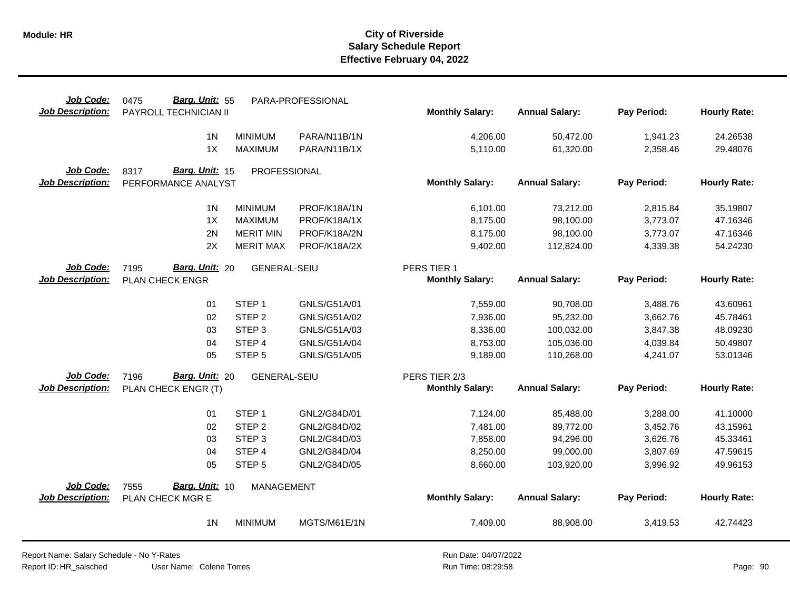| Job Code:<br><b>Job Description:</b> | Barg. Unit: 55<br>0475<br>PAYROLL TECHNICIAN II |                     | PARA-PROFESSIONAL | <b>Monthly Salary:</b> | <b>Annual Salary:</b> | Pay Period: | <b>Hourly Rate:</b> |
|--------------------------------------|-------------------------------------------------|---------------------|-------------------|------------------------|-----------------------|-------------|---------------------|
|                                      |                                                 |                     |                   |                        |                       |             |                     |
|                                      | 1 <sub>N</sub>                                  | <b>MINIMUM</b>      | PARA/N11B/1N      | 4,206.00               | 50,472.00             | 1,941.23    | 24.26538            |
|                                      | 1X                                              | <b>MAXIMUM</b>      | PARA/N11B/1X      | 5,110.00               | 61,320.00             | 2,358.46    | 29.48076            |
| Job Code:                            | Barg. Unit: 15<br>8317                          | PROFESSIONAL        |                   |                        |                       |             |                     |
| <b>Job Description:</b>              | PERFORMANCE ANALYST                             |                     |                   | <b>Monthly Salary:</b> | <b>Annual Salary:</b> | Pay Period: | <b>Hourly Rate:</b> |
|                                      | 1 <sub>N</sub>                                  | <b>MINIMUM</b>      | PROF/K18A/1N      | 6,101.00               | 73,212.00             | 2,815.84    | 35.19807            |
|                                      | 1X                                              | <b>MAXIMUM</b>      | PROF/K18A/1X      | 8,175.00               | 98,100.00             | 3,773.07    | 47.16346            |
|                                      | 2N                                              | <b>MERIT MIN</b>    | PROF/K18A/2N      | 8,175.00               | 98,100.00             | 3,773.07    | 47.16346            |
|                                      | 2X                                              | <b>MERIT MAX</b>    | PROF/K18A/2X      | 9,402.00               | 112,824.00            | 4,339.38    | 54.24230            |
| Job Code:                            | Barg. Unit: 20<br>7195                          | <b>GENERAL-SEIU</b> |                   | PERS TIER 1            |                       |             |                     |
| <b>Job Description:</b>              | PLAN CHECK ENGR                                 |                     |                   | <b>Monthly Salary:</b> | <b>Annual Salary:</b> | Pay Period: | <b>Hourly Rate:</b> |
|                                      | 01                                              | STEP <sub>1</sub>   | GNLS/G51A/01      | 7,559.00               | 90,708.00             | 3,488.76    | 43.60961            |
|                                      | 02                                              | STEP <sub>2</sub>   | GNLS/G51A/02      | 7,936.00               | 95,232.00             | 3,662.76    | 45.78461            |
|                                      | 03                                              | STEP <sub>3</sub>   | GNLS/G51A/03      | 8,336.00               | 100,032.00            | 3,847.38    | 48.09230            |
|                                      | 04                                              | STEP <sub>4</sub>   | GNLS/G51A/04      | 8,753.00               | 105,036.00            | 4,039.84    | 50.49807            |
|                                      | 05                                              | STEP <sub>5</sub>   | GNLS/G51A/05      | 9,189.00               | 110,268.00            | 4,241.07    | 53.01346            |
| Job Code:                            | Barg. Unit: 20<br>7196                          | <b>GENERAL-SEIU</b> |                   | PERS TIER 2/3          |                       |             |                     |
| <b>Job Description:</b>              | PLAN CHECK ENGR (T)                             |                     |                   | <b>Monthly Salary:</b> | <b>Annual Salary:</b> | Pay Period: | <b>Hourly Rate:</b> |
|                                      | 01                                              | STEP <sub>1</sub>   | GNL2/G84D/01      | 7,124.00               | 85,488.00             | 3,288.00    | 41.10000            |
|                                      | 02                                              | STEP <sub>2</sub>   | GNL2/G84D/02      | 7,481.00               | 89,772.00             | 3,452.76    | 43.15961            |
|                                      | 03                                              | STEP <sub>3</sub>   | GNL2/G84D/03      | 7,858.00               | 94,296.00             | 3,626.76    | 45.33461            |
|                                      | 04                                              | STEP 4              | GNL2/G84D/04      | 8,250.00               | 99,000.00             | 3,807.69    | 47.59615            |
|                                      | 05                                              | STEP <sub>5</sub>   | GNL2/G84D/05      | 8,660.00               | 103,920.00            | 3,996.92    | 49.96153            |
| Job Code:                            | Barg. Unit: 10<br>7555                          | <b>MANAGEMENT</b>   |                   |                        |                       |             |                     |
| <b>Job Description:</b>              | PLAN CHECK MGR E                                |                     |                   | <b>Monthly Salary:</b> | <b>Annual Salary:</b> | Pay Period: | <b>Hourly Rate:</b> |
|                                      | 1 <sub>N</sub>                                  | <b>MINIMUM</b>      | MGTS/M61E/1N      | 7,409.00               | 88,908.00             | 3,419.53    | 42.74423            |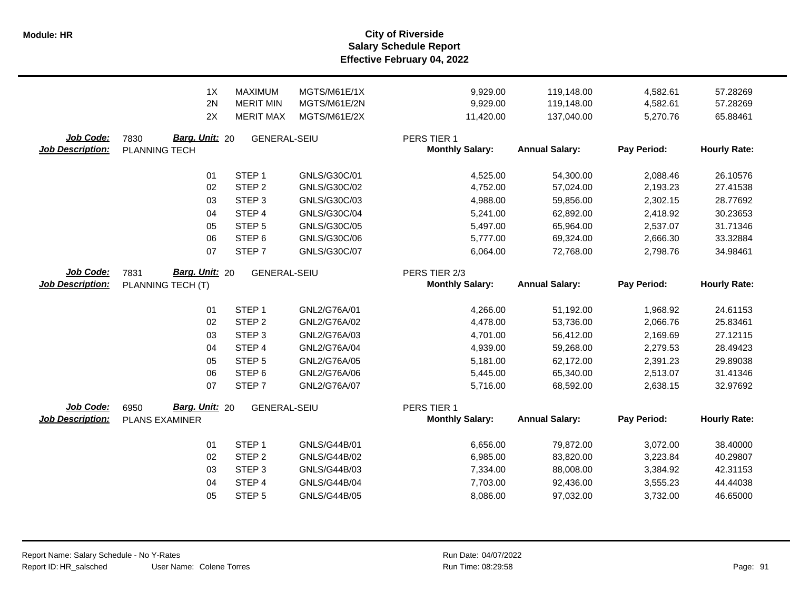**Salary Schedule Report Effective February 04, 2022 Module: HR City of Riverside**

|                                      | 1X<br>2N<br>2X                                  | <b>MAXIMUM</b><br><b>MERIT MIN</b><br><b>MERIT MAX</b> | MGTS/M61E/1X<br>MGTS/M61E/2N<br>MGTS/M61E/2X | 9,929.00<br>9,929.00<br>11,420.00     | 119,148.00<br>119,148.00<br>137,040.00 | 4,582.61<br>4,582.61<br>5,270.76 | 57.28269<br>57.28269<br>65.88461 |
|--------------------------------------|-------------------------------------------------|--------------------------------------------------------|----------------------------------------------|---------------------------------------|----------------------------------------|----------------------------------|----------------------------------|
| Job Code:<br><b>Job Description:</b> | Barg. Unit: 20<br>7830<br>PLANNING TECH         | <b>GENERAL-SEIU</b>                                    |                                              | PERS TIER 1<br><b>Monthly Salary:</b> | <b>Annual Salary:</b>                  | Pay Period:                      | <b>Hourly Rate:</b>              |
|                                      | 01                                              | STEP <sub>1</sub>                                      | GNLS/G30C/01                                 | 4,525.00                              | 54,300.00                              | 2,088.46                         | 26.10576                         |
|                                      | 02                                              | STEP <sub>2</sub>                                      | GNLS/G30C/02                                 | 4,752.00                              | 57,024.00                              | 2,193.23                         | 27.41538                         |
|                                      | 03                                              | STEP <sub>3</sub>                                      | GNLS/G30C/03                                 | 4,988.00                              | 59,856.00                              | 2,302.15                         | 28.77692                         |
|                                      | 04                                              | STEP 4                                                 | GNLS/G30C/04                                 | 5,241.00                              | 62,892.00                              | 2,418.92                         | 30.23653                         |
|                                      | 05                                              | STEP <sub>5</sub>                                      | GNLS/G30C/05                                 | 5,497.00                              | 65,964.00                              | 2,537.07                         | 31.71346                         |
|                                      | 06                                              | STEP <sub>6</sub>                                      | GNLS/G30C/06                                 | 5,777.00                              | 69,324.00                              | 2,666.30                         | 33.32884                         |
|                                      | 07                                              | STEP <sub>7</sub>                                      | GNLS/G30C/07                                 | 6,064.00                              | 72,768.00                              | 2,798.76                         | 34.98461                         |
| Job Code:                            | Barg. Unit: 20<br>7831                          | <b>GENERAL-SEIU</b>                                    |                                              | PERS TIER 2/3                         |                                        |                                  |                                  |
| <b>Job Description:</b>              | PLANNING TECH (T)                               |                                                        |                                              | <b>Monthly Salary:</b>                | <b>Annual Salary:</b>                  | Pay Period:                      | <b>Hourly Rate:</b>              |
|                                      | 01                                              | STEP <sub>1</sub>                                      | GNL2/G76A/01                                 | 4,266.00                              | 51,192.00                              | 1,968.92                         | 24.61153                         |
|                                      | 02                                              | STEP <sub>2</sub>                                      | GNL2/G76A/02                                 | 4,478.00                              | 53,736.00                              | 2,066.76                         | 25.83461                         |
|                                      | 03                                              | STEP <sub>3</sub>                                      | GNL2/G76A/03                                 | 4,701.00                              | 56,412.00                              | 2,169.69                         | 27.12115                         |
|                                      | 04                                              | STEP 4                                                 | GNL2/G76A/04                                 | 4,939.00                              | 59,268.00                              | 2,279.53                         | 28.49423                         |
|                                      | 05                                              | STEP <sub>5</sub>                                      | GNL2/G76A/05                                 | 5,181.00                              | 62,172.00                              | 2,391.23                         | 29.89038                         |
|                                      | 06                                              | STEP <sub>6</sub>                                      | GNL2/G76A/06                                 | 5,445.00                              | 65,340.00                              | 2,513.07                         | 31.41346                         |
|                                      | 07                                              | STEP <sub>7</sub>                                      | GNL2/G76A/07                                 | 5,716.00                              | 68,592.00                              | 2,638.15                         | 32.97692                         |
| Job Code:<br><b>Job Description:</b> | Barg. Unit: 20<br>6950<br><b>PLANS EXAMINER</b> | <b>GENERAL-SEIU</b>                                    |                                              | PERS TIER 1<br><b>Monthly Salary:</b> | <b>Annual Salary:</b>                  | Pay Period:                      | <b>Hourly Rate:</b>              |
|                                      |                                                 |                                                        |                                              |                                       |                                        |                                  |                                  |
|                                      | 01                                              | STEP <sub>1</sub>                                      | GNLS/G44B/01                                 | 6,656.00                              | 79,872.00                              | 3,072.00                         | 38.40000                         |
|                                      | 02                                              | STEP <sub>2</sub>                                      | GNLS/G44B/02                                 | 6,985.00                              | 83,820.00                              | 3,223.84                         | 40.29807                         |
|                                      | 03                                              | STEP <sub>3</sub>                                      | GNLS/G44B/03                                 | 7,334.00                              | 88,008.00                              | 3,384.92                         | 42.31153                         |
|                                      | 04                                              | STEP 4                                                 | <b>GNLS/G44B/04</b>                          | 7,703.00                              | 92,436.00                              | 3,555.23                         | 44.44038                         |
|                                      | 05                                              | STEP <sub>5</sub>                                      | <b>GNLS/G44B/05</b>                          | 8,086.00                              | 97,032.00                              | 3,732.00                         | 46.65000                         |
|                                      |                                                 |                                                        |                                              |                                       |                                        |                                  |                                  |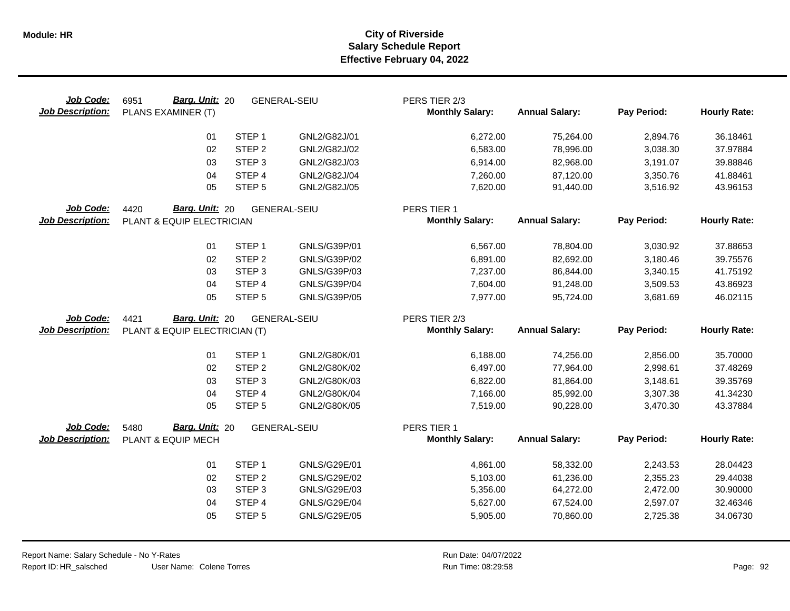| Job Code:<br><b>Job Description:</b> | <b>Barg. Unit: 20</b><br>6951<br>PLANS EXAMINER (T) |                   | <b>GENERAL-SEIU</b> | PERS TIER 2/3<br><b>Monthly Salary:</b> | <b>Annual Salary:</b> | Pay Period: | <b>Hourly Rate:</b> |
|--------------------------------------|-----------------------------------------------------|-------------------|---------------------|-----------------------------------------|-----------------------|-------------|---------------------|
|                                      | 01                                                  | STEP <sub>1</sub> | GNL2/G82J/01        | 6,272.00                                | 75,264.00             | 2,894.76    | 36.18461            |
|                                      | 02                                                  | STEP <sub>2</sub> | GNL2/G82J/02        | 6,583.00                                | 78,996.00             | 3,038.30    | 37.97884            |
|                                      | 03                                                  | STEP <sub>3</sub> | GNL2/G82J/03        | 6,914.00                                | 82,968.00             | 3,191.07    | 39.88846            |
|                                      | 04                                                  | STEP 4            | GNL2/G82J/04        | 7,260.00                                | 87,120.00             | 3,350.76    | 41.88461            |
|                                      | 05                                                  | STEP <sub>5</sub> | GNL2/G82J/05        | 7,620.00                                | 91,440.00             | 3,516.92    | 43.96153            |
| Job Code:<br><b>Job Description:</b> | Barg. Unit: 20<br>4420<br>PLANT & EQUIP ELECTRICIAN |                   | <b>GENERAL-SEIU</b> | PERS TIER 1<br><b>Monthly Salary:</b>   | <b>Annual Salary:</b> | Pay Period: | <b>Hourly Rate:</b> |
|                                      |                                                     |                   |                     |                                         |                       |             |                     |
|                                      | 01                                                  | STEP <sub>1</sub> | GNLS/G39P/01        | 6,567.00                                | 78,804.00             | 3,030.92    | 37.88653            |
|                                      | 02                                                  | STEP <sub>2</sub> | GNLS/G39P/02        | 6,891.00                                | 82,692.00             | 3,180.46    | 39.75576            |
|                                      | 03                                                  | STEP <sub>3</sub> | GNLS/G39P/03        | 7,237.00                                | 86,844.00             | 3,340.15    | 41.75192            |
|                                      | 04                                                  | STEP 4            | GNLS/G39P/04        | 7,604.00                                | 91,248.00             | 3,509.53    | 43.86923            |
|                                      | 05                                                  | STEP <sub>5</sub> | GNLS/G39P/05        | 7,977.00                                | 95,724.00             | 3,681.69    | 46.02115            |
| Job Code:                            | Barg. Unit: 20<br>4421                              |                   | <b>GENERAL-SEIU</b> | PERS TIER 2/3                           |                       |             |                     |
| <b>Job Description:</b>              | PLANT & EQUIP ELECTRICIAN (T)                       |                   |                     | <b>Monthly Salary:</b>                  | <b>Annual Salary:</b> | Pay Period: | <b>Hourly Rate:</b> |
|                                      |                                                     |                   |                     |                                         |                       |             |                     |
|                                      | 01                                                  | STEP <sub>1</sub> | GNL2/G80K/01        | 6,188.00                                | 74,256.00             | 2,856.00    | 35.70000            |
|                                      | 02                                                  | STEP <sub>2</sub> | GNL2/G80K/02        | 6,497.00                                | 77,964.00             | 2,998.61    | 37.48269            |
|                                      | 03                                                  | STEP <sub>3</sub> | GNL2/G80K/03        | 6,822.00                                | 81,864.00             | 3,148.61    | 39.35769            |
|                                      | 04                                                  | STEP 4            | GNL2/G80K/04        | 7,166.00                                | 85,992.00             | 3,307.38    | 41.34230            |
|                                      | 05                                                  | STEP <sub>5</sub> | GNL2/G80K/05        | 7,519.00                                | 90,228.00             | 3,470.30    | 43.37884            |
| Job Code:                            | Barg. Unit: 20<br>5480                              |                   | <b>GENERAL-SEIU</b> | PERS TIER 1                             |                       |             |                     |
| <b>Job Description:</b>              | PLANT & EQUIP MECH                                  |                   |                     | <b>Monthly Salary:</b>                  | <b>Annual Salary:</b> | Pay Period: | <b>Hourly Rate:</b> |
|                                      | 01                                                  | STEP <sub>1</sub> | GNLS/G29E/01        | 4,861.00                                | 58,332.00             | 2,243.53    | 28.04423            |
|                                      | 02                                                  | STEP <sub>2</sub> | GNLS/G29E/02        | 5,103.00                                | 61,236.00             | 2,355.23    | 29.44038            |
|                                      | 03                                                  | STEP <sub>3</sub> | GNLS/G29E/03        | 5,356.00                                | 64,272.00             | 2,472.00    | 30.90000            |
|                                      | 04                                                  | STEP 4            | GNLS/G29E/04        | 5,627.00                                | 67,524.00             | 2,597.07    | 32.46346            |
|                                      | 05                                                  | STEP <sub>5</sub> | GNLS/G29E/05        | 5,905.00                                | 70,860.00             | 2,725.38    | 34.06730            |
|                                      |                                                     |                   |                     |                                         |                       |             |                     |
|                                      |                                                     |                   |                     |                                         |                       |             |                     |

 $\overline{\phantom{0}}$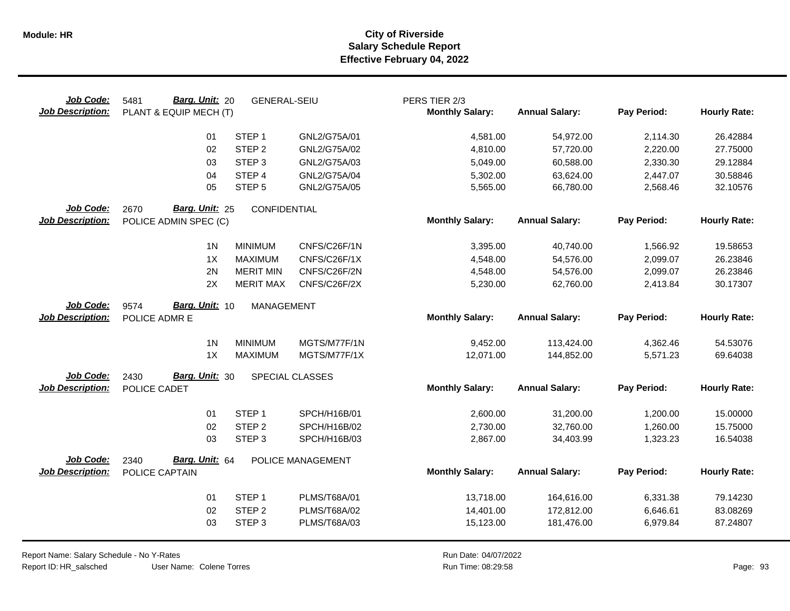| Job Code:<br><b>Job Description:</b> | Barg. Unit: 20<br>5481<br>PLANT & EQUIP MECH (T) | <b>GENERAL-SEIU</b> |                   | PERS TIER 2/3<br><b>Monthly Salary:</b> | <b>Annual Salary:</b> | Pay Period: | <b>Hourly Rate:</b> |
|--------------------------------------|--------------------------------------------------|---------------------|-------------------|-----------------------------------------|-----------------------|-------------|---------------------|
|                                      | 01                                               | STEP <sub>1</sub>   | GNL2/G75A/01      | 4,581.00                                | 54,972.00             | 2,114.30    | 26.42884            |
|                                      | 02                                               | STEP <sub>2</sub>   | GNL2/G75A/02      | 4,810.00                                | 57,720.00             | 2,220.00    | 27.75000            |
|                                      | 03                                               | STEP <sub>3</sub>   | GNL2/G75A/03      | 5,049.00                                | 60,588.00             | 2,330.30    | 29.12884            |
|                                      | 04                                               | STEP 4              | GNL2/G75A/04      | 5,302.00                                | 63,624.00             | 2,447.07    | 30.58846            |
|                                      | 05                                               | STEP <sub>5</sub>   | GNL2/G75A/05      | 5,565.00                                | 66,780.00             | 2,568.46    | 32.10576            |
| Job Code:<br><b>Job Description:</b> | Barg. Unit: 25<br>2670<br>POLICE ADMIN SPEC (C)  | CONFIDENTIAL        |                   | <b>Monthly Salary:</b>                  | <b>Annual Salary:</b> | Pay Period: | <b>Hourly Rate:</b> |
|                                      | 1 <sup>N</sup>                                   | <b>MINIMUM</b>      | CNFS/C26F/1N      | 3,395.00                                | 40,740.00             | 1,566.92    | 19.58653            |
|                                      | 1X                                               | <b>MAXIMUM</b>      | CNFS/C26F/1X      | 4,548.00                                | 54,576.00             | 2,099.07    | 26.23846            |
|                                      | 2N                                               | <b>MERIT MIN</b>    | CNFS/C26F/2N      | 4,548.00                                | 54,576.00             | 2,099.07    | 26.23846            |
|                                      | 2X                                               | <b>MERIT MAX</b>    | CNFS/C26F/2X      | 5,230.00                                | 62,760.00             | 2,413.84    | 30.17307            |
| Job Code:<br><b>Job Description:</b> | Barg. Unit: 10<br>9574<br>POLICE ADMR E          | <b>MANAGEMENT</b>   |                   | <b>Monthly Salary:</b>                  | <b>Annual Salary:</b> | Pay Period: | <b>Hourly Rate:</b> |
|                                      | 1 <sub>N</sub>                                   | <b>MINIMUM</b>      | MGTS/M77F/1N      | 9,452.00                                | 113,424.00            | 4,362.46    | 54.53076            |
|                                      | 1X                                               | <b>MAXIMUM</b>      | MGTS/M77F/1X      | 12,071.00                               | 144,852.00            | 5,571.23    | 69.64038            |
| Job Code:<br><b>Job Description:</b> | Barg. Unit: 30<br>2430<br>POLICE CADET           |                     | SPECIAL CLASSES   | <b>Monthly Salary:</b>                  | <b>Annual Salary:</b> | Pay Period: | <b>Hourly Rate:</b> |
|                                      |                                                  |                     |                   |                                         |                       |             |                     |
|                                      | 01                                               | STEP <sub>1</sub>   | SPCH/H16B/01      | 2,600.00                                | 31,200.00             | 1,200.00    | 15.00000            |
|                                      | 02                                               | STEP <sub>2</sub>   | SPCH/H16B/02      | 2,730.00                                | 32,760.00             | 1,260.00    | 15.75000            |
|                                      | 03                                               | STEP <sub>3</sub>   | SPCH/H16B/03      | 2,867.00                                | 34,403.99             | 1,323.23    | 16.54038            |
| Job Code:                            | Barg. Unit: 64<br>2340                           |                     | POLICE MANAGEMENT |                                         |                       |             |                     |
| <b>Job Description:</b>              | POLICE CAPTAIN                                   |                     |                   | <b>Monthly Salary:</b>                  | <b>Annual Salary:</b> | Pay Period: | <b>Hourly Rate:</b> |
|                                      | 01                                               | STEP <sub>1</sub>   | PLMS/T68A/01      | 13,718.00                               | 164,616.00            | 6,331.38    | 79.14230            |
|                                      | 02                                               | STEP <sub>2</sub>   | PLMS/T68A/02      | 14,401.00                               | 172,812.00            | 6,646.61    | 83.08269            |
|                                      | 03                                               | STEP <sub>3</sub>   | PLMS/T68A/03      | 15,123.00                               | 181,476.00            | 6,979.84    | 87.24807            |
|                                      |                                                  |                     |                   |                                         |                       |             |                     |

Report Name: Salary Schedule - No Y-Rates Report ID: HR\_salsched

User Name: Colene Torres

Run Date: 04/07/2022 08:29:58 Colene Torres Run Time: Page: 93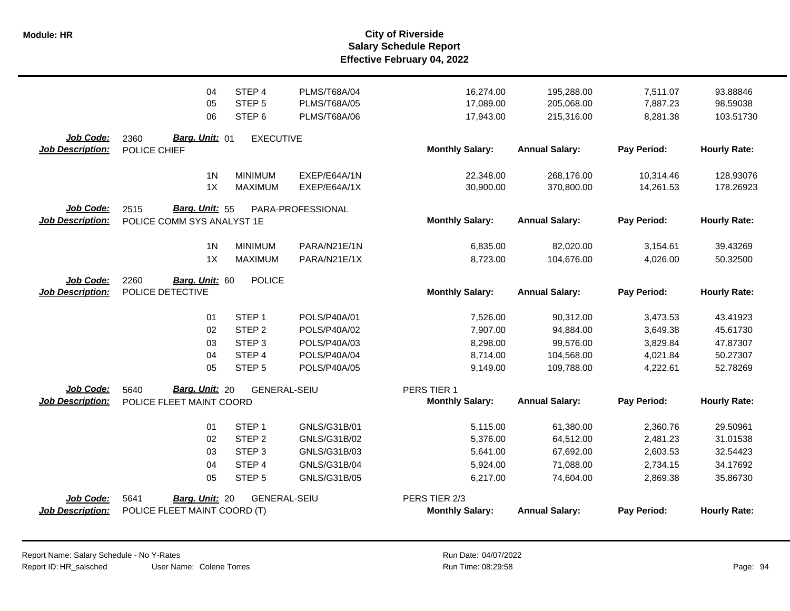| <b>Job Description:</b>              | POLICE FLEET MAINT COORD (T)           |                     |                     | <b>Monthly Salary:</b> | <b>Annual Salary:</b> | Pay Period: | <b>Hourly Rate:</b> |
|--------------------------------------|----------------------------------------|---------------------|---------------------|------------------------|-----------------------|-------------|---------------------|
| Job Code:                            | 5641<br>Barg. Unit: 20                 | <b>GENERAL-SEIU</b> |                     | PERS TIER 2/3          |                       |             |                     |
|                                      | 05                                     | STEP <sub>5</sub>   | GNLS/G31B/05        | 6,217.00               | 74,604.00             | 2,869.38    | 35.86730            |
|                                      | 04                                     | STEP 4              | GNLS/G31B/04        | 5,924.00               | 71,088.00             | 2,734.15    | 34.17692            |
|                                      | 03                                     | STEP <sub>3</sub>   | GNLS/G31B/03        | 5,641.00               | 67,692.00             | 2,603.53    | 32.54423            |
|                                      | 02                                     | STEP <sub>2</sub>   | GNLS/G31B/02        | 5,376.00               | 64,512.00             | 2,481.23    | 31.01538            |
|                                      | 01                                     | STEP <sub>1</sub>   | GNLS/G31B/01        | 5,115.00               | 61,380.00             | 2,360.76    | 29.50961            |
| <b>Job Description:</b>              | POLICE FLEET MAINT COORD               |                     |                     | <b>Monthly Salary:</b> | <b>Annual Salary:</b> | Pay Period: | <b>Hourly Rate:</b> |
| <b>Job Code:</b>                     | Barg. Unit: 20<br>5640                 | <b>GENERAL-SEIU</b> |                     | PERS TIER 1            |                       |             |                     |
|                                      |                                        |                     |                     |                        |                       |             |                     |
|                                      | 05                                     | STEP <sub>5</sub>   | POLS/P40A/05        | 9,149.00               | 109,788.00            | 4,222.61    | 52.78269            |
|                                      | 04                                     | STEP 4              | POLS/P40A/04        | 8,714.00               | 104,568.00            | 4,021.84    | 50.27307            |
|                                      | 03                                     | STEP <sub>3</sub>   | POLS/P40A/03        | 8,298.00               | 99,576.00             | 3,829.84    | 47.87307            |
|                                      | 02                                     | STEP <sub>2</sub>   | POLS/P40A/02        | 7,907.00               | 94,884.00             | 3,649.38    | 45.61730            |
|                                      | 01                                     | STEP <sub>1</sub>   | POLS/P40A/01        | 7,526.00               | 90,312.00             | 3,473.53    | 43.41923            |
| <b>Job Description:</b>              | POLICE DETECTIVE                       |                     |                     | <b>Monthly Salary:</b> | <b>Annual Salary:</b> | Pay Period: | <b>Hourly Rate:</b> |
| Job Code:                            | 2260<br>Barg. Unit: 60                 | <b>POLICE</b>       |                     |                        |                       |             |                     |
|                                      | 1X                                     | <b>MAXIMUM</b>      | PARA/N21E/1X        | 8,723.00               | 104.676.00            | 4,026.00    | 50.32500            |
|                                      | 1 <sub>N</sub>                         | <b>MINIMUM</b>      | PARA/N21E/1N        | 6,835.00               | 82,020.00             | 3,154.61    | 39.43269            |
| <b>Job Description:</b>              | POLICE COMM SYS ANALYST 1E             |                     |                     | <b>Monthly Salary:</b> | <b>Annual Salary:</b> | Pay Period: | <b>Hourly Rate:</b> |
| Job Code:                            | 2515<br>Barg. Unit: 55                 |                     | PARA-PROFESSIONAL   |                        |                       |             |                     |
|                                      | 1X                                     | <b>MAXIMUM</b>      | EXEP/E64A/1X        | 30,900.00              | 370,800.00            | 14,261.53   | 178.26923           |
|                                      | 1 <sub>N</sub>                         | <b>MINIMUM</b>      | EXEP/E64A/1N        | 22,348.00              | 268,176.00            | 10,314.46   | 128.93076           |
| Job Code:<br><b>Job Description:</b> | Barg. Unit: 01<br>2360<br>POLICE CHIEF | <b>EXECUTIVE</b>    |                     | <b>Monthly Salary:</b> | <b>Annual Salary:</b> | Pay Period: | <b>Hourly Rate:</b> |
|                                      |                                        |                     |                     |                        |                       |             |                     |
|                                      | 06                                     | STEP <sub>6</sub>   | PLMS/T68A/06        | 17,943.00              | 215,316.00            | 8,281.38    | 103.51730           |
|                                      | 05                                     | STEP <sub>5</sub>   | <b>PLMS/T68A/05</b> | 17,089.00              | 205,068.00            | 7,887.23    | 98.59038            |
|                                      | 04                                     | STEP 4              | PLMS/T68A/04        | 16,274.00              | 195,288.00            | 7,511.07    | 93.88846            |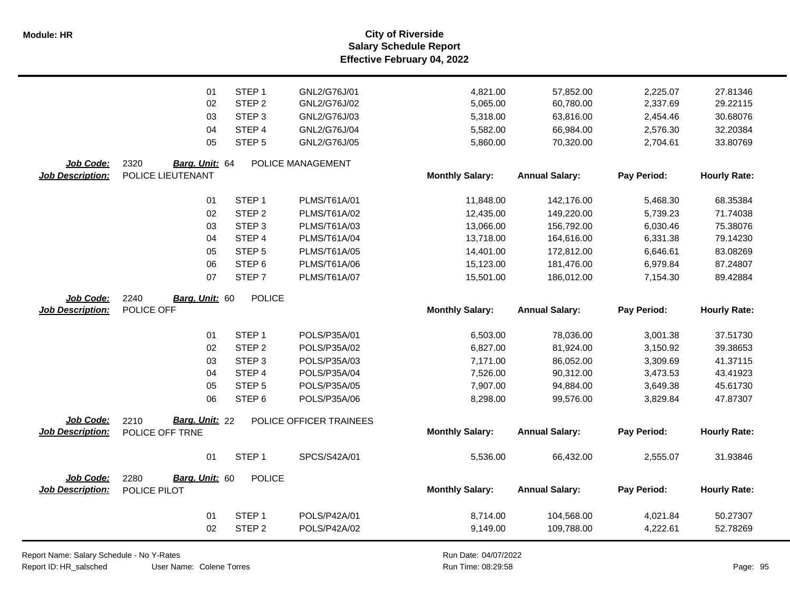**Salary Schedule Report Effective February 04, 2022 Module: HR City of Riverside**

|                         | 01                     | STEP <sub>1</sub> | GNL2/G76J/01            | 4,821.00               | 57,852.00             | 2,225.07    | 27.81346            |
|-------------------------|------------------------|-------------------|-------------------------|------------------------|-----------------------|-------------|---------------------|
|                         | 02                     | STEP <sub>2</sub> | GNL2/G76J/02            | 5,065.00               | 60,780.00             | 2,337.69    | 29.22115            |
|                         | 03                     | STEP <sub>3</sub> | GNL2/G76J/03            | 5,318.00               | 63,816.00             | 2,454.46    | 30.68076            |
|                         | 04                     | STEP <sub>4</sub> | GNL2/G76J/04            | 5,582.00               | 66,984.00             | 2,576.30    | 32.20384            |
|                         | 05                     | STEP <sub>5</sub> | GNL2/G76J/05            | 5,860.00               | 70,320.00             | 2,704.61    | 33.80769            |
|                         |                        |                   |                         |                        |                       |             |                     |
| Job Code:               | 2320<br>Barg. Unit: 64 |                   | POLICE MANAGEMENT       |                        |                       |             |                     |
| <b>Job Description:</b> | POLICE LIEUTENANT      |                   |                         | <b>Monthly Salary:</b> | <b>Annual Salary:</b> | Pay Period: | <b>Hourly Rate:</b> |
|                         |                        |                   |                         |                        |                       |             |                     |
|                         | 01                     | STEP <sub>1</sub> | PLMS/T61A/01            | 11,848.00              | 142,176.00            | 5,468.30    | 68.35384            |
|                         | 02                     | STEP <sub>2</sub> | PLMS/T61A/02            | 12,435.00              | 149,220.00            | 5,739.23    | 71.74038            |
|                         | 03                     | STEP <sub>3</sub> | PLMS/T61A/03            | 13,066.00              | 156,792.00            | 6,030.46    | 75.38076            |
|                         | 04                     | STEP 4            | PLMS/T61A/04            | 13,718.00              | 164,616.00            | 6,331.38    | 79.14230            |
|                         | 05                     | STEP <sub>5</sub> | PLMS/T61A/05            | 14,401.00              | 172,812.00            | 6,646.61    | 83.08269            |
|                         | 06                     | STEP <sub>6</sub> | PLMS/T61A/06            | 15,123.00              | 181,476.00            | 6,979.84    | 87.24807            |
|                         | 07                     | STEP <sub>7</sub> | PLMS/T61A/07            | 15,501.00              | 186,012.00            | 7,154.30    | 89.42884            |
| Job Code:               | 2240<br>Barg. Unit: 60 | <b>POLICE</b>     |                         |                        |                       |             |                     |
| <b>Job Description:</b> | POLICE OFF             |                   |                         | <b>Monthly Salary:</b> | <b>Annual Salary:</b> | Pay Period: | <b>Hourly Rate:</b> |
|                         |                        |                   |                         |                        |                       |             |                     |
|                         | 01                     | STEP <sub>1</sub> | POLS/P35A/01            | 6,503.00               | 78,036.00             | 3,001.38    | 37.51730            |
|                         | 02                     | STEP <sub>2</sub> | POLS/P35A/02            | 6,827.00               | 81,924.00             | 3,150.92    | 39.38653            |
|                         | 03                     | STEP <sub>3</sub> | POLS/P35A/03            | 7,171.00               | 86,052.00             | 3,309.69    | 41.37115            |
|                         | 04                     | STEP 4            | POLS/P35A/04            | 7,526.00               | 90,312.00             | 3,473.53    | 43.41923            |
|                         | 05                     | STEP <sub>5</sub> | POLS/P35A/05            | 7,907.00               | 94,884.00             | 3,649.38    | 45.61730            |
|                         | 06                     | STEP <sub>6</sub> | POLS/P35A/06            | 8,298.00               | 99,576.00             | 3,829.84    | 47.87307            |
|                         |                        |                   |                         |                        |                       |             |                     |
| Job Code:               | 2210<br>Barg. Unit: 22 |                   | POLICE OFFICER TRAINEES |                        |                       |             |                     |
| <b>Job Description:</b> | POLICE OFF TRNE        |                   |                         | <b>Monthly Salary:</b> | <b>Annual Salary:</b> | Pay Period: | <b>Hourly Rate:</b> |
|                         |                        |                   |                         |                        |                       |             |                     |
|                         | 01                     | STEP <sub>1</sub> | SPCS/S42A/01            | 5,536.00               | 66,432.00             | 2,555.07    | 31.93846            |
| Job Code:               | 2280<br>Barg. Unit: 60 | <b>POLICE</b>     |                         |                        |                       |             |                     |
| <b>Job Description:</b> | POLICE PILOT           |                   |                         | <b>Monthly Salary:</b> | <b>Annual Salary:</b> | Pay Period: | <b>Hourly Rate:</b> |
|                         |                        |                   |                         |                        |                       |             |                     |
|                         | 01                     | STEP <sub>1</sub> | POLS/P42A/01            | 8,714.00               | 104,568.00            | 4,021.84    | 50.27307            |
|                         | 02                     | STEP <sub>2</sub> | POLS/P42A/02            | 9,149.00               | 109,788.00            | 4,222.61    | 52.78269            |
|                         |                        |                   |                         |                        |                       |             |                     |

Report Name: Salary Schedule - No Y-Rates

Report ID: HR\_salsched

Run Date: 04/07/2022 08:29:58 Colene Torres Run Time: Page: 95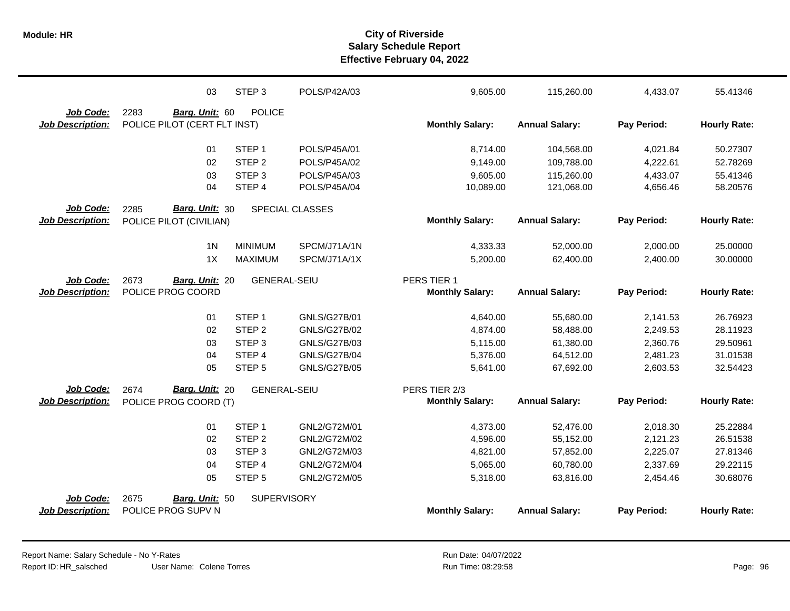|                         | 03                           | STEP <sub>3</sub>   | POLS/P42A/03           | 9,605.00               | 115,260.00            | 4,433.07    | 55.41346            |
|-------------------------|------------------------------|---------------------|------------------------|------------------------|-----------------------|-------------|---------------------|
| Job Code:               | 2283<br>Barg. Unit: 60       | <b>POLICE</b>       |                        |                        |                       |             |                     |
| <b>Job Description:</b> | POLICE PILOT (CERT FLT INST) |                     |                        | <b>Monthly Salary:</b> | <b>Annual Salary:</b> | Pay Period: | <b>Hourly Rate:</b> |
|                         | 01                           | STEP <sub>1</sub>   | POLS/P45A/01           | 8,714.00               | 104,568.00            | 4,021.84    | 50.27307            |
|                         | 02                           | STEP <sub>2</sub>   | POLS/P45A/02           | 9,149.00               | 109,788.00            | 4,222.61    | 52.78269            |
|                         | 03                           | STEP <sub>3</sub>   | POLS/P45A/03           | 9,605.00               | 115,260.00            | 4,433.07    | 55.41346            |
|                         | 04                           | STEP 4              | POLS/P45A/04           | 10,089.00              | 121,068.00            | 4,656.46    | 58.20576            |
| <b>Job Code:</b>        | 2285<br>Barg. Unit: 30       |                     | <b>SPECIAL CLASSES</b> |                        |                       |             |                     |
| <b>Job Description:</b> | POLICE PILOT (CIVILIAN)      |                     |                        | <b>Monthly Salary:</b> | <b>Annual Salary:</b> | Pay Period: | <b>Hourly Rate:</b> |
|                         | 1 <sub>N</sub>               | <b>MINIMUM</b>      | SPCM/J71A/1N           | 4,333.33               | 52,000.00             | 2,000.00    | 25.00000            |
|                         | 1X                           | <b>MAXIMUM</b>      | SPCM/J71A/1X           | 5,200.00               | 62,400.00             | 2,400.00    | 30.00000            |
| Job Code:               | 2673<br>Barg. Unit: 20       | <b>GENERAL-SEIU</b> |                        | PERS TIER 1            |                       |             |                     |
| <b>Job Description:</b> | POLICE PROG COORD            |                     |                        | <b>Monthly Salary:</b> | <b>Annual Salary:</b> | Pay Period: | <b>Hourly Rate:</b> |
|                         | 01                           | STEP <sub>1</sub>   | <b>GNLS/G27B/01</b>    | 4,640.00               | 55,680.00             | 2,141.53    | 26.76923            |
|                         | 02                           | STEP <sub>2</sub>   | GNLS/G27B/02           | 4,874.00               | 58,488.00             | 2,249.53    | 28.11923            |
|                         | 03                           | STEP <sub>3</sub>   | <b>GNLS/G27B/03</b>    | 5,115.00               | 61,380.00             | 2,360.76    | 29.50961            |
|                         | 04                           | STEP 4              | <b>GNLS/G27B/04</b>    | 5,376.00               | 64,512.00             | 2,481.23    | 31.01538            |
|                         | 05                           | STEP <sub>5</sub>   | <b>GNLS/G27B/05</b>    | 5,641.00               | 67,692.00             | 2,603.53    | 32.54423            |
| Job Code:               | Barg. Unit: 20<br>2674       | <b>GENERAL-SEIU</b> |                        | PERS TIER 2/3          |                       |             |                     |
| <b>Job Description:</b> | POLICE PROG COORD (T)        |                     |                        | <b>Monthly Salary:</b> | <b>Annual Salary:</b> | Pay Period: | <b>Hourly Rate:</b> |
|                         | 01                           | STEP <sub>1</sub>   | GNL2/G72M/01           | 4,373.00               | 52,476.00             | 2,018.30    | 25.22884            |
|                         | 02                           | STEP <sub>2</sub>   | GNL2/G72M/02           | 4,596.00               | 55,152.00             | 2,121.23    | 26.51538            |
|                         | 03                           | STEP <sub>3</sub>   | GNL2/G72M/03           | 4,821.00               | 57,852.00             | 2,225.07    | 27.81346            |
|                         | 04                           | STEP <sub>4</sub>   | GNL2/G72M/04           | 5,065.00               | 60,780.00             | 2,337.69    | 29.22115            |
|                         | 05                           | STEP <sub>5</sub>   | GNL2/G72M/05           | 5,318.00               | 63,816.00             | 2,454.46    | 30.68076            |
| Job Code:               | 2675<br>Barg. Unit: 50       | <b>SUPERVISORY</b>  |                        |                        |                       |             |                     |
| <b>Job Description:</b> | POLICE PROG SUPV N           |                     |                        | <b>Monthly Salary:</b> | <b>Annual Salary:</b> | Pay Period: | <b>Hourly Rate:</b> |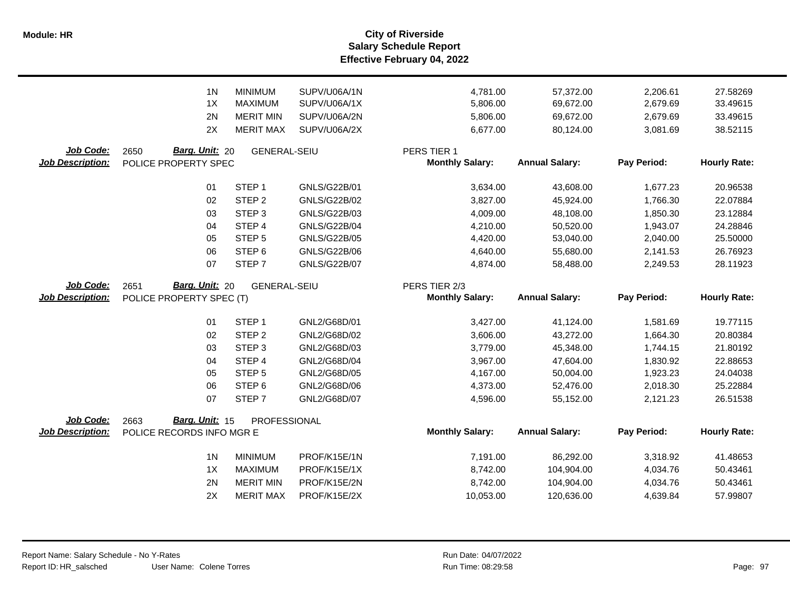**Salary Schedule Report Effective February 04, 2022 Module: HR City of Riverside**

|                         | 1 <sup>N</sup><br>1X<br>2N | <b>MINIMUM</b><br><b>MAXIMUM</b><br><b>MERIT MIN</b> | SUPV/U06A/1N<br>SUPV/U06A/1X<br>SUPV/U06A/2N | 4,781.00<br>5,806.00<br>5,806.00 | 57,372.00<br>69,672.00<br>69,672.00 | 2,206.61<br>2,679.69<br>2,679.69 | 27.58269<br>33.49615<br>33.49615 |
|-------------------------|----------------------------|------------------------------------------------------|----------------------------------------------|----------------------------------|-------------------------------------|----------------------------------|----------------------------------|
|                         | 2X                         | <b>MERIT MAX</b>                                     | SUPV/U06A/2X                                 | 6,677.00                         | 80,124.00                           | 3,081.69                         | 38.52115                         |
| Job Code:               | Barg. Unit: 20<br>2650     | <b>GENERAL-SEIU</b>                                  |                                              | PERS TIER 1                      |                                     |                                  |                                  |
| <b>Job Description:</b> | POLICE PROPERTY SPEC       |                                                      |                                              | <b>Monthly Salary:</b>           | <b>Annual Salary:</b>               | Pay Period:                      | <b>Hourly Rate:</b>              |
|                         | 01                         | STEP <sub>1</sub>                                    | GNLS/G22B/01                                 | 3,634.00                         | 43,608.00                           | 1,677.23                         | 20.96538                         |
|                         | 02                         | STEP <sub>2</sub>                                    | GNLS/G22B/02                                 | 3,827.00                         | 45,924.00                           | 1,766.30                         | 22.07884                         |
|                         | 03                         | STEP <sub>3</sub>                                    | GNLS/G22B/03                                 | 4,009.00                         | 48,108.00                           | 1,850.30                         | 23.12884                         |
|                         | 04                         | STEP 4                                               | GNLS/G22B/04                                 | 4,210.00                         | 50,520.00                           | 1,943.07                         | 24.28846                         |
|                         | 05                         | STEP <sub>5</sub>                                    | GNLS/G22B/05                                 | 4,420.00                         | 53,040.00                           | 2,040.00                         | 25.50000                         |
|                         | 06                         | STEP <sub>6</sub>                                    | GNLS/G22B/06                                 | 4,640.00                         | 55,680.00                           | 2,141.53                         | 26.76923                         |
|                         | 07                         | STEP <sub>7</sub>                                    | <b>GNLS/G22B/07</b>                          | 4,874.00                         | 58,488.00                           | 2,249.53                         | 28.11923                         |
| Job Code:               | Barg. Unit: 20<br>2651     | <b>GENERAL-SEIU</b>                                  |                                              | PERS TIER 2/3                    |                                     |                                  |                                  |
| <b>Job Description:</b> | POLICE PROPERTY SPEC (T)   |                                                      |                                              | <b>Monthly Salary:</b>           | <b>Annual Salary:</b>               | Pay Period:                      | <b>Hourly Rate:</b>              |
|                         |                            |                                                      |                                              |                                  |                                     |                                  |                                  |
|                         | 01                         | STEP <sub>1</sub>                                    | GNL2/G68D/01                                 | 3,427.00                         | 41,124.00                           | 1,581.69                         | 19.77115                         |
|                         | 02                         | STEP <sub>2</sub>                                    | GNL2/G68D/02                                 | 3,606.00                         | 43,272.00                           | 1,664.30                         | 20.80384                         |
|                         | 03                         | STEP <sub>3</sub>                                    | GNL2/G68D/03                                 | 3,779.00                         | 45,348.00                           | 1,744.15                         | 21.80192                         |
|                         | 04                         | STEP 4                                               | GNL2/G68D/04                                 | 3,967.00                         | 47,604.00                           | 1,830.92                         | 22.88653                         |
|                         | 05                         | STEP <sub>5</sub>                                    | GNL2/G68D/05                                 | 4,167.00                         | 50,004.00                           | 1,923.23                         | 24.04038                         |
|                         | 06                         | STEP <sub>6</sub>                                    | GNL2/G68D/06                                 | 4,373.00                         | 52,476.00                           | 2,018.30                         | 25.22884                         |
|                         | 07                         | STEP 7                                               | GNL2/G68D/07                                 | 4,596.00                         | 55,152.00                           | 2,121.23                         | 26.51538                         |
| Job Code:               | Barg. Unit: 15<br>2663     | PROFESSIONAL                                         |                                              |                                  |                                     |                                  |                                  |
| <b>Job Description:</b> | POLICE RECORDS INFO MGR E  |                                                      |                                              | <b>Monthly Salary:</b>           | <b>Annual Salary:</b>               | Pay Period:                      | <b>Hourly Rate:</b>              |
|                         | 1 <sup>N</sup>             | <b>MINIMUM</b>                                       | PROF/K15E/1N                                 | 7,191.00                         | 86,292.00                           | 3,318.92                         | 41.48653                         |
|                         | 1X                         | <b>MAXIMUM</b>                                       | PROF/K15E/1X                                 | 8,742.00                         | 104,904.00                          | 4,034.76                         | 50.43461                         |
|                         | 2N                         | <b>MERIT MIN</b>                                     | PROF/K15E/2N                                 | 8,742.00                         | 104,904.00                          | 4,034.76                         | 50.43461                         |
|                         | 2X                         | <b>MERIT MAX</b>                                     | PROF/K15E/2X                                 | 10,053.00                        | 120,636.00                          | 4,639.84                         | 57.99807                         |
|                         |                            |                                                      |                                              |                                  |                                     |                                  |                                  |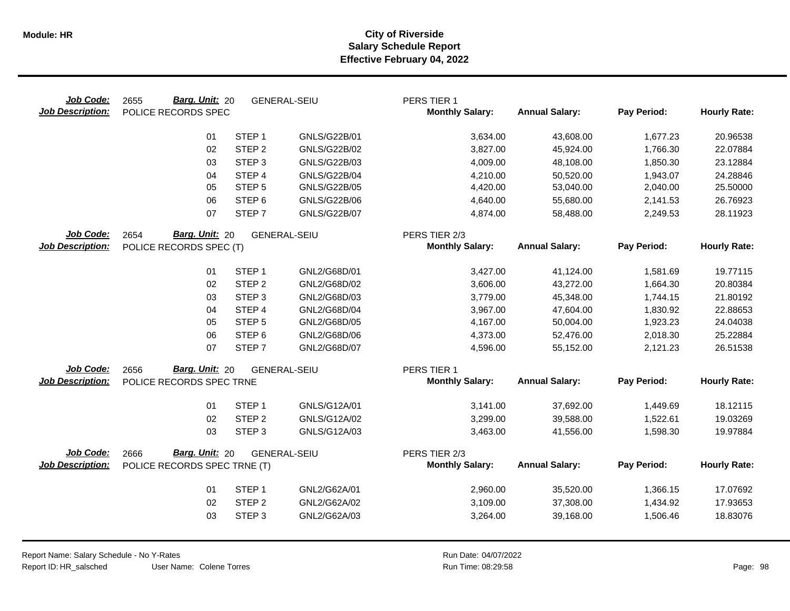| Job Code:<br><b>Job Description:</b> | Barg. Unit: 20<br>2655<br>POLICE RECORDS SPEC |                   | <b>GENERAL-SEIU</b> | PERS TIER 1<br><b>Monthly Salary:</b> | <b>Annual Salary:</b> | Pay Period: | <b>Hourly Rate:</b> |
|--------------------------------------|-----------------------------------------------|-------------------|---------------------|---------------------------------------|-----------------------|-------------|---------------------|
|                                      | 01                                            | STEP <sub>1</sub> | GNLS/G22B/01        | 3,634.00                              | 43,608.00             | 1,677.23    | 20.96538            |
|                                      | 02                                            | STEP <sub>2</sub> | GNLS/G22B/02        | 3,827.00                              | 45,924.00             | 1,766.30    | 22.07884            |
|                                      | 03                                            | STEP <sub>3</sub> | GNLS/G22B/03        | 4,009.00                              | 48,108.00             | 1,850.30    | 23.12884            |
|                                      | 04                                            | STEP <sub>4</sub> | <b>GNLS/G22B/04</b> | 4,210.00                              | 50,520.00             | 1,943.07    | 24.28846            |
|                                      | 05                                            | STEP <sub>5</sub> | GNLS/G22B/05        | 4,420.00                              | 53,040.00             | 2,040.00    | 25.50000            |
|                                      | 06                                            | STEP <sub>6</sub> | GNLS/G22B/06        | 4,640.00                              | 55,680.00             | 2,141.53    | 26.76923            |
|                                      | 07                                            | STEP <sub>7</sub> | <b>GNLS/G22B/07</b> | 4,874.00                              | 58,488.00             | 2,249.53    | 28.11923            |
| Job Code:                            | Barg. Unit: 20<br>2654<br><b>GENERAL-SEIU</b> |                   |                     | PERS TIER 2/3                         |                       |             |                     |
| <b>Job Description:</b>              | POLICE RECORDS SPEC (T)                       |                   |                     | <b>Monthly Salary:</b>                | <b>Annual Salary:</b> | Pay Period: | <b>Hourly Rate:</b> |
|                                      | 01                                            | STEP <sub>1</sub> | GNL2/G68D/01        | 3,427.00                              | 41,124.00             | 1,581.69    | 19.77115            |
|                                      | 02                                            | STEP <sub>2</sub> | GNL2/G68D/02        | 3,606.00                              | 43,272.00             | 1,664.30    | 20.80384            |
|                                      | 03                                            | STEP <sub>3</sub> | GNL2/G68D/03        | 3,779.00                              | 45,348.00             | 1,744.15    | 21.80192            |
|                                      | 04                                            | STEP 4            | GNL2/G68D/04        | 3,967.00                              | 47,604.00             | 1,830.92    | 22.88653            |
|                                      | 05                                            | STEP <sub>5</sub> | GNL2/G68D/05        | 4,167.00                              | 50,004.00             | 1,923.23    | 24.04038            |
|                                      | 06                                            | STEP <sub>6</sub> | GNL2/G68D/06        | 4,373.00                              | 52,476.00             | 2,018.30    | 25.22884            |
|                                      | 07                                            | STEP <sub>7</sub> | GNL2/G68D/07        | 4,596.00                              | 55,152.00             | 2,121.23    | 26.51538            |
| Job Code:                            | Barg. Unit: 20<br>2656                        |                   | <b>GENERAL-SEIU</b> | PERS TIER 1                           |                       |             |                     |
| <b>Job Description:</b>              | POLICE RECORDS SPEC TRNE                      |                   |                     | <b>Monthly Salary:</b>                | <b>Annual Salary:</b> | Pay Period: | <b>Hourly Rate:</b> |
|                                      | 01                                            | STEP <sub>1</sub> | GNLS/G12A/01        | 3,141.00                              | 37,692.00             | 1,449.69    | 18.12115            |
|                                      | 02                                            | STEP <sub>2</sub> | GNLS/G12A/02        | 3,299.00                              | 39,588.00             | 1,522.61    | 19.03269            |
|                                      | 03                                            | STEP <sub>3</sub> | GNLS/G12A/03        | 3,463.00                              | 41,556.00             | 1,598.30    | 19.97884            |
| Job Code:                            | Barg. Unit: 20<br>2666                        |                   | <b>GENERAL-SEIU</b> | PERS TIER 2/3                         |                       |             |                     |
| <b>Job Description:</b>              | POLICE RECORDS SPEC TRNE (T)                  |                   |                     | <b>Monthly Salary:</b>                | <b>Annual Salary:</b> | Pay Period: | <b>Hourly Rate:</b> |
|                                      | 01                                            | STEP <sub>1</sub> | GNL2/G62A/01        | 2,960.00                              | 35,520.00             | 1,366.15    | 17.07692            |
|                                      | 02                                            | STEP <sub>2</sub> | GNL2/G62A/02        | 3,109.00                              | 37,308.00             | 1,434.92    | 17.93653            |
|                                      | 03                                            | STEP <sub>3</sub> | GNL2/G62A/03        | 3,264.00                              | 39,168.00             | 1,506.46    | 18.83076            |
|                                      |                                               |                   |                     |                                       |                       |             |                     |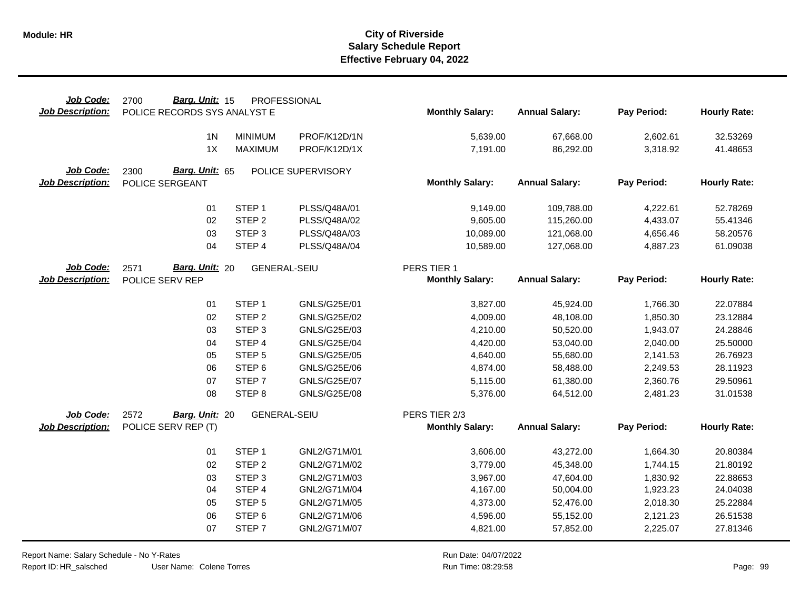| Job Code:<br><b>Job Description:</b> | Barg. Unit: 15<br>2700<br>POLICE RECORDS SYS ANALYST E | PROFESSIONAL        |                     | <b>Monthly Salary:</b> | <b>Annual Salary:</b> | Pay Period: | <b>Hourly Rate:</b> |
|--------------------------------------|--------------------------------------------------------|---------------------|---------------------|------------------------|-----------------------|-------------|---------------------|
|                                      |                                                        |                     |                     |                        |                       |             |                     |
|                                      | 1 <sub>N</sub>                                         | <b>MINIMUM</b>      | PROF/K12D/1N        | 5,639.00               | 67,668.00             | 2,602.61    | 32.53269            |
|                                      | 1X                                                     | <b>MAXIMUM</b>      | PROF/K12D/1X        | 7,191.00               | 86,292.00             | 3,318.92    | 41.48653            |
| Job Code:                            | Barg. Unit: 65<br>2300                                 |                     | POLICE SUPERVISORY  |                        |                       |             |                     |
| <b>Job Description:</b>              | POLICE SERGEANT                                        |                     |                     | <b>Monthly Salary:</b> | <b>Annual Salary:</b> | Pay Period: | <b>Hourly Rate:</b> |
|                                      | 01                                                     | STEP <sub>1</sub>   | PLSS/Q48A/01        | 9,149.00               | 109,788.00            | 4,222.61    | 52.78269            |
|                                      | 02                                                     | STEP <sub>2</sub>   | PLSS/Q48A/02        | 9,605.00               | 115,260.00            | 4,433.07    | 55.41346            |
|                                      | 03                                                     | STEP <sub>3</sub>   | PLSS/Q48A/03        | 10,089.00              | 121,068.00            | 4,656.46    | 58.20576            |
|                                      | 04                                                     | STEP 4              | PLSS/Q48A/04        | 10,589.00              | 127,068.00            | 4,887.23    | 61.09038            |
| Job Code:                            | Barg. Unit: 20<br>2571                                 | <b>GENERAL-SEIU</b> |                     | PERS TIER 1            |                       |             |                     |
| <b>Job Description:</b>              | POLICE SERV REP                                        |                     |                     | <b>Monthly Salary:</b> | <b>Annual Salary:</b> | Pay Period: | <b>Hourly Rate:</b> |
|                                      | 01                                                     | STEP <sub>1</sub>   | GNLS/G25E/01        | 3,827.00               | 45,924.00             | 1,766.30    | 22.07884            |
|                                      | 02                                                     | STEP <sub>2</sub>   | GNLS/G25E/02        | 4,009.00               | 48,108.00             | 1,850.30    | 23.12884            |
|                                      | 03                                                     | STEP <sub>3</sub>   | GNLS/G25E/03        | 4,210.00               | 50,520.00             | 1,943.07    | 24.28846            |
|                                      | 04                                                     | STEP 4              | <b>GNLS/G25E/04</b> | 4,420.00               | 53,040.00             | 2,040.00    | 25.50000            |
|                                      | 05                                                     | STEP <sub>5</sub>   | GNLS/G25E/05        | 4,640.00               | 55,680.00             | 2,141.53    | 26.76923            |
|                                      | 06                                                     | STEP <sub>6</sub>   | GNLS/G25E/06        | 4,874.00               | 58,488.00             | 2,249.53    | 28.11923            |
|                                      | 07                                                     | STEP <sub>7</sub>   | <b>GNLS/G25E/07</b> | 5,115.00               | 61,380.00             | 2,360.76    | 29.50961            |
|                                      | 08                                                     | STEP <sub>8</sub>   | <b>GNLS/G25E/08</b> | 5,376.00               | 64,512.00             | 2,481.23    | 31.01538            |
| Job Code:                            | 2572<br>Barg. Unit: 20                                 | <b>GENERAL-SEIU</b> |                     | PERS TIER 2/3          |                       |             |                     |
| <b>Job Description:</b>              | POLICE SERV REP (T)                                    |                     |                     | <b>Monthly Salary:</b> | <b>Annual Salary:</b> | Pay Period: | <b>Hourly Rate:</b> |
|                                      | 01                                                     | STEP <sub>1</sub>   | GNL2/G71M/01        | 3,606.00               | 43,272.00             | 1,664.30    | 20.80384            |
|                                      | 02                                                     | STEP <sub>2</sub>   | GNL2/G71M/02        | 3,779.00               | 45,348.00             | 1,744.15    | 21.80192            |
|                                      | 03                                                     | STEP <sub>3</sub>   | GNL2/G71M/03        | 3,967.00               | 47,604.00             | 1,830.92    | 22.88653            |
|                                      | 04                                                     | STEP 4              | GNL2/G71M/04        | 4,167.00               | 50,004.00             | 1,923.23    | 24.04038            |
|                                      | 05                                                     | STEP <sub>5</sub>   | GNL2/G71M/05        | 4,373.00               | 52,476.00             | 2,018.30    | 25.22884            |
|                                      | 06                                                     | STEP <sub>6</sub>   | GNL2/G71M/06        | 4,596.00               | 55,152.00             | 2,121.23    | 26.51538            |
|                                      | 07                                                     | STEP <sub>7</sub>   | GNL2/G71M/07        | 4,821.00               | 57,852.00             | 2,225.07    | 27.81346            |

Report Name: Salary Schedule - No Y-Rates

Report ID: HR\_salsched

 $\overline{\phantom{0}}$ 

User Name: Colene Torres

Run Date: 04/07/2022 08:29:58 Colene Torres Run Time: Page: 99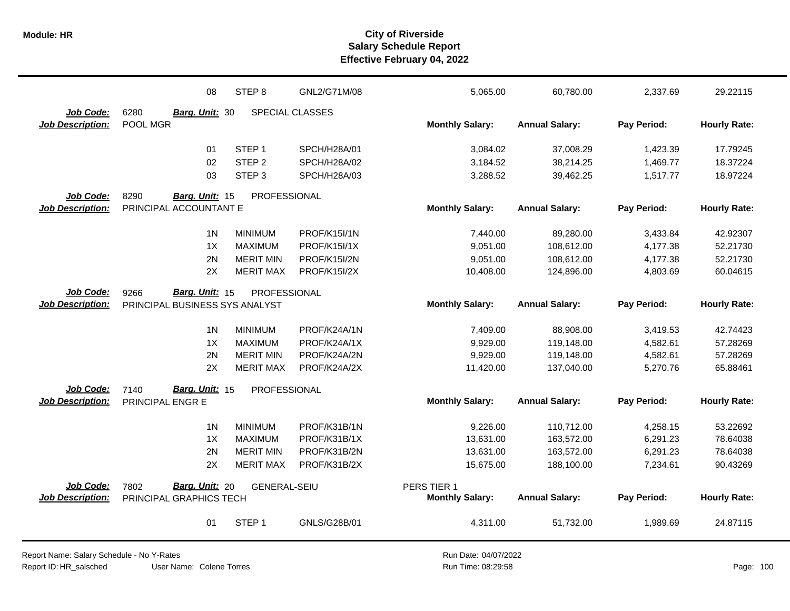|                                      | 08                                               | STEP <sub>8</sub>   | GNL2/G71M/08        | 5,065.00               | 60,780.00             | 2,337.69    | 29.22115            |
|--------------------------------------|--------------------------------------------------|---------------------|---------------------|------------------------|-----------------------|-------------|---------------------|
| Job Code:                            | 6280<br>Barg. Unit: 30                           |                     | SPECIAL CLASSES     |                        |                       |             |                     |
| <b>Job Description:</b>              | POOL MGR                                         |                     |                     | <b>Monthly Salary:</b> | <b>Annual Salary:</b> | Pay Period: | <b>Hourly Rate:</b> |
|                                      | 01                                               | STEP <sub>1</sub>   | SPCH/H28A/01        | 3,084.02               | 37,008.29             | 1,423.39    | 17.79245            |
|                                      | 02                                               | STEP <sub>2</sub>   | SPCH/H28A/02        | 3,184.52               | 38,214.25             | 1,469.77    | 18.37224            |
|                                      | 03                                               | STEP <sub>3</sub>   | SPCH/H28A/03        | 3,288.52               | 39,462.25             | 1,517.77    | 18.97224            |
| Job Code:<br><b>Job Description:</b> | 8290<br>Barg. Unit: 15<br>PRINCIPAL ACCOUNTANT E | PROFESSIONAL        |                     | <b>Monthly Salary:</b> | <b>Annual Salary:</b> | Pay Period: | <b>Hourly Rate:</b> |
|                                      |                                                  |                     |                     |                        |                       |             |                     |
|                                      | 1 <sub>N</sub>                                   | <b>MINIMUM</b>      | PROF/K15I/1N        | 7,440.00               | 89,280.00             | 3,433.84    | 42.92307            |
|                                      | 1X                                               | <b>MAXIMUM</b>      | PROF/K15I/1X        | 9,051.00               | 108,612.00            | 4,177.38    | 52.21730            |
|                                      | 2N                                               | <b>MERIT MIN</b>    | PROF/K15I/2N        | 9,051.00               | 108,612.00            | 4,177.38    | 52.21730            |
|                                      | 2X                                               | <b>MERIT MAX</b>    | <b>PROF/K15I/2X</b> | 10,408.00              | 124,896.00            | 4,803.69    | 60.04615            |
| Job Code:                            | Barg. Unit: 15<br>9266                           | <b>PROFESSIONAL</b> |                     |                        |                       |             |                     |
| <b>Job Description:</b>              | PRINCIPAL BUSINESS SYS ANALYST                   |                     |                     | <b>Monthly Salary:</b> | <b>Annual Salary:</b> | Pay Period: | <b>Hourly Rate:</b> |
|                                      | 1 <sub>N</sub>                                   | <b>MINIMUM</b>      | PROF/K24A/1N        | 7,409.00               | 88,908.00             | 3,419.53    | 42.74423            |
|                                      | 1X                                               | <b>MAXIMUM</b>      | PROF/K24A/1X        | 9,929.00               | 119,148.00            | 4,582.61    | 57.28269            |
|                                      | 2N                                               | <b>MERIT MIN</b>    | PROF/K24A/2N        | 9,929.00               | 119,148.00            | 4,582.61    | 57.28269            |
|                                      | 2X                                               | <b>MERIT MAX</b>    | PROF/K24A/2X        | 11,420.00              | 137,040.00            | 5,270.76    | 65.88461            |
| <b>Job Code:</b>                     | Barg. Unit: 15<br>7140                           | PROFESSIONAL        |                     |                        |                       |             |                     |
| <b>Job Description:</b>              | PRINCIPAL ENGR E                                 |                     |                     | <b>Monthly Salary:</b> | <b>Annual Salary:</b> | Pay Period: | <b>Hourly Rate:</b> |
|                                      | 1 <sub>N</sub>                                   | <b>MINIMUM</b>      | PROF/K31B/1N        | 9,226.00               | 110,712.00            | 4,258.15    | 53.22692            |
|                                      | 1X                                               | <b>MAXIMUM</b>      | PROF/K31B/1X        | 13,631.00              | 163,572.00            | 6,291.23    | 78.64038            |
|                                      | 2N                                               | <b>MERIT MIN</b>    | PROF/K31B/2N        | 13,631.00              | 163,572.00            | 6,291.23    | 78.64038            |
|                                      | 2X                                               | <b>MERIT MAX</b>    | PROF/K31B/2X        | 15,675.00              | 188,100.00            | 7,234.61    | 90.43269            |
| Job Code:                            | Barg. Unit: 20<br>7802                           | <b>GENERAL-SEIU</b> |                     | PERS TIER 1            |                       |             |                     |
| <b>Job Description:</b>              | PRINCIPAL GRAPHICS TECH                          |                     |                     | <b>Monthly Salary:</b> | <b>Annual Salary:</b> | Pay Period: | <b>Hourly Rate:</b> |
|                                      | 01                                               | STEP <sub>1</sub>   | GNLS/G28B/01        | 4,311.00               | 51,732.00             | 1,989.69    | 24.87115            |

User Name: Colene Torres Report Name: Salary Schedule - No Y-Rates Report ID: HR\_salsched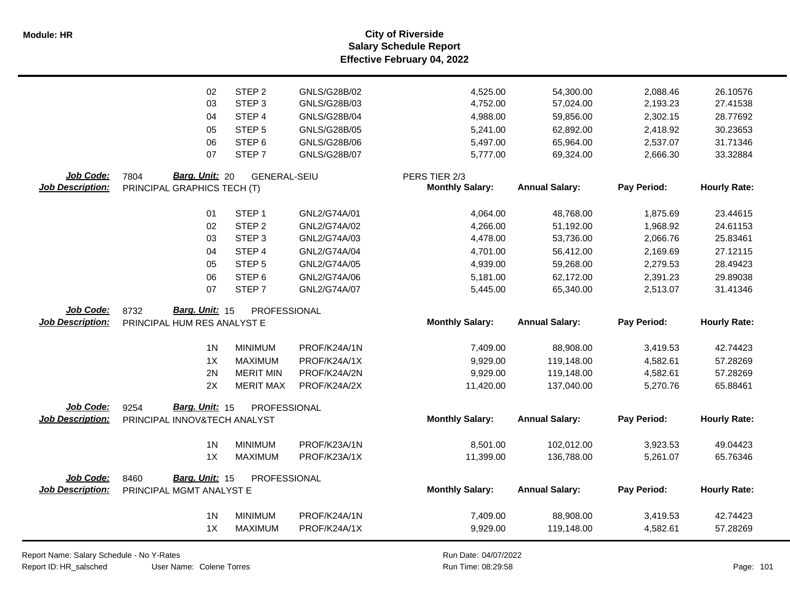**Salary Schedule Report Effective February 04, 2022 Module: HR City of Riverside**

|                         | 02<br>03                     | STEP <sub>2</sub>   | GNLS/G28B/02        | 4,525.00               | 54,300.00             | 2,088.46    | 26.10576            |
|-------------------------|------------------------------|---------------------|---------------------|------------------------|-----------------------|-------------|---------------------|
|                         |                              |                     |                     |                        |                       |             |                     |
|                         |                              | STEP <sub>3</sub>   | GNLS/G28B/03        | 4,752.00               | 57,024.00             | 2,193.23    | 27.41538            |
|                         | 04                           | STEP 4              | <b>GNLS/G28B/04</b> | 4,988.00               | 59,856.00             | 2,302.15    | 28.77692            |
|                         | 05                           | STEP <sub>5</sub>   | GNLS/G28B/05        | 5,241.00               | 62,892.00             | 2,418.92    | 30.23653            |
|                         | 06                           | STEP <sub>6</sub>   | GNLS/G28B/06        | 5,497.00               | 65,964.00             | 2,537.07    | 31.71346            |
|                         | 07                           | STEP <sub>7</sub>   | <b>GNLS/G28B/07</b> | 5,777.00               | 69,324.00             | 2,666.30    | 33.32884            |
| Job Code:               | 7804<br>Barg. Unit: 20       | <b>GENERAL-SEIU</b> |                     | PERS TIER 2/3          |                       |             |                     |
| Job Description:        | PRINCIPAL GRAPHICS TECH (T)  |                     |                     | <b>Monthly Salary:</b> | <b>Annual Salary:</b> | Pay Period: | <b>Hourly Rate:</b> |
|                         | 01                           | STEP <sub>1</sub>   | GNL2/G74A/01        | 4,064.00               | 48,768.00             | 1,875.69    | 23.44615            |
|                         | 02                           | STEP <sub>2</sub>   | GNL2/G74A/02        | 4,266.00               | 51,192.00             | 1,968.92    | 24.61153            |
|                         | 03                           | STEP <sub>3</sub>   | GNL2/G74A/03        | 4,478.00               | 53,736.00             | 2,066.76    | 25.83461            |
|                         | 04                           | STEP 4              | GNL2/G74A/04        | 4,701.00               | 56,412.00             | 2,169.69    | 27.12115            |
|                         | 05                           | STEP <sub>5</sub>   | GNL2/G74A/05        | 4,939.00               | 59,268.00             | 2,279.53    | 28.49423            |
|                         | 06                           | STEP <sub>6</sub>   | GNL2/G74A/06        | 5,181.00               | 62,172.00             | 2,391.23    | 29.89038            |
|                         | 07                           | STEP <sub>7</sub>   | GNL2/G74A/07        | 5,445.00               | 65,340.00             | 2,513.07    | 31.41346            |
| Job Code:               | 8732<br>Barg. Unit: 15       | PROFESSIONAL        |                     |                        |                       |             |                     |
| <b>Job Description:</b> | PRINCIPAL HUM RES ANALYST E  |                     |                     | <b>Monthly Salary:</b> | <b>Annual Salary:</b> | Pay Period: | <b>Hourly Rate:</b> |
|                         | 1 <sub>N</sub>               | <b>MINIMUM</b>      | PROF/K24A/1N        | 7,409.00               | 88,908.00             | 3,419.53    | 42.74423            |
|                         | 1X                           | <b>MAXIMUM</b>      | PROF/K24A/1X        | 9,929.00               | 119,148.00            | 4,582.61    | 57.28269            |
|                         | 2N                           | <b>MERIT MIN</b>    | PROF/K24A/2N        | 9,929.00               | 119,148.00            | 4,582.61    | 57.28269            |
|                         | 2X                           | <b>MERIT MAX</b>    | PROF/K24A/2X        | 11,420.00              | 137,040.00            | 5,270.76    | 65.88461            |
| Job Code:               | Barg. Unit: 15<br>9254       | PROFESSIONAL        |                     |                        |                       |             |                     |
| <b>Job Description:</b> | PRINCIPAL INNOV&TECH ANALYST |                     |                     | <b>Monthly Salary:</b> | <b>Annual Salary:</b> | Pay Period: | <b>Hourly Rate:</b> |
|                         | 1 <sub>N</sub>               | <b>MINIMUM</b>      | PROF/K23A/1N        | 8,501.00               | 102,012.00            | 3,923.53    | 49.04423            |
|                         | 1X                           | <b>MAXIMUM</b>      | PROF/K23A/1X        | 11,399.00              | 136,788.00            | 5,261.07    | 65.76346            |
| Job Code:               | Barg. Unit: 15<br>8460       | PROFESSIONAL        |                     |                        |                       |             |                     |
| <b>Job Description:</b> | PRINCIPAL MGMT ANALYST E     |                     |                     | <b>Monthly Salary:</b> | <b>Annual Salary:</b> | Pay Period: | <b>Hourly Rate:</b> |
|                         | 1 <sub>N</sub>               | <b>MINIMUM</b>      | PROF/K24A/1N        | 7,409.00               | 88,908.00             | 3,419.53    | 42.74423            |
|                         |                              |                     |                     | 9,929.00               | 119,148.00            | 4,582.61    | 57.28269            |

Report Name: Salary Schedule - No Y-Rates Report ID: HR\_salsched

Run Date: 04/07/2022 08:29:58 Colene Torres Run Time: Page: 101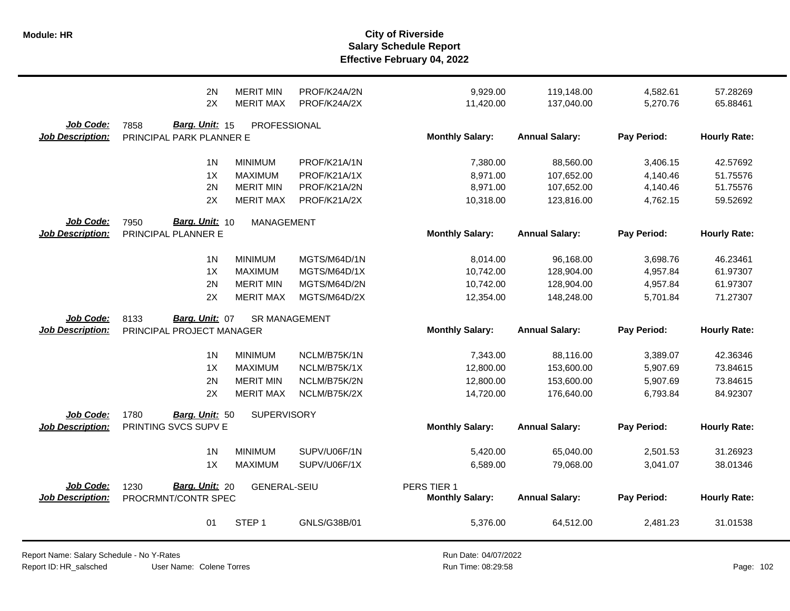|                                      | 2N<br>2X                                           | <b>MERIT MIN</b><br><b>MERIT MAX</b> | PROF/K24A/2N<br>PROF/K24A/2X | 9,929.00<br>11,420.00  | 119,148.00<br>137,040.00 | 4,582.61<br>5,270.76 | 57.28269<br>65.88461 |
|--------------------------------------|----------------------------------------------------|--------------------------------------|------------------------------|------------------------|--------------------------|----------------------|----------------------|
| Job Code:<br><b>Job Description:</b> | 7858<br>Barg. Unit: 15<br>PRINCIPAL PARK PLANNER E | PROFESSIONAL                         |                              | <b>Monthly Salary:</b> | <b>Annual Salary:</b>    | Pay Period:          | <b>Hourly Rate:</b>  |
|                                      | 1 <sub>N</sub>                                     | <b>MINIMUM</b>                       | PROF/K21A/1N                 | 7,380.00               | 88,560.00                | 3,406.15             | 42.57692             |
|                                      | 1X                                                 | <b>MAXIMUM</b>                       | PROF/K21A/1X                 | 8,971.00               | 107,652.00               | 4,140.46             | 51.75576             |
|                                      | 2N                                                 | <b>MERIT MIN</b>                     | PROF/K21A/2N                 | 8,971.00               | 107,652.00               | 4,140.46             | 51.75576             |
|                                      | 2X                                                 | <b>MERIT MAX</b>                     | PROF/K21A/2X                 | 10,318.00              | 123,816.00               | 4,762.15             | 59.52692             |
| <b>Job Code:</b>                     | Barg. Unit: 10<br>7950                             | <b>MANAGEMENT</b>                    |                              |                        |                          |                      |                      |
| <b>Job Description:</b>              | PRINCIPAL PLANNER E                                |                                      |                              | <b>Monthly Salary:</b> | <b>Annual Salary:</b>    | Pay Period:          | <b>Hourly Rate:</b>  |
|                                      | 1 <sub>N</sub>                                     | <b>MINIMUM</b>                       | MGTS/M64D/1N                 | 8,014.00               | 96,168.00                | 3,698.76             | 46.23461             |
|                                      | 1X                                                 | <b>MAXIMUM</b>                       | MGTS/M64D/1X                 | 10,742.00              | 128,904.00               | 4,957.84             | 61.97307             |
|                                      | 2N                                                 | <b>MERIT MIN</b>                     | MGTS/M64D/2N                 | 10,742.00              | 128,904.00               | 4,957.84             | 61.97307             |
|                                      | 2X                                                 | <b>MERIT MAX</b>                     | MGTS/M64D/2X                 | 12,354.00              | 148,248.00               | 5,701.84             | 71.27307             |
| Job Code:                            | 8133<br>Barg. Unit: 07                             | <b>SR MANAGEMENT</b>                 |                              |                        |                          |                      |                      |
| <b>Job Description:</b>              | PRINCIPAL PROJECT MANAGER                          |                                      |                              | <b>Monthly Salary:</b> | <b>Annual Salary:</b>    | Pay Period:          | <b>Hourly Rate:</b>  |
|                                      | 1 <sub>N</sub>                                     | <b>MINIMUM</b>                       | NCLM/B75K/1N                 | 7,343.00               | 88,116.00                | 3,389.07             | 42.36346             |
|                                      | 1X                                                 | <b>MAXIMUM</b>                       | NCLM/B75K/1X                 | 12,800.00              | 153,600.00               | 5,907.69             | 73.84615             |
|                                      | 2N                                                 | <b>MERIT MIN</b>                     | NCLM/B75K/2N                 | 12,800.00              | 153,600.00               | 5,907.69             | 73.84615             |
|                                      | 2X                                                 | <b>MERIT MAX</b>                     | NCLM/B75K/2X                 | 14,720.00              | 176,640.00               | 6,793.84             | 84.92307             |
| Job Code:                            | 1780<br>Barg. Unit: 50                             | <b>SUPERVISORY</b>                   |                              |                        |                          |                      |                      |
| <b>Job Description:</b>              | PRINTING SVCS SUPV E                               |                                      |                              | <b>Monthly Salary:</b> | <b>Annual Salary:</b>    | Pay Period:          | <b>Hourly Rate:</b>  |
|                                      | 1 <sub>N</sub>                                     | <b>MINIMUM</b>                       | SUPV/U06F/1N                 | 5,420.00               | 65,040.00                | 2,501.53             | 31.26923             |
|                                      | 1X                                                 | <b>MAXIMUM</b>                       | SUPV/U06F/1X                 | 6,589.00               | 79,068.00                | 3,041.07             | 38.01346             |
| Job Code:                            | Barg. Unit: 20<br>1230                             | <b>GENERAL-SEIU</b>                  |                              | PERS TIER 1            |                          |                      |                      |
| <b>Job Description:</b>              | PROCRMNT/CONTR SPEC                                |                                      |                              | <b>Monthly Salary:</b> | <b>Annual Salary:</b>    | Pay Period:          | <b>Hourly Rate:</b>  |
|                                      | 01                                                 | STEP <sub>1</sub>                    | GNLS/G38B/01                 | 5,376.00               | 64,512.00                | 2,481.23             | 31.01538             |

Report Name: Salary Schedule - No Y-Rates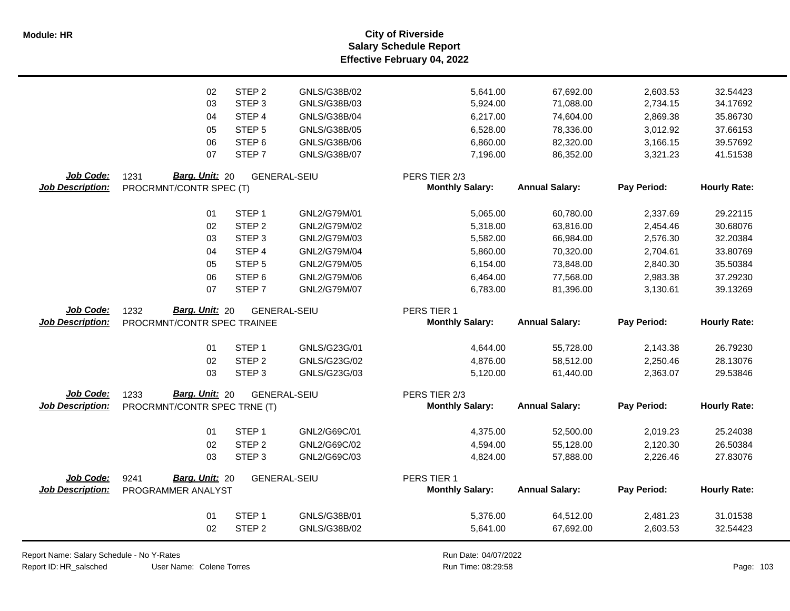**Salary Schedule Report Effective February 04, 2022 Module: HR City of Riverside**

| STEP <sub>2</sub><br>GNLS/G38B/02<br>02<br>5,641.00<br>67,692.00<br>2,603.53<br>32.54423<br>03<br>STEP <sub>3</sub><br>GNLS/G38B/03<br>5,924.00<br>71,088.00<br>2,734.15<br>34.17692<br>04<br>STEP 4<br>GNLS/G38B/04<br>74,604.00<br>2,869.38<br>35.86730<br>6,217.00<br>05<br>STEP <sub>5</sub><br>GNLS/G38B/05<br>6,528.00<br>78,336.00<br>3,012.92<br>37.66153<br>06<br>GNLS/G38B/06<br>39.57692<br>STEP <sub>6</sub><br>6,860.00<br>82,320.00<br>3,166.15<br>07<br>STEP <sub>7</sub><br>GNLS/G38B/07<br>7,196.00<br>86,352.00<br>3,321.23<br>41.51538<br>Job Code:<br>1231<br><b>Barg. Unit: 20</b><br>PERS TIER 2/3<br><b>GENERAL-SEIU</b><br><b>Annual Salary:</b><br><b>Job Description:</b><br><b>Monthly Salary:</b><br>Pay Period:<br><b>Hourly Rate:</b><br>PROCRMNT/CONTR SPEC (T) |
|------------------------------------------------------------------------------------------------------------------------------------------------------------------------------------------------------------------------------------------------------------------------------------------------------------------------------------------------------------------------------------------------------------------------------------------------------------------------------------------------------------------------------------------------------------------------------------------------------------------------------------------------------------------------------------------------------------------------------------------------------------------------------------------------|
|                                                                                                                                                                                                                                                                                                                                                                                                                                                                                                                                                                                                                                                                                                                                                                                                |
|                                                                                                                                                                                                                                                                                                                                                                                                                                                                                                                                                                                                                                                                                                                                                                                                |
|                                                                                                                                                                                                                                                                                                                                                                                                                                                                                                                                                                                                                                                                                                                                                                                                |
|                                                                                                                                                                                                                                                                                                                                                                                                                                                                                                                                                                                                                                                                                                                                                                                                |
|                                                                                                                                                                                                                                                                                                                                                                                                                                                                                                                                                                                                                                                                                                                                                                                                |
|                                                                                                                                                                                                                                                                                                                                                                                                                                                                                                                                                                                                                                                                                                                                                                                                |
|                                                                                                                                                                                                                                                                                                                                                                                                                                                                                                                                                                                                                                                                                                                                                                                                |
|                                                                                                                                                                                                                                                                                                                                                                                                                                                                                                                                                                                                                                                                                                                                                                                                |
|                                                                                                                                                                                                                                                                                                                                                                                                                                                                                                                                                                                                                                                                                                                                                                                                |
| STEP <sub>1</sub><br>01<br>GNL2/G79M/01<br>5,065.00<br>60,780.00<br>2,337.69<br>29.22115                                                                                                                                                                                                                                                                                                                                                                                                                                                                                                                                                                                                                                                                                                       |
| STEP <sub>2</sub><br>02<br>GNL2/G79M/02<br>5,318.00<br>63,816.00<br>2,454.46<br>30.68076                                                                                                                                                                                                                                                                                                                                                                                                                                                                                                                                                                                                                                                                                                       |
| STEP <sub>3</sub><br>GNL2/G79M/03<br>66,984.00<br>2,576.30<br>32.20384<br>03<br>5,582.00                                                                                                                                                                                                                                                                                                                                                                                                                                                                                                                                                                                                                                                                                                       |
| STEP 4<br>GNL2/G79M/04<br>33.80769<br>04<br>5,860.00<br>70,320.00<br>2,704.61                                                                                                                                                                                                                                                                                                                                                                                                                                                                                                                                                                                                                                                                                                                  |
| STEP <sub>5</sub><br>GNL2/G79M/05<br>73,848.00<br>2,840.30<br>35.50384<br>05<br>6,154.00                                                                                                                                                                                                                                                                                                                                                                                                                                                                                                                                                                                                                                                                                                       |
| 06<br>STEP <sub>6</sub><br>GNL2/G79M/06<br>77,568.00<br>2,983.38<br>37.29230<br>6,464.00                                                                                                                                                                                                                                                                                                                                                                                                                                                                                                                                                                                                                                                                                                       |
| 07<br>STEP <sub>7</sub><br>GNL2/G79M/07<br>3,130.61<br>39.13269<br>6,783.00<br>81,396.00                                                                                                                                                                                                                                                                                                                                                                                                                                                                                                                                                                                                                                                                                                       |
| Job Code:<br>1232<br>Barg. Unit: 20<br>PERS TIER 1                                                                                                                                                                                                                                                                                                                                                                                                                                                                                                                                                                                                                                                                                                                                             |
| <b>GENERAL-SEIU</b><br><b>Job Description:</b><br>PROCRMNT/CONTR SPEC TRAINEE<br><b>Monthly Salary:</b><br><b>Annual Salary:</b><br>Pay Period:<br><b>Hourly Rate:</b>                                                                                                                                                                                                                                                                                                                                                                                                                                                                                                                                                                                                                         |
|                                                                                                                                                                                                                                                                                                                                                                                                                                                                                                                                                                                                                                                                                                                                                                                                |
| GNLS/G23G/01<br>STEP <sub>1</sub><br>55,728.00<br>26.79230<br>01<br>4,644.00<br>2,143.38                                                                                                                                                                                                                                                                                                                                                                                                                                                                                                                                                                                                                                                                                                       |
| STEP <sub>2</sub><br>GNLS/G23G/02<br>4,876.00<br>58,512.00<br>28.13076<br>02<br>2,250.46                                                                                                                                                                                                                                                                                                                                                                                                                                                                                                                                                                                                                                                                                                       |
| 03<br>STEP <sub>3</sub><br>GNLS/G23G/03<br>29.53846<br>5,120.00<br>61,440.00<br>2,363.07                                                                                                                                                                                                                                                                                                                                                                                                                                                                                                                                                                                                                                                                                                       |
|                                                                                                                                                                                                                                                                                                                                                                                                                                                                                                                                                                                                                                                                                                                                                                                                |
| Job Code:<br>Barg. Unit: 20<br>PERS TIER 2/3<br>1233<br><b>GENERAL-SEIU</b>                                                                                                                                                                                                                                                                                                                                                                                                                                                                                                                                                                                                                                                                                                                    |
| <b>Annual Salary:</b><br><b>Job Description:</b><br><b>Monthly Salary:</b><br>Pay Period:<br><b>Hourly Rate:</b><br>PROCRMNT/CONTR SPEC TRNE (T)                                                                                                                                                                                                                                                                                                                                                                                                                                                                                                                                                                                                                                               |
| STEP <sub>1</sub><br>GNL2/G69C/01<br>01<br>4,375.00<br>52,500.00<br>2,019.23<br>25.24038                                                                                                                                                                                                                                                                                                                                                                                                                                                                                                                                                                                                                                                                                                       |
| GNL2/G69C/02<br>02<br>STEP <sub>2</sub><br>4,594.00<br>55,128.00<br>2,120.30<br>26.50384                                                                                                                                                                                                                                                                                                                                                                                                                                                                                                                                                                                                                                                                                                       |
| 03<br>STEP 3<br>GNL2/G69C/03<br>4,824.00<br>57,888.00<br>2,226.46<br>27.83076                                                                                                                                                                                                                                                                                                                                                                                                                                                                                                                                                                                                                                                                                                                  |
|                                                                                                                                                                                                                                                                                                                                                                                                                                                                                                                                                                                                                                                                                                                                                                                                |
| Job Code:<br>Barg. Unit: 20<br>PERS TIER 1<br>9241<br>GENERAL-SEIU                                                                                                                                                                                                                                                                                                                                                                                                                                                                                                                                                                                                                                                                                                                             |
| <b>Annual Salary:</b><br>Pay Period:<br><b>Hourly Rate:</b><br><b>Job Description:</b><br>PROGRAMMER ANALYST<br><b>Monthly Salary:</b>                                                                                                                                                                                                                                                                                                                                                                                                                                                                                                                                                                                                                                                         |
|                                                                                                                                                                                                                                                                                                                                                                                                                                                                                                                                                                                                                                                                                                                                                                                                |
| GNLS/G38B/01<br>01<br>STEP <sub>1</sub><br>5,376.00<br>64,512.00<br>31.01538<br>2,481.23                                                                                                                                                                                                                                                                                                                                                                                                                                                                                                                                                                                                                                                                                                       |
| STEP <sub>2</sub><br>02<br>GNLS/G38B/02<br>5,641.00<br>67,692.00<br>2,603.53<br>32.54423                                                                                                                                                                                                                                                                                                                                                                                                                                                                                                                                                                                                                                                                                                       |

Report Name: Salary Schedule - No Y-Rates

Report ID: HR\_salsched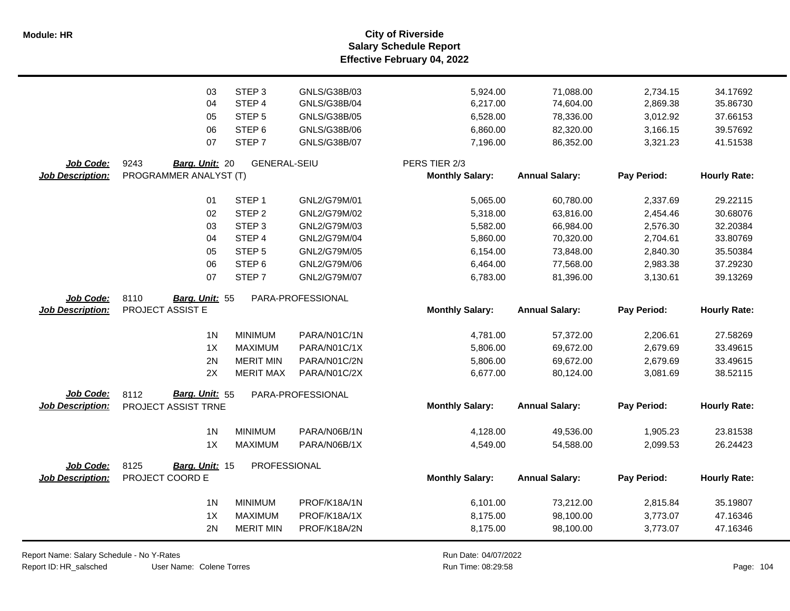**Salary Schedule Report Effective February 04, 2022 Module: HR City of Riverside**

|                         | 03                     | STEP <sub>3</sub>   | GNLS/G38B/03      | 5,924.00               | 71,088.00             | 2,734.15    | 34.17692            |
|-------------------------|------------------------|---------------------|-------------------|------------------------|-----------------------|-------------|---------------------|
|                         | 04                     | STEP 4              | GNLS/G38B/04      | 6,217.00               | 74,604.00             | 2,869.38    | 35.86730            |
|                         | 05                     | STEP <sub>5</sub>   | GNLS/G38B/05      | 6,528.00               | 78,336.00             | 3,012.92    | 37.66153            |
|                         | 06                     | STEP <sub>6</sub>   | GNLS/G38B/06      | 6,860.00               | 82,320.00             | 3,166.15    | 39.57692            |
|                         | 07                     | STEP <sub>7</sub>   | GNLS/G38B/07      | 7,196.00               | 86,352.00             | 3,321.23    | 41.51538            |
|                         |                        |                     |                   |                        |                       |             |                     |
| Job Code:               | 9243<br>Barg. Unit: 20 | <b>GENERAL-SEIU</b> |                   | PERS TIER 2/3          |                       |             |                     |
| <b>Job Description:</b> | PROGRAMMER ANALYST (T) |                     |                   | <b>Monthly Salary:</b> | <b>Annual Salary:</b> | Pay Period: | <b>Hourly Rate:</b> |
|                         |                        |                     |                   |                        |                       |             |                     |
|                         | 01                     | STEP <sub>1</sub>   | GNL2/G79M/01      | 5,065.00               | 60,780.00             | 2,337.69    | 29.22115            |
|                         | 02                     | STEP <sub>2</sub>   | GNL2/G79M/02      | 5,318.00               | 63,816.00             | 2,454.46    | 30.68076            |
|                         | 03                     | STEP <sub>3</sub>   | GNL2/G79M/03      | 5,582.00               | 66,984.00             | 2,576.30    | 32.20384            |
|                         | 04                     | STEP 4              | GNL2/G79M/04      | 5,860.00               | 70,320.00             | 2,704.61    | 33.80769            |
|                         | 05                     | STEP <sub>5</sub>   | GNL2/G79M/05      | 6,154.00               | 73,848.00             | 2,840.30    | 35.50384            |
|                         | 06                     | STEP <sub>6</sub>   | GNL2/G79M/06      | 6,464.00               | 77,568.00             | 2,983.38    | 37.29230            |
|                         | 07                     | STEP <sub>7</sub>   | GNL2/G79M/07      | 6,783.00               | 81,396.00             | 3,130.61    | 39.13269            |
| Job Code:               | 8110<br>Barg. Unit: 55 |                     | PARA-PROFESSIONAL |                        |                       |             |                     |
| <b>Job Description:</b> | PROJECT ASSIST E       |                     |                   | <b>Monthly Salary:</b> | <b>Annual Salary:</b> | Pay Period: | <b>Hourly Rate:</b> |
|                         |                        |                     |                   |                        |                       |             |                     |
|                         | 1 <sub>N</sub>         | <b>MINIMUM</b>      | PARA/N01C/1N      | 4,781.00               | 57,372.00             | 2,206.61    | 27.58269            |
|                         | 1X                     | <b>MAXIMUM</b>      | PARA/N01C/1X      | 5,806.00               | 69,672.00             | 2,679.69    | 33.49615            |
|                         | 2N                     | <b>MERIT MIN</b>    | PARA/N01C/2N      | 5,806.00               | 69,672.00             | 2,679.69    | 33.49615            |
|                         | 2X                     | <b>MERIT MAX</b>    | PARA/N01C/2X      | 6,677.00               | 80,124.00             | 3,081.69    | 38.52115            |
|                         |                        |                     |                   |                        |                       |             |                     |
| Job Code:               | Barg. Unit: 55<br>8112 |                     | PARA-PROFESSIONAL | <b>Monthly Salary:</b> | <b>Annual Salary:</b> | Pay Period: | <b>Hourly Rate:</b> |
| <b>Job Description:</b> | PROJECT ASSIST TRNE    |                     |                   |                        |                       |             |                     |
|                         | 1 <sub>N</sub>         | <b>MINIMUM</b>      | PARA/N06B/1N      | 4,128.00               | 49,536.00             | 1,905.23    | 23.81538            |
|                         | 1X                     | <b>MAXIMUM</b>      | PARA/N06B/1X      | 4,549.00               | 54,588.00             | 2,099.53    | 26.24423            |
|                         |                        |                     |                   |                        |                       |             |                     |
| Job Code:               | 8125<br>Barg. Unit: 15 | PROFESSIONAL        |                   |                        |                       |             |                     |
| <b>Job Description:</b> | PROJECT COORD E        |                     |                   | <b>Monthly Salary:</b> | <b>Annual Salary:</b> | Pay Period: | <b>Hourly Rate:</b> |
|                         | 1 <sub>N</sub>         | <b>MINIMUM</b>      | PROF/K18A/1N      | 6,101.00               | 73,212.00             | 2,815.84    | 35.19807            |
|                         | 1X                     | <b>MAXIMUM</b>      | PROF/K18A/1X      | 8,175.00               | 98,100.00             | 3,773.07    | 47.16346            |
|                         | 2N                     | <b>MERIT MIN</b>    | PROF/K18A/2N      | 8,175.00               | 98,100.00             | 3,773.07    | 47.16346            |
|                         |                        |                     |                   |                        |                       |             |                     |

Report Name: Salary Schedule - No Y-Rates Report ID: HR\_salsched

 $\overline{\phantom{0}}$ 

User Name: Colene Torres

Run Date: 04/07/2022 08:29:58 Colene Torres Run Time: Page: 104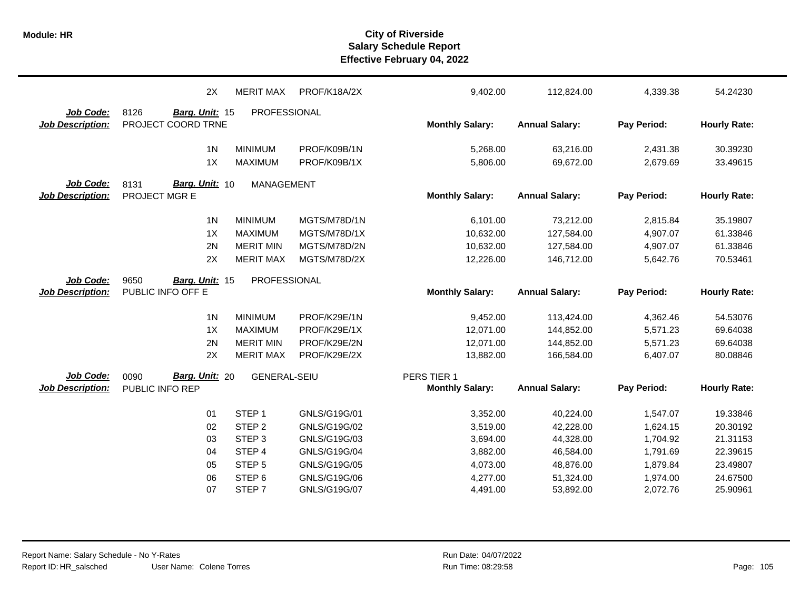|                         | 2X                     | <b>MERIT MAX</b>    | PROF/K18A/2X | 9,402.00               | 112,824.00            | 4,339.38    | 54.24230            |
|-------------------------|------------------------|---------------------|--------------|------------------------|-----------------------|-------------|---------------------|
| Job Code:               | 8126<br>Barg. Unit: 15 | PROFESSIONAL        |              |                        |                       |             |                     |
| <b>Job Description:</b> | PROJECT COORD TRNE     |                     |              | <b>Monthly Salary:</b> | <b>Annual Salary:</b> | Pay Period: | <b>Hourly Rate:</b> |
|                         | 1 <sub>N</sub>         | <b>MINIMUM</b>      | PROF/K09B/1N | 5,268.00               | 63,216.00             | 2,431.38    | 30.39230            |
|                         | 1X                     | <b>MAXIMUM</b>      | PROF/K09B/1X | 5,806.00               | 69,672.00             | 2,679.69    | 33.49615            |
| Job Code:               | Barg. Unit: 10<br>8131 | <b>MANAGEMENT</b>   |              |                        |                       |             |                     |
| <b>Job Description:</b> | PROJECT MGR E          |                     |              | <b>Monthly Salary:</b> | <b>Annual Salary:</b> | Pay Period: | <b>Hourly Rate:</b> |
|                         | 1 <sub>N</sub>         | <b>MINIMUM</b>      | MGTS/M78D/1N | 6,101.00               | 73,212.00             | 2,815.84    | 35.19807            |
|                         | 1X                     | <b>MAXIMUM</b>      | MGTS/M78D/1X | 10,632.00              | 127,584.00            | 4,907.07    | 61.33846            |
|                         | 2N                     | <b>MERIT MIN</b>    | MGTS/M78D/2N | 10,632.00              | 127,584.00            | 4,907.07    | 61.33846            |
|                         | 2X                     | <b>MERIT MAX</b>    | MGTS/M78D/2X | 12,226.00              | 146,712.00            | 5,642.76    | 70.53461            |
| Job Code:               | 9650<br>Barg. Unit: 15 | <b>PROFESSIONAL</b> |              |                        |                       |             |                     |
| <b>Job Description:</b> | PUBLIC INFO OFF E      |                     |              | <b>Monthly Salary:</b> | <b>Annual Salary:</b> | Pay Period: | <b>Hourly Rate:</b> |
|                         | 1 <sub>N</sub>         | <b>MINIMUM</b>      | PROF/K29E/1N | 9,452.00               | 113,424.00            | 4,362.46    | 54.53076            |
|                         | 1X                     | <b>MAXIMUM</b>      | PROF/K29E/1X | 12,071.00              | 144,852.00            | 5,571.23    | 69.64038            |
|                         | 2N                     | <b>MERIT MIN</b>    | PROF/K29E/2N | 12,071.00              | 144,852.00            | 5,571.23    | 69.64038            |
|                         | 2X                     | <b>MERIT MAX</b>    | PROF/K29E/2X | 13,882.00              | 166,584.00            | 6,407.07    | 80.08846            |
| Job Code:               | 0090<br>Barg. Unit: 20 | <b>GENERAL-SEIU</b> |              | PERS TIER 1            |                       |             |                     |
| <b>Job Description:</b> | PUBLIC INFO REP        |                     |              | <b>Monthly Salary:</b> | <b>Annual Salary:</b> | Pay Period: | <b>Hourly Rate:</b> |
|                         | 01                     | STEP <sub>1</sub>   | GNLS/G19G/01 | 3,352.00               | 40,224.00             | 1,547.07    | 19.33846            |
|                         | 02                     | STEP <sub>2</sub>   | GNLS/G19G/02 | 3,519.00               | 42,228.00             | 1,624.15    | 20.30192            |
|                         | 03                     | STEP <sub>3</sub>   | GNLS/G19G/03 | 3,694.00               | 44,328.00             | 1,704.92    | 21.31153            |
|                         | 04                     | STEP 4              | GNLS/G19G/04 | 3,882.00               | 46,584.00             | 1,791.69    | 22.39615            |
|                         | 05                     | STEP <sub>5</sub>   | GNLS/G19G/05 | 4,073.00               | 48,876.00             | 1,879.84    | 23.49807            |
|                         | 06                     | STEP <sub>6</sub>   | GNLS/G19G/06 | 4,277.00               | 51,324.00             | 1,974.00    | 24.67500            |
|                         | 07                     | STEP <sub>7</sub>   | GNLS/G19G/07 | 4,491.00               | 53,892.00             | 2,072.76    | 25.90961            |
|                         |                        |                     |              |                        |                       |             |                     |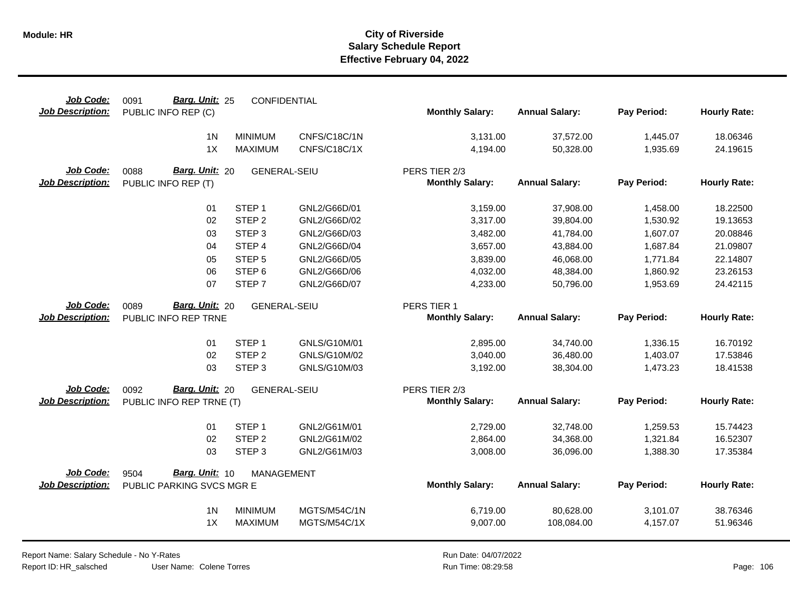| Job Code:<br><b>Job Description:</b> | Barg. Unit: 25<br>0091<br>PUBLIC INFO REP (C) | <b>CONFIDENTIAL</b> |              | <b>Monthly Salary:</b> | <b>Annual Salary:</b> | Pay Period: | <b>Hourly Rate:</b> |
|--------------------------------------|-----------------------------------------------|---------------------|--------------|------------------------|-----------------------|-------------|---------------------|
|                                      | 1 <sub>N</sub>                                | <b>MINIMUM</b>      | CNFS/C18C/1N | 3,131.00               | 37,572.00             | 1,445.07    | 18.06346            |
|                                      | 1X                                            | <b>MAXIMUM</b>      | CNFS/C18C/1X | 4,194.00               | 50,328.00             | 1,935.69    | 24.19615            |
| Job Code:                            | Barg. Unit: 20<br>0088                        | <b>GENERAL-SEIU</b> |              | PERS TIER 2/3          |                       |             |                     |
| <b>Job Description:</b>              | PUBLIC INFO REP (T)                           |                     |              | <b>Monthly Salary:</b> | <b>Annual Salary:</b> | Pay Period: | <b>Hourly Rate:</b> |
|                                      | 01                                            | STEP <sub>1</sub>   | GNL2/G66D/01 | 3,159.00               | 37,908.00             | 1,458.00    | 18.22500            |
|                                      | 02                                            | STEP <sub>2</sub>   | GNL2/G66D/02 | 3,317.00               | 39,804.00             | 1,530.92    | 19.13653            |
|                                      | 03                                            | STEP <sub>3</sub>   | GNL2/G66D/03 | 3,482.00               | 41,784.00             | 1,607.07    | 20.08846            |
|                                      | 04                                            | STEP <sub>4</sub>   | GNL2/G66D/04 | 3,657.00               | 43,884.00             | 1,687.84    | 21.09807            |
|                                      | 05                                            | STEP <sub>5</sub>   | GNL2/G66D/05 | 3,839.00               | 46,068.00             | 1,771.84    | 22.14807            |
|                                      | 06                                            | STEP <sub>6</sub>   | GNL2/G66D/06 | 4,032.00               | 48,384.00             | 1,860.92    | 23.26153            |
|                                      | 07                                            | STEP <sub>7</sub>   | GNL2/G66D/07 | 4,233.00               | 50,796.00             | 1,953.69    | 24.42115            |
| Job Code:                            | Barg. Unit: 20<br>0089                        | <b>GENERAL-SEIU</b> |              | PERS TIER 1            |                       |             |                     |
| <b>Job Description:</b>              | PUBLIC INFO REP TRNE                          |                     |              | <b>Monthly Salary:</b> | <b>Annual Salary:</b> | Pay Period: | <b>Hourly Rate:</b> |
|                                      | 01                                            | STEP <sub>1</sub>   | GNLS/G10M/01 | 2,895.00               | 34,740.00             | 1,336.15    | 16.70192            |
|                                      | 02                                            | STEP <sub>2</sub>   | GNLS/G10M/02 | 3,040.00               | 36,480.00             | 1,403.07    | 17.53846            |
|                                      | 03                                            | STEP <sub>3</sub>   | GNLS/G10M/03 | 3,192.00               | 38,304.00             | 1,473.23    | 18.41538            |
| <b>Job Code:</b>                     | Barg. Unit: 20<br>0092                        | <b>GENERAL-SEIU</b> |              | PERS TIER 2/3          |                       |             |                     |
| <b>Job Description:</b>              | PUBLIC INFO REP TRNE (T)                      |                     |              | <b>Monthly Salary:</b> | <b>Annual Salary:</b> | Pay Period: | <b>Hourly Rate:</b> |
|                                      | 01                                            | STEP <sub>1</sub>   | GNL2/G61M/01 | 2,729.00               | 32,748.00             | 1,259.53    | 15.74423            |
|                                      | 02                                            | STEP <sub>2</sub>   | GNL2/G61M/02 | 2,864.00               | 34,368.00             | 1,321.84    | 16.52307            |
|                                      | 03                                            | STEP <sub>3</sub>   | GNL2/G61M/03 | 3,008.00               | 36,096.00             | 1,388.30    | 17.35384            |
| <b>Job Code:</b>                     | Barg. Unit: 10<br>9504                        | MANAGEMENT          |              |                        |                       |             |                     |
| <b>Job Description:</b>              | PUBLIC PARKING SVCS MGR E                     |                     |              | <b>Monthly Salary:</b> | <b>Annual Salary:</b> | Pay Period: | <b>Hourly Rate:</b> |
|                                      | 1 <sub>N</sub>                                | <b>MINIMUM</b>      | MGTS/M54C/1N | 6,719.00               | 80,628.00             | 3,101.07    | 38.76346            |
|                                      | 1X                                            | <b>MAXIMUM</b>      | MGTS/M54C/1X | 9,007.00               | 108,084.00            | 4,157.07    | 51.96346            |
|                                      |                                               |                     |              |                        |                       |             |                     |

Report Name: Salary Schedule - No Y-Rates Report ID: HR\_salsched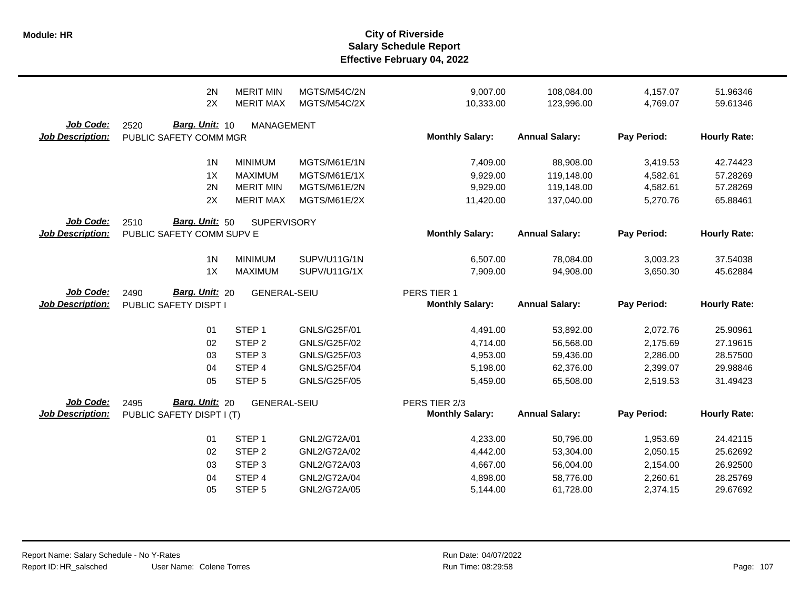|                                             | 2N                                                         | <b>MERIT MIN</b>    | MGTS/M54C/2N        | 9,007.00                                | 108,084.00            | 4,157.07    | 51.96346            |
|---------------------------------------------|------------------------------------------------------------|---------------------|---------------------|-----------------------------------------|-----------------------|-------------|---------------------|
|                                             | 2X                                                         | <b>MERIT MAX</b>    | MGTS/M54C/2X        | 10,333.00                               | 123,996.00            | 4,769.07    | 59.61346            |
| Job Code:<br><b>Job Description:</b>        | Barg. Unit: 10<br>2520<br>PUBLIC SAFETY COMM MGR           | <b>MANAGEMENT</b>   |                     | <b>Monthly Salary:</b>                  | <b>Annual Salary:</b> | Pay Period: | <b>Hourly Rate:</b> |
|                                             | 1 <sup>N</sup>                                             | <b>MINIMUM</b>      | MGTS/M61E/1N        | 7,409.00                                | 88,908.00             | 3,419.53    | 42.74423            |
|                                             | 1X                                                         | <b>MAXIMUM</b>      | MGTS/M61E/1X        | 9,929.00                                | 119,148.00            | 4,582.61    | 57.28269            |
|                                             | 2N                                                         | <b>MERIT MIN</b>    | MGTS/M61E/2N        | 9,929.00                                | 119,148.00            | 4,582.61    | 57.28269            |
|                                             | 2X                                                         | <b>MERIT MAX</b>    | MGTS/M61E/2X        | 11,420.00                               | 137,040.00            | 5,270.76    | 65.88461            |
| <b>Job Code:</b><br><b>Job Description:</b> | <b>Barg. Unit: 50</b><br>2510<br>PUBLIC SAFETY COMM SUPV E | <b>SUPERVISORY</b>  |                     | <b>Monthly Salary:</b>                  | <b>Annual Salary:</b> | Pay Period: | <b>Hourly Rate:</b> |
|                                             | 1 <sub>N</sub>                                             | <b>MINIMUM</b>      | SUPV/U11G/1N        | 6,507.00                                | 78,084.00             | 3,003.23    | 37.54038            |
|                                             | 1X                                                         | <b>MAXIMUM</b>      | SUPV/U11G/1X        | 7,909.00                                | 94,908.00             | 3,650.30    | 45.62884            |
| Job Code:<br><b>Job Description:</b>        | Barg. Unit: 20<br>2490<br>PUBLIC SAFETY DISPT I            | <b>GENERAL-SEIU</b> |                     | PERS TIER 1<br><b>Monthly Salary:</b>   | <b>Annual Salary:</b> | Pay Period: | <b>Hourly Rate:</b> |
|                                             | 01                                                         | STEP <sub>1</sub>   | GNLS/G25F/01        | 4,491.00                                | 53,892.00             | 2,072.76    | 25.90961            |
|                                             | 02                                                         | STEP <sub>2</sub>   | <b>GNLS/G25F/02</b> | 4,714.00                                | 56,568.00             | 2,175.69    | 27.19615            |
|                                             | 03                                                         | STEP <sub>3</sub>   | GNLS/G25F/03        | 4,953.00                                | 59,436.00             | 2,286.00    | 28.57500            |
|                                             | 04                                                         | STEP 4              | <b>GNLS/G25F/04</b> | 5,198.00                                | 62,376.00             | 2,399.07    | 29.98846            |
|                                             | 05                                                         | STEP <sub>5</sub>   | <b>GNLS/G25F/05</b> | 5,459.00                                | 65,508.00             | 2,519.53    | 31.49423            |
| Job Code:<br><b>Job Description:</b>        | Barg. Unit: 20<br>2495<br>PUBLIC SAFETY DISPT I (T)        | <b>GENERAL-SEIU</b> |                     | PERS TIER 2/3<br><b>Monthly Salary:</b> | <b>Annual Salary:</b> | Pay Period: | <b>Hourly Rate:</b> |
|                                             | 01                                                         | STEP <sub>1</sub>   | GNL2/G72A/01        | 4,233.00                                | 50,796.00             | 1,953.69    | 24.42115            |
|                                             | 02                                                         | STEP <sub>2</sub>   | GNL2/G72A/02        | 4,442.00                                | 53,304.00             | 2,050.15    | 25.62692            |
|                                             | 03                                                         | STEP <sub>3</sub>   | GNL2/G72A/03        | 4,667.00                                | 56,004.00             | 2,154.00    | 26.92500            |
|                                             | 04                                                         | STEP <sub>4</sub>   | GNL2/G72A/04        | 4,898.00                                | 58,776.00             | 2,260.61    | 28.25769            |
|                                             | 05                                                         | STEP <sub>5</sub>   | GNL2/G72A/05        | 5,144.00                                | 61,728.00             | 2,374.15    | 29.67692            |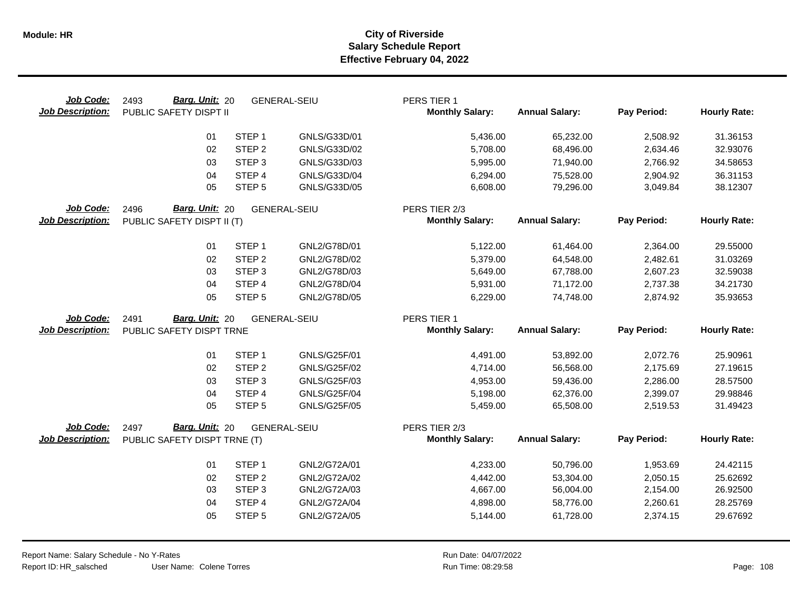| Job Code:<br><b>Job Description:</b> | Barg. Unit: 20<br>2493<br>PUBLIC SAFETY DISPT II |                   | <b>GENERAL-SEIU</b> | PERS TIER 1<br><b>Monthly Salary:</b> | <b>Annual Salary:</b> | Pay Period: | <b>Hourly Rate:</b> |
|--------------------------------------|--------------------------------------------------|-------------------|---------------------|---------------------------------------|-----------------------|-------------|---------------------|
|                                      | 01                                               | STEP <sub>1</sub> | GNLS/G33D/01        | 5,436.00                              | 65,232.00             | 2,508.92    | 31.36153            |
|                                      | 02                                               | STEP <sub>2</sub> | GNLS/G33D/02        | 5,708.00                              | 68,496.00             | 2,634.46    | 32.93076            |
|                                      | 03                                               | STEP <sub>3</sub> | GNLS/G33D/03        | 5,995.00                              | 71,940.00             | 2,766.92    | 34.58653            |
|                                      | 04                                               | STEP 4            | GNLS/G33D/04        | 6,294.00                              | 75,528.00             | 2,904.92    | 36.31153            |
|                                      | 05                                               | STEP <sub>5</sub> | GNLS/G33D/05        | 6,608.00                              | 79,296.00             | 3,049.84    | 38.12307            |
| Job Code:                            | Barg. Unit: 20<br><b>GENERAL-SEIU</b><br>2496    |                   |                     | PERS TIER 2/3                         |                       |             |                     |
| <b>Job Description:</b>              | PUBLIC SAFETY DISPT II (T)                       |                   |                     | <b>Monthly Salary:</b>                | <b>Annual Salary:</b> | Pay Period: | <b>Hourly Rate:</b> |
|                                      | 01                                               | STEP <sub>1</sub> | GNL2/G78D/01        | 5,122.00                              | 61,464.00             | 2,364.00    | 29.55000            |
|                                      | 02                                               | STEP <sub>2</sub> | GNL2/G78D/02        | 5,379.00                              | 64,548.00             | 2,482.61    | 31.03269            |
|                                      | 03                                               | STEP <sub>3</sub> | GNL2/G78D/03        | 5,649.00                              | 67,788.00             | 2,607.23    | 32.59038            |
|                                      | 04                                               | STEP 4            | GNL2/G78D/04        | 5,931.00                              | 71,172.00             | 2,737.38    | 34.21730            |
|                                      | 05                                               | STEP <sub>5</sub> | GNL2/G78D/05        | 6,229.00                              | 74,748.00             | 2,874.92    | 35.93653            |
| Job Code:                            | Barg. Unit: 20<br>2491                           |                   | <b>GENERAL-SEIU</b> | PERS TIER 1                           |                       |             |                     |
| <b>Job Description:</b>              | PUBLIC SAFETY DISPT TRNE                         |                   |                     | <b>Monthly Salary:</b>                | <b>Annual Salary:</b> | Pay Period: | <b>Hourly Rate:</b> |
|                                      |                                                  |                   |                     |                                       |                       |             |                     |
|                                      |                                                  |                   |                     |                                       |                       |             |                     |
|                                      | 01                                               | STEP <sub>1</sub> | GNLS/G25F/01        | 4,491.00                              | 53,892.00             | 2,072.76    | 25.90961            |
|                                      | 02                                               | STEP <sub>2</sub> | GNLS/G25F/02        | 4,714.00                              | 56,568.00             | 2,175.69    | 27.19615            |
|                                      | 03                                               | STEP <sub>3</sub> | GNLS/G25F/03        | 4,953.00                              | 59,436.00             | 2,286.00    | 28.57500            |
|                                      | 04                                               | STEP <sub>4</sub> | <b>GNLS/G25F/04</b> | 5,198.00                              | 62,376.00             | 2,399.07    | 29.98846            |
|                                      | 05                                               | STEP <sub>5</sub> | <b>GNLS/G25F/05</b> | 5,459.00                              | 65,508.00             | 2,519.53    | 31.49423            |
| Job Code:                            | Barg. Unit: 20<br>2497                           |                   | <b>GENERAL-SEIU</b> | PERS TIER 2/3                         |                       |             |                     |
| <b>Job Description:</b>              | PUBLIC SAFETY DISPT TRNE (T)                     |                   |                     | <b>Monthly Salary:</b>                | <b>Annual Salary:</b> | Pay Period: | <b>Hourly Rate:</b> |
|                                      |                                                  |                   |                     |                                       |                       |             |                     |
|                                      | 01                                               | STEP <sub>1</sub> | GNL2/G72A/01        | 4,233.00                              | 50,796.00             | 1,953.69    | 24.42115            |
|                                      | 02                                               | STEP <sub>2</sub> | GNL2/G72A/02        | 4,442.00                              | 53,304.00             | 2,050.15    | 25.62692            |
|                                      | 03                                               | STEP <sub>3</sub> | GNL2/G72A/03        | 4,667.00                              | 56,004.00             | 2,154.00    | 26.92500            |
|                                      | 04                                               | STEP <sub>4</sub> | GNL2/G72A/04        | 4,898.00                              | 58,776.00             | 2,260.61    | 28.25769            |
|                                      | 05                                               | STEP <sub>5</sub> | GNL2/G72A/05        | 5,144.00                              | 61,728.00             | 2,374.15    | 29.67692            |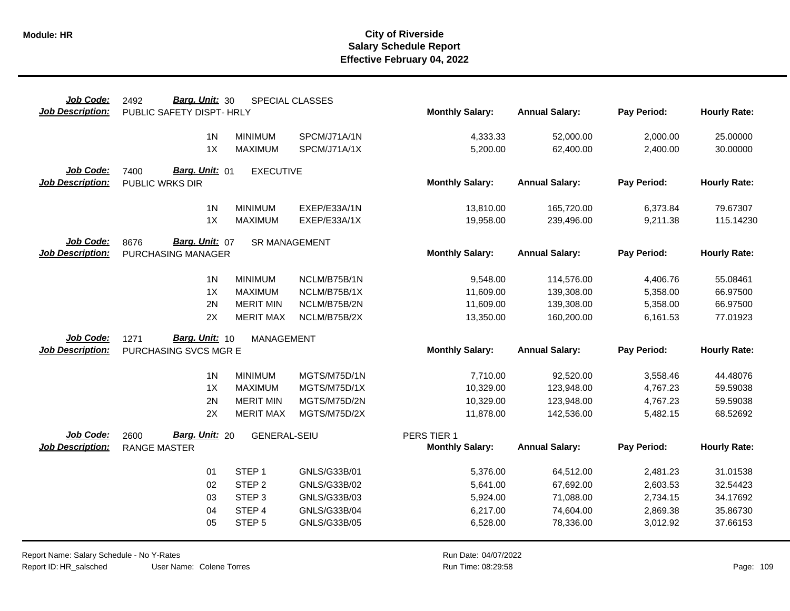| Job Code:               | Barg. Unit: 30<br>2492        |                      | <b>SPECIAL CLASSES</b> |                        |                       |             |                     |
|-------------------------|-------------------------------|----------------------|------------------------|------------------------|-----------------------|-------------|---------------------|
| <b>Job Description:</b> | PUBLIC SAFETY DISPT- HRLY     |                      |                        | <b>Monthly Salary:</b> | <b>Annual Salary:</b> | Pay Period: | <b>Hourly Rate:</b> |
|                         | 1 <sub>N</sub>                | <b>MINIMUM</b>       | SPCM/J71A/1N           | 4,333.33               | 52,000.00             | 2,000.00    | 25.00000            |
|                         | 1X                            | <b>MAXIMUM</b>       | SPCM/J71A/1X           | 5,200.00               | 62,400.00             | 2,400.00    | 30.00000            |
|                         |                               |                      |                        |                        |                       |             |                     |
| Job Code:               | Barg. Unit: 01<br>7400        | <b>EXECUTIVE</b>     |                        |                        |                       |             |                     |
| <b>Job Description:</b> | PUBLIC WRKS DIR               |                      |                        | <b>Monthly Salary:</b> | <b>Annual Salary:</b> | Pay Period: | <b>Hourly Rate:</b> |
|                         | 1 <sub>N</sub>                | <b>MINIMUM</b>       | EXEP/E33A/1N           | 13,810.00              | 165,720.00            | 6,373.84    | 79.67307            |
|                         | 1X                            | <b>MAXIMUM</b>       | EXEP/E33A/1X           | 19,958.00              | 239,496.00            | 9,211.38    | 115.14230           |
|                         |                               |                      |                        |                        |                       |             |                     |
| Job Code:               | Barg. Unit: 07<br>8676        | <b>SR MANAGEMENT</b> |                        |                        |                       |             |                     |
| <b>Job Description:</b> | PURCHASING MANAGER            |                      |                        | <b>Monthly Salary:</b> | <b>Annual Salary:</b> | Pay Period: | <b>Hourly Rate:</b> |
|                         | 1 <sub>N</sub>                | <b>MINIMUM</b>       | NCLM/B75B/1N           | 9,548.00               | 114,576.00            | 4,406.76    | 55.08461            |
|                         | 1X                            | <b>MAXIMUM</b>       | NCLM/B75B/1X           | 11,609.00              | 139,308.00            | 5,358.00    | 66.97500            |
|                         | 2N                            | <b>MERIT MIN</b>     | NCLM/B75B/2N           | 11,609.00              | 139,308.00            | 5,358.00    | 66.97500            |
|                         | 2X                            | <b>MERIT MAX</b>     | NCLM/B75B/2X           | 13,350.00              | 160,200.00            | 6,161.53    | 77.01923            |
| Job Code:               | Barg. Unit: 10                |                      |                        |                        |                       |             |                     |
| <b>Job Description:</b> | 1271<br>PURCHASING SVCS MGR E | <b>MANAGEMENT</b>    |                        | <b>Monthly Salary:</b> | <b>Annual Salary:</b> | Pay Period: | <b>Hourly Rate:</b> |
|                         |                               |                      |                        |                        |                       |             |                     |
|                         | 1 <sub>N</sub>                | <b>MINIMUM</b>       | MGTS/M75D/1N           | 7,710.00               | 92,520.00             | 3,558.46    | 44.48076            |
|                         | 1X                            | <b>MAXIMUM</b>       | MGTS/M75D/1X           | 10,329.00              | 123,948.00            | 4,767.23    | 59.59038            |
|                         | 2N                            | <b>MERIT MIN</b>     | MGTS/M75D/2N           | 10,329.00              | 123,948.00            | 4,767.23    | 59.59038            |
|                         | 2X                            | <b>MERIT MAX</b>     | MGTS/M75D/2X           | 11,878.00              | 142,536.00            | 5,482.15    | 68.52692            |
| Job Code:               | Barg. Unit: 20<br>2600        | <b>GENERAL-SEIU</b>  |                        | PERS TIER 1            |                       |             |                     |
| <b>Job Description:</b> | <b>RANGE MASTER</b>           |                      |                        | <b>Monthly Salary:</b> | <b>Annual Salary:</b> | Pay Period: | <b>Hourly Rate:</b> |
|                         |                               |                      |                        |                        |                       |             |                     |
|                         | 01                            | STEP <sub>1</sub>    | GNLS/G33B/01           | 5,376.00               | 64,512.00             | 2,481.23    | 31.01538            |
|                         | 02                            | STEP <sub>2</sub>    | GNLS/G33B/02           | 5,641.00               | 67,692.00             | 2,603.53    | 32.54423            |
|                         | 03                            | STEP <sub>3</sub>    | GNLS/G33B/03           | 5,924.00               | 71,088.00             | 2,734.15    | 34.17692            |
|                         | 04                            | STEP 4               | GNLS/G33B/04           | 6,217.00               | 74,604.00             | 2,869.38    | 35.86730            |
|                         | 05                            | STEP <sub>5</sub>    | GNLS/G33B/05           | 6,528.00               | 78,336.00             | 3,012.92    | 37.66153            |
|                         |                               |                      |                        |                        |                       |             |                     |

Report Name: Salary Schedule - No Y-Rates Report ID: HR\_salsched

User Name: Colene Torres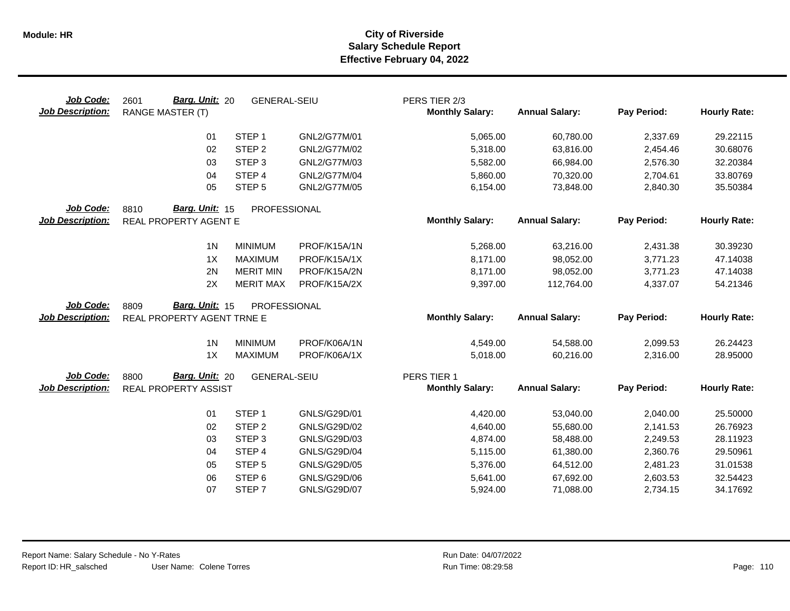| Job Code:<br><b>Job Description:</b> | Barg. Unit: 20<br>2601<br><b>RANGE MASTER (T)</b> | <b>GENERAL-SEIU</b> |              | PERS TIER 2/3<br><b>Monthly Salary:</b> | <b>Annual Salary:</b> | Pay Period: | <b>Hourly Rate:</b> |
|--------------------------------------|---------------------------------------------------|---------------------|--------------|-----------------------------------------|-----------------------|-------------|---------------------|
|                                      | 01                                                | STEP <sub>1</sub>   | GNL2/G77M/01 | 5,065.00                                | 60,780.00             | 2,337.69    | 29.22115            |
|                                      | 02                                                | STEP <sub>2</sub>   | GNL2/G77M/02 | 5,318.00                                | 63,816.00             | 2,454.46    | 30.68076            |
|                                      | 03                                                | STEP <sub>3</sub>   | GNL2/G77M/03 | 5,582.00                                | 66,984.00             | 2,576.30    | 32.20384            |
|                                      | 04                                                | STEP 4              | GNL2/G77M/04 | 5,860.00                                | 70,320.00             | 2,704.61    | 33.80769            |
|                                      | 05                                                | STEP <sub>5</sub>   | GNL2/G77M/05 | 6,154.00                                | 73,848.00             | 2,840.30    | 35.50384            |
| Job Code:                            | Barg. Unit: 15<br>8810                            | PROFESSIONAL        |              |                                         |                       |             |                     |
| <b>Job Description:</b>              | REAL PROPERTY AGENT E                             |                     |              | <b>Monthly Salary:</b>                  | <b>Annual Salary:</b> | Pay Period: | <b>Hourly Rate:</b> |
|                                      | 1 <sub>N</sub>                                    | <b>MINIMUM</b>      | PROF/K15A/1N | 5,268.00                                | 63,216.00             | 2,431.38    | 30.39230            |
|                                      | 1X                                                | <b>MAXIMUM</b>      | PROF/K15A/1X | 8,171.00                                | 98,052.00             | 3,771.23    | 47.14038            |
|                                      | 2N                                                | <b>MERIT MIN</b>    | PROF/K15A/2N | 8,171.00                                | 98,052.00             | 3,771.23    | 47.14038            |
|                                      | 2X                                                | <b>MERIT MAX</b>    | PROF/K15A/2X | 9,397.00                                | 112,764.00            | 4,337.07    | 54.21346            |
| Job Code:                            | Barg. Unit: 15<br>8809                            | PROFESSIONAL        |              |                                         |                       |             |                     |
| <b>Job Description:</b>              | REAL PROPERTY AGENT TRNE E                        |                     |              | <b>Monthly Salary:</b>                  | <b>Annual Salary:</b> | Pay Period: | <b>Hourly Rate:</b> |
|                                      |                                                   |                     |              |                                         |                       |             |                     |
|                                      | 1 <sub>N</sub>                                    | <b>MINIMUM</b>      | PROF/K06A/1N | 4,549.00                                | 54,588.00             | 2,099.53    | 26.24423            |
|                                      | 1X                                                | <b>MAXIMUM</b>      | PROF/K06A/1X | 5,018.00                                | 60,216.00             | 2,316.00    | 28.95000            |
| Job Code:                            | Barg. Unit: 20<br>8800                            | <b>GENERAL-SEIU</b> |              | PERS TIER 1                             |                       |             |                     |
| <b>Job Description:</b>              | REAL PROPERTY ASSIST                              |                     |              | <b>Monthly Salary:</b>                  | <b>Annual Salary:</b> | Pay Period: | <b>Hourly Rate:</b> |
|                                      | 01                                                | STEP <sub>1</sub>   | GNLS/G29D/01 | 4,420.00                                | 53,040.00             | 2,040.00    | 25.50000            |
|                                      | 02                                                | STEP <sub>2</sub>   | GNLS/G29D/02 | 4,640.00                                | 55,680.00             | 2,141.53    | 26.76923            |
|                                      | 03                                                | STEP <sub>3</sub>   | GNLS/G29D/03 | 4,874.00                                | 58,488.00             | 2,249.53    | 28.11923            |
|                                      | 04                                                | STEP 4              | GNLS/G29D/04 | 5,115.00                                | 61,380.00             | 2,360.76    | 29.50961            |
|                                      | 05                                                | STEP <sub>5</sub>   | GNLS/G29D/05 | 5,376.00                                | 64,512.00             | 2,481.23    | 31.01538            |
|                                      | 06                                                | STEP <sub>6</sub>   | GNLS/G29D/06 | 5,641.00                                | 67,692.00             | 2,603.53    | 32.54423            |
|                                      | 07                                                | STEP 7              | GNLS/G29D/07 | 5,924.00                                | 71,088.00             | 2,734.15    | 34.17692            |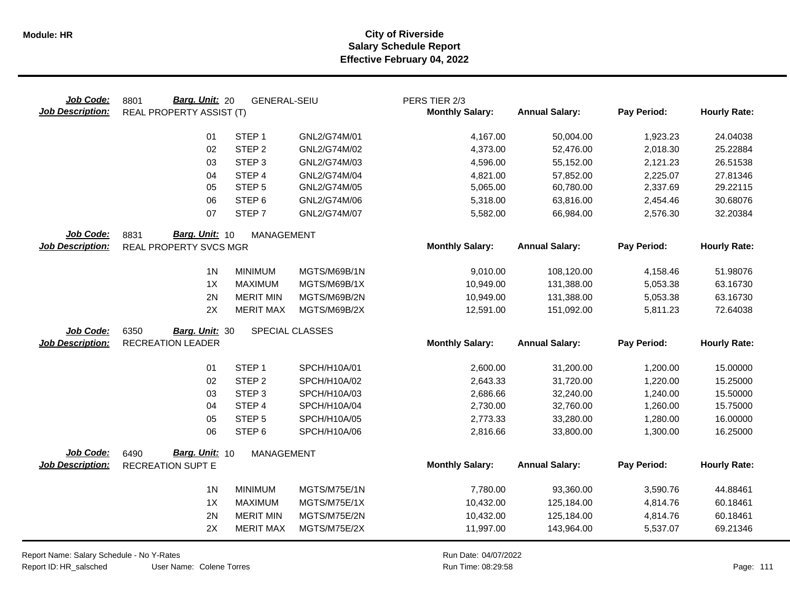| Job Code:<br><b>Job Description:</b> | Barg. Unit: 20<br>8801<br><b>REAL PROPERTY ASSIST (T)</b> | <b>GENERAL-SEIU</b> |                 | PERS TIER 2/3<br><b>Monthly Salary:</b> | <b>Annual Salary:</b> | Pay Period: | <b>Hourly Rate:</b> |
|--------------------------------------|-----------------------------------------------------------|---------------------|-----------------|-----------------------------------------|-----------------------|-------------|---------------------|
|                                      | 01                                                        | STEP <sub>1</sub>   | GNL2/G74M/01    | 4,167.00                                | 50,004.00             | 1,923.23    | 24.04038            |
|                                      | 02                                                        | STEP <sub>2</sub>   | GNL2/G74M/02    | 4,373.00                                | 52,476.00             | 2,018.30    | 25.22884            |
|                                      | 03                                                        | STEP <sub>3</sub>   | GNL2/G74M/03    | 4,596.00                                | 55,152.00             | 2,121.23    | 26.51538            |
|                                      | 04                                                        | STEP 4              | GNL2/G74M/04    | 4,821.00                                | 57,852.00             | 2,225.07    | 27.81346            |
|                                      | 05                                                        | STEP <sub>5</sub>   | GNL2/G74M/05    | 5,065.00                                | 60,780.00             | 2,337.69    | 29.22115            |
|                                      | 06                                                        | STEP <sub>6</sub>   | GNL2/G74M/06    | 5,318.00                                | 63,816.00             | 2,454.46    | 30.68076            |
|                                      | 07                                                        | STEP <sub>7</sub>   | GNL2/G74M/07    | 5,582.00                                | 66,984.00             | 2,576.30    | 32.20384            |
| Job Code:                            | Barg. Unit: 10<br>8831                                    | <b>MANAGEMENT</b>   |                 |                                         |                       |             |                     |
| <b>Job Description:</b>              | REAL PROPERTY SVCS MGR                                    |                     |                 | <b>Monthly Salary:</b>                  | <b>Annual Salary:</b> | Pay Period: | <b>Hourly Rate:</b> |
|                                      | 1 <sub>N</sub>                                            | <b>MINIMUM</b>      | MGTS/M69B/1N    | 9,010.00                                | 108,120.00            | 4,158.46    | 51.98076            |
|                                      | 1X                                                        | <b>MAXIMUM</b>      | MGTS/M69B/1X    | 10,949.00                               | 131,388.00            | 5,053.38    | 63.16730            |
|                                      | 2N                                                        | <b>MERIT MIN</b>    | MGTS/M69B/2N    | 10,949.00                               | 131,388.00            | 5,053.38    | 63.16730            |
|                                      | 2X                                                        | <b>MERIT MAX</b>    | MGTS/M69B/2X    | 12,591.00                               | 151,092.00            | 5,811.23    | 72.64038            |
| Job Code:                            | 6350<br>Barg. Unit: 30                                    |                     | SPECIAL CLASSES |                                         |                       |             |                     |
| <b>Job Description:</b>              | <b>RECREATION LEADER</b>                                  |                     |                 | <b>Monthly Salary:</b>                  | <b>Annual Salary:</b> | Pay Period: | <b>Hourly Rate:</b> |
|                                      | 01                                                        | STEP <sub>1</sub>   | SPCH/H10A/01    | 2,600.00                                | 31,200.00             | 1,200.00    | 15.00000            |
|                                      | 02                                                        | STEP <sub>2</sub>   | SPCH/H10A/02    | 2,643.33                                | 31,720.00             | 1,220.00    | 15.25000            |
|                                      | 03                                                        | STEP <sub>3</sub>   | SPCH/H10A/03    | 2,686.66                                | 32,240.00             | 1,240.00    | 15.50000            |
|                                      | 04                                                        | STEP 4              | SPCH/H10A/04    | 2,730.00                                | 32,760.00             | 1,260.00    | 15.75000            |
|                                      | 05                                                        | STEP <sub>5</sub>   | SPCH/H10A/05    | 2,773.33                                | 33,280.00             | 1,280.00    | 16.00000            |
|                                      | 06                                                        | STEP <sub>6</sub>   | SPCH/H10A/06    | 2,816.66                                | 33,800.00             | 1,300.00    | 16.25000            |
| Job Code:                            | Barg. Unit: 10<br>6490                                    | <b>MANAGEMENT</b>   |                 |                                         |                       |             |                     |
| <b>Job Description:</b>              | <b>RECREATION SUPT E</b>                                  |                     |                 | <b>Monthly Salary:</b>                  | <b>Annual Salary:</b> | Pay Period: | <b>Hourly Rate:</b> |
|                                      | 1 <sub>N</sub>                                            | <b>MINIMUM</b>      | MGTS/M75E/1N    | 7,780.00                                | 93,360.00             | 3,590.76    | 44.88461            |
|                                      | 1X                                                        | <b>MAXIMUM</b>      | MGTS/M75E/1X    | 10,432.00                               | 125,184.00            | 4,814.76    | 60.18461            |
|                                      | 2N                                                        | <b>MERIT MIN</b>    | MGTS/M75E/2N    | 10,432.00                               | 125,184.00            | 4,814.76    | 60.18461            |
|                                      | 2X                                                        | <b>MERIT MAX</b>    | MGTS/M75E/2X    | 11,997.00                               | 143,964.00            | 5,537.07    | 69.21346            |

Report Name: Salary Schedule - No Y-Rates Report ID: HR\_salsched

User Name: Colene Torres 08:29:58 Colene Torres Run Time: Page: 111

Run Date: 04/07/2022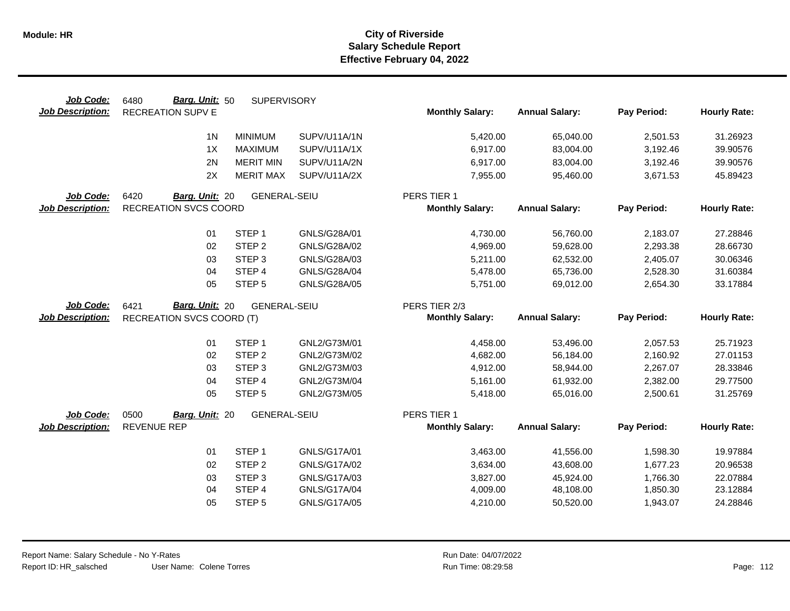| Job Code:               | Barg. Unit: 50<br>6480           | <b>SUPERVISORY</b>  |                     |                        |                       |             |                     |
|-------------------------|----------------------------------|---------------------|---------------------|------------------------|-----------------------|-------------|---------------------|
| <b>Job Description:</b> | <b>RECREATION SUPV E</b>         |                     |                     | <b>Monthly Salary:</b> | <b>Annual Salary:</b> | Pay Period: | <b>Hourly Rate:</b> |
|                         | 1 <sub>N</sub>                   | <b>MINIMUM</b>      | SUPV/U11A/1N        | 5,420.00               | 65,040.00             | 2,501.53    | 31.26923            |
|                         | 1X                               | <b>MAXIMUM</b>      | SUPV/U11A/1X        | 6,917.00               | 83,004.00             | 3,192.46    | 39.90576            |
|                         | 2N                               | <b>MERIT MIN</b>    | SUPV/U11A/2N        | 6,917.00               | 83,004.00             | 3,192.46    | 39.90576            |
|                         | 2X                               | <b>MERIT MAX</b>    | SUPV/U11A/2X        | 7,955.00               | 95,460.00             | 3,671.53    | 45.89423            |
| Job Code:               | 6420<br>Barg. Unit: 20           | <b>GENERAL-SEIU</b> |                     | PERS TIER 1            |                       |             |                     |
| Job Description:        | <b>RECREATION SVCS COORD</b>     |                     |                     | <b>Monthly Salary:</b> | <b>Annual Salary:</b> | Pay Period: | <b>Hourly Rate:</b> |
|                         | 01                               | STEP <sub>1</sub>   | GNLS/G28A/01        | 4,730.00               | 56,760.00             | 2,183.07    | 27.28846            |
|                         | 02                               | STEP <sub>2</sub>   | GNLS/G28A/02        | 4,969.00               | 59,628.00             | 2,293.38    | 28.66730            |
|                         | 03                               | STEP <sub>3</sub>   | GNLS/G28A/03        | 5,211.00               | 62,532.00             | 2,405.07    | 30.06346            |
|                         | 04                               | STEP 4              | GNLS/G28A/04        | 5,478.00               | 65,736.00             | 2,528.30    | 31.60384            |
|                         | 05                               | STEP <sub>5</sub>   | GNLS/G28A/05        | 5,751.00               | 69,012.00             | 2,654.30    | 33.17884            |
|                         |                                  |                     |                     |                        |                       |             |                     |
| Job Code:               | Barg. Unit: 20<br>6421           | <b>GENERAL-SEIU</b> |                     | PERS TIER 2/3          |                       |             |                     |
| Job Description:        | <b>RECREATION SVCS COORD (T)</b> |                     |                     | <b>Monthly Salary:</b> | <b>Annual Salary:</b> | Pay Period: | <b>Hourly Rate:</b> |
|                         |                                  |                     |                     |                        |                       |             |                     |
|                         | 01                               | STEP <sub>1</sub>   | GNL2/G73M/01        | 4,458.00               | 53,496.00             | 2,057.53    | 25.71923            |
|                         | 02                               | STEP <sub>2</sub>   | GNL2/G73M/02        | 4,682.00               | 56,184.00             | 2,160.92    | 27.01153            |
|                         | 03                               | STEP <sub>3</sub>   | GNL2/G73M/03        | 4,912.00               | 58,944.00             | 2,267.07    | 28.33846            |
|                         | 04                               | STEP <sub>4</sub>   | GNL2/G73M/04        | 5,161.00               | 61,932.00             | 2,382.00    | 29.77500            |
|                         | 05                               | STEP <sub>5</sub>   | GNL2/G73M/05        | 5,418.00               | 65,016.00             | 2,500.61    | 31.25769            |
| Job Code:               | 0500<br>Barg. Unit: 20           | <b>GENERAL-SEIU</b> |                     | PERS TIER 1            |                       |             |                     |
| <b>Job Description:</b> | <b>REVENUE REP</b>               |                     |                     | <b>Monthly Salary:</b> | <b>Annual Salary:</b> | Pay Period: | <b>Hourly Rate:</b> |
|                         | 01                               | STEP <sub>1</sub>   | GNLS/G17A/01        | 3,463.00               | 41,556.00             | 1,598.30    | 19.97884            |
|                         | 02                               | STEP <sub>2</sub>   | GNLS/G17A/02        | 3,634.00               | 43,608.00             | 1,677.23    | 20.96538            |
|                         | 03                               | STEP <sub>3</sub>   | GNLS/G17A/03        | 3,827.00               | 45,924.00             | 1,766.30    | 22.07884            |
|                         | 04                               | STEP 4              | <b>GNLS/G17A/04</b> | 4,009.00               | 48,108.00             | 1,850.30    | 23.12884            |
|                         | 05                               | STEP <sub>5</sub>   | GNLS/G17A/05        | 4,210.00               | 50,520.00             | 1,943.07    | 24.28846            |
|                         |                                  |                     |                     |                        |                       |             |                     |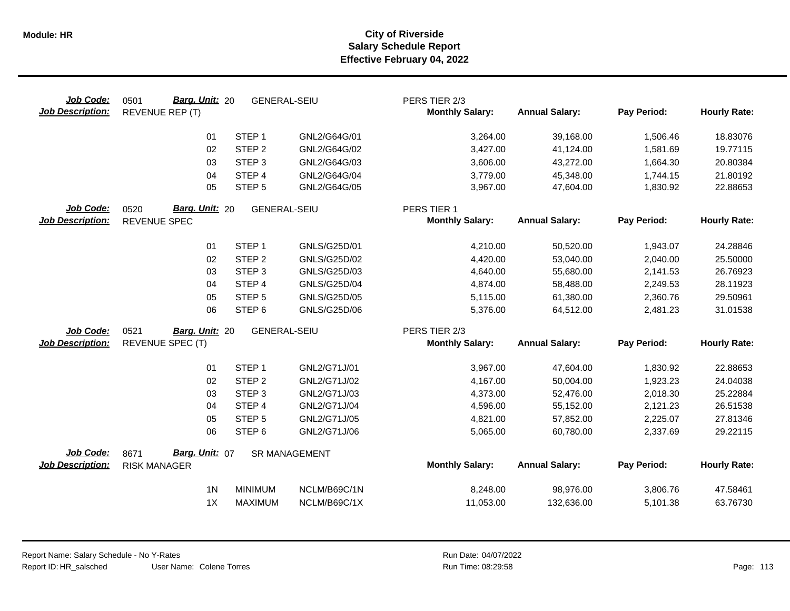| Job Code:<br><b>Job Description:</b> | <b>Barg. Unit: 20</b><br>0501<br>REVENUE REP (T) | <b>GENERAL-SEIU</b> |                      | PERS TIER 2/3<br><b>Monthly Salary:</b> | <b>Annual Salary:</b> | Pay Period: | <b>Hourly Rate:</b> |
|--------------------------------------|--------------------------------------------------|---------------------|----------------------|-----------------------------------------|-----------------------|-------------|---------------------|
|                                      | 01                                               | STEP <sub>1</sub>   | GNL2/G64G/01         | 3,264.00                                | 39,168.00             | 1,506.46    | 18.83076            |
|                                      | 02                                               | STEP <sub>2</sub>   | GNL2/G64G/02         | 3,427.00                                | 41,124.00             | 1,581.69    | 19.77115            |
|                                      | 03                                               | STEP <sub>3</sub>   | GNL2/G64G/03         | 3,606.00                                | 43,272.00             | 1,664.30    | 20.80384            |
|                                      | 04                                               | STEP 4              | GNL2/G64G/04         | 3,779.00                                | 45,348.00             | 1,744.15    | 21.80192            |
|                                      | 05                                               | STEP <sub>5</sub>   | GNL2/G64G/05         | 3,967.00                                | 47,604.00             | 1,830.92    | 22.88653            |
| Job Code:                            | 0520<br>Barg. Unit: 20                           | <b>GENERAL-SEIU</b> |                      | PERS TIER 1                             |                       |             |                     |
| <b>Job Description:</b>              | REVENUE SPEC                                     |                     |                      | <b>Monthly Salary:</b>                  | <b>Annual Salary:</b> | Pay Period: | <b>Hourly Rate:</b> |
|                                      | 01                                               | STEP <sub>1</sub>   | GNLS/G25D/01         | 4,210.00                                | 50,520.00             | 1,943.07    | 24.28846            |
|                                      | 02                                               | STEP <sub>2</sub>   | GNLS/G25D/02         | 4,420.00                                | 53,040.00             | 2,040.00    | 25.50000            |
|                                      | 03                                               | STEP <sub>3</sub>   | GNLS/G25D/03         | 4,640.00                                | 55,680.00             | 2,141.53    | 26.76923            |
|                                      | 04                                               | STEP 4              | <b>GNLS/G25D/04</b>  | 4,874.00                                | 58,488.00             | 2,249.53    | 28.11923            |
|                                      | 05                                               | STEP <sub>5</sub>   | GNLS/G25D/05         | 5,115.00                                | 61,380.00             | 2,360.76    | 29.50961            |
|                                      | 06                                               | STEP <sub>6</sub>   | GNLS/G25D/06         | 5,376.00                                | 64,512.00             | 2,481.23    | 31.01538            |
| Job Code:                            | 0521<br>Barg. Unit: 20                           | <b>GENERAL-SEIU</b> |                      | PERS TIER 2/3                           |                       |             |                     |
| <b>Job Description:</b>              | REVENUE SPEC (T)                                 |                     |                      | <b>Monthly Salary:</b>                  | <b>Annual Salary:</b> | Pay Period: | <b>Hourly Rate:</b> |
|                                      | 01                                               | STEP <sub>1</sub>   | GNL2/G71J/01         | 3,967.00                                | 47,604.00             | 1,830.92    | 22.88653            |
|                                      | 02                                               | STEP <sub>2</sub>   | GNL2/G71J/02         | 4,167.00                                | 50,004.00             | 1,923.23    | 24.04038            |
|                                      | 03                                               | STEP <sub>3</sub>   | GNL2/G71J/03         | 4,373.00                                | 52,476.00             | 2,018.30    | 25.22884            |
|                                      | 04                                               | STEP 4              | GNL2/G71J/04         | 4,596.00                                | 55,152.00             | 2,121.23    | 26.51538            |
|                                      | 05                                               | STEP <sub>5</sub>   | GNL2/G71J/05         | 4,821.00                                | 57,852.00             | 2,225.07    | 27.81346            |
|                                      | 06                                               | STEP <sub>6</sub>   | GNL2/G71J/06         | 5,065.00                                | 60,780.00             | 2,337.69    | 29.22115            |
| Job Code:                            | Barg. Unit: 07<br>8671                           |                     | <b>SR MANAGEMENT</b> |                                         |                       |             |                     |
| <b>Job Description:</b>              | <b>RISK MANAGER</b>                              |                     |                      | <b>Monthly Salary:</b>                  | <b>Annual Salary:</b> | Pay Period: | <b>Hourly Rate:</b> |
|                                      | 1 <sub>N</sub>                                   | <b>MINIMUM</b>      | NCLM/B69C/1N         | 8,248.00                                | 98,976.00             | 3,806.76    | 47.58461            |
|                                      | 1X                                               | <b>MAXIMUM</b>      | NCLM/B69C/1X         | 11,053.00                               | 132,636.00            | 5,101.38    | 63.76730            |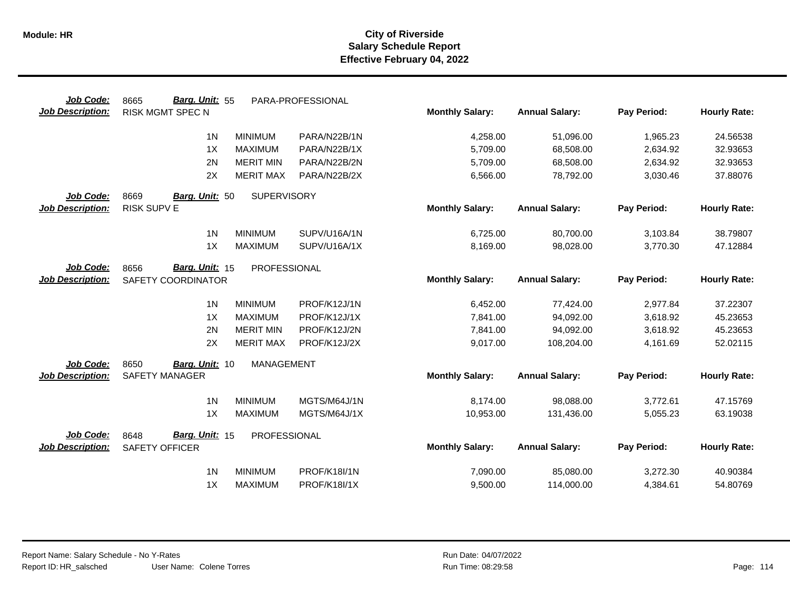| Job Code:               | Barg. Unit: 55<br>8665           | PARA-PROFESSIONAL   |                        |                       |             |                     |
|-------------------------|----------------------------------|---------------------|------------------------|-----------------------|-------------|---------------------|
| <b>Job Description:</b> | <b>RISK MGMT SPEC N</b>          |                     | <b>Monthly Salary:</b> | <b>Annual Salary:</b> | Pay Period: | <b>Hourly Rate:</b> |
|                         | 1 <sub>N</sub><br><b>MINIMUM</b> | PARA/N22B/1N        | 4,258.00               | 51,096.00             | 1,965.23    | 24.56538            |
|                         | 1X<br><b>MAXIMUM</b>             | PARA/N22B/1X        | 5,709.00               | 68,508.00             | 2,634.92    | 32.93653            |
|                         | 2N<br><b>MERIT MIN</b>           | PARA/N22B/2N        | 5,709.00               | 68,508.00             | 2,634.92    | 32.93653            |
|                         | 2X<br><b>MERIT MAX</b>           | PARA/N22B/2X        | 6,566.00               | 78,792.00             | 3,030.46    | 37.88076            |
| Job Code:               | 8669<br>Barg. Unit: 50           | <b>SUPERVISORY</b>  |                        |                       |             |                     |
| <b>Job Description:</b> | RISK SUPV E                      |                     | <b>Monthly Salary:</b> | <b>Annual Salary:</b> | Pay Period: | <b>Hourly Rate:</b> |
|                         | 1 <sub>N</sub><br><b>MINIMUM</b> | SUPV/U16A/1N        | 6,725.00               | 80,700.00             | 3,103.84    | 38.79807            |
|                         | 1X<br><b>MAXIMUM</b>             | SUPV/U16A/1X        | 8,169.00               | 98,028.00             | 3,770.30    | 47.12884            |
| Job Code:               | Barg. Unit: 15<br>8656           | <b>PROFESSIONAL</b> |                        |                       |             |                     |
| <b>Job Description:</b> | SAFETY COORDINATOR               |                     | <b>Monthly Salary:</b> | <b>Annual Salary:</b> | Pay Period: | <b>Hourly Rate:</b> |
|                         | 1 <sub>N</sub><br><b>MINIMUM</b> | PROF/K12J/1N        | 6,452.00               | 77,424.00             | 2,977.84    | 37.22307            |
|                         | 1X<br><b>MAXIMUM</b>             | PROF/K12J/1X        | 7,841.00               | 94,092.00             | 3,618.92    | 45.23653            |
|                         | 2N<br><b>MERIT MIN</b>           | PROF/K12J/2N        | 7,841.00               | 94,092.00             | 3,618.92    | 45.23653            |
|                         | 2X<br><b>MERIT MAX</b>           | PROF/K12J/2X        | 9,017.00               | 108,204.00            | 4,161.69    | 52.02115            |
| Job Code:               | 8650<br>Barg. Unit: 10           | <b>MANAGEMENT</b>   |                        |                       |             |                     |
| <b>Job Description:</b> | <b>SAFETY MANAGER</b>            |                     | <b>Monthly Salary:</b> | <b>Annual Salary:</b> | Pay Period: | <b>Hourly Rate:</b> |
|                         | 1 <sub>N</sub><br><b>MINIMUM</b> | MGTS/M64J/1N        | 8,174.00               | 98,088.00             | 3,772.61    | 47.15769            |
|                         | 1X<br><b>MAXIMUM</b>             | MGTS/M64J/1X        | 10,953.00              | 131,436.00            | 5,055.23    | 63.19038            |
| Job Code:               | Barg. Unit: 15<br>8648           | PROFESSIONAL        |                        |                       |             |                     |
| <b>Job Description:</b> | <b>SAFETY OFFICER</b>            |                     | <b>Monthly Salary:</b> | <b>Annual Salary:</b> | Pay Period: | <b>Hourly Rate:</b> |
|                         | 1 <sub>N</sub><br><b>MINIMUM</b> | PROF/K18I/1N        | 7,090.00               | 85,080.00             | 3,272.30    | 40.90384            |
|                         | 1X<br><b>MAXIMUM</b>             | <b>PROF/K18I/1X</b> | 9,500.00               | 114,000.00            | 4,384.61    | 54.80769            |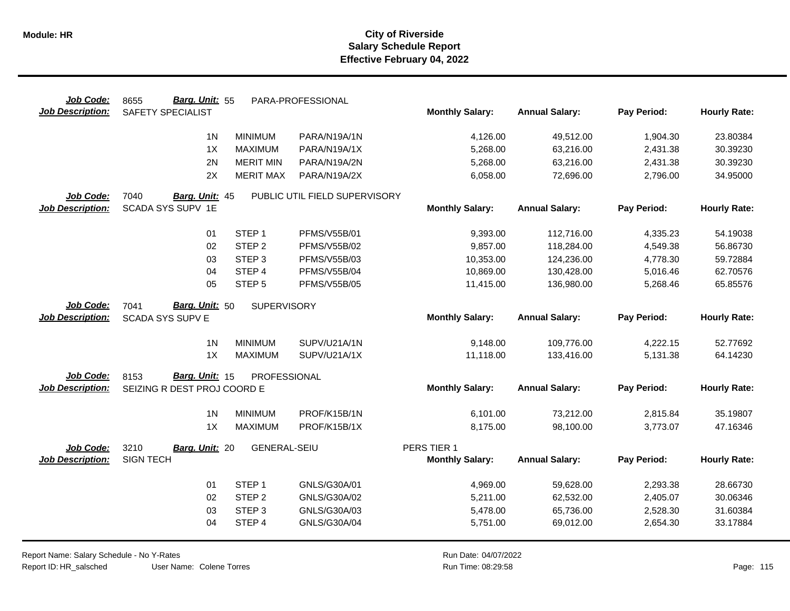| Job Code:               | Barg. Unit: 55<br>8655      |                     | PARA-PROFESSIONAL             |                        |                       |             |                     |
|-------------------------|-----------------------------|---------------------|-------------------------------|------------------------|-----------------------|-------------|---------------------|
| <b>Job Description:</b> | SAFETY SPECIALIST           |                     |                               | <b>Monthly Salary:</b> | <b>Annual Salary:</b> | Pay Period: | <b>Hourly Rate:</b> |
|                         | 1 <sub>N</sub>              | <b>MINIMUM</b>      | PARA/N19A/1N                  | 4,126.00               | 49,512.00             | 1,904.30    | 23.80384            |
|                         | 1X                          | <b>MAXIMUM</b>      | PARA/N19A/1X                  | 5,268.00               | 63,216.00             | 2,431.38    | 30.39230            |
|                         | 2N                          | <b>MERIT MIN</b>    | PARA/N19A/2N                  | 5,268.00               | 63,216.00             | 2,431.38    | 30.39230            |
|                         | 2X                          | <b>MERIT MAX</b>    | PARA/N19A/2X                  | 6,058.00               | 72,696.00             | 2,796.00    | 34.95000            |
| Job Code:               | 7040<br>Barg. Unit: 45      |                     | PUBLIC UTIL FIELD SUPERVISORY |                        |                       |             |                     |
| <b>Job Description:</b> | SCADA SYS SUPV 1E           |                     |                               | <b>Monthly Salary:</b> | <b>Annual Salary:</b> | Pay Period: | <b>Hourly Rate:</b> |
|                         | 01                          | STEP <sub>1</sub>   | <b>PFMS/V55B/01</b>           | 9,393.00               | 112,716.00            | 4,335.23    | 54.19038            |
|                         | 02                          | STEP <sub>2</sub>   | <b>PFMS/V55B/02</b>           | 9,857.00               | 118,284.00            | 4,549.38    | 56.86730            |
|                         | 03                          | STEP <sub>3</sub>   | <b>PFMS/V55B/03</b>           | 10,353.00              | 124,236.00            | 4,778.30    | 59.72884            |
|                         | 04                          | STEP 4              | <b>PFMS/V55B/04</b>           | 10,869.00              | 130,428.00            | 5,016.46    | 62.70576            |
|                         | 05                          | STEP <sub>5</sub>   | <b>PFMS/V55B/05</b>           | 11,415.00              | 136,980.00            | 5,268.46    | 65.85576            |
| Job Code:               | Barg. Unit: 50<br>7041      | SUPERVISORY         |                               |                        |                       |             |                     |
| <b>Job Description:</b> | <b>SCADA SYS SUPV E</b>     |                     |                               | <b>Monthly Salary:</b> | <b>Annual Salary:</b> | Pay Period: | <b>Hourly Rate:</b> |
|                         | 1 <sub>N</sub>              | <b>MINIMUM</b>      | SUPV/U21A/1N                  | 9,148.00               | 109,776.00            | 4,222.15    | 52.77692            |
|                         | 1X                          | <b>MAXIMUM</b>      | SUPV/U21A/1X                  | 11,118.00              | 133,416.00            | 5,131.38    | 64.14230            |
| Job Code:               | Barg. Unit: 15<br>8153      | PROFESSIONAL        |                               |                        |                       |             |                     |
| <b>Job Description:</b> | SEIZING R DEST PROJ COORD E |                     |                               | <b>Monthly Salary:</b> | <b>Annual Salary:</b> | Pay Period: | <b>Hourly Rate:</b> |
|                         | 1 <sub>N</sub>              | <b>MINIMUM</b>      | PROF/K15B/1N                  | 6,101.00               | 73,212.00             | 2,815.84    | 35.19807            |
|                         | 1X                          | <b>MAXIMUM</b>      | PROF/K15B/1X                  | 8,175.00               | 98,100.00             | 3,773.07    | 47.16346            |
| Job Code:               | 3210<br>Barg. Unit: 20      | <b>GENERAL-SEIU</b> |                               | PERS TIER 1            |                       |             |                     |
| <b>Job Description:</b> | <b>SIGN TECH</b>            |                     |                               | <b>Monthly Salary:</b> | <b>Annual Salary:</b> | Pay Period: | <b>Hourly Rate:</b> |
|                         | 01                          | STEP <sub>1</sub>   | GNLS/G30A/01                  | 4,969.00               | 59,628.00             | 2,293.38    | 28.66730            |
|                         | 02                          | STEP <sub>2</sub>   | GNLS/G30A/02                  | 5,211.00               | 62,532.00             | 2,405.07    | 30.06346            |
|                         | 03                          | STEP <sub>3</sub>   | GNLS/G30A/03                  | 5,478.00               | 65,736.00             | 2,528.30    | 31.60384            |
|                         | 04                          | STEP 4              | GNLS/G30A/04                  | 5,751.00               | 69,012.00             | 2,654.30    | 33.17884            |
|                         |                             |                     |                               |                        |                       |             |                     |

Report Name: Salary Schedule - No Y-Rates Report ID: HR\_salsched

User Name: Colene Torres

Run Date: 04/07/2022 08:29:58 Colene Torres Run Time: Page: 115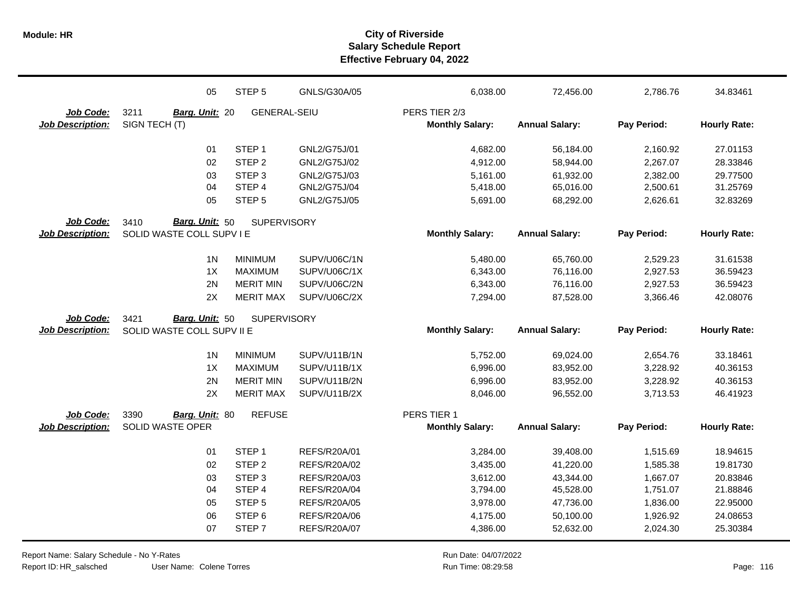|                         | 05                         | STEP <sub>5</sub>   | GNLS/G30A/05        | 6,038.00               | 72,456.00             | 2,786.76    | 34.83461            |
|-------------------------|----------------------------|---------------------|---------------------|------------------------|-----------------------|-------------|---------------------|
| Job Code:               | 3211<br>Barg. Unit: 20     | <b>GENERAL-SEIU</b> |                     | PERS TIER 2/3          |                       |             |                     |
| <b>Job Description:</b> | SIGN TECH (T)              |                     |                     | <b>Monthly Salary:</b> | <b>Annual Salary:</b> | Pay Period: | <b>Hourly Rate:</b> |
|                         | 01                         | STEP <sub>1</sub>   | GNL2/G75J/01        | 4,682.00               | 56,184.00             | 2,160.92    | 27.01153            |
|                         | 02                         | STEP <sub>2</sub>   | GNL2/G75J/02        | 4,912.00               | 58,944.00             | 2,267.07    | 28.33846            |
|                         | 03                         | STEP <sub>3</sub>   | GNL2/G75J/03        | 5,161.00               | 61,932.00             | 2,382.00    | 29.77500            |
|                         | 04                         | STEP 4              | GNL2/G75J/04        | 5,418.00               | 65,016.00             | 2,500.61    | 31.25769            |
|                         | 05                         | STEP <sub>5</sub>   | GNL2/G75J/05        | 5,691.00               | 68,292.00             | 2,626.61    | 32.83269            |
| Job Code:               | Barg. Unit: 50<br>3410     | <b>SUPERVISORY</b>  |                     |                        |                       |             |                     |
| <b>Job Description:</b> | SOLID WASTE COLL SUPV I E  |                     |                     | <b>Monthly Salary:</b> | <b>Annual Salary:</b> | Pay Period: | <b>Hourly Rate:</b> |
|                         | 1 <sub>N</sub>             | <b>MINIMUM</b>      | SUPV/U06C/1N        | 5,480.00               | 65,760.00             | 2,529.23    | 31.61538            |
|                         | 1X                         | <b>MAXIMUM</b>      | SUPV/U06C/1X        | 6,343.00               | 76,116.00             | 2,927.53    | 36.59423            |
|                         | 2N                         | <b>MERIT MIN</b>    | SUPV/U06C/2N        | 6,343.00               | 76,116.00             | 2,927.53    | 36.59423            |
|                         | 2X                         | <b>MERIT MAX</b>    | SUPV/U06C/2X        | 7,294.00               | 87,528.00             | 3,366.46    | 42.08076            |
| Job Code:               | Barg. Unit: 50<br>3421     | <b>SUPERVISORY</b>  |                     |                        |                       |             |                     |
| <b>Job Description:</b> | SOLID WASTE COLL SUPV II E |                     |                     | <b>Monthly Salary:</b> | <b>Annual Salary:</b> | Pay Period: | <b>Hourly Rate:</b> |
|                         | 1 <sub>N</sub>             | <b>MINIMUM</b>      | SUPV/U11B/1N        | 5,752.00               | 69,024.00             | 2,654.76    | 33.18461            |
|                         | 1X                         | <b>MAXIMUM</b>      | SUPV/U11B/1X        | 6,996.00               | 83,952.00             | 3,228.92    | 40.36153            |
|                         | 2N                         | <b>MERIT MIN</b>    | SUPV/U11B/2N        | 6,996.00               | 83,952.00             | 3,228.92    | 40.36153            |
|                         | 2X                         | <b>MERIT MAX</b>    | SUPV/U11B/2X        | 8,046.00               | 96,552.00             | 3,713.53    | 46.41923            |
| Job Code:               | 3390<br>Barg. Unit: 80     | <b>REFUSE</b>       |                     | PERS TIER 1            |                       |             |                     |
| <b>Job Description:</b> | <b>SOLID WASTE OPER</b>    |                     |                     | <b>Monthly Salary:</b> | <b>Annual Salary:</b> | Pay Period: | <b>Hourly Rate:</b> |
|                         | 01                         | STEP <sub>1</sub>   | REFS/R20A/01        | 3,284.00               | 39,408.00             | 1,515.69    | 18.94615            |
|                         | 02                         | STEP <sub>2</sub>   | <b>REFS/R20A/02</b> | 3,435.00               | 41,220.00             | 1,585.38    | 19.81730            |
|                         | 03                         | STEP <sub>3</sub>   | REFS/R20A/03        | 3,612.00               | 43,344.00             | 1,667.07    | 20.83846            |
|                         | 04                         | STEP 4              | REFS/R20A/04        | 3,794.00               | 45,528.00             | 1,751.07    | 21.88846            |
|                         | 05                         | STEP <sub>5</sub>   | <b>REFS/R20A/05</b> | 3,978.00               | 47,736.00             | 1,836.00    | 22.95000            |
|                         | 06                         | STEP <sub>6</sub>   | <b>REFS/R20A/06</b> | 4,175.00               | 50,100.00             | 1,926.92    | 24.08653            |
|                         | 07                         | STEP <sub>7</sub>   | REFS/R20A/07        | 4,386.00               | 52,632.00             | 2,024.30    | 25.30384            |

Report Name: Salary Schedule - No Y-Rates Report ID: HR\_salsched

User Name: Colene Torres

Run Date: 04/07/2022 08:29:58 Colene Torres Run Time: Page: 116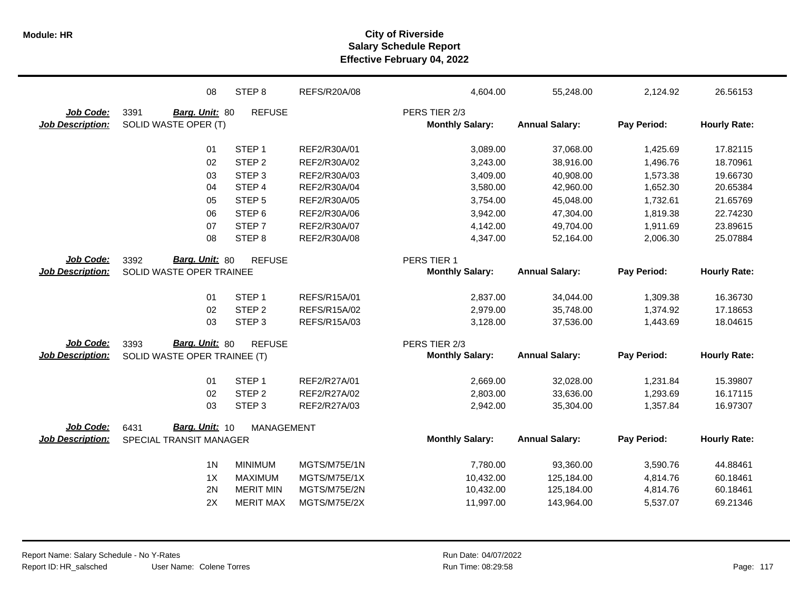|                         | 08                           | STEP <sub>8</sub> | <b>REFS/R20A/08</b> | 4,604.00               | 55,248.00             | 2,124.92    | 26.56153            |
|-------------------------|------------------------------|-------------------|---------------------|------------------------|-----------------------|-------------|---------------------|
| Job Code:               | 3391<br>Barg. Unit: 80       | <b>REFUSE</b>     |                     | PERS TIER 2/3          |                       |             |                     |
| <b>Job Description:</b> | SOLID WASTE OPER (T)         |                   |                     | <b>Monthly Salary:</b> | <b>Annual Salary:</b> | Pay Period: | <b>Hourly Rate:</b> |
|                         | 01                           | STEP <sub>1</sub> | REF2/R30A/01        | 3,089.00               | 37,068.00             | 1,425.69    | 17.82115            |
|                         | 02                           | STEP <sub>2</sub> | REF2/R30A/02        | 3,243.00               | 38,916.00             | 1,496.76    | 18.70961            |
|                         | 03                           | STEP <sub>3</sub> | REF2/R30A/03        | 3,409.00               | 40,908.00             | 1,573.38    | 19.66730            |
|                         | 04                           | STEP 4            | REF2/R30A/04        | 3,580.00               | 42,960.00             | 1,652.30    | 20.65384            |
|                         | 05                           | STEP <sub>5</sub> | REF2/R30A/05        | 3,754.00               | 45,048.00             | 1,732.61    | 21.65769            |
|                         | 06                           | STEP <sub>6</sub> | REF2/R30A/06        | 3,942.00               | 47,304.00             | 1,819.38    | 22.74230            |
|                         | 07                           | STEP <sub>7</sub> | REF2/R30A/07        | 4,142.00               | 49,704.00             | 1,911.69    | 23.89615            |
|                         | 08                           | STEP <sub>8</sub> | REF2/R30A/08        | 4,347.00               | 52,164.00             | 2,006.30    | 25.07884            |
| Job Code:               | Barg. Unit: 80<br>3392       | <b>REFUSE</b>     |                     | PERS TIER 1            |                       |             |                     |
| <b>Job Description:</b> | SOLID WASTE OPER TRAINEE     |                   |                     | <b>Monthly Salary:</b> | <b>Annual Salary:</b> | Pay Period: | <b>Hourly Rate:</b> |
|                         | 01                           | STEP <sub>1</sub> | REFS/R15A/01        | 2,837.00               | 34,044.00             | 1,309.38    | 16.36730            |
|                         | 02                           | STEP <sub>2</sub> | REFS/R15A/02        | 2,979.00               | 35,748.00             | 1,374.92    | 17.18653            |
|                         | 03                           | STEP <sub>3</sub> | REFS/R15A/03        | 3,128.00               | 37,536.00             | 1,443.69    | 18.04615            |
| Job Code:               | Barg. Unit: 80<br>3393       | <b>REFUSE</b>     |                     | PERS TIER 2/3          |                       |             |                     |
| <b>Job Description:</b> | SOLID WASTE OPER TRAINEE (T) |                   |                     | <b>Monthly Salary:</b> | <b>Annual Salary:</b> | Pay Period: | <b>Hourly Rate:</b> |
|                         | 01                           | STEP <sub>1</sub> | REF2/R27A/01        | 2,669.00               | 32,028.00             | 1,231.84    | 15.39807            |
|                         | 02                           | STEP <sub>2</sub> | REF2/R27A/02        | 2,803.00               | 33,636.00             | 1,293.69    | 16.17115            |
|                         | 03                           | STEP <sub>3</sub> | REF2/R27A/03        | 2,942.00               | 35,304.00             | 1,357.84    | 16.97307            |
| Job Code:               | Barg. Unit: 10<br>6431       | MANAGEMENT        |                     |                        |                       |             |                     |
| <b>Job Description:</b> | SPECIAL TRANSIT MANAGER      |                   |                     | <b>Monthly Salary:</b> | <b>Annual Salary:</b> | Pay Period: | <b>Hourly Rate:</b> |
|                         | 1 <sub>N</sub>               | <b>MINIMUM</b>    | MGTS/M75E/1N        | 7,780.00               | 93,360.00             | 3,590.76    | 44.88461            |
|                         | 1X                           | <b>MAXIMUM</b>    | MGTS/M75E/1X        | 10,432.00              | 125,184.00            | 4,814.76    | 60.18461            |
|                         | 2N                           | <b>MERIT MIN</b>  | MGTS/M75E/2N        | 10,432.00              | 125,184.00            | 4,814.76    | 60.18461            |
|                         | 2X                           | <b>MERIT MAX</b>  | MGTS/M75E/2X        | 11,997.00              | 143,964.00            | 5,537.07    | 69.21346            |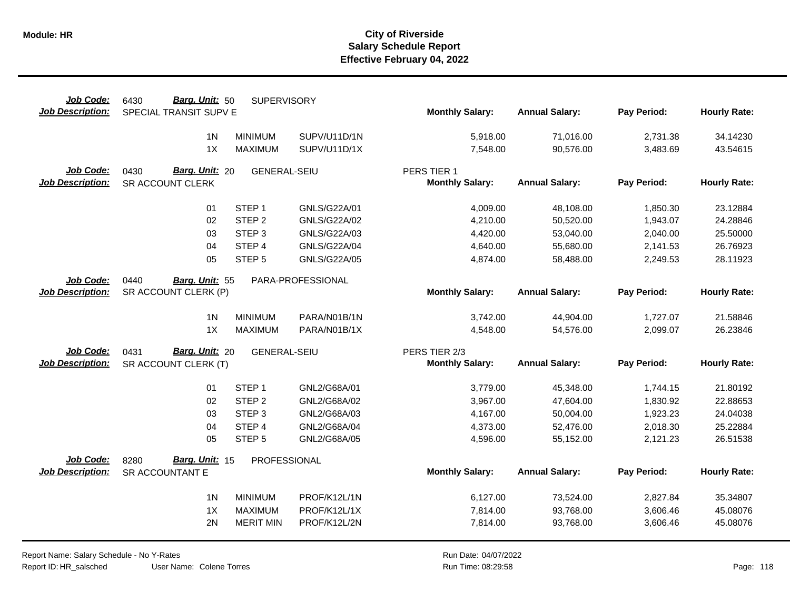| Job Code:               | Barg. Unit: 50<br>6430 | <b>SUPERVISORY</b>  |                   |                        |                       |             |                     |
|-------------------------|------------------------|---------------------|-------------------|------------------------|-----------------------|-------------|---------------------|
| <b>Job Description:</b> | SPECIAL TRANSIT SUPV E |                     |                   | <b>Monthly Salary:</b> | <b>Annual Salary:</b> | Pay Period: | <b>Hourly Rate:</b> |
|                         | 1 <sub>N</sub>         | <b>MINIMUM</b>      | SUPV/U11D/1N      | 5,918.00               | 71,016.00             | 2,731.38    | 34.14230            |
|                         | 1X                     | <b>MAXIMUM</b>      | SUPV/U11D/1X      | 7,548.00               | 90,576.00             | 3,483.69    | 43.54615            |
|                         |                        |                     |                   |                        |                       |             |                     |
| Job Code:               | Barg. Unit: 20<br>0430 | <b>GENERAL-SEIU</b> |                   | PERS TIER 1            |                       |             |                     |
| <b>Job Description:</b> | SR ACCOUNT CLERK       |                     |                   | <b>Monthly Salary:</b> | <b>Annual Salary:</b> | Pay Period: | <b>Hourly Rate:</b> |
|                         |                        | STEP <sub>1</sub>   | GNLS/G22A/01      |                        |                       |             | 23.12884            |
|                         | 01<br>02               | STEP <sub>2</sub>   | GNLS/G22A/02      | 4,009.00               | 48,108.00             | 1,850.30    |                     |
|                         |                        |                     |                   | 4,210.00               | 50,520.00             | 1,943.07    | 24.28846            |
|                         | 03                     | STEP <sub>3</sub>   | GNLS/G22A/03      | 4,420.00               | 53,040.00             | 2,040.00    | 25.50000            |
|                         | 04                     | STEP 4              | GNLS/G22A/04      | 4,640.00               | 55,680.00             | 2,141.53    | 26.76923            |
|                         | 05                     | STEP <sub>5</sub>   | GNLS/G22A/05      | 4,874.00               | 58,488.00             | 2,249.53    | 28.11923            |
| Job Code:               | 0440<br>Barg. Unit: 55 |                     | PARA-PROFESSIONAL |                        |                       |             |                     |
| <b>Job Description:</b> | SR ACCOUNT CLERK (P)   |                     |                   | <b>Monthly Salary:</b> | <b>Annual Salary:</b> | Pay Period: | <b>Hourly Rate:</b> |
|                         |                        |                     |                   |                        |                       |             |                     |
|                         | 1 <sub>N</sub>         | <b>MINIMUM</b>      | PARA/N01B/1N      | 3,742.00               | 44,904.00             | 1,727.07    | 21.58846            |
|                         | 1X                     | <b>MAXIMUM</b>      | PARA/N01B/1X      | 4,548.00               | 54,576.00             | 2,099.07    | 26.23846            |
| Job Code:               | Barg. Unit: 20<br>0431 | <b>GENERAL-SEIU</b> |                   | PERS TIER 2/3          |                       |             |                     |
| <b>Job Description:</b> | SR ACCOUNT CLERK (T)   |                     |                   | <b>Monthly Salary:</b> | <b>Annual Salary:</b> | Pay Period: | <b>Hourly Rate:</b> |
|                         |                        |                     |                   |                        |                       |             |                     |
|                         | 01                     | STEP <sub>1</sub>   | GNL2/G68A/01      | 3,779.00               | 45,348.00             | 1,744.15    | 21.80192            |
|                         | 02                     | STEP <sub>2</sub>   | GNL2/G68A/02      | 3,967.00               | 47,604.00             | 1,830.92    | 22.88653            |
|                         | 03                     | STEP <sub>3</sub>   | GNL2/G68A/03      | 4,167.00               | 50,004.00             | 1,923.23    | 24.04038            |
|                         | 04                     | STEP 4              | GNL2/G68A/04      | 4,373.00               | 52,476.00             | 2,018.30    | 25.22884            |
|                         | 05                     | STEP <sub>5</sub>   | GNL2/G68A/05      | 4,596.00               | 55,152.00             | 2,121.23    | 26.51538            |
| Job Code:               | Barg. Unit: 15<br>8280 | PROFESSIONAL        |                   |                        |                       |             |                     |
| <b>Job Description:</b> | SR ACCOUNTANT E        |                     |                   | <b>Monthly Salary:</b> | <b>Annual Salary:</b> | Pay Period: | <b>Hourly Rate:</b> |
|                         | 1 <sub>N</sub>         | <b>MINIMUM</b>      | PROF/K12L/1N      | 6,127.00               | 73,524.00             | 2,827.84    | 35.34807            |
|                         | 1X                     | MAXIMUM             | PROF/K12L/1X      | 7,814.00               | 93,768.00             | 3,606.46    | 45.08076            |
|                         | 2N                     | <b>MERIT MIN</b>    | PROF/K12L/2N      | 7,814.00               | 93,768.00             | 3,606.46    | 45.08076            |
|                         |                        |                     |                   |                        |                       |             |                     |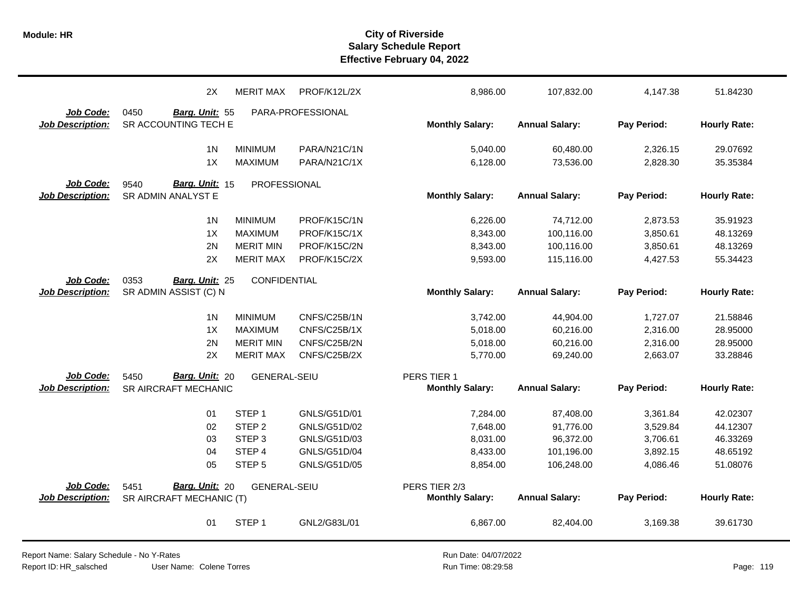|                                      | 2X                                           | <b>MERIT MAX</b>    | PROF/K12L/2X      | 8,986.00               | 107,832.00            | 4,147.38    | 51.84230            |
|--------------------------------------|----------------------------------------------|---------------------|-------------------|------------------------|-----------------------|-------------|---------------------|
| Job Code:                            | 0450<br>Barg. Unit: 55                       |                     | PARA-PROFESSIONAL |                        |                       |             |                     |
| <b>Job Description:</b>              | SR ACCOUNTING TECH E                         |                     |                   | <b>Monthly Salary:</b> | <b>Annual Salary:</b> | Pay Period: | <b>Hourly Rate:</b> |
|                                      | 1 <sub>N</sub>                               | <b>MINIMUM</b>      | PARA/N21C/1N      | 5,040.00               | 60,480.00             | 2,326.15    | 29.07692            |
|                                      | 1X                                           | <b>MAXIMUM</b>      | PARA/N21C/1X      | 6,128.00               | 73,536.00             | 2,828.30    | 35.35384            |
|                                      |                                              |                     |                   |                        |                       |             |                     |
| Job Code:<br><b>Job Description:</b> | Barg. Unit: 15<br>9540<br>SR ADMIN ANALYST E | PROFESSIONAL        |                   | <b>Monthly Salary:</b> | <b>Annual Salary:</b> | Pay Period: | <b>Hourly Rate:</b> |
|                                      |                                              |                     |                   |                        |                       |             |                     |
|                                      | 1 <sub>N</sub>                               | <b>MINIMUM</b>      | PROF/K15C/1N      | 6,226.00               | 74,712.00             | 2,873.53    | 35.91923            |
|                                      | 1X                                           | <b>MAXIMUM</b>      | PROF/K15C/1X      | 8,343.00               | 100,116.00            | 3,850.61    | 48.13269            |
|                                      | 2N                                           | <b>MERIT MIN</b>    | PROF/K15C/2N      | 8,343.00               | 100,116.00            | 3,850.61    | 48.13269            |
|                                      | 2X                                           | <b>MERIT MAX</b>    | PROF/K15C/2X      | 9,593.00               | 115,116.00            | 4,427.53    | 55.34423            |
| Job Code:                            | 0353<br>Barg. Unit: 25                       | CONFIDENTIAL        |                   |                        |                       |             |                     |
| <b>Job Description:</b>              | SR ADMIN ASSIST (C) N                        |                     |                   | <b>Monthly Salary:</b> | <b>Annual Salary:</b> | Pay Period: | <b>Hourly Rate:</b> |
|                                      |                                              |                     |                   |                        |                       |             |                     |
|                                      | 1 <sub>N</sub>                               | <b>MINIMUM</b>      | CNFS/C25B/1N      | 3,742.00               | 44,904.00             | 1,727.07    | 21.58846            |
|                                      | 1X                                           | <b>MAXIMUM</b>      | CNFS/C25B/1X      | 5,018.00               | 60,216.00             | 2,316.00    | 28.95000            |
|                                      | 2N                                           | <b>MERIT MIN</b>    | CNFS/C25B/2N      | 5,018.00               | 60,216.00             | 2,316.00    | 28.95000            |
|                                      | 2X                                           | <b>MERIT MAX</b>    | CNFS/C25B/2X      | 5,770.00               | 69,240.00             | 2,663.07    | 33.28846            |
| Job Code:                            | Barg. Unit: 20<br>5450                       | <b>GENERAL-SEIU</b> |                   | PERS TIER 1            |                       |             |                     |
| <b>Job Description:</b>              | SR AIRCRAFT MECHANIC                         |                     |                   | <b>Monthly Salary:</b> | <b>Annual Salary:</b> | Pay Period: | <b>Hourly Rate:</b> |
|                                      |                                              |                     |                   |                        |                       |             |                     |
|                                      | 01                                           | STEP <sub>1</sub>   | GNLS/G51D/01      | 7,284.00               | 87,408.00             | 3,361.84    | 42.02307            |
|                                      | 02                                           | STEP <sub>2</sub>   | GNLS/G51D/02      | 7,648.00               | 91,776.00             | 3,529.84    | 44.12307            |
|                                      | 03                                           | STEP <sub>3</sub>   | GNLS/G51D/03      | 8,031.00               | 96,372.00             | 3,706.61    | 46.33269            |
|                                      | 04                                           | STEP 4              | GNLS/G51D/04      | 8,433.00               | 101,196.00            | 3,892.15    | 48.65192            |
|                                      | 05                                           | STEP <sub>5</sub>   | GNLS/G51D/05      | 8,854.00               | 106,248.00            | 4,086.46    | 51.08076            |
| Job Code:                            | Barg. Unit: 20<br>5451                       | <b>GENERAL-SEIU</b> |                   | PERS TIER 2/3          |                       |             |                     |
| <b>Job Description:</b>              | SR AIRCRAFT MECHANIC (T)                     |                     |                   | <b>Monthly Salary:</b> | <b>Annual Salary:</b> | Pay Period: | <b>Hourly Rate:</b> |
|                                      |                                              |                     |                   |                        |                       |             |                     |
|                                      | 01                                           | STEP <sub>1</sub>   | GNL2/G83L/01      | 6,867.00               | 82,404.00             | 3,169.38    | 39.61730            |
|                                      |                                              |                     |                   |                        |                       |             |                     |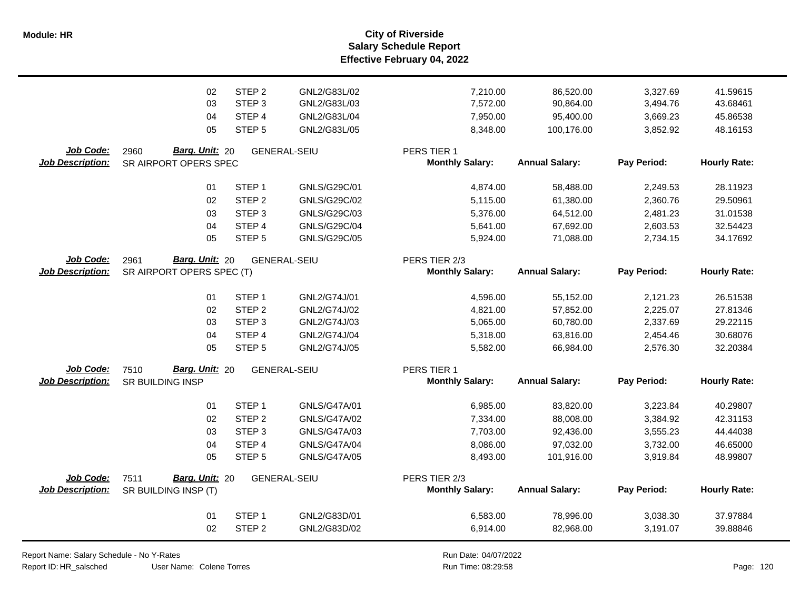**Salary Schedule Report Effective February 04, 2022 Module: HR City of Riverside**

|                         | 02                        | STEP <sub>2</sub> | GNL2/G83L/02        | 7,210.00               | 86,520.00             | 3,327.69    | 41.59615            |
|-------------------------|---------------------------|-------------------|---------------------|------------------------|-----------------------|-------------|---------------------|
|                         | 03                        | STEP <sub>3</sub> | GNL2/G83L/03        | 7,572.00               | 90,864.00             | 3,494.76    | 43.68461            |
|                         | 04                        | STEP <sub>4</sub> | GNL2/G83L/04        | 7,950.00               | 95,400.00             | 3,669.23    | 45.86538            |
|                         | 05                        | STEP <sub>5</sub> | GNL2/G83L/05        | 8,348.00               | 100,176.00            | 3,852.92    | 48.16153            |
| Job Code:               | Barg. Unit: 20<br>2960    |                   | <b>GENERAL-SEIU</b> | PERS TIER 1            |                       |             |                     |
| <b>Job Description:</b> | SR AIRPORT OPERS SPEC     |                   |                     | <b>Monthly Salary:</b> | <b>Annual Salary:</b> | Pay Period: | <b>Hourly Rate:</b> |
|                         | 01                        | STEP <sub>1</sub> | GNLS/G29C/01        | 4,874.00               | 58,488.00             | 2,249.53    | 28.11923            |
|                         | 02                        | STEP <sub>2</sub> | GNLS/G29C/02        | 5,115.00               | 61,380.00             | 2,360.76    | 29.50961            |
|                         | 03                        | STEP <sub>3</sub> | GNLS/G29C/03        | 5,376.00               | 64,512.00             | 2,481.23    | 31.01538            |
|                         | 04                        | STEP 4            | GNLS/G29C/04        | 5,641.00               | 67,692.00             | 2,603.53    | 32.54423            |
|                         | 05                        | STEP <sub>5</sub> | GNLS/G29C/05        | 5,924.00               | 71,088.00             | 2,734.15    | 34.17692            |
| Job Code:               | Barg. Unit: 20<br>2961    |                   | <b>GENERAL-SEIU</b> | PERS TIER 2/3          |                       |             |                     |
| <b>Job Description:</b> | SR AIRPORT OPERS SPEC (T) |                   |                     | <b>Monthly Salary:</b> | <b>Annual Salary:</b> | Pay Period: | <b>Hourly Rate:</b> |
|                         | 01                        | STEP <sub>1</sub> | GNL2/G74J/01        | 4,596.00               | 55,152.00             | 2,121.23    | 26.51538            |
|                         | 02                        | STEP <sub>2</sub> | GNL2/G74J/02        | 4,821.00               | 57,852.00             | 2,225.07    | 27.81346            |
|                         | 03                        | STEP <sub>3</sub> | GNL2/G74J/03        | 5,065.00               | 60,780.00             | 2,337.69    | 29.22115            |
|                         | 04                        | STEP 4            | GNL2/G74J/04        | 5,318.00               | 63,816.00             | 2,454.46    | 30.68076            |
|                         | 05                        | STEP <sub>5</sub> | GNL2/G74J/05        | 5,582.00               | 66,984.00             | 2,576.30    | 32.20384            |
| Job Code:               | Barg. Unit: 20<br>7510    |                   | <b>GENERAL-SEIU</b> | PERS TIER 1            |                       |             |                     |
| <b>Job Description:</b> | SR BUILDING INSP          |                   |                     | <b>Monthly Salary:</b> | <b>Annual Salary:</b> | Pay Period: | <b>Hourly Rate:</b> |
|                         | 01                        | STEP <sub>1</sub> | GNLS/G47A/01        | 6,985.00               | 83,820.00             | 3,223.84    | 40.29807            |
|                         | 02                        | STEP <sub>2</sub> | GNLS/G47A/02        | 7,334.00               | 88,008.00             | 3,384.92    | 42.31153            |
|                         | 03                        | STEP <sub>3</sub> | GNLS/G47A/03        | 7,703.00               | 92,436.00             | 3,555.23    | 44.44038            |
|                         | 04                        | STEP <sub>4</sub> | <b>GNLS/G47A/04</b> | 8,086.00               | 97,032.00             | 3,732.00    | 46.65000            |
|                         | 05                        | STEP <sub>5</sub> | <b>GNLS/G47A/05</b> | 8,493.00               | 101,916.00            | 3,919.84    | 48.99807            |
| Job Code:               | Barg. Unit: 20<br>7511    |                   | <b>GENERAL-SEIU</b> | PERS TIER 2/3          |                       |             |                     |
| <b>Job Description:</b> | SR BUILDING INSP (T)      |                   |                     | <b>Monthly Salary:</b> | <b>Annual Salary:</b> | Pay Period: | <b>Hourly Rate:</b> |
|                         | 01                        | STEP <sub>1</sub> | GNL2/G83D/01        | 6,583.00               | 78,996.00             | 3,038.30    | 37.97884            |
|                         | 02                        | STEP <sub>2</sub> | GNL2/G83D/02        | 6,914.00               | 82,968.00             | 3,191.07    | 39.88846            |

Report Name: Salary Schedule - No Y-Rates

Report ID: HR\_salsched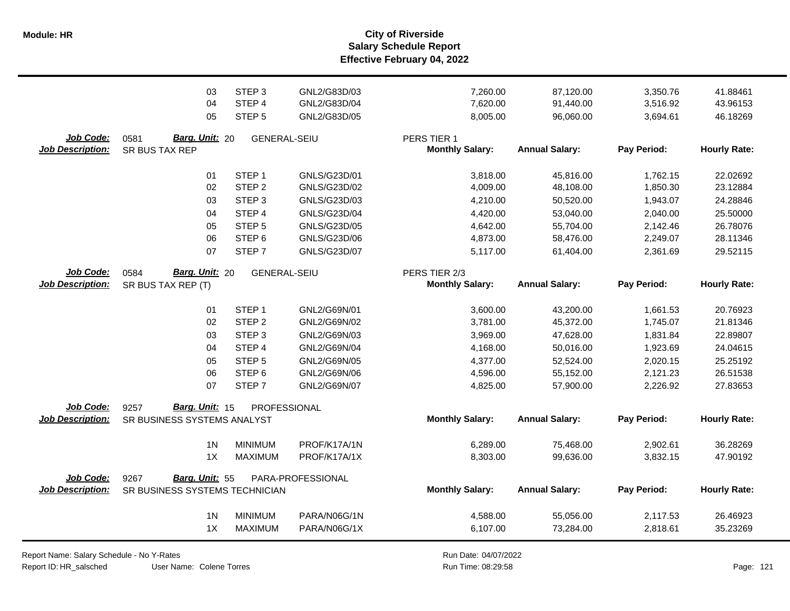**Salary Schedule Report Effective February 04, 2022 Module: HR City of Riverside**

|                                      | 03<br>04<br>05                           | STEP <sub>3</sub><br>STEP 4<br>STEP <sub>5</sub> | GNL2/G83D/03<br>GNL2/G83D/04<br>GNL2/G83D/05 | 7,260.00<br>7,620.00<br>8,005.00      | 87,120.00<br>91,440.00<br>96,060.00 | 3,350.76<br>3,516.92<br>3,694.61 | 41.88461<br>43.96153<br>46.18269 |
|--------------------------------------|------------------------------------------|--------------------------------------------------|----------------------------------------------|---------------------------------------|-------------------------------------|----------------------------------|----------------------------------|
| Job Code:<br><b>Job Description:</b> | 0581<br>Barg. Unit: 20<br>SR BUS TAX REP | <b>GENERAL-SEIU</b>                              |                                              | PERS TIER 1<br><b>Monthly Salary:</b> | <b>Annual Salary:</b>               | Pay Period:                      | <b>Hourly Rate:</b>              |
|                                      | 01                                       | STEP <sub>1</sub>                                | GNLS/G23D/01                                 | 3,818.00                              | 45,816.00                           | 1,762.15                         | 22.02692                         |
|                                      | 02                                       | STEP <sub>2</sub>                                | GNLS/G23D/02                                 | 4,009.00                              | 48,108.00                           | 1,850.30                         | 23.12884                         |
|                                      | 03                                       | STEP <sub>3</sub>                                | GNLS/G23D/03                                 | 4,210.00                              | 50,520.00                           | 1,943.07                         | 24.28846                         |
|                                      | 04                                       | STEP 4                                           | GNLS/G23D/04                                 | 4,420.00                              | 53,040.00                           | 2,040.00                         | 25.50000                         |
|                                      | 05                                       | STEP <sub>5</sub>                                | GNLS/G23D/05                                 | 4,642.00                              | 55,704.00                           | 2,142.46                         | 26.78076                         |
|                                      | 06                                       | STEP <sub>6</sub>                                | GNLS/G23D/06                                 | 4,873.00                              | 58,476.00                           | 2,249.07                         | 28.11346                         |
|                                      | 07                                       | STEP <sub>7</sub>                                | GNLS/G23D/07                                 | 5,117.00                              | 61,404.00                           | 2,361.69                         | 29.52115                         |
| Job Code:                            | Barg. Unit: 20<br>0584                   | <b>GENERAL-SEIU</b>                              |                                              | PERS TIER 2/3                         |                                     |                                  |                                  |
| <b>Job Description:</b>              | SR BUS TAX REP (T)                       |                                                  |                                              | <b>Monthly Salary:</b>                | <b>Annual Salary:</b>               | Pay Period:                      | <b>Hourly Rate:</b>              |
|                                      | 01                                       | STEP <sub>1</sub>                                | GNL2/G69N/01                                 | 3,600.00                              | 43,200.00                           | 1,661.53                         | 20.76923                         |
|                                      | 02                                       | STEP <sub>2</sub>                                | GNL2/G69N/02                                 | 3,781.00                              | 45,372.00                           | 1,745.07                         | 21.81346                         |
|                                      | 03                                       | STEP <sub>3</sub>                                | GNL2/G69N/03                                 | 3,969.00                              | 47,628.00                           | 1,831.84                         | 22.89807                         |
|                                      | 04                                       | STEP 4                                           | GNL2/G69N/04                                 | 4,168.00                              | 50,016.00                           | 1,923.69                         | 24.04615                         |
|                                      | 05                                       | STEP <sub>5</sub>                                | GNL2/G69N/05                                 | 4,377.00                              | 52,524.00                           | 2,020.15                         | 25.25192                         |
|                                      | 06                                       | STEP <sub>6</sub>                                | GNL2/G69N/06                                 | 4,596.00                              | 55,152.00                           | 2,121.23                         | 26.51538                         |
|                                      | 07                                       | STEP <sub>7</sub>                                | GNL2/G69N/07                                 | 4,825.00                              | 57,900.00                           | 2,226.92                         | 27.83653                         |
| Job Code:                            | Barg. Unit: 15<br>9257                   | PROFESSIONAL                                     |                                              |                                       |                                     |                                  |                                  |
| <b>Job Description:</b>              | SR BUSINESS SYSTEMS ANALYST              |                                                  |                                              | <b>Monthly Salary:</b>                | <b>Annual Salary:</b>               | Pay Period:                      | <b>Hourly Rate:</b>              |
|                                      | 1 <sub>N</sub>                           | <b>MINIMUM</b>                                   | PROF/K17A/1N                                 | 6,289.00                              | 75,468.00                           | 2,902.61                         | 36.28269                         |
|                                      | 1X                                       | <b>MAXIMUM</b>                                   | PROF/K17A/1X                                 | 8,303.00                              | 99,636.00                           | 3,832.15                         | 47.90192                         |
| Job Code:                            | 9267<br><b>Barg. Unit: 55</b>            |                                                  | PARA-PROFESSIONAL                            |                                       |                                     |                                  |                                  |
| <b>Job Description:</b>              | SR BUSINESS SYSTEMS TECHNICIAN           |                                                  |                                              | <b>Monthly Salary:</b>                | <b>Annual Salary:</b>               | Pay Period:                      | <b>Hourly Rate:</b>              |
|                                      | 1 <sub>N</sub>                           | <b>MINIMUM</b>                                   | PARA/N06G/1N                                 | 4,588.00                              | 55,056.00                           | 2,117.53                         | 26.46923                         |
|                                      | 1X                                       | <b>MAXIMUM</b>                                   | PARA/N06G/1X                                 | 6,107.00                              | 73,284.00                           | 2,818.61                         | 35.23269                         |

Report Name: Salary Schedule - No Y-Rates

Report ID: HR\_salsched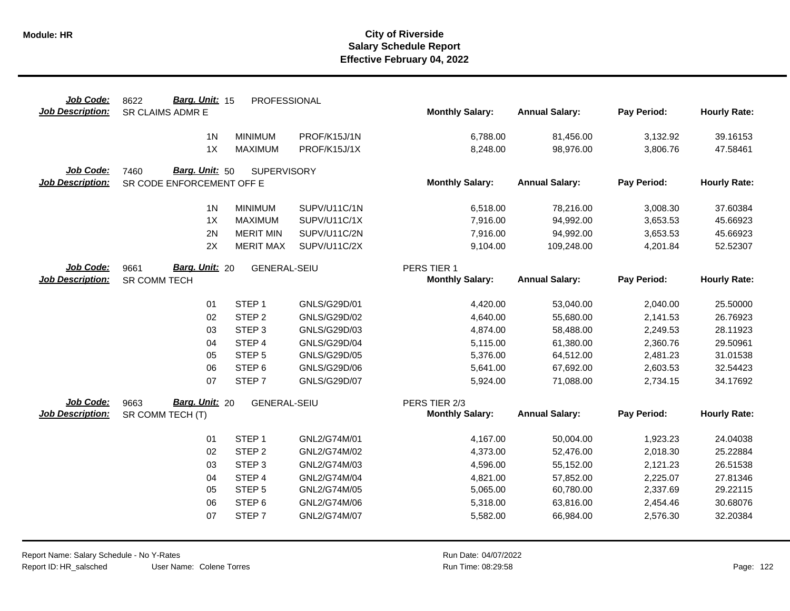| Job Code:               | Barg. Unit: 15<br>8622    | PROFESSIONAL        |              |                        |                       |             |                     |
|-------------------------|---------------------------|---------------------|--------------|------------------------|-----------------------|-------------|---------------------|
| <b>Job Description:</b> | SR CLAIMS ADMR E          |                     |              | <b>Monthly Salary:</b> | <b>Annual Salary:</b> | Pay Period: | <b>Hourly Rate:</b> |
|                         | 1 <sub>N</sub>            | <b>MINIMUM</b>      | PROF/K15J/1N | 6,788.00               | 81,456.00             | 3,132.92    | 39.16153            |
|                         | 1X                        | <b>MAXIMUM</b>      | PROF/K15J/1X | 8,248.00               | 98,976.00             | 3,806.76    | 47.58461            |
| Job Code:               | Barg. Unit: 50<br>7460    | <b>SUPERVISORY</b>  |              |                        |                       |             |                     |
| <b>Job Description:</b> | SR CODE ENFORCEMENT OFF E |                     |              | <b>Monthly Salary:</b> | <b>Annual Salary:</b> | Pay Period: | <b>Hourly Rate:</b> |
|                         |                           |                     |              |                        |                       |             |                     |
|                         | 1 <sub>N</sub>            | <b>MINIMUM</b>      | SUPV/U11C/1N | 6,518.00               | 78,216.00             | 3,008.30    | 37.60384            |
|                         | 1X                        | <b>MAXIMUM</b>      | SUPV/U11C/1X | 7,916.00               | 94,992.00             | 3,653.53    | 45.66923            |
|                         | 2N                        | <b>MERIT MIN</b>    | SUPV/U11C/2N | 7,916.00               | 94,992.00             | 3,653.53    | 45.66923            |
|                         | 2X                        | <b>MERIT MAX</b>    | SUPV/U11C/2X | 9,104.00               | 109,248.00            | 4,201.84    | 52.52307            |
| Job Code:               | Barg. Unit: 20<br>9661    | <b>GENERAL-SEIU</b> |              | PERS TIER 1            |                       |             |                     |
| <b>Job Description:</b> | SR COMM TECH              |                     |              | <b>Monthly Salary:</b> | <b>Annual Salary:</b> | Pay Period: | <b>Hourly Rate:</b> |
|                         | 01                        | STEP <sub>1</sub>   | GNLS/G29D/01 | 4,420.00               | 53,040.00             | 2,040.00    | 25.50000            |
|                         | 02                        | STEP <sub>2</sub>   | GNLS/G29D/02 | 4,640.00               | 55,680.00             | 2,141.53    | 26.76923            |
|                         | 03                        | STEP <sub>3</sub>   | GNLS/G29D/03 | 4,874.00               | 58,488.00             | 2,249.53    | 28.11923            |
|                         | 04                        | STEP 4              | GNLS/G29D/04 | 5,115.00               | 61,380.00             | 2,360.76    | 29.50961            |
|                         | 05                        | STEP <sub>5</sub>   | GNLS/G29D/05 | 5,376.00               | 64,512.00             | 2,481.23    | 31.01538            |
|                         | 06                        | STEP <sub>6</sub>   | GNLS/G29D/06 | 5,641.00               | 67,692.00             | 2,603.53    | 32.54423            |
|                         | 07                        | STEP <sub>7</sub>   | GNLS/G29D/07 | 5,924.00               | 71,088.00             | 2,734.15    | 34.17692            |
| Job Code:               | Barg. Unit: 20<br>9663    | <b>GENERAL-SEIU</b> |              | PERS TIER 2/3          |                       |             |                     |
| <b>Job Description:</b> | SR COMM TECH (T)          |                     |              | <b>Monthly Salary:</b> | <b>Annual Salary:</b> | Pay Period: | <b>Hourly Rate:</b> |
|                         |                           |                     |              |                        |                       |             |                     |
|                         | 01                        | STEP <sub>1</sub>   | GNL2/G74M/01 | 4,167.00               | 50,004.00             | 1,923.23    | 24.04038            |
|                         | 02                        | STEP <sub>2</sub>   | GNL2/G74M/02 | 4,373.00               | 52,476.00             | 2,018.30    | 25.22884            |
|                         | 03                        | STEP <sub>3</sub>   | GNL2/G74M/03 | 4,596.00               | 55,152.00             | 2,121.23    | 26.51538            |
|                         | 04                        | STEP 4              | GNL2/G74M/04 | 4,821.00               | 57,852.00             | 2,225.07    | 27.81346            |
|                         | 05                        | STEP <sub>5</sub>   | GNL2/G74M/05 | 5,065.00               | 60,780.00             | 2,337.69    | 29.22115            |
|                         | 06                        | STEP <sub>6</sub>   | GNL2/G74M/06 | 5,318.00               | 63,816.00             | 2,454.46    | 30.68076            |
|                         | 07                        | STEP <sub>7</sub>   | GNL2/G74M/07 | 5,582.00               | 66,984.00             | 2,576.30    | 32.20384            |
|                         |                           |                     |              |                        |                       |             |                     |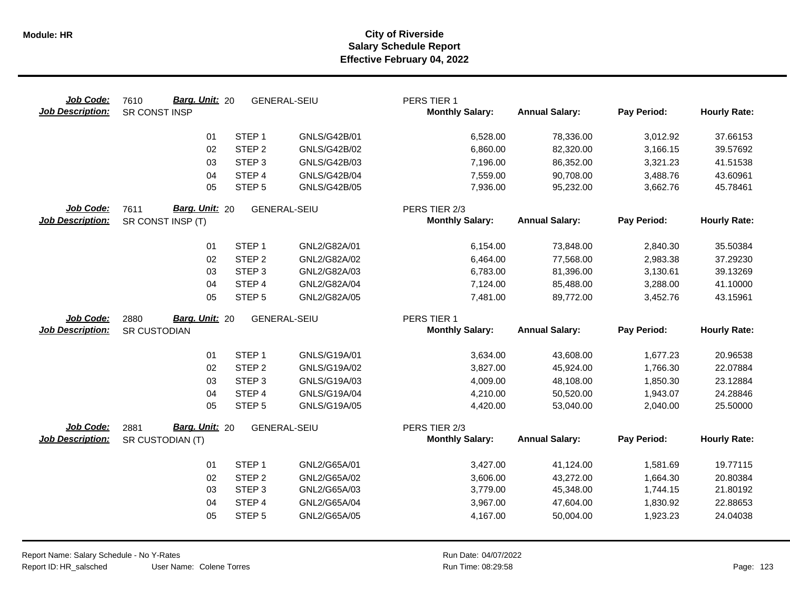| Job Code:<br><b>Job Description:</b> | Barg. Unit: 20<br>7610<br>SR CONST INSP     | <b>GENERAL-SEIU</b> |                     | PERS TIER 1<br><b>Monthly Salary:</b>   | <b>Annual Salary:</b> | Pay Period: | <b>Hourly Rate:</b> |
|--------------------------------------|---------------------------------------------|---------------------|---------------------|-----------------------------------------|-----------------------|-------------|---------------------|
|                                      | 01                                          | STEP <sub>1</sub>   | GNLS/G42B/01        | 6,528.00                                | 78,336.00             | 3,012.92    | 37.66153            |
|                                      | 02                                          | STEP <sub>2</sub>   | GNLS/G42B/02        | 6,860.00                                | 82,320.00             | 3,166.15    | 39.57692            |
|                                      | 03                                          | STEP <sub>3</sub>   | GNLS/G42B/03        | 7,196.00                                | 86,352.00             | 3,321.23    | 41.51538            |
|                                      | 04                                          | STEP 4              | <b>GNLS/G42B/04</b> | 7,559.00                                | 90,708.00             | 3,488.76    | 43.60961            |
|                                      | 05                                          | STEP <sub>5</sub>   | GNLS/G42B/05        | 7,936.00                                | 95,232.00             | 3,662.76    | 45.78461            |
| Job Code:<br><b>Job Description:</b> | Barg. Unit: 20<br>7611<br>SR CONST INSP (T) | <b>GENERAL-SEIU</b> |                     | PERS TIER 2/3<br><b>Monthly Salary:</b> | <b>Annual Salary:</b> | Pay Period: | <b>Hourly Rate:</b> |
|                                      | 01                                          | STEP <sub>1</sub>   | GNL2/G82A/01        | 6,154.00                                | 73,848.00             | 2,840.30    | 35.50384            |
|                                      | 02                                          | STEP <sub>2</sub>   | GNL2/G82A/02        | 6,464.00                                | 77,568.00             | 2,983.38    | 37.29230            |
|                                      | 03                                          | STEP <sub>3</sub>   | GNL2/G82A/03        | 6,783.00                                | 81,396.00             | 3,130.61    | 39.13269            |
|                                      | 04                                          | STEP 4              | GNL2/G82A/04        | 7,124.00                                | 85,488.00             | 3,288.00    | 41.10000            |
|                                      | 05                                          | STEP <sub>5</sub>   | GNL2/G82A/05        | 7,481.00                                | 89,772.00             | 3,452.76    | 43.15961            |
| Job Code:                            | Barg. Unit: 20<br>2880                      | <b>GENERAL-SEIU</b> |                     | PERS TIER 1                             |                       |             |                     |
| <b>Job Description:</b>              | SR CUSTODIAN                                |                     |                     | <b>Monthly Salary:</b>                  | <b>Annual Salary:</b> | Pay Period: | <b>Hourly Rate:</b> |
|                                      | 01                                          | STEP <sub>1</sub>   | GNLS/G19A/01        | 3,634.00                                | 43,608.00             | 1,677.23    | 20.96538            |
|                                      | 02                                          | STEP <sub>2</sub>   | GNLS/G19A/02        | 3,827.00                                | 45,924.00             | 1,766.30    | 22.07884            |
|                                      | 03                                          | STEP <sub>3</sub>   | GNLS/G19A/03        | 4,009.00                                | 48,108.00             | 1,850.30    | 23.12884            |
|                                      | 04                                          | STEP 4              | GNLS/G19A/04        | 4,210.00                                | 50,520.00             | 1,943.07    | 24.28846            |
|                                      | 05                                          | STEP <sub>5</sub>   | GNLS/G19A/05        | 4,420.00                                | 53,040.00             | 2,040.00    | 25.50000            |
| Job Code:                            | Barg. Unit: 20<br>2881                      | <b>GENERAL-SEIU</b> |                     | PERS TIER 2/3                           |                       |             |                     |
| <b>Job Description:</b>              | SR CUSTODIAN (T)                            |                     |                     | <b>Monthly Salary:</b>                  | <b>Annual Salary:</b> | Pay Period: | <b>Hourly Rate:</b> |
|                                      | 01                                          | STEP <sub>1</sub>   | GNL2/G65A/01        | 3,427.00                                | 41,124.00             | 1,581.69    | 19.77115            |
|                                      | 02                                          | STEP <sub>2</sub>   | GNL2/G65A/02        | 3,606.00                                | 43,272.00             | 1,664.30    | 20.80384            |
|                                      | 03                                          | STEP <sub>3</sub>   | GNL2/G65A/03        | 3,779.00                                | 45,348.00             | 1,744.15    | 21.80192            |
|                                      | 04                                          | STEP 4              | GNL2/G65A/04        | 3,967.00                                | 47,604.00             | 1,830.92    | 22.88653            |
|                                      | 05                                          | STEP <sub>5</sub>   | GNL2/G65A/05        | 4,167.00                                | 50,004.00             | 1,923.23    | 24.04038            |
|                                      |                                             |                     |                     |                                         |                       |             |                     |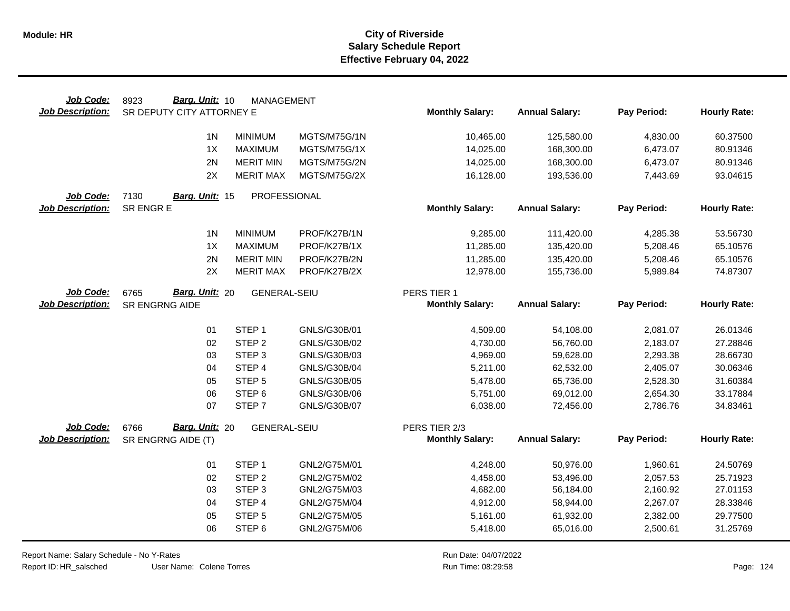| Job Code:               | Barg. Unit: 10<br>8923    | <b>MANAGEMENT</b>   |              |                        |                       |             |                     |
|-------------------------|---------------------------|---------------------|--------------|------------------------|-----------------------|-------------|---------------------|
| <b>Job Description:</b> | SR DEPUTY CITY ATTORNEY E |                     |              | <b>Monthly Salary:</b> | <b>Annual Salary:</b> | Pay Period: | <b>Hourly Rate:</b> |
|                         | 1 <sub>N</sub>            | <b>MINIMUM</b>      | MGTS/M75G/1N | 10,465.00              | 125,580.00            | 4,830.00    | 60.37500            |
|                         | 1X                        | <b>MAXIMUM</b>      | MGTS/M75G/1X | 14,025.00              | 168,300.00            | 6,473.07    | 80.91346            |
|                         | 2N                        | <b>MERIT MIN</b>    | MGTS/M75G/2N | 14,025.00              | 168,300.00            | 6,473.07    | 80.91346            |
|                         | 2X                        | <b>MERIT MAX</b>    | MGTS/M75G/2X |                        | 193,536.00            | 7,443.69    | 93.04615            |
|                         |                           |                     |              | 16,128.00              |                       |             |                     |
| Job Code:               | 7130<br>Barg. Unit: 15    | PROFESSIONAL        |              |                        |                       |             |                     |
| <b>Job Description:</b> | SR ENGR E                 |                     |              | <b>Monthly Salary:</b> | <b>Annual Salary:</b> | Pay Period: | <b>Hourly Rate:</b> |
|                         |                           |                     |              |                        |                       |             |                     |
|                         | 1N                        | <b>MINIMUM</b>      | PROF/K27B/1N | 9,285.00               | 111,420.00            | 4,285.38    | 53.56730            |
|                         | 1X                        | <b>MAXIMUM</b>      | PROF/K27B/1X | 11,285.00              | 135,420.00            | 5,208.46    | 65.10576            |
|                         | 2N                        | <b>MERIT MIN</b>    | PROF/K27B/2N | 11,285.00              | 135,420.00            | 5,208.46    | 65.10576            |
|                         | 2X                        | <b>MERIT MAX</b>    | PROF/K27B/2X | 12,978.00              | 155,736.00            | 5,989.84    | 74.87307            |
| Job Code:               | Barg. Unit: 20<br>6765    | <b>GENERAL-SEIU</b> |              | PERS TIER 1            |                       |             |                     |
| <b>Job Description:</b> | SR ENGRNG AIDE            |                     |              | <b>Monthly Salary:</b> | <b>Annual Salary:</b> | Pay Period: | <b>Hourly Rate:</b> |
|                         |                           |                     |              |                        |                       |             |                     |
|                         | 01                        | STEP <sub>1</sub>   | GNLS/G30B/01 | 4,509.00               | 54,108.00             | 2,081.07    | 26.01346            |
|                         | 02                        | STEP <sub>2</sub>   | GNLS/G30B/02 | 4,730.00               | 56,760.00             | 2,183.07    | 27.28846            |
|                         | 03                        | STEP <sub>3</sub>   | GNLS/G30B/03 | 4,969.00               | 59,628.00             | 2,293.38    | 28.66730            |
|                         | 04                        | STEP 4              | GNLS/G30B/04 | 5,211.00               | 62,532.00             | 2,405.07    | 30.06346            |
|                         | 05                        | STEP <sub>5</sub>   | GNLS/G30B/05 | 5,478.00               | 65,736.00             | 2,528.30    | 31.60384            |
|                         | 06                        | STEP <sub>6</sub>   | GNLS/G30B/06 | 5,751.00               | 69,012.00             | 2,654.30    | 33.17884            |
|                         | 07                        | STEP <sub>7</sub>   | GNLS/G30B/07 | 6,038.00               | 72,456.00             | 2,786.76    | 34.83461            |
| Job Code:               | Barg. Unit: 20<br>6766    | <b>GENERAL-SEIU</b> |              | PERS TIER 2/3          |                       |             |                     |
| <b>Job Description:</b> | SR ENGRNG AIDE (T)        |                     |              | <b>Monthly Salary:</b> | <b>Annual Salary:</b> | Pay Period: | <b>Hourly Rate:</b> |
|                         |                           |                     |              |                        |                       |             |                     |
|                         | 01                        | STEP <sub>1</sub>   | GNL2/G75M/01 | 4,248.00               | 50,976.00             | 1,960.61    | 24.50769            |
|                         | 02                        | STEP <sub>2</sub>   | GNL2/G75M/02 | 4,458.00               | 53,496.00             | 2,057.53    | 25.71923            |
|                         | 03                        | STEP <sub>3</sub>   | GNL2/G75M/03 | 4,682.00               | 56,184.00             | 2,160.92    | 27.01153            |
|                         | 04                        | STEP 4              | GNL2/G75M/04 | 4,912.00               | 58,944.00             | 2,267.07    | 28.33846            |
|                         | 05                        | STEP <sub>5</sub>   | GNL2/G75M/05 | 5,161.00               | 61,932.00             | 2,382.00    | 29.77500            |
|                         | 06                        | STEP <sub>6</sub>   | GNL2/G75M/06 | 5,418.00               | 65,016.00             | 2,500.61    | 31.25769            |
|                         |                           |                     |              |                        |                       |             |                     |

Report Name: Salary Schedule - No Y-Rates

Report ID: HR\_salsched

User Name: Colene Torres

Run Date: 04/07/2022 08:29:58 Colene Torres Run Time: Page: 124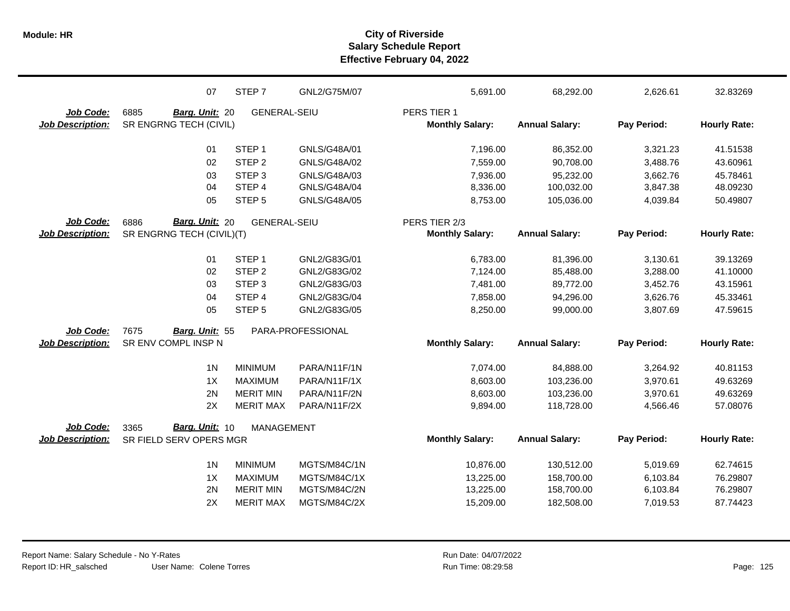|                         | 07                        | STEP 7              | GNL2/G75M/07      | 5,691.00               | 68,292.00             | 2,626.61    | 32.83269            |
|-------------------------|---------------------------|---------------------|-------------------|------------------------|-----------------------|-------------|---------------------|
| Job Code:               | 6885<br>Barg. Unit: 20    | <b>GENERAL-SEIU</b> |                   | PERS TIER 1            |                       |             |                     |
| <b>Job Description:</b> | SR ENGRNG TECH (CIVIL)    |                     |                   | <b>Monthly Salary:</b> | <b>Annual Salary:</b> | Pay Period: | <b>Hourly Rate:</b> |
|                         |                           |                     |                   |                        |                       |             |                     |
|                         | 01                        | STEP <sub>1</sub>   | GNLS/G48A/01      | 7,196.00               | 86,352.00             | 3,321.23    | 41.51538            |
|                         | 02                        | STEP <sub>2</sub>   | GNLS/G48A/02      | 7,559.00               | 90,708.00             | 3,488.76    | 43.60961            |
|                         | 03                        | STEP <sub>3</sub>   | GNLS/G48A/03      | 7,936.00               | 95,232.00             | 3,662.76    | 45.78461            |
|                         | 04                        | STEP 4              | GNLS/G48A/04      | 8,336.00               | 100,032.00            | 3,847.38    | 48.09230            |
|                         | 05                        | STEP <sub>5</sub>   | GNLS/G48A/05      | 8,753.00               | 105,036.00            | 4,039.84    | 50.49807            |
| Job Code:               | Barg. Unit: 20<br>6886    | <b>GENERAL-SEIU</b> |                   | PERS TIER 2/3          |                       |             |                     |
| <b>Job Description:</b> | SR ENGRNG TECH (CIVIL)(T) |                     |                   | <b>Monthly Salary:</b> | <b>Annual Salary:</b> | Pay Period: | <b>Hourly Rate:</b> |
|                         | 01                        | STEP <sub>1</sub>   | GNL2/G83G/01      | 6,783.00               | 81,396.00             | 3,130.61    | 39.13269            |
|                         | 02                        | STEP <sub>2</sub>   | GNL2/G83G/02      | 7,124.00               | 85,488.00             | 3,288.00    | 41.10000            |
|                         | 03                        | STEP <sub>3</sub>   | GNL2/G83G/03      | 7,481.00               | 89,772.00             | 3,452.76    | 43.15961            |
|                         | 04                        | STEP <sub>4</sub>   | GNL2/G83G/04      | 7,858.00               | 94,296.00             | 3,626.76    | 45.33461            |
|                         | 05                        | STEP <sub>5</sub>   | GNL2/G83G/05      | 8,250.00               | 99,000.00             | 3,807.69    | 47.59615            |
| Job Code:               | 7675<br>Barg. Unit: 55    |                     | PARA-PROFESSIONAL |                        |                       |             |                     |
| <b>Job Description:</b> | SR ENV COMPL INSP N       |                     |                   | <b>Monthly Salary:</b> | <b>Annual Salary:</b> | Pay Period: | <b>Hourly Rate:</b> |
|                         |                           |                     |                   |                        |                       |             |                     |
|                         | 1 <sub>N</sub>            | <b>MINIMUM</b>      | PARA/N11F/1N      | 7,074.00               | 84,888.00             | 3,264.92    | 40.81153            |
|                         | 1X                        | <b>MAXIMUM</b>      | PARA/N11F/1X      | 8,603.00               | 103,236.00            | 3,970.61    | 49.63269            |
|                         | 2N                        | <b>MERIT MIN</b>    | PARA/N11F/2N      | 8,603.00               | 103,236.00            | 3,970.61    | 49.63269            |
|                         | 2X                        | <b>MERIT MAX</b>    | PARA/N11F/2X      | 9,894.00               | 118,728.00            | 4,566.46    | 57.08076            |
| Job Code:               | Barg. Unit: 10<br>3365    | <b>MANAGEMENT</b>   |                   |                        |                       |             |                     |
| <b>Job Description:</b> | SR FIELD SERV OPERS MGR   |                     |                   | <b>Monthly Salary:</b> | <b>Annual Salary:</b> | Pay Period: | <b>Hourly Rate:</b> |
|                         | 1 <sub>N</sub>            | <b>MINIMUM</b>      | MGTS/M84C/1N      | 10,876.00              | 130,512.00            | 5,019.69    | 62.74615            |
|                         | 1X                        | <b>MAXIMUM</b>      | MGTS/M84C/1X      | 13,225.00              | 158,700.00            | 6,103.84    | 76.29807            |
|                         | 2N                        | <b>MERIT MIN</b>    | MGTS/M84C/2N      | 13,225.00              | 158,700.00            | 6,103.84    | 76.29807            |
|                         | 2X                        | <b>MERIT MAX</b>    | MGTS/M84C/2X      | 15,209.00              | 182,508.00            | 7,019.53    | 87.74423            |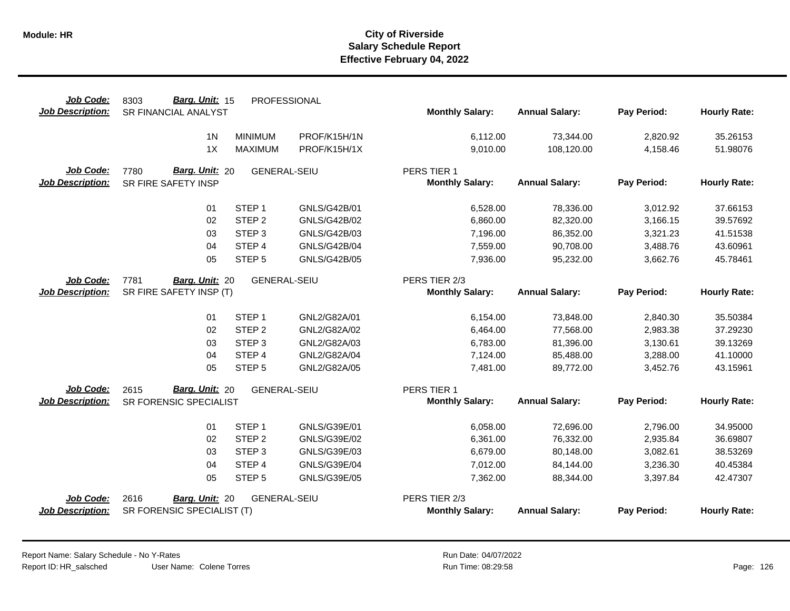| Job Code:<br><b>Job Description:</b> | Barg. Unit: 15<br>8303<br><b>SR FINANCIAL ANALYST</b> | PROFESSIONAL        |                     | <b>Monthly Salary:</b>                | <b>Annual Salary:</b> | Pay Period: | <b>Hourly Rate:</b> |
|--------------------------------------|-------------------------------------------------------|---------------------|---------------------|---------------------------------------|-----------------------|-------------|---------------------|
|                                      |                                                       |                     |                     |                                       |                       |             |                     |
|                                      | 1 <sub>N</sub>                                        | <b>MINIMUM</b>      | PROF/K15H/1N        | 6,112.00                              | 73,344.00             | 2,820.92    | 35.26153            |
|                                      | 1X                                                    | <b>MAXIMUM</b>      | PROF/K15H/1X        | 9,010.00                              | 108,120.00            | 4,158.46    | 51.98076            |
|                                      |                                                       |                     |                     |                                       |                       |             |                     |
| Job Code:<br><b>Job Description:</b> | Barg. Unit: 20<br>7780<br>SR FIRE SAFETY INSP         | <b>GENERAL-SEIU</b> |                     | PERS TIER 1<br><b>Monthly Salary:</b> | <b>Annual Salary:</b> | Pay Period: | <b>Hourly Rate:</b> |
|                                      |                                                       |                     |                     |                                       |                       |             |                     |
|                                      | 01                                                    | STEP <sub>1</sub>   | GNLS/G42B/01        | 6,528.00                              | 78,336.00             | 3,012.92    | 37.66153            |
|                                      | 02                                                    | STEP <sub>2</sub>   | <b>GNLS/G42B/02</b> | 6,860.00                              | 82,320.00             | 3,166.15    | 39.57692            |
|                                      | 03                                                    | STEP <sub>3</sub>   | GNLS/G42B/03        | 7,196.00                              | 86,352.00             | 3,321.23    | 41.51538            |
|                                      | 04                                                    | STEP 4              | <b>GNLS/G42B/04</b> | 7,559.00                              | 90,708.00             | 3,488.76    | 43.60961            |
|                                      | 05                                                    | STEP <sub>5</sub>   | <b>GNLS/G42B/05</b> | 7,936.00                              | 95,232.00             | 3,662.76    | 45.78461            |
| Job Code:                            | 7781<br>Barg. Unit: 20                                | <b>GENERAL-SEIU</b> |                     | PERS TIER 2/3                         |                       |             |                     |
| <b>Job Description:</b>              | SR FIRE SAFETY INSP (T)                               |                     |                     | <b>Monthly Salary:</b>                | <b>Annual Salary:</b> | Pay Period: | <b>Hourly Rate:</b> |
|                                      |                                                       |                     |                     |                                       |                       |             |                     |
|                                      | 01                                                    | STEP <sub>1</sub>   | GNL2/G82A/01        | 6,154.00                              | 73,848.00             | 2,840.30    | 35.50384            |
|                                      | 02                                                    | STEP <sub>2</sub>   | GNL2/G82A/02        | 6,464.00                              | 77,568.00             | 2,983.38    | 37.29230            |
|                                      | 03                                                    | STEP <sub>3</sub>   | GNL2/G82A/03        | 6,783.00                              | 81,396.00             | 3,130.61    | 39.13269            |
|                                      | 04                                                    | STEP 4              | GNL2/G82A/04        | 7,124.00                              | 85,488.00             | 3,288.00    | 41.10000            |
|                                      | 05                                                    | STEP <sub>5</sub>   | GNL2/G82A/05        | 7,481.00                              | 89,772.00             | 3,452.76    | 43.15961            |
| Job Code:                            | <b>Barg. Unit: 20</b><br>2615                         | <b>GENERAL-SEIU</b> |                     | PERS TIER 1                           |                       |             |                     |
| <b>Job Description:</b>              | SR FORENSIC SPECIALIST                                |                     |                     | <b>Monthly Salary:</b>                | <b>Annual Salary:</b> | Pay Period: | <b>Hourly Rate:</b> |
|                                      | 01                                                    | STEP <sub>1</sub>   | GNLS/G39E/01        | 6,058.00                              | 72,696.00             | 2,796.00    | 34.95000            |
|                                      | 02                                                    | STEP <sub>2</sub>   | GNLS/G39E/02        | 6,361.00                              | 76,332.00             | 2,935.84    | 36.69807            |
|                                      | 03                                                    | STEP <sub>3</sub>   | GNLS/G39E/03        | 6,679.00                              | 80,148.00             | 3,082.61    | 38.53269            |
|                                      | 04                                                    | STEP 4              | GNLS/G39E/04        | 7,012.00                              | 84,144.00             | 3,236.30    | 40.45384            |
|                                      | 05                                                    | STEP <sub>5</sub>   | GNLS/G39E/05        | 7,362.00                              | 88,344.00             | 3,397.84    | 42.47307            |
| Job Code:                            | 2616<br>Barg. Unit: 20                                | <b>GENERAL-SEIU</b> |                     | PERS TIER 2/3                         |                       |             |                     |
| <b>Job Description:</b>              | SR FORENSIC SPECIALIST (T)                            |                     |                     | <b>Monthly Salary:</b>                | <b>Annual Salary:</b> | Pay Period: | <b>Hourly Rate:</b> |
|                                      |                                                       |                     |                     |                                       |                       |             |                     |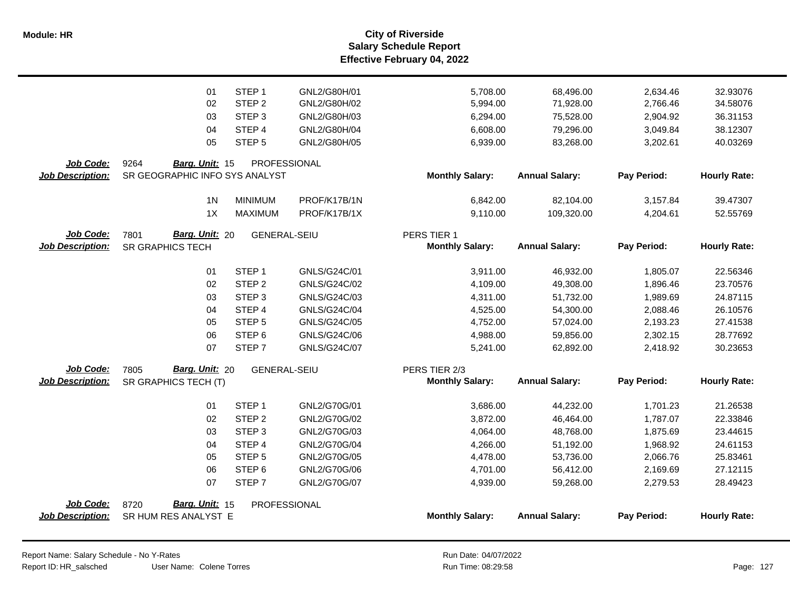|                         | 01                              | STEP <sub>1</sub>   | GNL2/G80H/01 | 5,708.00                              | 68,496.00             | 2,634.46    | 32.93076            |
|-------------------------|---------------------------------|---------------------|--------------|---------------------------------------|-----------------------|-------------|---------------------|
|                         | 02                              | STEP <sub>2</sub>   | GNL2/G80H/02 | 5,994.00                              | 71,928.00             | 2,766.46    | 34.58076            |
|                         | 03                              | STEP <sub>3</sub>   | GNL2/G80H/03 | 6,294.00                              | 75,528.00             | 2,904.92    | 36.31153            |
|                         | 04                              | STEP 4              | GNL2/G80H/04 | 6,608.00                              | 79,296.00             | 3,049.84    | 38.12307            |
|                         | 05                              | STEP <sub>5</sub>   | GNL2/G80H/05 | 6,939.00                              | 83,268.00             | 3,202.61    | 40.03269            |
|                         |                                 |                     |              |                                       |                       |             |                     |
| Job Code:               | 9264<br>Barg. Unit: 15          | PROFESSIONAL        |              |                                       |                       |             |                     |
| <b>Job Description:</b> | SR GEOGRAPHIC INFO SYS ANALYST  |                     |              | <b>Monthly Salary:</b>                | <b>Annual Salary:</b> | Pay Period: | <b>Hourly Rate:</b> |
|                         |                                 |                     |              |                                       |                       |             |                     |
|                         | 1 <sub>N</sub>                  | <b>MINIMUM</b>      | PROF/K17B/1N | 6,842.00                              | 82,104.00             | 3,157.84    | 39.47307            |
|                         | 1X                              | <b>MAXIMUM</b>      | PROF/K17B/1X | 9,110.00                              | 109,320.00            | 4,204.61    | 52.55769            |
| Job Code:               | Barg. Unit: 20                  |                     |              |                                       |                       |             |                     |
| <b>Job Description:</b> | 7801<br><b>SR GRAPHICS TECH</b> | <b>GENERAL-SEIU</b> |              | PERS TIER 1<br><b>Monthly Salary:</b> | <b>Annual Salary:</b> | Pay Period: | <b>Hourly Rate:</b> |
|                         |                                 |                     |              |                                       |                       |             |                     |
|                         | 01                              | STEP <sub>1</sub>   | GNLS/G24C/01 | 3,911.00                              | 46,932.00             | 1,805.07    | 22.56346            |
|                         | 02                              | STEP <sub>2</sub>   | GNLS/G24C/02 | 4,109.00                              | 49,308.00             | 1,896.46    | 23.70576            |
|                         | 03                              | STEP <sub>3</sub>   | GNLS/G24C/03 | 4,311.00                              | 51,732.00             | 1,989.69    | 24.87115            |
|                         | 04                              | STEP <sub>4</sub>   | GNLS/G24C/04 | 4,525.00                              | 54,300.00             | 2,088.46    | 26.10576            |
|                         | 05                              | STEP <sub>5</sub>   | GNLS/G24C/05 | 4,752.00                              | 57,024.00             | 2,193.23    | 27.41538            |
|                         | 06                              | STEP <sub>6</sub>   | GNLS/G24C/06 | 4,988.00                              | 59,856.00             | 2,302.15    | 28.77692            |
|                         | 07                              | STEP <sub>7</sub>   | GNLS/G24C/07 | 5,241.00                              | 62,892.00             | 2,418.92    | 30.23653            |
|                         |                                 |                     |              |                                       |                       |             |                     |
| Job Code:               | Barg. Unit: 20<br>7805          | <b>GENERAL-SEIU</b> |              | PERS TIER 2/3                         |                       |             |                     |
| <b>Job Description:</b> | SR GRAPHICS TECH (T)            |                     |              | <b>Monthly Salary:</b>                | <b>Annual Salary:</b> | Pay Period: | <b>Hourly Rate:</b> |
|                         |                                 |                     |              |                                       |                       |             |                     |
|                         | 01                              | STEP <sub>1</sub>   | GNL2/G70G/01 | 3,686.00                              | 44,232.00             | 1,701.23    | 21.26538            |
|                         | 02                              | STEP <sub>2</sub>   | GNL2/G70G/02 | 3,872.00                              | 46,464.00             | 1,787.07    | 22.33846            |
|                         | 03                              | STEP <sub>3</sub>   | GNL2/G70G/03 | 4,064.00                              | 48,768.00             | 1,875.69    | 23.44615            |
|                         | 04                              | STEP 4              | GNL2/G70G/04 | 4,266.00                              | 51,192.00             | 1,968.92    | 24.61153            |
|                         | 05                              | STEP <sub>5</sub>   | GNL2/G70G/05 | 4,478.00                              | 53,736.00             | 2,066.76    | 25.83461            |
|                         | 06                              | STEP <sub>6</sub>   | GNL2/G70G/06 | 4,701.00                              | 56,412.00             | 2,169.69    | 27.12115            |
|                         | 07                              | STEP <sub>7</sub>   | GNL2/G70G/07 | 4,939.00                              | 59,268.00             | 2,279.53    | 28.49423            |
| Job Code:               | Barg. Unit: 15<br>8720          | PROFESSIONAL        |              |                                       |                       |             |                     |
| <b>Job Description:</b> | SR HUM RES ANALYST E            |                     |              | <b>Monthly Salary:</b>                | <b>Annual Salary:</b> | Pay Period: | <b>Hourly Rate:</b> |
|                         |                                 |                     |              |                                       |                       |             |                     |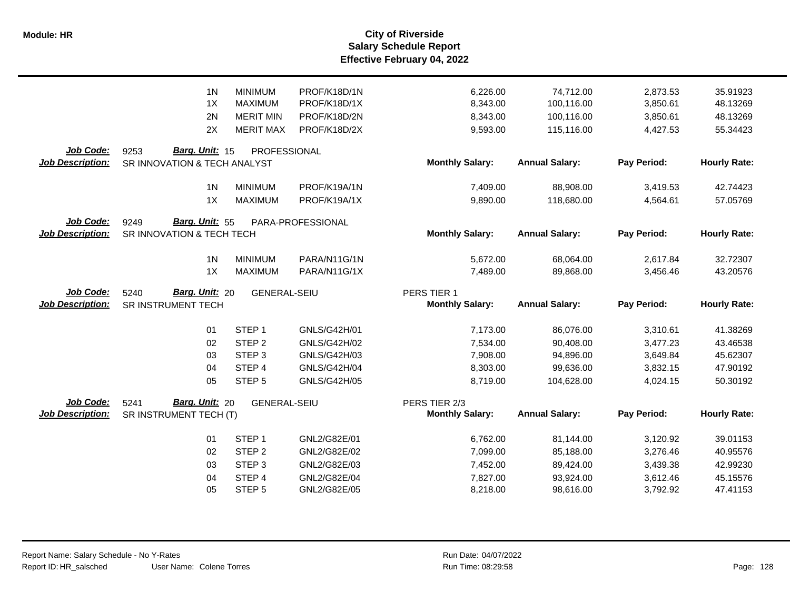|                                             | 1 <sub>N</sub>                                         | <b>MINIMUM</b>      | PROF/K18D/1N      | 6,226.00                                | 74,712.00             | 2,873.53    | 35.91923            |
|---------------------------------------------|--------------------------------------------------------|---------------------|-------------------|-----------------------------------------|-----------------------|-------------|---------------------|
|                                             | 1X                                                     | <b>MAXIMUM</b>      | PROF/K18D/1X      | 8,343.00                                | 100,116.00            | 3,850.61    | 48.13269            |
|                                             | 2N                                                     | <b>MERIT MIN</b>    | PROF/K18D/2N      | 8,343.00                                | 100,116.00            | 3,850.61    | 48.13269            |
|                                             | 2X                                                     | <b>MERIT MAX</b>    | PROF/K18D/2X      | 9,593.00                                | 115,116.00            | 4,427.53    | 55.34423            |
| <b>Job Code:</b><br><b>Job Description:</b> | Barg. Unit: 15<br>9253<br>SR INNOVATION & TECH ANALYST | PROFESSIONAL        |                   | <b>Monthly Salary:</b>                  | <b>Annual Salary:</b> | Pay Period: | <b>Hourly Rate:</b> |
|                                             | 1 <sub>N</sub>                                         | <b>MINIMUM</b>      | PROF/K19A/1N      | 7,409.00                                | 88,908.00             | 3,419.53    | 42.74423            |
|                                             | 1X                                                     | <b>MAXIMUM</b>      | PROF/K19A/1X      | 9,890.00                                | 118,680.00            | 4,564.61    | 57.05769            |
| Job Code:<br><b>Job Description:</b>        | Barg. Unit: 55<br>9249<br>SR INNOVATION & TECH TECH    |                     | PARA-PROFESSIONAL | <b>Monthly Salary:</b>                  | <b>Annual Salary:</b> | Pay Period: | <b>Hourly Rate:</b> |
|                                             | 1 <sub>N</sub>                                         | <b>MINIMUM</b>      | PARA/N11G/1N      | 5,672.00                                | 68,064.00             | 2,617.84    | 32.72307            |
|                                             | 1X                                                     | <b>MAXIMUM</b>      | PARA/N11G/1X      | 7,489.00                                | 89,868.00             | 3,456.46    | 43.20576            |
| Job Code:<br><b>Job Description:</b>        | Barg. Unit: 20<br>5240<br>SR INSTRUMENT TECH           | <b>GENERAL-SEIU</b> |                   | PERS TIER 1<br><b>Monthly Salary:</b>   | <b>Annual Salary:</b> | Pay Period: | <b>Hourly Rate:</b> |
|                                             | 01                                                     | STEP <sub>1</sub>   | GNLS/G42H/01      | 7,173.00                                | 86,076.00             | 3,310.61    | 41.38269            |
|                                             | 02                                                     | STEP <sub>2</sub>   | GNLS/G42H/02      | 7,534.00                                | 90,408.00             | 3,477.23    | 43.46538            |
|                                             | 03                                                     | STEP <sub>3</sub>   | GNLS/G42H/03      | 7,908.00                                | 94,896.00             | 3,649.84    | 45.62307            |
|                                             | 04                                                     | STEP 4              | GNLS/G42H/04      | 8,303.00                                | 99,636.00             | 3,832.15    | 47.90192            |
|                                             | 05                                                     | STEP <sub>5</sub>   | GNLS/G42H/05      | 8.719.00                                | 104,628.00            | 4,024.15    | 50.30192            |
| Job Code:<br><b>Job Description:</b>        | Barg. Unit: 20<br>5241<br>SR INSTRUMENT TECH (T)       | <b>GENERAL-SEIU</b> |                   | PERS TIER 2/3<br><b>Monthly Salary:</b> | <b>Annual Salary:</b> | Pay Period: | <b>Hourly Rate:</b> |
|                                             | 01                                                     | STEP <sub>1</sub>   | GNL2/G82E/01      | 6,762.00                                | 81,144.00             | 3,120.92    | 39.01153            |
|                                             | 02                                                     | STEP <sub>2</sub>   | GNL2/G82E/02      | 7,099.00                                | 85,188.00             | 3,276.46    | 40.95576            |
|                                             | 03                                                     | STEP <sub>3</sub>   | GNL2/G82E/03      | 7,452.00                                | 89,424.00             | 3,439.38    | 42.99230            |
|                                             | 04                                                     | STEP <sub>4</sub>   | GNL2/G82E/04      | 7,827.00                                | 93,924.00             | 3,612.46    | 45.15576            |
|                                             | 05                                                     | STEP <sub>5</sub>   | GNL2/G82E/05      | 8,218.00                                | 98,616.00             | 3,792.92    | 47.41153            |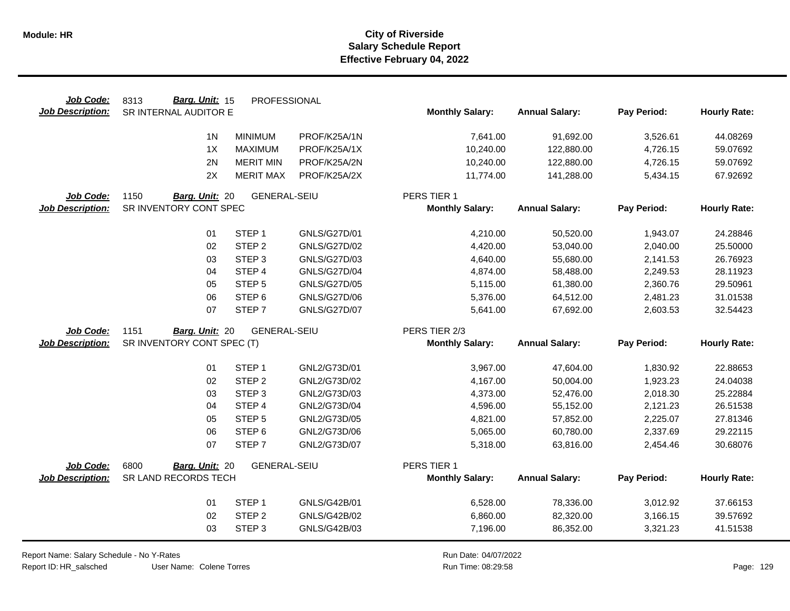| Job Code:               | Barg. Unit: 15<br>8313     | PROFESSIONAL        |                     |                        |                       |             |                     |
|-------------------------|----------------------------|---------------------|---------------------|------------------------|-----------------------|-------------|---------------------|
| <b>Job Description:</b> | SR INTERNAL AUDITOR E      |                     |                     | <b>Monthly Salary:</b> | <b>Annual Salary:</b> | Pay Period: | <b>Hourly Rate:</b> |
|                         | 1 <sub>N</sub>             | <b>MINIMUM</b>      | PROF/K25A/1N        | 7,641.00               | 91,692.00             | 3,526.61    | 44.08269            |
|                         | 1X                         | <b>MAXIMUM</b>      | PROF/K25A/1X        | 10,240.00              | 122,880.00            | 4,726.15    | 59.07692            |
|                         | 2N                         | <b>MERIT MIN</b>    | PROF/K25A/2N        | 10,240.00              | 122,880.00            | 4,726.15    | 59.07692            |
|                         | 2X                         | <b>MERIT MAX</b>    | PROF/K25A/2X        | 11,774.00              | 141,288.00            | 5,434.15    | 67.92692            |
| Job Code:               | 1150<br>Barg. Unit: 20     | <b>GENERAL-SEIU</b> |                     | PERS TIER 1            |                       |             |                     |
| <b>Job Description:</b> | SR INVENTORY CONT SPEC     |                     |                     | <b>Monthly Salary:</b> | <b>Annual Salary:</b> | Pay Period: | <b>Hourly Rate:</b> |
|                         |                            |                     |                     |                        |                       |             |                     |
|                         | 01                         | STEP <sub>1</sub>   | <b>GNLS/G27D/01</b> | 4,210.00               | 50,520.00             | 1,943.07    | 24.28846            |
|                         | 02                         | STEP <sub>2</sub>   | <b>GNLS/G27D/02</b> | 4,420.00               | 53,040.00             | 2,040.00    | 25.50000            |
|                         | 03                         | STEP <sub>3</sub>   | GNLS/G27D/03        | 4,640.00               | 55,680.00             | 2,141.53    | 26.76923            |
|                         | 04                         | STEP <sub>4</sub>   | <b>GNLS/G27D/04</b> | 4,874.00               | 58,488.00             | 2,249.53    | 28.11923            |
|                         | 05                         | STEP <sub>5</sub>   | <b>GNLS/G27D/05</b> | 5,115.00               | 61,380.00             | 2,360.76    | 29.50961            |
|                         | 06                         | STEP <sub>6</sub>   | <b>GNLS/G27D/06</b> | 5,376.00               | 64,512.00             | 2,481.23    | 31.01538            |
|                         | 07                         | STEP <sub>7</sub>   | <b>GNLS/G27D/07</b> | 5,641.00               | 67,692.00             | 2,603.53    | 32.54423            |
| Job Code:               | 1151<br>Barg. Unit: 20     | <b>GENERAL-SEIU</b> |                     | PERS TIER 2/3          |                       |             |                     |
| <b>Job Description:</b> | SR INVENTORY CONT SPEC (T) |                     |                     | <b>Monthly Salary:</b> | <b>Annual Salary:</b> | Pay Period: | <b>Hourly Rate:</b> |
|                         | 01                         | STEP <sub>1</sub>   | GNL2/G73D/01        | 3,967.00               | 47,604.00             | 1,830.92    | 22.88653            |
|                         | 02                         | STEP <sub>2</sub>   | GNL2/G73D/02        | 4,167.00               | 50,004.00             | 1,923.23    | 24.04038            |
|                         | 03                         | STEP <sub>3</sub>   | GNL2/G73D/03        | 4,373.00               | 52,476.00             | 2,018.30    | 25.22884            |
|                         | 04                         | STEP 4              | GNL2/G73D/04        | 4,596.00               | 55,152.00             | 2,121.23    | 26.51538            |
|                         | 05                         | STEP <sub>5</sub>   | GNL2/G73D/05        | 4,821.00               | 57,852.00             | 2,225.07    | 27.81346            |
|                         | 06                         | STEP <sub>6</sub>   | GNL2/G73D/06        | 5,065.00               | 60,780.00             | 2,337.69    | 29.22115            |
|                         | 07                         | STEP <sub>7</sub>   | GNL2/G73D/07        | 5,318.00               | 63,816.00             | 2,454.46    | 30.68076            |
|                         |                            |                     |                     |                        |                       |             |                     |
| Job Code:               | 6800<br>Barg. Unit: 20     | <b>GENERAL-SEIU</b> |                     | PERS TIER 1            |                       |             |                     |
| <b>Job Description:</b> | SR LAND RECORDS TECH       |                     |                     | <b>Monthly Salary:</b> | <b>Annual Salary:</b> | Pay Period: | <b>Hourly Rate:</b> |
|                         |                            |                     |                     |                        |                       |             |                     |
|                         | 01                         | STEP <sub>1</sub>   | GNLS/G42B/01        | 6,528.00               | 78,336.00             | 3,012.92    | 37.66153            |
|                         | 02                         | STEP <sub>2</sub>   | GNLS/G42B/02        | 6,860.00               | 82,320.00             | 3,166.15    | 39.57692            |

User Name: Colene Torres Report Name: Salary Schedule - No Y-Rates Report ID: HR\_salsched

 $\overline{\phantom{0}}$ 

Run Date: 04/07/2022 08:29:58 Colene Torres Run Time: Page: 129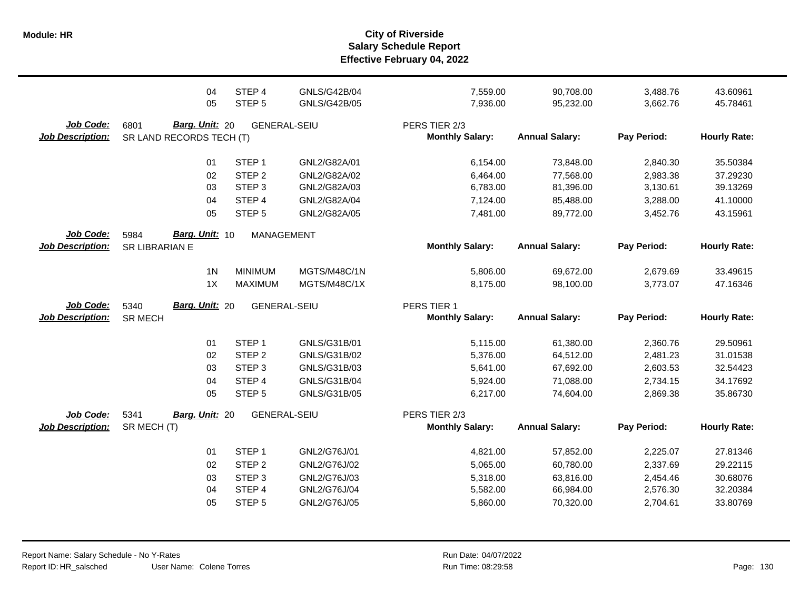|                                      | 04<br>05                                           | STEP 4<br>STEP <sub>5</sub> | <b>GNLS/G42B/04</b><br><b>GNLS/G42B/05</b> | 7,559.00<br>7,936.00                    | 90,708.00<br>95,232.00 | 3,488.76<br>3,662.76 | 43.60961<br>45.78461 |
|--------------------------------------|----------------------------------------------------|-----------------------------|--------------------------------------------|-----------------------------------------|------------------------|----------------------|----------------------|
| Job Code:<br><b>Job Description:</b> | Barg. Unit: 20<br>6801<br>SR LAND RECORDS TECH (T) | <b>GENERAL-SEIU</b>         |                                            | PERS TIER 2/3<br><b>Monthly Salary:</b> | <b>Annual Salary:</b>  | Pay Period:          | <b>Hourly Rate:</b>  |
|                                      | 01                                                 | STEP <sub>1</sub>           | GNL2/G82A/01                               | 6,154.00                                | 73,848.00              | 2,840.30             | 35.50384             |
|                                      | 02                                                 | STEP <sub>2</sub>           | GNL2/G82A/02                               | 6,464.00                                | 77,568.00              | 2,983.38             | 37.29230             |
|                                      | 03                                                 | STEP <sub>3</sub>           | GNL2/G82A/03                               | 6,783.00                                | 81,396.00              | 3,130.61             | 39.13269             |
|                                      | 04                                                 | STEP 4                      | GNL2/G82A/04                               | 7,124.00                                | 85,488.00              | 3,288.00             | 41.10000             |
|                                      | 05                                                 | STEP <sub>5</sub>           | GNL2/G82A/05                               | 7,481.00                                | 89,772.00              | 3,452.76             | 43.15961             |
| Job Code:                            | Barg. Unit: 10<br>5984                             | <b>MANAGEMENT</b>           |                                            |                                         |                        |                      |                      |
| <b>Job Description:</b>              | SR LIBRARIAN E                                     |                             |                                            | <b>Monthly Salary:</b>                  | <b>Annual Salary:</b>  | Pay Period:          | <b>Hourly Rate:</b>  |
|                                      | 1 <sub>N</sub>                                     | <b>MINIMUM</b>              | MGTS/M48C/1N                               | 5,806.00                                | 69,672.00              | 2,679.69             | 33.49615             |
|                                      | 1X                                                 | <b>MAXIMUM</b>              | MGTS/M48C/1X                               | 8,175.00                                | 98,100.00              | 3,773.07             | 47.16346             |
| <b>Job Code:</b>                     | <b>Barg. Unit: 20</b><br>5340                      | <b>GENERAL-SEIU</b>         |                                            | PERS TIER 1                             |                        |                      |                      |
|                                      |                                                    |                             |                                            |                                         |                        |                      |                      |
| <b>Job Description:</b>              | <b>SR MECH</b>                                     |                             |                                            | <b>Monthly Salary:</b>                  | <b>Annual Salary:</b>  | Pay Period:          | <b>Hourly Rate:</b>  |
|                                      |                                                    |                             |                                            |                                         |                        |                      |                      |
|                                      | 01                                                 | STEP <sub>1</sub>           | GNLS/G31B/01                               | 5,115.00                                | 61,380.00              | 2,360.76             | 29.50961             |
|                                      | 02                                                 | STEP <sub>2</sub>           | GNLS/G31B/02                               | 5,376.00                                | 64,512.00              | 2,481.23             | 31.01538             |
|                                      | 03                                                 | STEP <sub>3</sub>           | GNLS/G31B/03                               | 5,641.00                                | 67,692.00              | 2,603.53             | 32.54423             |
|                                      | 04<br>05                                           | STEP 4<br>STEP <sub>5</sub> | GNLS/G31B/04<br>GNLS/G31B/05               | 5,924.00<br>6,217.00                    | 71,088.00<br>74,604.00 | 2,734.15<br>2,869.38 | 34.17692<br>35.86730 |
|                                      |                                                    |                             |                                            |                                         |                        |                      |                      |
| Job Code:<br><b>Job Description:</b> | 5341<br>Barg. Unit: 20<br>SR MECH (T)              | <b>GENERAL-SEIU</b>         |                                            | PERS TIER 2/3<br><b>Monthly Salary:</b> | <b>Annual Salary:</b>  | Pay Period:          | <b>Hourly Rate:</b>  |
|                                      |                                                    |                             |                                            |                                         |                        |                      |                      |
|                                      | 01                                                 | STEP <sub>1</sub>           | GNL2/G76J/01                               | 4,821.00                                | 57,852.00              | 2,225.07             | 27.81346             |
|                                      | 02                                                 | STEP <sub>2</sub>           | GNL2/G76J/02                               | 5,065.00                                | 60,780.00              | 2,337.69             | 29.22115             |
|                                      | 03                                                 | STEP <sub>3</sub>           | GNL2/G76J/03                               | 5,318.00                                | 63,816.00              | 2,454.46             | 30.68076             |
|                                      | 04                                                 | STEP 4                      | GNL2/G76J/04                               | 5,582.00                                | 66,984.00              | 2,576.30             | 32.20384             |
|                                      | 05                                                 | STEP <sub>5</sub>           | GNL2/G76J/05                               | 5,860.00                                | 70,320.00              | 2,704.61             | 33.80769             |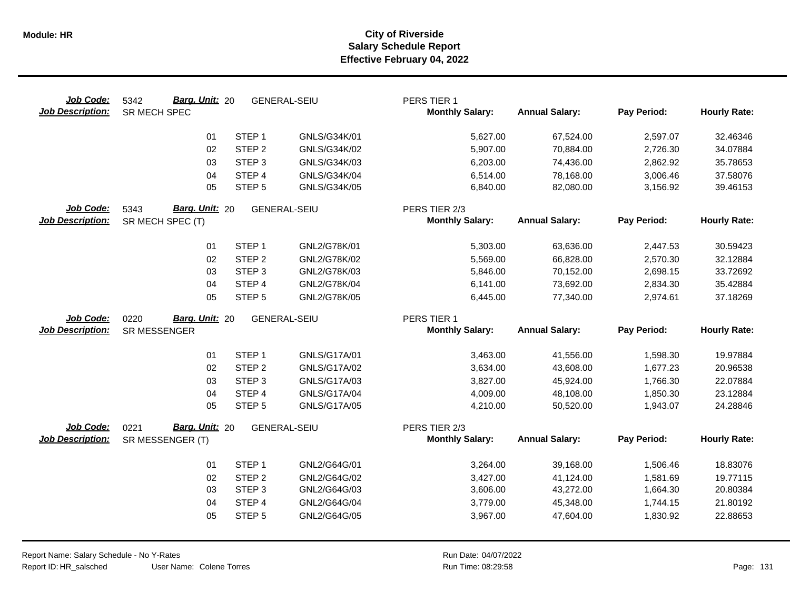| Job Code:<br><b>Job Description:</b> | Barg. Unit: 20<br>5342<br>SR MECH SPEC | <b>GENERAL-SEIU</b> |                     | PERS TIER 1<br><b>Monthly Salary:</b> | <b>Annual Salary:</b> | Pay Period: | <b>Hourly Rate:</b> |
|--------------------------------------|----------------------------------------|---------------------|---------------------|---------------------------------------|-----------------------|-------------|---------------------|
|                                      | 01                                     | STEP <sub>1</sub>   | GNLS/G34K/01        | 5,627.00                              | 67,524.00             | 2,597.07    | 32.46346            |
|                                      | 02                                     | STEP <sub>2</sub>   | GNLS/G34K/02        | 5,907.00                              | 70,884.00             | 2,726.30    | 34.07884            |
|                                      | 03                                     | STEP <sub>3</sub>   | GNLS/G34K/03        | 6,203.00                              | 74,436.00             | 2,862.92    | 35.78653            |
|                                      | 04                                     | STEP 4              | GNLS/G34K/04        | 6,514.00                              | 78,168.00             | 3,006.46    | 37.58076            |
|                                      | 05                                     | STEP <sub>5</sub>   | GNLS/G34K/05        | 6,840.00                              | 82,080.00             | 3,156.92    | 39.46153            |
| Job Code:                            | Barg. Unit: 20<br>5343                 | <b>GENERAL-SEIU</b> |                     | PERS TIER 2/3                         |                       |             |                     |
| <b>Job Description:</b>              | SR MECH SPEC (T)                       |                     |                     | <b>Monthly Salary:</b>                | <b>Annual Salary:</b> | Pay Period: | <b>Hourly Rate:</b> |
|                                      | 01                                     | STEP <sub>1</sub>   | GNL2/G78K/01        | 5,303.00                              | 63,636.00             | 2,447.53    | 30.59423            |
|                                      | 02                                     | STEP <sub>2</sub>   | GNL2/G78K/02        | 5,569.00                              | 66,828.00             | 2,570.30    | 32.12884            |
|                                      | 03                                     | STEP <sub>3</sub>   | GNL2/G78K/03        | 5,846.00                              | 70,152.00             | 2,698.15    | 33.72692            |
|                                      | 04                                     | STEP 4              | GNL2/G78K/04        | 6,141.00                              | 73,692.00             | 2,834.30    | 35.42884            |
|                                      | 05                                     | STEP <sub>5</sub>   | GNL2/G78K/05        | 6,445.00                              | 77,340.00             | 2,974.61    | 37.18269            |
| Job Code:                            | Barg. Unit: 20<br>0220                 | <b>GENERAL-SEIU</b> |                     | PERS TIER 1                           |                       |             |                     |
| <b>Job Description:</b>              | SR MESSENGER                           |                     |                     | <b>Monthly Salary:</b>                | <b>Annual Salary:</b> | Pay Period: | <b>Hourly Rate:</b> |
|                                      |                                        |                     |                     |                                       |                       |             |                     |
|                                      | 01                                     | STEP <sub>1</sub>   | GNLS/G17A/01        | 3,463.00                              | 41,556.00             | 1,598.30    | 19.97884            |
|                                      | 02                                     | STEP <sub>2</sub>   | GNLS/G17A/02        | 3,634.00                              | 43,608.00             | 1,677.23    | 20.96538            |
|                                      | 03                                     | STEP <sub>3</sub>   | GNLS/G17A/03        | 3,827.00                              | 45,924.00             | 1,766.30    | 22.07884            |
|                                      | 04                                     | STEP <sub>4</sub>   | <b>GNLS/G17A/04</b> | 4,009.00                              | 48,108.00             | 1,850.30    | 23.12884            |
|                                      | 05                                     | STEP <sub>5</sub>   | GNLS/G17A/05        | 4,210.00                              | 50,520.00             | 1,943.07    | 24.28846            |
| Job Code:                            | 0221<br>Barg. Unit: 20                 | <b>GENERAL-SEIU</b> |                     | PERS TIER 2/3                         |                       |             |                     |
| <b>Job Description:</b>              | SR MESSENGER (T)                       |                     |                     | <b>Monthly Salary:</b>                | <b>Annual Salary:</b> | Pay Period: | <b>Hourly Rate:</b> |
|                                      | 01                                     | STEP <sub>1</sub>   | GNL2/G64G/01        | 3,264.00                              | 39,168.00             | 1,506.46    | 18.83076            |
|                                      | 02                                     | STEP <sub>2</sub>   | GNL2/G64G/02        | 3,427.00                              | 41,124.00             | 1,581.69    | 19.77115            |
|                                      | 03                                     | STEP <sub>3</sub>   | GNL2/G64G/03        | 3,606.00                              | 43,272.00             | 1,664.30    | 20.80384            |
|                                      | 04                                     | STEP 4              | GNL2/G64G/04        | 3,779.00                              | 45,348.00             | 1,744.15    | 21.80192            |
|                                      | 05                                     | STEP <sub>5</sub>   | GNL2/G64G/05        | 3,967.00                              | 47,604.00             | 1,830.92    | 22.88653            |
|                                      |                                        |                     |                     |                                       |                       |             |                     |
|                                      |                                        |                     |                     |                                       |                       |             |                     |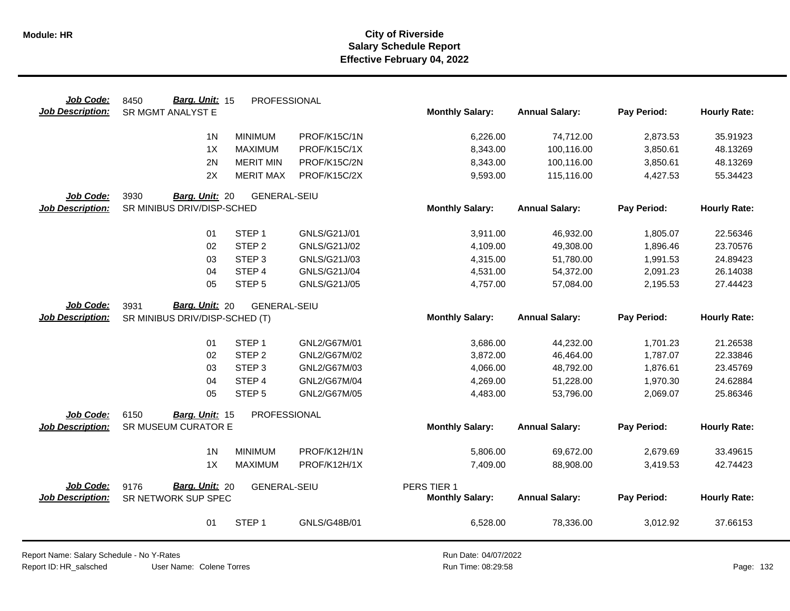| Job Code:<br><b>Job Description:</b> | Barg. Unit: 15<br>8450<br>SR MGMT ANALYST E   | PROFESSIONAL        |              | <b>Monthly Salary:</b> | <b>Annual Salary:</b> | Pay Period: | <b>Hourly Rate:</b> |
|--------------------------------------|-----------------------------------------------|---------------------|--------------|------------------------|-----------------------|-------------|---------------------|
|                                      | 1 <sub>N</sub>                                | <b>MINIMUM</b>      | PROF/K15C/1N | 6,226.00               | 74,712.00             | 2,873.53    | 35.91923            |
|                                      | 1X                                            | <b>MAXIMUM</b>      | PROF/K15C/1X | 8,343.00               | 100,116.00            | 3,850.61    | 48.13269            |
|                                      | 2N                                            | <b>MERIT MIN</b>    | PROF/K15C/2N | 8,343.00               | 100,116.00            | 3,850.61    | 48.13269            |
|                                      | 2X                                            | <b>MERIT MAX</b>    | PROF/K15C/2X | 9,593.00               | 115,116.00            | 4,427.53    | 55.34423            |
|                                      |                                               |                     |              |                        |                       |             |                     |
| Job Code:                            | 3930<br>Barg. Unit: 20                        | <b>GENERAL-SEIU</b> |              |                        |                       |             |                     |
| <b>Job Description:</b>              | SR MINIBUS DRIV/DISP-SCHED                    |                     |              | <b>Monthly Salary:</b> | <b>Annual Salary:</b> | Pay Period: | <b>Hourly Rate:</b> |
|                                      |                                               |                     |              |                        |                       |             |                     |
|                                      | 01                                            | STEP <sub>1</sub>   | GNLS/G21J/01 | 3,911.00               | 46,932.00             | 1,805.07    | 22.56346            |
|                                      | 02                                            | STEP <sub>2</sub>   | GNLS/G21J/02 | 4,109.00               | 49,308.00             | 1,896.46    | 23.70576            |
|                                      | 03                                            | STEP <sub>3</sub>   | GNLS/G21J/03 | 4,315.00               | 51,780.00             | 1,991.53    | 24.89423            |
|                                      | 04                                            | STEP 4              | GNLS/G21J/04 | 4,531.00               | 54,372.00             | 2,091.23    | 26.14038            |
|                                      | 05                                            | STEP <sub>5</sub>   | GNLS/G21J/05 | 4,757.00               | 57,084.00             | 2,195.53    | 27.44423            |
| Job Code:                            | Barg. Unit: 20<br>3931                        | <b>GENERAL-SEIU</b> |              |                        |                       |             |                     |
| <b>Job Description:</b>              | SR MINIBUS DRIV/DISP-SCHED (T)                |                     |              | <b>Monthly Salary:</b> | <b>Annual Salary:</b> | Pay Period: | <b>Hourly Rate:</b> |
|                                      |                                               |                     |              |                        |                       |             |                     |
|                                      | 01                                            | STEP <sub>1</sub>   | GNL2/G67M/01 | 3,686.00               | 44,232.00             | 1,701.23    | 21.26538            |
|                                      | 02                                            | STEP <sub>2</sub>   | GNL2/G67M/02 | 3,872.00               | 46,464.00             | 1,787.07    | 22.33846            |
|                                      | 03                                            | STEP <sub>3</sub>   | GNL2/G67M/03 | 4,066.00               | 48,792.00             | 1,876.61    | 23.45769            |
|                                      | 04                                            | STEP 4              | GNL2/G67M/04 | 4,269.00               | 51,228.00             | 1,970.30    | 24.62884            |
|                                      | 05                                            | STEP <sub>5</sub>   | GNL2/G67M/05 | 4,483.00               | 53,796.00             | 2,069.07    | 25.86346            |
|                                      |                                               | PROFESSIONAL        |              |                        |                       |             |                     |
| Job Code:<br><b>Job Description:</b> | 6150<br>Barg. Unit: 15<br>SR MUSEUM CURATOR E |                     |              | <b>Monthly Salary:</b> | <b>Annual Salary:</b> | Pay Period: | <b>Hourly Rate:</b> |
|                                      |                                               |                     |              |                        |                       |             |                     |
|                                      | 1 <sub>N</sub>                                | <b>MINIMUM</b>      | PROF/K12H/1N | 5,806.00               | 69,672.00             | 2,679.69    | 33.49615            |
|                                      | 1X                                            | <b>MAXIMUM</b>      | PROF/K12H/1X | 7,409.00               | 88,908.00             | 3,419.53    | 42.74423            |
|                                      |                                               |                     |              |                        |                       |             |                     |
| Job Code:                            | <b>Barg. Unit: 20</b><br>9176                 | <b>GENERAL-SEIU</b> |              | PERS TIER 1            |                       |             |                     |
| <b>Job Description:</b>              | SR NETWORK SUP SPEC                           |                     |              | <b>Monthly Salary:</b> | <b>Annual Salary:</b> | Pay Period: | <b>Hourly Rate:</b> |
|                                      | 01                                            | STEP <sub>1</sub>   | GNLS/G48B/01 | 6,528.00               | 78,336.00             | 3,012.92    | 37.66153            |

Report Name: Salary Schedule - No Y-Rates

Report ID: HR\_salsched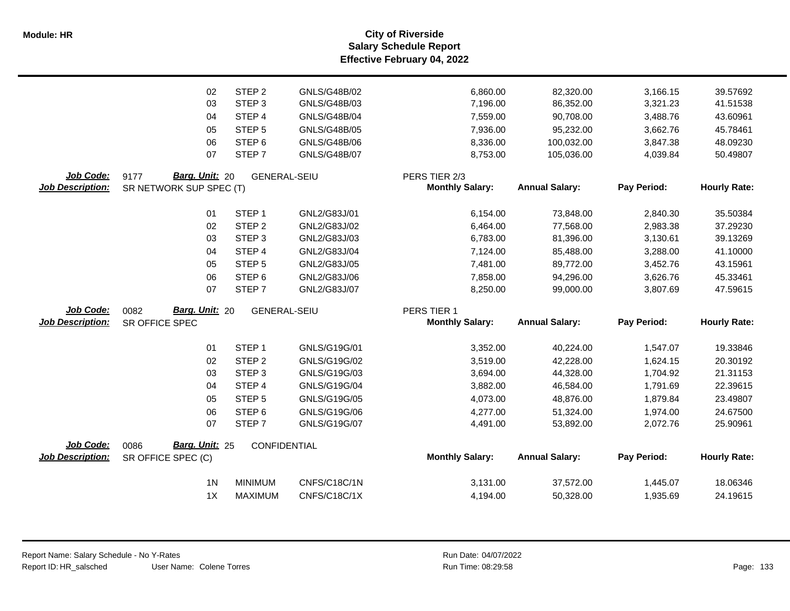**Salary Schedule Report Effective February 04, 2022 Module: HR City of Riverside**

|                         | 02                                       | STEP <sub>2</sub>           | GNLS/G48B/02                 | 6,860.00               | 82,320.00              | 3,166.15             | 39.57692             |
|-------------------------|------------------------------------------|-----------------------------|------------------------------|------------------------|------------------------|----------------------|----------------------|
|                         | 03                                       | STEP <sub>3</sub>           | GNLS/G48B/03                 | 7,196.00               | 86,352.00              | 3,321.23             | 41.51538             |
|                         | 04                                       | STEP 4                      | <b>GNLS/G48B/04</b>          | 7,559.00               | 90,708.00              | 3,488.76             | 43.60961             |
|                         | 05                                       | STEP <sub>5</sub>           | <b>GNLS/G48B/05</b>          | 7,936.00               | 95,232.00              | 3,662.76             | 45.78461             |
|                         | 06                                       | STEP <sub>6</sub>           | GNLS/G48B/06                 | 8,336.00               | 100,032.00             | 3,847.38             | 48.09230             |
|                         | 07                                       | STEP <sub>7</sub>           | <b>GNLS/G48B/07</b>          | 8,753.00               | 105,036.00             | 4,039.84             | 50.49807             |
| Job Code:               | Barg. Unit: 20<br>9177                   | <b>GENERAL-SEIU</b>         |                              | PERS TIER 2/3          |                        |                      |                      |
| <b>Job Description:</b> | SR NETWORK SUP SPEC (T)                  |                             |                              | <b>Monthly Salary:</b> | <b>Annual Salary:</b>  | Pay Period:          | <b>Hourly Rate:</b>  |
|                         | 01                                       | STEP <sub>1</sub>           | GNL2/G83J/01                 | 6,154.00               | 73,848.00              | 2,840.30             | 35.50384             |
|                         | 02                                       | STEP <sub>2</sub>           | GNL2/G83J/02                 | 6,464.00               | 77,568.00              | 2,983.38             | 37.29230             |
|                         | 03                                       | STEP <sub>3</sub>           | GNL2/G83J/03                 | 6,783.00               | 81,396.00              | 3,130.61             | 39.13269             |
|                         | 04                                       | STEP 4                      | GNL2/G83J/04                 | 7,124.00               | 85,488.00              | 3,288.00             | 41.10000             |
|                         | 05                                       | STEP <sub>5</sub>           | GNL2/G83J/05                 | 7,481.00               | 89,772.00              | 3,452.76             | 43.15961             |
|                         | 06                                       | STEP <sub>6</sub>           | GNL2/G83J/06                 | 7,858.00               | 94,296.00              | 3,626.76             | 45.33461             |
|                         | 07                                       | STEP <sub>7</sub>           | GNL2/G83J/07                 | 8,250.00               | 99,000.00              | 3,807.69             | 47.59615             |
|                         |                                          |                             |                              |                        |                        |                      |                      |
| Job Code:               |                                          |                             |                              | PERS TIER 1            |                        |                      |                      |
| <b>Job Description:</b> | Barg. Unit: 20<br>0082<br>SR OFFICE SPEC | <b>GENERAL-SEIU</b>         |                              | <b>Monthly Salary:</b> | <b>Annual Salary:</b>  | Pay Period:          | <b>Hourly Rate:</b>  |
|                         |                                          |                             |                              |                        |                        |                      |                      |
|                         | 01                                       | STEP <sub>1</sub>           | GNLS/G19G/01                 | 3,352.00               | 40,224.00              | 1,547.07             | 19.33846             |
|                         | 02<br>03                                 | STEP <sub>2</sub>           | GNLS/G19G/02                 | 3,519.00               | 42,228.00              | 1,624.15             | 20.30192             |
|                         | 04                                       | STEP <sub>3</sub><br>STEP 4 | GNLS/G19G/03<br>GNLS/G19G/04 | 3,694.00<br>3,882.00   | 44,328.00<br>46,584.00 | 1,704.92<br>1,791.69 | 21.31153<br>22.39615 |
|                         | 05                                       | STEP <sub>5</sub>           | GNLS/G19G/05                 | 4,073.00               | 48,876.00              | 1,879.84             | 23.49807             |
|                         | 06                                       | STEP <sub>6</sub>           | GNLS/G19G/06                 | 4,277.00               | 51,324.00              | 1,974.00             | 24.67500             |
|                         | 07                                       | STEP <sub>7</sub>           | GNLS/G19G/07                 | 4,491.00               | 53,892.00              | 2,072.76             | 25.90961             |
| Job Code:               | Barg. Unit: 25<br>0086                   | CONFIDENTIAL                |                              |                        |                        |                      |                      |
| <b>Job Description:</b> | SR OFFICE SPEC (C)                       |                             |                              | <b>Monthly Salary:</b> | <b>Annual Salary:</b>  | Pay Period:          | <b>Hourly Rate:</b>  |
|                         | 1 <sub>N</sub>                           | <b>MINIMUM</b>              | CNFS/C18C/1N                 | 3,131.00               | 37,572.00              | 1,445.07             | 18.06346             |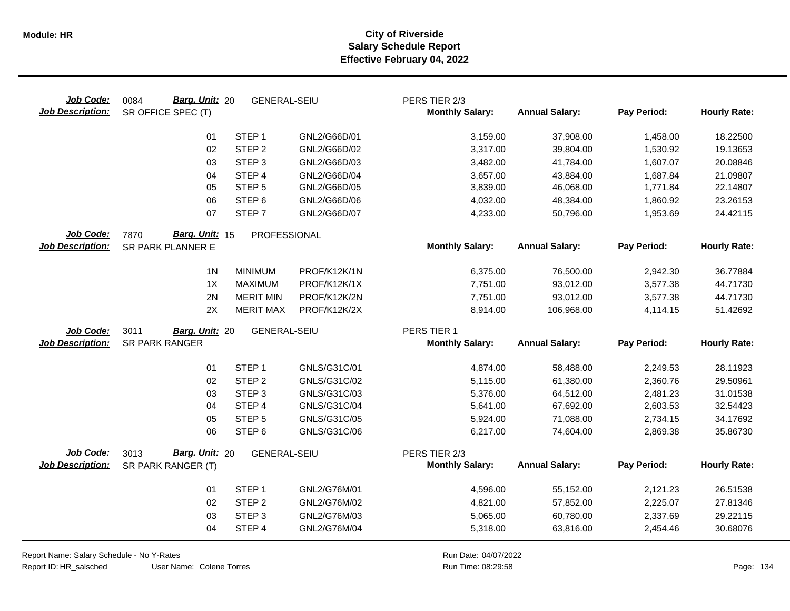| Job Code:<br><b>Job Description:</b> | Barg. Unit: 20<br>0084<br>SR OFFICE SPEC (T) | <b>GENERAL-SEIU</b> |              | PERS TIER 2/3<br><b>Monthly Salary:</b> | <b>Annual Salary:</b> | Pay Period: | <b>Hourly Rate:</b> |
|--------------------------------------|----------------------------------------------|---------------------|--------------|-----------------------------------------|-----------------------|-------------|---------------------|
|                                      | 01                                           | STEP <sub>1</sub>   | GNL2/G66D/01 | 3,159.00                                | 37,908.00             | 1,458.00    | 18.22500            |
|                                      | 02                                           | STEP <sub>2</sub>   | GNL2/G66D/02 | 3,317.00                                | 39,804.00             | 1,530.92    | 19.13653            |
|                                      | 03                                           | STEP <sub>3</sub>   | GNL2/G66D/03 | 3,482.00                                | 41,784.00             | 1,607.07    | 20.08846            |
|                                      | 04                                           | STEP 4              | GNL2/G66D/04 | 3,657.00                                | 43,884.00             | 1,687.84    | 21.09807            |
|                                      | 05                                           | STEP <sub>5</sub>   | GNL2/G66D/05 | 3,839.00                                | 46,068.00             | 1,771.84    | 22.14807            |
|                                      | 06                                           | STEP <sub>6</sub>   | GNL2/G66D/06 | 4,032.00                                | 48,384.00             | 1,860.92    | 23.26153            |
|                                      | 07                                           | STEP <sub>7</sub>   | GNL2/G66D/07 | 4,233.00                                | 50,796.00             | 1,953.69    | 24.42115            |
| Job Code:                            | Barg. Unit: 15<br>7870                       | PROFESSIONAL        |              |                                         |                       |             |                     |
| <b>Job Description:</b>              | SR PARK PLANNER E                            |                     |              | <b>Monthly Salary:</b>                  | <b>Annual Salary:</b> | Pay Period: | <b>Hourly Rate:</b> |
|                                      | 1 <sub>N</sub>                               | <b>MINIMUM</b>      | PROF/K12K/1N | 6,375.00                                | 76,500.00             | 2,942.30    | 36.77884            |
|                                      | 1X                                           | <b>MAXIMUM</b>      | PROF/K12K/1X | 7,751.00                                | 93,012.00             | 3,577.38    | 44.71730            |
|                                      | 2N                                           | <b>MERIT MIN</b>    | PROF/K12K/2N | 7,751.00                                | 93,012.00             | 3,577.38    | 44.71730            |
|                                      | 2X                                           | <b>MERIT MAX</b>    | PROF/K12K/2X | 8,914.00                                | 106,968.00            | 4,114.15    | 51.42692            |
| Job Code:                            | 3011<br>Barg. Unit: 20                       | <b>GENERAL-SEIU</b> |              | PERS TIER 1                             |                       |             |                     |
| <b>Job Description:</b>              | <b>SR PARK RANGER</b>                        |                     |              | <b>Monthly Salary:</b>                  | <b>Annual Salary:</b> | Pay Period: | <b>Hourly Rate:</b> |
|                                      | 01                                           | STEP <sub>1</sub>   | GNLS/G31C/01 | 4,874.00                                | 58,488.00             | 2,249.53    | 28.11923            |
|                                      | 02                                           | STEP <sub>2</sub>   | GNLS/G31C/02 | 5,115.00                                | 61,380.00             | 2,360.76    | 29.50961            |
|                                      | 03                                           | STEP <sub>3</sub>   | GNLS/G31C/03 | 5,376.00                                | 64,512.00             | 2,481.23    | 31.01538            |
|                                      | 04                                           | STEP 4              | GNLS/G31C/04 | 5,641.00                                | 67,692.00             | 2,603.53    | 32.54423            |
|                                      | 05                                           | STEP <sub>5</sub>   | GNLS/G31C/05 | 5,924.00                                | 71,088.00             | 2,734.15    | 34.17692            |
|                                      | 06                                           | STEP <sub>6</sub>   | GNLS/G31C/06 | 6,217.00                                | 74,604.00             | 2,869.38    | 35.86730            |
| Job Code:                            | Barg. Unit: 20<br>3013                       | <b>GENERAL-SEIU</b> |              | PERS TIER 2/3                           |                       |             |                     |
| <b>Job Description:</b>              | SR PARK RANGER (T)                           |                     |              | <b>Monthly Salary:</b>                  | <b>Annual Salary:</b> | Pay Period: | <b>Hourly Rate:</b> |
|                                      | 01                                           | STEP <sub>1</sub>   | GNL2/G76M/01 | 4,596.00                                | 55,152.00             | 2,121.23    | 26.51538            |
|                                      | 02                                           | STEP <sub>2</sub>   | GNL2/G76M/02 | 4,821.00                                | 57,852.00             | 2,225.07    | 27.81346            |
|                                      | 03                                           | STEP <sub>3</sub>   | GNL2/G76M/03 | 5,065.00                                | 60,780.00             | 2,337.69    | 29.22115            |
|                                      | 04                                           | STEP 4              | GNL2/G76M/04 | 5,318.00                                | 63,816.00             | 2,454.46    | 30.68076            |

Report Name: Salary Schedule - No Y-Rates

Report ID: HR\_salsched

Run Date: 04/07/2022 08:29:58 Colene Torres Run Time: Page: 134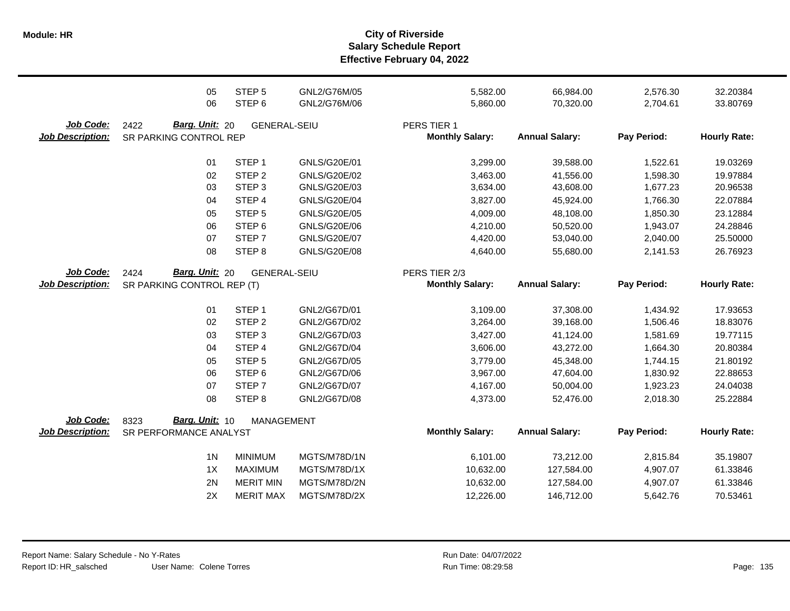**Salary Schedule Report Effective February 04, 2022 Module: HR City of Riverside**

|                         | 05                         | STEP <sub>5</sub>                    | GNL2/G76M/05                 | 5,582.00               | 66,984.00                | 2,576.30             | 32.20384             |
|-------------------------|----------------------------|--------------------------------------|------------------------------|------------------------|--------------------------|----------------------|----------------------|
|                         | 06                         | STEP <sub>6</sub>                    | GNL2/G76M/06                 | 5,860.00               | 70,320.00                | 2,704.61             | 33.80769             |
| Job Code:               | 2422<br>Barg. Unit: 20     | <b>GENERAL-SEIU</b>                  |                              | PERS TIER 1            |                          |                      |                      |
| <b>Job Description:</b> | SR PARKING CONTROL REP     |                                      |                              | <b>Monthly Salary:</b> | <b>Annual Salary:</b>    | Pay Period:          | <b>Hourly Rate:</b>  |
|                         |                            |                                      |                              |                        |                          |                      |                      |
|                         | 01                         | STEP <sub>1</sub>                    | GNLS/G20E/01                 | 3,299.00               | 39,588.00                | 1,522.61             | 19.03269             |
|                         | 02                         | STEP <sub>2</sub>                    | GNLS/G20E/02                 | 3,463.00               | 41,556.00                | 1,598.30             | 19.97884             |
|                         | 03                         | STEP <sub>3</sub>                    | GNLS/G20E/03                 | 3,634.00               | 43,608.00                | 1,677.23             | 20.96538             |
|                         | 04                         | STEP 4                               | <b>GNLS/G20E/04</b>          | 3,827.00               | 45,924.00                | 1,766.30             | 22.07884             |
|                         | 05                         | STEP <sub>5</sub>                    | GNLS/G20E/05                 | 4,009.00               | 48,108.00                | 1,850.30             | 23.12884             |
|                         | 06                         | STEP <sub>6</sub>                    | GNLS/G20E/06                 | 4,210.00               | 50,520.00                | 1,943.07             | 24.28846             |
|                         | 07                         | STEP <sub>7</sub>                    | GNLS/G20E/07                 | 4,420.00               | 53,040.00                | 2,040.00             | 25.50000             |
|                         | 08                         | STEP <sub>8</sub>                    | GNLS/G20E/08                 | 4,640.00               | 55,680.00                | 2,141.53             | 26.76923             |
| Job Code:               | Barg. Unit: 20<br>2424     | <b>GENERAL-SEIU</b>                  |                              | PERS TIER 2/3          |                          |                      |                      |
| <b>Job Description:</b> | SR PARKING CONTROL REP (T) |                                      |                              | <b>Monthly Salary:</b> | <b>Annual Salary:</b>    | Pay Period:          | <b>Hourly Rate:</b>  |
|                         | 01                         | STEP <sub>1</sub>                    | GNL2/G67D/01                 | 3,109.00               | 37,308.00                | 1,434.92             | 17.93653             |
|                         | 02                         | STEP <sub>2</sub>                    | GNL2/G67D/02                 | 3,264.00               | 39,168.00                | 1,506.46             | 18.83076             |
|                         | 03                         | STEP <sub>3</sub>                    | GNL2/G67D/03                 | 3,427.00               | 41,124.00                | 1,581.69             | 19.77115             |
|                         | 04                         | STEP 4                               | GNL2/G67D/04                 | 3,606.00               |                          | 1,664.30             | 20.80384             |
|                         |                            |                                      |                              |                        | 43,272.00                |                      |                      |
|                         | 05                         | STEP <sub>5</sub>                    | GNL2/G67D/05                 | 3,779.00               | 45,348.00                | 1,744.15             | 21.80192             |
|                         | 06                         | STEP <sub>6</sub>                    | GNL2/G67D/06                 | 3,967.00               | 47,604.00                | 1,830.92             | 22.88653             |
|                         | 07                         | STEP <sub>7</sub>                    | GNL2/G67D/07                 | 4,167.00               | 50,004.00                | 1,923.23             | 24.04038             |
|                         | 08                         | STEP <sub>8</sub>                    | GNL2/G67D/08                 | 4,373.00               | 52,476.00                | 2,018.30             | 25.22884             |
| Job Code:               | Barg. Unit: 10<br>8323     | <b>MANAGEMENT</b>                    |                              |                        |                          |                      |                      |
| <b>Job Description:</b> | SR PERFORMANCE ANALYST     |                                      |                              | <b>Monthly Salary:</b> | <b>Annual Salary:</b>    | Pay Period:          | <b>Hourly Rate:</b>  |
|                         | 1 <sub>N</sub>             | <b>MINIMUM</b>                       | MGTS/M78D/1N                 | 6,101.00               | 73,212.00                | 2,815.84             | 35.19807             |
|                         | 1X                         | <b>MAXIMUM</b>                       | MGTS/M78D/1X                 | 10,632.00              | 127,584.00               | 4,907.07             | 61.33846             |
|                         |                            |                                      |                              |                        |                          |                      |                      |
|                         |                            |                                      |                              |                        |                          |                      |                      |
|                         | 2N<br>2X                   | <b>MERIT MIN</b><br><b>MERIT MAX</b> | MGTS/M78D/2N<br>MGTS/M78D/2X | 10,632.00<br>12,226.00 | 127,584.00<br>146,712.00 | 4,907.07<br>5,642.76 | 61.33846<br>70.53461 |

Run Date: 04/07/2022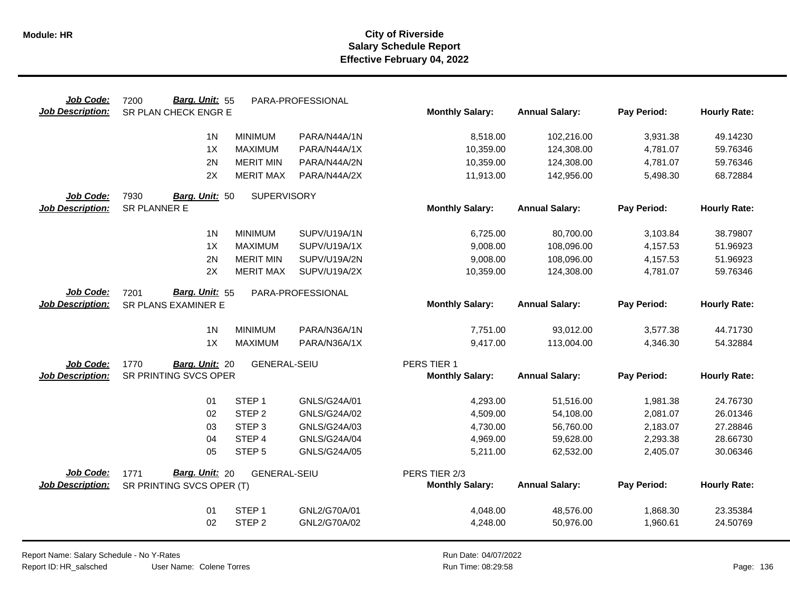| Job Code:               | Barg. Unit: 55<br>7200     |                     | PARA-PROFESSIONAL |                        |                       |             |                     |
|-------------------------|----------------------------|---------------------|-------------------|------------------------|-----------------------|-------------|---------------------|
| <b>Job Description:</b> | SR PLAN CHECK ENGR E       |                     |                   | <b>Monthly Salary:</b> | <b>Annual Salary:</b> | Pay Period: | <b>Hourly Rate:</b> |
|                         | 1 <sub>N</sub>             | <b>MINIMUM</b>      | PARA/N44A/1N      | 8,518.00               | 102,216.00            | 3,931.38    | 49.14230            |
|                         | 1X                         | <b>MAXIMUM</b>      | PARA/N44A/1X      | 10,359.00              | 124,308.00            | 4,781.07    | 59.76346            |
|                         | 2N                         | <b>MERIT MIN</b>    | PARA/N44A/2N      | 10,359.00              | 124,308.00            | 4,781.07    | 59.76346            |
|                         | 2X                         | <b>MERIT MAX</b>    | PARA/N44A/2X      | 11,913.00              | 142,956.00            | 5,498.30    | 68.72884            |
| Job Code:               | 7930<br>Barg. Unit: 50     | <b>SUPERVISORY</b>  |                   |                        |                       |             |                     |
| Job Description:        | SR PLANNER E               |                     |                   | <b>Monthly Salary:</b> | <b>Annual Salary:</b> | Pay Period: | <b>Hourly Rate:</b> |
|                         |                            |                     |                   |                        |                       |             |                     |
|                         | 1 <sup>N</sup>             | <b>MINIMUM</b>      | SUPV/U19A/1N      | 6,725.00               | 80,700.00             | 3,103.84    | 38.79807            |
|                         | 1X                         | <b>MAXIMUM</b>      | SUPV/U19A/1X      | 9,008.00               | 108,096.00            | 4,157.53    | 51.96923            |
|                         | 2N                         | <b>MERIT MIN</b>    | SUPV/U19A/2N      | 9,008.00               | 108,096.00            | 4,157.53    | 51.96923            |
|                         | 2X                         | <b>MERIT MAX</b>    | SUPV/U19A/2X      | 10,359.00              | 124,308.00            | 4,781.07    | 59.76346            |
| Job Code:               | 7201<br>Barg. Unit: 55     |                     | PARA-PROFESSIONAL |                        |                       |             |                     |
| <b>Job Description:</b> | <b>SR PLANS EXAMINER E</b> |                     |                   | <b>Monthly Salary:</b> | <b>Annual Salary:</b> | Pay Period: | <b>Hourly Rate:</b> |
|                         |                            |                     |                   |                        |                       |             |                     |
|                         | 1 <sub>N</sub>             | <b>MINIMUM</b>      | PARA/N36A/1N      | 7,751.00               | 93,012.00             | 3,577.38    | 44.71730            |
|                         | 1X                         | <b>MAXIMUM</b>      | PARA/N36A/1X      | 9,417.00               | 113,004.00            | 4,346.30    | 54.32884            |
| Job Code:               | 1770<br>Barg. Unit: 20     | <b>GENERAL-SEIU</b> |                   | PERS TIER 1            |                       |             |                     |
| <b>Job Description:</b> | SR PRINTING SVCS OPER      |                     |                   | <b>Monthly Salary:</b> | <b>Annual Salary:</b> | Pay Period: | <b>Hourly Rate:</b> |
|                         |                            |                     |                   |                        |                       |             |                     |
|                         | 01                         | STEP <sub>1</sub>   | GNLS/G24A/01      | 4,293.00               | 51,516.00             | 1,981.38    | 24.76730            |
|                         | 02                         | STEP <sub>2</sub>   | GNLS/G24A/02      | 4,509.00               | 54,108.00             | 2,081.07    | 26.01346            |
|                         | 03                         | STEP <sub>3</sub>   | GNLS/G24A/03      | 4,730.00               | 56,760.00             | 2,183.07    | 27.28846            |
|                         | 04                         | STEP 4              | GNLS/G24A/04      | 4,969.00               | 59,628.00             | 2,293.38    | 28.66730            |
|                         | 05                         | STEP <sub>5</sub>   | GNLS/G24A/05      | 5,211.00               | 62,532.00             | 2,405.07    | 30.06346            |
| <b>Job Code:</b>        | Barg. Unit: 20<br>1771     | <b>GENERAL-SEIU</b> |                   | PERS TIER 2/3          |                       |             |                     |
| <b>Job Description:</b> | SR PRINTING SVCS OPER (T)  |                     |                   | <b>Monthly Salary:</b> | <b>Annual Salary:</b> | Pay Period: | <b>Hourly Rate:</b> |
|                         |                            |                     |                   |                        |                       |             |                     |
|                         | 01                         | STEP <sub>1</sub>   | GNL2/G70A/01      | 4,048.00               | 48,576.00             | 1,868.30    | 23.35384            |
|                         | 02                         | STEP <sub>2</sub>   | GNL2/G70A/02      | 4,248.00               | 50,976.00             | 1,960.61    | 24.50769            |
|                         |                            |                     |                   |                        |                       |             |                     |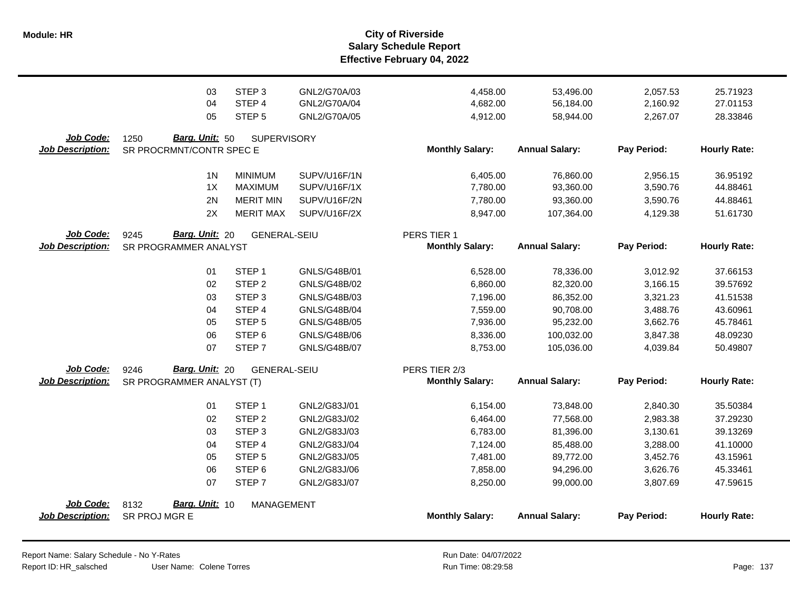|                                      | 03                                                 | STEP <sub>3</sub>   | GNL2/G70A/03        | 4,458.00               | 53,496.00             | 2,057.53    | 25.71923            |
|--------------------------------------|----------------------------------------------------|---------------------|---------------------|------------------------|-----------------------|-------------|---------------------|
|                                      | 04                                                 | STEP 4              | GNL2/G70A/04        | 4,682.00               | 56,184.00             | 2,160.92    | 27.01153            |
|                                      | 05                                                 | STEP <sub>5</sub>   | GNL2/G70A/05        | 4,912.00               | 58,944.00             | 2,267.07    | 28.33846            |
| Job Code:<br><b>Job Description:</b> | 1250<br>Barg. Unit: 50<br>SR PROCRMNT/CONTR SPEC E | <b>SUPERVISORY</b>  |                     | <b>Monthly Salary:</b> | <b>Annual Salary:</b> | Pay Period: | <b>Hourly Rate:</b> |
|                                      | 1 <sup>N</sup>                                     | <b>MINIMUM</b>      | SUPV/U16F/1N        | 6,405.00               | 76,860.00             | 2,956.15    | 36.95192            |
|                                      | 1X                                                 | <b>MAXIMUM</b>      | SUPV/U16F/1X        | 7,780.00               | 93,360.00             | 3,590.76    | 44.88461            |
|                                      | 2N                                                 | <b>MERIT MIN</b>    | SUPV/U16F/2N        | 7,780.00               | 93,360.00             | 3,590.76    | 44.88461            |
|                                      | 2X                                                 | <b>MERIT MAX</b>    | SUPV/U16F/2X        | 8,947.00               | 107,364.00            | 4,129.38    | 51.61730            |
| Job Code:                            | 9245<br><b>Barg. Unit: 20</b>                      | <b>GENERAL-SEIU</b> |                     | PERS TIER 1            | <b>Annual Salary:</b> | Pay Period: | <b>Hourly Rate:</b> |
| <b>Job Description:</b>              | SR PROGRAMMER ANALYST                              |                     |                     | <b>Monthly Salary:</b> |                       |             |                     |
|                                      | 01                                                 | STEP <sub>1</sub>   | GNLS/G48B/01        | 6,528.00               | 78,336.00             | 3,012.92    | 37.66153            |
|                                      | 02                                                 | STEP <sub>2</sub>   | GNLS/G48B/02        | 6,860.00               | 82,320.00             | 3,166.15    | 39.57692            |
|                                      | 03                                                 | STEP <sub>3</sub>   | GNLS/G48B/03        | 7,196.00               | 86,352.00             | 3,321.23    | 41.51538            |
|                                      | 04                                                 | STEP 4              | GNLS/G48B/04        | 7,559.00               | 90,708.00             | 3,488.76    | 43.60961            |
|                                      | 05                                                 | STEP <sub>5</sub>   | <b>GNLS/G48B/05</b> | 7,936.00               | 95,232.00             | 3,662.76    | 45.78461            |
|                                      | 06                                                 | STEP <sub>6</sub>   | GNLS/G48B/06        | 8,336.00               | 100,032.00            | 3,847.38    | 48.09230            |
|                                      | 07                                                 | STEP <sub>7</sub>   | <b>GNLS/G48B/07</b> | 8,753.00               | 105,036.00            | 4,039.84    | 50.49807            |
| Job Code:                            | Barg. Unit: 20<br>9246                             | <b>GENERAL-SEIU</b> |                     | PERS TIER 2/3          |                       |             |                     |
| <b>Job Description:</b>              | SR PROGRAMMER ANALYST (T)                          |                     |                     | <b>Monthly Salary:</b> | <b>Annual Salary:</b> | Pay Period: | <b>Hourly Rate:</b> |
|                                      | 01                                                 | STEP <sub>1</sub>   | GNL2/G83J/01        | 6,154.00               | 73,848.00             | 2,840.30    | 35.50384            |
|                                      | 02                                                 | STEP <sub>2</sub>   | GNL2/G83J/02        | 6,464.00               | 77,568.00             | 2,983.38    | 37.29230            |
|                                      | 03                                                 | STEP <sub>3</sub>   | GNL2/G83J/03        | 6,783.00               | 81,396.00             | 3,130.61    | 39.13269            |
|                                      | 04                                                 | STEP 4              | GNL2/G83J/04        | 7,124.00               | 85,488.00             | 3,288.00    | 41.10000            |
|                                      | 05                                                 | STEP <sub>5</sub>   | GNL2/G83J/05        | 7,481.00               | 89,772.00             | 3,452.76    | 43.15961            |
|                                      | 06                                                 | STEP <sub>6</sub>   | GNL2/G83J/06        | 7,858.00               | 94,296.00             | 3,626.76    | 45.33461            |
|                                      | 07                                                 | STEP <sub>7</sub>   | GNL2/G83J/07        | 8,250.00               | 99,000.00             | 3,807.69    | 47.59615            |
| Job Code:                            | Barg. Unit: 10<br>8132                             | <b>MANAGEMENT</b>   |                     |                        |                       |             |                     |
| <b>Job Description:</b>              | SR PROJ MGR E                                      |                     |                     | <b>Monthly Salary:</b> | <b>Annual Salary:</b> | Pay Period: | <b>Hourly Rate:</b> |
|                                      |                                                    |                     |                     |                        |                       |             |                     |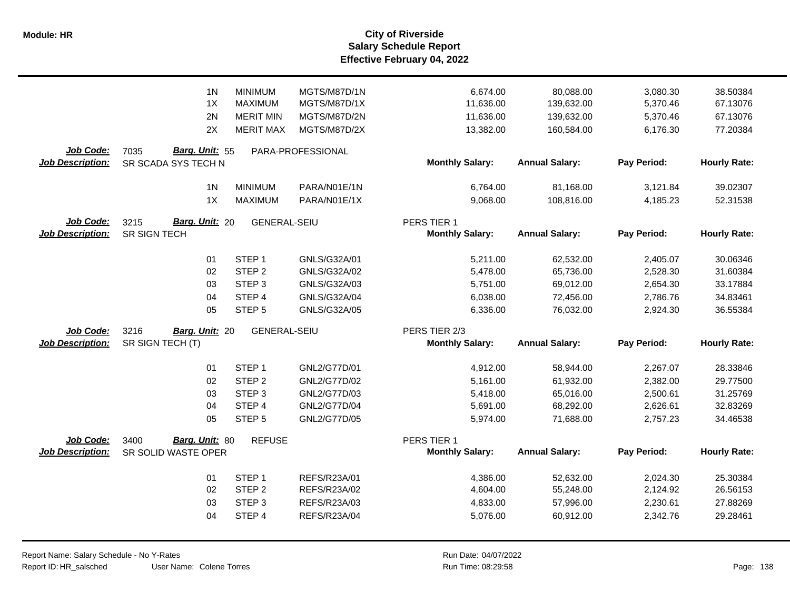|                                             | 1 <sub>N</sub>                                | <b>MINIMUM</b>      | MGTS/M87D/1N        | 6,674.00                                | 80,088.00             | 3,080.30    | 38.50384            |
|---------------------------------------------|-----------------------------------------------|---------------------|---------------------|-----------------------------------------|-----------------------|-------------|---------------------|
|                                             | 1X                                            | <b>MAXIMUM</b>      | MGTS/M87D/1X        | 11,636.00                               | 139,632.00            | 5,370.46    | 67.13076            |
|                                             | 2N                                            | <b>MERIT MIN</b>    | MGTS/M87D/2N        | 11,636.00                               | 139,632.00            | 5,370.46    | 67.13076            |
|                                             | 2X                                            | <b>MERIT MAX</b>    | MGTS/M87D/2X        | 13,382.00                               | 160,584.00            | 6,176.30    | 77.20384            |
| Job Code:<br><b>Job Description:</b>        | Barg. Unit: 55<br>7035<br>SR SCADA SYS TECH N |                     | PARA-PROFESSIONAL   | <b>Monthly Salary:</b>                  | <b>Annual Salary:</b> | Pay Period: | <b>Hourly Rate:</b> |
|                                             | 1 <sub>N</sub>                                | <b>MINIMUM</b>      | PARA/N01E/1N        | 6,764.00                                | 81,168.00             | 3,121.84    | 39.02307            |
|                                             | 1X                                            | <b>MAXIMUM</b>      | PARA/N01E/1X        | 9,068.00                                | 108,816.00            | 4,185.23    | 52.31538            |
| Job Code:<br><b>Job Description:</b>        | Barg. Unit: 20<br>3215<br>SR SIGN TECH        | <b>GENERAL-SEIU</b> |                     | PERS TIER 1<br><b>Monthly Salary:</b>   | <b>Annual Salary:</b> | Pay Period: | <b>Hourly Rate:</b> |
|                                             | 01                                            | STEP <sub>1</sub>   | GNLS/G32A/01        | 5,211.00                                | 62,532.00             | 2,405.07    | 30.06346            |
|                                             | 02                                            | STEP <sub>2</sub>   | GNLS/G32A/02        | 5,478.00                                | 65,736.00             | 2,528.30    | 31.60384            |
|                                             | 03                                            | STEP <sub>3</sub>   | GNLS/G32A/03        | 5,751.00                                | 69,012.00             | 2,654.30    | 33.17884            |
|                                             | 04                                            | STEP 4              | GNLS/G32A/04        | 6,038.00                                | 72,456.00             | 2,786.76    | 34.83461            |
|                                             | 05                                            | STEP <sub>5</sub>   | GNLS/G32A/05        | 6,336.00                                | 76,032.00             | 2,924.30    | 36.55384            |
| Job Code:<br><b>Job Description:</b>        | 3216<br>Barg. Unit: 20<br>SR SIGN TECH (T)    | <b>GENERAL-SEIU</b> |                     | PERS TIER 2/3<br><b>Monthly Salary:</b> | <b>Annual Salary:</b> | Pay Period: | <b>Hourly Rate:</b> |
|                                             | 01                                            | STEP <sub>1</sub>   | GNL2/G77D/01        | 4,912.00                                | 58,944.00             | 2,267.07    | 28.33846            |
|                                             | 02                                            | STEP <sub>2</sub>   | GNL2/G77D/02        | 5,161.00                                | 61,932.00             | 2,382.00    | 29.77500            |
|                                             | 03                                            | STEP <sub>3</sub>   | GNL2/G77D/03        | 5,418.00                                | 65,016.00             | 2,500.61    | 31.25769            |
|                                             | 04                                            | STEP 4              | GNL2/G77D/04        | 5,691.00                                | 68,292.00             | 2,626.61    | 32.83269            |
|                                             | 05                                            | STEP <sub>5</sub>   | GNL2/G77D/05        | 5,974.00                                | 71,688.00             | 2,757.23    | 34.46538            |
| <b>Job Code:</b><br><b>Job Description:</b> | Barg. Unit: 80<br>3400<br>SR SOLID WASTE OPER | <b>REFUSE</b>       |                     | PERS TIER 1<br><b>Monthly Salary:</b>   | <b>Annual Salary:</b> | Pay Period: | <b>Hourly Rate:</b> |
|                                             | 01                                            | STEP <sub>1</sub>   | REFS/R23A/01        | 4,386.00                                | 52,632.00             | 2,024.30    | 25.30384            |
|                                             | 02                                            | STEP <sub>2</sub>   | REFS/R23A/02        | 4,604.00                                | 55,248.00             | 2,124.92    | 26.56153            |
|                                             | 03                                            | STEP <sub>3</sub>   | REFS/R23A/03        | 4,833.00                                | 57,996.00             | 2,230.61    | 27.88269            |
|                                             | 04                                            | STEP 4              | <b>REFS/R23A/04</b> | 5,076.00                                | 60,912.00             | 2,342.76    | 29.28461            |

 $\overline{\phantom{0}}$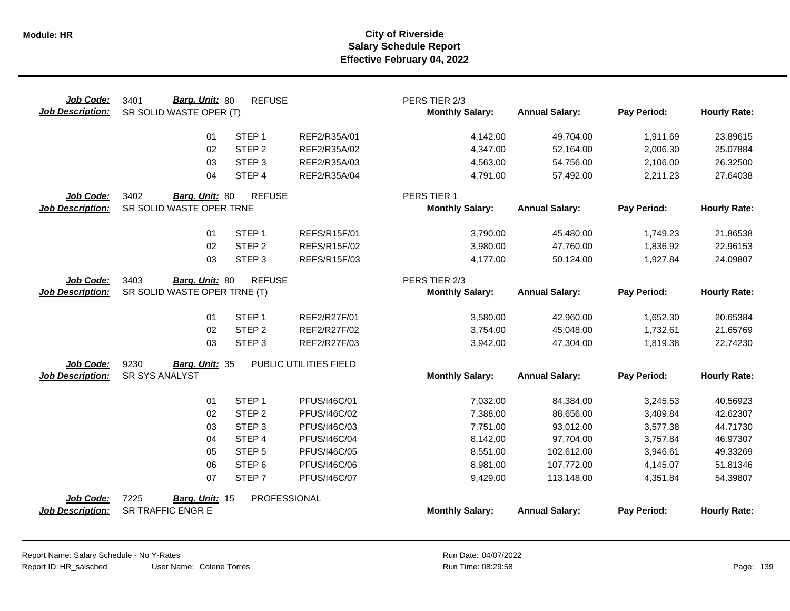| Job Code:<br><b>Job Description:</b> | Barg. Unit: 80<br>3401<br>SR SOLID WASTE OPER (T)      | <b>REFUSE</b>     |                        | PERS TIER 2/3<br><b>Monthly Salary:</b> | <b>Annual Salary:</b> | Pay Period: | <b>Hourly Rate:</b> |
|--------------------------------------|--------------------------------------------------------|-------------------|------------------------|-----------------------------------------|-----------------------|-------------|---------------------|
|                                      | 01                                                     | STEP <sub>1</sub> | REF2/R35A/01           | 4,142.00                                | 49,704.00             | 1,911.69    | 23.89615            |
|                                      | 02                                                     | STEP <sub>2</sub> | REF2/R35A/02           | 4,347.00                                | 52,164.00             | 2,006.30    | 25.07884            |
|                                      | 03                                                     | STEP <sub>3</sub> | REF2/R35A/03           | 4,563.00                                | 54,756.00             | 2,106.00    | 26.32500            |
|                                      | 04                                                     | STEP 4            | REF2/R35A/04           | 4,791.00                                | 57,492.00             | 2,211.23    | 27.64038            |
| Job Code:                            | 3402<br>Barg. Unit: 80                                 | <b>REFUSE</b>     |                        | PERS TIER 1                             |                       |             |                     |
| <b>Job Description:</b>              | SR SOLID WASTE OPER TRNE                               |                   |                        | <b>Monthly Salary:</b>                  | <b>Annual Salary:</b> | Pay Period: | <b>Hourly Rate:</b> |
|                                      | 01                                                     | STEP <sub>1</sub> | <b>REFS/R15F/01</b>    | 3,790.00                                | 45,480.00             | 1,749.23    | 21.86538            |
|                                      | 02                                                     | STEP <sub>2</sub> | <b>REFS/R15F/02</b>    | 3,980.00                                | 47,760.00             | 1,836.92    | 22.96153            |
|                                      | 03                                                     | STEP <sub>3</sub> | REFS/R15F/03           | 4,177.00                                | 50,124.00             | 1,927.84    | 24.09807            |
| Job Code:<br><b>Job Description:</b> | 3403<br>Barg. Unit: 80<br>SR SOLID WASTE OPER TRNE (T) | <b>REFUSE</b>     |                        | PERS TIER 2/3<br><b>Monthly Salary:</b> | <b>Annual Salary:</b> | Pay Period: | <b>Hourly Rate:</b> |
|                                      |                                                        |                   |                        |                                         |                       |             |                     |
|                                      | 01                                                     | STEP <sub>1</sub> | REF2/R27F/01           | 3,580.00                                | 42,960.00             | 1,652.30    | 20.65384            |
|                                      | 02                                                     | STEP <sub>2</sub> | REF2/R27F/02           | 3,754.00                                | 45,048.00             | 1,732.61    | 21.65769            |
|                                      | 03                                                     | STEP <sub>3</sub> | REF2/R27F/03           | 3,942.00                                | 47,304.00             | 1,819.38    | 22.74230            |
| Job Code:                            | 9230<br>Barg. Unit: 35                                 |                   | PUBLIC UTILITIES FIELD |                                         |                       |             |                     |
| <b>Job Description:</b>              | SR SYS ANALYST                                         |                   |                        | <b>Monthly Salary:</b>                  | <b>Annual Salary:</b> | Pay Period: | <b>Hourly Rate:</b> |
|                                      | 01                                                     | STEP <sub>1</sub> | PFUS/I46C/01           | 7,032.00                                | 84,384.00             | 3,245.53    | 40.56923            |
|                                      | 02                                                     | STEP <sub>2</sub> | PFUS/I46C/02           | 7,388.00                                | 88,656.00             | 3,409.84    | 42.62307            |
|                                      | 03                                                     | STEP <sub>3</sub> | PFUS/I46C/03           | 7,751.00                                | 93,012.00             | 3,577.38    | 44.71730            |
|                                      | 04                                                     | STEP <sub>4</sub> | PFUS/I46C/04           | 8,142.00                                | 97,704.00             | 3,757.84    | 46.97307            |
|                                      | 05                                                     | STEP <sub>5</sub> | PFUS/I46C/05           | 8,551.00                                | 102,612.00            | 3,946.61    | 49.33269            |
|                                      | 06                                                     | STEP <sub>6</sub> | PFUS/I46C/06           | 8,981.00                                | 107,772.00            | 4,145.07    | 51.81346            |
|                                      | 07                                                     | STEP <sub>7</sub> | PFUS/I46C/07           | 9,429.00                                | 113,148.00            | 4,351.84    | 54.39807            |
| Job Code:<br><b>Job Description:</b> | 7225<br>Barg. Unit: 15<br><b>SR TRAFFIC ENGR E</b>     |                   | PROFESSIONAL           | <b>Monthly Salary:</b>                  | <b>Annual Salary:</b> | Pay Period: | <b>Hourly Rate:</b> |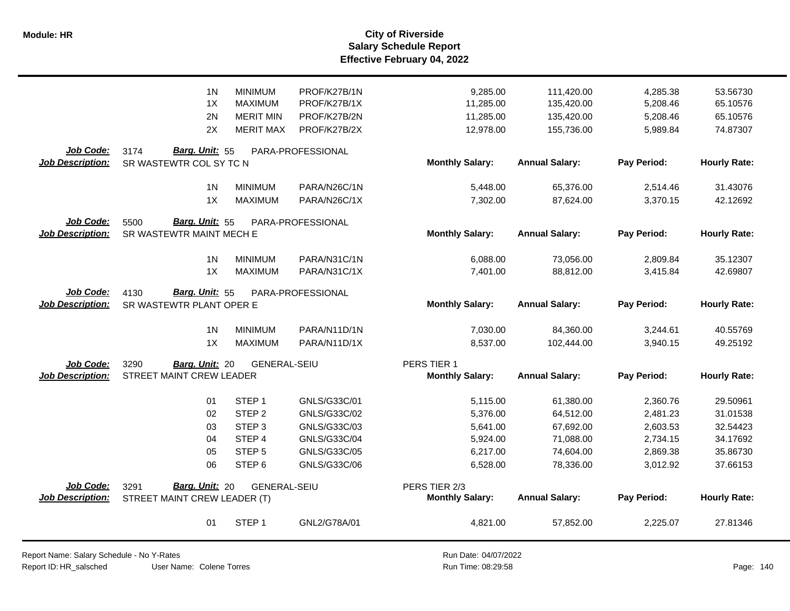|                                      | 1 <sub>N</sub><br>1X<br>2N<br>2X                       | <b>MINIMUM</b><br><b>MAXIMUM</b><br><b>MERIT MIN</b><br><b>MERIT MAX</b>                                        | PROF/K27B/1N<br>PROF/K27B/1X<br>PROF/K27B/2N<br>PROF/K27B/2X                                 | 9,285.00<br>11,285.00<br>11,285.00<br>12,978.00                      | 111,420.00<br>135,420.00<br>135,420.00<br>155,736.00                       | 4,285.38<br>5,208.46<br>5,208.46<br>5,989.84                         | 53.56730<br>65.10576<br>65.10576<br>74.87307                         |
|--------------------------------------|--------------------------------------------------------|-----------------------------------------------------------------------------------------------------------------|----------------------------------------------------------------------------------------------|----------------------------------------------------------------------|----------------------------------------------------------------------------|----------------------------------------------------------------------|----------------------------------------------------------------------|
| Job Code:<br><b>Job Description:</b> | Barg. Unit: 55<br>3174<br>SR WASTEWTR COL SY TC N      |                                                                                                                 | PARA-PROFESSIONAL                                                                            | <b>Monthly Salary:</b>                                               | <b>Annual Salary:</b>                                                      | Pay Period:                                                          | <b>Hourly Rate:</b>                                                  |
|                                      | 1 <sub>N</sub><br>1X                                   | <b>MINIMUM</b><br><b>MAXIMUM</b>                                                                                | PARA/N26C/1N<br>PARA/N26C/1X                                                                 | 5,448.00<br>7,302.00                                                 | 65,376.00<br>87,624.00                                                     | 2,514.46<br>3,370.15                                                 | 31.43076<br>42.12692                                                 |
| Job Code:<br><b>Job Description:</b> | Barg. Unit: 55<br>5500<br>SR WASTEWTR MAINT MECH E     |                                                                                                                 | PARA-PROFESSIONAL                                                                            | <b>Monthly Salary:</b>                                               | <b>Annual Salary:</b>                                                      | Pay Period:                                                          | <b>Hourly Rate:</b>                                                  |
|                                      | 1 <sub>N</sub><br>1X                                   | <b>MINIMUM</b><br><b>MAXIMUM</b>                                                                                | PARA/N31C/1N<br>PARA/N31C/1X                                                                 | 6,088.00<br>7,401.00                                                 | 73,056.00<br>88,812.00                                                     | 2,809.84<br>3,415.84                                                 | 35.12307<br>42.69807                                                 |
| Job Code:<br><b>Job Description:</b> | 4130<br>Barg. Unit: 55<br>SR WASTEWTR PLANT OPER E     |                                                                                                                 | PARA-PROFESSIONAL                                                                            | <b>Monthly Salary:</b>                                               | <b>Annual Salary:</b>                                                      | Pay Period:                                                          | <b>Hourly Rate:</b>                                                  |
|                                      | 1 <sub>N</sub><br>1X                                   | <b>MINIMUM</b><br><b>MAXIMUM</b>                                                                                | PARA/N11D/1N<br>PARA/N11D/1X                                                                 | 7,030.00<br>8,537.00                                                 | 84,360.00<br>102,444.00                                                    | 3,244.61<br>3,940.15                                                 | 40.55769<br>49.25192                                                 |
| Job Code:<br><b>Job Description:</b> | 3290<br>Barg. Unit: 20<br>STREET MAINT CREW LEADER     | <b>GENERAL-SEIU</b>                                                                                             |                                                                                              | PERS TIER 1<br><b>Monthly Salary:</b>                                | <b>Annual Salary:</b>                                                      | Pay Period:                                                          | <b>Hourly Rate:</b>                                                  |
|                                      | 01<br>02<br>03<br>04<br>05<br>06                       | STEP <sub>1</sub><br>STEP <sub>2</sub><br>STEP <sub>3</sub><br>STEP 4<br>STEP <sub>5</sub><br>STEP <sub>6</sub> | GNLS/G33C/01<br>GNLS/G33C/02<br>GNLS/G33C/03<br>GNLS/G33C/04<br>GNLS/G33C/05<br>GNLS/G33C/06 | 5,115.00<br>5,376.00<br>5,641.00<br>5,924.00<br>6,217.00<br>6,528.00 | 61,380.00<br>64,512.00<br>67,692.00<br>71,088.00<br>74,604.00<br>78,336.00 | 2,360.76<br>2,481.23<br>2,603.53<br>2,734.15<br>2,869.38<br>3,012.92 | 29.50961<br>31.01538<br>32.54423<br>34.17692<br>35.86730<br>37.66153 |
| Job Code:<br><b>Job Description:</b> | Barg. Unit: 20<br>3291<br>STREET MAINT CREW LEADER (T) | <b>GENERAL-SEIU</b>                                                                                             |                                                                                              | PERS TIER 2/3<br><b>Monthly Salary:</b>                              | <b>Annual Salary:</b>                                                      | Pay Period:                                                          | <b>Hourly Rate:</b>                                                  |
|                                      | 01                                                     | STEP <sub>1</sub>                                                                                               | GNL2/G78A/01                                                                                 | 4,821.00                                                             | 57,852.00                                                                  | 2,225.07                                                             | 27.81346                                                             |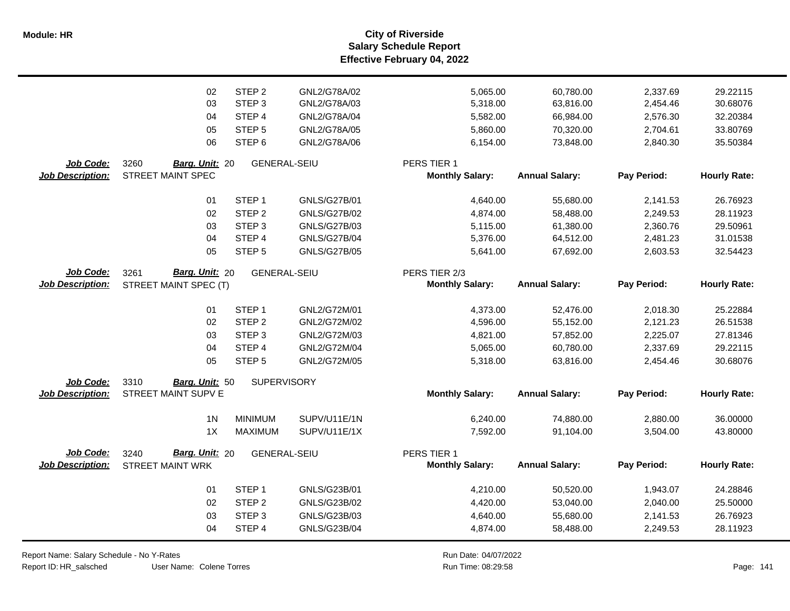**Salary Schedule Report Effective February 04, 2022 Module: HR City of Riverside**

|                         | 02                            | STEP <sub>2</sub>  | GNL2/G78A/02        | 5,065.00               | 60,780.00             | 2,337.69    | 29.22115            |
|-------------------------|-------------------------------|--------------------|---------------------|------------------------|-----------------------|-------------|---------------------|
|                         | 03                            | STEP <sub>3</sub>  | GNL2/G78A/03        | 5,318.00               | 63,816.00             | 2,454.46    | 30.68076            |
|                         | 04                            | STEP 4             | GNL2/G78A/04        | 5,582.00               | 66,984.00             | 2,576.30    | 32.20384            |
|                         | 05                            | STEP <sub>5</sub>  | GNL2/G78A/05        | 5,860.00               | 70,320.00             | 2,704.61    | 33.80769            |
|                         | 06                            | STEP <sub>6</sub>  | GNL2/G78A/06        | 6,154.00               | 73,848.00             | 2,840.30    | 35.50384            |
| Job Code:               | 3260<br>Barg. Unit: 20        |                    | <b>GENERAL-SEIU</b> | PERS TIER 1            |                       |             |                     |
| Job Description:        | <b>STREET MAINT SPEC</b>      |                    |                     | <b>Monthly Salary:</b> | <b>Annual Salary:</b> | Pay Period: | <b>Hourly Rate:</b> |
|                         | 01                            | STEP <sub>1</sub>  | GNLS/G27B/01        | 4,640.00               | 55,680.00             | 2,141.53    | 26.76923            |
|                         | 02                            | STEP <sub>2</sub>  | <b>GNLS/G27B/02</b> | 4,874.00               | 58,488.00             | 2,249.53    | 28.11923            |
|                         | 03                            | STEP <sub>3</sub>  | <b>GNLS/G27B/03</b> | 5,115.00               | 61,380.00             | 2,360.76    | 29.50961            |
|                         | 04                            | STEP 4             | <b>GNLS/G27B/04</b> | 5,376.00               | 64,512.00             | 2,481.23    | 31.01538            |
|                         | 05                            | STEP <sub>5</sub>  | <b>GNLS/G27B/05</b> | 5,641.00               | 67,692.00             | 2,603.53    | 32.54423            |
| <b>Job Code:</b>        | <b>Barg. Unit: 20</b><br>3261 |                    | <b>GENERAL-SEIU</b> | PERS TIER 2/3          |                       |             |                     |
| <b>Job Description:</b> | STREET MAINT SPEC (T)         |                    |                     | <b>Monthly Salary:</b> | <b>Annual Salary:</b> | Pay Period: | <b>Hourly Rate:</b> |
|                         | 01                            | STEP <sub>1</sub>  | GNL2/G72M/01        | 4,373.00               | 52,476.00             | 2,018.30    | 25.22884            |
|                         | 02                            | STEP <sub>2</sub>  | GNL2/G72M/02        | 4,596.00               | 55,152.00             | 2,121.23    | 26.51538            |
|                         | 03                            | STEP <sub>3</sub>  | GNL2/G72M/03        | 4,821.00               | 57,852.00             | 2,225.07    | 27.81346            |
|                         | 04                            | STEP 4             | GNL2/G72M/04        | 5,065.00               | 60,780.00             | 2,337.69    | 29.22115            |
|                         | 05                            | STEP <sub>5</sub>  | GNL2/G72M/05        | 5,318.00               | 63,816.00             | 2,454.46    | 30.68076            |
| Job Code:               | 3310<br>Barg. Unit: 50        | <b>SUPERVISORY</b> |                     |                        |                       |             |                     |
| <b>Job Description:</b> | <b>STREET MAINT SUPV E</b>    |                    |                     | <b>Monthly Salary:</b> | <b>Annual Salary:</b> | Pay Period: | <b>Hourly Rate:</b> |
|                         | 1 <sub>N</sub>                | <b>MINIMUM</b>     | SUPV/U11E/1N        | 6,240.00               | 74,880.00             | 2,880.00    | 36.00000            |
|                         | 1X                            | <b>MAXIMUM</b>     | SUPV/U11E/1X        | 7,592.00               | 91,104.00             | 3,504.00    | 43.80000            |
|                         |                               |                    |                     |                        |                       |             |                     |
| Job Code:               | Barg. Unit: 20<br>3240        |                    | <b>GENERAL-SEIU</b> | PERS TIER 1            |                       |             |                     |
| <b>Job Description:</b> | <b>STREET MAINT WRK</b>       |                    |                     | <b>Monthly Salary:</b> | <b>Annual Salary:</b> | Pay Period: | <b>Hourly Rate:</b> |
|                         | 01                            | STEP <sub>1</sub>  | GNLS/G23B/01        | 4,210.00               | 50,520.00             | 1,943.07    | 24.28846            |
|                         | 02                            | STEP <sub>2</sub>  | GNLS/G23B/02        | 4,420.00               | 53,040.00             | 2,040.00    | 25.50000            |
|                         | 03                            | STEP <sub>3</sub>  | GNLS/G23B/03        | 4,640.00               | 55,680.00             | 2,141.53    | 26.76923            |
|                         | 04                            | STEP 4             | GNLS/G23B/04        | 4,874.00               | 58,488.00             | 2,249.53    | 28.11923            |

Report Name: Salary Schedule - No Y-Rates

Report ID: HR\_salsched

User Name: Colene Torres 08:29:58 Colene Torres Run Time: Page: 141

Run Date: 04/07/2022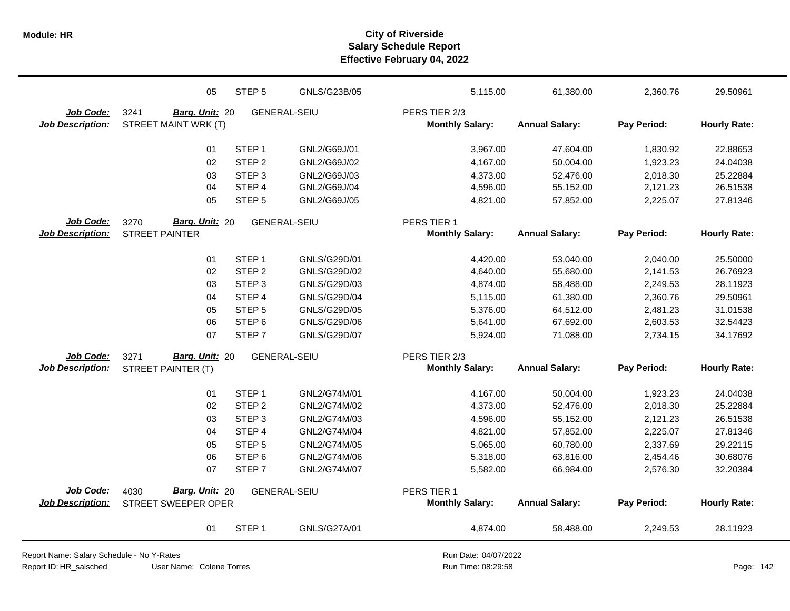|                         | 05                     | STEP <sub>5</sub> | GNLS/G23B/05        | 5,115.00               | 61,380.00             | 2,360.76    | 29.50961            |
|-------------------------|------------------------|-------------------|---------------------|------------------------|-----------------------|-------------|---------------------|
| Job Code:               | 3241<br>Barg. Unit: 20 |                   | <b>GENERAL-SEIU</b> | PERS TIER 2/3          |                       |             |                     |
| <b>Job Description:</b> | STREET MAINT WRK (T)   |                   |                     | <b>Monthly Salary:</b> | <b>Annual Salary:</b> | Pay Period: | <b>Hourly Rate:</b> |
|                         | 01                     | STEP <sub>1</sub> | GNL2/G69J/01        | 3,967.00               | 47,604.00             | 1,830.92    | 22.88653            |
|                         | 02                     | STEP <sub>2</sub> | GNL2/G69J/02        | 4,167.00               | 50,004.00             | 1,923.23    | 24.04038            |
|                         | 03                     | STEP <sub>3</sub> | GNL2/G69J/03        | 4,373.00               | 52,476.00             | 2,018.30    | 25.22884            |
|                         | 04                     | STEP 4            | GNL2/G69J/04        | 4,596.00               | 55,152.00             | 2,121.23    | 26.51538            |
|                         | 05                     | STEP <sub>5</sub> | GNL2/G69J/05        | 4,821.00               | 57,852.00             | 2,225.07    | 27.81346            |
| Job Code:               | Barg. Unit: 20<br>3270 |                   | <b>GENERAL-SEIU</b> | PERS TIER 1            |                       |             |                     |
| <b>Job Description:</b> | <b>STREET PAINTER</b>  |                   |                     | <b>Monthly Salary:</b> | <b>Annual Salary:</b> | Pay Period: | <b>Hourly Rate:</b> |
|                         | 01                     | STEP <sub>1</sub> | GNLS/G29D/01        | 4,420.00               | 53,040.00             | 2,040.00    | 25.50000            |
|                         | 02                     | STEP <sub>2</sub> | GNLS/G29D/02        | 4,640.00               | 55,680.00             | 2,141.53    | 26.76923            |
|                         | 03                     | STEP <sub>3</sub> | GNLS/G29D/03        | 4,874.00               | 58,488.00             | 2,249.53    | 28.11923            |
|                         | 04                     | STEP <sub>4</sub> | GNLS/G29D/04        | 5,115.00               | 61,380.00             | 2,360.76    | 29.50961            |
|                         | 05                     | STEP <sub>5</sub> | GNLS/G29D/05        | 5,376.00               | 64,512.00             | 2,481.23    | 31.01538            |
|                         | 06                     | STEP <sub>6</sub> | GNLS/G29D/06        | 5,641.00               | 67,692.00             | 2,603.53    | 32.54423            |
|                         | 07                     | STEP <sub>7</sub> | GNLS/G29D/07        | 5,924.00               | 71,088.00             | 2,734.15    | 34.17692            |
| <b>Job Code:</b>        | Barg. Unit: 20<br>3271 |                   | <b>GENERAL-SEIU</b> | PERS TIER 2/3          |                       |             |                     |
| <b>Job Description:</b> | STREET PAINTER (T)     |                   |                     | <b>Monthly Salary:</b> | <b>Annual Salary:</b> | Pay Period: | <b>Hourly Rate:</b> |
|                         | 01                     | STEP <sub>1</sub> | GNL2/G74M/01        | 4,167.00               | 50,004.00             | 1,923.23    | 24.04038            |
|                         | 02                     | STEP <sub>2</sub> | GNL2/G74M/02        | 4,373.00               | 52,476.00             | 2,018.30    | 25.22884            |
|                         | 03                     | STEP <sub>3</sub> | GNL2/G74M/03        | 4,596.00               | 55,152.00             | 2,121.23    | 26.51538            |
|                         | 04                     | STEP 4            | GNL2/G74M/04        | 4,821.00               | 57,852.00             | 2,225.07    | 27.81346            |
|                         | 05                     | STEP <sub>5</sub> | GNL2/G74M/05        | 5,065.00               | 60,780.00             | 2,337.69    | 29.22115            |
|                         | 06                     | STEP <sub>6</sub> | GNL2/G74M/06        | 5,318.00               | 63,816.00             | 2,454.46    | 30.68076            |
|                         | 07                     | STEP <sub>7</sub> | GNL2/G74M/07        | 5,582.00               | 66,984.00             | 2,576.30    | 32.20384            |
| <b>Job Code:</b>        | Barg. Unit: 20<br>4030 |                   | <b>GENERAL-SEIU</b> | PERS TIER 1            |                       |             |                     |
| <b>Job Description:</b> | STREET SWEEPER OPER    |                   |                     | <b>Monthly Salary:</b> | <b>Annual Salary:</b> | Pay Period: | <b>Hourly Rate:</b> |
|                         | 01                     | STEP <sub>1</sub> | GNLS/G27A/01        | 4,874.00               | 58,488.00             | 2,249.53    | 28.11923            |

Report Name: Salary Schedule - No Y-Rates

Report ID: HR\_salsched

Run Date: 04/07/2022 08:29:58 Colene Torres Run Time: Page: 142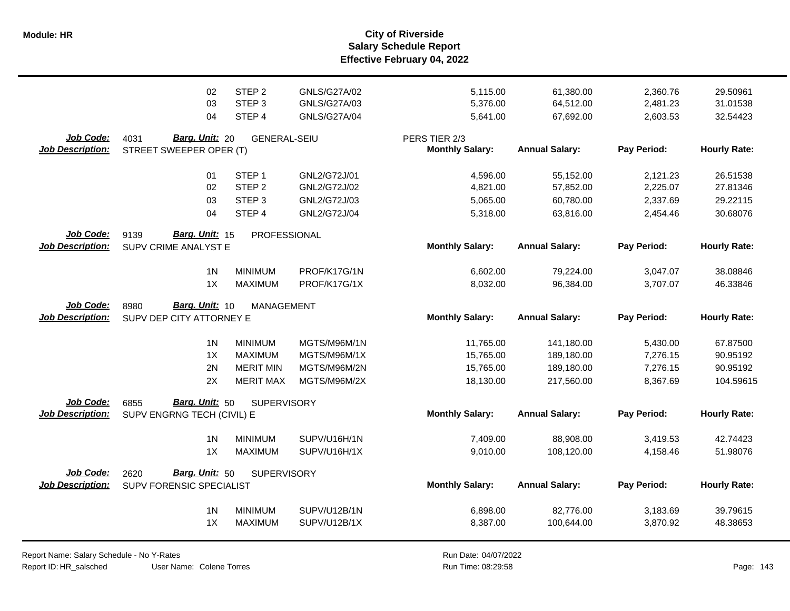**Salary Schedule Report Effective February 04, 2022 Module: HR City of Riverside**

|                                      | 02                                                   | STEP <sub>2</sub>   | GNLS/G27A/02 | 5,115.00                                | 61,380.00             | 2,360.76    | 29.50961            |
|--------------------------------------|------------------------------------------------------|---------------------|--------------|-----------------------------------------|-----------------------|-------------|---------------------|
|                                      | 03                                                   | STEP <sub>3</sub>   | GNLS/G27A/03 | 5,376.00                                | 64,512.00             | 2,481.23    | 31.01538            |
|                                      | 04                                                   | STEP 4              | GNLS/G27A/04 | 5,641.00                                | 67,692.00             | 2,603.53    | 32.54423            |
| Job Code:<br><b>Job Description:</b> | Barg. Unit: 20<br>4031<br>STREET SWEEPER OPER (T)    | <b>GENERAL-SEIU</b> |              | PERS TIER 2/3<br><b>Monthly Salary:</b> | <b>Annual Salary:</b> | Pay Period: | <b>Hourly Rate:</b> |
|                                      | 01                                                   | STEP <sub>1</sub>   | GNL2/G72J/01 | 4,596.00                                | 55,152.00             | 2,121.23    | 26.51538            |
|                                      | 02                                                   | STEP <sub>2</sub>   | GNL2/G72J/02 | 4,821.00                                | 57,852.00             | 2,225.07    | 27.81346            |
|                                      | 03                                                   | STEP <sub>3</sub>   | GNL2/G72J/03 | 5,065.00                                | 60,780.00             | 2,337.69    | 29.22115            |
|                                      | 04                                                   | STEP 4              | GNL2/G72J/04 | 5,318.00                                | 63,816.00             | 2,454.46    | 30.68076            |
| Job Code:<br><b>Job Description:</b> | Barg. Unit: 15<br>9139<br>SUPV CRIME ANALYST E       | PROFESSIONAL        |              | <b>Monthly Salary:</b>                  | <b>Annual Salary:</b> | Pay Period: | <b>Hourly Rate:</b> |
|                                      | 1 <sub>N</sub>                                       | <b>MINIMUM</b>      | PROF/K17G/1N | 6,602.00                                | 79,224.00             | 3,047.07    | 38.08846            |
|                                      | 1X                                                   | <b>MAXIMUM</b>      | PROF/K17G/1X | 8,032.00                                | 96,384.00             | 3,707.07    | 46.33846            |
| Job Code:<br><b>Job Description:</b> | Barg. Unit: 10<br>8980<br>SUPV DEP CITY ATTORNEY E   | <b>MANAGEMENT</b>   |              | <b>Monthly Salary:</b>                  | <b>Annual Salary:</b> | Pay Period: | <b>Hourly Rate:</b> |
|                                      | 1 <sub>N</sub>                                       | <b>MINIMUM</b>      | MGTS/M96M/1N | 11,765.00                               | 141,180.00            | 5,430.00    | 67.87500            |
|                                      | 1X                                                   | <b>MAXIMUM</b>      | MGTS/M96M/1X | 15,765.00                               | 189,180.00            | 7,276.15    | 90.95192            |
|                                      | 2N                                                   | <b>MERIT MIN</b>    | MGTS/M96M/2N | 15,765.00                               | 189,180.00            | 7,276.15    | 90.95192            |
|                                      | 2X                                                   | <b>MERIT MAX</b>    | MGTS/M96M/2X | 18,130.00                               | 217,560.00            | 8,367.69    | 104.59615           |
| Job Code:<br><b>Job Description:</b> | Barg. Unit: 50<br>6855<br>SUPV ENGRNG TECH (CIVIL) E | <b>SUPERVISORY</b>  |              | <b>Monthly Salary:</b>                  | <b>Annual Salary:</b> | Pay Period: | <b>Hourly Rate:</b> |
|                                      | 1 <sub>N</sub>                                       | <b>MINIMUM</b>      | SUPV/U16H/1N | 7,409.00                                | 88,908.00             | 3,419.53    | 42.74423            |
|                                      | 1X                                                   | <b>MAXIMUM</b>      | SUPV/U16H/1X | 9,010.00                                | 108,120.00            | 4,158.46    | 51.98076            |
| Job Code:<br><b>Job Description:</b> | Barg. Unit: 50<br>2620<br>SUPV FORENSIC SPECIALIST   | <b>SUPERVISORY</b>  |              | <b>Monthly Salary:</b>                  | <b>Annual Salary:</b> | Pay Period: | <b>Hourly Rate:</b> |
|                                      | 1 <sub>N</sub>                                       | <b>MINIMUM</b>      | SUPV/U12B/1N | 6,898.00                                | 82,776.00             | 3,183.69    | 39.79615            |
|                                      | 1X                                                   | <b>MAXIMUM</b>      | SUPV/U12B/1X | 8,387.00                                | 100,644.00            | 3,870.92    | 48.38653            |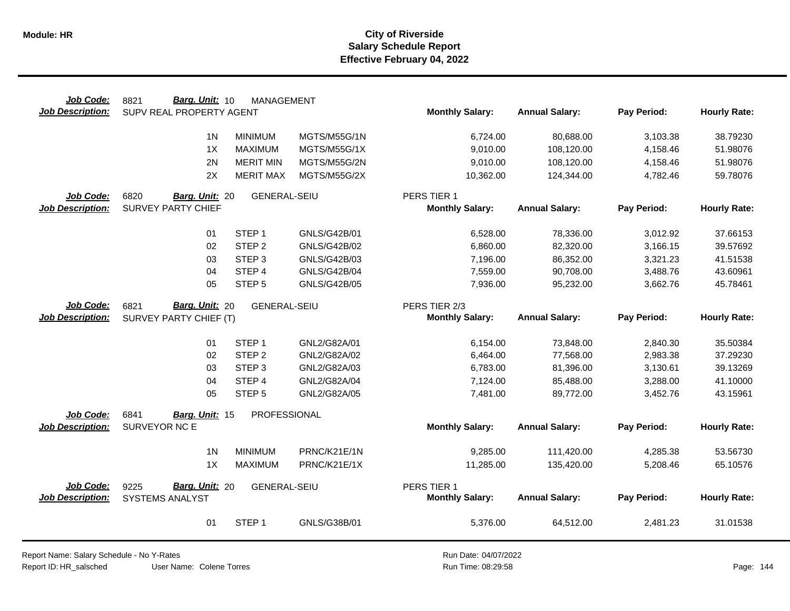| Job Code:                     | Barg. Unit: 10<br>8821          | <b>MANAGEMENT</b>   |                     |                        |                       |             |                     |
|-------------------------------|---------------------------------|---------------------|---------------------|------------------------|-----------------------|-------------|---------------------|
| <b>Job Description:</b>       | SUPV REAL PROPERTY AGENT        |                     |                     | <b>Monthly Salary:</b> | <b>Annual Salary:</b> | Pay Period: | <b>Hourly Rate:</b> |
|                               |                                 |                     |                     |                        |                       |             |                     |
|                               | 1 <sub>N</sub>                  | <b>MINIMUM</b>      | MGTS/M55G/1N        | 6,724.00               | 80,688.00             | 3,103.38    | 38.79230            |
|                               | 1X                              | <b>MAXIMUM</b>      | MGTS/M55G/1X        | 9,010.00               | 108,120.00            | 4,158.46    | 51.98076            |
|                               | 2N                              | <b>MERIT MIN</b>    | MGTS/M55G/2N        | 9,010.00               | 108,120.00            | 4,158.46    | 51.98076            |
|                               | 2X                              | <b>MERIT MAX</b>    | MGTS/M55G/2X        | 10,362.00              | 124,344.00            | 4,782.46    | 59.78076            |
| Job Code:                     | 6820<br>Barg. Unit: 20          | <b>GENERAL-SEIU</b> |                     | PERS TIER 1            |                       |             |                     |
| <b>Job Description:</b>       | <b>SURVEY PARTY CHIEF</b>       |                     |                     | <b>Monthly Salary:</b> | <b>Annual Salary:</b> | Pay Period: | <b>Hourly Rate:</b> |
|                               |                                 |                     |                     |                        |                       |             |                     |
|                               | 01                              | STEP <sub>1</sub>   | GNLS/G42B/01        | 6,528.00               | 78,336.00             | 3,012.92    | 37.66153            |
|                               | 02                              | STEP <sub>2</sub>   | GNLS/G42B/02        | 6,860.00               | 82,320.00             | 3,166.15    | 39.57692            |
|                               | 03                              | STEP <sub>3</sub>   | GNLS/G42B/03        | 7,196.00               | 86,352.00             | 3,321.23    | 41.51538            |
|                               | 04                              | STEP 4              | <b>GNLS/G42B/04</b> | 7,559.00               | 90,708.00             | 3,488.76    | 43.60961            |
|                               | 05                              | STEP <sub>5</sub>   | <b>GNLS/G42B/05</b> | 7,936.00               | 95,232.00             | 3,662.76    | 45.78461            |
| Job Code:                     | Barg. Unit: 20<br>6821          | <b>GENERAL-SEIU</b> |                     | PERS TIER 2/3          |                       |             |                     |
| <b>Job Description:</b>       | SURVEY PARTY CHIEF (T)          |                     |                     | <b>Monthly Salary:</b> | <b>Annual Salary:</b> | Pay Period: | <b>Hourly Rate:</b> |
|                               |                                 |                     |                     |                        |                       |             |                     |
|                               | 01                              | STEP <sub>1</sub>   | GNL2/G82A/01        | 6,154.00               | 73,848.00             | 2,840.30    | 35.50384            |
|                               | 02                              | STEP <sub>2</sub>   | GNL2/G82A/02        | 6,464.00               | 77,568.00             | 2,983.38    | 37.29230            |
|                               | 03                              | STEP <sub>3</sub>   | GNL2/G82A/03        | 6,783.00               | 81,396.00             | 3,130.61    | 39.13269            |
|                               | 04                              | STEP <sub>4</sub>   | GNL2/G82A/04        | 7,124.00               | 85,488.00             | 3,288.00    | 41.10000            |
|                               | 05                              | STEP <sub>5</sub>   | GNL2/G82A/05        | 7,481.00               | 89,772.00             | 3,452.76    | 43.15961            |
|                               | 6841                            | PROFESSIONAL        |                     |                        |                       |             |                     |
| Job Code:<br>Job Description: | Barg. Unit: 15<br>SURVEYOR NC E |                     |                     | <b>Monthly Salary:</b> | <b>Annual Salary:</b> | Pay Period: | <b>Hourly Rate:</b> |
|                               |                                 |                     |                     |                        |                       |             |                     |
|                               | 1 <sub>N</sub>                  | <b>MINIMUM</b>      | PRNC/K21E/1N        | 9,285.00               | 111,420.00            | 4,285.38    | 53.56730            |
|                               | 1X                              | <b>MAXIMUM</b>      | PRNC/K21E/1X        | 11,285.00              | 135,420.00            | 5,208.46    | 65.10576            |
|                               |                                 |                     |                     |                        |                       |             |                     |
| Job Code:                     | Barg. Unit: 20<br>9225          | <b>GENERAL-SEIU</b> |                     | PERS TIER 1            |                       |             |                     |
| <b>Job Description:</b>       | SYSTEMS ANALYST                 |                     |                     | <b>Monthly Salary:</b> | <b>Annual Salary:</b> | Pay Period: | <b>Hourly Rate:</b> |
|                               |                                 |                     |                     |                        |                       |             |                     |
|                               | 01                              | STEP <sub>1</sub>   | GNLS/G38B/01        | 5,376.00               | 64,512.00             | 2,481.23    | 31.01538            |

Report Name: Salary Schedule - No Y-Rates

Report ID: HR\_salsched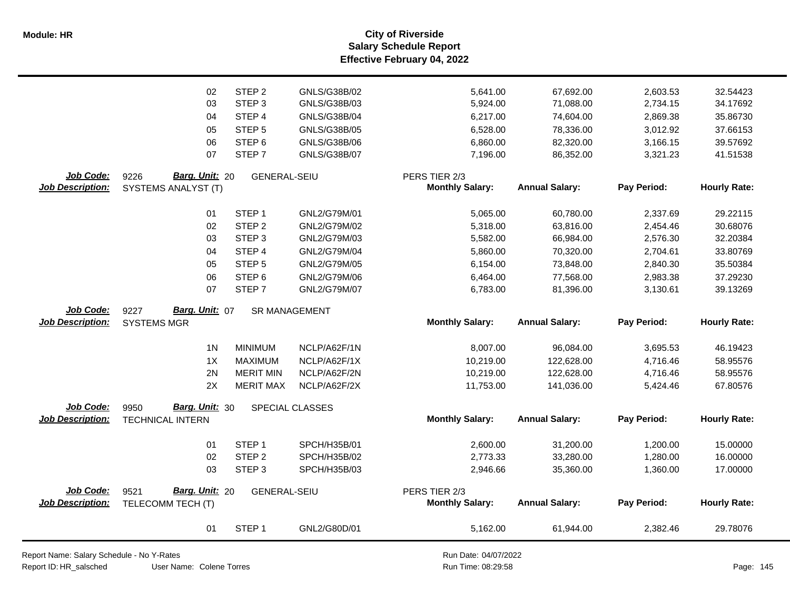**Salary Schedule Report Effective February 04, 2022 Module: HR City of Riverside**

|                         | 02                      | STEP <sub>2</sub>    | GNLS/G38B/02    | 5,641.00               | 67,692.00             | 2,603.53    | 32.54423            |
|-------------------------|-------------------------|----------------------|-----------------|------------------------|-----------------------|-------------|---------------------|
|                         | 03                      | STEP <sub>3</sub>    | GNLS/G38B/03    |                        | 71,088.00             |             | 34.17692            |
|                         |                         |                      |                 | 5,924.00               |                       | 2,734.15    |                     |
|                         | 04                      | STEP 4               | GNLS/G38B/04    | 6,217.00               | 74,604.00             | 2,869.38    | 35.86730            |
|                         | 05                      | STEP <sub>5</sub>    | GNLS/G38B/05    | 6,528.00               | 78,336.00             | 3,012.92    | 37.66153            |
|                         | 06                      | STEP <sub>6</sub>    | GNLS/G38B/06    | 6,860.00               | 82,320.00             | 3,166.15    | 39.57692            |
|                         | 07                      | STEP <sub>7</sub>    | GNLS/G38B/07    | 7,196.00               | 86,352.00             | 3,321.23    | 41.51538            |
| Job Code:               | Barg. Unit: 20<br>9226  | <b>GENERAL-SEIU</b>  |                 | PERS TIER 2/3          |                       |             |                     |
| <b>Job Description:</b> | SYSTEMS ANALYST (T)     |                      |                 | <b>Monthly Salary:</b> | <b>Annual Salary:</b> | Pay Period: | <b>Hourly Rate:</b> |
|                         |                         |                      |                 |                        |                       |             |                     |
|                         | 01                      | STEP <sub>1</sub>    | GNL2/G79M/01    | 5,065.00               | 60,780.00             | 2,337.69    | 29.22115            |
|                         | 02                      | STEP <sub>2</sub>    | GNL2/G79M/02    | 5,318.00               | 63,816.00             | 2,454.46    | 30.68076            |
|                         | 03                      | STEP <sub>3</sub>    | GNL2/G79M/03    | 5,582.00               | 66,984.00             | 2,576.30    | 32.20384            |
|                         | 04                      | STEP 4               | GNL2/G79M/04    | 5,860.00               | 70,320.00             | 2,704.61    | 33.80769            |
|                         | 05                      | STEP <sub>5</sub>    | GNL2/G79M/05    | 6,154.00               | 73,848.00             | 2,840.30    | 35.50384            |
|                         | 06                      | STEP <sub>6</sub>    | GNL2/G79M/06    | 6,464.00               | 77,568.00             | 2,983.38    | 37.29230            |
|                         | 07                      | STEP <sub>7</sub>    | GNL2/G79M/07    | 6,783.00               | 81,396.00             | 3,130.61    | 39.13269            |
|                         |                         |                      |                 |                        |                       |             |                     |
| Job Code:               | Barg. Unit: 07<br>9227  | <b>SR MANAGEMENT</b> |                 |                        |                       |             |                     |
|                         |                         |                      |                 |                        |                       |             |                     |
| <b>Job Description:</b> | <b>SYSTEMS MGR</b>      |                      |                 | <b>Monthly Salary:</b> | <b>Annual Salary:</b> | Pay Period: | <b>Hourly Rate:</b> |
|                         |                         |                      |                 |                        |                       |             |                     |
|                         | 1 <sub>N</sub>          | <b>MINIMUM</b>       | NCLP/A62F/1N    | 8,007.00               | 96,084.00             | 3,695.53    | 46.19423            |
|                         | 1X                      | <b>MAXIMUM</b>       | NCLP/A62F/1X    | 10,219.00              | 122,628.00            | 4,716.46    | 58.95576            |
|                         | 2N                      | <b>MERIT MIN</b>     | NCLP/A62F/2N    | 10,219.00              | 122,628.00            | 4,716.46    | 58.95576            |
|                         | 2X                      | <b>MERIT MAX</b>     | NCLP/A62F/2X    | 11,753.00              | 141,036.00            | 5,424.46    | 67.80576            |
|                         |                         |                      |                 |                        |                       |             |                     |
| Job Code:               | Barg. Unit: 30<br>9950  |                      | SPECIAL CLASSES |                        |                       |             |                     |
| <b>Job Description:</b> | <b>TECHNICAL INTERN</b> |                      |                 | <b>Monthly Salary:</b> | <b>Annual Salary:</b> | Pay Period: | <b>Hourly Rate:</b> |
|                         |                         |                      |                 |                        |                       |             |                     |
|                         | 01                      | STEP <sub>1</sub>    | SPCH/H35B/01    | 2,600.00               | 31,200.00             | 1,200.00    | 15.00000            |
|                         | 02                      | STEP <sub>2</sub>    | SPCH/H35B/02    | 2,773.33               | 33,280.00             | 1,280.00    | 16.00000            |
|                         | 03                      | STEP <sub>3</sub>    | SPCH/H35B/03    | 2,946.66               | 35,360.00             | 1,360.00    | 17.00000            |
| Job Code:               | Barg. Unit: 20<br>9521  | <b>GENERAL-SEIU</b>  |                 | PERS TIER 2/3          |                       |             |                     |
| <b>Job Description:</b> | TELECOMM TECH (T)       |                      |                 | <b>Monthly Salary:</b> | <b>Annual Salary:</b> | Pay Period: | <b>Hourly Rate:</b> |
|                         |                         |                      |                 |                        |                       |             |                     |
|                         | 01                      | STEP <sub>1</sub>    | GNL2/G80D/01    | 5,162.00               | 61,944.00             | 2,382.46    | 29.78076            |

Report Name: Salary Schedule - No Y-Rates

Report ID: HR\_salsched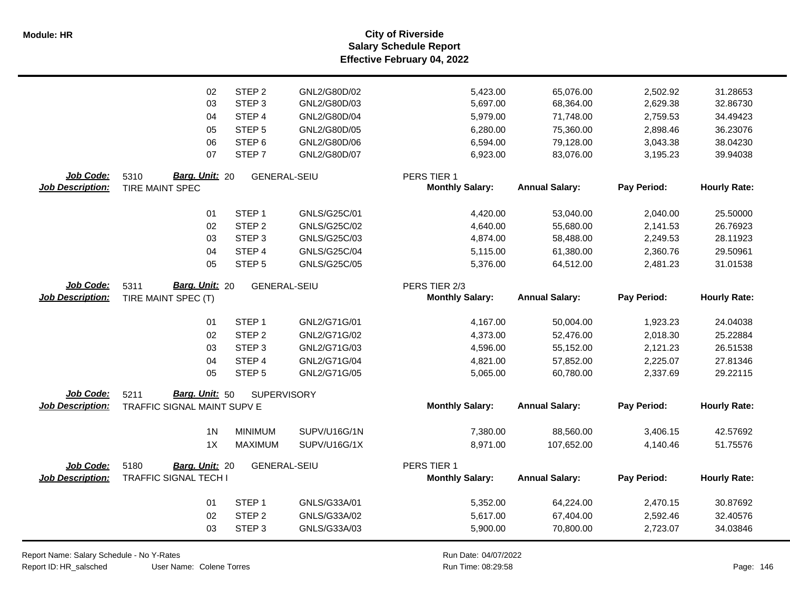|                         | 02                           | STEP <sub>2</sub>   | GNL2/G80D/02        | 5,423.00               | 65,076.00             | 2,502.92    | 31.28653            |
|-------------------------|------------------------------|---------------------|---------------------|------------------------|-----------------------|-------------|---------------------|
|                         | 03                           | STEP <sub>3</sub>   | GNL2/G80D/03        | 5,697.00               | 68,364.00             | 2,629.38    | 32.86730            |
|                         | 04                           | STEP 4              | GNL2/G80D/04        | 5,979.00               | 71,748.00             | 2,759.53    | 34.49423            |
|                         | 05                           | STEP <sub>5</sub>   | GNL2/G80D/05        | 6,280.00               | 75,360.00             | 2,898.46    | 36.23076            |
|                         | 06                           | STEP <sub>6</sub>   | GNL2/G80D/06        | 6,594.00               | 79,128.00             | 3,043.38    | 38.04230            |
|                         | 07                           | STEP <sub>7</sub>   | GNL2/G80D/07        | 6,923.00               | 83,076.00             | 3,195.23    | 39.94038            |
| Job Code:               | Barg. Unit: 20<br>5310       | <b>GENERAL-SEIU</b> |                     | PERS TIER 1            |                       |             |                     |
| <b>Job Description:</b> | <b>TIRE MAINT SPEC</b>       |                     |                     | <b>Monthly Salary:</b> | <b>Annual Salary:</b> | Pay Period: | <b>Hourly Rate:</b> |
|                         | 01                           | STEP <sub>1</sub>   | GNLS/G25C/01        | 4,420.00               | 53,040.00             | 2,040.00    | 25.50000            |
|                         | 02                           | STEP <sub>2</sub>   | GNLS/G25C/02        | 4,640.00               | 55,680.00             | 2,141.53    | 26.76923            |
|                         | 03                           | STEP <sub>3</sub>   | GNLS/G25C/03        | 4,874.00               | 58,488.00             | 2,249.53    | 28.11923            |
|                         | 04                           | STEP <sub>4</sub>   | <b>GNLS/G25C/04</b> | 5,115.00               | 61,380.00             | 2,360.76    | 29.50961            |
|                         | 05                           | STEP <sub>5</sub>   | GNLS/G25C/05        | 5,376.00               | 64,512.00             | 2,481.23    | 31.01538            |
| Job Code:               | Barg. Unit: 20<br>5311       | <b>GENERAL-SEIU</b> |                     | PERS TIER 2/3          |                       |             |                     |
| <b>Job Description:</b> | TIRE MAINT SPEC (T)          |                     |                     | <b>Monthly Salary:</b> | <b>Annual Salary:</b> | Pay Period: | <b>Hourly Rate:</b> |
|                         | 01                           | STEP <sub>1</sub>   | GNL2/G71G/01        | 4,167.00               | 50,004.00             | 1,923.23    | 24.04038            |
|                         | 02                           | STEP <sub>2</sub>   | GNL2/G71G/02        | 4,373.00               | 52,476.00             | 2,018.30    | 25.22884            |
|                         | 03                           | STEP <sub>3</sub>   | GNL2/G71G/03        | 4,596.00               | 55,152.00             | 2,121.23    | 26.51538            |
|                         | 04                           | STEP <sub>4</sub>   | GNL2/G71G/04        | 4,821.00               | 57,852.00             | 2,225.07    | 27.81346            |
|                         | 05                           | STEP <sub>5</sub>   | GNL2/G71G/05        | 5,065.00               | 60,780.00             | 2,337.69    | 29.22115            |
| Job Code:               | 5211<br>Barg. Unit: 50       | <b>SUPERVISORY</b>  |                     |                        |                       |             |                     |
| <b>Job Description:</b> | TRAFFIC SIGNAL MAINT SUPV E  |                     |                     | <b>Monthly Salary:</b> | <b>Annual Salary:</b> | Pay Period: | <b>Hourly Rate:</b> |
|                         | 1 <sub>N</sub>               | <b>MINIMUM</b>      | SUPV/U16G/1N        | 7,380.00               | 88,560.00             | 3,406.15    | 42.57692            |
|                         | 1X                           | <b>MAXIMUM</b>      | SUPV/U16G/1X        | 8,971.00               | 107,652.00            | 4,140.46    | 51.75576            |
| Job Code:               | 5180<br>Barg. Unit: 20       | <b>GENERAL-SEIU</b> |                     | PERS TIER 1            |                       |             |                     |
| <b>Job Description:</b> | <b>TRAFFIC SIGNAL TECH I</b> |                     |                     | <b>Monthly Salary:</b> | <b>Annual Salary:</b> | Pay Period: | <b>Hourly Rate:</b> |
|                         | 01                           | STEP <sub>1</sub>   | GNLS/G33A/01        | 5,352.00               | 64,224.00             | 2,470.15    | 30.87692            |
|                         | 02                           | STEP <sub>2</sub>   | GNLS/G33A/02        | 5,617.00               | 67,404.00             | 2,592.46    | 32.40576            |
|                         | 03                           | STEP <sub>3</sub>   | GNLS/G33A/03        | 5,900.00               | 70,800.00             | 2,723.07    | 34.03846            |
|                         |                              |                     |                     |                        |                       |             |                     |

Report Name: Salary Schedule - No Y-Rates

Report ID: HR\_salsched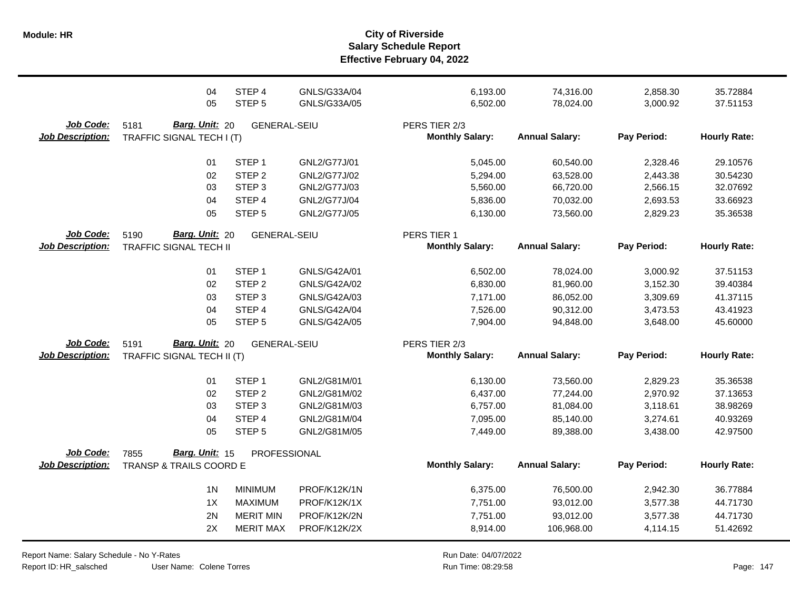|                                      | 04                                                           | STEP 4              | GNLS/G33A/04 | 6,193.00                                | 74,316.00             | 2,858.30    | 35.72884            |
|--------------------------------------|--------------------------------------------------------------|---------------------|--------------|-----------------------------------------|-----------------------|-------------|---------------------|
|                                      | 05                                                           | STEP <sub>5</sub>   | GNLS/G33A/05 | 6,502.00                                | 78,024.00             | 3,000.92    | 37.51153            |
| Job Code:<br><b>Job Description:</b> | Barg. Unit: 20<br>5181<br>TRAFFIC SIGNAL TECH I (T)          | <b>GENERAL-SEIU</b> |              | PERS TIER 2/3<br><b>Monthly Salary:</b> | <b>Annual Salary:</b> | Pay Period: | <b>Hourly Rate:</b> |
|                                      | 01                                                           | STEP <sub>1</sub>   | GNL2/G77J/01 | 5,045.00                                | 60,540.00             | 2,328.46    | 29.10576            |
|                                      | 02                                                           | STEP <sub>2</sub>   | GNL2/G77J/02 | 5,294.00                                | 63,528.00             | 2,443.38    | 30.54230            |
|                                      | 03                                                           | STEP <sub>3</sub>   | GNL2/G77J/03 | 5,560.00                                | 66,720.00             | 2,566.15    | 32.07692            |
|                                      | 04                                                           | STEP 4              | GNL2/G77J/04 | 5,836.00                                | 70,032.00             | 2,693.53    | 33.66923            |
|                                      | 05                                                           | STEP <sub>5</sub>   | GNL2/G77J/05 | 6,130.00                                | 73,560.00             | 2,829.23    | 35.36538            |
| Job Code:<br><b>Job Description:</b> | Barg. Unit: 20<br>5190<br><b>TRAFFIC SIGNAL TECH II</b>      | <b>GENERAL-SEIU</b> |              | PERS TIER 1<br><b>Monthly Salary:</b>   | <b>Annual Salary:</b> | Pay Period: | <b>Hourly Rate:</b> |
|                                      | 01                                                           | STEP <sub>1</sub>   | GNLS/G42A/01 | 6,502.00                                | 78,024.00             | 3,000.92    | 37.51153            |
|                                      | 02                                                           | STEP <sub>2</sub>   | GNLS/G42A/02 | 6,830.00                                | 81,960.00             | 3,152.30    | 39.40384            |
|                                      | 03                                                           | STEP <sub>3</sub>   | GNLS/G42A/03 | 7,171.00                                | 86,052.00             | 3,309.69    | 41.37115            |
|                                      | 04                                                           | STEP 4              | GNLS/G42A/04 | 7,526.00                                | 90,312.00             | 3,473.53    | 43.41923            |
|                                      | 05                                                           | STEP <sub>5</sub>   | GNLS/G42A/05 | 7,904.00                                | 94,848.00             | 3,648.00    | 45.60000            |
| Job Code:<br><b>Job Description:</b> | Barg. Unit: 20<br>5191<br>TRAFFIC SIGNAL TECH II (T)         | <b>GENERAL-SEIU</b> |              | PERS TIER 2/3<br><b>Monthly Salary:</b> | <b>Annual Salary:</b> | Pay Period: | <b>Hourly Rate:</b> |
|                                      | 01                                                           | STEP <sub>1</sub>   | GNL2/G81M/01 | 6,130.00                                | 73,560.00             | 2,829.23    | 35.36538            |
|                                      | 02                                                           | STEP <sub>2</sub>   | GNL2/G81M/02 | 6,437.00                                | 77,244.00             | 2,970.92    | 37.13653            |
|                                      | 03                                                           | STEP <sub>3</sub>   | GNL2/G81M/03 | 6,757.00                                | 81,084.00             | 3,118.61    | 38.98269            |
|                                      | 04                                                           | STEP 4              | GNL2/G81M/04 | 7,095.00                                | 85,140.00             | 3,274.61    | 40.93269            |
|                                      | 05                                                           | STEP <sub>5</sub>   | GNL2/G81M/05 | 7,449.00                                | 89,388.00             | 3,438.00    | 42.97500            |
| Job Code:<br><b>Job Description:</b> | Barg. Unit: 15<br>7855<br><b>TRANSP &amp; TRAILS COORD E</b> | PROFESSIONAL        |              | <b>Monthly Salary:</b>                  | <b>Annual Salary:</b> | Pay Period: | <b>Hourly Rate:</b> |
|                                      | 1 <sub>N</sub>                                               | <b>MINIMUM</b>      | PROF/K12K/1N | 6,375.00                                | 76,500.00             | 2,942.30    | 36.77884            |
|                                      | 1X                                                           | <b>MAXIMUM</b>      | PROF/K12K/1X | 7,751.00                                | 93,012.00             | 3,577.38    | 44.71730            |
|                                      | 2N                                                           | <b>MERIT MIN</b>    | PROF/K12K/2N | 7,751.00                                | 93,012.00             | 3,577.38    | 44.71730            |
|                                      | 2X                                                           | <b>MERIT MAX</b>    | PROF/K12K/2X | 8,914.00                                | 106,968.00            | 4,114.15    | 51.42692            |

Report Name: Salary Schedule - No Y-Rates Report ID: HR\_salsched

User Name: Colene Torres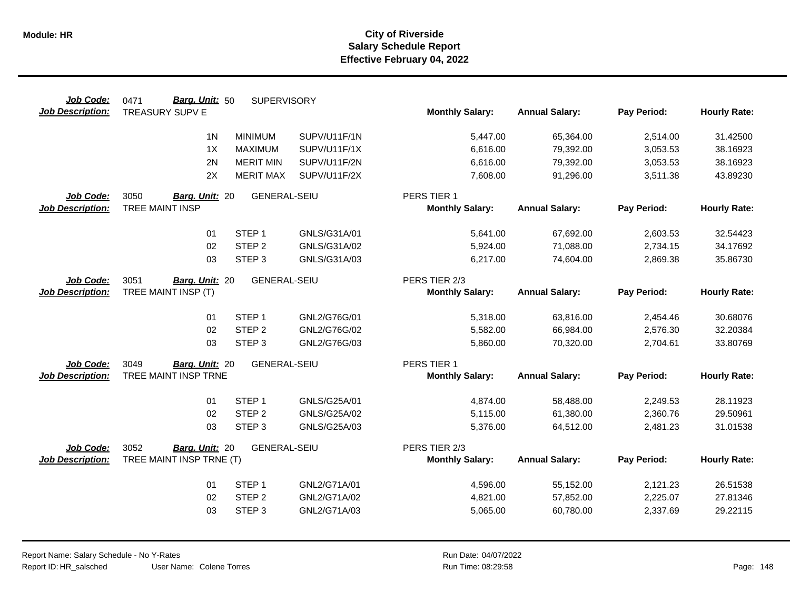| Job Code:               | Barg. Unit: 50<br>0471   | <b>SUPERVISORY</b>  |              |                        |                       |             |                     |
|-------------------------|--------------------------|---------------------|--------------|------------------------|-----------------------|-------------|---------------------|
| <b>Job Description:</b> | TREASURY SUPV E          |                     |              | <b>Monthly Salary:</b> | <b>Annual Salary:</b> | Pay Period: | <b>Hourly Rate:</b> |
|                         | 1 <sub>N</sub>           | <b>MINIMUM</b>      | SUPV/U11F/1N | 5,447.00               | 65,364.00             | 2,514.00    | 31.42500            |
|                         | 1X                       | <b>MAXIMUM</b>      | SUPV/U11F/1X | 6,616.00               | 79,392.00             | 3,053.53    | 38.16923            |
|                         | 2N                       | <b>MERIT MIN</b>    | SUPV/U11F/2N | 6,616.00               | 79,392.00             | 3,053.53    | 38.16923            |
|                         | 2X                       | <b>MERIT MAX</b>    | SUPV/U11F/2X | 7,608.00               | 91,296.00             | 3,511.38    | 43.89230            |
| Job Code:               | 3050<br>Barg. Unit: 20   | <b>GENERAL-SEIU</b> |              | PERS TIER 1            |                       |             |                     |
| <b>Job Description:</b> | TREE MAINT INSP          |                     |              | <b>Monthly Salary:</b> | <b>Annual Salary:</b> | Pay Period: | <b>Hourly Rate:</b> |
|                         | 01                       | STEP <sub>1</sub>   | GNLS/G31A/01 | 5,641.00               | 67,692.00             | 2,603.53    | 32.54423            |
|                         | 02                       | STEP <sub>2</sub>   | GNLS/G31A/02 | 5,924.00               | 71,088.00             | 2,734.15    | 34.17692            |
|                         | 03                       | STEP <sub>3</sub>   | GNLS/G31A/03 | 6,217.00               | 74,604.00             | 2,869.38    | 35.86730            |
| Job Code:               | 3051<br>Barg. Unit: 20   | <b>GENERAL-SEIU</b> |              | PERS TIER 2/3          |                       |             |                     |
| <b>Job Description:</b> | TREE MAINT INSP (T)      |                     |              | <b>Monthly Salary:</b> | <b>Annual Salary:</b> | Pay Period: | <b>Hourly Rate:</b> |
|                         | 01                       | STEP <sub>1</sub>   | GNL2/G76G/01 | 5,318.00               | 63,816.00             | 2,454.46    | 30.68076            |
|                         | 02                       | STEP <sub>2</sub>   | GNL2/G76G/02 | 5,582.00               | 66,984.00             | 2,576.30    | 32.20384            |
|                         | 03                       | STEP <sub>3</sub>   | GNL2/G76G/03 | 5,860.00               | 70,320.00             | 2,704.61    | 33.80769            |
| Job Code:               | 3049<br>Barg. Unit: 20   | <b>GENERAL-SEIU</b> |              | PERS TIER 1            |                       |             |                     |
| <b>Job Description:</b> | TREE MAINT INSP TRNE     |                     |              | <b>Monthly Salary:</b> | <b>Annual Salary:</b> | Pay Period: | <b>Hourly Rate:</b> |
|                         | 01                       | STEP <sub>1</sub>   | GNLS/G25A/01 | 4,874.00               | 58,488.00             | 2,249.53    | 28.11923            |
|                         | 02                       | STEP <sub>2</sub>   | GNLS/G25A/02 | 5,115.00               | 61,380.00             | 2,360.76    | 29.50961            |
|                         | 03                       | STEP <sub>3</sub>   | GNLS/G25A/03 | 5,376.00               | 64,512.00             | 2,481.23    | 31.01538            |
| Job Code:               | 3052<br>Barg. Unit: 20   | <b>GENERAL-SEIU</b> |              | PERS TIER 2/3          |                       |             |                     |
| <b>Job Description:</b> | TREE MAINT INSP TRNE (T) |                     |              | <b>Monthly Salary:</b> | <b>Annual Salary:</b> | Pay Period: | <b>Hourly Rate:</b> |
|                         | 01                       | STEP <sub>1</sub>   | GNL2/G71A/01 | 4,596.00               | 55,152.00             | 2,121.23    | 26.51538            |
|                         | 02                       | STEP <sub>2</sub>   | GNL2/G71A/02 | 4,821.00               | 57,852.00             | 2,225.07    | 27.81346            |
|                         | 03                       | STEP <sub>3</sub>   | GNL2/G71A/03 | 5,065.00               | 60,780.00             | 2,337.69    | 29.22115            |
|                         |                          |                     |              |                        |                       |             |                     |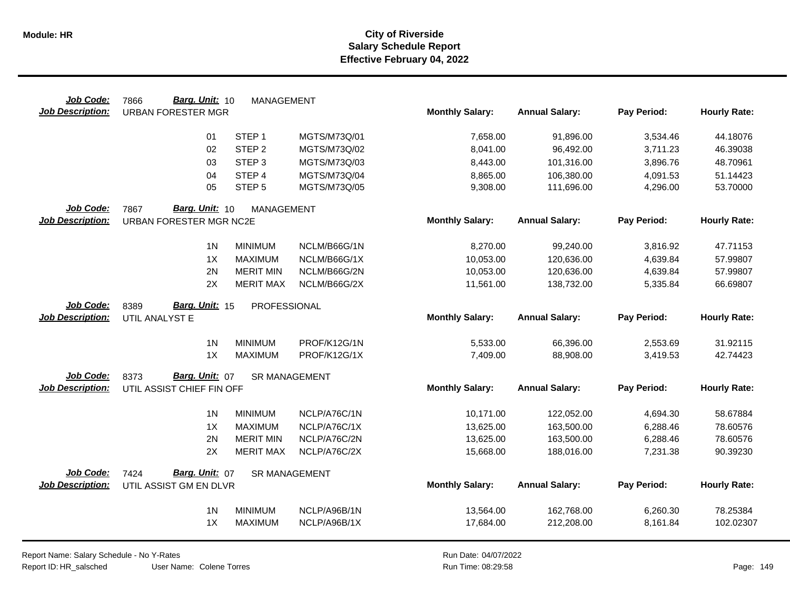| Job Code:               | Barg. Unit: 10<br>7866    | <b>MANAGEMENT</b>    |              |                        |                       |             |                     |
|-------------------------|---------------------------|----------------------|--------------|------------------------|-----------------------|-------------|---------------------|
| <b>Job Description:</b> | <b>URBAN FORESTER MGR</b> |                      |              | <b>Monthly Salary:</b> | <b>Annual Salary:</b> | Pay Period: | <b>Hourly Rate:</b> |
|                         | 01                        | STEP <sub>1</sub>    | MGTS/M73Q/01 | 7,658.00               | 91,896.00             | 3,534.46    | 44.18076            |
|                         | 02                        | STEP <sub>2</sub>    | MGTS/M73Q/02 | 8,041.00               | 96,492.00             | 3,711.23    | 46.39038            |
|                         | 03                        | STEP <sub>3</sub>    | MGTS/M73Q/03 | 8,443.00               | 101,316.00            | 3,896.76    | 48.70961            |
|                         | 04                        | STEP <sub>4</sub>    | MGTS/M73Q/04 | 8,865.00               | 106,380.00            | 4,091.53    | 51.14423            |
|                         | 05                        | STEP <sub>5</sub>    | MGTS/M73Q/05 | 9,308.00               | 111,696.00            | 4,296.00    | 53.70000            |
| Job Code:               | 7867<br>Barg. Unit: 10    | MANAGEMENT           |              |                        |                       |             |                     |
| <b>Job Description:</b> | URBAN FORESTER MGR NC2E   |                      |              | <b>Monthly Salary:</b> | <b>Annual Salary:</b> | Pay Period: | <b>Hourly Rate:</b> |
|                         | 1 <sup>N</sup>            | <b>MINIMUM</b>       | NCLM/B66G/1N | 8,270.00               | 99,240.00             | 3,816.92    | 47.71153            |
|                         | 1X                        | <b>MAXIMUM</b>       | NCLM/B66G/1X | 10,053.00              | 120,636.00            | 4,639.84    | 57.99807            |
|                         | 2N                        | <b>MERIT MIN</b>     | NCLM/B66G/2N | 10,053.00              | 120,636.00            | 4,639.84    | 57.99807            |
|                         | 2X                        | <b>MERIT MAX</b>     | NCLM/B66G/2X | 11,561.00              | 138,732.00            | 5,335.84    | 66.69807            |
| Job Code:               | Barg. Unit: 15<br>8389    | PROFESSIONAL         |              |                        |                       |             |                     |
| <b>Job Description:</b> | UTIL ANALYST E            |                      |              | <b>Monthly Salary:</b> | <b>Annual Salary:</b> | Pay Period: | <b>Hourly Rate:</b> |
|                         | 1 <sub>N</sub>            | <b>MINIMUM</b>       | PROF/K12G/1N | 5,533.00               | 66,396.00             | 2,553.69    | 31.92115            |
|                         | 1X                        | <b>MAXIMUM</b>       | PROF/K12G/1X | 7,409.00               | 88,908.00             | 3,419.53    | 42.74423            |
| Job Code:               | Barg. Unit: 07<br>8373    | <b>SR MANAGEMENT</b> |              |                        |                       |             |                     |
| <b>Job Description:</b> | UTIL ASSIST CHIEF FIN OFF |                      |              | <b>Monthly Salary:</b> | <b>Annual Salary:</b> | Pay Period: | <b>Hourly Rate:</b> |
|                         | 1 <sup>N</sup>            | <b>MINIMUM</b>       | NCLP/A76C/1N | 10,171.00              | 122,052.00            | 4,694.30    | 58.67884            |
|                         | 1X                        | <b>MAXIMUM</b>       | NCLP/A76C/1X | 13,625.00              | 163,500.00            | 6,288.46    | 78.60576            |
|                         | 2N                        | <b>MERIT MIN</b>     | NCLP/A76C/2N | 13,625.00              | 163,500.00            | 6,288.46    | 78.60576            |
|                         | 2X                        | <b>MERIT MAX</b>     | NCLP/A76C/2X | 15,668.00              | 188,016.00            | 7,231.38    | 90.39230            |
| Job Code:               | Barg. Unit: 07<br>7424    | <b>SR MANAGEMENT</b> |              |                        |                       |             |                     |
| <b>Job Description:</b> | UTIL ASSIST GM EN DLVR    |                      |              | <b>Monthly Salary:</b> | <b>Annual Salary:</b> | Pay Period: | <b>Hourly Rate:</b> |
|                         | 1 <sub>N</sub>            | <b>MINIMUM</b>       | NCLP/A96B/1N | 13,564.00              | 162,768.00            | 6,260.30    | 78.25384            |
|                         | 1X                        | <b>MAXIMUM</b>       | NCLP/A96B/1X | 17,684.00              | 212,208.00            | 8,161.84    | 102.02307           |
|                         |                           |                      |              |                        |                       |             |                     |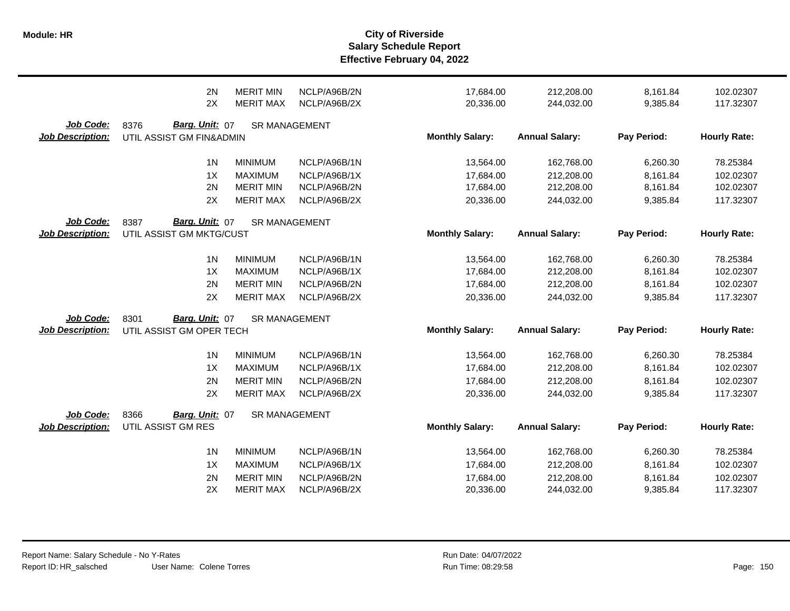|                                      | 2N                                                 | <b>MERIT MIN</b>     | NCLP/A96B/2N | 17,684.00              | 212,208.00            | 8,161.84    | 102.02307           |
|--------------------------------------|----------------------------------------------------|----------------------|--------------|------------------------|-----------------------|-------------|---------------------|
|                                      | 2X                                                 | <b>MERIT MAX</b>     | NCLP/A96B/2X | 20,336.00              | 244,032.00            | 9,385.84    | 117.32307           |
| Job Code:<br><b>Job Description:</b> | Barg. Unit: 07<br>8376<br>UTIL ASSIST GM FIN&ADMIN | <b>SR MANAGEMENT</b> |              | <b>Monthly Salary:</b> | <b>Annual Salary:</b> | Pay Period: | <b>Hourly Rate:</b> |
|                                      | 1 <sub>N</sub>                                     | <b>MINIMUM</b>       | NCLP/A96B/1N | 13,564.00              | 162,768.00            | 6,260.30    | 78.25384            |
|                                      | 1X                                                 | <b>MAXIMUM</b>       | NCLP/A96B/1X | 17,684.00              | 212,208.00            | 8,161.84    | 102.02307           |
|                                      | 2N                                                 | <b>MERIT MIN</b>     | NCLP/A96B/2N | 17,684.00              | 212,208.00            | 8,161.84    | 102.02307           |
|                                      | 2X                                                 | <b>MERIT MAX</b>     | NCLP/A96B/2X | 20,336.00              | 244,032.00            | 9,385.84    | 117.32307           |
| Job Code:<br><b>Job Description:</b> | Barg. Unit: 07<br>8387<br>UTIL ASSIST GM MKTG/CUST | <b>SR MANAGEMENT</b> |              | <b>Monthly Salary:</b> | <b>Annual Salary:</b> | Pay Period: | <b>Hourly Rate:</b> |
|                                      | 1 <sub>N</sub>                                     | <b>MINIMUM</b>       | NCLP/A96B/1N | 13,564.00              | 162,768.00            | 6,260.30    | 78.25384            |
|                                      | 1X                                                 | <b>MAXIMUM</b>       | NCLP/A96B/1X | 17,684.00              | 212,208.00            | 8,161.84    | 102.02307           |
|                                      | 2N                                                 | <b>MERIT MIN</b>     | NCLP/A96B/2N | 17,684.00              | 212,208.00            | 8,161.84    | 102.02307           |
|                                      | 2X                                                 | <b>MERIT MAX</b>     | NCLP/A96B/2X | 20,336.00              | 244,032.00            | 9,385.84    | 117.32307           |
| Job Code:<br><b>Job Description:</b> | Barg. Unit: 07<br>8301<br>UTIL ASSIST GM OPER TECH | <b>SR MANAGEMENT</b> |              | <b>Monthly Salary:</b> | <b>Annual Salary:</b> | Pay Period: | <b>Hourly Rate:</b> |
|                                      | 1 <sub>N</sub>                                     | <b>MINIMUM</b>       | NCLP/A96B/1N | 13,564.00              | 162,768.00            | 6,260.30    | 78.25384            |
|                                      | 1X                                                 | <b>MAXIMUM</b>       | NCLP/A96B/1X | 17,684.00              | 212,208.00            | 8,161.84    | 102.02307           |
|                                      | 2N                                                 | <b>MERIT MIN</b>     | NCLP/A96B/2N | 17,684.00              | 212,208.00            | 8,161.84    | 102.02307           |
|                                      | 2X                                                 | <b>MERIT MAX</b>     | NCLP/A96B/2X | 20,336.00              | 244,032.00            | 9,385.84    | 117.32307           |
| Job Code:<br><b>Job Description:</b> | 8366<br>Barg. Unit: 07<br>UTIL ASSIST GM RES       | <b>SR MANAGEMENT</b> |              | <b>Monthly Salary:</b> | <b>Annual Salary:</b> | Pay Period: | <b>Hourly Rate:</b> |
|                                      | 1 <sub>N</sub>                                     | <b>MINIMUM</b>       | NCLP/A96B/1N | 13,564.00              | 162,768.00            | 6,260.30    | 78.25384            |
|                                      | 1X                                                 | <b>MAXIMUM</b>       | NCLP/A96B/1X | 17,684.00              | 212,208.00            | 8,161.84    | 102.02307           |
|                                      | 2N                                                 | <b>MERIT MIN</b>     | NCLP/A96B/2N | 17,684.00              | 212,208.00            | 8,161.84    | 102.02307           |
|                                      | 2X                                                 | <b>MERIT MAX</b>     | NCLP/A96B/2X | 20,336.00              | 244,032.00            | 9,385.84    | 117.32307           |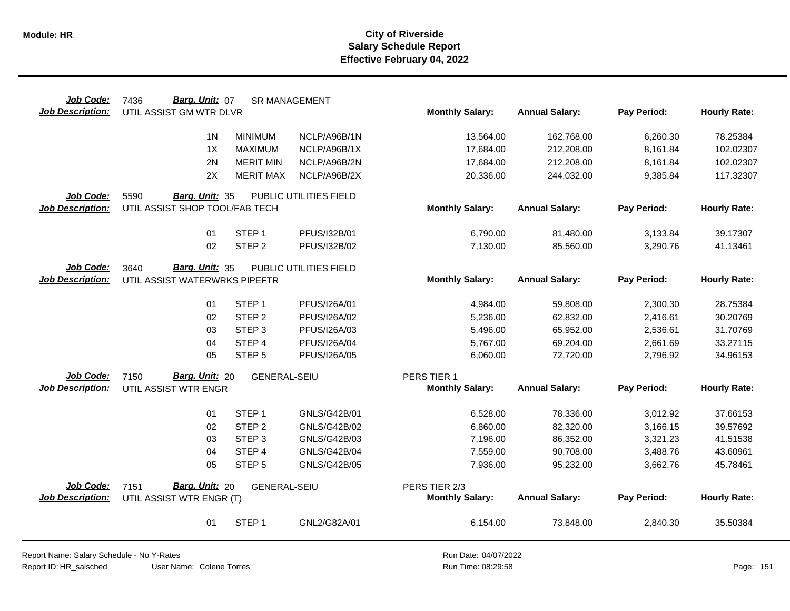| Job Code:                            | Barg. Unit: 07<br>7436                                  | <b>SR MANAGEMENT</b> |                        |                        |                       |             |                     |
|--------------------------------------|---------------------------------------------------------|----------------------|------------------------|------------------------|-----------------------|-------------|---------------------|
| <b>Job Description:</b>              | UTIL ASSIST GM WTR DLVR                                 |                      |                        | <b>Monthly Salary:</b> | <b>Annual Salary:</b> | Pay Period: | <b>Hourly Rate:</b> |
|                                      | 1 <sub>N</sub>                                          | <b>MINIMUM</b>       | NCLP/A96B/1N           | 13,564.00              | 162,768.00            | 6,260.30    | 78.25384            |
|                                      | 1X                                                      | <b>MAXIMUM</b>       | NCLP/A96B/1X           | 17,684.00              | 212,208.00            | 8,161.84    | 102.02307           |
|                                      | 2N                                                      | <b>MERIT MIN</b>     | NCLP/A96B/2N           | 17,684.00              | 212,208.00            | 8,161.84    | 102.02307           |
|                                      | 2X                                                      | <b>MERIT MAX</b>     | NCLP/A96B/2X           | 20,336.00              | 244,032.00            | 9,385.84    | 117.32307           |
| Job Code:                            | 5590<br>Barg. Unit: 35                                  |                      | PUBLIC UTILITIES FIELD |                        |                       |             |                     |
| <b>Job Description:</b>              | UTIL ASSIST SHOP TOOL/FAB TECH                          |                      |                        | <b>Monthly Salary:</b> | <b>Annual Salary:</b> | Pay Period: | <b>Hourly Rate:</b> |
|                                      | 01                                                      | STEP <sub>1</sub>    | PFUS/I32B/01           | 6,790.00               | 81,480.00             | 3,133.84    | 39.17307            |
|                                      | 02                                                      | STEP <sub>2</sub>    | PFUS/I32B/02           | 7,130.00               | 85,560.00             | 3,290.76    | 41.13461            |
| Job Code:<br><b>Job Description:</b> | Barg. Unit: 35<br>3640<br>UTIL ASSIST WATERWRKS PIPEFTR |                      | PUBLIC UTILITIES FIELD | <b>Monthly Salary:</b> | <b>Annual Salary:</b> | Pay Period: | <b>Hourly Rate:</b> |
|                                      |                                                         |                      |                        |                        |                       |             |                     |
|                                      | 01                                                      | STEP <sub>1</sub>    | PFUS/I26A/01           | 4,984.00               | 59,808.00             | 2,300.30    | 28.75384            |
|                                      | 02                                                      | STEP <sub>2</sub>    | PFUS/I26A/02           | 5,236.00               | 62,832.00             | 2,416.61    | 30.20769            |
|                                      | 03                                                      | STEP <sub>3</sub>    | PFUS/I26A/03           | 5,496.00               | 65,952.00             | 2,536.61    | 31.70769            |
|                                      | 04                                                      | STEP 4               | PFUS/I26A/04           | 5,767.00               | 69,204.00             | 2,661.69    | 33.27115            |
|                                      | 05                                                      | STEP <sub>5</sub>    | PFUS/I26A/05           | 6,060.00               | 72,720.00             | 2,796.92    | 34.96153            |
| Job Code:                            | Barg. Unit: 20<br>7150                                  | <b>GENERAL-SEIU</b>  |                        | PERS TIER 1            |                       |             |                     |
| <b>Job Description:</b>              | UTIL ASSIST WTR ENGR                                    |                      |                        | <b>Monthly Salary:</b> | <b>Annual Salary:</b> | Pay Period: | <b>Hourly Rate:</b> |
|                                      | 01                                                      | STEP <sub>1</sub>    | GNLS/G42B/01           | 6,528.00               | 78,336.00             | 3,012.92    | 37.66153            |
|                                      | 02                                                      | STEP <sub>2</sub>    | <b>GNLS/G42B/02</b>    | 6,860.00               | 82,320.00             | 3,166.15    | 39.57692            |
|                                      | 03                                                      | STEP <sub>3</sub>    | GNLS/G42B/03           | 7,196.00               | 86,352.00             | 3,321.23    | 41.51538            |
|                                      | 04                                                      | STEP 4               | <b>GNLS/G42B/04</b>    | 7,559.00               | 90,708.00             | 3,488.76    | 43.60961            |
|                                      | 05                                                      | STEP <sub>5</sub>    | GNLS/G42B/05           | 7,936.00               | 95,232.00             | 3,662.76    | 45.78461            |
| Job Code:                            | Barg. Unit: 20<br>7151                                  | <b>GENERAL-SEIU</b>  |                        | PERS TIER 2/3          |                       |             |                     |
| <b>Job Description:</b>              | UTIL ASSIST WTR ENGR (T)                                |                      |                        | <b>Monthly Salary:</b> | <b>Annual Salary:</b> | Pay Period: | <b>Hourly Rate:</b> |
|                                      | 01                                                      | STEP <sub>1</sub>    | GNL2/G82A/01           | 6,154.00               | 73,848.00             | 2,840.30    | 35.50384            |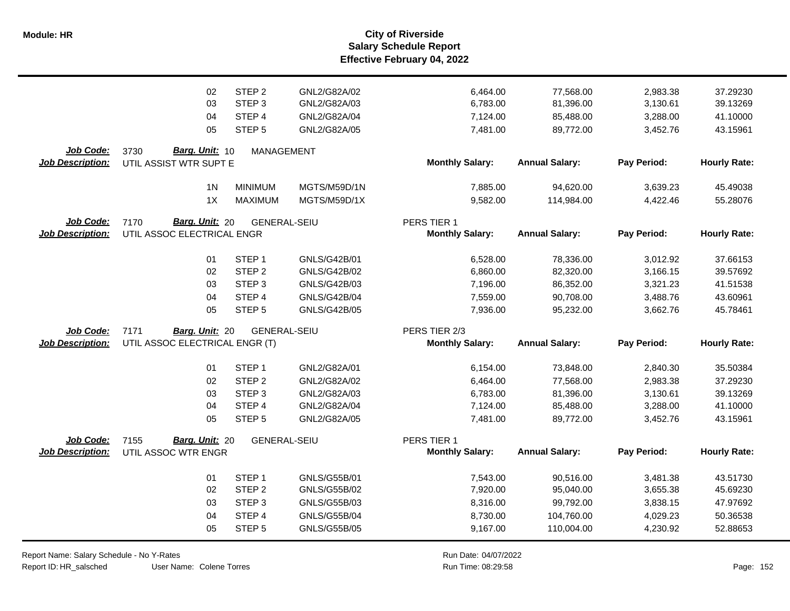|                                             | 02                                                       | STEP <sub>2</sub>   | GNL2/G82A/02        | 6,464.00                                | 77,568.00             | 2,983.38    | 37.29230            |
|---------------------------------------------|----------------------------------------------------------|---------------------|---------------------|-----------------------------------------|-----------------------|-------------|---------------------|
|                                             | 03                                                       | STEP <sub>3</sub>   | GNL2/G82A/03        | 6,783.00                                | 81,396.00             | 3,130.61    | 39.13269            |
|                                             | 04                                                       | STEP 4              | GNL2/G82A/04        | 7,124.00                                | 85,488.00             | 3,288.00    | 41.10000            |
|                                             | 05                                                       | STEP <sub>5</sub>   | GNL2/G82A/05        | 7,481.00                                | 89,772.00             | 3,452.76    | 43.15961            |
| Job Code:<br><b>Job Description:</b>        | Barg. Unit: 10<br>3730<br>UTIL ASSIST WTR SUPT E         | <b>MANAGEMENT</b>   |                     | <b>Monthly Salary:</b>                  | <b>Annual Salary:</b> | Pay Period: | <b>Hourly Rate:</b> |
|                                             | 1 <sub>N</sub>                                           | <b>MINIMUM</b>      | MGTS/M59D/1N        | 7,885.00                                | 94,620.00             | 3,639.23    | 45.49038            |
|                                             | 1X                                                       | <b>MAXIMUM</b>      | MGTS/M59D/1X        | 9,582.00                                | 114,984.00            | 4,422.46    | 55.28076            |
| <b>Job Code:</b><br><b>Job Description:</b> | Barg. Unit: 20<br>7170<br>UTIL ASSOC ELECTRICAL ENGR     | <b>GENERAL-SEIU</b> |                     | PERS TIER 1<br><b>Monthly Salary:</b>   | <b>Annual Salary:</b> | Pay Period: | <b>Hourly Rate:</b> |
|                                             | 01                                                       | STEP <sub>1</sub>   | GNLS/G42B/01        | 6,528.00                                | 78,336.00             | 3,012.92    | 37.66153            |
|                                             | 02                                                       | STEP <sub>2</sub>   | GNLS/G42B/02        | 6,860.00                                | 82,320.00             | 3,166.15    | 39.57692            |
|                                             | 03                                                       | STEP <sub>3</sub>   | GNLS/G42B/03        | 7,196.00                                | 86,352.00             | 3,321.23    | 41.51538            |
|                                             | 04                                                       | STEP <sub>4</sub>   | <b>GNLS/G42B/04</b> | 7,559.00                                | 90,708.00             | 3,488.76    | 43.60961            |
|                                             | 05                                                       | STEP <sub>5</sub>   | GNLS/G42B/05        | 7,936.00                                | 95,232.00             | 3,662.76    | 45.78461            |
| Job Code:<br><b>Job Description:</b>        | 7171<br>Barg. Unit: 20<br>UTIL ASSOC ELECTRICAL ENGR (T) | <b>GENERAL-SEIU</b> |                     | PERS TIER 2/3<br><b>Monthly Salary:</b> | <b>Annual Salary:</b> | Pay Period: | <b>Hourly Rate:</b> |
|                                             | 01                                                       | STEP <sub>1</sub>   | GNL2/G82A/01        | 6,154.00                                | 73,848.00             | 2,840.30    | 35.50384            |
|                                             | 02                                                       | STEP <sub>2</sub>   | GNL2/G82A/02        | 6,464.00                                | 77,568.00             | 2,983.38    | 37.29230            |
|                                             | 03                                                       | STEP <sub>3</sub>   | GNL2/G82A/03        | 6,783.00                                | 81,396.00             | 3,130.61    | 39.13269            |
|                                             | 04                                                       | STEP 4              | GNL2/G82A/04        | 7,124.00                                | 85,488.00             | 3,288.00    | 41.10000            |
|                                             | 05                                                       | STEP <sub>5</sub>   | GNL2/G82A/05        | 7,481.00                                | 89,772.00             | 3,452.76    | 43.15961            |
| Job Code:<br>Job Description:               | Barg. Unit: 20<br>7155<br>UTIL ASSOC WTR ENGR            | <b>GENERAL-SEIU</b> |                     | PERS TIER 1<br><b>Monthly Salary:</b>   | <b>Annual Salary:</b> | Pay Period: | <b>Hourly Rate:</b> |
|                                             | 01                                                       | STEP <sub>1</sub>   | GNLS/G55B/01        | 7,543.00                                | 90,516.00             | 3,481.38    | 43.51730            |
|                                             | 02                                                       | STEP <sub>2</sub>   | GNLS/G55B/02        | 7,920.00                                | 95,040.00             | 3,655.38    | 45.69230            |
|                                             | 03                                                       | STEP <sub>3</sub>   | GNLS/G55B/03        | 8,316.00                                | 99,792.00             | 3,838.15    | 47.97692            |
|                                             | 04                                                       | STEP 4              | <b>GNLS/G55B/04</b> | 8,730.00                                | 104,760.00            | 4,029.23    | 50.36538            |
|                                             | 05                                                       | STEP <sub>5</sub>   | GNLS/G55B/05        | 9,167.00                                | 110,004.00            | 4,230.92    | 52.88653            |

Report Name: Salary Schedule - No Y-Rates

Report ID: HR\_salsched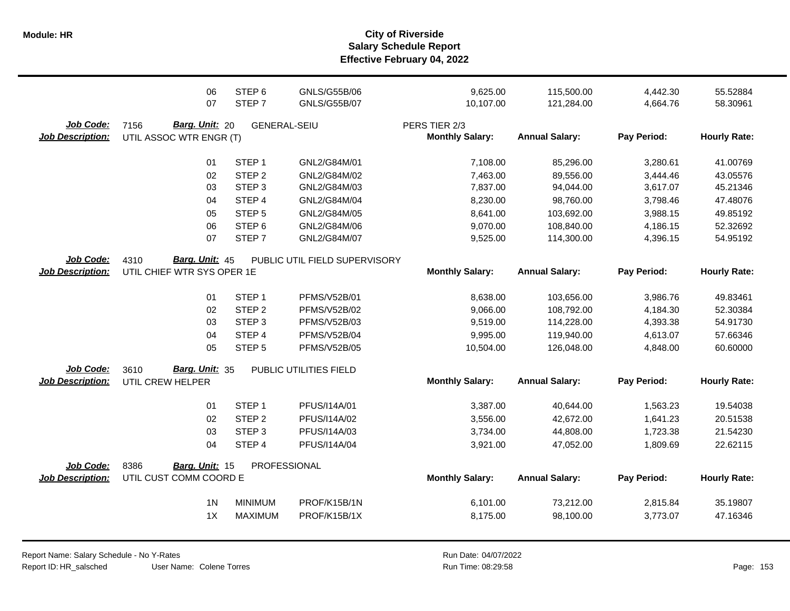|                                      | 06<br>07                                          | STEP <sub>6</sub><br>STEP <sub>7</sub> | GNLS/G55B/06<br><b>GNLS/G55B/07</b> | 9,625.00<br>10,107.00                   | 115,500.00<br>121,284.00 | 4,442.30<br>4,664.76 | 55.52884<br>58.30961 |
|--------------------------------------|---------------------------------------------------|----------------------------------------|-------------------------------------|-----------------------------------------|--------------------------|----------------------|----------------------|
| Job Code:<br><b>Job Description:</b> | 7156<br>Barg. Unit: 20<br>UTIL ASSOC WTR ENGR (T) | <b>GENERAL-SEIU</b>                    |                                     | PERS TIER 2/3<br><b>Monthly Salary:</b> | <b>Annual Salary:</b>    | Pay Period:          | <b>Hourly Rate:</b>  |
|                                      | 01                                                | STEP <sub>1</sub>                      | GNL2/G84M/01                        | 7,108.00                                | 85,296.00                | 3,280.61             | 41.00769             |
|                                      | 02                                                | STEP <sub>2</sub>                      | GNL2/G84M/02                        | 7,463.00                                | 89,556.00                | 3,444.46             | 43.05576             |
|                                      | 03                                                | STEP <sub>3</sub>                      | GNL2/G84M/03                        | 7,837.00                                | 94,044.00                | 3,617.07             | 45.21346             |
|                                      | 04                                                | STEP 4                                 | GNL2/G84M/04                        | 8,230.00                                | 98,760.00                | 3,798.46             | 47.48076             |
|                                      | 05                                                | STEP <sub>5</sub>                      | GNL2/G84M/05                        | 8,641.00                                | 103,692.00               | 3,988.15             | 49.85192             |
|                                      | 06                                                | STEP <sub>6</sub>                      | GNL2/G84M/06                        | 9,070.00                                | 108,840.00               | 4,186.15             | 52.32692             |
|                                      | 07                                                | STEP <sub>7</sub>                      | GNL2/G84M/07                        | 9,525.00                                | 114,300.00               | 4,396.15             | 54.95192             |
| Job Code:                            | 4310<br>Barg. Unit: 45                            |                                        | PUBLIC UTIL FIELD SUPERVISORY       |                                         |                          |                      |                      |
| <b>Job Description:</b>              | UTIL CHIEF WTR SYS OPER 1E                        |                                        |                                     | <b>Monthly Salary:</b>                  | <b>Annual Salary:</b>    | Pay Period:          | <b>Hourly Rate:</b>  |
|                                      | 01                                                | STEP <sub>1</sub>                      | <b>PFMS/V52B/01</b>                 | 8,638.00                                | 103,656.00               | 3,986.76             | 49.83461             |
|                                      | 02                                                | STEP <sub>2</sub>                      | <b>PFMS/V52B/02</b>                 | 9,066.00                                | 108,792.00               | 4,184.30             | 52.30384             |
|                                      | 03                                                | STEP <sub>3</sub>                      | <b>PFMS/V52B/03</b>                 | 9,519.00                                | 114,228.00               | 4,393.38             | 54.91730             |
|                                      | 04                                                | STEP 4                                 | <b>PFMS/V52B/04</b>                 | 9,995.00                                | 119,940.00               | 4,613.07             | 57.66346             |
|                                      | 05                                                | STEP <sub>5</sub>                      | <b>PFMS/V52B/05</b>                 | 10,504.00                               | 126,048.00               | 4,848.00             | 60.60000             |
| Job Code:                            | Barg. Unit: 35<br>3610                            |                                        | PUBLIC UTILITIES FIELD              |                                         |                          |                      |                      |
| <b>Job Description:</b>              | UTIL CREW HELPER                                  |                                        |                                     | <b>Monthly Salary:</b>                  | <b>Annual Salary:</b>    | Pay Period:          | <b>Hourly Rate:</b>  |
|                                      | 01                                                | STEP <sub>1</sub>                      | PFUS/I14A/01                        | 3,387.00                                | 40,644.00                | 1,563.23             | 19.54038             |
|                                      | 02                                                | STEP <sub>2</sub>                      | PFUS/I14A/02                        | 3,556.00                                | 42,672.00                | 1,641.23             | 20.51538             |
|                                      | 03                                                | STEP <sub>3</sub>                      | PFUS/I14A/03                        | 3,734.00                                | 44,808.00                | 1,723.38             | 21.54230             |
|                                      | 04                                                | STEP 4                                 | PFUS/I14A/04                        | 3,921.00                                | 47,052.00                | 1,809.69             | 22.62115             |
| Job Code:                            | 8386<br><b>Barg. Unit: 15</b>                     |                                        | PROFESSIONAL                        |                                         |                          |                      |                      |
| <b>Job Description:</b>              | UTIL CUST COMM COORD E                            |                                        |                                     | <b>Monthly Salary:</b>                  | <b>Annual Salary:</b>    | Pay Period:          | <b>Hourly Rate:</b>  |
|                                      | 1 <sub>N</sub>                                    | <b>MINIMUM</b>                         | PROF/K15B/1N                        | 6,101.00                                | 73,212.00                | 2,815.84             | 35.19807             |
|                                      | 1X                                                | <b>MAXIMUM</b>                         | PROF/K15B/1X                        | 8,175.00                                | 98,100.00                | 3,773.07             | 47.16346             |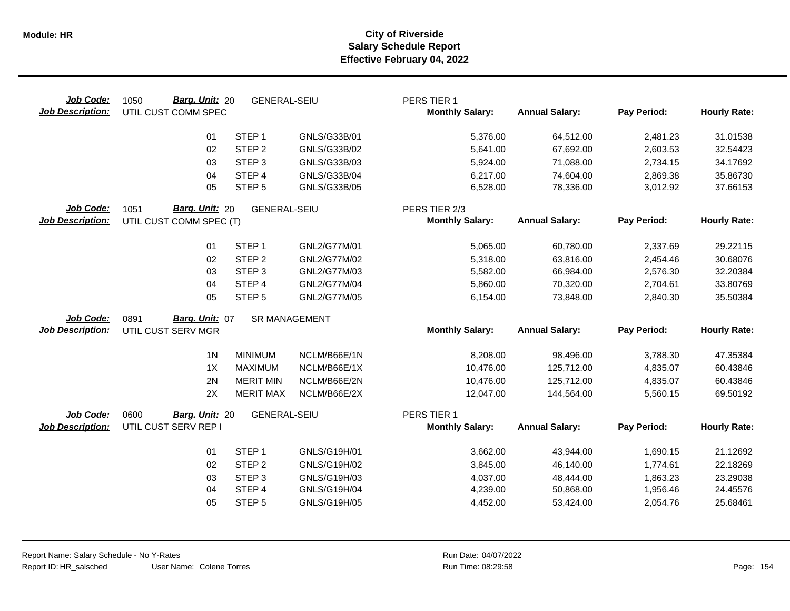| Job Code:<br><b>Job Description:</b> | Barg. Unit: 20<br>1050<br>UTIL CUST COMM SPEC | <b>GENERAL-SEIU</b> |                      | PERS TIER 1<br><b>Monthly Salary:</b> | <b>Annual Salary:</b> | Pay Period: | <b>Hourly Rate:</b> |
|--------------------------------------|-----------------------------------------------|---------------------|----------------------|---------------------------------------|-----------------------|-------------|---------------------|
|                                      | 01                                            | STEP <sub>1</sub>   | GNLS/G33B/01         | 5,376.00                              | 64,512.00             | 2,481.23    | 31.01538            |
|                                      | 02                                            | STEP <sub>2</sub>   | GNLS/G33B/02         | 5,641.00                              | 67,692.00             | 2,603.53    | 32.54423            |
|                                      | 03                                            | STEP <sub>3</sub>   | GNLS/G33B/03         | 5,924.00                              | 71,088.00             | 2,734.15    | 34.17692            |
|                                      | 04                                            | STEP 4              | GNLS/G33B/04         | 6,217.00                              | 74,604.00             | 2,869.38    | 35.86730            |
|                                      | 05                                            | STEP <sub>5</sub>   | GNLS/G33B/05         | 6,528.00                              | 78,336.00             | 3,012.92    | 37.66153            |
| Job Code:                            | Barg. Unit: 20<br>1051                        | <b>GENERAL-SEIU</b> |                      | PERS TIER 2/3                         |                       |             |                     |
| <b>Job Description:</b>              | UTIL CUST COMM SPEC (T)                       |                     |                      | <b>Monthly Salary:</b>                | <b>Annual Salary:</b> | Pay Period: | <b>Hourly Rate:</b> |
|                                      | 01                                            | STEP <sub>1</sub>   | GNL2/G77M/01         | 5,065.00                              | 60,780.00             | 2,337.69    | 29.22115            |
|                                      | 02                                            | STEP <sub>2</sub>   | GNL2/G77M/02         | 5,318.00                              | 63,816.00             | 2,454.46    | 30.68076            |
|                                      | 03                                            | STEP <sub>3</sub>   | GNL2/G77M/03         | 5,582.00                              | 66,984.00             | 2,576.30    | 32.20384            |
|                                      | 04                                            | STEP <sub>4</sub>   | GNL2/G77M/04         | 5,860.00                              | 70,320.00             | 2,704.61    | 33.80769            |
|                                      | 05                                            | STEP <sub>5</sub>   | GNL2/G77M/05         | 6,154.00                              | 73,848.00             | 2,840.30    | 35.50384            |
| Job Code:                            | Barg. Unit: 07<br>0891                        |                     | <b>SR MANAGEMENT</b> |                                       |                       |             |                     |
| <b>Job Description:</b>              | UTIL CUST SERV MGR                            |                     |                      | <b>Monthly Salary:</b>                | <b>Annual Salary:</b> | Pay Period: | <b>Hourly Rate:</b> |
|                                      | 1 <sub>N</sub>                                | <b>MINIMUM</b>      | NCLM/B66E/1N         | 8,208.00                              | 98,496.00             | 3,788.30    | 47.35384            |
|                                      | 1X                                            | <b>MAXIMUM</b>      | NCLM/B66E/1X         | 10,476.00                             | 125,712.00            | 4,835.07    | 60.43846            |
|                                      | 2N                                            | <b>MERIT MIN</b>    | NCLM/B66E/2N         | 10,476.00                             | 125,712.00            | 4,835.07    | 60.43846            |
|                                      | 2X                                            | <b>MERIT MAX</b>    | NCLM/B66E/2X         | 12,047.00                             | 144,564.00            | 5,560.15    | 69.50192            |
| Job Code:                            | 0600<br>Barg. Unit: 20                        | <b>GENERAL-SEIU</b> |                      | PERS TIER 1                           |                       |             |                     |
| <b>Job Description:</b>              | UTIL CUST SERV REP I                          |                     |                      | <b>Monthly Salary:</b>                | <b>Annual Salary:</b> | Pay Period: | <b>Hourly Rate:</b> |
|                                      | 01                                            | STEP <sub>1</sub>   | GNLS/G19H/01         | 3,662.00                              | 43,944.00             | 1,690.15    | 21.12692            |
|                                      | 02                                            | STEP <sub>2</sub>   | GNLS/G19H/02         | 3,845.00                              | 46,140.00             | 1,774.61    | 22.18269            |
|                                      | 03                                            | STEP <sub>3</sub>   | GNLS/G19H/03         | 4,037.00                              | 48,444.00             | 1,863.23    | 23.29038            |
|                                      | 04                                            | STEP 4              | GNLS/G19H/04         | 4,239.00                              | 50,868.00             | 1,956.46    | 24.45576            |
|                                      | 05                                            | STEP <sub>5</sub>   | GNLS/G19H/05         | 4,452.00                              | 53,424.00             | 2,054.76    | 25.68461            |
|                                      |                                               |                     |                      |                                       |                       |             |                     |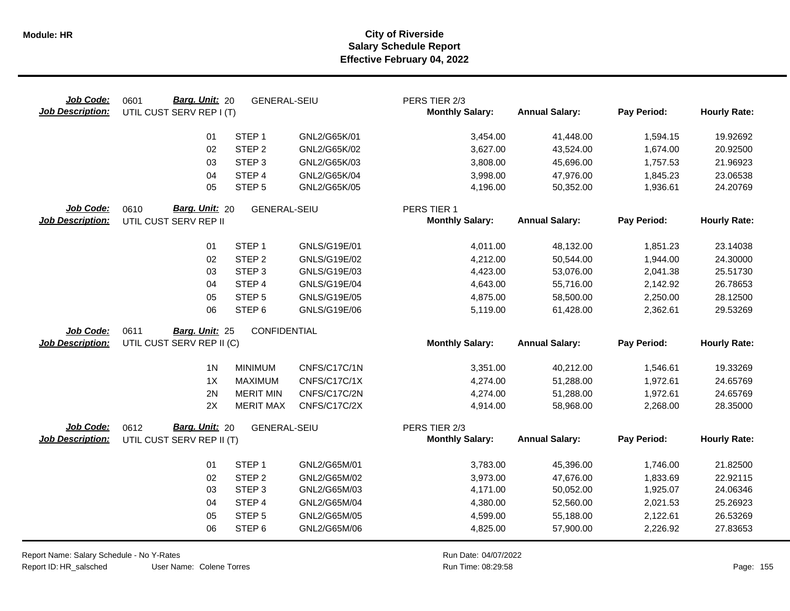| Job Code:<br><b>Job Description:</b> | Barg. Unit: 20<br>0601<br>UTIL CUST SERV REP I (T) | <b>GENERAL-SEIU</b> |              | PERS TIER 2/3<br><b>Monthly Salary:</b> | <b>Annual Salary:</b> | Pay Period: | <b>Hourly Rate:</b> |
|--------------------------------------|----------------------------------------------------|---------------------|--------------|-----------------------------------------|-----------------------|-------------|---------------------|
|                                      | 01                                                 | STEP <sub>1</sub>   | GNL2/G65K/01 | 3,454.00                                | 41,448.00             | 1,594.15    | 19.92692            |
|                                      | 02                                                 | STEP <sub>2</sub>   | GNL2/G65K/02 | 3,627.00                                | 43,524.00             | 1,674.00    | 20.92500            |
|                                      | 03                                                 | STEP <sub>3</sub>   | GNL2/G65K/03 | 3,808.00                                | 45,696.00             | 1,757.53    | 21.96923            |
|                                      | 04                                                 | STEP 4              | GNL2/G65K/04 | 3,998.00                                | 47,976.00             | 1,845.23    | 23.06538            |
|                                      | 05                                                 | STEP <sub>5</sub>   | GNL2/G65K/05 | 4,196.00                                | 50,352.00             | 1,936.61    | 24.20769            |
| Job Code:                            | Barg. Unit: 20<br>0610                             | <b>GENERAL-SEIU</b> |              | PERS TIER 1                             |                       |             |                     |
| <b>Job Description:</b>              | UTIL CUST SERV REP II                              |                     |              | <b>Monthly Salary:</b>                  | <b>Annual Salary:</b> | Pay Period: | <b>Hourly Rate:</b> |
|                                      | 01                                                 | STEP <sub>1</sub>   | GNLS/G19E/01 | 4,011.00                                | 48,132.00             | 1,851.23    | 23.14038            |
|                                      | 02                                                 | STEP <sub>2</sub>   | GNLS/G19E/02 | 4,212.00                                | 50,544.00             | 1,944.00    | 24.30000            |
|                                      | 03                                                 | STEP <sub>3</sub>   | GNLS/G19E/03 | 4,423.00                                | 53,076.00             | 2,041.38    | 25.51730            |
|                                      | 04                                                 | STEP 4              | GNLS/G19E/04 | 4,643.00                                | 55,716.00             | 2,142.92    | 26.78653            |
|                                      | 05                                                 | STEP <sub>5</sub>   | GNLS/G19E/05 | 4,875.00                                | 58,500.00             | 2,250.00    | 28.12500            |
|                                      | 06                                                 | STEP <sub>6</sub>   | GNLS/G19E/06 | 5,119.00                                | 61,428.00             | 2,362.61    | 29.53269            |
| Job Code:                            | 0611<br>Barg. Unit: 25                             | CONFIDENTIAL        |              |                                         |                       |             |                     |
| <b>Job Description:</b>              | UTIL CUST SERV REP II (C)                          |                     |              | <b>Monthly Salary:</b>                  | <b>Annual Salary:</b> | Pay Period: | <b>Hourly Rate:</b> |
|                                      | 1 <sub>N</sub>                                     | <b>MINIMUM</b>      | CNFS/C17C/1N | 3,351.00                                | 40,212.00             | 1,546.61    | 19.33269            |
|                                      | 1X                                                 | <b>MAXIMUM</b>      | CNFS/C17C/1X | 4,274.00                                | 51,288.00             | 1,972.61    | 24.65769            |
|                                      | 2N                                                 | <b>MERIT MIN</b>    | CNFS/C17C/2N | 4,274.00                                | 51,288.00             | 1,972.61    | 24.65769            |
|                                      | 2X                                                 | <b>MERIT MAX</b>    | CNFS/C17C/2X | 4,914.00                                | 58,968.00             | 2,268.00    | 28.35000            |
| Job Code:                            | 0612<br>Barg. Unit: 20                             | <b>GENERAL-SEIU</b> |              | PERS TIER 2/3                           |                       |             |                     |
| <b>Job Description:</b>              | UTIL CUST SERV REP II (T)                          |                     |              | <b>Monthly Salary:</b>                  | <b>Annual Salary:</b> | Pay Period: | <b>Hourly Rate:</b> |
|                                      | 01                                                 | STEP <sub>1</sub>   | GNL2/G65M/01 | 3,783.00                                | 45,396.00             | 1,746.00    | 21.82500            |
|                                      | 02                                                 | STEP <sub>2</sub>   | GNL2/G65M/02 | 3,973.00                                | 47,676.00             | 1,833.69    | 22.92115            |
|                                      | 03                                                 | STEP <sub>3</sub>   | GNL2/G65M/03 | 4,171.00                                | 50,052.00             | 1,925.07    | 24.06346            |
|                                      | 04                                                 | STEP 4              | GNL2/G65M/04 | 4,380.00                                | 52,560.00             | 2,021.53    | 25.26923            |
|                                      | 05                                                 | STEP <sub>5</sub>   | GNL2/G65M/05 | 4,599.00                                | 55,188.00             | 2,122.61    | 26.53269            |
|                                      | 06                                                 | STEP <sub>6</sub>   | GNL2/G65M/06 | 4,825.00                                | 57,900.00             | 2,226.92    | 27.83653            |

Report Name: Salary Schedule - No Y-Rates Report ID: HR\_salsched

User Name: Colene Torres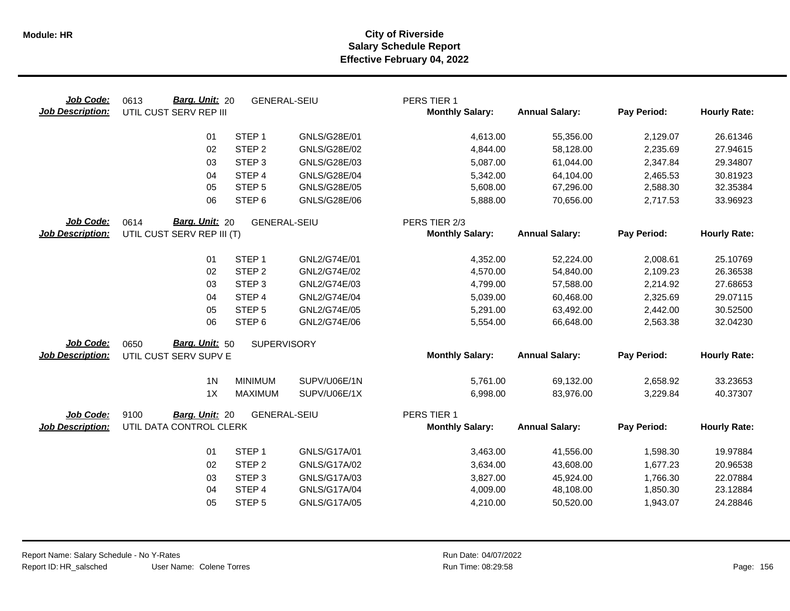| Job Code:<br><b>Job Description:</b> | Barg. Unit: 20<br>0613<br>UTIL CUST SERV REP III     | <b>GENERAL-SEIU</b> |                     | PERS TIER 1<br><b>Monthly Salary:</b>   | <b>Annual Salary:</b> | Pay Period: | <b>Hourly Rate:</b> |
|--------------------------------------|------------------------------------------------------|---------------------|---------------------|-----------------------------------------|-----------------------|-------------|---------------------|
|                                      | 01                                                   | STEP <sub>1</sub>   | GNLS/G28E/01        | 4,613.00                                | 55,356.00             | 2,129.07    | 26.61346            |
|                                      | 02                                                   | STEP <sub>2</sub>   | GNLS/G28E/02        | 4,844.00                                | 58,128.00             | 2,235.69    | 27.94615            |
|                                      | 03                                                   | STEP <sub>3</sub>   | GNLS/G28E/03        | 5,087.00                                | 61,044.00             | 2,347.84    | 29.34807            |
|                                      | 04                                                   | STEP 4              | <b>GNLS/G28E/04</b> | 5,342.00                                | 64,104.00             | 2,465.53    | 30.81923            |
|                                      | 05                                                   | STEP <sub>5</sub>   | GNLS/G28E/05        | 5,608.00                                | 67,296.00             | 2,588.30    | 32.35384            |
|                                      | 06                                                   | STEP <sub>6</sub>   | GNLS/G28E/06        | 5,888.00                                | 70,656.00             | 2,717.53    | 33.96923            |
| Job Code:<br><b>Job Description:</b> | Barg. Unit: 20<br>0614<br>UTIL CUST SERV REP III (T) | <b>GENERAL-SEIU</b> |                     | PERS TIER 2/3<br><b>Monthly Salary:</b> | <b>Annual Salary:</b> | Pay Period: | <b>Hourly Rate:</b> |
|                                      | 01                                                   | STEP <sub>1</sub>   | GNL2/G74E/01        | 4,352.00                                | 52,224.00             | 2,008.61    | 25.10769            |
|                                      | 02                                                   | STEP <sub>2</sub>   | GNL2/G74E/02        | 4,570.00                                | 54,840.00             | 2,109.23    | 26.36538            |
|                                      | 03                                                   | STEP <sub>3</sub>   | GNL2/G74E/03        | 4,799.00                                | 57,588.00             | 2,214.92    | 27.68653            |
|                                      | 04                                                   | STEP 4              | GNL2/G74E/04        | 5,039.00                                | 60,468.00             | 2,325.69    | 29.07115            |
|                                      | 05                                                   | STEP <sub>5</sub>   | GNL2/G74E/05        | 5,291.00                                | 63,492.00             | 2,442.00    | 30.52500            |
|                                      | 06                                                   | STEP <sub>6</sub>   | GNL2/G74E/06        | 5,554.00                                | 66,648.00             | 2,563.38    | 32.04230            |
| Job Code:                            | 0650<br>Barg. Unit: 50                               | <b>SUPERVISORY</b>  |                     |                                         |                       |             |                     |
| <b>Job Description:</b>              | UTIL CUST SERV SUPV E                                |                     |                     | <b>Monthly Salary:</b>                  | <b>Annual Salary:</b> | Pay Period: | <b>Hourly Rate:</b> |
|                                      | 1 <sub>N</sub>                                       | <b>MINIMUM</b>      | SUPV/U06E/1N        | 5,761.00                                | 69,132.00             | 2,658.92    | 33.23653            |
|                                      | 1X                                                   | <b>MAXIMUM</b>      | SUPV/U06E/1X        | 6,998.00                                | 83,976.00             | 3,229.84    | 40.37307            |
| Job Code:                            | 9100<br>Barg. Unit: 20                               | <b>GENERAL-SEIU</b> |                     | PERS TIER 1                             |                       |             |                     |
| <b>Job Description:</b>              | UTIL DATA CONTROL CLERK                              |                     |                     | <b>Monthly Salary:</b>                  | <b>Annual Salary:</b> | Pay Period: | <b>Hourly Rate:</b> |
|                                      | 01                                                   | STEP <sub>1</sub>   | GNLS/G17A/01        | 3,463.00                                | 41,556.00             | 1,598.30    | 19.97884            |
|                                      | 02                                                   | STEP <sub>2</sub>   | GNLS/G17A/02        | 3,634.00                                | 43,608.00             | 1,677.23    | 20.96538            |
|                                      | 03                                                   | STEP <sub>3</sub>   | GNLS/G17A/03        | 3,827.00                                | 45,924.00             | 1,766.30    | 22.07884            |
|                                      | 04                                                   | STEP 4              | <b>GNLS/G17A/04</b> | 4,009.00                                | 48,108.00             | 1,850.30    | 23.12884            |
|                                      | 05                                                   | STEP <sub>5</sub>   | GNLS/G17A/05        | 4,210.00                                | 50,520.00             | 1,943.07    | 24.28846            |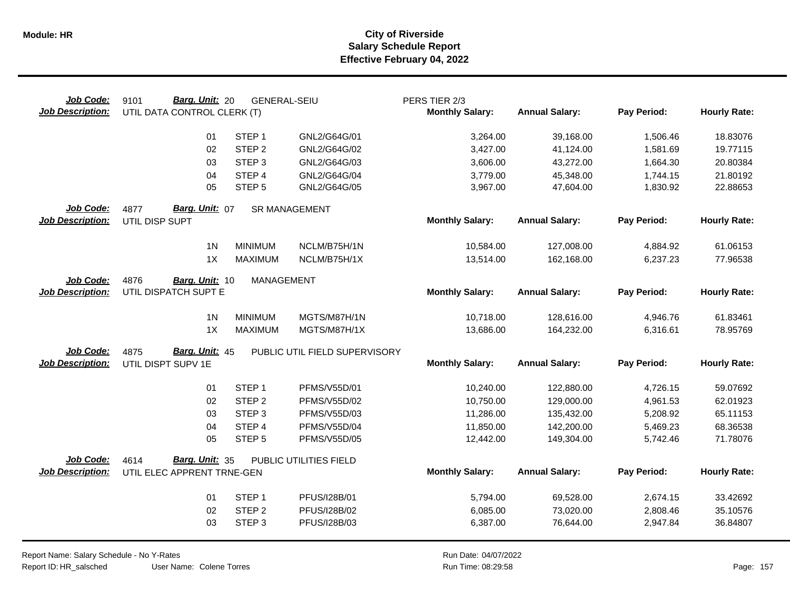| Job Code:<br><b>Job Description:</b> | Barg. Unit: 20<br>9101<br>UTIL DATA CONTROL CLERK (T) | <b>GENERAL-SEIU</b> |                               | PERS TIER 2/3<br><b>Monthly Salary:</b> | <b>Annual Salary:</b> | Pay Period: | <b>Hourly Rate:</b> |
|--------------------------------------|-------------------------------------------------------|---------------------|-------------------------------|-----------------------------------------|-----------------------|-------------|---------------------|
|                                      | 01                                                    | STEP <sub>1</sub>   | GNL2/G64G/01                  | 3,264.00                                | 39,168.00             | 1,506.46    | 18.83076            |
|                                      | 02                                                    | STEP <sub>2</sub>   | GNL2/G64G/02                  | 3,427.00                                | 41,124.00             | 1,581.69    | 19.77115            |
|                                      | 03                                                    | STEP <sub>3</sub>   | GNL2/G64G/03                  | 3,606.00                                | 43,272.00             | 1,664.30    | 20.80384            |
|                                      | 04                                                    | STEP 4              | GNL2/G64G/04                  | 3,779.00                                | 45,348.00             | 1,744.15    | 21.80192            |
|                                      | 05                                                    | STEP <sub>5</sub>   | GNL2/G64G/05                  | 3,967.00                                | 47,604.00             | 1,830.92    | 22.88653            |
| Job Code:                            | Barg. Unit: 07<br>4877                                |                     | <b>SR MANAGEMENT</b>          |                                         |                       |             |                     |
| <b>Job Description:</b>              | UTIL DISP SUPT                                        |                     |                               | <b>Monthly Salary:</b>                  | <b>Annual Salary:</b> | Pay Period: | <b>Hourly Rate:</b> |
|                                      | 1 <sub>N</sub>                                        | <b>MINIMUM</b>      | NCLM/B75H/1N                  | 10,584.00                               | 127,008.00            | 4,884.92    | 61.06153            |
|                                      | 1X                                                    | <b>MAXIMUM</b>      | NCLM/B75H/1X                  | 13,514.00                               | 162,168.00            | 6,237.23    | 77.96538            |
| Job Code:                            | 4876<br>Barg. Unit: 10                                | MANAGEMENT          |                               |                                         |                       |             |                     |
| <b>Job Description:</b>              | UTIL DISPATCH SUPT E                                  |                     |                               | <b>Monthly Salary:</b>                  | <b>Annual Salary:</b> | Pay Period: | <b>Hourly Rate:</b> |
|                                      | 1 <sub>N</sub>                                        | <b>MINIMUM</b>      | MGTS/M87H/1N                  | 10,718.00                               | 128,616.00            | 4,946.76    | 61.83461            |
|                                      | 1X                                                    | <b>MAXIMUM</b>      | MGTS/M87H/1X                  | 13,686.00                               | 164,232.00            | 6,316.61    | 78.95769            |
| Job Code:                            | Barg. Unit: 45<br>4875                                |                     | PUBLIC UTIL FIELD SUPERVISORY |                                         |                       |             |                     |
| <b>Job Description:</b>              | UTIL DISPT SUPV 1E                                    |                     |                               | <b>Monthly Salary:</b>                  | <b>Annual Salary:</b> | Pay Period: | <b>Hourly Rate:</b> |
|                                      | 01                                                    | STEP <sub>1</sub>   | PFMS/V55D/01                  | 10,240.00                               | 122,880.00            | 4,726.15    | 59.07692            |
|                                      | 02                                                    | STEP <sub>2</sub>   | PFMS/V55D/02                  | 10,750.00                               | 129,000.00            | 4,961.53    | 62.01923            |
|                                      | 03                                                    | STEP <sub>3</sub>   | PFMS/V55D/03                  | 11,286.00                               | 135,432.00            | 5,208.92    | 65.11153            |
|                                      | 04                                                    | STEP 4              | <b>PFMS/V55D/04</b>           | 11,850.00                               | 142,200.00            | 5,469.23    | 68.36538            |
|                                      | 05                                                    | STEP <sub>5</sub>   | PFMS/V55D/05                  | 12,442.00                               | 149,304.00            | 5,742.46    | 71.78076            |
| Job Code:                            | Barg. Unit: 35<br>4614                                |                     | PUBLIC UTILITIES FIELD        |                                         |                       |             |                     |
| <b>Job Description:</b>              | UTIL ELEC APPRENT TRNE-GEN                            |                     |                               | <b>Monthly Salary:</b>                  | <b>Annual Salary:</b> | Pay Period: | <b>Hourly Rate:</b> |
|                                      | 01                                                    | STEP <sub>1</sub>   | PFUS/I28B/01                  | 5,794.00                                | 69,528.00             | 2,674.15    | 33.42692            |
|                                      | 02                                                    | STEP <sub>2</sub>   | PFUS/I28B/02                  | 6,085.00                                | 73,020.00             | 2,808.46    | 35.10576            |
|                                      | 03                                                    | STEP <sub>3</sub>   | PFUS/I28B/03                  | 6,387.00                                | 76,644.00             | 2,947.84    | 36.84807            |
|                                      |                                                       |                     |                               |                                         |                       |             |                     |

User Name: Colene Torres Report Name: Salary Schedule - No Y-Rates Report ID: HR\_salsched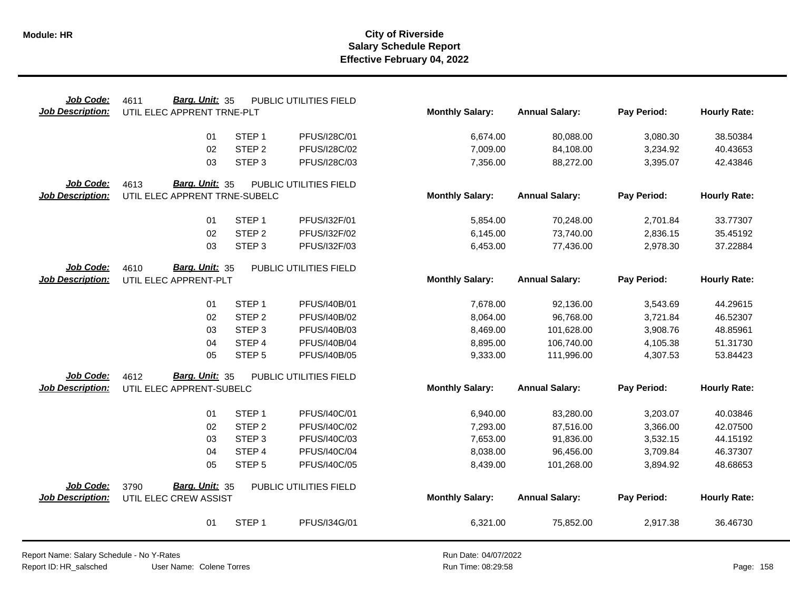| Job Code:               | Barg. Unit: 35<br>4611        |                   | PUBLIC UTILITIES FIELD |                        |                       |             |                     |
|-------------------------|-------------------------------|-------------------|------------------------|------------------------|-----------------------|-------------|---------------------|
| <b>Job Description:</b> | UTIL ELEC APPRENT TRNE-PLT    |                   |                        | <b>Monthly Salary:</b> | <b>Annual Salary:</b> | Pay Period: | <b>Hourly Rate:</b> |
|                         | 01                            | STEP <sub>1</sub> | PFUS/I28C/01           | 6,674.00               | 80,088.00             | 3,080.30    | 38.50384            |
|                         | 02                            | STEP <sub>2</sub> | PFUS/I28C/02           | 7,009.00               | 84,108.00             | 3,234.92    | 40.43653            |
|                         | 03                            | STEP <sub>3</sub> | PFUS/I28C/03           | 7,356.00               | 88,272.00             | 3,395.07    | 42.43846            |
| Job Code:               | Barg. Unit: 35<br>4613        |                   | PUBLIC UTILITIES FIELD |                        |                       |             |                     |
| <b>Job Description:</b> | UTIL ELEC APPRENT TRNE-SUBELC |                   |                        | <b>Monthly Salary:</b> | <b>Annual Salary:</b> | Pay Period: | <b>Hourly Rate:</b> |
|                         | 01                            | STEP <sub>1</sub> | PFUS/I32F/01           | 5,854.00               | 70,248.00             | 2,701.84    | 33.77307            |
|                         | 02                            | STEP <sub>2</sub> | PFUS/I32F/02           | 6,145.00               | 73,740.00             | 2,836.15    | 35.45192            |
|                         | 03                            | STEP <sub>3</sub> | PFUS/I32F/03           | 6,453.00               | 77,436.00             | 2,978.30    | 37.22884            |
| Job Code:               | Barg. Unit: 35<br>4610        |                   | PUBLIC UTILITIES FIELD |                        |                       |             |                     |
| <b>Job Description:</b> | UTIL ELEC APPRENT-PLT         |                   |                        | <b>Monthly Salary:</b> | <b>Annual Salary:</b> | Pay Period: | <b>Hourly Rate:</b> |
|                         | 01                            | STEP <sub>1</sub> | PFUS/I40B/01           | 7,678.00               | 92,136.00             | 3,543.69    | 44.29615            |
|                         | 02                            | STEP <sub>2</sub> | PFUS/I40B/02           | 8,064.00               | 96,768.00             | 3,721.84    | 46.52307            |
|                         | 03                            | STEP <sub>3</sub> | PFUS/I40B/03           | 8,469.00               | 101,628.00            | 3,908.76    | 48.85961            |
|                         | 04                            | STEP 4            | PFUS/I40B/04           | 8,895.00               | 106,740.00            | 4,105.38    | 51.31730            |
|                         | 05                            | STEP <sub>5</sub> | <b>PFUS/I40B/05</b>    | 9,333.00               | 111,996.00            | 4,307.53    | 53.84423            |
| Job Code:               | 4612<br>Barg. Unit: 35        |                   | PUBLIC UTILITIES FIELD |                        |                       |             |                     |
| <b>Job Description:</b> | UTIL ELEC APPRENT-SUBELC      |                   |                        | <b>Monthly Salary:</b> | <b>Annual Salary:</b> | Pay Period: | <b>Hourly Rate:</b> |
|                         | 01                            | STEP <sub>1</sub> | PFUS/I40C/01           | 6,940.00               | 83,280.00             | 3,203.07    | 40.03846            |
|                         | 02                            | STEP <sub>2</sub> | PFUS/I40C/02           | 7,293.00               | 87,516.00             | 3,366.00    | 42.07500            |
|                         | 03                            | STEP <sub>3</sub> | PFUS/I40C/03           | 7,653.00               | 91,836.00             | 3,532.15    | 44.15192            |
|                         | 04                            | STEP 4            | PFUS/I40C/04           | 8,038.00               | 96,456.00             | 3,709.84    | 46.37307            |
|                         | 05                            | STEP <sub>5</sub> | PFUS/I40C/05           | 8,439.00               | 101,268.00            | 3,894.92    | 48.68653            |
| Job Code:               | Barg. Unit: 35<br>3790        |                   | PUBLIC UTILITIES FIELD |                        |                       |             |                     |
| <b>Job Description:</b> | UTIL ELEC CREW ASSIST         |                   |                        | <b>Monthly Salary:</b> | <b>Annual Salary:</b> | Pay Period: | <b>Hourly Rate:</b> |
|                         | 01                            | STEP <sub>1</sub> | PFUS/I34G/01           | 6,321.00               | 75,852.00             | 2,917.38    | 36.46730            |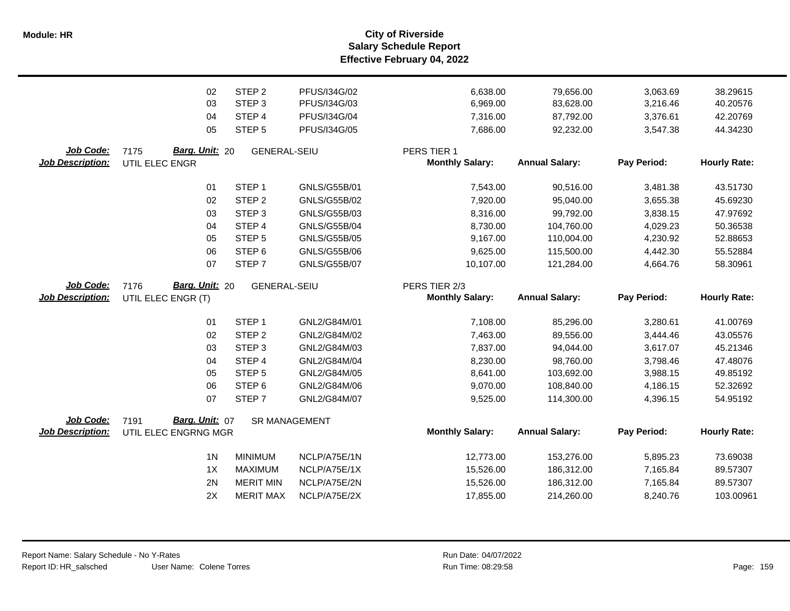**Salary Schedule Report Effective February 04, 2022 Module: HR City of Riverside**

|                         | 02                     | STEP <sub>2</sub>    | PFUS/I34G/02        | 6,638.00               | 79,656.00             | 3,063.69    | 38.29615            |
|-------------------------|------------------------|----------------------|---------------------|------------------------|-----------------------|-------------|---------------------|
|                         | 03                     | STEP <sub>3</sub>    | PFUS/I34G/03        | 6,969.00               | 83,628.00             | 3,216.46    | 40.20576            |
|                         | 04                     | STEP 4               | PFUS/I34G/04        | 7,316.00               | 87,792.00             | 3,376.61    | 42.20769            |
|                         | 05                     | STEP <sub>5</sub>    | PFUS/I34G/05        | 7,686.00               | 92,232.00             | 3,547.38    | 44.34230            |
| Job Code:               | Barg. Unit: 20<br>7175 | <b>GENERAL-SEIU</b>  |                     | PERS TIER 1            |                       |             |                     |
| <b>Job Description:</b> | UTIL ELEC ENGR         |                      |                     | <b>Monthly Salary:</b> | <b>Annual Salary:</b> | Pay Period: | <b>Hourly Rate:</b> |
|                         | 01                     | STEP <sub>1</sub>    | GNLS/G55B/01        | 7,543.00               | 90,516.00             | 3,481.38    | 43.51730            |
|                         | 02                     | STEP <sub>2</sub>    | GNLS/G55B/02        | 7,920.00               | 95,040.00             | 3,655.38    | 45.69230            |
|                         | 03                     | STEP <sub>3</sub>    | GNLS/G55B/03        | 8,316.00               | 99,792.00             | 3,838.15    | 47.97692            |
|                         | 04                     | STEP 4               | <b>GNLS/G55B/04</b> | 8,730.00               | 104,760.00            | 4,029.23    | 50.36538            |
|                         | 05                     | STEP <sub>5</sub>    | GNLS/G55B/05        | 9,167.00               | 110,004.00            | 4,230.92    | 52.88653            |
|                         | 06                     | STEP <sub>6</sub>    | GNLS/G55B/06        | 9,625.00               | 115,500.00            | 4,442.30    | 55.52884            |
|                         | 07                     | STEP <sub>7</sub>    | GNLS/G55B/07        | 10,107.00              | 121,284.00            | 4,664.76    | 58.30961            |
| Job Code:               | Barg. Unit: 20<br>7176 | <b>GENERAL-SEIU</b>  |                     | PERS TIER 2/3          |                       |             |                     |
| <b>Job Description:</b> | UTIL ELEC ENGR (T)     |                      |                     | <b>Monthly Salary:</b> | <b>Annual Salary:</b> | Pay Period: | <b>Hourly Rate:</b> |
|                         | 01                     | STEP <sub>1</sub>    | GNL2/G84M/01        | 7,108.00               | 85,296.00             | 3,280.61    | 41.00769            |
|                         | 02                     | STEP <sub>2</sub>    | GNL2/G84M/02        | 7,463.00               | 89,556.00             | 3,444.46    | 43.05576            |
|                         | 03                     | STEP <sub>3</sub>    | GNL2/G84M/03        | 7,837.00               | 94,044.00             | 3,617.07    | 45.21346            |
|                         | 04                     | STEP 4               | GNL2/G84M/04        | 8,230.00               | 98,760.00             | 3,798.46    | 47.48076            |
|                         | 05                     | STEP <sub>5</sub>    | GNL2/G84M/05        | 8,641.00               | 103,692.00            | 3,988.15    | 49.85192            |
|                         | 06                     | STEP <sub>6</sub>    | GNL2/G84M/06        | 9,070.00               | 108,840.00            | 4,186.15    | 52.32692            |
|                         | 07                     | STEP <sub>7</sub>    | GNL2/G84M/07        | 9,525.00               | 114,300.00            | 4,396.15    | 54.95192            |
| Job Code:               | Barg. Unit: 07<br>7191 | <b>SR MANAGEMENT</b> |                     |                        |                       |             |                     |
| <b>Job Description:</b> | UTIL ELEC ENGRNG MGR   |                      |                     | <b>Monthly Salary:</b> | <b>Annual Salary:</b> | Pay Period: | <b>Hourly Rate:</b> |
|                         | 1 <sub>N</sub>         | <b>MINIMUM</b>       | NCLP/A75E/1N        | 12,773.00              | 153,276.00            | 5,895.23    | 73.69038            |
|                         | 1X                     | <b>MAXIMUM</b>       | NCLP/A75E/1X        | 15,526.00              | 186,312.00            | 7,165.84    | 89.57307            |
|                         | 2N                     | <b>MERIT MIN</b>     | NCLP/A75E/2N        | 15,526.00              | 186,312.00            | 7,165.84    | 89.57307            |
|                         | 2X                     | <b>MERIT MAX</b>     | NCLP/A75E/2X        | 17,855.00              | 214,260.00            | 8,240.76    | 103.00961           |
|                         |                        |                      |                     |                        |                       |             |                     |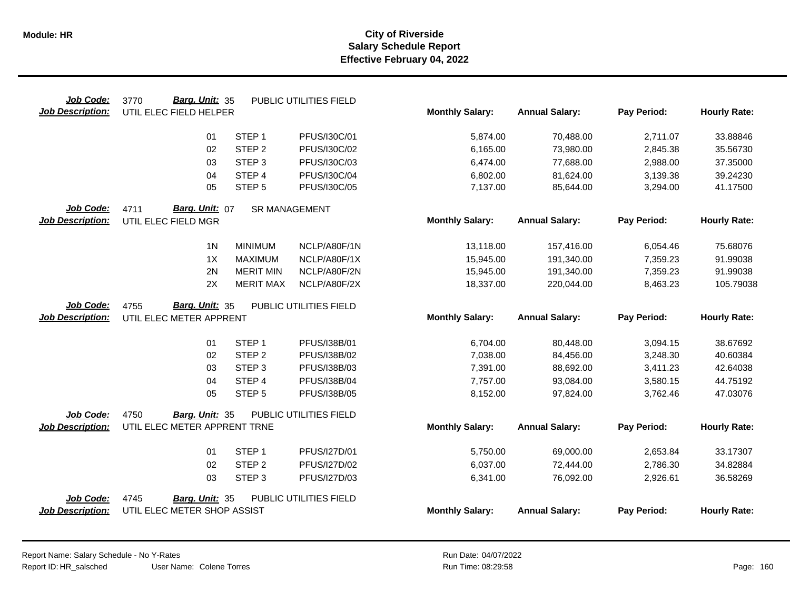| Job Code:                            | Barg. Unit: 35<br>3770                                 |                             | PUBLIC UTILITIES FIELD       |                        |                        |                      |                      |
|--------------------------------------|--------------------------------------------------------|-----------------------------|------------------------------|------------------------|------------------------|----------------------|----------------------|
| <b>Job Description:</b>              | UTIL ELEC FIELD HELPER                                 |                             |                              | <b>Monthly Salary:</b> | <b>Annual Salary:</b>  | Pay Period:          | <b>Hourly Rate:</b>  |
|                                      | 01                                                     | STEP <sub>1</sub>           | PFUS/I30C/01                 | 5,874.00               | 70,488.00              | 2,711.07             | 33.88846             |
|                                      | 02                                                     | STEP <sub>2</sub>           | PFUS/I30C/02                 |                        |                        |                      |                      |
|                                      |                                                        |                             |                              | 6,165.00               | 73,980.00              | 2,845.38             | 35.56730             |
|                                      | 03                                                     | STEP <sub>3</sub>           | PFUS/I30C/03                 | 6,474.00               | 77,688.00              | 2,988.00             | 37.35000             |
|                                      | 04                                                     | STEP 4                      | PFUS/I30C/04                 | 6,802.00               | 81,624.00              | 3,139.38             | 39.24230             |
|                                      | 05                                                     | STEP <sub>5</sub>           | PFUS/I30C/05                 | 7,137.00               | 85,644.00              | 3,294.00             | 41.17500             |
| Job Code:                            | Barg. Unit: 07<br>4711                                 | <b>SR MANAGEMENT</b>        |                              |                        |                        |                      |                      |
| <b>Job Description:</b>              | UTIL ELEC FIELD MGR                                    |                             |                              | <b>Monthly Salary:</b> | <b>Annual Salary:</b>  | Pay Period:          | <b>Hourly Rate:</b>  |
|                                      | 1 <sub>N</sub>                                         | <b>MINIMUM</b>              | NCLP/A80F/1N                 | 13,118.00              | 157,416.00             | 6,054.46             | 75.68076             |
|                                      | 1X                                                     | <b>MAXIMUM</b>              | NCLP/A80F/1X                 | 15,945.00              | 191,340.00             | 7,359.23             | 91.99038             |
|                                      | 2N                                                     | <b>MERIT MIN</b>            | NCLP/A80F/2N                 | 15,945.00              | 191,340.00             | 7,359.23             | 91.99038             |
|                                      | 2X                                                     | <b>MERIT MAX</b>            | NCLP/A80F/2X                 | 18,337.00              | 220,044.00             | 8,463.23             | 105.79038            |
| Job Code:                            | Barg. Unit: 35<br>4755                                 |                             | PUBLIC UTILITIES FIELD       |                        |                        |                      |                      |
| <b>Job Description:</b>              | UTIL ELEC METER APPRENT                                |                             |                              | <b>Monthly Salary:</b> | <b>Annual Salary:</b>  | Pay Period:          | <b>Hourly Rate:</b>  |
|                                      | 01                                                     | STEP <sub>1</sub>           | PFUS/I38B/01                 | 6,704.00               | 80,448.00              | 3,094.15             | 38.67692             |
|                                      | 02                                                     | STEP <sub>2</sub>           | PFUS/I38B/02                 | 7,038.00               | 84,456.00              | 3,248.30             | 40.60384             |
|                                      |                                                        |                             |                              |                        |                        |                      |                      |
|                                      |                                                        |                             |                              |                        |                        |                      |                      |
|                                      | 03                                                     | STEP <sub>3</sub>           | PFUS/I38B/03                 | 7,391.00               | 88,692.00              | 3,411.23             | 42.64038             |
|                                      | 04<br>05                                               | STEP 4<br>STEP <sub>5</sub> | PFUS/I38B/04<br>PFUS/I38B/05 | 7,757.00<br>8,152.00   | 93,084.00<br>97,824.00 | 3,580.15<br>3,762.46 | 44.75192<br>47.03076 |
|                                      |                                                        |                             |                              |                        |                        |                      |                      |
| Job Code:<br><b>Job Description:</b> | 4750<br>Barg. Unit: 35<br>UTIL ELEC METER APPRENT TRNE |                             | PUBLIC UTILITIES FIELD       | <b>Monthly Salary:</b> | <b>Annual Salary:</b>  | Pay Period:          | <b>Hourly Rate:</b>  |
|                                      |                                                        |                             |                              |                        |                        |                      |                      |
|                                      | 01                                                     | STEP <sub>1</sub>           | PFUS/I27D/01                 | 5,750.00               | 69,000.00              | 2,653.84             | 33.17307             |
|                                      | 02                                                     | STEP <sub>2</sub>           | PFUS/I27D/02                 | 6,037.00               | 72,444.00              | 2,786.30             | 34.82884             |
|                                      | 03                                                     | STEP <sub>3</sub>           | PFUS/I27D/03                 | 6,341.00               | 76,092.00              | 2,926.61             | 36.58269             |
| Job Code:                            | 4745<br>Barg. Unit: 35                                 |                             | PUBLIC UTILITIES FIELD       |                        |                        |                      |                      |
| <b>Job Description:</b>              | UTIL ELEC METER SHOP ASSIST                            |                             |                              | <b>Monthly Salary:</b> | <b>Annual Salary:</b>  | Pay Period:          | <b>Hourly Rate:</b>  |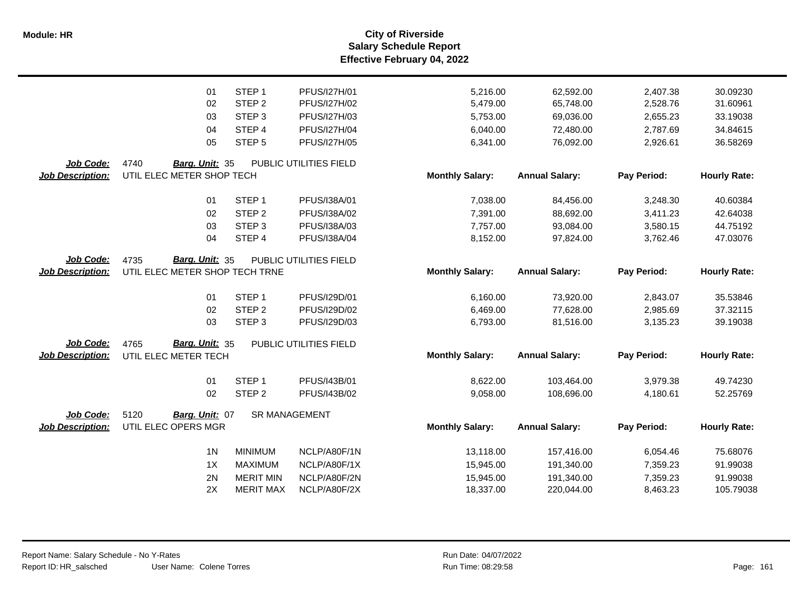**Salary Schedule Report Effective February 04, 2022 Module: HR City of Riverside**

|                         | 01                             | STEP <sub>1</sub>    | PFUS/I27H/01           | 5,216.00               | 62,592.00             | 2,407.38    | 30.09230            |
|-------------------------|--------------------------------|----------------------|------------------------|------------------------|-----------------------|-------------|---------------------|
|                         | 02                             | STEP <sub>2</sub>    | PFUS/I27H/02           | 5,479.00               | 65,748.00             | 2,528.76    | 31.60961            |
|                         | 03                             | STEP <sub>3</sub>    | PFUS/I27H/03           | 5,753.00               | 69,036.00             | 2,655.23    | 33.19038            |
|                         | 04                             | STEP 4               | PFUS/I27H/04           | 6,040.00               | 72,480.00             | 2,787.69    | 34.84615            |
|                         | 05                             | STEP <sub>5</sub>    | <b>PFUS/I27H/05</b>    | 6,341.00               | 76,092.00             | 2,926.61    | 36.58269            |
| Job Code:               | 4740<br>Barg. Unit: 35         |                      | PUBLIC UTILITIES FIELD |                        |                       |             |                     |
| <b>Job Description:</b> | UTIL ELEC METER SHOP TECH      |                      |                        | <b>Monthly Salary:</b> | <b>Annual Salary:</b> | Pay Period: | <b>Hourly Rate:</b> |
|                         | 01                             | STEP <sub>1</sub>    | PFUS/I38A/01           | 7,038.00               | 84,456.00             | 3,248.30    | 40.60384            |
|                         | 02                             | STEP <sub>2</sub>    | PFUS/I38A/02           | 7,391.00               | 88,692.00             | 3,411.23    | 42.64038            |
|                         | 03                             | STEP <sub>3</sub>    | PFUS/I38A/03           | 7,757.00               | 93,084.00             | 3,580.15    | 44.75192            |
|                         | 04                             | STEP 4               | PFUS/I38A/04           | 8,152.00               | 97,824.00             | 3,762.46    | 47.03076            |
| Job Code:               | 4735<br>Barg. Unit: 35         |                      | PUBLIC UTILITIES FIELD |                        |                       |             |                     |
| <b>Job Description:</b> | UTIL ELEC METER SHOP TECH TRNE |                      |                        | <b>Monthly Salary:</b> | <b>Annual Salary:</b> | Pay Period: | <b>Hourly Rate:</b> |
|                         | 01                             | STEP <sub>1</sub>    | PFUS/I29D/01           | 6,160.00               | 73,920.00             | 2,843.07    | 35.53846            |
|                         | 02                             | STEP <sub>2</sub>    | PFUS/I29D/02           | 6,469.00               | 77,628.00             | 2,985.69    | 37.32115            |
|                         | 03                             | STEP <sub>3</sub>    | PFUS/I29D/03           | 6,793.00               | 81,516.00             | 3,135.23    | 39.19038            |
| Job Code:               | 4765<br>Barg. Unit: 35         |                      | PUBLIC UTILITIES FIELD |                        |                       |             |                     |
| <b>Job Description:</b> | UTIL ELEC METER TECH           |                      |                        | <b>Monthly Salary:</b> | <b>Annual Salary:</b> | Pay Period: | <b>Hourly Rate:</b> |
|                         | 01                             | STEP <sub>1</sub>    | PFUS/I43B/01           | 8,622.00               | 103,464.00            | 3,979.38    | 49.74230            |
|                         | 02                             | STEP <sub>2</sub>    | PFUS/I43B/02           | 9,058.00               | 108,696.00            | 4,180.61    | 52.25769            |
| Job Code:               | 5120<br>Barg. Unit: 07         | <b>SR MANAGEMENT</b> |                        |                        |                       |             |                     |
| <b>Job Description:</b> | UTIL ELEC OPERS MGR            |                      |                        | <b>Monthly Salary:</b> | <b>Annual Salary:</b> | Pay Period: | <b>Hourly Rate:</b> |
|                         | 1 <sub>N</sub>                 | <b>MINIMUM</b>       | NCLP/A80F/1N           | 13,118.00              | 157,416.00            | 6,054.46    | 75.68076            |
|                         | 1X                             | <b>MAXIMUM</b>       | NCLP/A80F/1X           | 15,945.00              | 191,340.00            | 7,359.23    | 91.99038            |
|                         | 2N                             | <b>MERIT MIN</b>     | NCLP/A80F/2N           | 15,945.00              | 191,340.00            | 7,359.23    | 91.99038            |
|                         | 2X                             | <b>MERIT MAX</b>     | NCLP/A80F/2X           | 18,337.00              | 220,044.00            | 8,463.23    | 105.79038           |
|                         |                                |                      |                        |                        |                       |             |                     |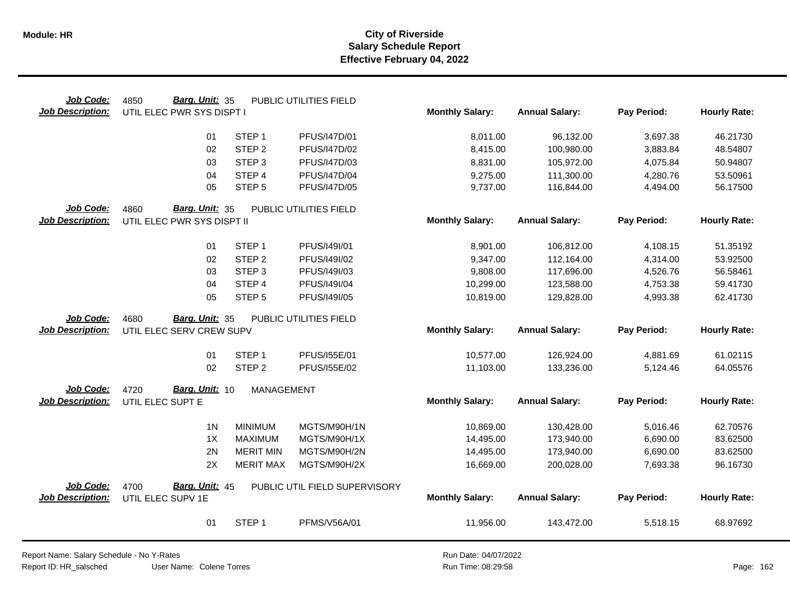| Job Code:               | Barg. Unit: 35<br>4850     |                   | PUBLIC UTILITIES FIELD        |                        |                       |             |                     |
|-------------------------|----------------------------|-------------------|-------------------------------|------------------------|-----------------------|-------------|---------------------|
| <b>Job Description:</b> | UTIL ELEC PWR SYS DISPT I  |                   |                               | <b>Monthly Salary:</b> | <b>Annual Salary:</b> | Pay Period: | <b>Hourly Rate:</b> |
|                         | 01                         | STEP <sub>1</sub> | PFUS/I47D/01                  | 8,011.00               | 96,132.00             | 3,697.38    | 46.21730            |
|                         | 02                         | STEP <sub>2</sub> | PFUS/I47D/02                  | 8,415.00               | 100,980.00            | 3,883.84    | 48.54807            |
|                         | 03                         | STEP <sub>3</sub> | PFUS/I47D/03                  | 8,831.00               | 105,972.00            | 4,075.84    | 50.94807            |
|                         | 04                         | STEP 4            | <b>PFUS/I47D/04</b>           | 9,275.00               | 111,300.00            | 4,280.76    | 53.50961            |
|                         | 05                         | STEP <sub>5</sub> | PFUS/I47D/05                  | 9,737.00               | 116,844.00            | 4,494.00    | 56.17500            |
| Job Code:               | 4860<br>Barg. Unit: 35     |                   | PUBLIC UTILITIES FIELD        |                        |                       |             |                     |
| <b>Job Description:</b> | UTIL ELEC PWR SYS DISPT II |                   |                               | <b>Monthly Salary:</b> | <b>Annual Salary:</b> | Pay Period: | <b>Hourly Rate:</b> |
|                         | 01                         | STEP <sub>1</sub> | PFUS/I49I/01                  | 8,901.00               | 106,812.00            | 4,108.15    | 51.35192            |
|                         | 02                         | STEP <sub>2</sub> | PFUS/I49I/02                  | 9,347.00               | 112,164.00            | 4,314.00    | 53.92500            |
|                         | 03                         | STEP <sub>3</sub> | PFUS/I49I/03                  | 9,808.00               | 117,696.00            | 4,526.76    | 56.58461            |
|                         | 04                         | STEP 4            | PFUS/I49I/04                  | 10,299.00              | 123,588.00            | 4,753.38    | 59.41730            |
|                         | 05                         | STEP <sub>5</sub> | PFUS/I49I/05                  | 10,819.00              | 129,828.00            | 4,993.38    | 62.41730            |
| Job Code:               | Barg. Unit: 35<br>4680     |                   | PUBLIC UTILITIES FIELD        |                        |                       |             |                     |
| <b>Job Description:</b> | UTIL ELEC SERV CREW SUPV   |                   |                               | <b>Monthly Salary:</b> | <b>Annual Salary:</b> | Pay Period: | <b>Hourly Rate:</b> |
|                         | 01                         | STEP <sub>1</sub> | PFUS/155E/01                  | 10,577.00              | 126,924.00            | 4,881.69    | 61.02115            |
|                         | 02                         | STEP <sub>2</sub> | PFUS/155E/02                  | 11,103.00              | 133,236.00            | 5,124.46    | 64.05576            |
| Job Code:               | Barg. Unit: 10<br>4720     | <b>MANAGEMENT</b> |                               |                        |                       |             |                     |
| <b>Job Description:</b> | UTIL ELEC SUPT E           |                   |                               | <b>Monthly Salary:</b> | <b>Annual Salary:</b> | Pay Period: | <b>Hourly Rate:</b> |
|                         | 1 <sub>N</sub>             | <b>MINIMUM</b>    | MGTS/M90H/1N                  | 10,869.00              | 130,428.00            | 5,016.46    | 62.70576            |
|                         | 1X                         | <b>MAXIMUM</b>    | MGTS/M90H/1X                  | 14,495.00              | 173,940.00            | 6,690.00    | 83.62500            |
|                         | 2N                         | <b>MERIT MIN</b>  | MGTS/M90H/2N                  | 14,495.00              | 173,940.00            | 6,690.00    | 83.62500            |
|                         | 2X                         | <b>MERIT MAX</b>  | MGTS/M90H/2X                  | 16,669.00              | 200,028.00            | 7,693.38    | 96.16730            |
| Job Code:               | Barg. Unit: 45<br>4700     |                   | PUBLIC UTIL FIELD SUPERVISORY |                        |                       |             |                     |
| <b>Job Description:</b> | UTIL ELEC SUPV 1E          |                   |                               | <b>Monthly Salary:</b> | <b>Annual Salary:</b> | Pay Period: | <b>Hourly Rate:</b> |
|                         | 01                         | STEP <sub>1</sub> | PFMS/V56A/01                  | 11,956.00              | 143,472.00            | 5,518.15    | 68.97692            |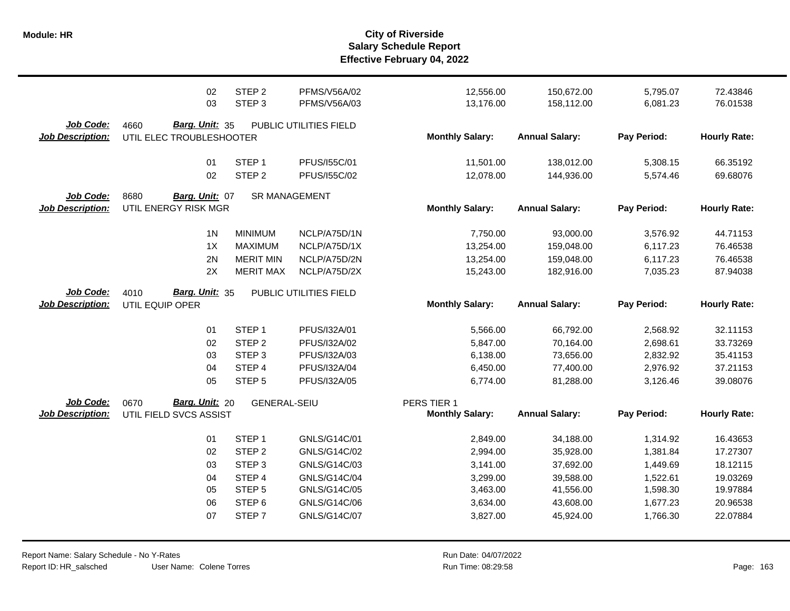|                         | 02<br>03                 | STEP <sub>2</sub><br>STEP <sub>3</sub> | <b>PFMS/V56A/02</b><br>PFMS/V56A/03 | 12,556.00<br>13,176.00 | 150,672.00<br>158,112.00 | 5,795.07<br>6,081.23 | 72.43846<br>76.01538 |
|-------------------------|--------------------------|----------------------------------------|-------------------------------------|------------------------|--------------------------|----------------------|----------------------|
| Job Code:               | 4660<br>Barg. Unit: 35   |                                        | PUBLIC UTILITIES FIELD              |                        |                          |                      |                      |
| <b>Job Description:</b> | UTIL ELEC TROUBLESHOOTER |                                        |                                     | <b>Monthly Salary:</b> | <b>Annual Salary:</b>    | Pay Period:          | <b>Hourly Rate:</b>  |
|                         | 01                       | STEP <sub>1</sub>                      | PFUS/155C/01                        | 11,501.00              | 138,012.00               | 5,308.15             | 66.35192             |
|                         | 02                       | STEP <sub>2</sub>                      | PFUS/155C/02                        | 12,078.00              | 144,936.00               | 5,574.46             | 69.68076             |
| Job Code:               | 8680<br>Barg. Unit: 07   |                                        | <b>SR MANAGEMENT</b>                |                        |                          |                      |                      |
| <b>Job Description:</b> | UTIL ENERGY RISK MGR     |                                        |                                     | <b>Monthly Salary:</b> | <b>Annual Salary:</b>    | Pay Period:          | <b>Hourly Rate:</b>  |
|                         | 1 <sub>N</sub>           | <b>MINIMUM</b>                         | NCLP/A75D/1N                        | 7,750.00               | 93,000.00                | 3,576.92             | 44.71153             |
|                         | 1X                       | <b>MAXIMUM</b>                         | NCLP/A75D/1X                        | 13,254.00              | 159,048.00               | 6,117.23             | 76.46538             |
|                         | 2N                       | <b>MERIT MIN</b>                       | NCLP/A75D/2N                        | 13,254.00              | 159,048.00               | 6,117.23             | 76.46538             |
|                         | 2X                       | <b>MERIT MAX</b>                       | NCLP/A75D/2X                        | 15,243.00              | 182,916.00               | 7,035.23             | 87.94038             |
| Job Code:               | 4010<br>Barg. Unit: 35   |                                        | PUBLIC UTILITIES FIELD              |                        |                          |                      |                      |
| <b>Job Description:</b> | UTIL EQUIP OPER          |                                        |                                     | <b>Monthly Salary:</b> | <b>Annual Salary:</b>    | Pay Period:          | <b>Hourly Rate:</b>  |
|                         | 01                       | STEP <sub>1</sub>                      | PFUS/I32A/01                        | 5,566.00               | 66,792.00                | 2,568.92             | 32.11153             |
|                         | 02                       | STEP <sub>2</sub>                      | PFUS/I32A/02                        | 5,847.00               | 70,164.00                | 2,698.61             | 33.73269             |
|                         | 03                       | STEP <sub>3</sub>                      | PFUS/I32A/03                        | 6,138.00               | 73,656.00                | 2,832.92             | 35.41153             |
|                         | 04                       | STEP 4                                 | PFUS/I32A/04                        | 6,450.00               | 77,400.00                | 2,976.92             | 37.21153             |
|                         | 05                       | STEP <sub>5</sub>                      | PFUS/I32A/05                        | 6,774.00               | 81,288.00                | 3,126.46             | 39.08076             |
| Job Code:               | Barg. Unit: 20<br>0670   | <b>GENERAL-SEIU</b>                    |                                     | PERS TIER 1            |                          |                      |                      |
| <b>Job Description:</b> | UTIL FIELD SVCS ASSIST   |                                        |                                     | <b>Monthly Salary:</b> | <b>Annual Salary:</b>    | Pay Period:          | <b>Hourly Rate:</b>  |
|                         | 01                       | STEP <sub>1</sub>                      | GNLS/G14C/01                        | 2,849.00               | 34,188.00                | 1,314.92             | 16.43653             |
|                         | 02                       | STEP <sub>2</sub>                      | GNLS/G14C/02                        | 2,994.00               | 35,928.00                | 1,381.84             | 17.27307             |
|                         | 03                       | STEP <sub>3</sub>                      | GNLS/G14C/03                        | 3,141.00               | 37,692.00                | 1,449.69             | 18.12115             |
|                         | 04                       | STEP 4                                 | GNLS/G14C/04                        | 3,299.00               | 39,588.00                | 1,522.61             | 19.03269             |
|                         | 05                       | STEP <sub>5</sub>                      | GNLS/G14C/05                        | 3,463.00               | 41,556.00                | 1,598.30             | 19.97884             |
|                         | 06                       | STEP <sub>6</sub>                      | GNLS/G14C/06                        | 3,634.00               | 43,608.00                | 1,677.23             | 20.96538             |
|                         | 07                       | STEP <sub>7</sub>                      | GNLS/G14C/07                        | 3,827.00               | 45,924.00                | 1,766.30             | 22.07884             |
|                         |                          |                                        |                                     |                        |                          |                      |                      |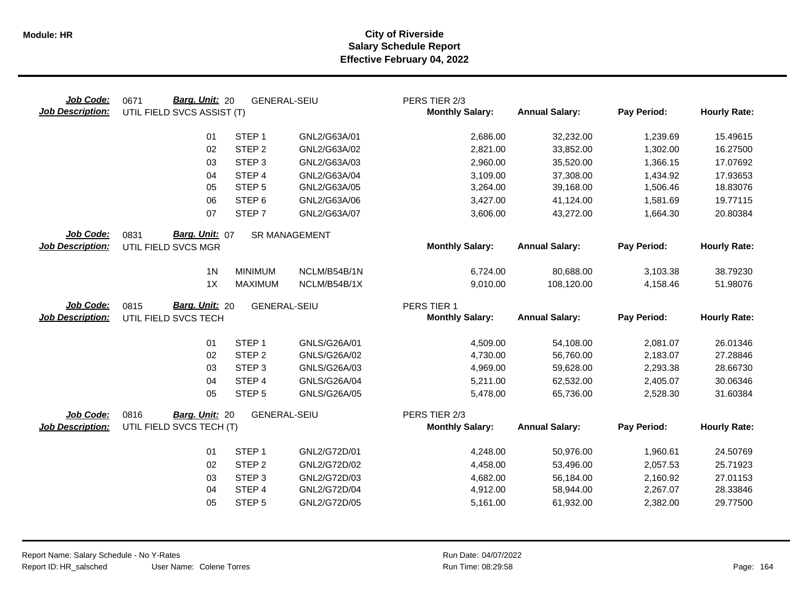| Job Code:<br><b>Job Description:</b> | Barg. Unit: 20<br>0671<br><b>GENERAL-SEIU</b><br>UTIL FIELD SVCS ASSIST (T) |                     |                      | PERS TIER 2/3<br><b>Monthly Salary:</b> | <b>Annual Salary:</b> | Pay Period: | <b>Hourly Rate:</b> |
|--------------------------------------|-----------------------------------------------------------------------------|---------------------|----------------------|-----------------------------------------|-----------------------|-------------|---------------------|
|                                      | 01                                                                          | STEP <sub>1</sub>   | GNL2/G63A/01         | 2,686.00                                | 32,232.00             | 1,239.69    | 15.49615            |
|                                      | 02                                                                          | STEP <sub>2</sub>   | GNL2/G63A/02         | 2,821.00                                | 33,852.00             | 1,302.00    | 16.27500            |
|                                      | 03                                                                          | STEP <sub>3</sub>   | GNL2/G63A/03         | 2,960.00                                | 35,520.00             | 1,366.15    | 17.07692            |
|                                      | 04                                                                          | STEP 4              | GNL2/G63A/04         | 3,109.00                                | 37,308.00             | 1,434.92    | 17.93653            |
|                                      | 05                                                                          | STEP <sub>5</sub>   | GNL2/G63A/05         | 3,264.00                                | 39,168.00             | 1,506.46    | 18.83076            |
|                                      | 06                                                                          | STEP <sub>6</sub>   | GNL2/G63A/06         | 3,427.00                                | 41,124.00             | 1,581.69    | 19.77115            |
|                                      | 07                                                                          | STEP <sub>7</sub>   | GNL2/G63A/07         | 3,606.00                                | 43,272.00             | 1,664.30    | 20.80384            |
| Job Code:                            | Barg. Unit: 07<br>0831                                                      |                     | <b>SR MANAGEMENT</b> |                                         |                       |             |                     |
| <b>Job Description:</b>              | UTIL FIELD SVCS MGR                                                         |                     |                      | <b>Monthly Salary:</b>                  | <b>Annual Salary:</b> | Pay Period: | <b>Hourly Rate:</b> |
|                                      | 1 <sub>N</sub>                                                              | <b>MINIMUM</b>      | NCLM/B54B/1N         | 6,724.00                                | 80,688.00             | 3,103.38    | 38.79230            |
|                                      | 1X                                                                          | <b>MAXIMUM</b>      | NCLM/B54B/1X         | 9,010.00                                | 108,120.00            | 4,158.46    | 51.98076            |
| <b>Job Code:</b>                     | <b>Barg. Unit: 20</b><br>0815                                               | <b>GENERAL-SEIU</b> |                      | PERS TIER 1                             |                       |             |                     |
| <b>Job Description:</b>              | UTIL FIELD SVCS TECH                                                        |                     |                      | <b>Monthly Salary:</b>                  | <b>Annual Salary:</b> | Pay Period: | <b>Hourly Rate:</b> |
|                                      | 01                                                                          | STEP <sub>1</sub>   | GNLS/G26A/01         | 4,509.00                                | 54,108.00             | 2,081.07    | 26.01346            |
|                                      | 02                                                                          | STEP <sub>2</sub>   | GNLS/G26A/02         | 4,730.00                                | 56,760.00             | 2,183.07    | 27.28846            |
|                                      | 03                                                                          | STEP <sub>3</sub>   | GNLS/G26A/03         | 4,969.00                                | 59,628.00             | 2,293.38    | 28.66730            |
|                                      | 04                                                                          | STEP 4              | GNLS/G26A/04         | 5,211.00                                | 62,532.00             | 2,405.07    | 30.06346            |
|                                      | 05                                                                          | STEP <sub>5</sub>   | GNLS/G26A/05         | 5,478.00                                | 65,736.00             | 2,528.30    | 31.60384            |
| Job Code:                            | 0816<br>Barg. Unit: 20                                                      | <b>GENERAL-SEIU</b> |                      | PERS TIER 2/3                           |                       |             |                     |
| <b>Job Description:</b>              | UTIL FIELD SVCS TECH (T)                                                    |                     |                      | <b>Monthly Salary:</b>                  | <b>Annual Salary:</b> | Pay Period: | <b>Hourly Rate:</b> |
|                                      | 01                                                                          | STEP <sub>1</sub>   | GNL2/G72D/01         | 4,248.00                                | 50,976.00             | 1,960.61    | 24.50769            |
|                                      | 02                                                                          | STEP <sub>2</sub>   | GNL2/G72D/02         | 4,458.00                                | 53,496.00             | 2,057.53    | 25.71923            |
|                                      | 03                                                                          | STEP <sub>3</sub>   | GNL2/G72D/03         | 4,682.00                                | 56,184.00             | 2,160.92    | 27.01153            |
|                                      | 04                                                                          | STEP 4              | GNL2/G72D/04         | 4,912.00                                | 58,944.00             | 2,267.07    | 28.33846            |
|                                      | 05                                                                          | STEP <sub>5</sub>   | GNL2/G72D/05         | 5,161.00                                | 61,932.00             | 2,382.00    | 29.77500            |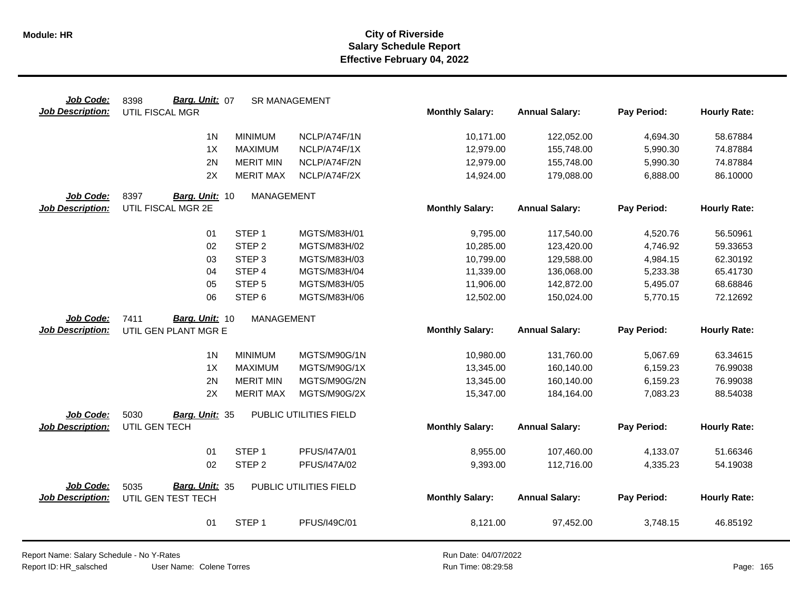| Job Code:                            | Barg. Unit: 07<br>8398          | <b>SR MANAGEMENT</b> |                        |                        |                       |             |                     |
|--------------------------------------|---------------------------------|----------------------|------------------------|------------------------|-----------------------|-------------|---------------------|
| <b>Job Description:</b>              | UTIL FISCAL MGR                 |                      |                        | <b>Monthly Salary:</b> | <b>Annual Salary:</b> | Pay Period: | <b>Hourly Rate:</b> |
|                                      | 1 <sub>N</sub>                  | <b>MINIMUM</b>       | NCLP/A74F/1N           | 10,171.00              | 122,052.00            | 4,694.30    | 58.67884            |
|                                      | 1X                              | <b>MAXIMUM</b>       | NCLP/A74F/1X           | 12,979.00              | 155,748.00            | 5,990.30    | 74.87884            |
|                                      | 2N                              | <b>MERIT MIN</b>     | NCLP/A74F/2N           | 12,979.00              | 155,748.00            | 5,990.30    | 74.87884            |
|                                      | 2X                              | <b>MERIT MAX</b>     | NCLP/A74F/2X           | 14,924.00              | 179,088.00            | 6,888.00    | 86.10000            |
| Job Code:                            | 8397<br>Barg. Unit: 10          | MANAGEMENT           |                        |                        |                       |             |                     |
| <b>Job Description:</b>              | UTIL FISCAL MGR 2E              |                      |                        | <b>Monthly Salary:</b> | <b>Annual Salary:</b> | Pay Period: | <b>Hourly Rate:</b> |
|                                      |                                 |                      |                        |                        |                       |             |                     |
|                                      | 01                              | STEP <sub>1</sub>    | MGTS/M83H/01           | 9,795.00               | 117,540.00            | 4,520.76    | 56.50961            |
|                                      | 02                              | STEP <sub>2</sub>    | MGTS/M83H/02           | 10,285.00              | 123,420.00            | 4,746.92    | 59.33653            |
|                                      | 03                              | STEP <sub>3</sub>    | MGTS/M83H/03           | 10,799.00              | 129,588.00            | 4,984.15    | 62.30192            |
|                                      | 04                              | STEP 4               | MGTS/M83H/04           | 11,339.00              | 136,068.00            | 5,233.38    | 65.41730            |
|                                      | 05                              | STEP <sub>5</sub>    | MGTS/M83H/05           | 11,906.00              | 142,872.00            | 5,495.07    | 68.68846            |
|                                      | 06                              | STEP <sub>6</sub>    | MGTS/M83H/06           | 12,502.00              | 150,024.00            | 5,770.15    | 72.12692            |
| Job Code:                            | Barg. Unit: 10<br>7411          | <b>MANAGEMENT</b>    |                        |                        |                       |             |                     |
| <b>Job Description:</b>              | UTIL GEN PLANT MGR E            |                      |                        | <b>Monthly Salary:</b> | <b>Annual Salary:</b> | Pay Period: | <b>Hourly Rate:</b> |
|                                      | 1 <sub>N</sub>                  | <b>MINIMUM</b>       | MGTS/M90G/1N           | 10,980.00              | 131,760.00            | 5,067.69    | 63.34615            |
|                                      | 1X                              | <b>MAXIMUM</b>       | MGTS/M90G/1X           | 13,345.00              | 160,140.00            | 6,159.23    | 76.99038            |
|                                      | 2N                              | <b>MERIT MIN</b>     | MGTS/M90G/2N           | 13,345.00              | 160,140.00            | 6,159.23    | 76.99038            |
|                                      | 2X                              | <b>MERIT MAX</b>     | MGTS/M90G/2X           | 15,347.00              | 184,164.00            | 7,083.23    | 88.54038            |
|                                      | 5030                            |                      | PUBLIC UTILITIES FIELD |                        |                       |             |                     |
| Job Code:<br><b>Job Description:</b> | Barg. Unit: 35<br>UTIL GEN TECH |                      |                        | <b>Monthly Salary:</b> | <b>Annual Salary:</b> | Pay Period: | <b>Hourly Rate:</b> |
|                                      |                                 |                      |                        |                        |                       |             |                     |
|                                      | 01                              | STEP <sub>1</sub>    | PFUS/I47A/01           | 8,955.00               | 107,460.00            | 4,133.07    | 51.66346            |
|                                      | 02                              | STEP <sub>2</sub>    | PFUS/I47A/02           | 9,393.00               | 112,716.00            | 4,335.23    | 54.19038            |
| Job Code:                            | Barg. Unit: 35<br>5035          |                      | PUBLIC UTILITIES FIELD |                        |                       |             |                     |
| <b>Job Description:</b>              | UTIL GEN TEST TECH              |                      |                        | <b>Monthly Salary:</b> | <b>Annual Salary:</b> | Pay Period: | <b>Hourly Rate:</b> |
|                                      | 01                              | STEP <sub>1</sub>    | PFUS/I49C/01           | 8,121.00               | 97,452.00             | 3,748.15    | 46.85192            |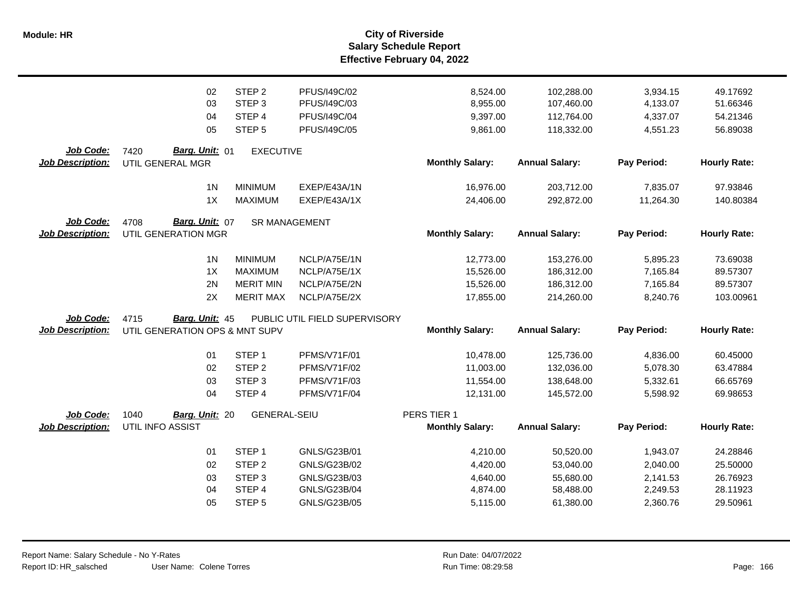|                         | 02                             | STEP <sub>2</sub>   | PFUS/I49C/02                  | 8,524.00               | 102,288.00            | 3,934.15    | 49.17692            |
|-------------------------|--------------------------------|---------------------|-------------------------------|------------------------|-----------------------|-------------|---------------------|
|                         | 03                             | STEP <sub>3</sub>   | PFUS/I49C/03                  | 8,955.00               | 107,460.00            | 4,133.07    | 51.66346            |
|                         | 04                             | STEP 4              | PFUS/I49C/04                  | 9,397.00               | 112,764.00            | 4,337.07    | 54.21346            |
|                         | 05                             | STEP <sub>5</sub>   | PFUS/I49C/05                  | 9,861.00               | 118,332.00            | 4,551.23    | 56.89038            |
| Job Code:               | Barg. Unit: 01<br>7420         | <b>EXECUTIVE</b>    |                               |                        |                       |             |                     |
| <b>Job Description:</b> | UTIL GENERAL MGR               |                     |                               | <b>Monthly Salary:</b> | <b>Annual Salary:</b> | Pay Period: | <b>Hourly Rate:</b> |
|                         | 1 <sub>N</sub>                 | <b>MINIMUM</b>      | EXEP/E43A/1N                  | 16,976.00              | 203,712.00            | 7,835.07    | 97.93846            |
|                         | 1X                             | <b>MAXIMUM</b>      | EXEP/E43A/1X                  | 24,406.00              | 292,872.00            | 11,264.30   | 140.80384           |
| <b>Job Code:</b>        | Barg. Unit: 07<br>4708         |                     | <b>SR MANAGEMENT</b>          |                        |                       |             |                     |
| <b>Job Description:</b> | UTIL GENERATION MGR            |                     |                               | <b>Monthly Salary:</b> | <b>Annual Salary:</b> | Pay Period: | <b>Hourly Rate:</b> |
|                         | 1 <sub>N</sub>                 | <b>MINIMUM</b>      | NCLP/A75E/1N                  | 12,773.00              | 153,276.00            | 5,895.23    | 73.69038            |
|                         | 1X                             | <b>MAXIMUM</b>      | NCLP/A75E/1X                  | 15,526.00              | 186,312.00            | 7,165.84    | 89.57307            |
|                         | 2N                             | <b>MERIT MIN</b>    | NCLP/A75E/2N                  | 15,526.00              | 186,312.00            | 7,165.84    | 89.57307            |
|                         | 2X                             | <b>MERIT MAX</b>    | NCLP/A75E/2X                  | 17,855.00              | 214,260.00            | 8,240.76    | 103.00961           |
| Job Code:               | Barg. Unit: 45<br>4715         |                     | PUBLIC UTIL FIELD SUPERVISORY |                        |                       |             |                     |
| <b>Job Description:</b> | UTIL GENERATION OPS & MNT SUPV |                     |                               | <b>Monthly Salary:</b> | <b>Annual Salary:</b> | Pay Period: | <b>Hourly Rate:</b> |
|                         | 01                             | STEP <sub>1</sub>   | <b>PFMS/V71F/01</b>           | 10,478.00              | 125,736.00            | 4,836.00    | 60.45000            |
|                         | 02                             | STEP <sub>2</sub>   | PFMS/V71F/02                  | 11,003.00              | 132,036.00            | 5,078.30    | 63.47884            |
|                         | 03                             | STEP <sub>3</sub>   | PFMS/V71F/03                  | 11,554.00              | 138,648.00            | 5,332.61    | 66.65769            |
|                         | 04                             | STEP 4              | PFMS/V71F/04                  | 12,131.00              | 145,572.00            | 5,598.92    | 69.98653            |
| Job Code:               | 1040<br>Barg. Unit: 20         | <b>GENERAL-SEIU</b> |                               | PERS TIER 1            |                       |             |                     |
| <b>Job Description:</b> | UTIL INFO ASSIST               |                     |                               | <b>Monthly Salary:</b> | <b>Annual Salary:</b> | Pay Period: | <b>Hourly Rate:</b> |
|                         | 01                             | STEP <sub>1</sub>   | GNLS/G23B/01                  | 4,210.00               | 50,520.00             | 1,943.07    | 24.28846            |
|                         | 02                             | STEP <sub>2</sub>   | GNLS/G23B/02                  | 4,420.00               | 53,040.00             | 2,040.00    | 25.50000            |
|                         | 03                             | STEP <sub>3</sub>   | GNLS/G23B/03                  | 4,640.00               | 55,680.00             | 2,141.53    | 26.76923            |
|                         | 04                             | STEP 4              | GNLS/G23B/04                  | 4,874.00               | 58,488.00             | 2,249.53    | 28.11923            |
|                         | 05                             | STEP <sub>5</sub>   | GNLS/G23B/05                  | 5,115.00               | 61,380.00             | 2,360.76    | 29.50961            |
|                         |                                |                     |                               |                        |                       |             |                     |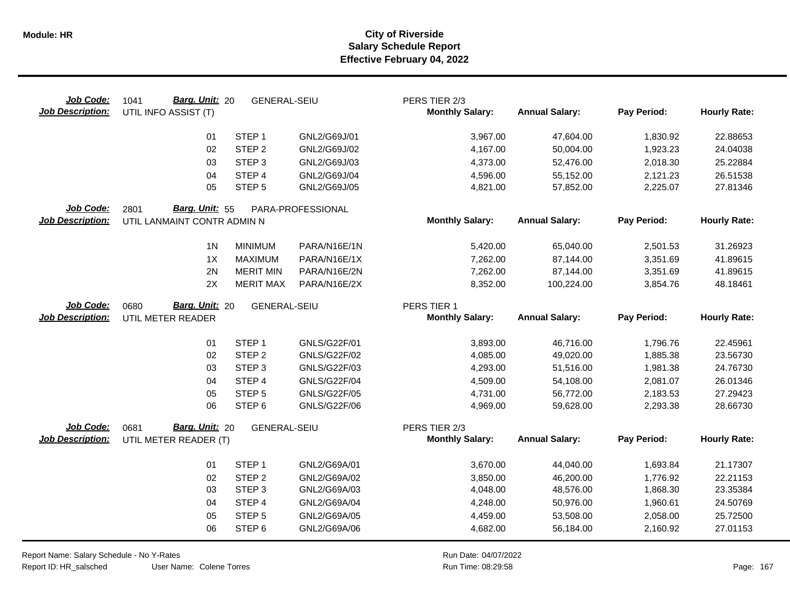| Job Code:<br><b>Job Description:</b> | Barg. Unit: 20<br>1041<br>UTIL INFO ASSIST (T)        | <b>GENERAL-SEIU</b>                    |                              | PERS TIER 2/3<br><b>Monthly Salary:</b> | <b>Annual Salary:</b>  | Pay Period:          | <b>Hourly Rate:</b>  |
|--------------------------------------|-------------------------------------------------------|----------------------------------------|------------------------------|-----------------------------------------|------------------------|----------------------|----------------------|
|                                      | 01                                                    | STEP <sub>1</sub>                      | GNL2/G69J/01                 | 3,967.00                                | 47,604.00              | 1,830.92             | 22.88653             |
|                                      | 02                                                    | STEP <sub>2</sub>                      | GNL2/G69J/02                 | 4,167.00                                | 50,004.00              | 1,923.23             | 24.04038             |
|                                      | 03                                                    | STEP <sub>3</sub>                      | GNL2/G69J/03                 | 4,373.00                                | 52,476.00              | 2,018.30             | 25.22884             |
|                                      | 04                                                    | STEP 4                                 | GNL2/G69J/04                 | 4,596.00                                | 55,152.00              | 2,121.23             | 26.51538             |
|                                      | 05                                                    | STEP <sub>5</sub>                      | GNL2/G69J/05                 | 4,821.00                                | 57,852.00              | 2,225.07             | 27.81346             |
| Job Code:<br><b>Job Description:</b> | Barg. Unit: 55<br>2801<br>UTIL LANMAINT CONTR ADMIN N |                                        | PARA-PROFESSIONAL            | <b>Monthly Salary:</b>                  | <b>Annual Salary:</b>  | Pay Period:          | <b>Hourly Rate:</b>  |
|                                      |                                                       |                                        |                              |                                         |                        |                      |                      |
|                                      | 1 <sub>N</sub>                                        | <b>MINIMUM</b>                         | PARA/N16E/1N                 | 5,420.00                                | 65,040.00              | 2,501.53             | 31.26923             |
|                                      | 1X                                                    | <b>MAXIMUM</b>                         | PARA/N16E/1X                 | 7,262.00                                | 87,144.00              | 3,351.69             | 41.89615             |
|                                      | 2N                                                    | <b>MERIT MIN</b>                       | PARA/N16E/2N                 | 7,262.00                                | 87,144.00              | 3,351.69             | 41.89615             |
|                                      | 2X                                                    | <b>MERIT MAX</b>                       | PARA/N16E/2X                 | 8,352.00                                | 100,224.00             | 3,854.76             | 48.18461             |
| Job Code:                            | Barg. Unit: 20<br>0680                                | <b>GENERAL-SEIU</b>                    |                              | PERS TIER 1                             |                        |                      |                      |
| <b>Job Description:</b>              | UTIL METER READER                                     |                                        |                              | <b>Monthly Salary:</b>                  | <b>Annual Salary:</b>  | Pay Period:          | <b>Hourly Rate:</b>  |
|                                      | 01                                                    | STEP <sub>1</sub>                      | GNLS/G22F/01                 | 3,893.00                                | 46,716.00              | 1,796.76             | 22.45961             |
|                                      | 02                                                    | STEP <sub>2</sub>                      | <b>GNLS/G22F/02</b>          | 4,085.00                                | 49,020.00              | 1,885.38             | 23.56730             |
|                                      | 03                                                    | STEP <sub>3</sub>                      | GNLS/G22F/03                 | 4,293.00                                | 51,516.00              | 1,981.38             | 24.76730             |
|                                      | 04                                                    | STEP 4                                 | <b>GNLS/G22F/04</b>          | 4,509.00                                | 54,108.00              | 2,081.07             | 26.01346             |
|                                      | 05                                                    | STEP <sub>5</sub>                      | <b>GNLS/G22F/05</b>          | 4,731.00                                | 56,772.00              | 2,183.53             | 27.29423             |
|                                      | 06                                                    | STEP <sub>6</sub>                      | <b>GNLS/G22F/06</b>          | 4,969.00                                | 59,628.00              | 2,293.38             | 28.66730             |
| Job Code:                            | Barg. Unit: 20<br>0681                                | <b>GENERAL-SEIU</b>                    |                              | PERS TIER 2/3                           |                        |                      |                      |
| <b>Job Description:</b>              | UTIL METER READER (T)                                 |                                        |                              | <b>Monthly Salary:</b>                  | <b>Annual Salary:</b>  | Pay Period:          | <b>Hourly Rate:</b>  |
|                                      |                                                       |                                        |                              |                                         |                        |                      |                      |
|                                      | 01<br>02                                              | STEP <sub>1</sub><br>STEP <sub>2</sub> | GNL2/G69A/01<br>GNL2/G69A/02 | 3,670.00                                | 44,040.00<br>46,200.00 | 1,693.84             | 21.17307             |
|                                      | 03                                                    | STEP <sub>3</sub>                      | GNL2/G69A/03                 | 3,850.00<br>4,048.00                    | 48,576.00              | 1,776.92<br>1,868.30 | 22.21153<br>23.35384 |
|                                      | 04                                                    | STEP 4                                 | GNL2/G69A/04                 | 4,248.00                                | 50,976.00              | 1,960.61             | 24.50769             |
|                                      | 05                                                    | STEP <sub>5</sub>                      | GNL2/G69A/05                 | 4,459.00                                | 53,508.00              | 2,058.00             | 25.72500             |
|                                      | 06                                                    | STEP <sub>6</sub>                      | GNL2/G69A/06                 | 4,682.00                                | 56,184.00              | 2,160.92             | 27.01153             |
|                                      |                                                       |                                        |                              |                                         |                        |                      |                      |

Report Name: Salary Schedule - No Y-Rates

Report ID: HR\_salsched

User Name: Colene Torres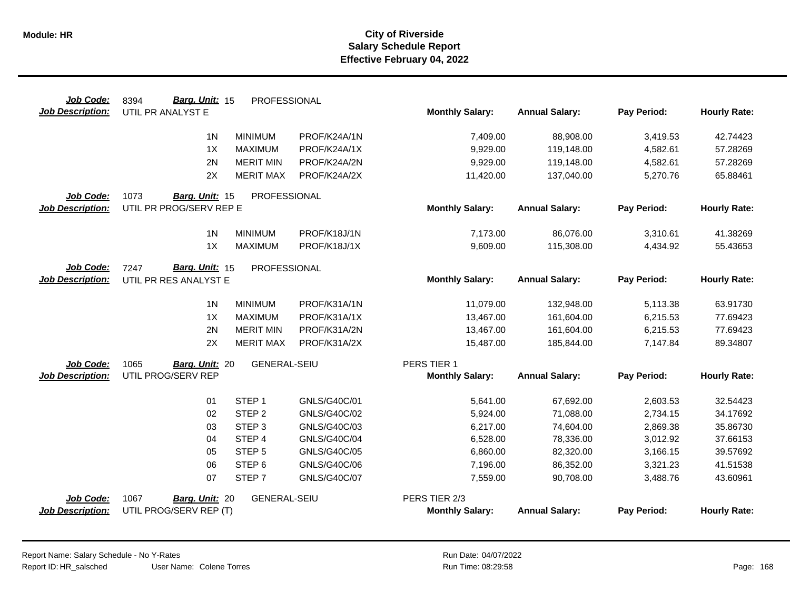| Job Code:               | Barg. Unit: 15<br>8394  | PROFESSIONAL        |              |                        |                       |             |                     |
|-------------------------|-------------------------|---------------------|--------------|------------------------|-----------------------|-------------|---------------------|
| <b>Job Description:</b> | UTIL PR ANALYST E       |                     |              | <b>Monthly Salary:</b> | <b>Annual Salary:</b> | Pay Period: | <b>Hourly Rate:</b> |
|                         | 1 <sub>N</sub>          | <b>MINIMUM</b>      | PROF/K24A/1N | 7,409.00               | 88,908.00             | 3,419.53    | 42.74423            |
|                         | 1X                      | <b>MAXIMUM</b>      | PROF/K24A/1X | 9,929.00               | 119,148.00            | 4,582.61    | 57.28269            |
|                         | 2N                      | <b>MERIT MIN</b>    | PROF/K24A/2N | 9,929.00               | 119,148.00            | 4,582.61    | 57.28269            |
|                         | 2X                      | <b>MERIT MAX</b>    | PROF/K24A/2X | 11,420.00              | 137,040.00            | 5,270.76    | 65.88461            |
|                         |                         |                     |              |                        |                       |             |                     |
| Job Code:               | 1073<br>Barg. Unit: 15  | PROFESSIONAL        |              |                        |                       |             |                     |
| <b>Job Description:</b> | UTIL PR PROG/SERV REP E |                     |              | <b>Monthly Salary:</b> | <b>Annual Salary:</b> | Pay Period: | <b>Hourly Rate:</b> |
|                         | 1 <sub>N</sub>          | <b>MINIMUM</b>      | PROF/K18J/1N | 7,173.00               | 86,076.00             | 3,310.61    | 41.38269            |
|                         | 1X                      | <b>MAXIMUM</b>      | PROF/K18J/1X | 9,609.00               | 115,308.00            | 4,434.92    | 55.43653            |
| Job Code:               | Barg. Unit: 15<br>7247  | PROFESSIONAL        |              |                        |                       |             |                     |
| <b>Job Description:</b> | UTIL PR RES ANALYST E   |                     |              | <b>Monthly Salary:</b> | <b>Annual Salary:</b> | Pay Period: | <b>Hourly Rate:</b> |
|                         | 1 <sup>N</sup>          | <b>MINIMUM</b>      | PROF/K31A/1N | 11,079.00              | 132,948.00            | 5,113.38    | 63.91730            |
|                         | 1X                      | <b>MAXIMUM</b>      | PROF/K31A/1X | 13,467.00              | 161,604.00            | 6,215.53    | 77.69423            |
|                         | 2N                      | <b>MERIT MIN</b>    | PROF/K31A/2N | 13,467.00              | 161,604.00            | 6,215.53    | 77.69423            |
|                         | 2X                      | <b>MERIT MAX</b>    | PROF/K31A/2X | 15,487.00              | 185,844.00            | 7,147.84    | 89.34807            |
|                         |                         |                     |              |                        |                       |             |                     |
| Job Code:               | 1065<br>Barg. Unit: 20  | <b>GENERAL-SEIU</b> |              | PERS TIER 1            |                       |             |                     |
| <b>Job Description:</b> | UTIL PROG/SERV REP      |                     |              | <b>Monthly Salary:</b> | <b>Annual Salary:</b> | Pay Period: | <b>Hourly Rate:</b> |
|                         | 01                      | STEP <sub>1</sub>   | GNLS/G40C/01 | 5,641.00               | 67,692.00             | 2,603.53    | 32.54423            |
|                         | 02                      | STEP <sub>2</sub>   | GNLS/G40C/02 | 5,924.00               | 71,088.00             | 2,734.15    | 34.17692            |
|                         | 03                      | STEP <sub>3</sub>   | GNLS/G40C/03 | 6,217.00               | 74,604.00             | 2,869.38    | 35.86730            |
|                         | 04                      | STEP 4              | GNLS/G40C/04 | 6,528.00               | 78,336.00             | 3,012.92    | 37.66153            |
|                         | 05                      | STEP <sub>5</sub>   | GNLS/G40C/05 | 6,860.00               | 82,320.00             | 3,166.15    | 39.57692            |
|                         | 06                      | STEP <sub>6</sub>   | GNLS/G40C/06 | 7,196.00               | 86,352.00             | 3,321.23    | 41.51538            |
|                         | 07                      | STEP <sub>7</sub>   | GNLS/G40C/07 | 7,559.00               | 90,708.00             | 3,488.76    | 43.60961            |
| Job Code:               | 1067<br>Barg. Unit: 20  | <b>GENERAL-SEIU</b> |              | PERS TIER 2/3          |                       |             |                     |
| <b>Job Description:</b> | UTIL PROG/SERV REP (T)  |                     |              | <b>Monthly Salary:</b> | <b>Annual Salary:</b> | Pay Period: | <b>Hourly Rate:</b> |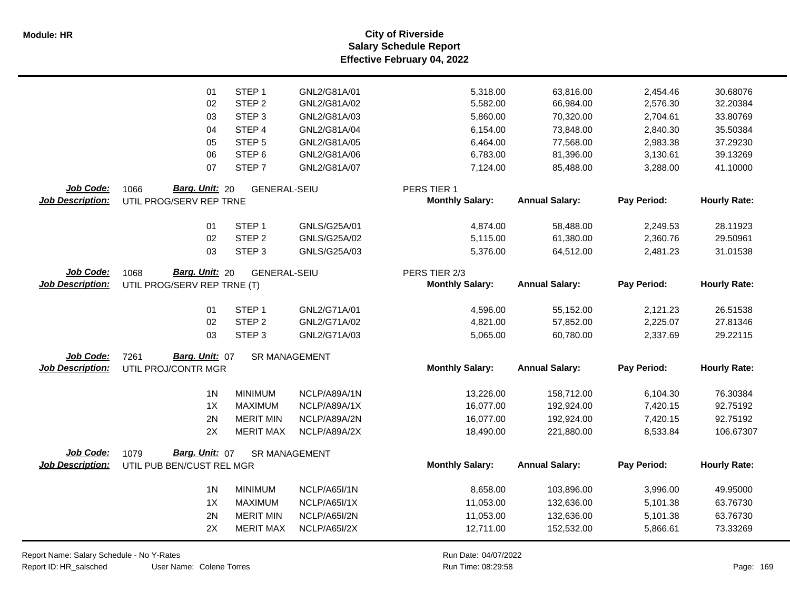|                         | 01                          | STEP <sub>1</sub>   | GNL2/G81A/01         | 5,318.00               | 63,816.00             | 2,454.46    | 30.68076            |
|-------------------------|-----------------------------|---------------------|----------------------|------------------------|-----------------------|-------------|---------------------|
|                         | 02                          | STEP <sub>2</sub>   | GNL2/G81A/02         | 5,582.00               | 66,984.00             | 2,576.30    | 32.20384            |
|                         | 03                          | STEP <sub>3</sub>   | GNL2/G81A/03         | 5,860.00               | 70,320.00             | 2,704.61    | 33.80769            |
|                         | 04                          | STEP 4              | GNL2/G81A/04         | 6,154.00               | 73,848.00             | 2,840.30    | 35.50384            |
|                         | 05                          | STEP <sub>5</sub>   | GNL2/G81A/05         | 6,464.00               | 77,568.00             | 2,983.38    | 37.29230            |
|                         | 06                          | STEP <sub>6</sub>   | GNL2/G81A/06         | 6,783.00               | 81,396.00             | 3,130.61    | 39.13269            |
|                         | 07                          | STEP <sub>7</sub>   | GNL2/G81A/07         | 7,124.00               | 85,488.00             | 3,288.00    | 41.10000            |
| Job Code:               | Barg. Unit: 20<br>1066      | <b>GENERAL-SEIU</b> |                      | PERS TIER 1            |                       |             |                     |
| <b>Job Description:</b> | UTIL PROG/SERV REP TRNE     |                     |                      | <b>Monthly Salary:</b> | <b>Annual Salary:</b> | Pay Period: | <b>Hourly Rate:</b> |
|                         | 01                          | STEP <sub>1</sub>   | GNLS/G25A/01         | 4,874.00               | 58,488.00             | 2,249.53    | 28.11923            |
|                         | 02                          | STEP <sub>2</sub>   | GNLS/G25A/02         | 5,115.00               | 61,380.00             | 2,360.76    | 29.50961            |
|                         | 03                          | STEP <sub>3</sub>   | GNLS/G25A/03         | 5,376.00               | 64,512.00             | 2,481.23    | 31.01538            |
| Job Code:               | Barg. Unit: 20<br>1068      | <b>GENERAL-SEIU</b> |                      | PERS TIER 2/3          |                       |             |                     |
| <b>Job Description:</b> | UTIL PROG/SERV REP TRNE (T) |                     |                      | <b>Monthly Salary:</b> | <b>Annual Salary:</b> | Pay Period: | <b>Hourly Rate:</b> |
|                         | 01                          | STEP <sub>1</sub>   | GNL2/G71A/01         | 4,596.00               | 55,152.00             | 2,121.23    | 26.51538            |
|                         | 02                          | STEP <sub>2</sub>   | GNL2/G71A/02         | 4,821.00               | 57,852.00             | 2,225.07    | 27.81346            |
|                         | 03                          | STEP <sub>3</sub>   | GNL2/G71A/03         | 5,065.00               | 60,780.00             | 2,337.69    | 29.22115            |
| Job Code:               | Barg. Unit: 07<br>7261      |                     | <b>SR MANAGEMENT</b> |                        |                       |             |                     |
| <b>Job Description:</b> | UTIL PROJ/CONTR MGR         |                     |                      | <b>Monthly Salary:</b> | <b>Annual Salary:</b> | Pay Period: | <b>Hourly Rate:</b> |
|                         | 1 <sub>N</sub>              | <b>MINIMUM</b>      | NCLP/A89A/1N         | 13,226.00              | 158,712.00            | 6,104.30    | 76.30384            |
|                         | 1X                          | <b>MAXIMUM</b>      | NCLP/A89A/1X         | 16,077.00              | 192,924.00            | 7,420.15    | 92.75192            |
|                         | 2N                          | <b>MERIT MIN</b>    | NCLP/A89A/2N         | 16,077.00              | 192,924.00            | 7,420.15    | 92.75192            |
|                         | 2X                          | <b>MERIT MAX</b>    | NCLP/A89A/2X         | 18,490.00              | 221,880.00            | 8,533.84    | 106.67307           |
| Job Code:               | Barg. Unit: 07<br>1079      |                     | <b>SR MANAGEMENT</b> |                        |                       |             |                     |
| <b>Job Description:</b> | UTIL PUB BEN/CUST REL MGR   |                     |                      | <b>Monthly Salary:</b> | <b>Annual Salary:</b> | Pay Period: | <b>Hourly Rate:</b> |
|                         | 1 <sub>N</sub>              | <b>MINIMUM</b>      | NCLP/A65I/1N         | 8,658.00               | 103,896.00            | 3,996.00    | 49.95000            |
|                         | 1X                          | <b>MAXIMUM</b>      | NCLP/A65I/1X         | 11,053.00              | 132,636.00            | 5,101.38    | 63.76730            |
|                         | 2N                          | <b>MERIT MIN</b>    | NCLP/A65I/2N         | 11,053.00              | 132,636.00            | 5,101.38    | 63.76730            |
|                         | 2X                          | <b>MERIT MAX</b>    | NCLP/A65I/2X         | 12,711.00              | 152,532.00            | 5,866.61    | 73.33269            |
|                         |                             |                     |                      |                        |                       |             |                     |

User Name: Colene Torres Report Name: Salary Schedule - No Y-Rates Report ID: HR\_salsched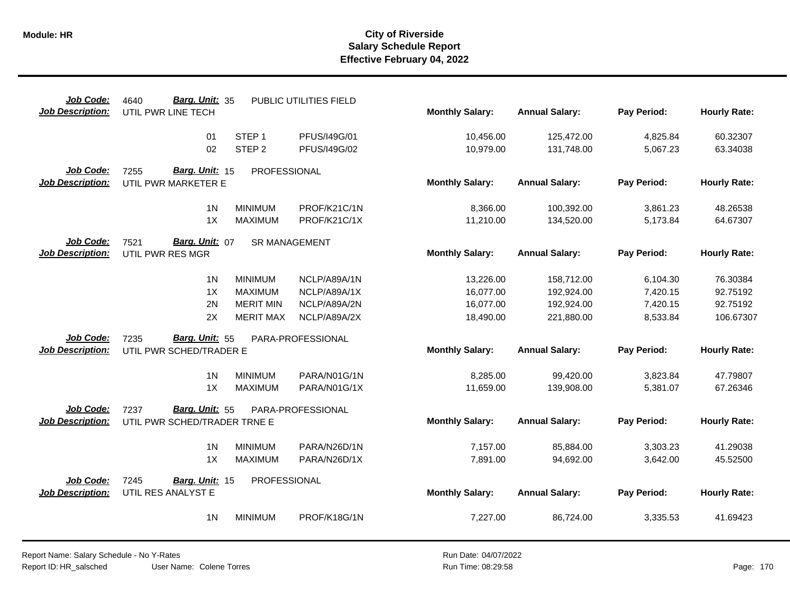| Job Code:<br><b>Job Description:</b> | Barg. Unit: 35<br>4640<br>UTIL PWR LINE TECH |                                        | PUBLIC UTILITIES FIELD       | <b>Monthly Salary:</b> | <b>Annual Salary:</b>    | Pay Period:          | <b>Hourly Rate:</b>  |
|--------------------------------------|----------------------------------------------|----------------------------------------|------------------------------|------------------------|--------------------------|----------------------|----------------------|
|                                      | 01<br>02                                     | STEP <sub>1</sub><br>STEP <sub>2</sub> | PFUS/I49G/01<br>PFUS/I49G/02 | 10,456.00<br>10,979.00 | 125,472.00<br>131,748.00 | 4,825.84<br>5,067.23 | 60.32307<br>63.34038 |
| Job Code:                            | Barg. Unit: 15<br>7255                       | PROFESSIONAL                           |                              |                        |                          |                      |                      |
| <b>Job Description:</b>              | UTIL PWR MARKETER E                          |                                        |                              | <b>Monthly Salary:</b> | <b>Annual Salary:</b>    | Pay Period:          | <b>Hourly Rate:</b>  |
|                                      | 1 <sub>N</sub>                               | <b>MINIMUM</b>                         | PROF/K21C/1N                 | 8,366.00               | 100,392.00               | 3,861.23             | 48.26538             |
|                                      | 1X                                           | <b>MAXIMUM</b>                         | PROF/K21C/1X                 | 11,210.00              | 134,520.00               | 5,173.84             | 64.67307             |
| Job Code:                            | 7521<br>Barg. Unit: 07                       | <b>SR MANAGEMENT</b>                   |                              |                        |                          |                      |                      |
| <b>Job Description:</b>              | UTIL PWR RES MGR                             |                                        |                              | <b>Monthly Salary:</b> | <b>Annual Salary:</b>    | Pay Period:          | <b>Hourly Rate:</b>  |
|                                      | 1 <sub>N</sub>                               | <b>MINIMUM</b>                         | NCLP/A89A/1N                 | 13,226.00              | 158,712.00               | 6,104.30             | 76.30384             |
|                                      | 1X                                           | <b>MAXIMUM</b>                         | NCLP/A89A/1X                 | 16,077.00              | 192,924.00               | 7,420.15             | 92.75192             |
|                                      | 2N                                           | <b>MERIT MIN</b>                       | NCLP/A89A/2N                 | 16,077.00              | 192,924.00               | 7,420.15             | 92.75192             |
|                                      | 2X                                           | <b>MERIT MAX</b>                       | NCLP/A89A/2X                 | 18,490.00              | 221,880.00               | 8,533.84             | 106.67307            |
| Job Code:                            | Barg. Unit: 55<br>7235                       |                                        | PARA-PROFESSIONAL            |                        |                          |                      |                      |
| <b>Job Description:</b>              | UTIL PWR SCHED/TRADER E                      |                                        |                              | <b>Monthly Salary:</b> | <b>Annual Salary:</b>    | Pay Period:          | <b>Hourly Rate:</b>  |
|                                      | 1 <sub>N</sub>                               | <b>MINIMUM</b>                         | PARA/N01G/1N                 | 8,285.00               | 99,420.00                | 3,823.84             | 47.79807             |
|                                      | 1X                                           | <b>MAXIMUM</b>                         | PARA/N01G/1X                 | 11,659.00              | 139,908.00               | 5,381.07             | 67.26346             |
| Job Code:                            | Barg. Unit: 55<br>7237                       |                                        | PARA-PROFESSIONAL            |                        |                          |                      |                      |
| <b>Job Description:</b>              | UTIL PWR SCHED/TRADER TRNE E                 |                                        |                              | <b>Monthly Salary:</b> | <b>Annual Salary:</b>    | Pay Period:          | <b>Hourly Rate:</b>  |
|                                      | 1 <sub>N</sub>                               | <b>MINIMUM</b>                         | PARA/N26D/1N                 | 7,157.00               | 85,884.00                | 3,303.23             | 41.29038             |
|                                      | 1X                                           | <b>MAXIMUM</b>                         | PARA/N26D/1X                 | 7,891.00               | 94,692.00                | 3,642.00             | 45.52500             |
| Job Code:                            | 7245<br>Barg. Unit: 15                       | PROFESSIONAL                           |                              |                        |                          |                      |                      |
| <b>Job Description:</b>              | UTIL RES ANALYST E                           |                                        |                              | <b>Monthly Salary:</b> | <b>Annual Salary:</b>    | Pay Period:          | <b>Hourly Rate:</b>  |
|                                      | 1 <sub>N</sub>                               | <b>MINIMUM</b>                         | PROF/K18G/1N                 | 7,227.00               | 86,724.00                | 3,335.53             | 41.69423             |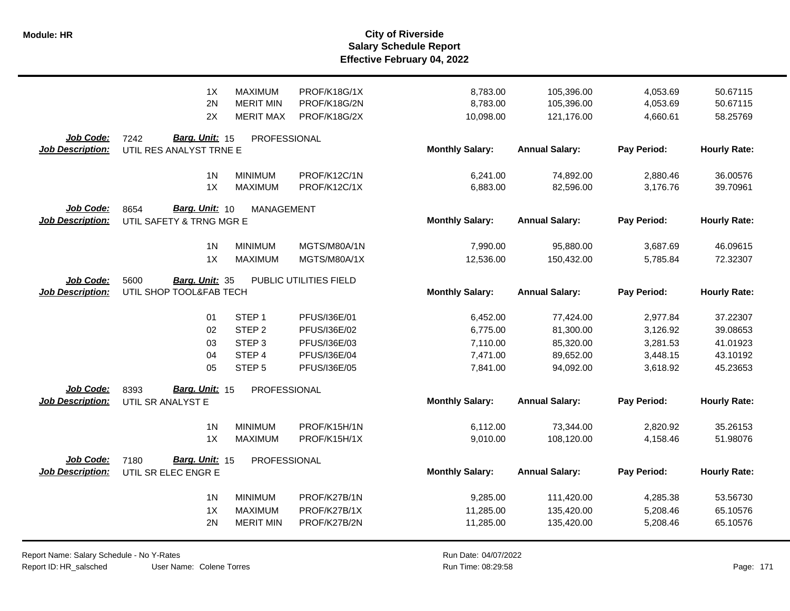|                                      | 1X                                                 | <b>MAXIMUM</b>                    | PROF/K18G/1X           | 8,783.00               | 105,396.00            | 4,053.69    | 50.67115            |
|--------------------------------------|----------------------------------------------------|-----------------------------------|------------------------|------------------------|-----------------------|-------------|---------------------|
|                                      | 2N                                                 | <b>MERIT MIN</b>                  | PROF/K18G/2N           | 8,783.00               | 105,396.00            | 4,053.69    | 50.67115            |
|                                      | 2X                                                 | <b>MERIT MAX</b>                  | PROF/K18G/2X           | 10,098.00              | 121,176.00            | 4,660.61    | 58.25769            |
| Job Code:<br><b>Job Description:</b> | Barg. Unit: 15<br>7242<br>UTIL RES ANALYST TRNE E  | PROFESSIONAL                      |                        | <b>Monthly Salary:</b> | <b>Annual Salary:</b> | Pay Period: | <b>Hourly Rate:</b> |
|                                      | 1 <sup>N</sup>                                     | <b>MINIMUM</b>                    | PROF/K12C/1N           | 6,241.00               | 74,892.00             | 2,880.46    | 36.00576            |
|                                      | 1X                                                 | <b>MAXIMUM</b>                    | PROF/K12C/1X           | 6,883.00               | 82,596.00             | 3,176.76    | 39.70961            |
| Job Code:<br><b>Job Description:</b> | Barg. Unit: 10<br>8654<br>UTIL SAFETY & TRNG MGR E | MANAGEMENT                        |                        | <b>Monthly Salary:</b> | <b>Annual Salary:</b> | Pay Period: | <b>Hourly Rate:</b> |
|                                      | 1 <sub>N</sub>                                     | <b>MINIMUM</b>                    | MGTS/M80A/1N           | 7,990.00               | 95,880.00             | 3,687.69    | 46.09615            |
|                                      | 1X                                                 | <b>MAXIMUM</b>                    | MGTS/M80A/1X           | 12,536.00              | 150,432.00            | 5,785.84    | 72.32307            |
| Job Code:<br><b>Job Description:</b> | 5600<br>Barg. Unit: 35<br>UTIL SHOP TOOL&FAB TECH  |                                   | PUBLIC UTILITIES FIELD | <b>Monthly Salary:</b> | <b>Annual Salary:</b> | Pay Period: | <b>Hourly Rate:</b> |
|                                      | 01                                                 | STEP <sub>1</sub>                 | PFUS/I36E/01           | 6,452.00               | 77,424.00             | 2,977.84    | 37.22307            |
|                                      | 02                                                 | STEP <sub>2</sub>                 | PFUS/I36E/02           | 6,775.00               | 81,300.00             | 3,126.92    | 39.08653            |
|                                      | 03                                                 | STEP <sub>3</sub>                 | PFUS/I36E/03           | 7,110.00               | 85,320.00             | 3,281.53    | 41.01923            |
|                                      | 04                                                 | STEP 4                            | PFUS/I36E/04           | 7,471.00               | 89,652.00             | 3,448.15    | 43.10192            |
| Job Code:                            | 05<br>Barg. Unit: 15<br>8393                       | STEP <sub>5</sub><br>PROFESSIONAL | PFUS/I36E/05           | 7,841.00               | 94,092.00             | 3,618.92    | 45.23653            |
| <b>Job Description:</b>              | UTIL SR ANALYST E                                  |                                   |                        | <b>Monthly Salary:</b> | <b>Annual Salary:</b> | Pay Period: | <b>Hourly Rate:</b> |
|                                      | 1 <sub>N</sub>                                     | <b>MINIMUM</b>                    | PROF/K15H/1N           | 6,112.00               | 73,344.00             | 2,820.92    | 35.26153            |
|                                      | 1X                                                 | <b>MAXIMUM</b>                    | PROF/K15H/1X           | 9,010.00               | 108,120.00            | 4,158.46    | 51.98076            |
| Job Code:<br><b>Job Description:</b> | Barg. Unit: 15<br>7180<br>UTIL SR ELEC ENGR E      | PROFESSIONAL                      |                        | <b>Monthly Salary:</b> | <b>Annual Salary:</b> | Pay Period: | <b>Hourly Rate:</b> |
|                                      | 1 <sup>N</sup>                                     | <b>MINIMUM</b>                    | PROF/K27B/1N           | 9,285.00               | 111,420.00            | 4,285.38    | 53.56730            |
|                                      | 1X                                                 | <b>MAXIMUM</b>                    | PROF/K27B/1X           | 11,285.00              | 135,420.00            | 5,208.46    | 65.10576            |
|                                      | 2N                                                 | <b>MERIT MIN</b>                  | PROF/K27B/2N           | 11,285.00              | 135,420.00            | 5,208.46    | 65.10576            |

User Name: Colene Torres Report Name: Salary Schedule - No Y-Rates Report ID: HR\_salsched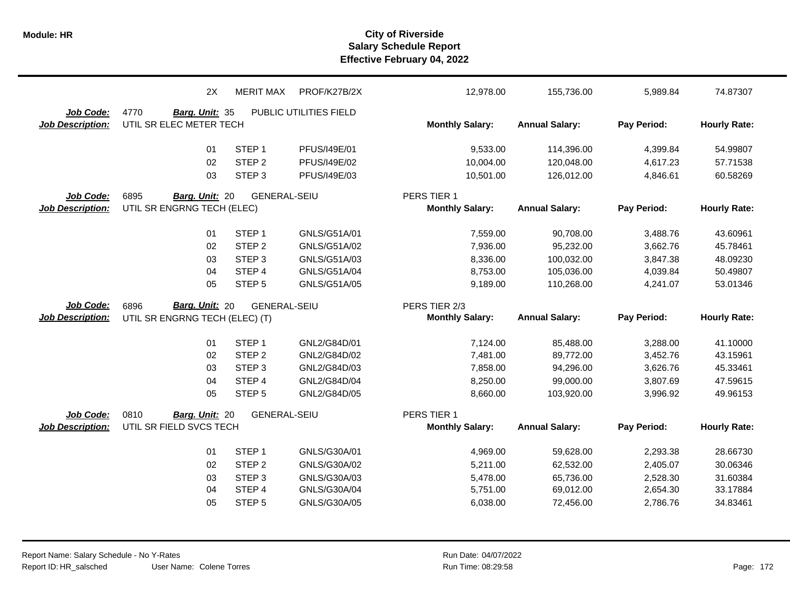|                                      | 2X                                                | <b>MERIT MAX</b>            | PROF/K27B/2X                 | 12,978.00                             | 155,736.00             | 5,989.84             | 74.87307             |
|--------------------------------------|---------------------------------------------------|-----------------------------|------------------------------|---------------------------------------|------------------------|----------------------|----------------------|
| Job Code:                            | 4770<br>Barg. Unit: 35                            |                             | PUBLIC UTILITIES FIELD       |                                       |                        |                      |                      |
| <b>Job Description:</b>              | UTIL SR ELEC METER TECH                           |                             |                              | <b>Monthly Salary:</b>                | <b>Annual Salary:</b>  | Pay Period:          | <b>Hourly Rate:</b>  |
|                                      |                                                   |                             |                              |                                       |                        |                      |                      |
|                                      | 01                                                | STEP <sub>1</sub>           | PFUS/I49E/01                 | 9,533.00                              | 114,396.00             | 4,399.84             | 54.99807             |
|                                      | 02                                                | STEP <sub>2</sub>           | PFUS/I49E/02                 | 10,004.00                             | 120,048.00             | 4,617.23             | 57.71538             |
|                                      | 03                                                | STEP <sub>3</sub>           | PFUS/I49E/03                 | 10,501.00                             | 126,012.00             | 4,846.61             | 60.58269             |
| Job Code:                            | 6895<br>Barg. Unit: 20                            | <b>GENERAL-SEIU</b>         |                              | PERS TIER 1                           |                        |                      |                      |
| <b>Job Description:</b>              | UTIL SR ENGRNG TECH (ELEC)                        |                             |                              | <b>Monthly Salary:</b>                | <b>Annual Salary:</b>  | Pay Period:          | <b>Hourly Rate:</b>  |
|                                      | 01                                                | STEP <sub>1</sub>           | GNLS/G51A/01                 | 7,559.00                              | 90,708.00              | 3,488.76             | 43.60961             |
|                                      | 02                                                | STEP <sub>2</sub>           | GNLS/G51A/02                 | 7,936.00                              | 95,232.00              | 3,662.76             | 45.78461             |
|                                      | 03                                                | STEP <sub>3</sub>           | GNLS/G51A/03                 | 8,336.00                              | 100,032.00             | 3,847.38             | 48.09230             |
|                                      | 04                                                | STEP 4                      | GNLS/G51A/04                 | 8,753.00                              | 105,036.00             | 4,039.84             | 50.49807             |
|                                      | 05                                                | STEP <sub>5</sub>           | GNLS/G51A/05                 | 9,189.00                              | 110,268.00             | 4,241.07             | 53.01346             |
|                                      |                                                   |                             |                              |                                       |                        |                      |                      |
| <b>Job Code:</b>                     | 6896                                              | <b>GENERAL-SEIU</b>         |                              | PERS TIER 2/3                         |                        |                      |                      |
| <b>Job Description:</b>              | Barg. Unit: 20<br>UTIL SR ENGRNG TECH (ELEC) (T)  |                             |                              | <b>Monthly Salary:</b>                | <b>Annual Salary:</b>  | Pay Period:          | <b>Hourly Rate:</b>  |
|                                      |                                                   | STEP <sub>1</sub>           | GNL2/G84D/01                 |                                       |                        |                      |                      |
|                                      | 01<br>02                                          | STEP <sub>2</sub>           | GNL2/G84D/02                 | 7,124.00<br>7,481.00                  | 85,488.00<br>89,772.00 | 3,288.00<br>3,452.76 | 41.10000<br>43.15961 |
|                                      | 03                                                | STEP <sub>3</sub>           | GNL2/G84D/03                 | 7,858.00                              | 94,296.00              | 3,626.76             | 45.33461             |
|                                      | 04                                                | STEP 4                      | GNL2/G84D/04                 | 8,250.00                              | 99,000.00              | 3,807.69             | 47.59615             |
|                                      | 05                                                | STEP <sub>5</sub>           | GNL2/G84D/05                 | 8,660.00                              | 103,920.00             | 3,996.92             | 49.96153             |
|                                      |                                                   |                             |                              |                                       |                        |                      |                      |
| Job Code:<br><b>Job Description:</b> | 0810<br>Barg. Unit: 20<br>UTIL SR FIELD SVCS TECH | <b>GENERAL-SEIU</b>         |                              | PERS TIER 1<br><b>Monthly Salary:</b> | <b>Annual Salary:</b>  | Pay Period:          | <b>Hourly Rate:</b>  |
|                                      |                                                   |                             |                              |                                       |                        |                      |                      |
|                                      | 01                                                | STEP <sub>1</sub>           | GNLS/G30A/01                 | 4,969.00                              | 59,628.00              | 2,293.38             | 28.66730             |
|                                      | 02                                                | STEP <sub>2</sub>           | GNLS/G30A/02                 | 5,211.00                              | 62,532.00              | 2,405.07             | 30.06346             |
|                                      | 03                                                | STEP <sub>3</sub>           | GNLS/G30A/03                 | 5,478.00                              | 65,736.00              | 2,528.30             | 31.60384             |
|                                      | 04<br>05                                          | STEP 4<br>STEP <sub>5</sub> | GNLS/G30A/04<br>GNLS/G30A/05 | 5,751.00<br>6,038.00                  | 69,012.00<br>72,456.00 | 2,654.30<br>2,786.76 | 33.17884<br>34.83461 |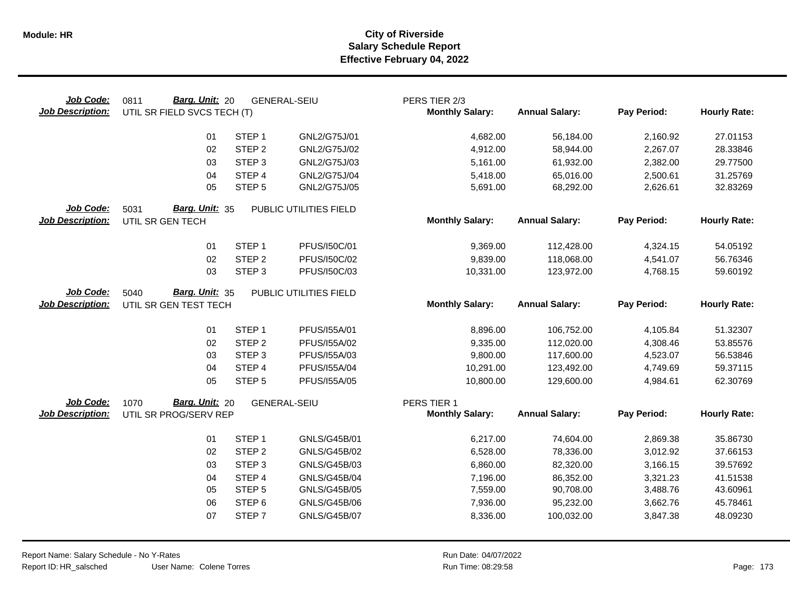| Job Code:<br><b>Job Description:</b> | Barg. Unit: 20<br>0811<br>UTIL SR FIELD SVCS TECH (T) |                   | <b>GENERAL-SEIU</b>    | PERS TIER 2/3<br><b>Monthly Salary:</b> | <b>Annual Salary:</b> | Pay Period:          | <b>Hourly Rate:</b> |
|--------------------------------------|-------------------------------------------------------|-------------------|------------------------|-----------------------------------------|-----------------------|----------------------|---------------------|
|                                      | 01                                                    | STEP <sub>1</sub> | GNL2/G75J/01           | 4,682.00                                | 56,184.00             | 2,160.92             | 27.01153            |
|                                      | 02                                                    | STEP <sub>2</sub> | GNL2/G75J/02           | 4,912.00                                | 58,944.00             | 2,267.07             | 28.33846            |
|                                      | 03                                                    | STEP <sub>3</sub> | GNL2/G75J/03           | 5,161.00                                | 61,932.00             | 2,382.00             | 29.77500            |
|                                      | 04                                                    | STEP 4            | GNL2/G75J/04           | 5,418.00                                | 65,016.00             | 2,500.61             | 31.25769            |
|                                      | 05                                                    | STEP <sub>5</sub> | GNL2/G75J/05           | 5,691.00                                | 68,292.00             | 2,626.61             | 32.83269            |
| Job Code:                            | Barg. Unit: 35<br>5031                                |                   | PUBLIC UTILITIES FIELD |                                         |                       |                      |                     |
| <b>Job Description:</b>              | UTIL SR GEN TECH                                      |                   |                        | <b>Monthly Salary:</b>                  | <b>Annual Salary:</b> | Pay Period:          | <b>Hourly Rate:</b> |
|                                      | 01                                                    | STEP <sub>1</sub> | PFUS/150C/01           | 9,369.00                                | 112,428.00            | 4,324.15             | 54.05192            |
|                                      | 02                                                    | STEP <sub>2</sub> | PFUS/150C/02           | 9,839.00                                | 118,068.00            | 4,541.07             | 56.76346            |
|                                      | 03                                                    | STEP <sub>3</sub> | PFUS/150C/03           | 10,331.00                               | 123,972.00            | 4,768.15             | 59.60192            |
| Job Code:                            | 5040<br>Barg. Unit: 35                                |                   | PUBLIC UTILITIES FIELD |                                         |                       |                      |                     |
| <b>Job Description:</b>              | UTIL SR GEN TEST TECH                                 |                   |                        | <b>Monthly Salary:</b>                  | <b>Annual Salary:</b> | Pay Period:          | <b>Hourly Rate:</b> |
|                                      | 01                                                    | STEP <sub>1</sub> | PFUS/155A/01           | 8,896.00                                | 106,752.00            |                      | 51.32307            |
|                                      | 02                                                    | STEP <sub>2</sub> | PFUS/155A/02           | 9,335.00                                | 112,020.00            | 4,105.84<br>4,308.46 | 53.85576            |
|                                      | 03                                                    | STEP <sub>3</sub> | PFUS/155A/03           | 9,800.00                                | 117,600.00            | 4,523.07             | 56.53846            |
|                                      | 04                                                    | STEP 4            | PFUS/155A/04           | 10,291.00                               | 123,492.00            | 4,749.69             | 59.37115            |
|                                      | 05                                                    | STEP <sub>5</sub> | PFUS/I55A/05           | 10,800.00                               | 129,600.00            | 4,984.61             | 62.30769            |
| Job Code:                            | Barg. Unit: 20<br>1070                                |                   | <b>GENERAL-SEIU</b>    | PERS TIER 1                             |                       |                      |                     |
| <b>Job Description:</b>              | UTIL SR PROG/SERV REP                                 |                   |                        | <b>Monthly Salary:</b>                  | <b>Annual Salary:</b> | Pay Period:          | <b>Hourly Rate:</b> |
|                                      | 01                                                    | STEP <sub>1</sub> | GNLS/G45B/01           | 6,217.00                                | 74,604.00             | 2,869.38             | 35.86730            |
|                                      | 02                                                    | STEP <sub>2</sub> | GNLS/G45B/02           | 6,528.00                                | 78,336.00             | 3,012.92             | 37.66153            |
|                                      | 03                                                    | STEP <sub>3</sub> | GNLS/G45B/03           | 6,860.00                                | 82,320.00             | 3,166.15             | 39.57692            |
|                                      | 04                                                    | STEP 4            | <b>GNLS/G45B/04</b>    | 7,196.00                                | 86,352.00             | 3,321.23             | 41.51538            |
|                                      | 05                                                    | STEP <sub>5</sub> | <b>GNLS/G45B/05</b>    | 7,559.00                                | 90,708.00             | 3,488.76             | 43.60961            |
|                                      | 06                                                    | STEP <sub>6</sub> | <b>GNLS/G45B/06</b>    | 7,936.00                                | 95,232.00             | 3,662.76             | 45.78461            |
|                                      | 07                                                    | STEP <sub>7</sub> | <b>GNLS/G45B/07</b>    | 8,336.00                                | 100,032.00            | 3,847.38             | 48.09230            |
|                                      |                                                       |                   |                        |                                         |                       |                      |                     |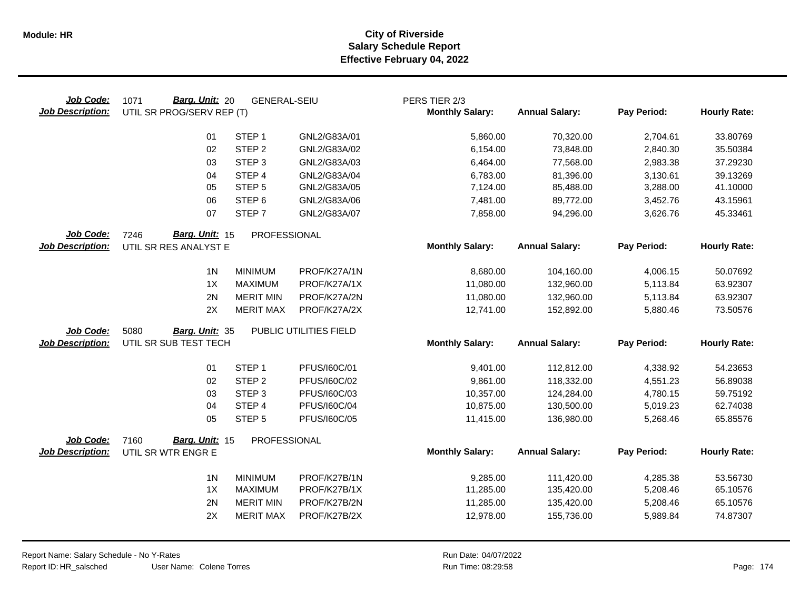| Job Code:<br><b>Job Description:</b> | Barg. Unit: 20<br>1071<br>UTIL SR PROG/SERV REP (T) | <b>GENERAL-SEIU</b> |                        | PERS TIER 2/3<br><b>Monthly Salary:</b> | <b>Annual Salary:</b> | Pay Period: | <b>Hourly Rate:</b> |
|--------------------------------------|-----------------------------------------------------|---------------------|------------------------|-----------------------------------------|-----------------------|-------------|---------------------|
|                                      | 01                                                  | STEP <sub>1</sub>   | GNL2/G83A/01           | 5,860.00                                | 70,320.00             | 2,704.61    | 33.80769            |
|                                      | 02                                                  | STEP <sub>2</sub>   | GNL2/G83A/02           | 6,154.00                                | 73,848.00             | 2,840.30    | 35.50384            |
|                                      | 03                                                  | STEP <sub>3</sub>   | GNL2/G83A/03           | 6,464.00                                | 77,568.00             | 2,983.38    | 37.29230            |
|                                      | 04                                                  | STEP 4              | GNL2/G83A/04           | 6,783.00                                | 81,396.00             | 3,130.61    | 39.13269            |
|                                      | 05                                                  | STEP <sub>5</sub>   | GNL2/G83A/05           | 7,124.00                                | 85,488.00             | 3,288.00    | 41.10000            |
|                                      | 06                                                  | STEP <sub>6</sub>   | GNL2/G83A/06           | 7,481.00                                | 89,772.00             | 3,452.76    | 43.15961            |
|                                      | 07                                                  | STEP <sub>7</sub>   | GNL2/G83A/07           | 7,858.00                                | 94,296.00             | 3,626.76    | 45.33461            |
| Job Code:                            | Barg. Unit: 15<br>7246                              | PROFESSIONAL        |                        |                                         |                       |             |                     |
| <b>Job Description:</b>              | UTIL SR RES ANALYST E                               |                     |                        | <b>Monthly Salary:</b>                  | <b>Annual Salary:</b> | Pay Period: | <b>Hourly Rate:</b> |
|                                      | 1 <sub>N</sub>                                      | <b>MINIMUM</b>      | PROF/K27A/1N           | 8,680.00                                | 104,160.00            | 4,006.15    | 50.07692            |
|                                      | 1X                                                  | <b>MAXIMUM</b>      | PROF/K27A/1X           | 11,080.00                               | 132,960.00            | 5,113.84    | 63.92307            |
|                                      | 2N                                                  | <b>MERIT MIN</b>    | PROF/K27A/2N           | 11,080.00                               | 132,960.00            | 5,113.84    | 63.92307            |
|                                      | 2X                                                  | <b>MERIT MAX</b>    | PROF/K27A/2X           | 12,741.00                               | 152,892.00            | 5,880.46    | 73.50576            |
| Job Code:                            | 5080<br>Barg. Unit: 35                              |                     | PUBLIC UTILITIES FIELD |                                         |                       |             |                     |
| <b>Job Description:</b>              | UTIL SR SUB TEST TECH                               |                     |                        | <b>Monthly Salary:</b>                  | <b>Annual Salary:</b> | Pay Period: | <b>Hourly Rate:</b> |
|                                      | 01                                                  | STEP <sub>1</sub>   | PFUS/160C/01           | 9,401.00                                | 112,812.00            | 4,338.92    | 54.23653            |
|                                      | 02                                                  | STEP <sub>2</sub>   | PFUS/160C/02           | 9,861.00                                | 118,332.00            | 4,551.23    | 56.89038            |
|                                      | 03                                                  | STEP <sub>3</sub>   | PFUS/160C/03           | 10,357.00                               | 124,284.00            | 4,780.15    | 59.75192            |
|                                      | 04                                                  | STEP 4              | PFUS/160C/04           | 10,875.00                               | 130,500.00            | 5,019.23    | 62.74038            |
|                                      | 05                                                  | STEP <sub>5</sub>   | PFUS/160C/05           | 11,415.00                               | 136,980.00            | 5,268.46    | 65.85576            |
| <b>Job Code:</b>                     | Barg. Unit: 15<br>7160                              | PROFESSIONAL        |                        |                                         |                       |             |                     |
| <b>Job Description:</b>              | UTIL SR WTR ENGR E                                  |                     |                        | <b>Monthly Salary:</b>                  | <b>Annual Salary:</b> | Pay Period: | <b>Hourly Rate:</b> |
|                                      | 1 <sub>N</sub>                                      | <b>MINIMUM</b>      | PROF/K27B/1N           | 9,285.00                                | 111,420.00            | 4,285.38    | 53.56730            |
|                                      | 1X                                                  | <b>MAXIMUM</b>      | PROF/K27B/1X           | 11,285.00                               | 135,420.00            | 5,208.46    | 65.10576            |
|                                      | 2N                                                  | <b>MERIT MIN</b>    | PROF/K27B/2N           | 11,285.00                               | 135,420.00            | 5,208.46    | 65.10576            |
|                                      | 2X                                                  | <b>MERIT MAX</b>    | PROF/K27B/2X           | 12,978.00                               | 155,736.00            | 5,989.84    | 74.87307            |
|                                      |                                                     |                     |                        |                                         |                       |             |                     |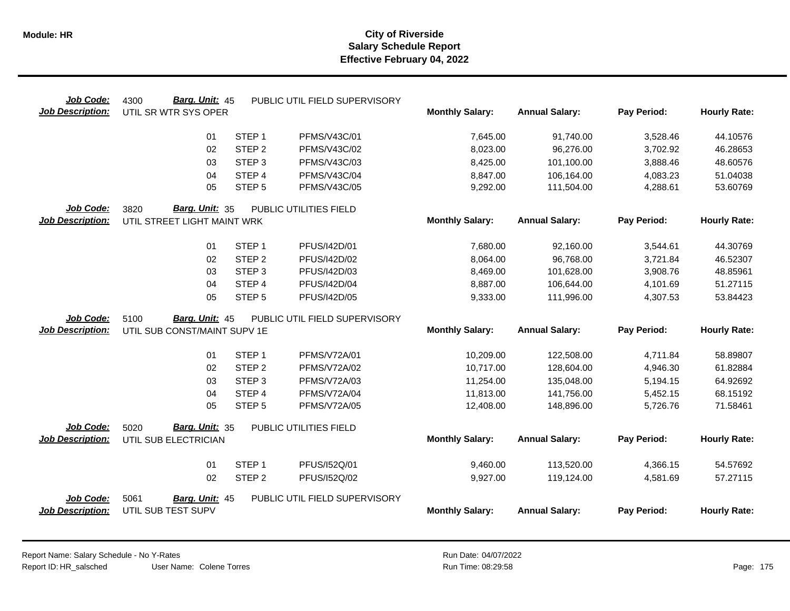| Job Code:                            | Barg. Unit: 45<br>4300                       |                   | PUBLIC UTIL FIELD SUPERVISORY |                        |                       |             |                     |
|--------------------------------------|----------------------------------------------|-------------------|-------------------------------|------------------------|-----------------------|-------------|---------------------|
| <b>Job Description:</b>              | UTIL SR WTR SYS OPER                         |                   |                               | <b>Monthly Salary:</b> | <b>Annual Salary:</b> | Pay Period: | <b>Hourly Rate:</b> |
|                                      | 01                                           | STEP <sub>1</sub> | PFMS/V43C/01                  | 7,645.00               | 91,740.00             | 3,528.46    | 44.10576            |
|                                      | 02                                           | STEP <sub>2</sub> | PFMS/V43C/02                  | 8,023.00               | 96,276.00             | 3,702.92    | 46.28653            |
|                                      | 03                                           | STEP <sub>3</sub> | PFMS/V43C/03                  | 8,425.00               | 101,100.00            | 3,888.46    | 48.60576            |
|                                      | 04                                           | STEP 4            | PFMS/V43C/04                  | 8,847.00               | 106,164.00            | 4,083.23    | 51.04038            |
|                                      | 05                                           | STEP <sub>5</sub> | PFMS/V43C/05                  | 9,292.00               | 111,504.00            | 4,288.61    | 53.60769            |
| Job Code:                            | Barg. Unit: 35<br>3820                       |                   | PUBLIC UTILITIES FIELD        |                        |                       |             |                     |
| <b>Job Description:</b>              | UTIL STREET LIGHT MAINT WRK                  |                   |                               | <b>Monthly Salary:</b> | <b>Annual Salary:</b> | Pay Period: | <b>Hourly Rate:</b> |
|                                      | 01                                           | STEP <sub>1</sub> | PFUS/I42D/01                  | 7,680.00               | 92,160.00             | 3,544.61    | 44.30769            |
|                                      | 02                                           | STEP <sub>2</sub> | PFUS/I42D/02                  | 8,064.00               | 96,768.00             | 3,721.84    | 46.52307            |
|                                      | 03                                           | STEP <sub>3</sub> | PFUS/I42D/03                  | 8,469.00               | 101,628.00            | 3,908.76    | 48.85961            |
|                                      | 04                                           | STEP 4            | PFUS/I42D/04                  | 8,887.00               | 106,644.00            | 4,101.69    | 51.27115            |
|                                      | 05                                           | STEP <sub>5</sub> | PFUS/I42D/05                  | 9,333.00               | 111,996.00            | 4,307.53    | 53.84423            |
| Job Code:                            | <b>Barg. Unit: 45</b><br>5100                |                   | PUBLIC UTIL FIELD SUPERVISORY |                        |                       |             |                     |
| <b>Job Description:</b>              | UTIL SUB CONST/MAINT SUPV 1E                 |                   |                               | <b>Monthly Salary:</b> | <b>Annual Salary:</b> | Pay Period: | <b>Hourly Rate:</b> |
|                                      | 01                                           | STEP <sub>1</sub> | PFMS/V72A/01                  | 10,209.00              | 122,508.00            | 4,711.84    | 58.89807            |
|                                      | 02                                           | STEP <sub>2</sub> | <b>PFMS/V72A/02</b>           | 10,717.00              | 128,604.00            | 4,946.30    | 61.82884            |
|                                      | 03                                           | STEP <sub>3</sub> | PFMS/V72A/03                  | 11,254.00              | 135,048.00            | 5,194.15    | 64.92692            |
|                                      | 04                                           | STEP 4            | <b>PFMS/V72A/04</b>           | 11,813.00              | 141,756.00            | 5,452.15    | 68.15192            |
|                                      | 05                                           | STEP <sub>5</sub> | <b>PFMS/V72A/05</b>           | 12,408.00              | 148,896.00            | 5,726.76    | 71.58461            |
| Job Code:                            | Barg. Unit: 35<br>5020                       |                   | PUBLIC UTILITIES FIELD        |                        |                       |             |                     |
| <b>Job Description:</b>              | UTIL SUB ELECTRICIAN                         |                   |                               | <b>Monthly Salary:</b> | <b>Annual Salary:</b> | Pay Period: | <b>Hourly Rate:</b> |
|                                      | 01                                           | STEP <sub>1</sub> | PFUS/I52Q/01                  | 9,460.00               | 113,520.00            | 4,366.15    | 54.57692            |
|                                      | 02                                           | STEP <sub>2</sub> | PFUS/I52Q/02                  | 9,927.00               | 119,124.00            | 4,581.69    | 57.27115            |
|                                      |                                              |                   |                               |                        |                       |             |                     |
| Job Code:<br><b>Job Description:</b> | 5061<br>Barg. Unit: 45<br>UTIL SUB TEST SUPV |                   | PUBLIC UTIL FIELD SUPERVISORY | <b>Monthly Salary:</b> | <b>Annual Salary:</b> | Pay Period: | <b>Hourly Rate:</b> |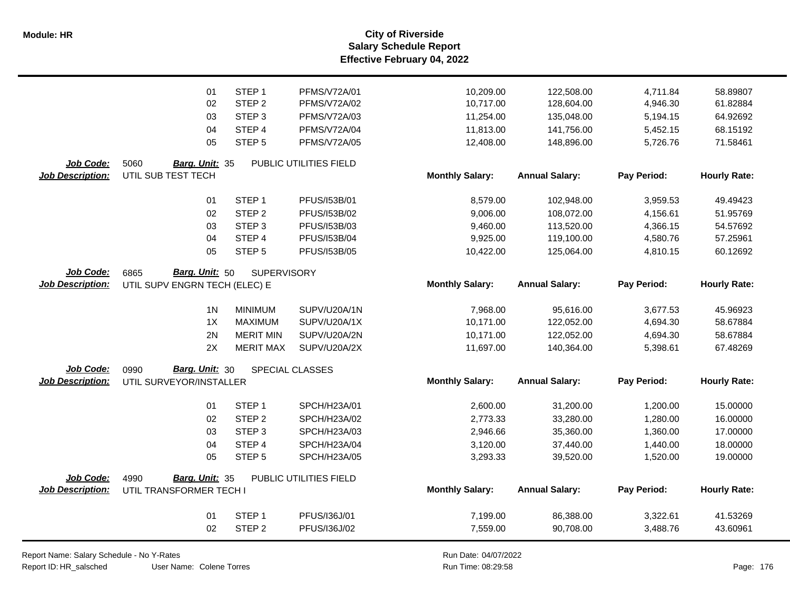**Salary Schedule Report Effective February 04, 2022 Module: HR City of Riverside**

|                         | 01                            | STEP <sub>1</sub>  | PFMS/V72A/01           | 10,209.00              | 122,508.00            | 4,711.84    | 58.89807            |
|-------------------------|-------------------------------|--------------------|------------------------|------------------------|-----------------------|-------------|---------------------|
|                         | 02                            | STEP <sub>2</sub>  | <b>PFMS/V72A/02</b>    | 10,717.00              | 128,604.00            | 4,946.30    | 61.82884            |
|                         | 03                            | STEP <sub>3</sub>  | PFMS/V72A/03           | 11,254.00              | 135,048.00            | 5,194.15    | 64.92692            |
|                         | 04                            | STEP 4             | PFMS/V72A/04           | 11,813.00              | 141,756.00            | 5,452.15    | 68.15192            |
|                         | 05                            | STEP <sub>5</sub>  | PFMS/V72A/05           | 12,408.00              | 148,896.00            | 5,726.76    | 71.58461            |
|                         |                               |                    |                        |                        |                       |             |                     |
| <b>Job Code:</b>        | 5060<br>Barg. Unit: 35        |                    | PUBLIC UTILITIES FIELD |                        |                       |             |                     |
| <b>Job Description:</b> | UTIL SUB TEST TECH            |                    |                        | <b>Monthly Salary:</b> | <b>Annual Salary:</b> | Pay Period: | <b>Hourly Rate:</b> |
|                         | 01                            | STEP <sub>1</sub>  | PFUS/153B/01           | 8,579.00               | 102,948.00            | 3,959.53    | 49.49423            |
|                         | 02                            | STEP <sub>2</sub>  | PFUS/153B/02           | 9,006.00               | 108,072.00            | 4,156.61    | 51.95769            |
|                         | 03                            | STEP <sub>3</sub>  | PFUS/153B/03           | 9,460.00               | 113,520.00            | 4,366.15    | 54.57692            |
|                         | 04                            | STEP 4             | PFUS/153B/04           | 9,925.00               | 119,100.00            | 4,580.76    | 57.25961            |
|                         | 05                            | STEP <sub>5</sub>  | PFUS/153B/05           | 10,422.00              | 125,064.00            | 4,810.15    | 60.12692            |
| Job Code:               | Barg. Unit: 50<br>6865        | <b>SUPERVISORY</b> |                        |                        |                       |             |                     |
| <b>Job Description:</b> | UTIL SUPV ENGRN TECH (ELEC) E |                    |                        | <b>Monthly Salary:</b> | <b>Annual Salary:</b> | Pay Period: | <b>Hourly Rate:</b> |
|                         | 1 <sup>N</sup>                | <b>MINIMUM</b>     | SUPV/U20A/1N           | 7,968.00               | 95,616.00             | 3,677.53    | 45.96923            |
|                         | 1X                            | <b>MAXIMUM</b>     | SUPV/U20A/1X           | 10,171.00              | 122,052.00            | 4,694.30    | 58.67884            |
|                         | 2N                            | <b>MERIT MIN</b>   | SUPV/U20A/2N           | 10,171.00              | 122,052.00            | 4,694.30    | 58.67884            |
|                         | 2X                            | <b>MERIT MAX</b>   | SUPV/U20A/2X           | 11,697.00              | 140,364.00            | 5,398.61    | 67.48269            |
| Job Code:               | Barg. Unit: 30<br>0990        |                    | SPECIAL CLASSES        |                        |                       |             |                     |
| <b>Job Description:</b> | UTIL SURVEYOR/INSTALLER       |                    |                        | <b>Monthly Salary:</b> | <b>Annual Salary:</b> | Pay Period: | <b>Hourly Rate:</b> |
|                         | 01                            | STEP <sub>1</sub>  | SPCH/H23A/01           | 2,600.00               | 31,200.00             | 1,200.00    | 15.00000            |
|                         | 02                            | STEP <sub>2</sub>  | SPCH/H23A/02           | 2,773.33               | 33,280.00             | 1,280.00    | 16.00000            |
|                         | 03                            | STEP <sub>3</sub>  | SPCH/H23A/03           | 2,946.66               | 35,360.00             | 1,360.00    | 17.00000            |
|                         | 04                            | STEP 4             | SPCH/H23A/04           | 3,120.00               | 37,440.00             | 1,440.00    | 18.00000            |
|                         | 05                            | STEP <sub>5</sub>  | SPCH/H23A/05           | 3,293.33               | 39,520.00             | 1,520.00    | 19.00000            |
| Job Code:               | Barg. Unit: 35<br>4990        |                    | PUBLIC UTILITIES FIELD |                        |                       |             |                     |
| <b>Job Description:</b> | UTIL TRANSFORMER TECH I       |                    |                        | <b>Monthly Salary:</b> | <b>Annual Salary:</b> | Pay Period: | <b>Hourly Rate:</b> |
|                         | 01                            | STEP <sub>1</sub>  | PFUS/136J/01           | 7,199.00               | 86,388.00             | 3,322.61    | 41.53269            |
|                         | 02                            | STEP <sub>2</sub>  | PFUS/136J/02           | 7,559.00               | 90,708.00             | 3,488.76    | 43.60961            |

Report Name: Salary Schedule - No Y-Rates

Report ID: HR\_salsched

 $\overline{\phantom{0}}$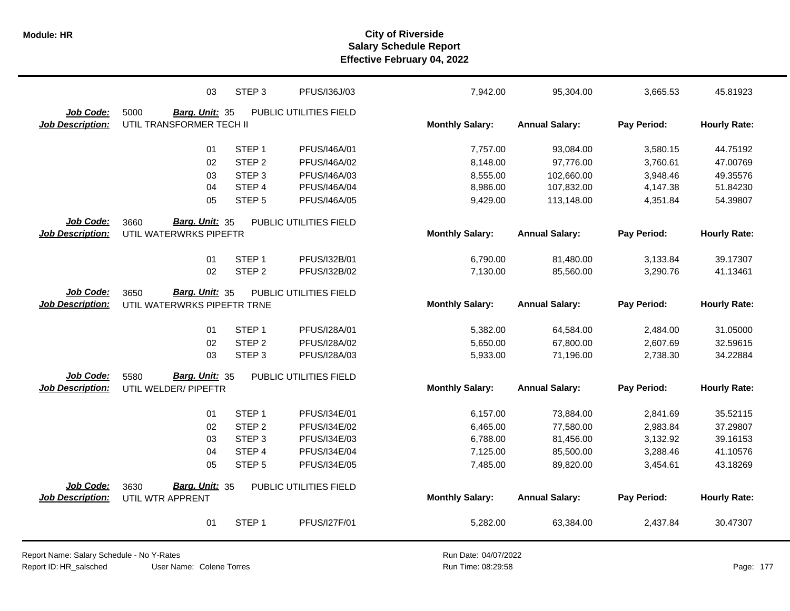|                         | 03                            | STEP <sub>3</sub> | PFUS/136J/03           | 7,942.00               | 95,304.00             | 3,665.53    | 45.81923            |
|-------------------------|-------------------------------|-------------------|------------------------|------------------------|-----------------------|-------------|---------------------|
| Job Code:               | 5000<br>Barg. Unit: 35        |                   | PUBLIC UTILITIES FIELD |                        |                       |             |                     |
| <b>Job Description:</b> | UTIL TRANSFORMER TECH II      |                   |                        | <b>Monthly Salary:</b> | <b>Annual Salary:</b> | Pay Period: | <b>Hourly Rate:</b> |
|                         | 01                            | STEP <sub>1</sub> | PFUS/I46A/01           | 7,757.00               | 93,084.00             | 3,580.15    | 44.75192            |
|                         | 02                            | STEP <sub>2</sub> | PFUS/I46A/02           | 8,148.00               | 97,776.00             | 3,760.61    | 47.00769            |
|                         | 03                            | STEP <sub>3</sub> | PFUS/I46A/03           | 8,555.00               | 102,660.00            | 3,948.46    | 49.35576            |
|                         | 04                            | STEP 4            | PFUS/I46A/04           | 8,986.00               | 107,832.00            | 4,147.38    | 51.84230            |
|                         | 05                            | STEP <sub>5</sub> | <b>PFUS/I46A/05</b>    | 9,429.00               | 113,148.00            | 4,351.84    | 54.39807            |
| <b>Job Code:</b>        | 3660<br><b>Barg. Unit: 35</b> |                   | PUBLIC UTILITIES FIELD |                        |                       |             |                     |
| <b>Job Description:</b> | UTIL WATERWRKS PIPEFTR        |                   |                        | <b>Monthly Salary:</b> | <b>Annual Salary:</b> | Pay Period: | <b>Hourly Rate:</b> |
|                         | 01                            | STEP <sub>1</sub> | PFUS/I32B/01           | 6,790.00               | 81,480.00             | 3,133.84    | 39.17307            |
|                         | 02                            | STEP <sub>2</sub> | PFUS/I32B/02           | 7,130.00               | 85,560.00             | 3,290.76    | 41.13461            |
|                         |                               |                   |                        |                        |                       |             |                     |
| Job Code:               | Barg. Unit: 35<br>3650        |                   | PUBLIC UTILITIES FIELD |                        |                       |             |                     |
| <b>Job Description:</b> | UTIL WATERWRKS PIPEFTR TRNE   |                   |                        | <b>Monthly Salary:</b> | <b>Annual Salary:</b> | Pay Period: | <b>Hourly Rate:</b> |
|                         | 01                            | STEP <sub>1</sub> | PFUS/I28A/01           | 5,382.00               | 64,584.00             | 2,484.00    | 31.05000            |
|                         | 02                            | STEP <sub>2</sub> | PFUS/I28A/02           | 5,650.00               | 67,800.00             | 2,607.69    | 32.59615            |
|                         | 03                            | STEP <sub>3</sub> | PFUS/I28A/03           | 5,933.00               | 71,196.00             | 2,738.30    | 34.22884            |
|                         |                               |                   |                        |                        |                       |             |                     |
| Job Code:               | 5580<br>Barg. Unit: 35        |                   | PUBLIC UTILITIES FIELD |                        |                       |             |                     |
| <b>Job Description:</b> | UTIL WELDER/ PIPEFTR          |                   |                        | <b>Monthly Salary:</b> | <b>Annual Salary:</b> | Pay Period: | <b>Hourly Rate:</b> |
|                         | 01                            | STEP <sub>1</sub> | PFUS/I34E/01           | 6,157.00               | 73,884.00             | 2,841.69    | 35.52115            |
|                         | 02                            | STEP <sub>2</sub> | PFUS/I34E/02           | 6,465.00               | 77,580.00             | 2,983.84    | 37.29807            |
|                         | 03                            | STEP <sub>3</sub> | PFUS/I34E/03           | 6,788.00               | 81,456.00             | 3,132.92    | 39.16153            |
|                         | 04                            | STEP 4            | PFUS/I34E/04           | 7,125.00               | 85,500.00             | 3,288.46    | 41.10576            |
|                         | 05                            | STEP <sub>5</sub> | PFUS/I34E/05           | 7,485.00               | 89,820.00             | 3,454.61    | 43.18269            |
|                         |                               |                   |                        |                        |                       |             |                     |
| Job Code:               | Barg. Unit: 35<br>3630        |                   | PUBLIC UTILITIES FIELD |                        |                       |             |                     |
| <b>Job Description:</b> | UTIL WTR APPRENT              |                   |                        | <b>Monthly Salary:</b> | <b>Annual Salary:</b> | Pay Period: | <b>Hourly Rate:</b> |
|                         | 01                            | STEP <sub>1</sub> | PFUS/127F/01           | 5,282.00               | 63,384.00             | 2,437.84    | 30.47307            |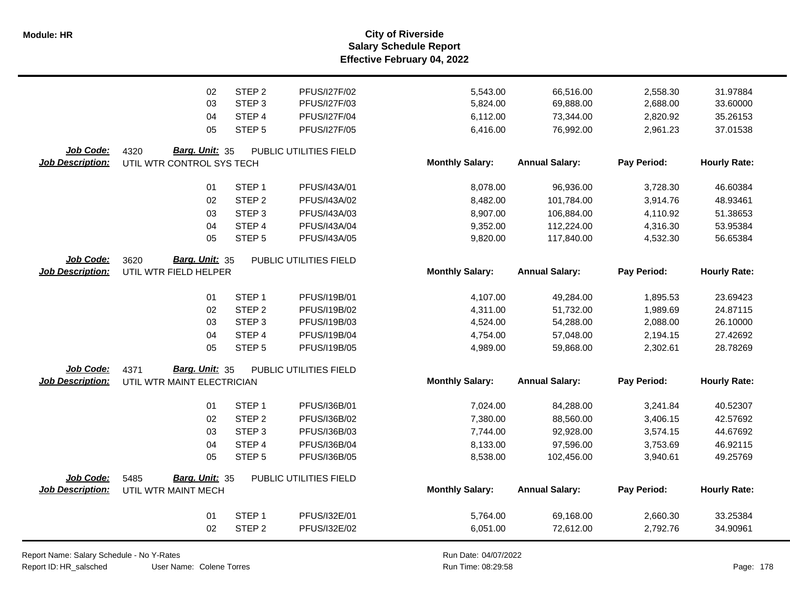**Salary Schedule Report Effective February 04, 2022 Module: HR City of Riverside**

|                         | 02                         | STEP <sub>2</sub> | PFUS/I27F/02           | 5,543.00               | 66,516.00             | 2,558.30    | 31.97884            |
|-------------------------|----------------------------|-------------------|------------------------|------------------------|-----------------------|-------------|---------------------|
|                         | 03                         | STEP <sub>3</sub> | PFUS/I27F/03           | 5,824.00               | 69,888.00             | 2,688.00    | 33.60000            |
|                         | 04                         | STEP <sub>4</sub> | <b>PFUS/I27F/04</b>    | 6,112.00               | 73,344.00             | 2,820.92    | 35.26153            |
|                         | 05                         | STEP <sub>5</sub> | PFUS/I27F/05           | 6,416.00               | 76,992.00             | 2,961.23    | 37.01538            |
| Job Code:               | 4320<br>Barg. Unit: 35     |                   | PUBLIC UTILITIES FIELD |                        |                       |             |                     |
| <b>Job Description:</b> | UTIL WTR CONTROL SYS TECH  |                   |                        | <b>Monthly Salary:</b> | <b>Annual Salary:</b> | Pay Period: | <b>Hourly Rate:</b> |
|                         | 01                         | STEP <sub>1</sub> | PFUS/I43A/01           | 8,078.00               | 96,936.00             | 3,728.30    | 46.60384            |
|                         | 02                         | STEP <sub>2</sub> | PFUS/I43A/02           | 8,482.00               | 101,784.00            | 3,914.76    | 48.93461            |
|                         | 03                         | STEP <sub>3</sub> | PFUS/I43A/03           | 8,907.00               | 106,884.00            | 4,110.92    | 51.38653            |
|                         | 04                         | STEP 4            | PFUS/I43A/04           | 9,352.00               | 112,224.00            | 4,316.30    | 53.95384            |
|                         | 05                         | STEP <sub>5</sub> | PFUS/I43A/05           | 9,820.00               | 117,840.00            | 4,532.30    | 56.65384            |
| Job Code:               | Barg. Unit: 35<br>3620     |                   | PUBLIC UTILITIES FIELD |                        |                       |             |                     |
| <b>Job Description:</b> | UTIL WTR FIELD HELPER      |                   |                        | <b>Monthly Salary:</b> | <b>Annual Salary:</b> | Pay Period: | <b>Hourly Rate:</b> |
|                         | 01                         | STEP <sub>1</sub> | PFUS/I19B/01           | 4,107.00               | 49,284.00             | 1,895.53    | 23.69423            |
|                         | 02                         | STEP <sub>2</sub> | PFUS/I19B/02           | 4,311.00               | 51,732.00             | 1,989.69    | 24.87115            |
|                         | 03                         | STEP <sub>3</sub> | PFUS/I19B/03           | 4,524.00               | 54,288.00             | 2,088.00    | 26.10000            |
|                         | 04                         | STEP 4            | PFUS/I19B/04           | 4,754.00               | 57,048.00             | 2,194.15    | 27.42692            |
|                         | 05                         | STEP <sub>5</sub> | PFUS/I19B/05           | 4,989.00               | 59,868.00             | 2,302.61    | 28.78269            |
| Job Code:               | Barg. Unit: 35<br>4371     |                   | PUBLIC UTILITIES FIELD |                        |                       |             |                     |
| <b>Job Description:</b> | UTIL WTR MAINT ELECTRICIAN |                   |                        | <b>Monthly Salary:</b> | <b>Annual Salary:</b> | Pay Period: | <b>Hourly Rate:</b> |
|                         | 01                         | STEP <sub>1</sub> | PFUS/I36B/01           | 7,024.00               | 84,288.00             | 3,241.84    | 40.52307            |
|                         | 02                         | STEP <sub>2</sub> | PFUS/I36B/02           | 7,380.00               | 88,560.00             | 3,406.15    | 42.57692            |
|                         | 03                         | STEP <sub>3</sub> | PFUS/I36B/03           | 7,744.00               | 92,928.00             | 3,574.15    | 44.67692            |
|                         | 04                         | STEP 4            | PFUS/I36B/04           | 8,133.00               | 97,596.00             | 3,753.69    | 46.92115            |
|                         | 05                         | STEP <sub>5</sub> | PFUS/I36B/05           | 8,538.00               | 102,456.00            | 3,940.61    | 49.25769            |
| Job Code:               | Barg. Unit: 35<br>5485     |                   | PUBLIC UTILITIES FIELD |                        |                       |             |                     |
| <b>Job Description:</b> | UTIL WTR MAINT MECH        |                   |                        | <b>Monthly Salary:</b> | <b>Annual Salary:</b> | Pay Period: | <b>Hourly Rate:</b> |
|                         | 01                         | STEP <sub>1</sub> | PFUS/I32E/01           | 5,764.00               | 69,168.00             | 2,660.30    | 33.25384            |
|                         | 02                         | STEP <sub>2</sub> | PFUS/I32E/02           | 6,051.00               | 72,612.00             | 2,792.76    | 34.90961            |

Report Name: Salary Schedule - No Y-Rates

Report ID: HR\_salsched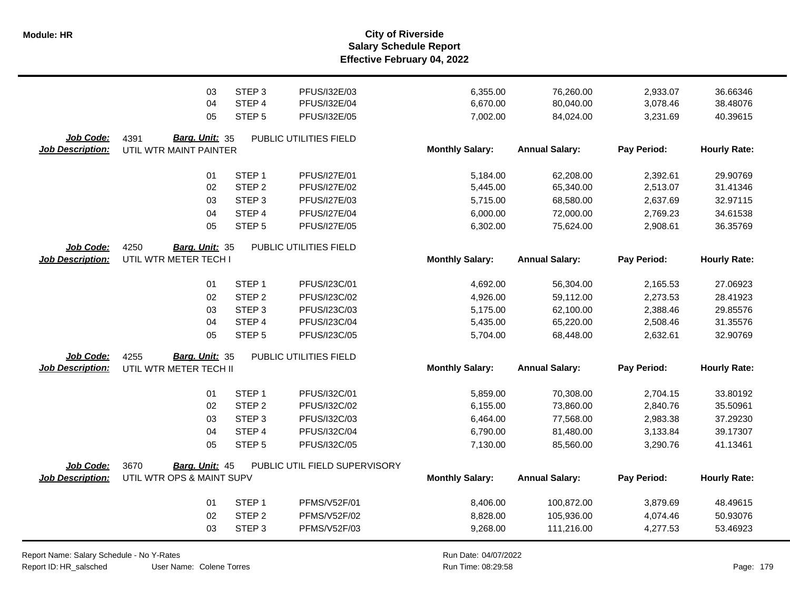|                                             | 03                                                    | STEP <sub>3</sub> | PFUS/I32E/03                                  | 6,355.00                           | 76,260.00                          | 2,933.07                | 36.66346                        |
|---------------------------------------------|-------------------------------------------------------|-------------------|-----------------------------------------------|------------------------------------|------------------------------------|-------------------------|---------------------------------|
|                                             | 04                                                    | STEP 4            | PFUS/I32E/04                                  | 6,670.00                           | 80,040.00                          | 3,078.46                | 38.48076                        |
|                                             | 05                                                    | STEP <sub>5</sub> | PFUS/I32E/05                                  | 7,002.00                           | 84,024.00                          | 3,231.69                | 40.39615                        |
| <b>Job Code:</b><br><b>Job Description:</b> | 4391<br>Barg. Unit: 35<br>UTIL WTR MAINT PAINTER      |                   | PUBLIC UTILITIES FIELD                        | <b>Monthly Salary:</b>             | <b>Annual Salary:</b>              | Pay Period:             | <b>Hourly Rate:</b>             |
|                                             | 01                                                    | STEP <sub>1</sub> | <b>PFUS/I27E/01</b>                           | 5,184.00                           | 62,208.00                          | 2,392.61                | 29.90769                        |
|                                             | 02                                                    | STEP <sub>2</sub> | <b>PFUS/I27E/02</b>                           | 5,445.00                           | 65,340.00                          | 2,513.07                | 31.41346                        |
|                                             | 03                                                    | STEP <sub>3</sub> | PFUS/I27E/03                                  | 5,715.00                           | 68,580.00                          | 2,637.69                | 32.97115                        |
|                                             | 04                                                    | STEP 4            | <b>PFUS/I27E/04</b>                           | 6,000.00                           | 72,000.00                          | 2,769.23                | 34.61538                        |
| Job Code:<br><b>Job Description:</b>        | 05<br>4250<br>Barg. Unit: 35<br>UTIL WTR METER TECH I | STEP <sub>5</sub> | <b>PFUS/I27E/05</b><br>PUBLIC UTILITIES FIELD | 6,302.00<br><b>Monthly Salary:</b> | 75,624.00<br><b>Annual Salary:</b> | 2,908.61<br>Pay Period: | 36.35769<br><b>Hourly Rate:</b> |
|                                             | 01                                                    | STEP <sub>1</sub> | PFUS/I23C/01                                  | 4,692.00                           | 56,304.00                          | 2,165.53                | 27.06923                        |
|                                             | 02                                                    | STEP <sub>2</sub> | PFUS/I23C/02                                  | 4,926.00                           | 59,112.00                          | 2,273.53                | 28.41923                        |
|                                             | 03                                                    | STEP <sub>3</sub> | PFUS/I23C/03                                  | 5,175.00                           | 62,100.00                          | 2,388.46                | 29.85576                        |
|                                             | 04                                                    | STEP 4            | PFUS/I23C/04                                  | 5,435.00                           | 65,220.00                          | 2,508.46                | 31.35576                        |
|                                             | 05                                                    | STEP <sub>5</sub> | PFUS/I23C/05                                  | 5,704.00                           | 68,448.00                          | 2,632.61                | 32.90769                        |
| Job Code:<br><b>Job Description:</b>        | Barg. Unit: 35<br>4255<br>UTIL WTR METER TECH II      |                   | PUBLIC UTILITIES FIELD                        | <b>Monthly Salary:</b>             | <b>Annual Salary:</b>              | Pay Period:             | <b>Hourly Rate:</b>             |
|                                             | 01                                                    | STEP <sub>1</sub> | PFUS/I32C/01                                  | 5,859.00                           | 70,308.00                          | 2,704.15                | 33.80192                        |
|                                             | 02                                                    | STEP <sub>2</sub> | PFUS/I32C/02                                  | 6,155.00                           | 73,860.00                          | 2,840.76                | 35.50961                        |
|                                             | 03                                                    | STEP <sub>3</sub> | PFUS/I32C/03                                  | 6,464.00                           | 77,568.00                          | 2,983.38                | 37.29230                        |
|                                             | 04                                                    | STEP 4            | PFUS/I32C/04                                  | 6,790.00                           | 81,480.00                          | 3,133.84                | 39.17307                        |
|                                             | 05                                                    | STEP <sub>5</sub> | PFUS/I32C/05                                  | 7,130.00                           | 85,560.00                          | 3,290.76                | 41.13461                        |
| Job Code:<br><b>Job Description:</b>        | 3670<br>Barg. Unit: 45<br>UTIL WTR OPS & MAINT SUPV   |                   | PUBLIC UTIL FIELD SUPERVISORY                 | <b>Monthly Salary:</b>             | <b>Annual Salary:</b>              | Pay Period:             | <b>Hourly Rate:</b>             |
|                                             | 01                                                    | STEP <sub>1</sub> | PFMS/V52F/01                                  | 8,406.00                           | 100,872.00                         | 3,879.69                | 48.49615                        |
|                                             | 02                                                    | STEP <sub>2</sub> | <b>PFMS/V52F/02</b>                           | 8,828.00                           | 105,936.00                         | 4,074.46                | 50.93076                        |
|                                             | 03                                                    | STEP <sub>3</sub> | <b>PFMS/V52F/03</b>                           | 9,268.00                           | 111,216.00                         | 4,277.53                | 53.46923                        |

Report Name: Salary Schedule - No Y-Rates Report ID: HR\_salsched

User Name: Colene Torres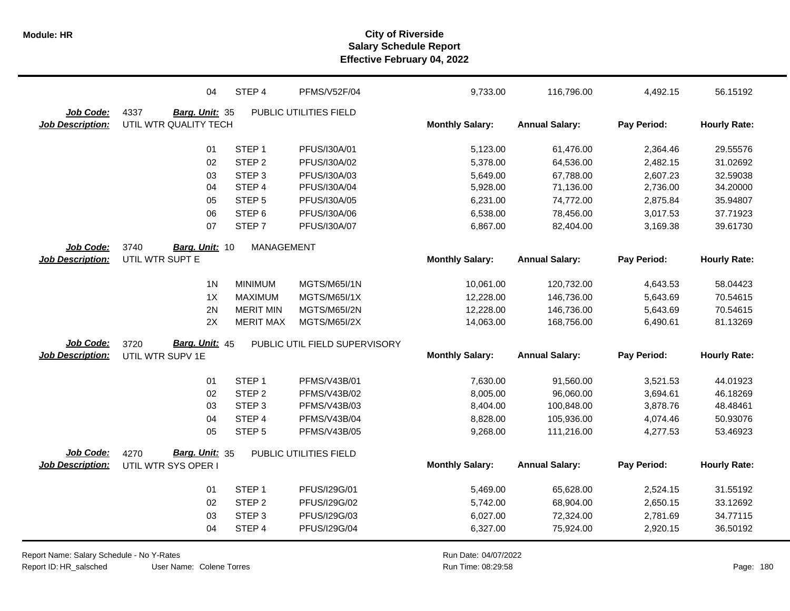|                         | 04                     | STEP 4                      | <b>PFMS/V52F/04</b>           | 9,733.00               | 116,796.00            | 4,492.15    | 56.15192            |
|-------------------------|------------------------|-----------------------------|-------------------------------|------------------------|-----------------------|-------------|---------------------|
| Job Code:               | 4337<br>Barg. Unit: 35 |                             | PUBLIC UTILITIES FIELD        |                        |                       |             |                     |
| <b>Job Description:</b> | UTIL WTR QUALITY TECH  |                             |                               | <b>Monthly Salary:</b> | <b>Annual Salary:</b> | Pay Period: | <b>Hourly Rate:</b> |
|                         |                        |                             |                               |                        |                       |             |                     |
|                         | 01                     | STEP <sub>1</sub>           | PFUS/I30A/01                  | 5,123.00               | 61,476.00             | 2,364.46    | 29.55576            |
|                         | 02                     | STEP <sub>2</sub>           | PFUS/I30A/02                  | 5,378.00               | 64,536.00             | 2,482.15    | 31.02692            |
|                         | 03                     | STEP <sub>3</sub>           | PFUS/I30A/03                  | 5,649.00               | 67,788.00             | 2,607.23    | 32.59038            |
|                         | 04                     | STEP 4                      | PFUS/I30A/04                  | 5,928.00               | 71,136.00             | 2,736.00    | 34.20000            |
|                         | 05                     | STEP <sub>5</sub>           | PFUS/I30A/05                  | 6,231.00               | 74,772.00             | 2,875.84    | 35.94807            |
|                         | 06                     | STEP <sub>6</sub>           | PFUS/I30A/06                  | 6,538.00               | 78,456.00             | 3,017.53    | 37.71923            |
|                         | 07                     | STEP <sub>7</sub>           | PFUS/I30A/07                  | 6,867.00               | 82,404.00             | 3,169.38    | 39.61730            |
| Job Code:               | 3740<br>Barg. Unit: 10 | <b>MANAGEMENT</b>           |                               |                        |                       |             |                     |
| <b>Job Description:</b> | UTIL WTR SUPT E        |                             |                               | <b>Monthly Salary:</b> | <b>Annual Salary:</b> | Pay Period: | <b>Hourly Rate:</b> |
|                         | 1 <sub>N</sub>         | <b>MINIMUM</b>              | <b>MGTS/M65I/1N</b>           | 10,061.00              | 120,732.00            | 4,643.53    | 58.04423            |
|                         | 1X                     | <b>MAXIMUM</b>              | <b>MGTS/M65I/1X</b>           | 12,228.00              | 146,736.00            | 5,643.69    | 70.54615            |
|                         | 2N                     | <b>MERIT MIN</b>            | <b>MGTS/M65I/2N</b>           | 12,228.00              | 146,736.00            | 5,643.69    | 70.54615            |
|                         | 2X                     | <b>MERIT MAX</b>            | <b>MGTS/M65I/2X</b>           | 14,063.00              | 168,756.00            | 6,490.61    | 81.13269            |
| Job Code:               | Barg. Unit: 45<br>3720 |                             | PUBLIC UTIL FIELD SUPERVISORY |                        |                       |             |                     |
| <b>Job Description:</b> | UTIL WTR SUPV 1E       |                             |                               | <b>Monthly Salary:</b> | <b>Annual Salary:</b> | Pay Period: | <b>Hourly Rate:</b> |
|                         |                        |                             |                               |                        |                       |             |                     |
|                         | 01                     | STEP <sub>1</sub>           | PFMS/V43B/01                  | 7,630.00               | 91,560.00             | 3,521.53    | 44.01923            |
|                         | 02                     | STEP <sub>2</sub>           | PFMS/V43B/02                  | 8,005.00               | 96,060.00             | 3,694.61    | 46.18269            |
|                         | 03                     | STEP <sub>3</sub><br>STEP 4 | PFMS/V43B/03                  | 8,404.00               | 100,848.00            | 3,878.76    | 48.48461            |
|                         | 04                     |                             | PFMS/V43B/04                  | 8,828.00               | 105,936.00            | 4,074.46    | 50.93076            |
|                         | 05                     | STEP <sub>5</sub>           | PFMS/V43B/05                  | 9,268.00               | 111,216.00            | 4,277.53    | 53.46923            |
| Job Code:               | Barg. Unit: 35<br>4270 |                             | PUBLIC UTILITIES FIELD        |                        |                       |             |                     |
| <b>Job Description:</b> | UTIL WTR SYS OPER I    |                             |                               | <b>Monthly Salary:</b> | <b>Annual Salary:</b> | Pay Period: | <b>Hourly Rate:</b> |
|                         | 01                     | STEP <sub>1</sub>           | PFUS/I29G/01                  | 5,469.00               | 65,628.00             | 2,524.15    | 31.55192            |
|                         | 02                     | STEP <sub>2</sub>           | PFUS/I29G/02                  | 5,742.00               | 68,904.00             | 2,650.15    | 33.12692            |
|                         | 03                     | STEP <sub>3</sub>           | PFUS/I29G/03                  | 6,027.00               | 72,324.00             | 2,781.69    | 34.77115            |
|                         | 04                     | STEP 4                      | PFUS/I29G/04                  | 6,327.00               | 75,924.00             | 2,920.15    | 36.50192            |
|                         |                        |                             |                               |                        |                       |             |                     |

User Name: Colene Torres Report Name: Salary Schedule - No Y-Rates Report ID: HR\_salsched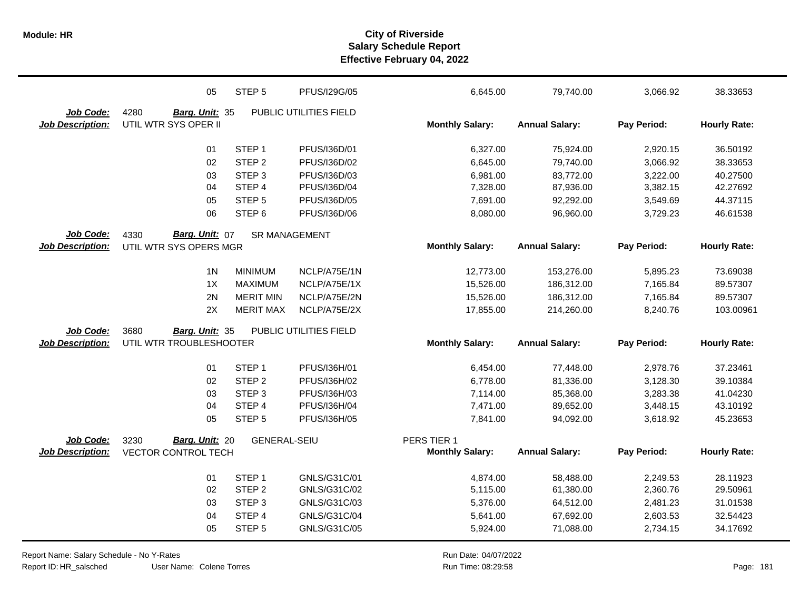|                         | 05                         | STEP <sub>5</sub>    | PFUS/I29G/05           | 6,645.00               | 79,740.00             | 3,066.92    | 38.33653            |
|-------------------------|----------------------------|----------------------|------------------------|------------------------|-----------------------|-------------|---------------------|
| Job Code:               | 4280<br>Barg. Unit: 35     |                      | PUBLIC UTILITIES FIELD |                        |                       |             |                     |
| <b>Job Description:</b> | UTIL WTR SYS OPER II       |                      |                        | <b>Monthly Salary:</b> | <b>Annual Salary:</b> | Pay Period: | <b>Hourly Rate:</b> |
|                         | 01                         | STEP <sub>1</sub>    | PFUS/I36D/01           | 6,327.00               | 75,924.00             | 2,920.15    | 36.50192            |
|                         | 02                         | STEP <sub>2</sub>    | PFUS/I36D/02           | 6,645.00               | 79,740.00             | 3,066.92    | 38.33653            |
|                         | 03                         | STEP <sub>3</sub>    | PFUS/I36D/03           | 6,981.00               | 83,772.00             | 3,222.00    | 40.27500            |
|                         | 04                         | STEP 4               | PFUS/I36D/04           | 7,328.00               | 87,936.00             | 3,382.15    | 42.27692            |
|                         | 05                         | STEP <sub>5</sub>    | PFUS/I36D/05           | 7,691.00               | 92,292.00             | 3,549.69    | 44.37115            |
|                         | 06                         | STEP <sub>6</sub>    | PFUS/I36D/06           | 8,080.00               | 96,960.00             | 3,729.23    | 46.61538            |
| Job Code:               | Barg. Unit: 07<br>4330     | <b>SR MANAGEMENT</b> |                        |                        |                       |             |                     |
| <b>Job Description:</b> | UTIL WTR SYS OPERS MGR     |                      |                        | <b>Monthly Salary:</b> | <b>Annual Salary:</b> | Pay Period: | <b>Hourly Rate:</b> |
|                         | 1 <sub>N</sub>             | <b>MINIMUM</b>       | NCLP/A75E/1N           | 12,773.00              | 153,276.00            | 5,895.23    | 73.69038            |
|                         | 1X                         | <b>MAXIMUM</b>       | NCLP/A75E/1X           | 15,526.00              | 186,312.00            | 7,165.84    | 89.57307            |
|                         | 2N                         | <b>MERIT MIN</b>     | NCLP/A75E/2N           | 15,526.00              | 186,312.00            | 7,165.84    | 89.57307            |
|                         | 2X                         | <b>MERIT MAX</b>     | NCLP/A75E/2X           | 17,855.00              | 214,260.00            | 8,240.76    | 103.00961           |
| Job Code:               | 3680<br>Barg. Unit: 35     |                      | PUBLIC UTILITIES FIELD |                        |                       |             |                     |
| <b>Job Description:</b> | UTIL WTR TROUBLESHOOTER    |                      |                        | <b>Monthly Salary:</b> | <b>Annual Salary:</b> | Pay Period: | <b>Hourly Rate:</b> |
|                         | 01                         | STEP <sub>1</sub>    | PFUS/I36H/01           | 6,454.00               | 77,448.00             | 2,978.76    | 37.23461            |
|                         | 02                         | STEP <sub>2</sub>    | PFUS/I36H/02           | 6,778.00               | 81,336.00             | 3,128.30    | 39.10384            |
|                         | 03                         | STEP <sub>3</sub>    | PFUS/I36H/03           | 7,114.00               | 85,368.00             | 3,283.38    | 41.04230            |
|                         | 04                         | STEP 4               | PFUS/I36H/04           | 7,471.00               | 89,652.00             | 3,448.15    | 43.10192            |
|                         | 05                         | STEP <sub>5</sub>    | PFUS/I36H/05           | 7,841.00               | 94,092.00             | 3,618.92    | 45.23653            |
| <b>Job Code:</b>        | Barg. Unit: 20<br>3230     | <b>GENERAL-SEIU</b>  |                        | PERS TIER 1            |                       |             |                     |
| <b>Job Description:</b> | <b>VECTOR CONTROL TECH</b> |                      |                        | <b>Monthly Salary:</b> | <b>Annual Salary:</b> | Pay Period: | <b>Hourly Rate:</b> |
|                         | 01                         | STEP <sub>1</sub>    | GNLS/G31C/01           | 4,874.00               | 58,488.00             | 2,249.53    | 28.11923            |
|                         | 02                         | STEP <sub>2</sub>    | GNLS/G31C/02           | 5,115.00               | 61,380.00             | 2,360.76    | 29.50961            |
|                         | 03                         | STEP <sub>3</sub>    | GNLS/G31C/03           | 5,376.00               | 64,512.00             | 2,481.23    | 31.01538            |
|                         | 04                         | STEP 4               | GNLS/G31C/04           | 5,641.00               | 67,692.00             | 2,603.53    | 32.54423            |
|                         | 05                         | STEP <sub>5</sub>    | GNLS/G31C/05           | 5,924.00               | 71,088.00             | 2,734.15    | 34.17692            |
|                         |                            |                      |                        |                        |                       |             |                     |

Report Name: Salary Schedule - No Y-Rates

Report ID: HR\_salsched

User Name: Colene Torres

Run Date: 04/07/2022 08:29:58 Colene Torres Run Time: Page: 181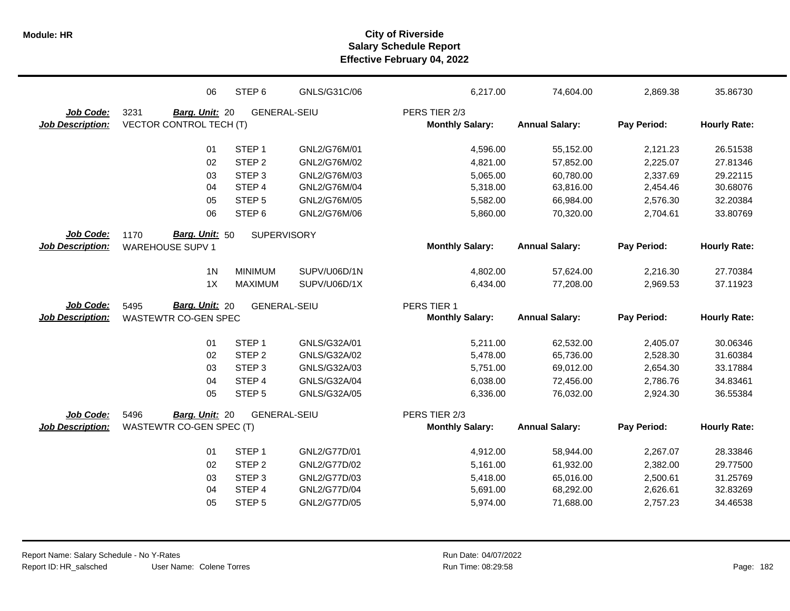|                                      | 06                                                    | STEP <sub>6</sub>           | GNLS/G31C/06                 | 6,217.00                              | 74,604.00              | 2,869.38             | 35.86730             |
|--------------------------------------|-------------------------------------------------------|-----------------------------|------------------------------|---------------------------------------|------------------------|----------------------|----------------------|
| Job Code:                            | 3231<br>Barg. Unit: 20                                | <b>GENERAL-SEIU</b>         |                              | PERS TIER 2/3                         |                        |                      |                      |
| <b>Job Description:</b>              | <b>VECTOR CONTROL TECH (T)</b>                        |                             |                              | <b>Monthly Salary:</b>                | <b>Annual Salary:</b>  | Pay Period:          | <b>Hourly Rate:</b>  |
|                                      | 01                                                    | STEP <sub>1</sub>           | GNL2/G76M/01                 | 4,596.00                              | 55,152.00              | 2,121.23             | 26.51538             |
|                                      | 02                                                    | STEP <sub>2</sub>           | GNL2/G76M/02                 | 4,821.00                              | 57,852.00              | 2,225.07             | 27.81346             |
|                                      | 03                                                    | STEP <sub>3</sub>           | GNL2/G76M/03                 | 5,065.00                              | 60,780.00              | 2,337.69             | 29.22115             |
|                                      | 04                                                    | STEP 4                      | GNL2/G76M/04                 | 5,318.00                              | 63,816.00              | 2,454.46             | 30.68076             |
|                                      | 05                                                    | STEP <sub>5</sub>           | GNL2/G76M/05                 | 5,582.00                              | 66,984.00              | 2,576.30             | 32.20384             |
|                                      | 06                                                    | STEP <sub>6</sub>           | GNL2/G76M/06                 | 5,860.00                              | 70,320.00              | 2,704.61             | 33.80769             |
| Job Code:                            | Barg. Unit: 50<br>1170                                | <b>SUPERVISORY</b>          |                              |                                       |                        |                      |                      |
| <b>Job Description:</b>              | <b>WAREHOUSE SUPV 1</b>                               |                             |                              | <b>Monthly Salary:</b>                | <b>Annual Salary:</b>  | Pay Period:          | <b>Hourly Rate:</b>  |
|                                      | 1 <sub>N</sub>                                        | <b>MINIMUM</b>              | SUPV/U06D/1N                 | 4,802.00                              | 57,624.00              | 2,216.30             | 27.70384             |
|                                      | 1X                                                    | <b>MAXIMUM</b>              | SUPV/U06D/1X                 | 6,434.00                              | 77,208.00              | 2,969.53             | 37.11923             |
|                                      |                                                       |                             |                              |                                       |                        |                      |                      |
|                                      |                                                       |                             |                              |                                       |                        |                      |                      |
| Job Code:<br><b>Job Description:</b> | <b>Barg. Unit: 20</b><br>5495<br>WASTEWTR CO-GEN SPEC | <b>GENERAL-SEIU</b>         |                              | PERS TIER 1<br><b>Monthly Salary:</b> | <b>Annual Salary:</b>  | Pay Period:          | <b>Hourly Rate:</b>  |
|                                      |                                                       | STEP <sub>1</sub>           |                              |                                       |                        |                      |                      |
|                                      | 01<br>02                                              | STEP <sub>2</sub>           | GNLS/G32A/01<br>GNLS/G32A/02 | 5,211.00<br>5,478.00                  | 62,532.00<br>65,736.00 | 2,405.07<br>2,528.30 | 30.06346<br>31.60384 |
|                                      | 03                                                    | STEP <sub>3</sub>           | GNLS/G32A/03                 | 5,751.00                              | 69,012.00              | 2,654.30             | 33.17884             |
|                                      | 04                                                    | STEP 4                      | GNLS/G32A/04                 | 6,038.00                              | 72,456.00              | 2,786.76             | 34.83461             |
|                                      | 05                                                    | STEP <sub>5</sub>           | GNLS/G32A/05                 | 6,336.00                              | 76,032.00              | 2,924.30             | 36.55384             |
| Job Code:                            | 5496<br>Barg. Unit: 20                                | <b>GENERAL-SEIU</b>         |                              | PERS TIER 2/3                         |                        |                      |                      |
| <b>Job Description:</b>              | WASTEWTR CO-GEN SPEC (T)                              |                             |                              | <b>Monthly Salary:</b>                | <b>Annual Salary:</b>  | Pay Period:          | <b>Hourly Rate:</b>  |
|                                      |                                                       |                             |                              |                                       |                        |                      |                      |
|                                      | 01                                                    | STEP <sub>1</sub>           | GNL2/G77D/01                 | 4,912.00                              | 58,944.00              | 2,267.07             | 28.33846             |
|                                      | 02                                                    | STEP <sub>2</sub>           | GNL2/G77D/02                 | 5,161.00                              | 61,932.00              | 2,382.00             | 29.77500             |
|                                      | 03<br>04                                              | STEP <sub>3</sub><br>STEP 4 | GNL2/G77D/03<br>GNL2/G77D/04 | 5,418.00<br>5,691.00                  | 65,016.00<br>68,292.00 | 2,500.61<br>2,626.61 | 31.25769<br>32.83269 |
|                                      | 05                                                    | STEP <sub>5</sub>           | GNL2/G77D/05                 | 5,974.00                              | 71,688.00              | 2,757.23             | 34.46538             |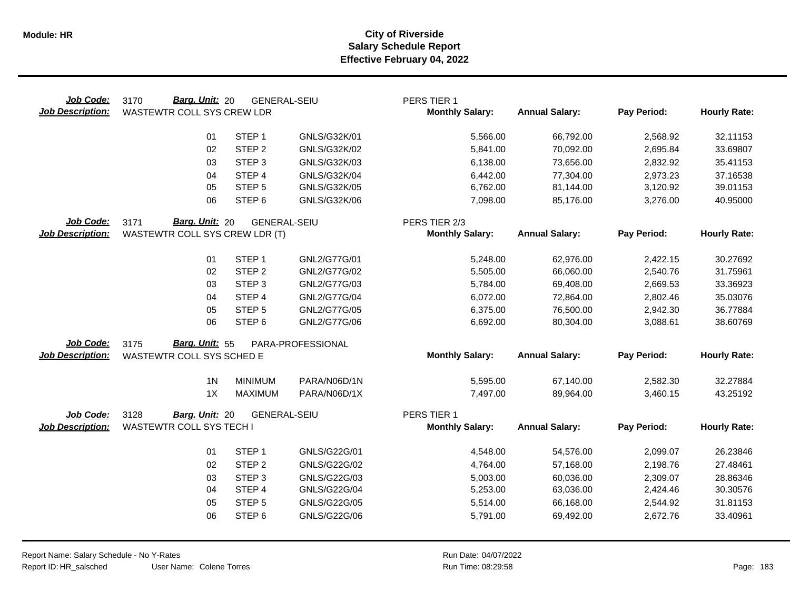| Job Code:<br><b>Job Description:</b> | Barg. Unit: 20<br>3170<br>WASTEWTR COLL SYS CREW LDR | <b>GENERAL-SEIU</b> |                   | PERS TIER 1<br><b>Monthly Salary:</b> | <b>Annual Salary:</b> | Pay Period: | <b>Hourly Rate:</b> |
|--------------------------------------|------------------------------------------------------|---------------------|-------------------|---------------------------------------|-----------------------|-------------|---------------------|
|                                      | 01                                                   | STEP <sub>1</sub>   | GNLS/G32K/01      | 5,566.00                              | 66,792.00             | 2,568.92    | 32.11153            |
|                                      | 02                                                   | STEP <sub>2</sub>   | GNLS/G32K/02      | 5,841.00                              | 70,092.00             | 2,695.84    | 33.69807            |
|                                      | 03                                                   | STEP <sub>3</sub>   | GNLS/G32K/03      | 6,138.00                              | 73,656.00             | 2,832.92    | 35.41153            |
|                                      | 04                                                   | STEP 4              | GNLS/G32K/04      | 6,442.00                              | 77,304.00             | 2,973.23    | 37.16538            |
|                                      | 05                                                   | STEP <sub>5</sub>   | GNLS/G32K/05      | 6,762.00                              | 81,144.00             | 3,120.92    | 39.01153            |
|                                      | 06                                                   | STEP <sub>6</sub>   | GNLS/G32K/06      | 7,098.00                              | 85,176.00             | 3,276.00    | 40.95000            |
| <b>Job Code:</b>                     | Barg. Unit: 20<br>3171                               | <b>GENERAL-SEIU</b> |                   | PERS TIER 2/3                         |                       |             |                     |
| <b>Job Description:</b>              | WASTEWTR COLL SYS CREW LDR (T)                       |                     |                   | <b>Monthly Salary:</b>                | <b>Annual Salary:</b> | Pay Period: | <b>Hourly Rate:</b> |
|                                      | 01                                                   | STEP <sub>1</sub>   | GNL2/G77G/01      | 5,248.00                              | 62,976.00             | 2,422.15    | 30.27692            |
|                                      | 02                                                   | STEP <sub>2</sub>   | GNL2/G77G/02      | 5,505.00                              | 66,060.00             | 2,540.76    | 31.75961            |
|                                      | 03                                                   | STEP <sub>3</sub>   | GNL2/G77G/03      | 5,784.00                              | 69,408.00             | 2,669.53    | 33.36923            |
|                                      | 04                                                   | STEP <sub>4</sub>   | GNL2/G77G/04      | 6,072.00                              | 72,864.00             | 2,802.46    | 35.03076            |
|                                      | 05                                                   | STEP <sub>5</sub>   | GNL2/G77G/05      | 6,375.00                              | 76,500.00             | 2,942.30    | 36.77884            |
|                                      | 06                                                   | STEP <sub>6</sub>   | GNL2/G77G/06      | 6,692.00                              | 80,304.00             | 3,088.61    | 38.60769            |
| Job Code:                            | Barg. Unit: 55<br>3175                               |                     | PARA-PROFESSIONAL |                                       |                       |             |                     |
| <b>Job Description:</b>              | WASTEWTR COLL SYS SCHED E                            |                     |                   | <b>Monthly Salary:</b>                | <b>Annual Salary:</b> | Pay Period: | <b>Hourly Rate:</b> |
|                                      | 1 <sub>N</sub>                                       | <b>MINIMUM</b>      | PARA/N06D/1N      | 5,595.00                              | 67,140.00             | 2,582.30    | 32.27884            |
|                                      | 1X                                                   | <b>MAXIMUM</b>      | PARA/N06D/1X      | 7,497.00                              | 89,964.00             | 3,460.15    | 43.25192            |
|                                      |                                                      |                     |                   |                                       |                       |             |                     |
| Job Code:                            | 3128<br>Barg. Unit: 20                               | <b>GENERAL-SEIU</b> |                   | PERS TIER 1                           |                       |             |                     |
| <b>Job Description:</b>              | <b>WASTEWTR COLL SYS TECH I</b>                      |                     |                   | <b>Monthly Salary:</b>                | <b>Annual Salary:</b> | Pay Period: | <b>Hourly Rate:</b> |
|                                      | 01                                                   | STEP <sub>1</sub>   | GNLS/G22G/01      | 4,548.00                              | 54,576.00             | 2,099.07    | 26.23846            |
|                                      | 02                                                   | STEP <sub>2</sub>   | GNLS/G22G/02      | 4,764.00                              | 57,168.00             | 2,198.76    | 27.48461            |
|                                      | 03                                                   | STEP <sub>3</sub>   | GNLS/G22G/03      | 5,003.00                              | 60,036.00             | 2,309.07    | 28.86346            |
|                                      | 04                                                   | STEP 4              | GNLS/G22G/04      | 5,253.00                              | 63,036.00             | 2,424.46    | 30.30576            |
|                                      | 05                                                   | STEP <sub>5</sub>   | GNLS/G22G/05      | 5,514.00                              | 66,168.00             | 2,544.92    | 31.81153            |
|                                      | 06                                                   | STEP <sub>6</sub>   | GNLS/G22G/06      | 5,791.00                              | 69,492.00             | 2,672.76    | 33.40961            |
|                                      |                                                      |                     |                   |                                       |                       |             |                     |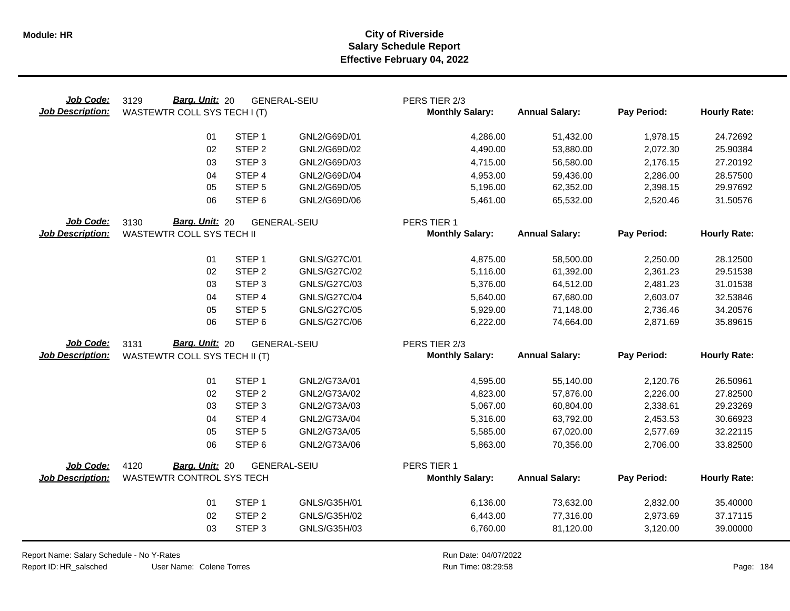| Job Code:<br><b>Job Description:</b> | Barg. Unit: 20<br>3129<br>WASTEWTR COLL SYS TECH I (T) |                   | <b>GENERAL-SEIU</b> | PERS TIER 2/3<br><b>Monthly Salary:</b> | <b>Annual Salary:</b> | Pay Period: | <b>Hourly Rate:</b> |
|--------------------------------------|--------------------------------------------------------|-------------------|---------------------|-----------------------------------------|-----------------------|-------------|---------------------|
|                                      | 01                                                     | STEP <sub>1</sub> | GNL2/G69D/01        | 4,286.00                                | 51,432.00             | 1,978.15    | 24.72692            |
|                                      | 02                                                     | STEP <sub>2</sub> | GNL2/G69D/02        | 4,490.00                                | 53,880.00             | 2,072.30    | 25.90384            |
|                                      | 03                                                     | STEP <sub>3</sub> | GNL2/G69D/03        | 4,715.00                                | 56,580.00             | 2,176.15    | 27.20192            |
|                                      | 04                                                     | STEP 4            | GNL2/G69D/04        | 4,953.00                                | 59,436.00             | 2,286.00    | 28.57500            |
|                                      | 05                                                     | STEP <sub>5</sub> | GNL2/G69D/05        | 5,196.00                                | 62,352.00             | 2,398.15    | 29.97692            |
|                                      | 06                                                     | STEP <sub>6</sub> | GNL2/G69D/06        | 5,461.00                                | 65,532.00             | 2,520.46    | 31.50576            |
| Job Code:                            | Barg. Unit: 20<br>3130                                 |                   | <b>GENERAL-SEIU</b> | PERS TIER 1                             |                       |             |                     |
| <b>Job Description:</b>              | WASTEWTR COLL SYS TECH II                              |                   |                     | <b>Monthly Salary:</b>                  | <b>Annual Salary:</b> | Pay Period: | <b>Hourly Rate:</b> |
|                                      | 01                                                     | STEP <sub>1</sub> | GNLS/G27C/01        | 4,875.00                                | 58,500.00             | 2,250.00    | 28.12500            |
|                                      | 02                                                     | STEP <sub>2</sub> | <b>GNLS/G27C/02</b> | 5,116.00                                | 61,392.00             | 2,361.23    | 29.51538            |
|                                      | 03                                                     | STEP <sub>3</sub> | GNLS/G27C/03        | 5,376.00                                | 64,512.00             | 2,481.23    | 31.01538            |
|                                      | 04                                                     | STEP 4            | <b>GNLS/G27C/04</b> | 5,640.00                                | 67,680.00             | 2,603.07    | 32.53846            |
|                                      | 05                                                     | STEP <sub>5</sub> | <b>GNLS/G27C/05</b> | 5,929.00                                | 71,148.00             | 2,736.46    | 34.20576            |
|                                      | 06                                                     | STEP <sub>6</sub> | GNLS/G27C/06        | 6,222.00                                | 74,664.00             | 2,871.69    | 35.89615            |
| Job Code:                            | Barg. Unit: 20<br>3131                                 |                   | <b>GENERAL-SEIU</b> | PERS TIER 2/3                           |                       |             |                     |
| <b>Job Description:</b>              | WASTEWTR COLL SYS TECH II (T)                          |                   |                     | <b>Monthly Salary:</b>                  | <b>Annual Salary:</b> | Pay Period: | <b>Hourly Rate:</b> |
|                                      | 01                                                     | STEP <sub>1</sub> | GNL2/G73A/01        | 4,595.00                                | 55,140.00             | 2,120.76    | 26.50961            |
|                                      | 02                                                     | STEP <sub>2</sub> | GNL2/G73A/02        | 4,823.00                                | 57,876.00             | 2,226.00    | 27.82500            |
|                                      | 03                                                     | STEP <sub>3</sub> | GNL2/G73A/03        | 5,067.00                                | 60,804.00             | 2,338.61    | 29.23269            |
|                                      | 04                                                     | STEP 4            | GNL2/G73A/04        | 5,316.00                                | 63,792.00             | 2,453.53    | 30.66923            |
|                                      | 05                                                     | STEP <sub>5</sub> | GNL2/G73A/05        | 5,585.00                                | 67,020.00             | 2,577.69    | 32.22115            |
|                                      | 06                                                     | STEP <sub>6</sub> | GNL2/G73A/06        | 5,863.00                                | 70,356.00             | 2,706.00    | 33.82500            |
| Job Code:                            | 4120<br>Barg. Unit: 20                                 |                   | <b>GENERAL-SEIU</b> | PERS TIER 1                             |                       |             |                     |
| <b>Job Description:</b>              | WASTEWTR CONTROL SYS TECH                              |                   |                     | <b>Monthly Salary:</b>                  | <b>Annual Salary:</b> | Pay Period: | <b>Hourly Rate:</b> |
|                                      | 01                                                     | STEP <sub>1</sub> | GNLS/G35H/01        | 6,136.00                                | 73,632.00             | 2,832.00    | 35.40000            |
|                                      | 02                                                     | STEP <sub>2</sub> | GNLS/G35H/02        | 6,443.00                                | 77,316.00             | 2,973.69    | 37.17115            |
|                                      | 03                                                     | STEP <sub>3</sub> | GNLS/G35H/03        | 6,760.00                                | 81,120.00             | 3,120.00    | 39.00000            |

Report Name: Salary Schedule - No Y-Rates Report ID: HR\_salsched

 $\overline{\phantom{0}}$ 

User Name: Colene Torres

Run Date: 04/07/2022 08:29:58 Colene Torres Run Time: Page: 184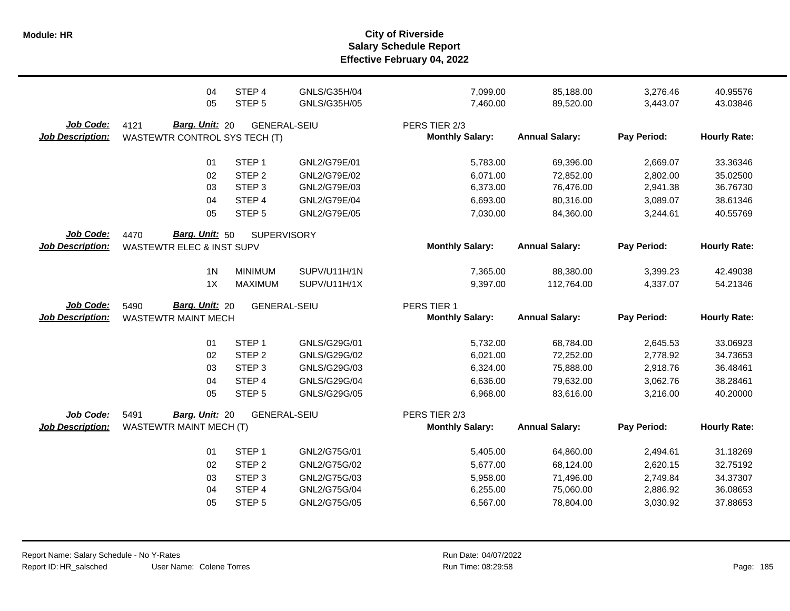|                                             | 04<br>05                                                       | STEP 4<br>STEP <sub>5</sub>                                                                | GNLS/G35H/04<br>GNLS/G35H/05                                                 | 7,099.00<br>7,460.00                                     | 85,188.00<br>89,520.00                                        | 3,276.46<br>3,443.07                                     | 40.95576<br>43.03846                                     |
|---------------------------------------------|----------------------------------------------------------------|--------------------------------------------------------------------------------------------|------------------------------------------------------------------------------|----------------------------------------------------------|---------------------------------------------------------------|----------------------------------------------------------|----------------------------------------------------------|
| Job Code:<br><b>Job Description:</b>        | Barg. Unit: 20<br>4121<br>WASTEWTR CONTROL SYS TECH (T)        | <b>GENERAL-SEIU</b>                                                                        |                                                                              | PERS TIER 2/3<br><b>Monthly Salary:</b>                  | <b>Annual Salary:</b>                                         | Pay Period:                                              | <b>Hourly Rate:</b>                                      |
|                                             | 01<br>02<br>03<br>04<br>05                                     | STEP <sub>1</sub><br>STEP <sub>2</sub><br>STEP <sub>3</sub><br>STEP 4<br>STEP <sub>5</sub> | GNL2/G79E/01<br>GNL2/G79E/02<br>GNL2/G79E/03<br>GNL2/G79E/04<br>GNL2/G79E/05 | 5,783.00<br>6,071.00<br>6,373.00<br>6,693.00<br>7,030.00 | 69,396.00<br>72,852.00<br>76,476.00<br>80,316.00<br>84,360.00 | 2,669.07<br>2,802.00<br>2,941.38<br>3,089.07<br>3,244.61 | 33.36346<br>35.02500<br>36.76730<br>38.61346<br>40.55769 |
| Job Code:<br><b>Job Description:</b>        | Barg. Unit: 50<br>4470<br><b>WASTEWTR ELEC &amp; INST SUPV</b> | <b>SUPERVISORY</b>                                                                         |                                                                              | <b>Monthly Salary:</b>                                   | <b>Annual Salary:</b>                                         | Pay Period:                                              | <b>Hourly Rate:</b>                                      |
|                                             | 1 <sub>N</sub><br>1X                                           | <b>MINIMUM</b><br><b>MAXIMUM</b>                                                           | SUPV/U11H/1N<br>SUPV/U11H/1X                                                 | 7,365.00<br>9,397.00                                     | 88,380.00<br>112,764.00                                       | 3,399.23<br>4,337.07                                     | 42.49038<br>54.21346                                     |
|                                             |                                                                |                                                                                            |                                                                              |                                                          |                                                               |                                                          |                                                          |
| <b>Job Code:</b><br><b>Job Description:</b> | Barg. Unit: 20<br>5490<br><b>WASTEWTR MAINT MECH</b>           | <b>GENERAL-SEIU</b>                                                                        |                                                                              | PERS TIER 1<br><b>Monthly Salary:</b>                    | <b>Annual Salary:</b>                                         | Pay Period:                                              | <b>Hourly Rate:</b>                                      |
|                                             | 01<br>02<br>03<br>04<br>05                                     | STEP <sub>1</sub><br>STEP <sub>2</sub><br>STEP <sub>3</sub><br>STEP 4<br>STEP <sub>5</sub> | GNLS/G29G/01<br>GNLS/G29G/02<br>GNLS/G29G/03<br>GNLS/G29G/04<br>GNLS/G29G/05 | 5,732.00<br>6,021.00<br>6,324.00<br>6,636.00<br>6,968.00 | 68,784.00<br>72,252.00<br>75,888.00<br>79,632.00<br>83,616.00 | 2,645.53<br>2,778.92<br>2,918.76<br>3,062.76<br>3,216.00 | 33.06923<br>34.73653<br>36.48461<br>38.28461<br>40.20000 |
| Job Code:<br><b>Job Description:</b>        | 5491<br>Barg. Unit: 20<br><b>WASTEWTR MAINT MECH (T)</b>       | <b>GENERAL-SEIU</b>                                                                        |                                                                              | PERS TIER 2/3<br><b>Monthly Salary:</b>                  | <b>Annual Salary:</b>                                         | Pay Period:                                              | <b>Hourly Rate:</b>                                      |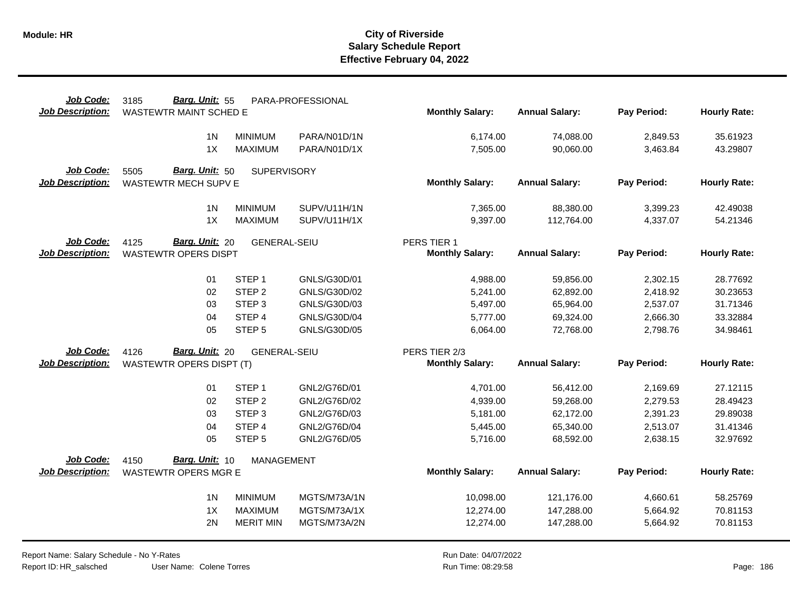| Job Code:               | Barg. Unit: 55<br>3185              |                     | PARA-PROFESSIONAL |                        |                       |             |                     |
|-------------------------|-------------------------------------|---------------------|-------------------|------------------------|-----------------------|-------------|---------------------|
| <b>Job Description:</b> | <b>WASTEWTR MAINT SCHED E</b>       |                     |                   | <b>Monthly Salary:</b> | <b>Annual Salary:</b> | Pay Period: | <b>Hourly Rate:</b> |
|                         | 1 <sub>N</sub>                      | <b>MINIMUM</b>      | PARA/N01D/1N      | 6,174.00               | 74,088.00             | 2,849.53    | 35.61923            |
|                         | 1X                                  | <b>MAXIMUM</b>      | PARA/N01D/1X      |                        |                       |             |                     |
|                         |                                     |                     |                   | 7,505.00               | 90,060.00             | 3,463.84    | 43.29807            |
| Job Code:               | <b>Barg. Unit: 50</b><br>5505       | <b>SUPERVISORY</b>  |                   |                        |                       |             |                     |
| <b>Job Description:</b> | WASTEWTR MECH SUPV E                |                     |                   | <b>Monthly Salary:</b> | <b>Annual Salary:</b> | Pay Period: | <b>Hourly Rate:</b> |
|                         |                                     |                     |                   |                        |                       |             |                     |
|                         | 1 <sub>N</sub>                      | <b>MINIMUM</b>      | SUPV/U11H/1N      | 7,365.00               | 88,380.00             | 3,399.23    | 42.49038            |
|                         | 1X                                  | <b>MAXIMUM</b>      | SUPV/U11H/1X      | 9,397.00               | 112,764.00            | 4,337.07    | 54.21346            |
| Job Code:               | 4125<br>Barg. Unit: 20              | <b>GENERAL-SEIU</b> |                   | PERS TIER 1            |                       |             |                     |
| <b>Job Description:</b> | <b>WASTEWTR OPERS DISPT</b>         |                     |                   | <b>Monthly Salary:</b> | <b>Annual Salary:</b> | Pay Period: | <b>Hourly Rate:</b> |
|                         |                                     |                     |                   |                        |                       |             |                     |
|                         | 01                                  | STEP <sub>1</sub>   | GNLS/G30D/01      | 4,988.00               | 59,856.00             | 2,302.15    | 28.77692            |
|                         | 02                                  | STEP <sub>2</sub>   | GNLS/G30D/02      | 5,241.00               | 62,892.00             | 2,418.92    | 30.23653            |
|                         | 03                                  | STEP <sub>3</sub>   | GNLS/G30D/03      | 5,497.00               | 65,964.00             | 2,537.07    | 31.71346            |
|                         | 04                                  | STEP 4              | GNLS/G30D/04      | 5,777.00               | 69,324.00             | 2,666.30    | 33.32884            |
|                         | 05                                  | STEP <sub>5</sub>   | GNLS/G30D/05      | 6,064.00               | 72,768.00             | 2,798.76    | 34.98461            |
| Job Code:               | <b>Barg. Unit: 20</b><br>4126       | <b>GENERAL-SEIU</b> |                   | PERS TIER 2/3          |                       |             |                     |
| <b>Job Description:</b> | <b>WASTEWTR OPERS DISPT (T)</b>     |                     |                   | <b>Monthly Salary:</b> | <b>Annual Salary:</b> | Pay Period: | <b>Hourly Rate:</b> |
|                         |                                     |                     |                   |                        |                       |             |                     |
|                         | 01                                  | STEP <sub>1</sub>   | GNL2/G76D/01      | 4,701.00               | 56,412.00             | 2,169.69    | 27.12115            |
|                         | 02                                  | STEP <sub>2</sub>   | GNL2/G76D/02      | 4,939.00               | 59,268.00             | 2,279.53    | 28.49423            |
|                         | 03                                  | STEP <sub>3</sub>   | GNL2/G76D/03      | 5,181.00               | 62,172.00             | 2,391.23    | 29.89038            |
|                         | 04                                  | STEP 4              | GNL2/G76D/04      | 5,445.00               | 65,340.00             | 2,513.07    | 31.41346            |
|                         | 05                                  | STEP <sub>5</sub>   | GNL2/G76D/05      | 5,716.00               | 68,592.00             | 2,638.15    | 32.97692            |
| Job Code:               | Barg. Unit: 10                      |                     |                   |                        |                       |             |                     |
| <b>Job Description:</b> | 4150<br><b>WASTEWTR OPERS MGR E</b> | <b>MANAGEMENT</b>   |                   | <b>Monthly Salary:</b> | <b>Annual Salary:</b> | Pay Period: | <b>Hourly Rate:</b> |
|                         |                                     |                     |                   |                        |                       |             |                     |
|                         | 1 <sup>N</sup>                      | <b>MINIMUM</b>      | MGTS/M73A/1N      | 10,098.00              | 121,176.00            | 4,660.61    | 58.25769            |
|                         | 1X                                  | <b>MAXIMUM</b>      | MGTS/M73A/1X      | 12,274.00              | 147,288.00            | 5,664.92    | 70.81153            |
|                         | 2N                                  | <b>MERIT MIN</b>    | MGTS/M73A/2N      | 12,274.00              | 147,288.00            | 5,664.92    | 70.81153            |
|                         |                                     |                     |                   |                        |                       |             |                     |

User Name: Colene Torres Report Name: Salary Schedule - No Y-Rates Report ID: HR\_salsched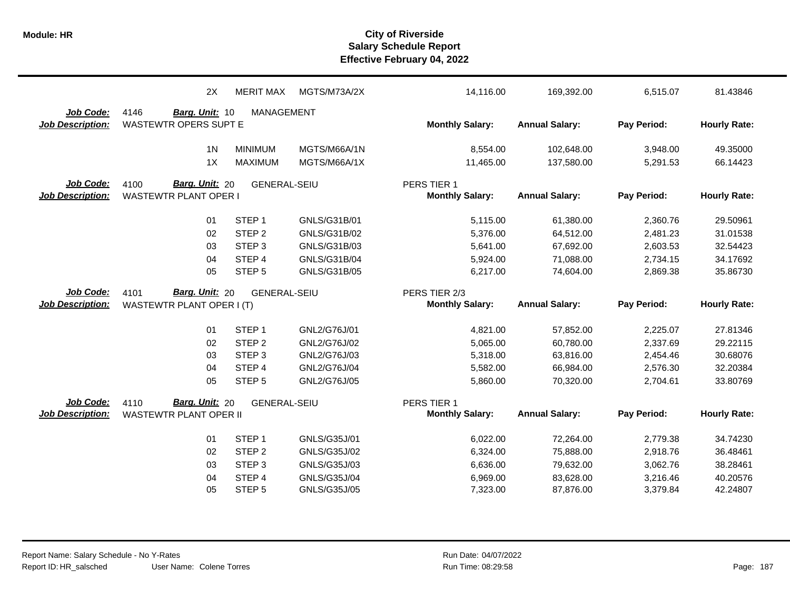|                         | 2X                            | <b>MERIT MAX</b>    | MGTS/M73A/2X | 14,116.00              | 169,392.00            | 6,515.07    | 81.43846            |
|-------------------------|-------------------------------|---------------------|--------------|------------------------|-----------------------|-------------|---------------------|
| Job Code:               | 4146<br>Barg. Unit: 10        | <b>MANAGEMENT</b>   |              |                        |                       |             |                     |
| <b>Job Description:</b> | <b>WASTEWTR OPERS SUPT E</b>  |                     |              | <b>Monthly Salary:</b> | <b>Annual Salary:</b> | Pay Period: | <b>Hourly Rate:</b> |
|                         | 1 <sub>N</sub>                | <b>MINIMUM</b>      | MGTS/M66A/1N | 8,554.00               | 102,648.00            | 3,948.00    | 49.35000            |
|                         | 1X                            | <b>MAXIMUM</b>      | MGTS/M66A/1X | 11,465.00              | 137,580.00            | 5,291.53    | 66.14423            |
| Job Code:               | Barg. Unit: 20<br>4100        | <b>GENERAL-SEIU</b> |              | PERS TIER 1            |                       |             |                     |
| <b>Job Description:</b> | <b>WASTEWTR PLANT OPER I</b>  |                     |              | <b>Monthly Salary:</b> | <b>Annual Salary:</b> | Pay Period: | <b>Hourly Rate:</b> |
|                         | 01                            | STEP <sub>1</sub>   | GNLS/G31B/01 | 5,115.00               | 61,380.00             | 2,360.76    | 29.50961            |
|                         | 02                            | STEP <sub>2</sub>   | GNLS/G31B/02 | 5,376.00               | 64,512.00             | 2,481.23    | 31.01538            |
|                         | 03                            | STEP <sub>3</sub>   | GNLS/G31B/03 | 5,641.00               | 67,692.00             | 2,603.53    | 32.54423            |
|                         | 04                            | STEP 4              | GNLS/G31B/04 | 5,924.00               | 71,088.00             | 2,734.15    | 34.17692            |
|                         | 05                            | STEP <sub>5</sub>   | GNLS/G31B/05 | 6,217.00               | 74,604.00             | 2,869.38    | 35.86730            |
| Job Code:               | Barg. Unit: 20<br>4101        | <b>GENERAL-SEIU</b> |              | PERS TIER 2/3          |                       |             |                     |
| <b>Job Description:</b> | WASTEWTR PLANT OPER I (T)     |                     |              | <b>Monthly Salary:</b> | <b>Annual Salary:</b> | Pay Period: | <b>Hourly Rate:</b> |
|                         | 01                            | STEP <sub>1</sub>   | GNL2/G76J/01 | 4,821.00               | 57,852.00             | 2,225.07    | 27.81346            |
|                         | 02                            | STEP <sub>2</sub>   | GNL2/G76J/02 | 5,065.00               | 60,780.00             | 2,337.69    | 29.22115            |
|                         | 03                            | STEP <sub>3</sub>   | GNL2/G76J/03 | 5,318.00               | 63,816.00             | 2,454.46    | 30.68076            |
|                         | 04                            | STEP 4              | GNL2/G76J/04 | 5,582.00               | 66,984.00             | 2,576.30    | 32.20384            |
|                         | 05                            | STEP <sub>5</sub>   | GNL2/G76J/05 | 5,860.00               | 70,320.00             | 2,704.61    | 33.80769            |
| Job Code:               | Barg. Unit: 20<br>4110        | <b>GENERAL-SEIU</b> |              | PERS TIER 1            |                       |             |                     |
| <b>Job Description:</b> | <b>WASTEWTR PLANT OPER II</b> |                     |              | <b>Monthly Salary:</b> | <b>Annual Salary:</b> | Pay Period: | <b>Hourly Rate:</b> |
|                         | 01                            | STEP <sub>1</sub>   | GNLS/G35J/01 | 6,022.00               | 72,264.00             | 2,779.38    | 34.74230            |
|                         | 02                            | STEP <sub>2</sub>   | GNLS/G35J/02 | 6,324.00               | 75,888.00             | 2,918.76    | 36.48461            |
|                         | 03                            | STEP <sub>3</sub>   | GNLS/G35J/03 | 6,636.00               | 79,632.00             | 3,062.76    | 38.28461            |
|                         | 04                            | STEP 4              | GNLS/G35J/04 | 6,969.00               | 83,628.00             | 3,216.46    | 40.20576            |
|                         | 05                            | STEP <sub>5</sub>   | GNLS/G35J/05 | 7,323.00               | 87,876.00             | 3,379.84    | 42.24807            |
|                         |                               |                     |              |                        |                       |             |                     |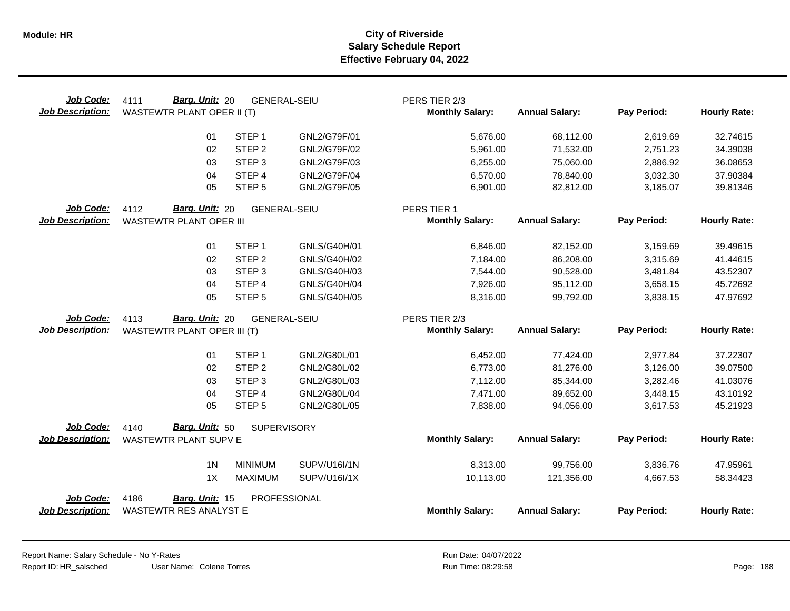| Job Code:<br><b>Job Description:</b> | <b>Barg. Unit: 20</b><br>4111<br>WASTEWTR PLANT OPER II (T) | <b>GENERAL-SEIU</b>                    |                              | PERS TIER 2/3<br><b>Monthly Salary:</b> | <b>Annual Salary:</b>  | Pay Period:          | <b>Hourly Rate:</b>  |
|--------------------------------------|-------------------------------------------------------------|----------------------------------------|------------------------------|-----------------------------------------|------------------------|----------------------|----------------------|
|                                      | 01                                                          | STEP <sub>1</sub>                      | GNL2/G79F/01                 | 5,676.00                                | 68,112.00              | 2,619.69             | 32.74615             |
|                                      | 02                                                          | STEP <sub>2</sub>                      | GNL2/G79F/02                 | 5,961.00                                | 71,532.00              | 2,751.23             | 34.39038             |
|                                      | 03                                                          | STEP <sub>3</sub>                      | GNL2/G79F/03                 | 6,255.00                                | 75,060.00              | 2,886.92             | 36.08653             |
|                                      | 04                                                          | STEP 4                                 | GNL2/G79F/04                 | 6,570.00                                | 78,840.00              | 3,032.30             | 37.90384             |
|                                      | 05                                                          | STEP <sub>5</sub>                      | GNL2/G79F/05                 | 6,901.00                                | 82,812.00              | 3,185.07             | 39.81346             |
| <b>Job Code:</b>                     | Barg. Unit: 20<br>4112                                      | <b>GENERAL-SEIU</b>                    |                              | PERS TIER 1                             |                        |                      |                      |
| <b>Job Description:</b>              | WASTEWTR PLANT OPER III                                     |                                        |                              | <b>Monthly Salary:</b>                  | <b>Annual Salary:</b>  | Pay Period:          | <b>Hourly Rate:</b>  |
|                                      | 01                                                          | STEP <sub>1</sub>                      | GNLS/G40H/01                 | 6,846.00                                | 82,152.00              | 3,159.69             | 39.49615             |
|                                      | 02                                                          | STEP <sub>2</sub>                      | GNLS/G40H/02                 | 7,184.00                                | 86,208.00              | 3,315.69             | 41.44615             |
|                                      | 03                                                          | STEP <sub>3</sub>                      | GNLS/G40H/03                 | 7,544.00                                | 90,528.00              | 3,481.84             | 43.52307             |
|                                      | 04                                                          | STEP 4                                 | GNLS/G40H/04                 | 7,926.00                                | 95,112.00              | 3,658.15             | 45.72692             |
|                                      | 05                                                          | STEP <sub>5</sub>                      | GNLS/G40H/05                 | 8,316.00                                | 99,792.00              | 3,838.15             | 47.97692             |
| Job Code:                            | Barg. Unit: 20<br>4113                                      | <b>GENERAL-SEIU</b>                    |                              | PERS TIER 2/3                           |                        |                      |                      |
| <b>Job Description:</b>              | WASTEWTR PLANT OPER III (T)                                 |                                        |                              | <b>Monthly Salary:</b>                  | <b>Annual Salary:</b>  | Pay Period:          | <b>Hourly Rate:</b>  |
|                                      |                                                             |                                        |                              |                                         |                        |                      |                      |
|                                      | 01<br>02                                                    | STEP <sub>1</sub><br>STEP <sub>2</sub> | GNL2/G80L/01<br>GNL2/G80L/02 | 6,452.00<br>6,773.00                    | 77,424.00<br>81,276.00 | 2,977.84<br>3,126.00 | 37.22307<br>39.07500 |
|                                      | 03                                                          | STEP <sub>3</sub>                      | GNL2/G80L/03                 | 7,112.00                                | 85,344.00              | 3,282.46             | 41.03076             |
|                                      | 04                                                          | STEP 4                                 | GNL2/G80L/04                 | 7,471.00                                | 89,652.00              | 3,448.15             | 43.10192             |
|                                      | 05                                                          | STEP <sub>5</sub>                      | GNL2/G80L/05                 | 7,838.00                                | 94,056.00              | 3,617.53             | 45.21923             |
|                                      |                                                             |                                        |                              |                                         |                        |                      |                      |
| Job Code:                            | Barg. Unit: 50<br>4140                                      | <b>SUPERVISORY</b>                     |                              |                                         |                        |                      |                      |
| <b>Job Description:</b>              | WASTEWTR PLANT SUPV E                                       |                                        |                              | <b>Monthly Salary:</b>                  | <b>Annual Salary:</b>  | Pay Period:          | <b>Hourly Rate:</b>  |
|                                      | 1 <sup>N</sup>                                              | <b>MINIMUM</b>                         | SUPV/U16I/1N                 | 8,313.00                                | 99,756.00              | 3,836.76             | 47.95961             |
|                                      | 1X                                                          | MAXIMUM                                | SUPV/U16I/1X                 | 10,113.00                               | 121,356.00             | 4,667.53             | 58.34423             |
| Job Code:                            | 4186<br>Barg. Unit: 15                                      | PROFESSIONAL                           |                              |                                         |                        |                      |                      |

Report Name: Salary Schedule - No Y-Rates Report ID: HR\_salsched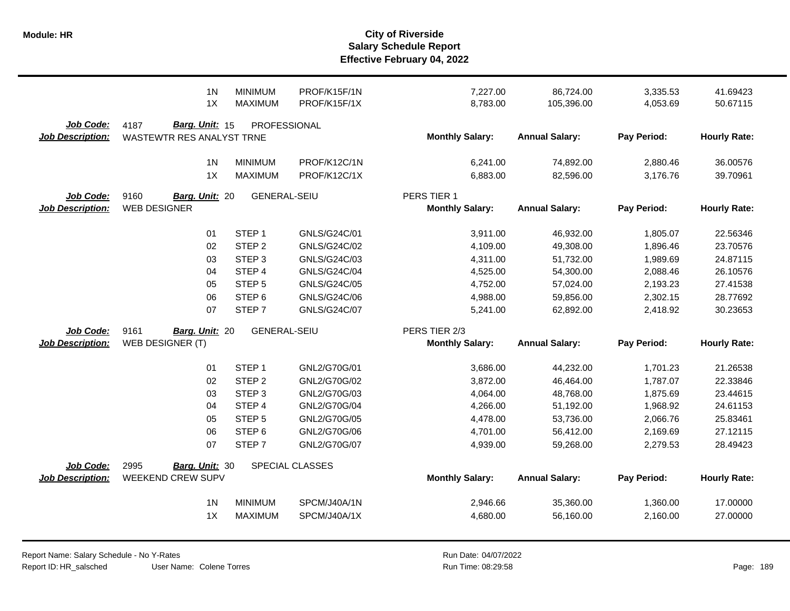|                                      | 1 <sub>N</sub><br>1X                                | <b>MINIMUM</b><br><b>MAXIMUM</b> | PROF/K15F/1N<br>PROF/K15F/1X | 7,227.00<br>8,783.00   | 86,724.00<br>105,396.00 | 3,335.53<br>4,053.69 | 41.69423<br>50.67115 |
|--------------------------------------|-----------------------------------------------------|----------------------------------|------------------------------|------------------------|-------------------------|----------------------|----------------------|
| Job Code:<br><b>Job Description:</b> | Barg. Unit: 15<br>4187<br>WASTEWTR RES ANALYST TRNE | PROFESSIONAL                     |                              | <b>Monthly Salary:</b> | <b>Annual Salary:</b>   | Pay Period:          | <b>Hourly Rate:</b>  |
|                                      | 1 <sub>N</sub>                                      | <b>MINIMUM</b>                   | PROF/K12C/1N                 | 6,241.00               | 74,892.00               | 2,880.46             | 36.00576             |
|                                      | 1X                                                  | <b>MAXIMUM</b>                   | PROF/K12C/1X                 | 6,883.00               | 82,596.00               | 3,176.76             | 39.70961             |
| Job Code:                            | 9160<br>Barg. Unit: 20                              | <b>GENERAL-SEIU</b>              |                              | PERS TIER 1            |                         |                      |                      |
| <b>Job Description:</b>              | <b>WEB DESIGNER</b>                                 |                                  |                              | <b>Monthly Salary:</b> | <b>Annual Salary:</b>   | Pay Period:          | <b>Hourly Rate:</b>  |
|                                      | 01                                                  | STEP <sub>1</sub>                | GNLS/G24C/01                 | 3,911.00               | 46,932.00               | 1,805.07             | 22.56346             |
|                                      | 02                                                  | STEP <sub>2</sub>                | GNLS/G24C/02                 | 4,109.00               | 49,308.00               | 1,896.46             | 23.70576             |
|                                      | 03                                                  | STEP <sub>3</sub>                | GNLS/G24C/03                 | 4,311.00               | 51,732.00               | 1,989.69             | 24.87115             |
|                                      | 04                                                  | STEP 4                           | GNLS/G24C/04                 | 4,525.00               | 54,300.00               | 2,088.46             | 26.10576             |
|                                      | 05                                                  | STEP <sub>5</sub>                | GNLS/G24C/05                 | 4,752.00               | 57,024.00               | 2,193.23             | 27.41538             |
|                                      | 06                                                  | STEP <sub>6</sub>                | GNLS/G24C/06                 | 4,988.00               | 59,856.00               | 2,302.15             | 28.77692             |
|                                      | 07                                                  | STEP <sub>7</sub>                | <b>GNLS/G24C/07</b>          | 5,241.00               | 62,892.00               | 2,418.92             | 30.23653             |
| Job Code:                            | 9161<br>Barg. Unit: 20                              | <b>GENERAL-SEIU</b>              |                              | PERS TIER 2/3          |                         |                      |                      |
| <b>Job Description:</b>              | WEB DESIGNER (T)                                    |                                  |                              | <b>Monthly Salary:</b> | <b>Annual Salary:</b>   | Pay Period:          | <b>Hourly Rate:</b>  |
|                                      | 01                                                  | STEP <sub>1</sub>                | GNL2/G70G/01                 | 3,686.00               | 44,232.00               | 1,701.23             | 21.26538             |
|                                      | 02                                                  | STEP <sub>2</sub>                | GNL2/G70G/02                 | 3,872.00               | 46,464.00               | 1,787.07             | 22.33846             |
|                                      | 03                                                  | STEP <sub>3</sub>                | GNL2/G70G/03                 | 4,064.00               | 48,768.00               | 1,875.69             | 23.44615             |
|                                      | 04                                                  | STEP 4                           | GNL2/G70G/04                 | 4,266.00               | 51,192.00               | 1,968.92             | 24.61153             |
|                                      | 05                                                  | STEP <sub>5</sub>                | GNL2/G70G/05                 | 4,478.00               | 53,736.00               | 2,066.76             | 25.83461             |
|                                      | 06                                                  | STEP <sub>6</sub>                | GNL2/G70G/06                 | 4,701.00               | 56,412.00               | 2,169.69             | 27.12115             |
|                                      | 07                                                  | STEP <sub>7</sub>                | GNL2/G70G/07                 | 4,939.00               | 59,268.00               | 2,279.53             | 28.49423             |
| Job Code:                            | 2995<br>Barg. Unit: 30                              |                                  | <b>SPECIAL CLASSES</b>       |                        |                         |                      |                      |
| <b>Job Description:</b>              | WEEKEND CREW SUPV                                   |                                  |                              | <b>Monthly Salary:</b> | <b>Annual Salary:</b>   | Pay Period:          | <b>Hourly Rate:</b>  |
|                                      | 1 <sub>N</sub>                                      | <b>MINIMUM</b>                   | SPCM/J40A/1N                 | 2,946.66               | 35,360.00               | 1,360.00             | 17.00000             |
|                                      | 1X                                                  | <b>MAXIMUM</b>                   | SPCM/J40A/1X                 | 4,680.00               | 56,160.00               | 2,160.00             | 27.00000             |